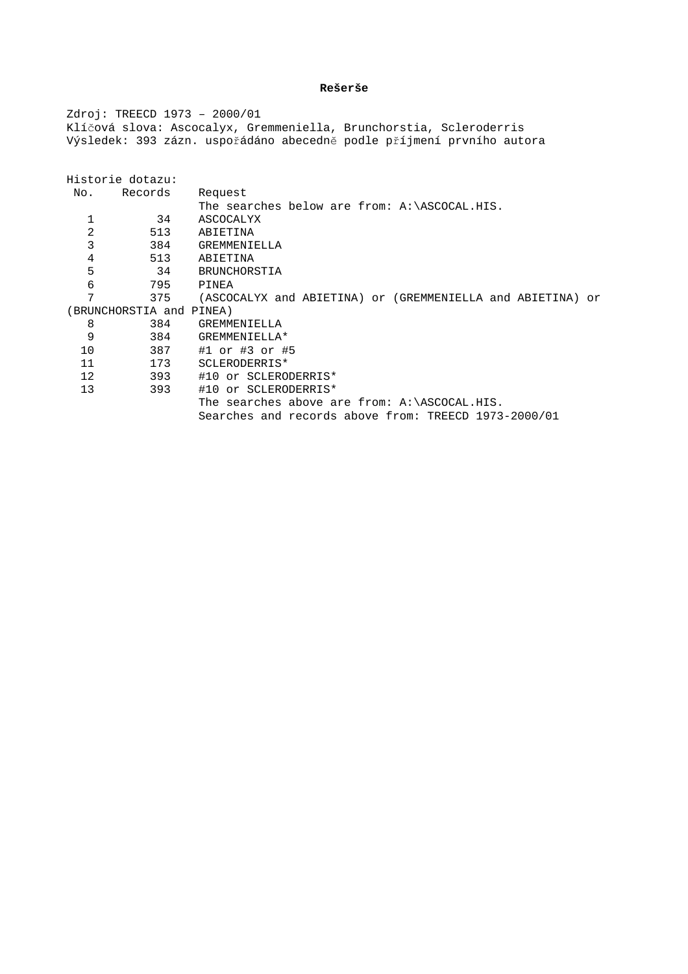# **Rešerše**

Zdroj: TREECD 1973 – 2000/01 Klíčová slova: Ascocalyx, Gremmeniella, Brunchorstia, Scleroderris Výsledek: 393 zázn. uspořádáno abecedně podle příjmení prvního autora

| Historie dotazu:         |         |                                                            |
|--------------------------|---------|------------------------------------------------------------|
|                          |         |                                                            |
| No.                      | Records | Request                                                    |
|                          |         | The searches below are from: A:\ASCOCAL.HIS.               |
|                          | 34      | ASCOCALYX                                                  |
| 2                        | 513     | ABIETINA                                                   |
| 3                        | 384     | GREMMENIELLA                                               |
| 4                        | 513     | ABIETINA                                                   |
| 5                        | 34      | BRUNCHORSTIA                                               |
| 6                        | 795     | PINEA                                                      |
| 7                        | 375     | (ASCOCALYX and ABIETINA) or (GREMMENIELLA and ABIETINA) or |
| (BRUNCHORSTIA and PINEA) |         |                                                            |
| 8                        | 384     | GREMMENIELLA                                               |
| 9                        | 384     | GREMMENIELLA*                                              |
| 10                       | 387     | #1 or #3 or #5                                             |
| 11                       | 173     | SCLERODERRIS*                                              |
| $12 \,$                  | 393     | #10 or SCLERODERRIS*                                       |
| 13                       | 393     | #10 or SCLERODERRIS*                                       |
|                          |         | The searches above are from: $A:\ASCOCAL.HIS.$             |
|                          |         | Searches and records above from: TREECD 1973-2000/01       |
|                          |         |                                                            |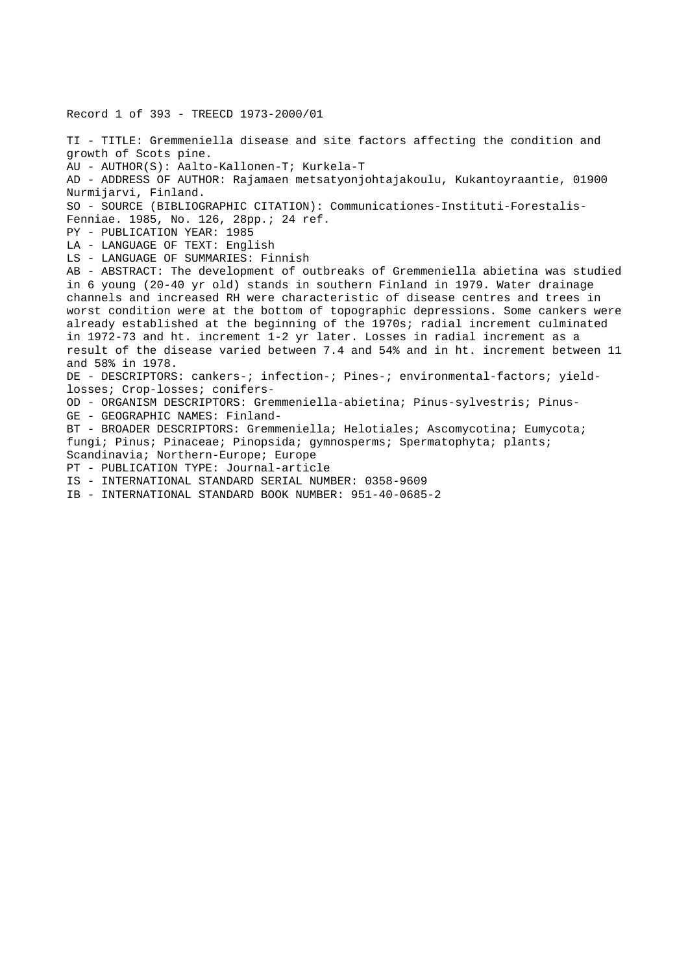Record 1 of 393 - TREECD 1973-2000/01

TI - TITLE: Gremmeniella disease and site factors affecting the condition and growth of Scots pine. AU - AUTHOR(S): Aalto-Kallonen-T; Kurkela-T AD - ADDRESS OF AUTHOR: Rajamaen metsatyonjohtajakoulu, Kukantoyraantie, 01900 Nurmijarvi, Finland. SO - SOURCE (BIBLIOGRAPHIC CITATION): Communicationes-Instituti-Forestalis-Fenniae. 1985, No. 126, 28pp.; 24 ref. PY - PUBLICATION YEAR: 1985 LA - LANGUAGE OF TEXT: English LS - LANGUAGE OF SUMMARIES: Finnish AB - ABSTRACT: The development of outbreaks of Gremmeniella abietina was studied in 6 young (20-40 yr old) stands in southern Finland in 1979. Water drainage channels and increased RH were characteristic of disease centres and trees in worst condition were at the bottom of topographic depressions. Some cankers were already established at the beginning of the 1970s; radial increment culminated in 1972-73 and ht. increment 1-2 yr later. Losses in radial increment as a result of the disease varied between 7.4 and 54% and in ht. increment between 11 and 58% in 1978. DE - DESCRIPTORS: cankers-; infection-; Pines-; environmental-factors; yieldlosses; Crop-losses; conifers-OD - ORGANISM DESCRIPTORS: Gremmeniella-abietina; Pinus-sylvestris; Pinus-GE - GEOGRAPHIC NAMES: Finland-BT - BROADER DESCRIPTORS: Gremmeniella; Helotiales; Ascomycotina; Eumycota; fungi; Pinus; Pinaceae; Pinopsida; gymnosperms; Spermatophyta; plants; Scandinavia; Northern-Europe; Europe PT - PUBLICATION TYPE: Journal-article IS - INTERNATIONAL STANDARD SERIAL NUMBER: 0358-9609

IB - INTERNATIONAL STANDARD BOOK NUMBER: 951-40-0685-2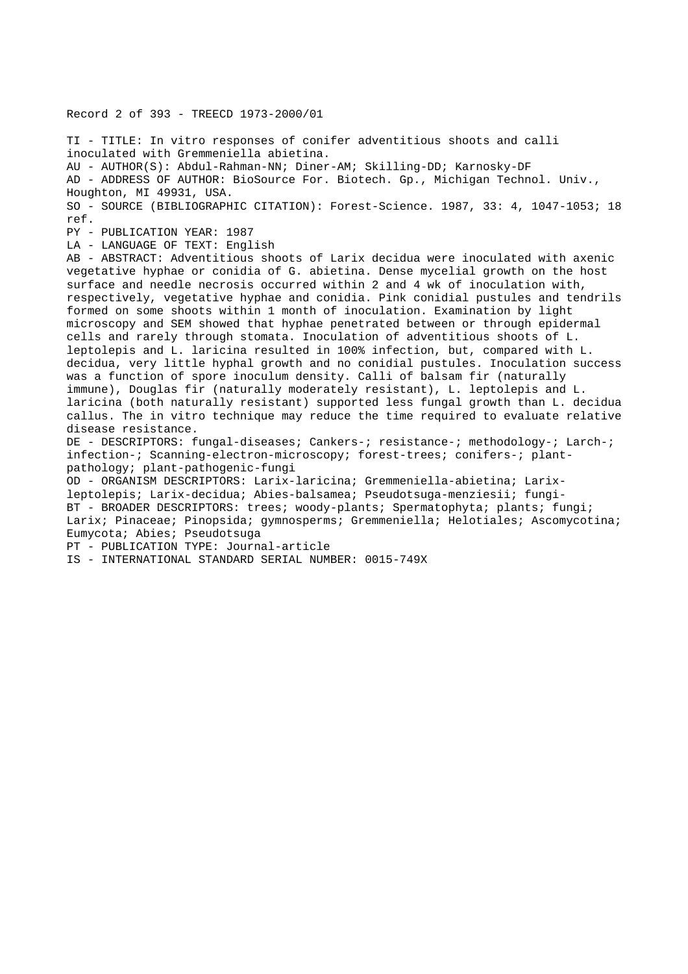Record 2 of 393 - TREECD 1973-2000/01

TI - TITLE: In vitro responses of conifer adventitious shoots and calli inoculated with Gremmeniella abietina. AU - AUTHOR(S): Abdul-Rahman-NN; Diner-AM; Skilling-DD; Karnosky-DF AD - ADDRESS OF AUTHOR: BioSource For. Biotech. Gp., Michigan Technol. Univ., Houghton, MI 49931, USA. SO - SOURCE (BIBLIOGRAPHIC CITATION): Forest-Science. 1987, 33: 4, 1047-1053; 18 ref. PY - PUBLICATION YEAR: 1987 LA - LANGUAGE OF TEXT: English AB - ABSTRACT: Adventitious shoots of Larix decidua were inoculated with axenic vegetative hyphae or conidia of G. abietina. Dense mycelial growth on the host surface and needle necrosis occurred within 2 and 4 wk of inoculation with, respectively, vegetative hyphae and conidia. Pink conidial pustules and tendrils formed on some shoots within 1 month of inoculation. Examination by light microscopy and SEM showed that hyphae penetrated between or through epidermal cells and rarely through stomata. Inoculation of adventitious shoots of L. leptolepis and L. laricina resulted in 100% infection, but, compared with L. decidua, very little hyphal growth and no conidial pustules. Inoculation success was a function of spore inoculum density. Calli of balsam fir (naturally immune), Douglas fir (naturally moderately resistant), L. leptolepis and L. laricina (both naturally resistant) supported less fungal growth than L. decidua callus. The in vitro technique may reduce the time required to evaluate relative disease resistance. DE - DESCRIPTORS: fungal-diseases; Cankers-; resistance-; methodology-; Larch-; infection-; Scanning-electron-microscopy; forest-trees; conifers-; plantpathology; plant-pathogenic-fungi OD - ORGANISM DESCRIPTORS: Larix-laricina; Gremmeniella-abietina; Larixleptolepis; Larix-decidua; Abies-balsamea; Pseudotsuga-menziesii; fungi-BT - BROADER DESCRIPTORS: trees; woody-plants; Spermatophyta; plants; fungi;

Larix; Pinaceae; Pinopsida; gymnosperms; Gremmeniella; Helotiales; Ascomycotina; Eumycota; Abies; Pseudotsuga

PT - PUBLICATION TYPE: Journal-article

IS - INTERNATIONAL STANDARD SERIAL NUMBER: 0015-749X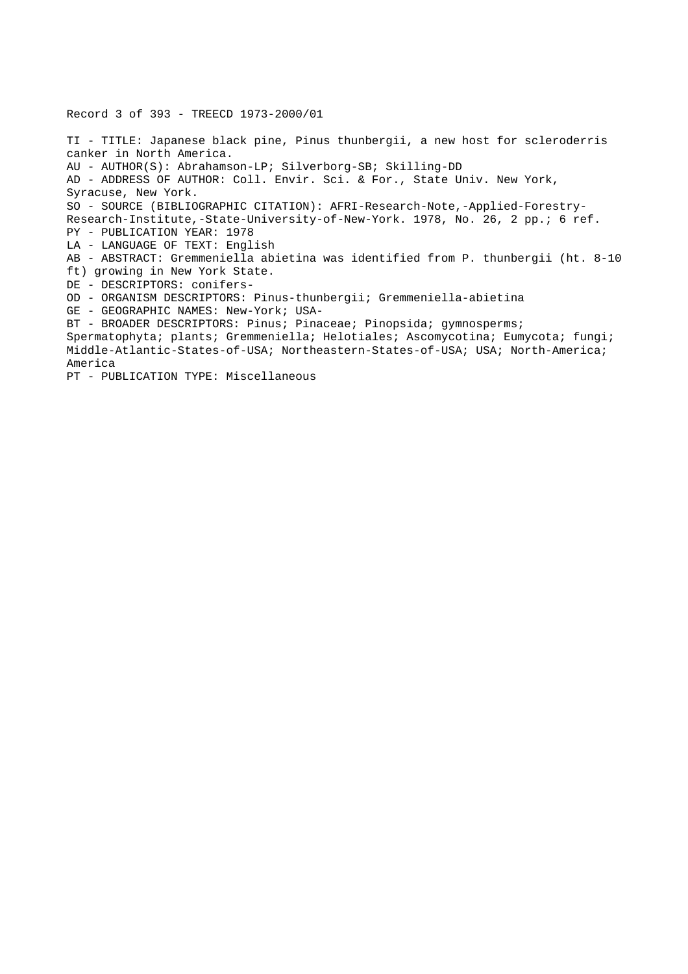# Record 3 of 393 - TREECD 1973-2000/01

TI - TITLE: Japanese black pine, Pinus thunbergii, a new host for scleroderris canker in North America. AU - AUTHOR(S): Abrahamson-LP; Silverborg-SB; Skilling-DD AD - ADDRESS OF AUTHOR: Coll. Envir. Sci. & For., State Univ. New York, Syracuse, New York. SO - SOURCE (BIBLIOGRAPHIC CITATION): AFRI-Research-Note,-Applied-Forestry-Research-Institute,-State-University-of-New-York. 1978, No. 26, 2 pp.; 6 ref. PY - PUBLICATION YEAR: 1978 LA - LANGUAGE OF TEXT: English AB - ABSTRACT: Gremmeniella abietina was identified from P. thunbergii (ht. 8-10 ft) growing in New York State. DE - DESCRIPTORS: conifers-OD - ORGANISM DESCRIPTORS: Pinus-thunbergii; Gremmeniella-abietina GE - GEOGRAPHIC NAMES: New-York; USA-BT - BROADER DESCRIPTORS: Pinus; Pinaceae; Pinopsida; gymnosperms; Spermatophyta; plants; Gremmeniella; Helotiales; Ascomycotina; Eumycota; fungi; Middle-Atlantic-States-of-USA; Northeastern-States-of-USA; USA; North-America; America PT - PUBLICATION TYPE: Miscellaneous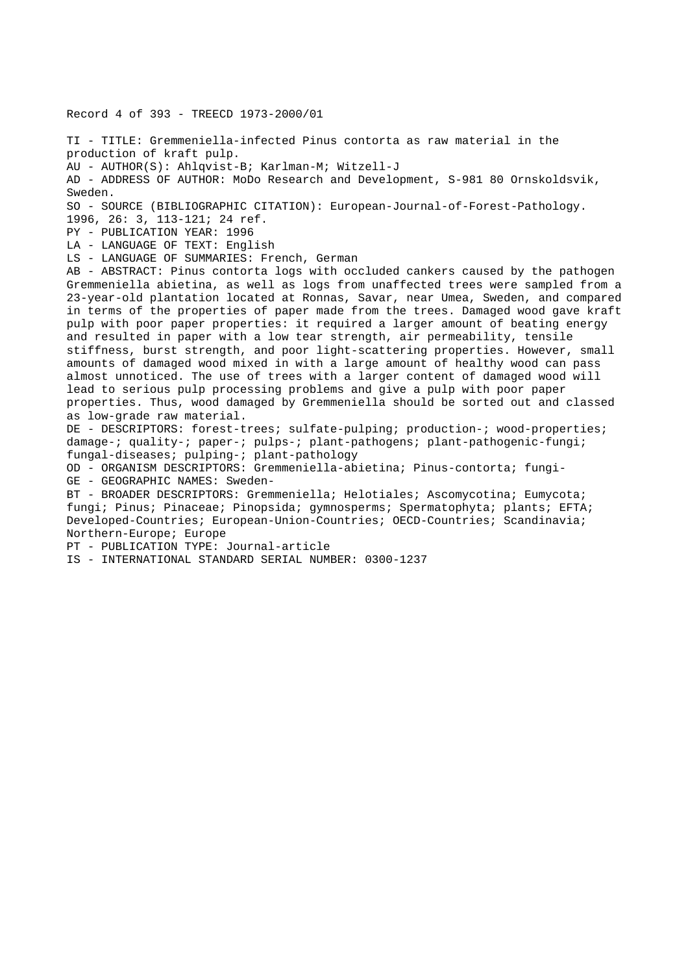Record 4 of 393 - TREECD 1973-2000/01

TI - TITLE: Gremmeniella-infected Pinus contorta as raw material in the production of kraft pulp. AU - AUTHOR(S): Ahlqvist-B; Karlman-M; Witzell-J AD - ADDRESS OF AUTHOR: MoDo Research and Development, S-981 80 Ornskoldsvik, Sweden. SO - SOURCE (BIBLIOGRAPHIC CITATION): European-Journal-of-Forest-Pathology. 1996, 26: 3, 113-121; 24 ref. PY - PUBLICATION YEAR: 1996 LA - LANGUAGE OF TEXT: English LS - LANGUAGE OF SUMMARIES: French, German AB - ABSTRACT: Pinus contorta logs with occluded cankers caused by the pathogen Gremmeniella abietina, as well as logs from unaffected trees were sampled from a 23-year-old plantation located at Ronnas, Savar, near Umea, Sweden, and compared in terms of the properties of paper made from the trees. Damaged wood gave kraft pulp with poor paper properties: it required a larger amount of beating energy and resulted in paper with a low tear strength, air permeability, tensile stiffness, burst strength, and poor light-scattering properties. However, small amounts of damaged wood mixed in with a large amount of healthy wood can pass almost unnoticed. The use of trees with a larger content of damaged wood will lead to serious pulp processing problems and give a pulp with poor paper properties. Thus, wood damaged by Gremmeniella should be sorted out and classed as low-grade raw material. DE - DESCRIPTORS: forest-trees; sulfate-pulping; production-; wood-properties; damage-; quality-; paper-; pulps-; plant-pathogens; plant-pathogenic-fungi; fungal-diseases; pulping-; plant-pathology OD - ORGANISM DESCRIPTORS: Gremmeniella-abietina; Pinus-contorta; fungi-GE - GEOGRAPHIC NAMES: Sweden-BT - BROADER DESCRIPTORS: Gremmeniella; Helotiales; Ascomycotina; Eumycota; fungi; Pinus; Pinaceae; Pinopsida; gymnosperms; Spermatophyta; plants; EFTA; Developed-Countries; European-Union-Countries; OECD-Countries; Scandinavia; Northern-Europe; Europe PT - PUBLICATION TYPE: Journal-article IS - INTERNATIONAL STANDARD SERIAL NUMBER: 0300-1237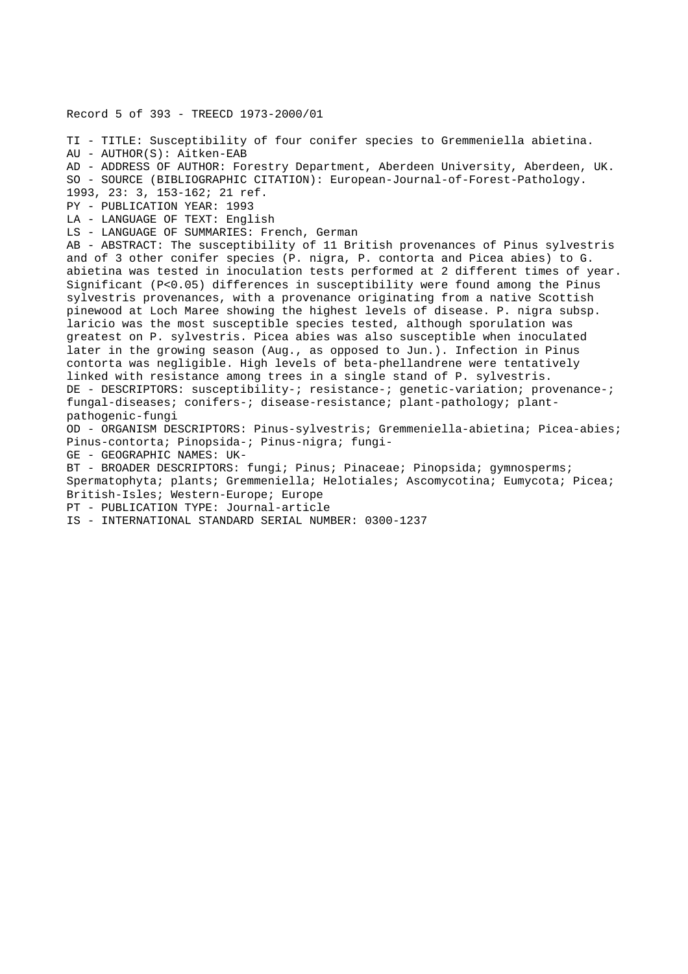Record 5 of 393 - TREECD 1973-2000/01 TI - TITLE: Susceptibility of four conifer species to Gremmeniella abietina. AU - AUTHOR(S): Aitken-EAB AD - ADDRESS OF AUTHOR: Forestry Department, Aberdeen University, Aberdeen, UK. SO - SOURCE (BIBLIOGRAPHIC CITATION): European-Journal-of-Forest-Pathology. 1993, 23: 3, 153-162; 21 ref. PY - PUBLICATION YEAR: 1993 LA - LANGUAGE OF TEXT: English LS - LANGUAGE OF SUMMARIES: French, German AB - ABSTRACT: The susceptibility of 11 British provenances of Pinus sylvestris and of 3 other conifer species (P. nigra, P. contorta and Picea abies) to G. abietina was tested in inoculation tests performed at 2 different times of year. Significant (P<0.05) differences in susceptibility were found among the Pinus sylvestris provenances, with a provenance originating from a native Scottish pinewood at Loch Maree showing the highest levels of disease. P. nigra subsp. laricio was the most susceptible species tested, although sporulation was greatest on P. sylvestris. Picea abies was also susceptible when inoculated later in the growing season (Aug., as opposed to Jun.). Infection in Pinus contorta was negligible. High levels of beta-phellandrene were tentatively linked with resistance among trees in a single stand of P. sylvestris. DE - DESCRIPTORS: susceptibility-; resistance-; genetic-variation; provenance-; fungal-diseases; conifers-; disease-resistance; plant-pathology; plantpathogenic-fungi OD - ORGANISM DESCRIPTORS: Pinus-sylvestris; Gremmeniella-abietina; Picea-abies; Pinus-contorta; Pinopsida-; Pinus-nigra; fungi-GE - GEOGRAPHIC NAMES: UK-BT - BROADER DESCRIPTORS: fungi; Pinus; Pinaceae; Pinopsida; gymnosperms; Spermatophyta; plants; Gremmeniella; Helotiales; Ascomycotina; Eumycota; Picea; British-Isles; Western-Europe; Europe

PT - PUBLICATION TYPE: Journal-article

IS - INTERNATIONAL STANDARD SERIAL NUMBER: 0300-1237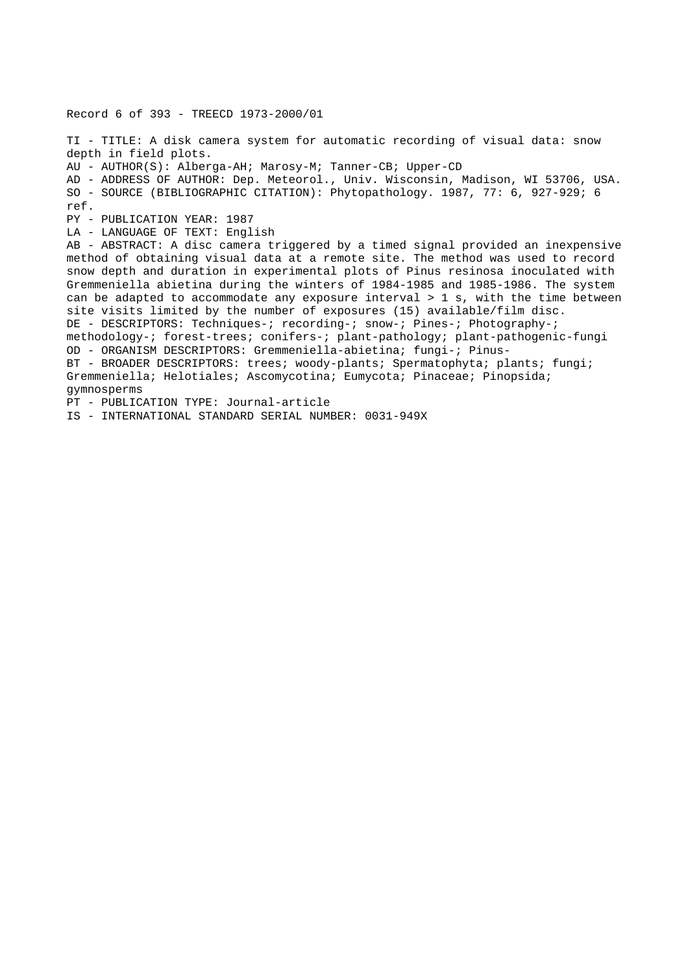```
TI - TITLE: A disk camera system for automatic recording of visual data: snow
depth in field plots.
AU - AUTHOR(S): Alberga-AH; Marosy-M; Tanner-CB; Upper-CD
AD - ADDRESS OF AUTHOR: Dep. Meteorol., Univ. Wisconsin, Madison, WI 53706, USA.
SO - SOURCE (BIBLIOGRAPHIC CITATION): Phytopathology. 1987, 77: 6, 927-929; 6
ref.
PY - PUBLICATION YEAR: 1987
LA - LANGUAGE OF TEXT: English
AB - ABSTRACT: A disc camera triggered by a timed signal provided an inexpensive
method of obtaining visual data at a remote site. The method was used to record
snow depth and duration in experimental plots of Pinus resinosa inoculated with
Gremmeniella abietina during the winters of 1984-1985 and 1985-1986. The system
can be adapted to accommodate any exposure interval > 1 s, with the time between
site visits limited by the number of exposures (15) available/film disc.
DE - DESCRIPTORS: Techniques-; recording-; snow-; Pines-; Photography-;
methodology-; forest-trees; conifers-; plant-pathology; plant-pathogenic-fungi
OD - ORGANISM DESCRIPTORS: Gremmeniella-abietina; fungi-; Pinus-
BT - BROADER DESCRIPTORS: trees; woody-plants; Spermatophyta; plants; fungi;
Gremmeniella; Helotiales; Ascomycotina; Eumycota; Pinaceae; Pinopsida;
gymnosperms
PT - PUBLICATION TYPE: Journal-article
```
IS - INTERNATIONAL STANDARD SERIAL NUMBER: 0031-949X

Record 6 of 393 - TREECD 1973-2000/01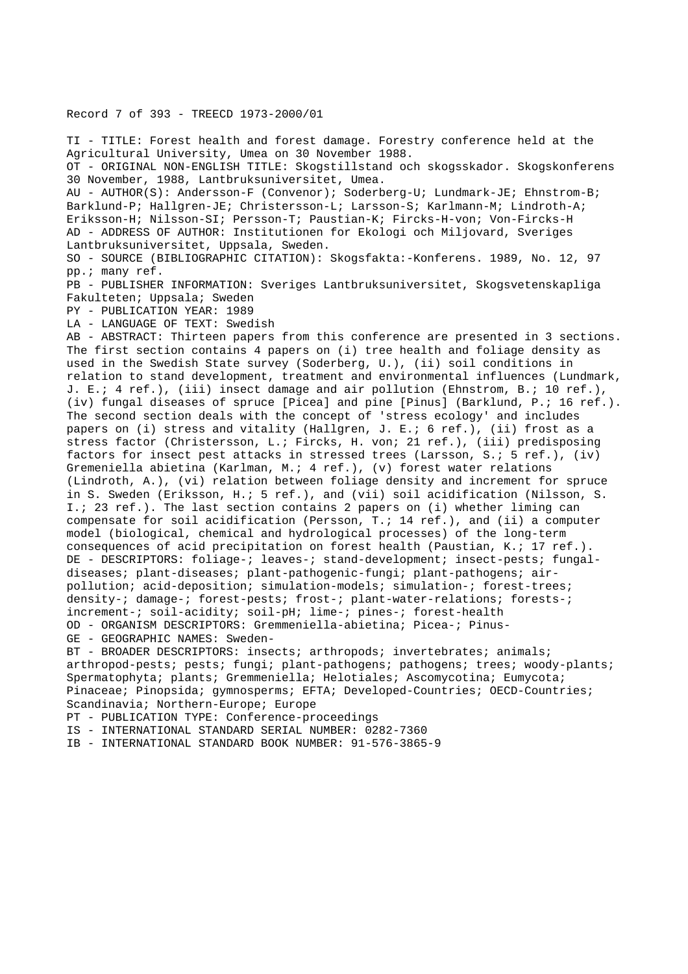#### Record 7 of 393 - TREECD 1973-2000/01

TI - TITLE: Forest health and forest damage. Forestry conference held at the Agricultural University, Umea on 30 November 1988. OT - ORIGINAL NON-ENGLISH TITLE: Skogstillstand och skogsskador. Skogskonferens 30 November, 1988, Lantbruksuniversitet, Umea. AU - AUTHOR(S): Andersson-F (Convenor); Soderberg-U; Lundmark-JE; Ehnstrom-B; Barklund-P; Hallgren-JE; Christersson-L; Larsson-S; Karlmann-M; Lindroth-A; Eriksson-H; Nilsson-SI; Persson-T; Paustian-K; Fircks-H-von; Von-Fircks-H AD - ADDRESS OF AUTHOR: Institutionen for Ekologi och Miljovard, Sveriges Lantbruksuniversitet, Uppsala, Sweden. SO - SOURCE (BIBLIOGRAPHIC CITATION): Skogsfakta:-Konferens. 1989, No. 12, 97 pp.; many ref. PB - PUBLISHER INFORMATION: Sveriges Lantbruksuniversitet, Skogsvetenskapliga Fakulteten; Uppsala; Sweden PY - PUBLICATION YEAR: 1989 LA - LANGUAGE OF TEXT: Swedish AB - ABSTRACT: Thirteen papers from this conference are presented in 3 sections. The first section contains 4 papers on (i) tree health and foliage density as used in the Swedish State survey (Soderberg, U.), (ii) soil conditions in relation to stand development, treatment and environmental influences (Lundmark, J. E.; 4 ref.), (iii) insect damage and air pollution (Ehnstrom, B.; 10 ref.), (iv) fungal diseases of spruce [Picea] and pine [Pinus] (Barklund, P.; 16 ref.). The second section deals with the concept of 'stress ecology' and includes papers on (i) stress and vitality (Hallgren, J. E.; 6 ref.), (ii) frost as a stress factor (Christersson, L.; Fircks, H. von; 21 ref.), (iii) predisposing factors for insect pest attacks in stressed trees (Larsson, S.; 5 ref.), (iv) Gremeniella abietina (Karlman, M.; 4 ref.), (v) forest water relations (Lindroth, A.), (vi) relation between foliage density and increment for spruce in S. Sweden (Eriksson, H.; 5 ref.), and (vii) soil acidification (Nilsson, S. I.; 23 ref.). The last section contains 2 papers on (i) whether liming can compensate for soil acidification (Persson, T.; 14 ref.), and (ii) a computer model (biological, chemical and hydrological processes) of the long-term consequences of acid precipitation on forest health (Paustian, K.; 17 ref.). DE - DESCRIPTORS: foliage-; leaves-; stand-development; insect-pests; fungaldiseases; plant-diseases; plant-pathogenic-fungi; plant-pathogens; airpollution; acid-deposition; simulation-models; simulation-; forest-trees; density-; damage-; forest-pests; frost-; plant-water-relations; forests-; increment-; soil-acidity; soil-pH; lime-; pines-; forest-health OD - ORGANISM DESCRIPTORS: Gremmeniella-abietina; Picea-; Pinus-GE - GEOGRAPHIC NAMES: Sweden-BT - BROADER DESCRIPTORS: insects; arthropods; invertebrates; animals; arthropod-pests; pests; fungi; plant-pathogens; pathogens; trees; woody-plants; Spermatophyta; plants; Gremmeniella; Helotiales; Ascomycotina; Eumycota; Pinaceae; Pinopsida; gymnosperms; EFTA; Developed-Countries; OECD-Countries; Scandinavia; Northern-Europe; Europe PT - PUBLICATION TYPE: Conference-proceedings IS - INTERNATIONAL STANDARD SERIAL NUMBER: 0282-7360

IB - INTERNATIONAL STANDARD BOOK NUMBER: 91-576-3865-9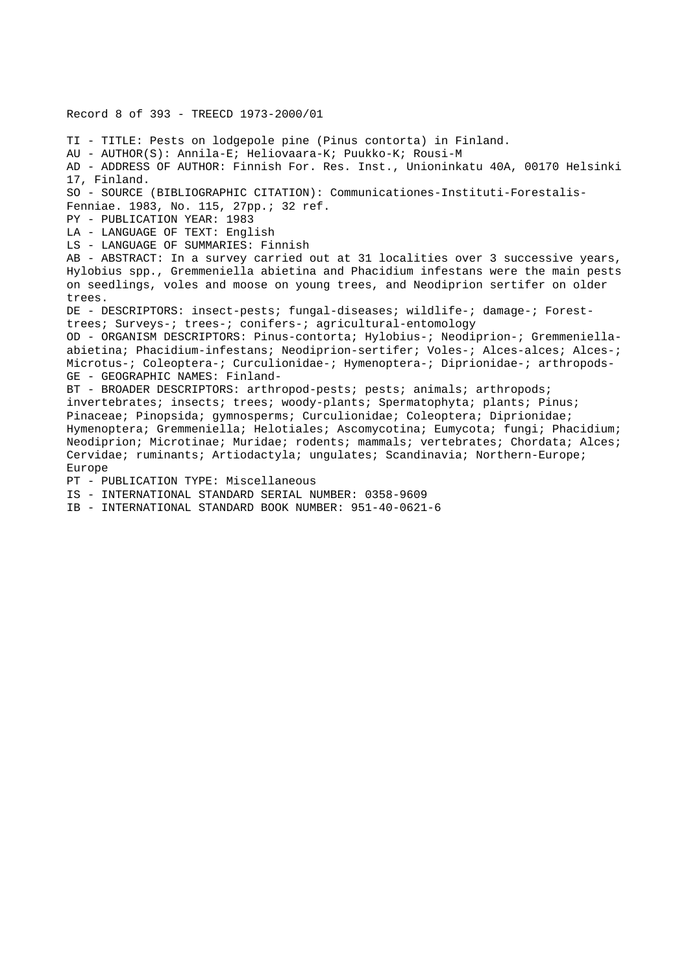Record 8 of 393 - TREECD 1973-2000/01 TI - TITLE: Pests on lodgepole pine (Pinus contorta) in Finland. AU - AUTHOR(S): Annila-E; Heliovaara-K; Puukko-K; Rousi-M AD - ADDRESS OF AUTHOR: Finnish For. Res. Inst., Unioninkatu 40A, 00170 Helsinki 17, Finland. SO - SOURCE (BIBLIOGRAPHIC CITATION): Communicationes-Instituti-Forestalis-Fenniae. 1983, No. 115, 27pp.; 32 ref. PY - PUBLICATION YEAR: 1983 LA - LANGUAGE OF TEXT: English LS - LANGUAGE OF SUMMARIES: Finnish AB - ABSTRACT: In a survey carried out at 31 localities over 3 successive years, Hylobius spp., Gremmeniella abietina and Phacidium infestans were the main pests on seedlings, voles and moose on young trees, and Neodiprion sertifer on older trees. DE - DESCRIPTORS: insect-pests; fungal-diseases; wildlife-; damage-; Foresttrees; Surveys-; trees-; conifers-; agricultural-entomology OD - ORGANISM DESCRIPTORS: Pinus-contorta; Hylobius-; Neodiprion-; Gremmeniellaabietina; Phacidium-infestans; Neodiprion-sertifer; Voles-; Alces-alces; Alces-; Microtus-; Coleoptera-; Curculionidae-; Hymenoptera-; Diprionidae-; arthropods-GE - GEOGRAPHIC NAMES: Finland-BT - BROADER DESCRIPTORS: arthropod-pests; pests; animals; arthropods; invertebrates; insects; trees; woody-plants; Spermatophyta; plants; Pinus; Pinaceae; Pinopsida; gymnosperms; Curculionidae; Coleoptera; Diprionidae; Hymenoptera; Gremmeniella; Helotiales; Ascomycotina; Eumycota; fungi; Phacidium; Neodiprion; Microtinae; Muridae; rodents; mammals; vertebrates; Chordata; Alces; Cervidae; ruminants; Artiodactyla; ungulates; Scandinavia; Northern-Europe; Europe PT - PUBLICATION TYPE: Miscellaneous IS - INTERNATIONAL STANDARD SERIAL NUMBER: 0358-9609

IB - INTERNATIONAL STANDARD BOOK NUMBER: 951-40-0621-6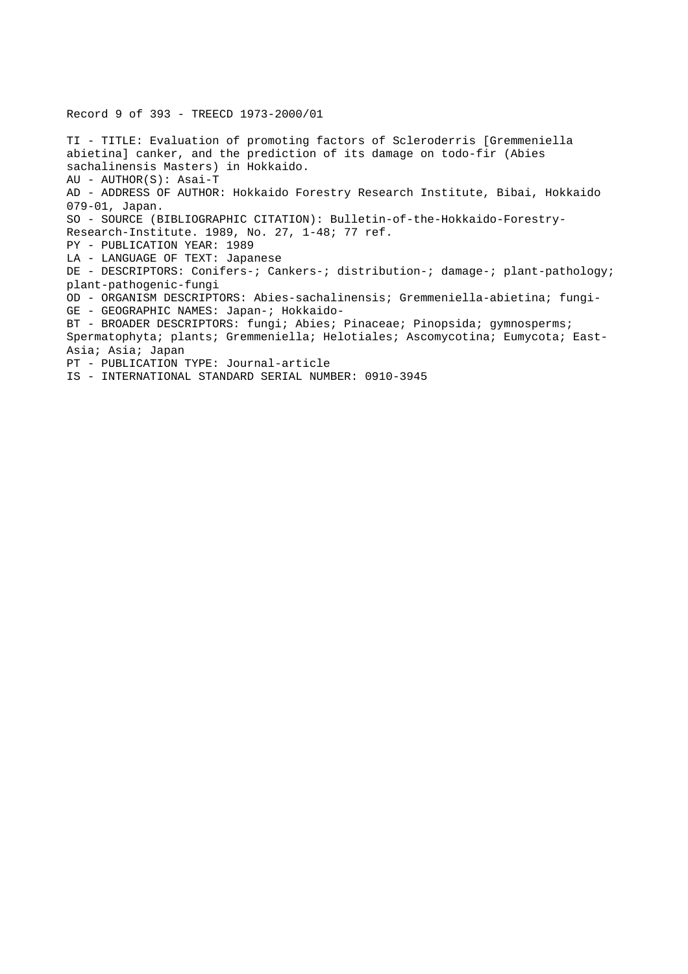Record 9 of 393 - TREECD 1973-2000/01

TI - TITLE: Evaluation of promoting factors of Scleroderris [Gremmeniella abietina] canker, and the prediction of its damage on todo-fir (Abies sachalinensis Masters) in Hokkaido. AU - AUTHOR(S): Asai-T AD - ADDRESS OF AUTHOR: Hokkaido Forestry Research Institute, Bibai, Hokkaido 079-01, Japan. SO - SOURCE (BIBLIOGRAPHIC CITATION): Bulletin-of-the-Hokkaido-Forestry-Research-Institute. 1989, No. 27, 1-48; 77 ref. PY - PUBLICATION YEAR: 1989 LA - LANGUAGE OF TEXT: Japanese DE - DESCRIPTORS: Conifers-; Cankers-; distribution-; damage-; plant-pathology; plant-pathogenic-fungi OD - ORGANISM DESCRIPTORS: Abies-sachalinensis; Gremmeniella-abietina; fungi-GE - GEOGRAPHIC NAMES: Japan-; Hokkaido-BT - BROADER DESCRIPTORS: fungi; Abies; Pinaceae; Pinopsida; gymnosperms; Spermatophyta; plants; Gremmeniella; Helotiales; Ascomycotina; Eumycota; East-Asia; Asia; Japan PT - PUBLICATION TYPE: Journal-article IS - INTERNATIONAL STANDARD SERIAL NUMBER: 0910-3945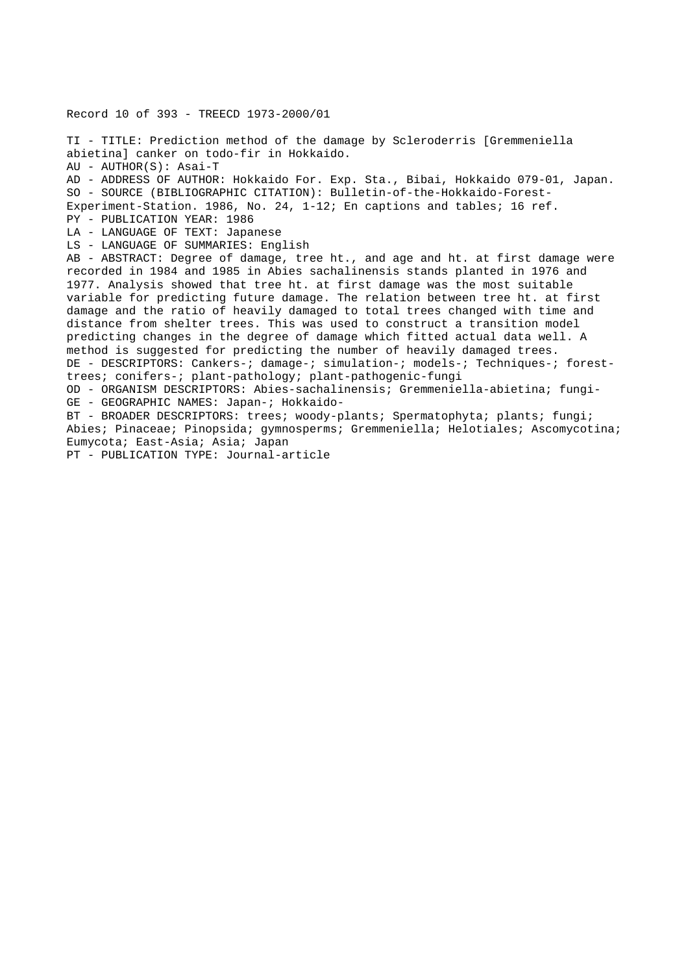Record 10 of 393 - TREECD 1973-2000/01 TI - TITLE: Prediction method of the damage by Scleroderris [Gremmeniella abietina] canker on todo-fir in Hokkaido. AU - AUTHOR(S): Asai-T AD - ADDRESS OF AUTHOR: Hokkaido For. Exp. Sta., Bibai, Hokkaido 079-01, Japan. SO - SOURCE (BIBLIOGRAPHIC CITATION): Bulletin-of-the-Hokkaido-Forest-Experiment-Station. 1986, No. 24, 1-12; En captions and tables; 16 ref. PY - PUBLICATION YEAR: 1986 LA - LANGUAGE OF TEXT: Japanese LS - LANGUAGE OF SUMMARIES: English AB - ABSTRACT: Degree of damage, tree ht., and age and ht. at first damage were recorded in 1984 and 1985 in Abies sachalinensis stands planted in 1976 and 1977. Analysis showed that tree ht. at first damage was the most suitable variable for predicting future damage. The relation between tree ht. at first damage and the ratio of heavily damaged to total trees changed with time and distance from shelter trees. This was used to construct a transition model predicting changes in the degree of damage which fitted actual data well. A method is suggested for predicting the number of heavily damaged trees. DE - DESCRIPTORS: Cankers-; damage-; simulation-; models-; Techniques-; foresttrees; conifers-; plant-pathology; plant-pathogenic-fungi OD - ORGANISM DESCRIPTORS: Abies-sachalinensis; Gremmeniella-abietina; fungi-GE - GEOGRAPHIC NAMES: Japan-; Hokkaido-BT - BROADER DESCRIPTORS: trees; woody-plants; Spermatophyta; plants; fungi; Abies; Pinaceae; Pinopsida; gymnosperms; Gremmeniella; Helotiales; Ascomycotina; Eumycota; East-Asia; Asia; Japan PT - PUBLICATION TYPE: Journal-article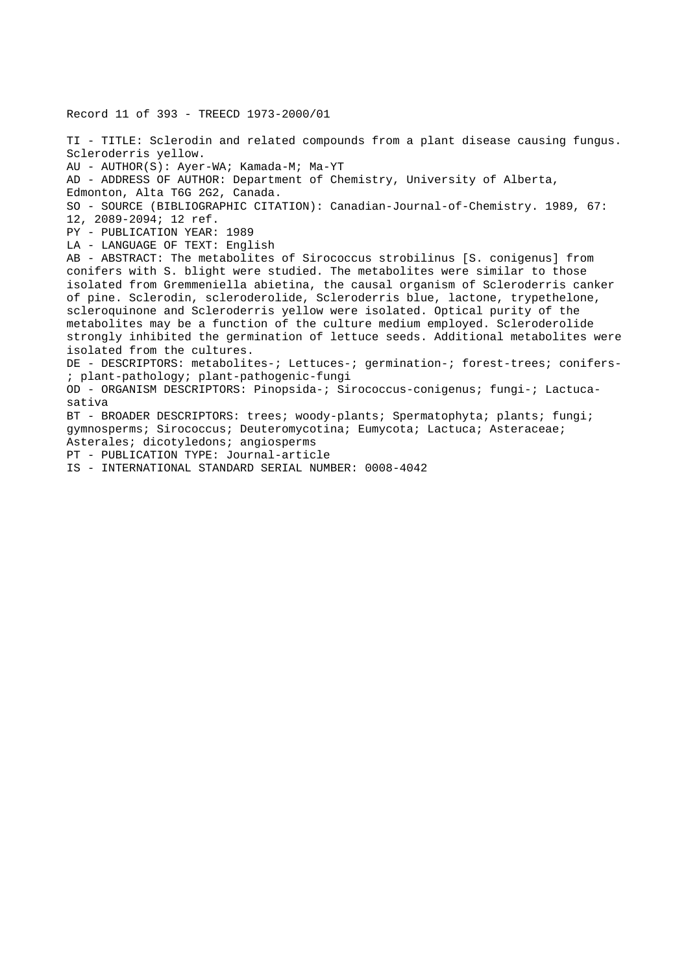TI - TITLE: Sclerodin and related compounds from a plant disease causing fungus. Scleroderris yellow. AU - AUTHOR(S): Ayer-WA; Kamada-M; Ma-YT AD - ADDRESS OF AUTHOR: Department of Chemistry, University of Alberta, Edmonton, Alta T6G 2G2, Canada. SO - SOURCE (BIBLIOGRAPHIC CITATION): Canadian-Journal-of-Chemistry. 1989, 67: 12, 2089-2094; 12 ref. PY - PUBLICATION YEAR: 1989 LA - LANGUAGE OF TEXT: English AB - ABSTRACT: The metabolites of Sirococcus strobilinus [S. conigenus] from conifers with S. blight were studied. The metabolites were similar to those isolated from Gremmeniella abietina, the causal organism of Scleroderris canker of pine. Sclerodin, scleroderolide, Scleroderris blue, lactone, trypethelone, scleroquinone and Scleroderris yellow were isolated. Optical purity of the metabolites may be a function of the culture medium employed. Scleroderolide strongly inhibited the germination of lettuce seeds. Additional metabolites were isolated from the cultures. DE - DESCRIPTORS: metabolites-; Lettuces-; germination-; forest-trees; conifers- ; plant-pathology; plant-pathogenic-fungi OD - ORGANISM DESCRIPTORS: Pinopsida-; Sirococcus-conigenus; fungi-; Lactucasativa BT - BROADER DESCRIPTORS: trees; woody-plants; Spermatophyta; plants; fungi; gymnosperms; Sirococcus; Deuteromycotina; Eumycota; Lactuca; Asteraceae; Asterales; dicotyledons; angiosperms PT - PUBLICATION TYPE: Journal-article IS - INTERNATIONAL STANDARD SERIAL NUMBER: 0008-4042

Record 11 of 393 - TREECD 1973-2000/01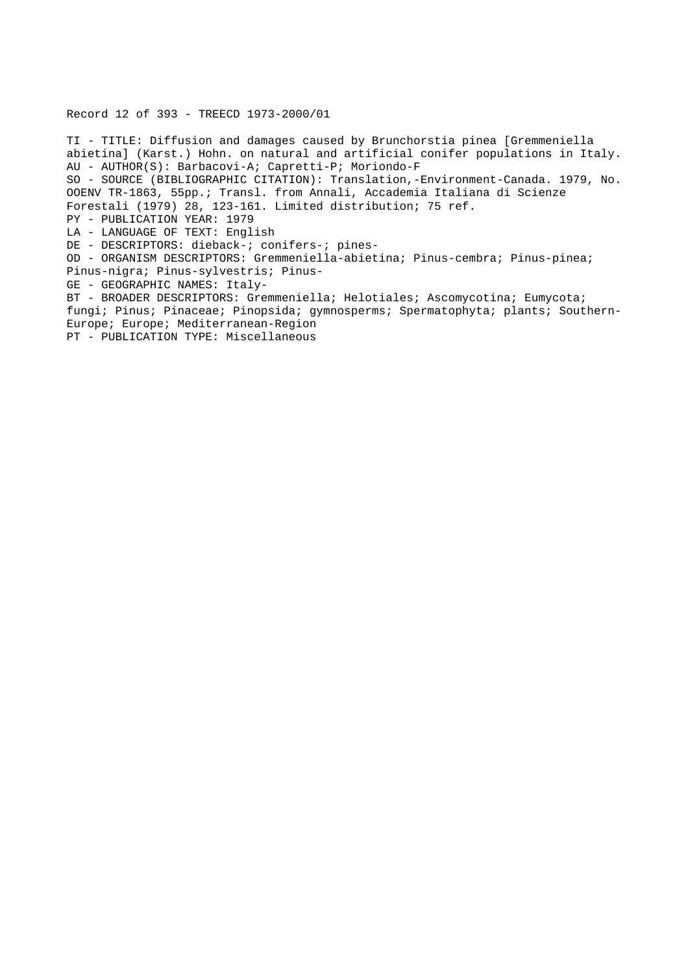## Record 12 of 393 - TREECD 1973-2000/01

TI - TITLE: Diffusion and damages caused by Brunchorstia pinea [Gremmeniella abietina] (Karst.) Hohn. on natural and artificial conifer populations in Italy. AU - AUTHOR(S): Barbacovi-A; Capretti-P; Moriondo-F SO - SOURCE (BIBLIOGRAPHIC CITATION): Translation,-Environment-Canada. 1979, No. OOENV TR-1863, 55pp.; Transl. from Annali, Accademia Italiana di Scienze Forestali (1979) 28, 123-161. Limited distribution; 75 ref. PY - PUBLICATION YEAR: 1979 LA - LANGUAGE OF TEXT: English DE - DESCRIPTORS: dieback-; conifers-; pines-OD - ORGANISM DESCRIPTORS: Gremmeniella-abietina; Pinus-cembra; Pinus-pinea; Pinus-nigra; Pinus-sylvestris; Pinus-GE - GEOGRAPHIC NAMES: Italy-BT - BROADER DESCRIPTORS: Gremmeniella; Helotiales; Ascomycotina; Eumycota; fungi; Pinus; Pinaceae; Pinopsida; gymnosperms; Spermatophyta; plants; Southern-Europe; Europe; Mediterranean-Region PT - PUBLICATION TYPE: Miscellaneous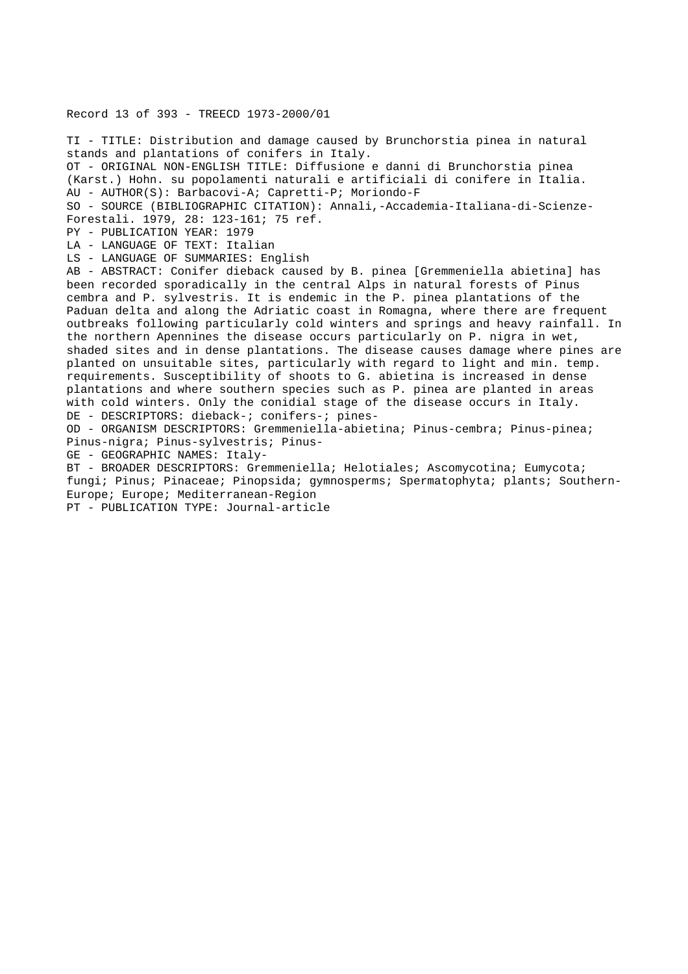### Record 13 of 393 - TREECD 1973-2000/01

TI - TITLE: Distribution and damage caused by Brunchorstia pinea in natural stands and plantations of conifers in Italy. OT - ORIGINAL NON-ENGLISH TITLE: Diffusione e danni di Brunchorstia pinea (Karst.) Hohn. su popolamenti naturali e artificiali di conifere in Italia. AU - AUTHOR(S): Barbacovi-A; Capretti-P; Moriondo-F SO - SOURCE (BIBLIOGRAPHIC CITATION): Annali,-Accademia-Italiana-di-Scienze-Forestali. 1979, 28: 123-161; 75 ref. PY - PUBLICATION YEAR: 1979 LA - LANGUAGE OF TEXT: Italian LS - LANGUAGE OF SUMMARIES: English AB - ABSTRACT: Conifer dieback caused by B. pinea [Gremmeniella abietina] has been recorded sporadically in the central Alps in natural forests of Pinus cembra and P. sylvestris. It is endemic in the P. pinea plantations of the Paduan delta and along the Adriatic coast in Romagna, where there are frequent outbreaks following particularly cold winters and springs and heavy rainfall. In the northern Apennines the disease occurs particularly on P. nigra in wet, shaded sites and in dense plantations. The disease causes damage where pines are planted on unsuitable sites, particularly with regard to light and min. temp. requirements. Susceptibility of shoots to G. abietina is increased in dense plantations and where southern species such as P. pinea are planted in areas with cold winters. Only the conidial stage of the disease occurs in Italy. DE - DESCRIPTORS: dieback-; conifers-; pines-OD - ORGANISM DESCRIPTORS: Gremmeniella-abietina; Pinus-cembra; Pinus-pinea; Pinus-nigra; Pinus-sylvestris; Pinus-GE - GEOGRAPHIC NAMES: Italy-BT - BROADER DESCRIPTORS: Gremmeniella; Helotiales; Ascomycotina; Eumycota; fungi; Pinus; Pinaceae; Pinopsida; gymnosperms; Spermatophyta; plants; Southern-

Europe; Europe; Mediterranean-Region

PT - PUBLICATION TYPE: Journal-article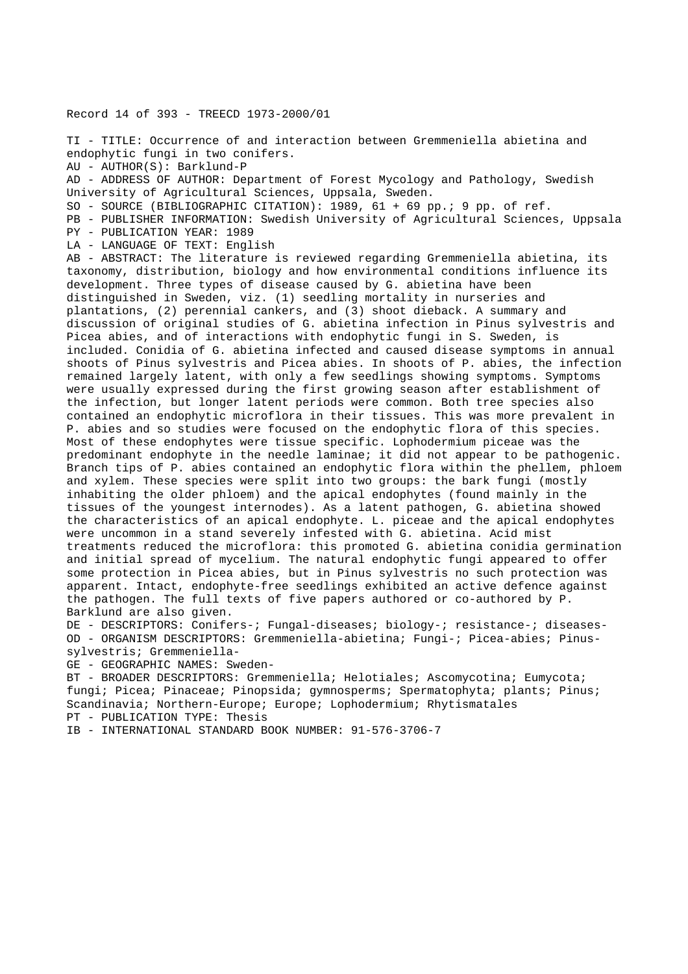Record 14 of 393 - TREECD 1973-2000/01

TI - TITLE: Occurrence of and interaction between Gremmeniella abietina and endophytic fungi in two conifers.

AU - AUTHOR(S): Barklund-P

AD - ADDRESS OF AUTHOR: Department of Forest Mycology and Pathology, Swedish University of Agricultural Sciences, Uppsala, Sweden.

SO - SOURCE (BIBLIOGRAPHIC CITATION): 1989, 61 + 69 pp.; 9 pp. of ref.

PB - PUBLISHER INFORMATION: Swedish University of Agricultural Sciences, Uppsala PY - PUBLICATION YEAR: 1989

LA - LANGUAGE OF TEXT: English

AB - ABSTRACT: The literature is reviewed regarding Gremmeniella abietina, its taxonomy, distribution, biology and how environmental conditions influence its development. Three types of disease caused by G. abietina have been distinguished in Sweden, viz. (1) seedling mortality in nurseries and plantations, (2) perennial cankers, and (3) shoot dieback. A summary and discussion of original studies of G. abietina infection in Pinus sylvestris and Picea abies, and of interactions with endophytic fungi in S. Sweden, is included. Conidia of G. abietina infected and caused disease symptoms in annual shoots of Pinus sylvestris and Picea abies. In shoots of P. abies, the infection remained largely latent, with only a few seedlings showing symptoms. Symptoms were usually expressed during the first growing season after establishment of the infection, but longer latent periods were common. Both tree species also contained an endophytic microflora in their tissues. This was more prevalent in P. abies and so studies were focused on the endophytic flora of this species. Most of these endophytes were tissue specific. Lophodermium piceae was the predominant endophyte in the needle laminae; it did not appear to be pathogenic. Branch tips of P. abies contained an endophytic flora within the phellem, phloem and xylem. These species were split into two groups: the bark fungi (mostly inhabiting the older phloem) and the apical endophytes (found mainly in the tissues of the youngest internodes). As a latent pathogen, G. abietina showed the characteristics of an apical endophyte. L. piceae and the apical endophytes were uncommon in a stand severely infested with G. abietina. Acid mist treatments reduced the microflora: this promoted G. abietina conidia germination and initial spread of mycelium. The natural endophytic fungi appeared to offer some protection in Picea abies, but in Pinus sylvestris no such protection was apparent. Intact, endophyte-free seedlings exhibited an active defence against the pathogen. The full texts of five papers authored or co-authored by P. Barklund are also given.

DE - DESCRIPTORS: Conifers-; Fungal-diseases; biology-; resistance-; diseases-OD - ORGANISM DESCRIPTORS: Gremmeniella-abietina; Fungi-; Picea-abies; Pinus-

sylvestris; Gremmeniella-

GE - GEOGRAPHIC NAMES: Sweden-

BT - BROADER DESCRIPTORS: Gremmeniella; Helotiales; Ascomycotina; Eumycota; fungi; Picea; Pinaceae; Pinopsida; gymnosperms; Spermatophyta; plants; Pinus; Scandinavia; Northern-Europe; Europe; Lophodermium; Rhytismatales PT - PUBLICATION TYPE: Thesis

IB - INTERNATIONAL STANDARD BOOK NUMBER: 91-576-3706-7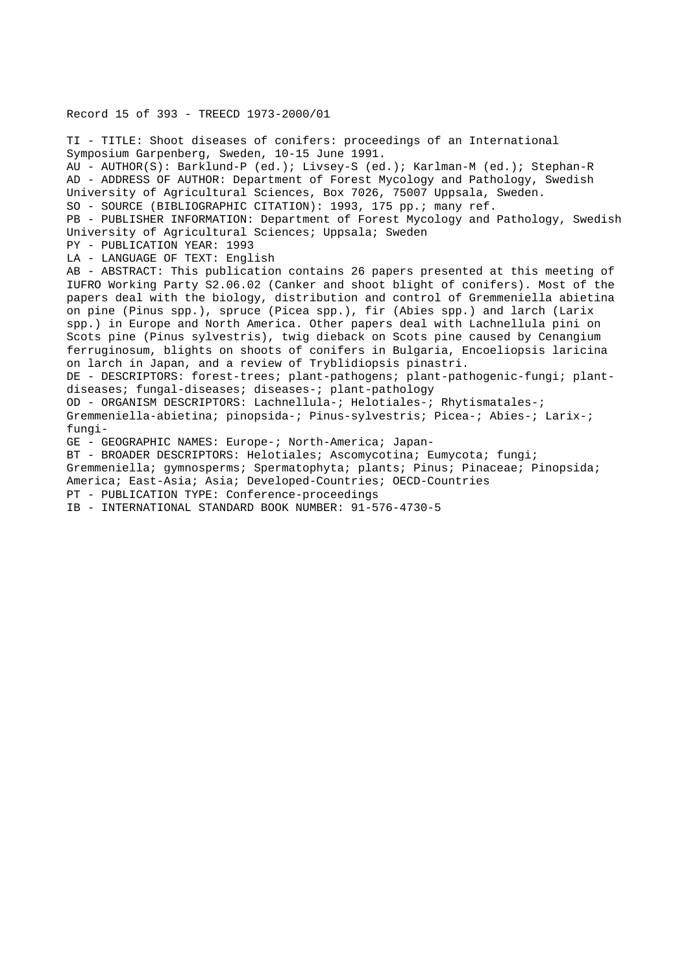Record 15 of 393 - TREECD 1973-2000/01

TI - TITLE: Shoot diseases of conifers: proceedings of an International Symposium Garpenberg, Sweden, 10-15 June 1991. AU - AUTHOR(S): Barklund-P (ed.); Livsey-S (ed.); Karlman-M (ed.); Stephan-R AD - ADDRESS OF AUTHOR: Department of Forest Mycology and Pathology, Swedish University of Agricultural Sciences, Box 7026, 75007 Uppsala, Sweden. SO - SOURCE (BIBLIOGRAPHIC CITATION): 1993, 175 pp.; many ref. PB - PUBLISHER INFORMATION: Department of Forest Mycology and Pathology, Swedish University of Agricultural Sciences; Uppsala; Sweden PY - PUBLICATION YEAR: 1993 LA - LANGUAGE OF TEXT: English AB - ABSTRACT: This publication contains 26 papers presented at this meeting of IUFRO Working Party S2.06.02 (Canker and shoot blight of conifers). Most of the papers deal with the biology, distribution and control of Gremmeniella abietina on pine (Pinus spp.), spruce (Picea spp.), fir (Abies spp.) and larch (Larix spp.) in Europe and North America. Other papers deal with Lachnellula pini on Scots pine (Pinus sylvestris), twig dieback on Scots pine caused by Cenangium ferruginosum, blights on shoots of conifers in Bulgaria, Encoeliopsis laricina on larch in Japan, and a review of Tryblidiopsis pinastri. DE - DESCRIPTORS: forest-trees; plant-pathogens; plant-pathogenic-fungi; plantdiseases; fungal-diseases; diseases-; plant-pathology OD - ORGANISM DESCRIPTORS: Lachnellula-; Helotiales-; Rhytismatales-; Gremmeniella-abietina; pinopsida-; Pinus-sylvestris; Picea-; Abies-; Larix-; fungi-GE - GEOGRAPHIC NAMES: Europe-; North-America; Japan-BT - BROADER DESCRIPTORS: Helotiales; Ascomycotina; Eumycota; fungi; Gremmeniella; gymnosperms; Spermatophyta; plants; Pinus; Pinaceae; Pinopsida; America; East-Asia; Asia; Developed-Countries; OECD-Countries PT - PUBLICATION TYPE: Conference-proceedings

IB - INTERNATIONAL STANDARD BOOK NUMBER: 91-576-4730-5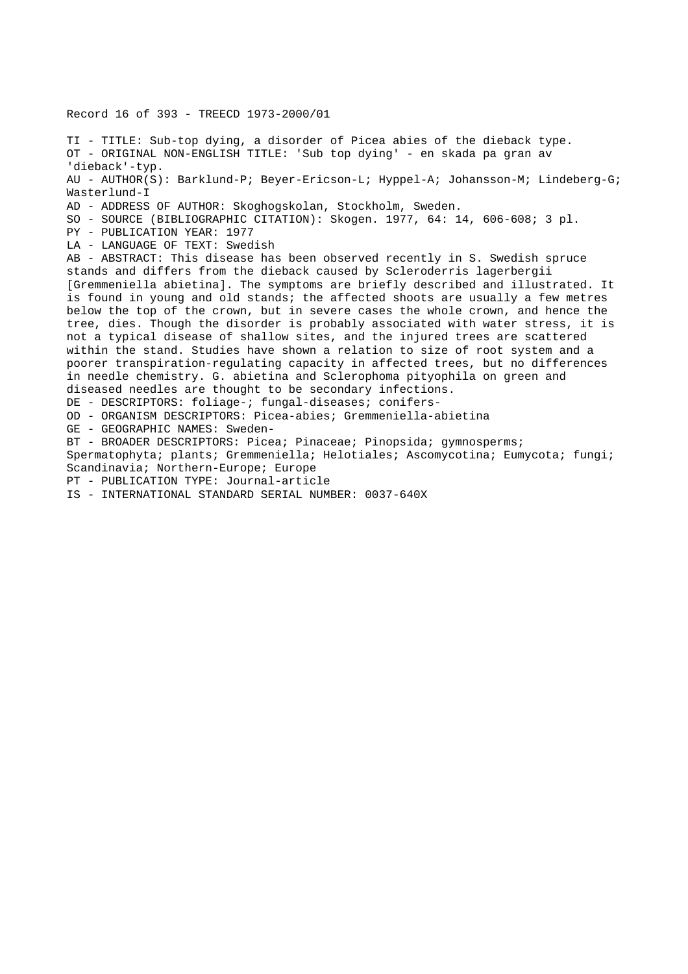Record 16 of 393 - TREECD 1973-2000/01 TI - TITLE: Sub-top dying, a disorder of Picea abies of the dieback type. OT - ORIGINAL NON-ENGLISH TITLE: 'Sub top dying' - en skada pa gran av 'dieback'-typ. AU - AUTHOR(S): Barklund-P; Beyer-Ericson-L; Hyppel-A; Johansson-M; Lindeberg-G; Wasterlund-I AD - ADDRESS OF AUTHOR: Skoghogskolan, Stockholm, Sweden. SO - SOURCE (BIBLIOGRAPHIC CITATION): Skogen. 1977, 64: 14, 606-608; 3 pl. PY - PUBLICATION YEAR: 1977 LA - LANGUAGE OF TEXT: Swedish AB - ABSTRACT: This disease has been observed recently in S. Swedish spruce stands and differs from the dieback caused by Scleroderris lagerbergii [Gremmeniella abietina]. The symptoms are briefly described and illustrated. It is found in young and old stands; the affected shoots are usually a few metres below the top of the crown, but in severe cases the whole crown, and hence the tree, dies. Though the disorder is probably associated with water stress, it is not a typical disease of shallow sites, and the injured trees are scattered within the stand. Studies have shown a relation to size of root system and a poorer transpiration-regulating capacity in affected trees, but no differences in needle chemistry. G. abietina and Sclerophoma pityophila on green and diseased needles are thought to be secondary infections. DE - DESCRIPTORS: foliage-; fungal-diseases; conifers-OD - ORGANISM DESCRIPTORS: Picea-abies; Gremmeniella-abietina GE - GEOGRAPHIC NAMES: Sweden-BT - BROADER DESCRIPTORS: Picea; Pinaceae; Pinopsida; gymnosperms; Spermatophyta; plants; Gremmeniella; Helotiales; Ascomycotina; Eumycota; fungi; Scandinavia; Northern-Europe; Europe PT - PUBLICATION TYPE: Journal-article IS - INTERNATIONAL STANDARD SERIAL NUMBER: 0037-640X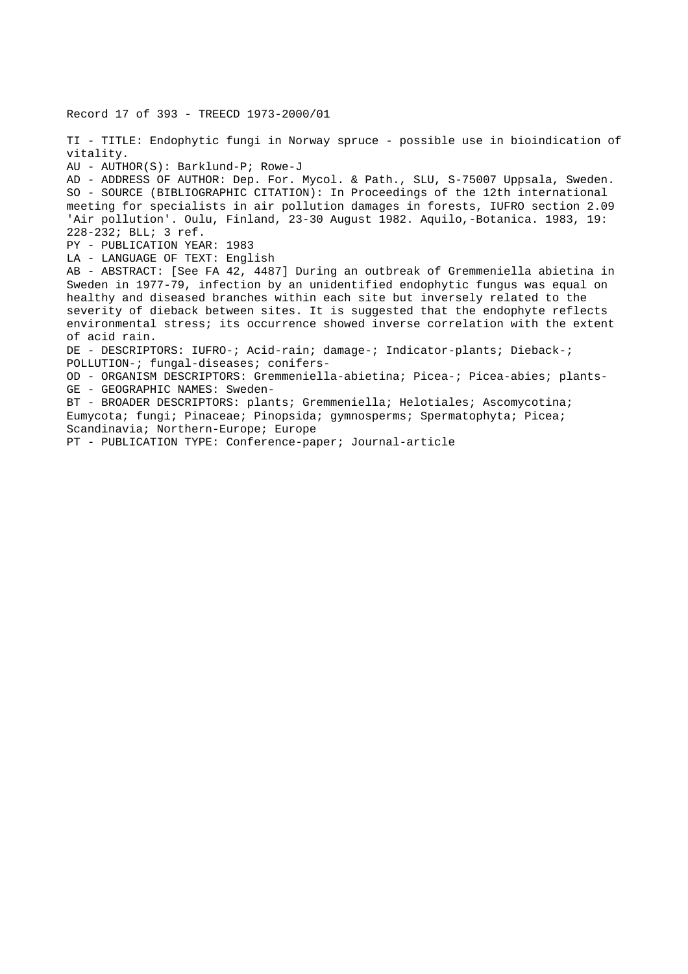Record 17 of 393 - TREECD 1973-2000/01 TI - TITLE: Endophytic fungi in Norway spruce - possible use in bioindication of vitality. AU - AUTHOR(S): Barklund-P; Rowe-J AD - ADDRESS OF AUTHOR: Dep. For. Mycol. & Path., SLU, S-75007 Uppsala, Sweden. SO - SOURCE (BIBLIOGRAPHIC CITATION): In Proceedings of the 12th international meeting for specialists in air pollution damages in forests, IUFRO section 2.09 'Air pollution'. Oulu, Finland, 23-30 August 1982. Aquilo,-Botanica. 1983, 19: 228-232; BLL; 3 ref. PY - PUBLICATION YEAR: 1983 LA - LANGUAGE OF TEXT: English AB - ABSTRACT: [See FA 42, 4487] During an outbreak of Gremmeniella abietina in Sweden in 1977-79, infection by an unidentified endophytic fungus was equal on healthy and diseased branches within each site but inversely related to the severity of dieback between sites. It is suggested that the endophyte reflects environmental stress; its occurrence showed inverse correlation with the extent of acid rain. DE - DESCRIPTORS: IUFRO-; Acid-rain; damage-; Indicator-plants; Dieback-; POLLUTION-; fungal-diseases; conifers-OD - ORGANISM DESCRIPTORS: Gremmeniella-abietina; Picea-; Picea-abies; plants-GE - GEOGRAPHIC NAMES: Sweden-BT - BROADER DESCRIPTORS: plants; Gremmeniella; Helotiales; Ascomycotina; Eumycota; fungi; Pinaceae; Pinopsida; gymnosperms; Spermatophyta; Picea; Scandinavia; Northern-Europe; Europe PT - PUBLICATION TYPE: Conference-paper; Journal-article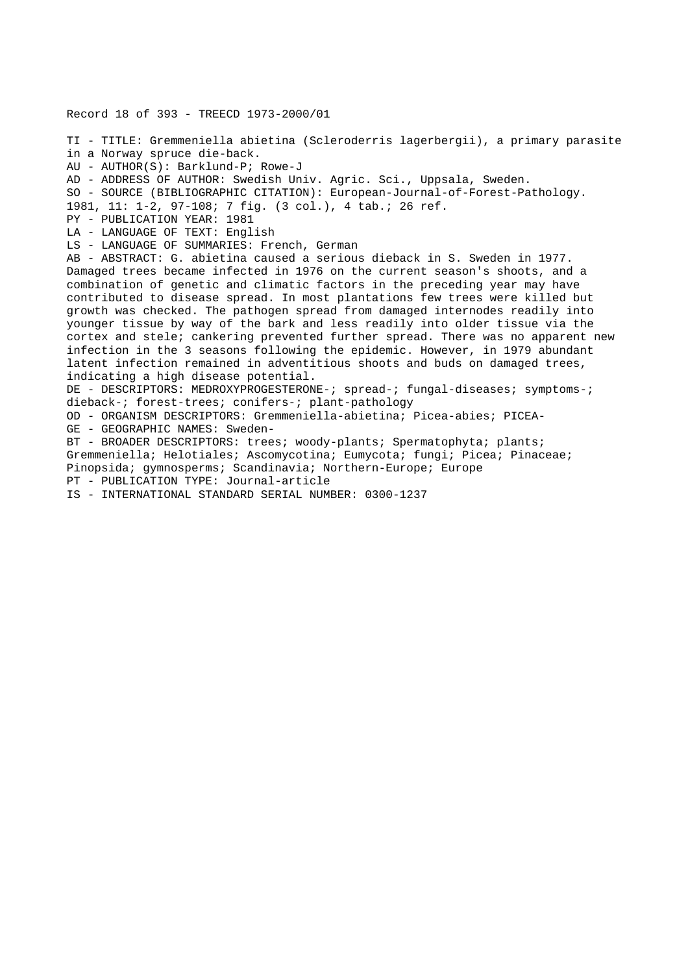Record 18 of 393 - TREECD 1973-2000/01 TI - TITLE: Gremmeniella abietina (Scleroderris lagerbergii), a primary parasite in a Norway spruce die-back. AU - AUTHOR(S): Barklund-P; Rowe-J AD - ADDRESS OF AUTHOR: Swedish Univ. Agric. Sci., Uppsala, Sweden. SO - SOURCE (BIBLIOGRAPHIC CITATION): European-Journal-of-Forest-Pathology. 1981, 11: 1-2, 97-108; 7 fig. (3 col.), 4 tab.; 26 ref. PY - PUBLICATION YEAR: 1981 LA - LANGUAGE OF TEXT: English LS - LANGUAGE OF SUMMARIES: French, German AB - ABSTRACT: G. abietina caused a serious dieback in S. Sweden in 1977. Damaged trees became infected in 1976 on the current season's shoots, and a combination of genetic and climatic factors in the preceding year may have contributed to disease spread. In most plantations few trees were killed but growth was checked. The pathogen spread from damaged internodes readily into younger tissue by way of the bark and less readily into older tissue via the cortex and stele; cankering prevented further spread. There was no apparent new infection in the 3 seasons following the epidemic. However, in 1979 abundant latent infection remained in adventitious shoots and buds on damaged trees, indicating a high disease potential. DE - DESCRIPTORS: MEDROXYPROGESTERONE-; spread-; fungal-diseases; symptoms-; dieback-; forest-trees; conifers-; plant-pathology OD - ORGANISM DESCRIPTORS: Gremmeniella-abietina; Picea-abies; PICEA-GE - GEOGRAPHIC NAMES: Sweden-BT - BROADER DESCRIPTORS: trees; woody-plants; Spermatophyta; plants; Gremmeniella; Helotiales; Ascomycotina; Eumycota; fungi; Picea; Pinaceae; Pinopsida; gymnosperms; Scandinavia; Northern-Europe; Europe PT - PUBLICATION TYPE: Journal-article IS - INTERNATIONAL STANDARD SERIAL NUMBER: 0300-1237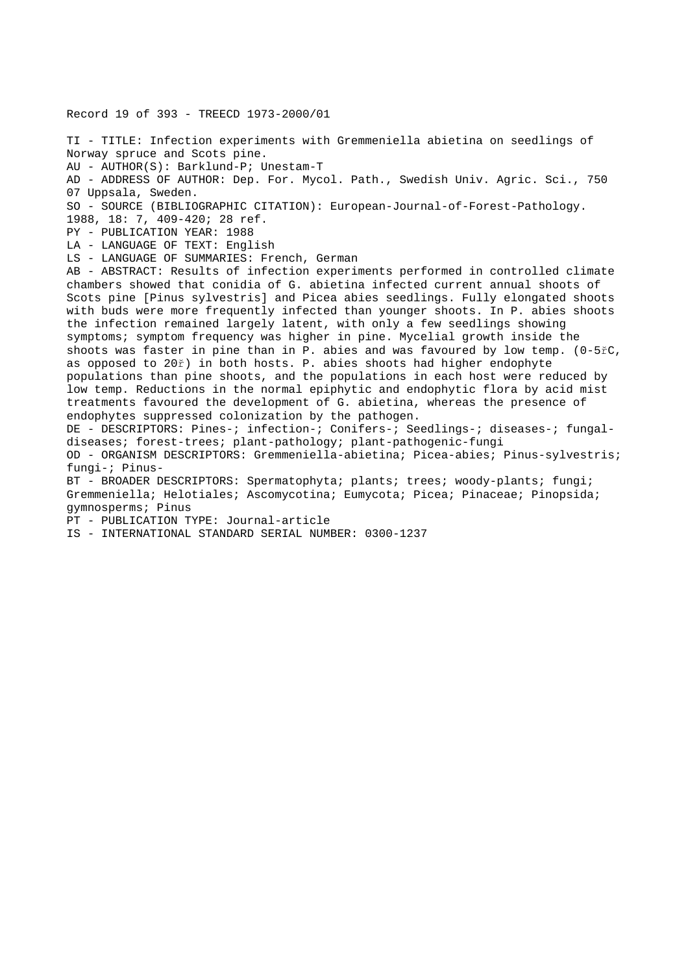Record 19 of 393 - TREECD 1973-2000/01

TI - TITLE: Infection experiments with Gremmeniella abietina on seedlings of Norway spruce and Scots pine. AU - AUTHOR(S): Barklund-P; Unestam-T AD - ADDRESS OF AUTHOR: Dep. For. Mycol. Path., Swedish Univ. Agric. Sci., 750 07 Uppsala, Sweden. SO - SOURCE (BIBLIOGRAPHIC CITATION): European-Journal-of-Forest-Pathology. 1988, 18: 7, 409-420; 28 ref. PY - PUBLICATION YEAR: 1988 LA - LANGUAGE OF TEXT: English LS - LANGUAGE OF SUMMARIES: French, German AB - ABSTRACT: Results of infection experiments performed in controlled climate chambers showed that conidia of G. abietina infected current annual shoots of Scots pine [Pinus sylvestris] and Picea abies seedlings. Fully elongated shoots with buds were more frequently infected than younger shoots. In P. abies shoots the infection remained largely latent, with only a few seedlings showing symptoms; symptom frequency was higher in pine. Mycelial growth inside the shoots was faster in pine than in P. abies and was favoured by low temp. (0-5řC, as opposed to 20ř) in both hosts. P. abies shoots had higher endophyte populations than pine shoots, and the populations in each host were reduced by low temp. Reductions in the normal epiphytic and endophytic flora by acid mist treatments favoured the development of G. abietina, whereas the presence of endophytes suppressed colonization by the pathogen. DE - DESCRIPTORS: Pines-; infection-; Conifers-; Seedlings-; diseases-; fungaldiseases; forest-trees; plant-pathology; plant-pathogenic-fungi OD - ORGANISM DESCRIPTORS: Gremmeniella-abietina; Picea-abies; Pinus-sylvestris; fungi-; Pinus-BT - BROADER DESCRIPTORS: Spermatophyta; plants; trees; woody-plants; fungi; Gremmeniella; Helotiales; Ascomycotina; Eumycota; Picea; Pinaceae; Pinopsida; gymnosperms; Pinus PT - PUBLICATION TYPE: Journal-article IS - INTERNATIONAL STANDARD SERIAL NUMBER: 0300-1237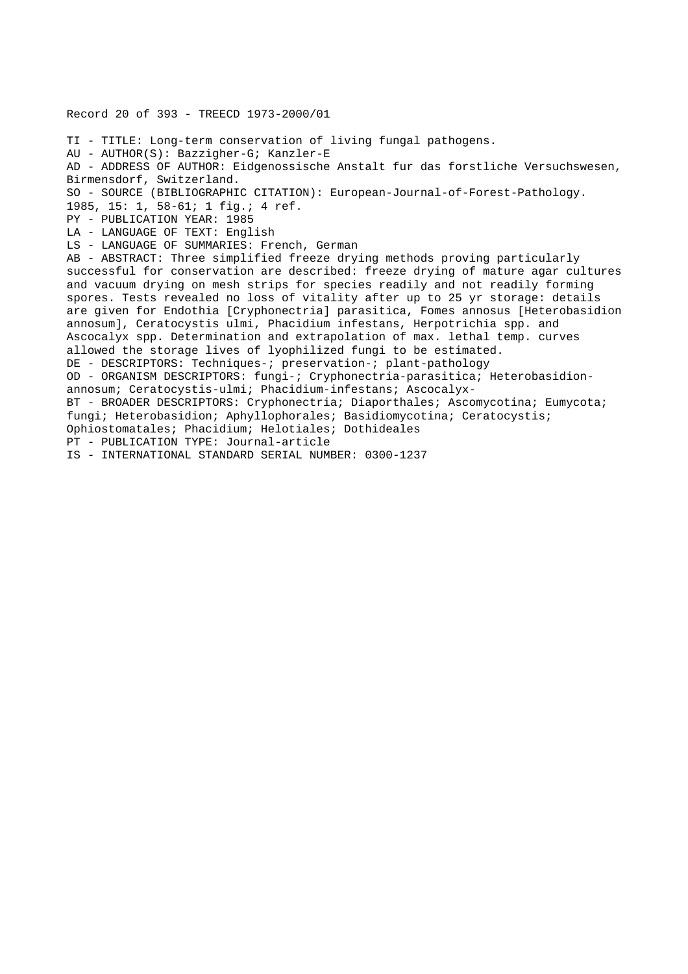```
Record 20 of 393 - TREECD 1973-2000/01
TI - TITLE: Long-term conservation of living fungal pathogens.
AU - AUTHOR(S): Bazzigher-G; Kanzler-E
AD - ADDRESS OF AUTHOR: Eidgenossische Anstalt fur das forstliche Versuchswesen,
Birmensdorf, Switzerland.
SO - SOURCE (BIBLIOGRAPHIC CITATION): European-Journal-of-Forest-Pathology.
1985, 15: 1, 58-61; 1 fig.; 4 ref.
PY - PUBLICATION YEAR: 1985
LA - LANGUAGE OF TEXT: English
LS - LANGUAGE OF SUMMARIES: French, German
AB - ABSTRACT: Three simplified freeze drying methods proving particularly
successful for conservation are described: freeze drying of mature agar cultures
and vacuum drying on mesh strips for species readily and not readily forming
spores. Tests revealed no loss of vitality after up to 25 yr storage: details
are given for Endothia [Cryphonectria] parasitica, Fomes annosus [Heterobasidion
annosum], Ceratocystis ulmi, Phacidium infestans, Herpotrichia spp. and
Ascocalyx spp. Determination and extrapolation of max. lethal temp. curves
allowed the storage lives of lyophilized fungi to be estimated.
DE - DESCRIPTORS: Techniques-; preservation-; plant-pathology
OD - ORGANISM DESCRIPTORS: fungi-; Cryphonectria-parasitica; Heterobasidion-
annosum; Ceratocystis-ulmi; Phacidium-infestans; Ascocalyx-
BT - BROADER DESCRIPTORS: Cryphonectria; Diaporthales; Ascomycotina; Eumycota;
fungi; Heterobasidion; Aphyllophorales; Basidiomycotina; Ceratocystis;
Ophiostomatales; Phacidium; Helotiales; Dothideales
PT - PUBLICATION TYPE: Journal-article
IS - INTERNATIONAL STANDARD SERIAL NUMBER: 0300-1237
```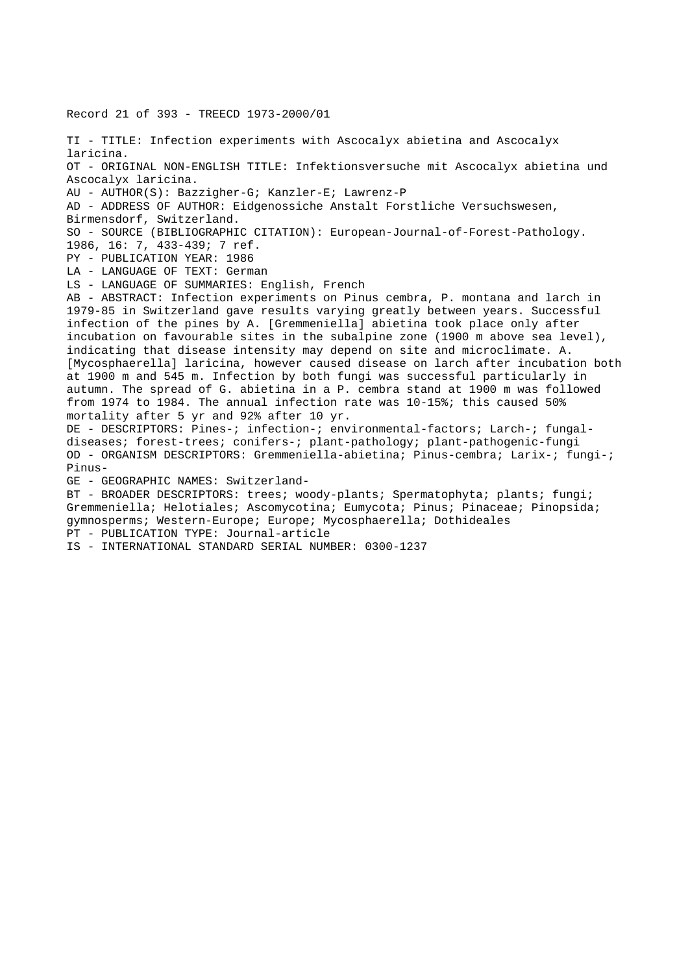Record 21 of 393 - TREECD 1973-2000/01 TI - TITLE: Infection experiments with Ascocalyx abietina and Ascocalyx laricina. OT - ORIGINAL NON-ENGLISH TITLE: Infektionsversuche mit Ascocalyx abietina und Ascocalyx laricina. AU - AUTHOR(S): Bazzigher-G; Kanzler-E; Lawrenz-P AD - ADDRESS OF AUTHOR: Eidgenossiche Anstalt Forstliche Versuchswesen, Birmensdorf, Switzerland. SO - SOURCE (BIBLIOGRAPHIC CITATION): European-Journal-of-Forest-Pathology. 1986, 16: 7, 433-439; 7 ref. PY - PUBLICATION YEAR: 1986 LA - LANGUAGE OF TEXT: German LS - LANGUAGE OF SUMMARIES: English, French AB - ABSTRACT: Infection experiments on Pinus cembra, P. montana and larch in 1979-85 in Switzerland gave results varying greatly between years. Successful infection of the pines by A. [Gremmeniella] abietina took place only after incubation on favourable sites in the subalpine zone (1900 m above sea level), indicating that disease intensity may depend on site and microclimate. A. [Mycosphaerella] laricina, however caused disease on larch after incubation both at 1900 m and 545 m. Infection by both fungi was successful particularly in autumn. The spread of G. abietina in a P. cembra stand at 1900 m was followed from 1974 to 1984. The annual infection rate was 10-15%; this caused 50% mortality after 5 yr and 92% after 10 yr. DE - DESCRIPTORS: Pines-; infection-; environmental-factors; Larch-; fungaldiseases; forest-trees; conifers-; plant-pathology; plant-pathogenic-fungi OD - ORGANISM DESCRIPTORS: Gremmeniella-abietina; Pinus-cembra; Larix-; fungi-; Pinus-GE - GEOGRAPHIC NAMES: Switzerland-BT - BROADER DESCRIPTORS: trees; woody-plants; Spermatophyta; plants; fungi; Gremmeniella; Helotiales; Ascomycotina; Eumycota; Pinus; Pinaceae; Pinopsida; gymnosperms; Western-Europe; Europe; Mycosphaerella; Dothideales PT - PUBLICATION TYPE: Journal-article IS - INTERNATIONAL STANDARD SERIAL NUMBER: 0300-1237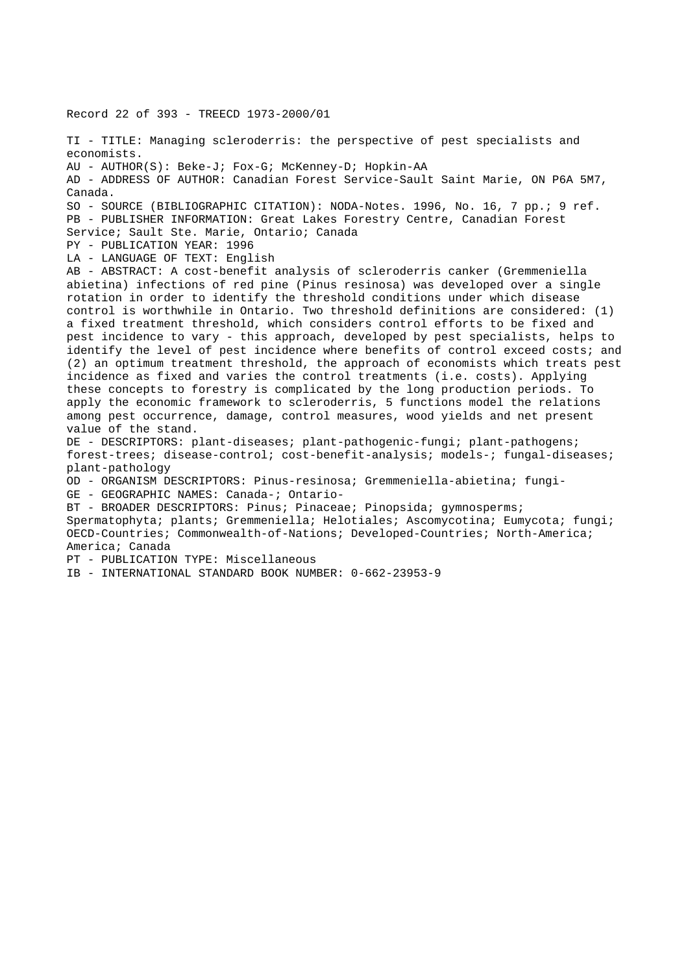Record 22 of 393 - TREECD 1973-2000/01 TI - TITLE: Managing scleroderris: the perspective of pest specialists and economists. AU - AUTHOR(S): Beke-J; Fox-G; McKenney-D; Hopkin-AA AD - ADDRESS OF AUTHOR: Canadian Forest Service-Sault Saint Marie, ON P6A 5M7, Canada. SO - SOURCE (BIBLIOGRAPHIC CITATION): NODA-Notes. 1996, No. 16, 7 pp.; 9 ref. PB - PUBLISHER INFORMATION: Great Lakes Forestry Centre, Canadian Forest Service; Sault Ste. Marie, Ontario; Canada PY - PUBLICATION YEAR: 1996 LA - LANGUAGE OF TEXT: English AB - ABSTRACT: A cost-benefit analysis of scleroderris canker (Gremmeniella abietina) infections of red pine (Pinus resinosa) was developed over a single rotation in order to identify the threshold conditions under which disease control is worthwhile in Ontario. Two threshold definitions are considered: (1) a fixed treatment threshold, which considers control efforts to be fixed and pest incidence to vary - this approach, developed by pest specialists, helps to identify the level of pest incidence where benefits of control exceed costs; and (2) an optimum treatment threshold, the approach of economists which treats pest incidence as fixed and varies the control treatments (i.e. costs). Applying these concepts to forestry is complicated by the long production periods. To apply the economic framework to scleroderris, 5 functions model the relations among pest occurrence, damage, control measures, wood yields and net present value of the stand. DE - DESCRIPTORS: plant-diseases; plant-pathogenic-fungi; plant-pathogens; forest-trees; disease-control; cost-benefit-analysis; models-; fungal-diseases; plant-pathology OD - ORGANISM DESCRIPTORS: Pinus-resinosa; Gremmeniella-abietina; fungi-GE - GEOGRAPHIC NAMES: Canada-; Ontario-BT - BROADER DESCRIPTORS: Pinus; Pinaceae; Pinopsida; gymnosperms; Spermatophyta; plants; Gremmeniella; Helotiales; Ascomycotina; Eumycota; fungi; OECD-Countries; Commonwealth-of-Nations; Developed-Countries; North-America; America; Canada PT - PUBLICATION TYPE: Miscellaneous IB - INTERNATIONAL STANDARD BOOK NUMBER: 0-662-23953-9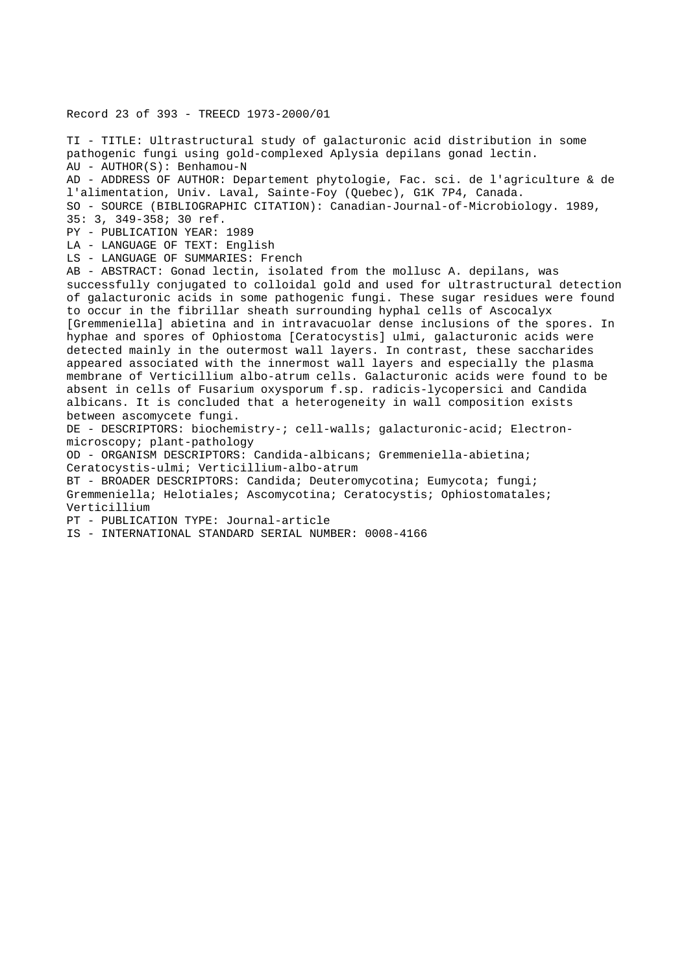Record 23 of 393 - TREECD 1973-2000/01

TI - TITLE: Ultrastructural study of galacturonic acid distribution in some pathogenic fungi using gold-complexed Aplysia depilans gonad lectin. AU - AUTHOR(S): Benhamou-N AD - ADDRESS OF AUTHOR: Departement phytologie, Fac. sci. de l'agriculture & de l'alimentation, Univ. Laval, Sainte-Foy (Quebec), G1K 7P4, Canada. SO - SOURCE (BIBLIOGRAPHIC CITATION): Canadian-Journal-of-Microbiology. 1989, 35: 3, 349-358; 30 ref. PY - PUBLICATION YEAR: 1989 LA - LANGUAGE OF TEXT: English LS - LANGUAGE OF SUMMARIES: French AB - ABSTRACT: Gonad lectin, isolated from the mollusc A. depilans, was successfully conjugated to colloidal gold and used for ultrastructural detection of galacturonic acids in some pathogenic fungi. These sugar residues were found to occur in the fibrillar sheath surrounding hyphal cells of Ascocalyx [Gremmeniella] abietina and in intravacuolar dense inclusions of the spores. In hyphae and spores of Ophiostoma [Ceratocystis] ulmi, galacturonic acids were detected mainly in the outermost wall layers. In contrast, these saccharides appeared associated with the innermost wall layers and especially the plasma membrane of Verticillium albo-atrum cells. Galacturonic acids were found to be absent in cells of Fusarium oxysporum f.sp. radicis-lycopersici and Candida albicans. It is concluded that a heterogeneity in wall composition exists between ascomycete fungi. DE - DESCRIPTORS: biochemistry-; cell-walls; galacturonic-acid; Electronmicroscopy; plant-pathology OD - ORGANISM DESCRIPTORS: Candida-albicans; Gremmeniella-abietina; Ceratocystis-ulmi; Verticillium-albo-atrum BT - BROADER DESCRIPTORS: Candida; Deuteromycotina; Eumycota; fungi; Gremmeniella; Helotiales; Ascomycotina; Ceratocystis; Ophiostomatales; Verticillium PT - PUBLICATION TYPE: Journal-article IS - INTERNATIONAL STANDARD SERIAL NUMBER: 0008-4166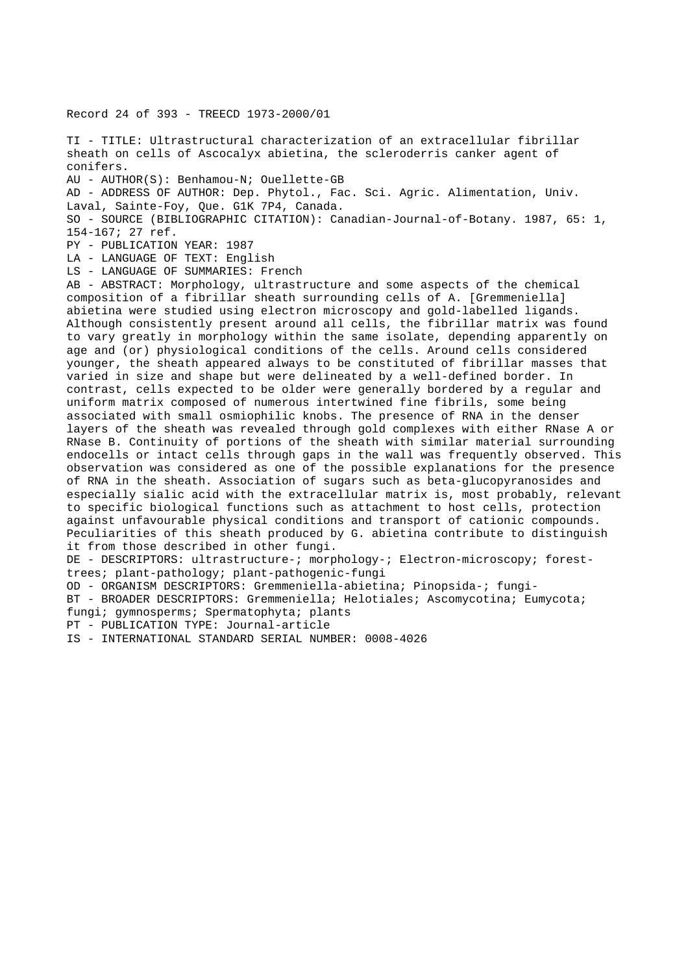Record 24 of 393 - TREECD 1973-2000/01

TI - TITLE: Ultrastructural characterization of an extracellular fibrillar sheath on cells of Ascocalyx abietina, the scleroderris canker agent of conifers. AU - AUTHOR(S): Benhamou-N; Ouellette-GB AD - ADDRESS OF AUTHOR: Dep. Phytol., Fac. Sci. Agric. Alimentation, Univ. Laval, Sainte-Foy, Que. G1K 7P4, Canada. SO - SOURCE (BIBLIOGRAPHIC CITATION): Canadian-Journal-of-Botany. 1987, 65: 1, 154-167; 27 ref. PY - PUBLICATION YEAR: 1987 LA - LANGUAGE OF TEXT: English LS - LANGUAGE OF SUMMARIES: French AB - ABSTRACT: Morphology, ultrastructure and some aspects of the chemical composition of a fibrillar sheath surrounding cells of A. [Gremmeniella] abietina were studied using electron microscopy and gold-labelled ligands. Although consistently present around all cells, the fibrillar matrix was found to vary greatly in morphology within the same isolate, depending apparently on age and (or) physiological conditions of the cells. Around cells considered younger, the sheath appeared always to be constituted of fibrillar masses that varied in size and shape but were delineated by a well-defined border. In contrast, cells expected to be older were generally bordered by a regular and uniform matrix composed of numerous intertwined fine fibrils, some being associated with small osmiophilic knobs. The presence of RNA in the denser layers of the sheath was revealed through gold complexes with either RNase A or RNase B. Continuity of portions of the sheath with similar material surrounding endocells or intact cells through gaps in the wall was frequently observed. This observation was considered as one of the possible explanations for the presence of RNA in the sheath. Association of sugars such as beta-glucopyranosides and especially sialic acid with the extracellular matrix is, most probably, relevant to specific biological functions such as attachment to host cells, protection against unfavourable physical conditions and transport of cationic compounds. Peculiarities of this sheath produced by G. abietina contribute to distinguish it from those described in other fungi. DE - DESCRIPTORS: ultrastructure-; morphology-; Electron-microscopy; foresttrees; plant-pathology; plant-pathogenic-fungi OD - ORGANISM DESCRIPTORS: Gremmeniella-abietina; Pinopsida-; fungi-BT - BROADER DESCRIPTORS: Gremmeniella; Helotiales; Ascomycotina; Eumycota; fungi; gymnosperms; Spermatophyta; plants PT - PUBLICATION TYPE: Journal-article IS - INTERNATIONAL STANDARD SERIAL NUMBER: 0008-4026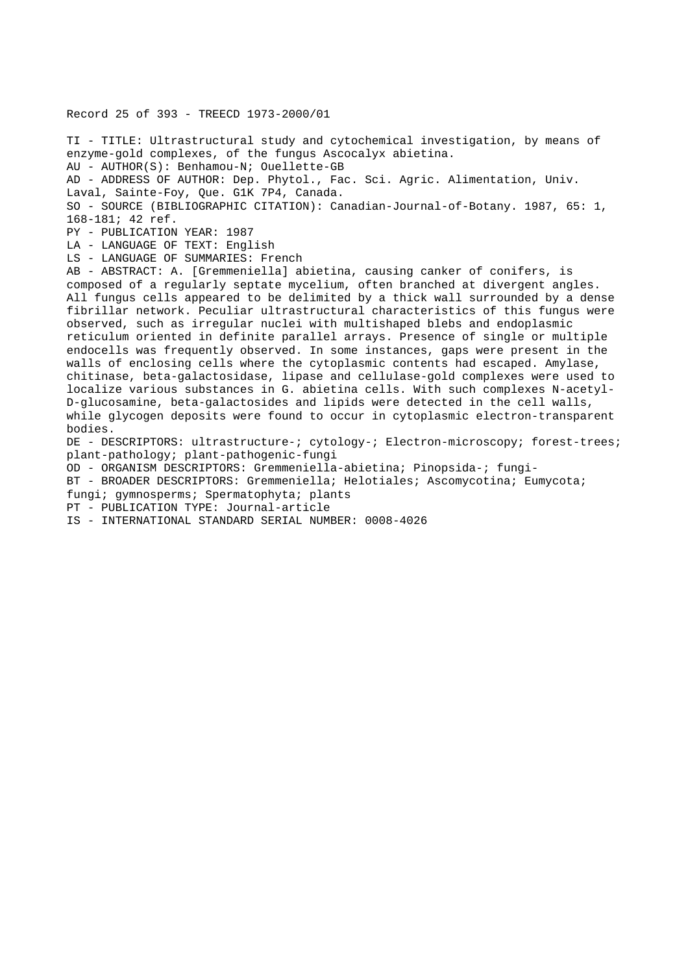Record 25 of 393 - TREECD 1973-2000/01

TI - TITLE: Ultrastructural study and cytochemical investigation, by means of enzyme-gold complexes, of the fungus Ascocalyx abietina. AU - AUTHOR(S): Benhamou-N; Ouellette-GB AD - ADDRESS OF AUTHOR: Dep. Phytol., Fac. Sci. Agric. Alimentation, Univ. Laval, Sainte-Foy, Que. G1K 7P4, Canada. SO - SOURCE (BIBLIOGRAPHIC CITATION): Canadian-Journal-of-Botany. 1987, 65: 1, 168-181; 42 ref. PY - PUBLICATION YEAR: 1987 LA - LANGUAGE OF TEXT: English LS - LANGUAGE OF SUMMARIES: French AB - ABSTRACT: A. [Gremmeniella] abietina, causing canker of conifers, is composed of a regularly septate mycelium, often branched at divergent angles. All fungus cells appeared to be delimited by a thick wall surrounded by a dense fibrillar network. Peculiar ultrastructural characteristics of this fungus were observed, such as irregular nuclei with multishaped blebs and endoplasmic reticulum oriented in definite parallel arrays. Presence of single or multiple endocells was frequently observed. In some instances, gaps were present in the walls of enclosing cells where the cytoplasmic contents had escaped. Amylase, chitinase, beta-galactosidase, lipase and cellulase-gold complexes were used to localize various substances in G. abietina cells. With such complexes N-acetyl-D-glucosamine, beta-galactosides and lipids were detected in the cell walls, while glycogen deposits were found to occur in cytoplasmic electron-transparent bodies. DE - DESCRIPTORS: ultrastructure-; cytology-; Electron-microscopy; forest-trees; plant-pathology; plant-pathogenic-fungi OD - ORGANISM DESCRIPTORS: Gremmeniella-abietina; Pinopsida-; fungi-BT - BROADER DESCRIPTORS: Gremmeniella; Helotiales; Ascomycotina; Eumycota; fungi; gymnosperms; Spermatophyta; plants PT - PUBLICATION TYPE: Journal-article IS - INTERNATIONAL STANDARD SERIAL NUMBER: 0008-4026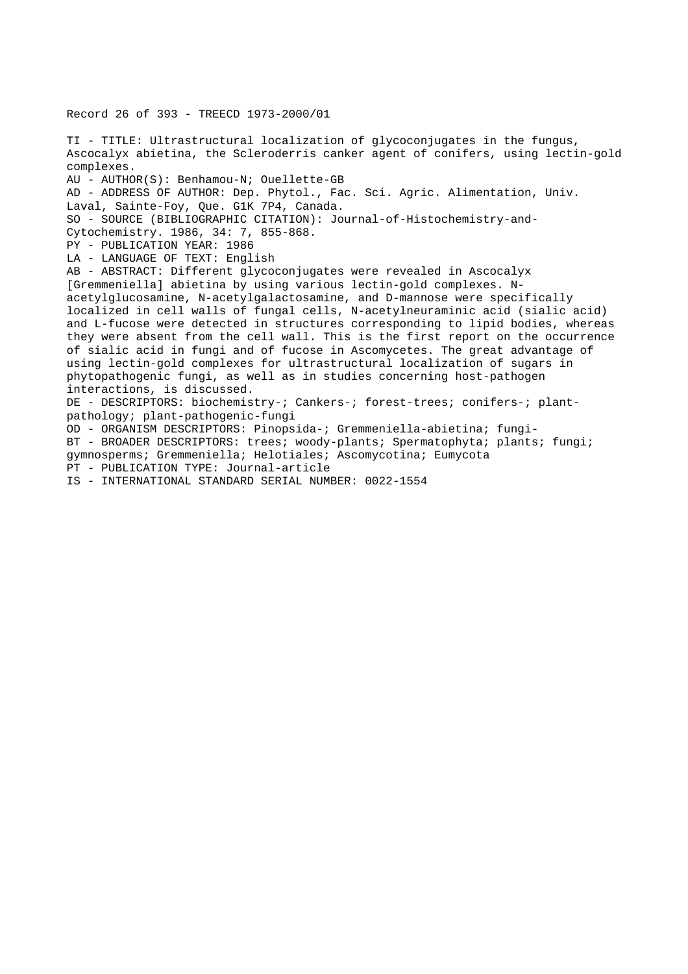Record 26 of 393 - TREECD 1973-2000/01

TI - TITLE: Ultrastructural localization of glycoconjugates in the fungus, Ascocalyx abietina, the Scleroderris canker agent of conifers, using lectin-gold complexes. AU - AUTHOR(S): Benhamou-N; Ouellette-GB AD - ADDRESS OF AUTHOR: Dep. Phytol., Fac. Sci. Agric. Alimentation, Univ. Laval, Sainte-Foy, Que. G1K 7P4, Canada. SO - SOURCE (BIBLIOGRAPHIC CITATION): Journal-of-Histochemistry-and-Cytochemistry. 1986, 34: 7, 855-868. PY - PUBLICATION YEAR: 1986 LA - LANGUAGE OF TEXT: English AB - ABSTRACT: Different glycoconjugates were revealed in Ascocalyx [Gremmeniella] abietina by using various lectin-gold complexes. Nacetylglucosamine, N-acetylgalactosamine, and D-mannose were specifically localized in cell walls of fungal cells, N-acetylneuraminic acid (sialic acid) and L-fucose were detected in structures corresponding to lipid bodies, whereas they were absent from the cell wall. This is the first report on the occurrence of sialic acid in fungi and of fucose in Ascomycetes. The great advantage of using lectin-gold complexes for ultrastructural localization of sugars in phytopathogenic fungi, as well as in studies concerning host-pathogen interactions, is discussed. DE - DESCRIPTORS: biochemistry-; Cankers-; forest-trees; conifers-; plantpathology; plant-pathogenic-fungi OD - ORGANISM DESCRIPTORS: Pinopsida-; Gremmeniella-abietina; fungi-BT - BROADER DESCRIPTORS: trees; woody-plants; Spermatophyta; plants; fungi; gymnosperms; Gremmeniella; Helotiales; Ascomycotina; Eumycota PT - PUBLICATION TYPE: Journal-article IS - INTERNATIONAL STANDARD SERIAL NUMBER: 0022-1554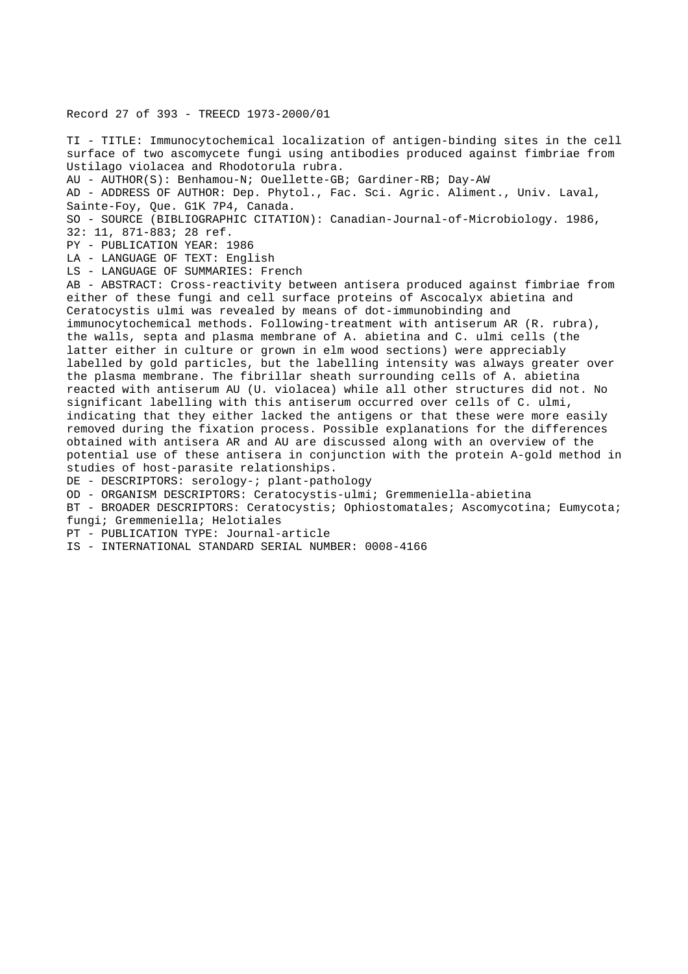Record 27 of 393 - TREECD 1973-2000/01

TI - TITLE: Immunocytochemical localization of antigen-binding sites in the cell surface of two ascomycete fungi using antibodies produced against fimbriae from Ustilago violacea and Rhodotorula rubra. AU - AUTHOR(S): Benhamou-N; Ouellette-GB; Gardiner-RB; Day-AW AD - ADDRESS OF AUTHOR: Dep. Phytol., Fac. Sci. Agric. Aliment., Univ. Laval, Sainte-Foy, Que. G1K 7P4, Canada. SO - SOURCE (BIBLIOGRAPHIC CITATION): Canadian-Journal-of-Microbiology. 1986, 32: 11, 871-883; 28 ref. PY - PUBLICATION YEAR: 1986 LA - LANGUAGE OF TEXT: English LS - LANGUAGE OF SUMMARIES: French AB - ABSTRACT: Cross-reactivity between antisera produced against fimbriae from either of these fungi and cell surface proteins of Ascocalyx abietina and Ceratocystis ulmi was revealed by means of dot-immunobinding and immunocytochemical methods. Following-treatment with antiserum AR (R. rubra), the walls, septa and plasma membrane of A. abietina and C. ulmi cells (the latter either in culture or grown in elm wood sections) were appreciably labelled by gold particles, but the labelling intensity was always greater over the plasma membrane. The fibrillar sheath surrounding cells of A. abietina reacted with antiserum AU (U. violacea) while all other structures did not. No significant labelling with this antiserum occurred over cells of C. ulmi, indicating that they either lacked the antigens or that these were more easily removed during the fixation process. Possible explanations for the differences obtained with antisera AR and AU are discussed along with an overview of the potential use of these antisera in conjunction with the protein A-gold method in studies of host-parasite relationships. DE - DESCRIPTORS: serology-; plant-pathology OD - ORGANISM DESCRIPTORS: Ceratocystis-ulmi; Gremmeniella-abietina BT - BROADER DESCRIPTORS: Ceratocystis; Ophiostomatales; Ascomycotina; Eumycota;

fungi; Gremmeniella; Helotiales

PT - PUBLICATION TYPE: Journal-article

IS - INTERNATIONAL STANDARD SERIAL NUMBER: 0008-4166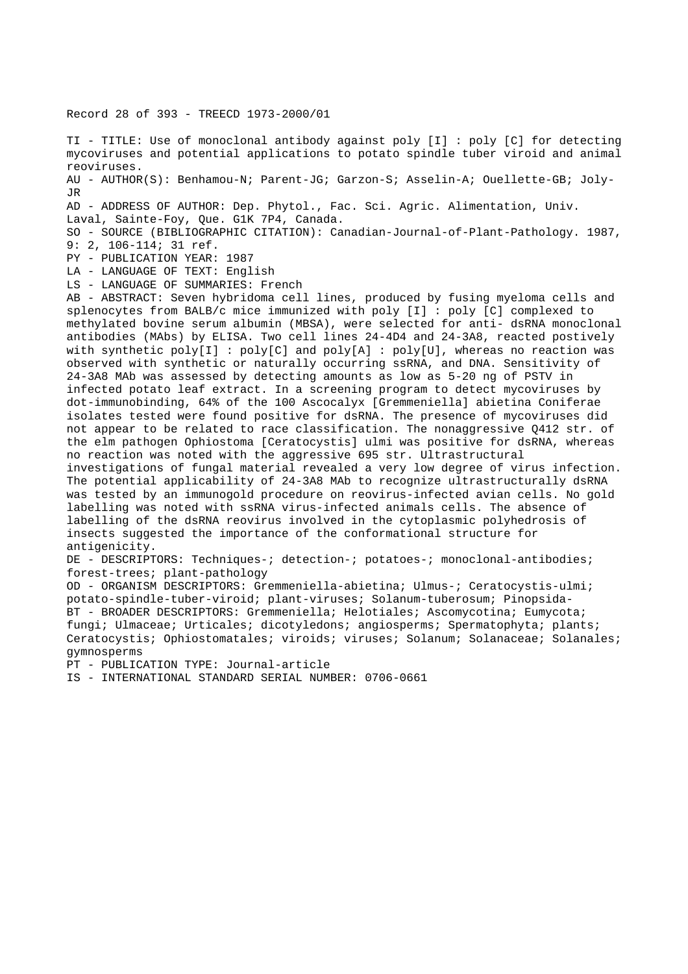Record 28 of 393 - TREECD 1973-2000/01

TI - TITLE: Use of monoclonal antibody against poly [I] : poly [C] for detecting mycoviruses and potential applications to potato spindle tuber viroid and animal reoviruses. AU - AUTHOR(S): Benhamou-N; Parent-JG; Garzon-S; Asselin-A; Ouellette-GB; Joly-JR AD - ADDRESS OF AUTHOR: Dep. Phytol., Fac. Sci. Agric. Alimentation, Univ. Laval, Sainte-Foy, Que. G1K 7P4, Canada. SO - SOURCE (BIBLIOGRAPHIC CITATION): Canadian-Journal-of-Plant-Pathology. 1987, 9: 2, 106-114; 31 ref. PY - PUBLICATION YEAR: 1987 LA - LANGUAGE OF TEXT: English LS - LANGUAGE OF SUMMARIES: French AB - ABSTRACT: Seven hybridoma cell lines, produced by fusing myeloma cells and splenocytes from BALB/c mice immunized with poly [I] : poly [C] complexed to methylated bovine serum albumin (MBSA), were selected for anti- dsRNA monoclonal antibodies (MAbs) by ELISA. Two cell lines 24-4D4 and 24-3A8, reacted postively with synthetic poly[I] :  $poly[C]$  and  $poly[A]$  :  $poly[U]$ , whereas no reaction was observed with synthetic or naturally occurring ssRNA, and DNA. Sensitivity of 24-3A8 MAb was assessed by detecting amounts as low as 5-20 ng of PSTV in infected potato leaf extract. In a screening program to detect mycoviruses by dot-immunobinding, 64% of the 100 Ascocalyx [Gremmeniella] abietina Coniferae isolates tested were found positive for dsRNA. The presence of mycoviruses did not appear to be related to race classification. The nonaggressive Q412 str. of the elm pathogen Ophiostoma [Ceratocystis] ulmi was positive for dsRNA, whereas no reaction was noted with the aggressive 695 str. Ultrastructural investigations of fungal material revealed a very low degree of virus infection. The potential applicability of 24-3A8 MAb to recognize ultrastructurally dsRNA was tested by an immunogold procedure on reovirus-infected avian cells. No gold labelling was noted with ssRNA virus-infected animals cells. The absence of labelling of the dsRNA reovirus involved in the cytoplasmic polyhedrosis of insects suggested the importance of the conformational structure for antigenicity. DE - DESCRIPTORS: Techniques-; detection-; potatoes-; monoclonal-antibodies; forest-trees; plant-pathology OD - ORGANISM DESCRIPTORS: Gremmeniella-abietina; Ulmus-; Ceratocystis-ulmi; potato-spindle-tuber-viroid; plant-viruses; Solanum-tuberosum; Pinopsida-BT - BROADER DESCRIPTORS: Gremmeniella; Helotiales; Ascomycotina; Eumycota; fungi; Ulmaceae; Urticales; dicotyledons; angiosperms; Spermatophyta; plants; Ceratocystis; Ophiostomatales; viroids; viruses; Solanum; Solanaceae; Solanales; gymnosperms

PT - PUBLICATION TYPE: Journal-article

IS - INTERNATIONAL STANDARD SERIAL NUMBER: 0706-0661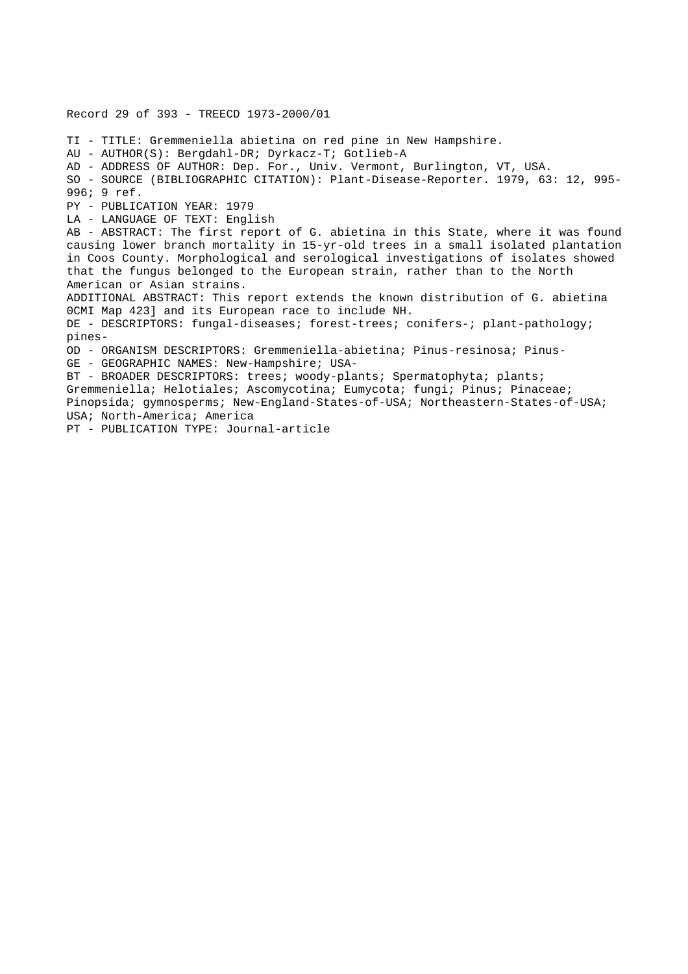Record 29 of 393 - TREECD 1973-2000/01 TI - TITLE: Gremmeniella abietina on red pine in New Hampshire. AU - AUTHOR(S): Bergdahl-DR; Dyrkacz-T; Gotlieb-A AD - ADDRESS OF AUTHOR: Dep. For., Univ. Vermont, Burlington, VT, USA. SO - SOURCE (BIBLIOGRAPHIC CITATION): Plant-Disease-Reporter. 1979, 63: 12, 995- 996; 9 ref. PY - PUBLICATION YEAR: 1979 LA - LANGUAGE OF TEXT: English AB - ABSTRACT: The first report of G. abietina in this State, where it was found causing lower branch mortality in 15-yr-old trees in a small isolated plantation in Coos County. Morphological and serological investigations of isolates showed that the fungus belonged to the European strain, rather than to the North American or Asian strains. ADDITIONAL ABSTRACT: This report extends the known distribution of G. abietina 0CMI Map 423] and its European race to include NH. DE - DESCRIPTORS: fungal-diseases; forest-trees; conifers-; plant-pathology; pines-OD - ORGANISM DESCRIPTORS: Gremmeniella-abietina; Pinus-resinosa; Pinus-GE - GEOGRAPHIC NAMES: New-Hampshire; USA-BT - BROADER DESCRIPTORS: trees; woody-plants; Spermatophyta; plants; Gremmeniella; Helotiales; Ascomycotina; Eumycota; fungi; Pinus; Pinaceae; Pinopsida; gymnosperms; New-England-States-of-USA; Northeastern-States-of-USA; USA; North-America; America PT - PUBLICATION TYPE: Journal-article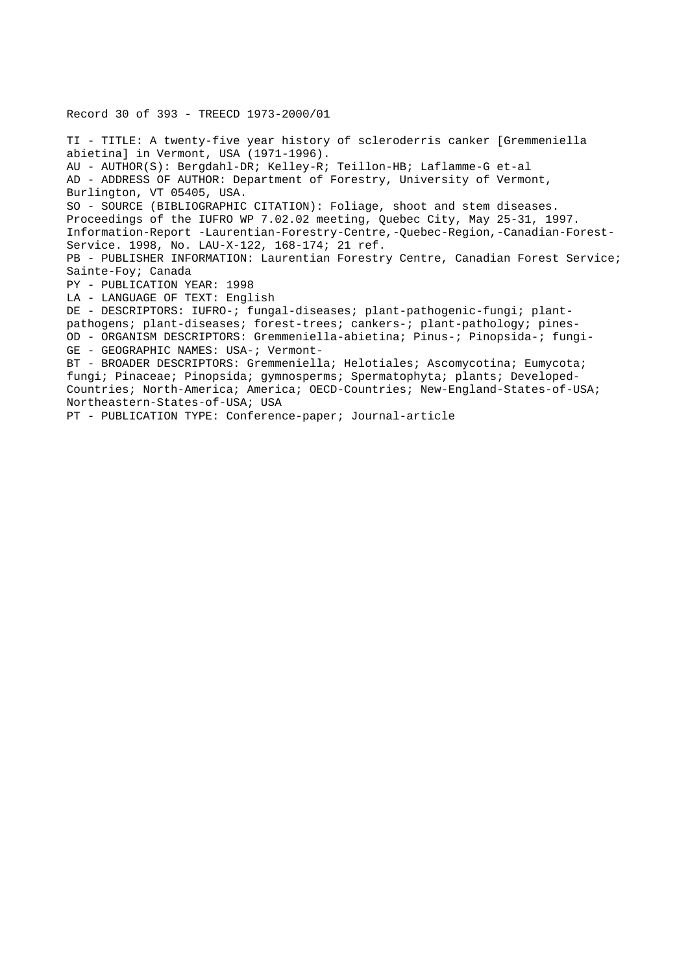TI - TITLE: A twenty-five year history of scleroderris canker [Gremmeniella abietina] in Vermont, USA (1971-1996). AU - AUTHOR(S): Bergdahl-DR; Kelley-R; Teillon-HB; Laflamme-G et-al AD - ADDRESS OF AUTHOR: Department of Forestry, University of Vermont, Burlington, VT 05405, USA. SO - SOURCE (BIBLIOGRAPHIC CITATION): Foliage, shoot and stem diseases. Proceedings of the IUFRO WP 7.02.02 meeting, Quebec City, May 25-31, 1997. Information-Report -Laurentian-Forestry-Centre,-Quebec-Region,-Canadian-Forest-Service. 1998, No. LAU-X-122, 168-174; 21 ref. PB - PUBLISHER INFORMATION: Laurentian Forestry Centre, Canadian Forest Service; Sainte-Foy; Canada PY - PUBLICATION YEAR: 1998 LA - LANGUAGE OF TEXT: English DE - DESCRIPTORS: IUFRO-; fungal-diseases; plant-pathogenic-fungi; plantpathogens; plant-diseases; forest-trees; cankers-; plant-pathology; pines-OD - ORGANISM DESCRIPTORS: Gremmeniella-abietina; Pinus-; Pinopsida-; fungi-GE - GEOGRAPHIC NAMES: USA-; Vermont-BT - BROADER DESCRIPTORS: Gremmeniella; Helotiales; Ascomycotina; Eumycota; fungi; Pinaceae; Pinopsida; gymnosperms; Spermatophyta; plants; Developed-Countries; North-America; America; OECD-Countries; New-England-States-of-USA; Northeastern-States-of-USA; USA

PT - PUBLICATION TYPE: Conference-paper; Journal-article

Record 30 of 393 - TREECD 1973-2000/01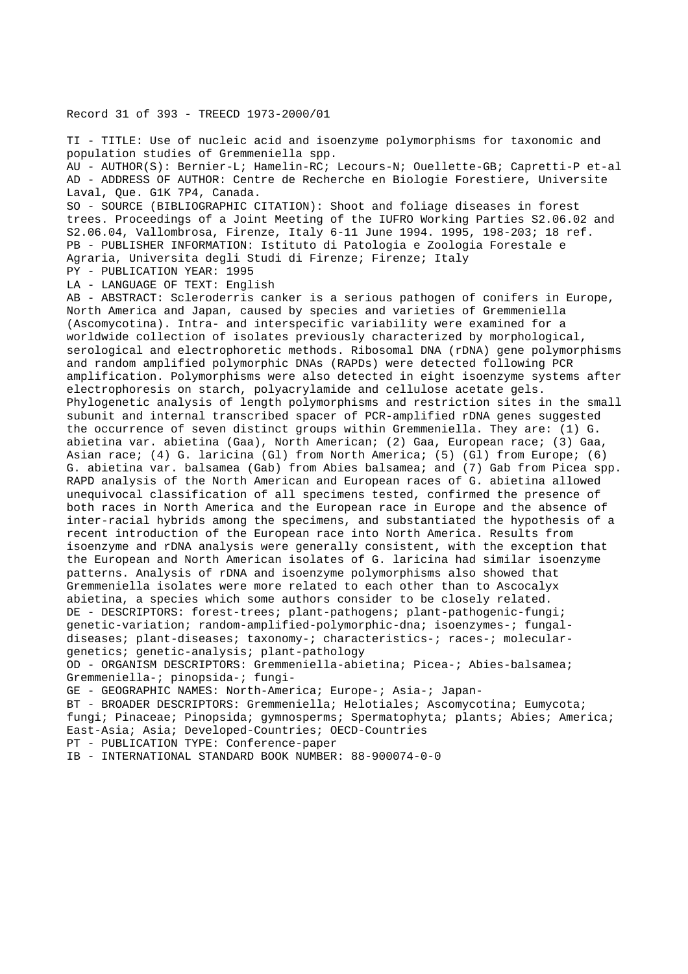### Record 31 of 393 - TREECD 1973-2000/01

TI - TITLE: Use of nucleic acid and isoenzyme polymorphisms for taxonomic and population studies of Gremmeniella spp. AU - AUTHOR(S): Bernier-L; Hamelin-RC; Lecours-N; Ouellette-GB; Capretti-P et-al AD - ADDRESS OF AUTHOR: Centre de Recherche en Biologie Forestiere, Universite Laval, Que. G1K 7P4, Canada. SO - SOURCE (BIBLIOGRAPHIC CITATION): Shoot and foliage diseases in forest trees. Proceedings of a Joint Meeting of the IUFRO Working Parties S2.06.02 and S2.06.04, Vallombrosa, Firenze, Italy 6-11 June 1994. 1995, 198-203; 18 ref. PB - PUBLISHER INFORMATION: Istituto di Patologia e Zoologia Forestale e Agraria, Universita degli Studi di Firenze; Firenze; Italy PY - PUBLICATION YEAR: 1995 LA - LANGUAGE OF TEXT: English AB - ABSTRACT: Scleroderris canker is a serious pathogen of conifers in Europe, North America and Japan, caused by species and varieties of Gremmeniella (Ascomycotina). Intra- and interspecific variability were examined for a worldwide collection of isolates previously characterized by morphological, serological and electrophoretic methods. Ribosomal DNA (rDNA) gene polymorphisms and random amplified polymorphic DNAs (RAPDs) were detected following PCR amplification. Polymorphisms were also detected in eight isoenzyme systems after electrophoresis on starch, polyacrylamide and cellulose acetate gels. Phylogenetic analysis of length polymorphisms and restriction sites in the small subunit and internal transcribed spacer of PCR-amplified rDNA genes suggested the occurrence of seven distinct groups within Gremmeniella. They are: (1) G. abietina var. abietina (Gaa), North American; (2) Gaa, European race; (3) Gaa, Asian race; (4) G. laricina (Gl) from North America; (5) (Gl) from Europe; (6) G. abietina var. balsamea (Gab) from Abies balsamea; and (7) Gab from Picea spp. RAPD analysis of the North American and European races of G. abietina allowed unequivocal classification of all specimens tested, confirmed the presence of both races in North America and the European race in Europe and the absence of inter-racial hybrids among the specimens, and substantiated the hypothesis of a recent introduction of the European race into North America. Results from isoenzyme and rDNA analysis were generally consistent, with the exception that the European and North American isolates of G. laricina had similar isoenzyme patterns. Analysis of rDNA and isoenzyme polymorphisms also showed that Gremmeniella isolates were more related to each other than to Ascocalyx abietina, a species which some authors consider to be closely related. DE - DESCRIPTORS: forest-trees; plant-pathogens; plant-pathogenic-fungi; genetic-variation; random-amplified-polymorphic-dna; isoenzymes-; fungaldiseases; plant-diseases; taxonomy-; characteristics-; races-; moleculargenetics; genetic-analysis; plant-pathology OD - ORGANISM DESCRIPTORS: Gremmeniella-abietina; Picea-; Abies-balsamea; Gremmeniella-; pinopsida-; fungi-GE - GEOGRAPHIC NAMES: North-America; Europe-; Asia-; Japan-BT - BROADER DESCRIPTORS: Gremmeniella; Helotiales; Ascomycotina; Eumycota; fungi; Pinaceae; Pinopsida; gymnosperms; Spermatophyta; plants; Abies; America; East-Asia; Asia; Developed-Countries; OECD-Countries PT - PUBLICATION TYPE: Conference-paper IB - INTERNATIONAL STANDARD BOOK NUMBER: 88-900074-0-0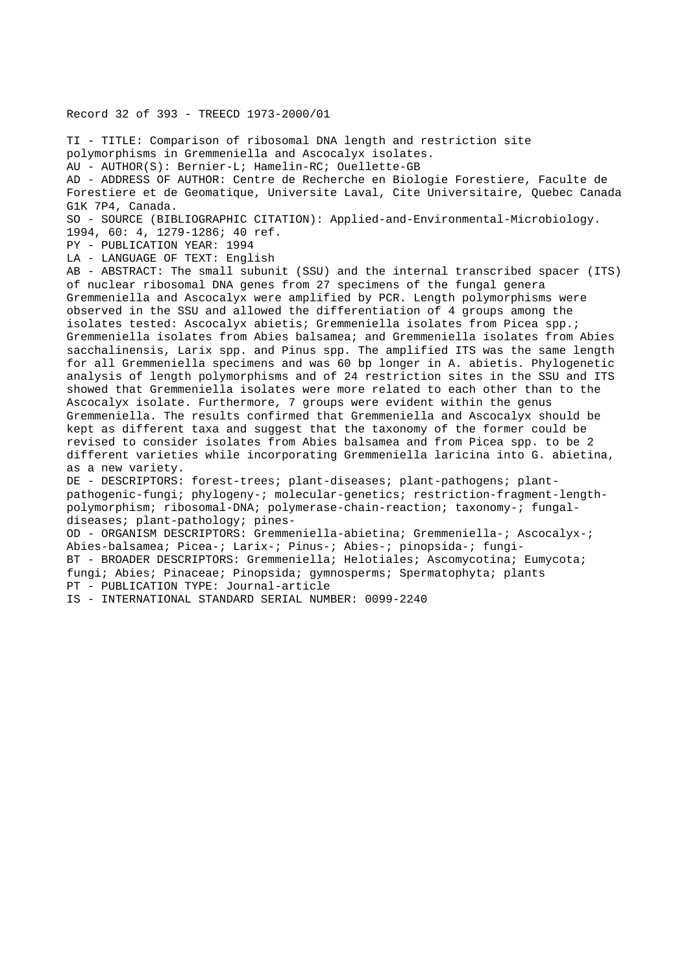Record 32 of 393 - TREECD 1973-2000/01

TI - TITLE: Comparison of ribosomal DNA length and restriction site polymorphisms in Gremmeniella and Ascocalyx isolates. AU - AUTHOR(S): Bernier-L; Hamelin-RC; Ouellette-GB AD - ADDRESS OF AUTHOR: Centre de Recherche en Biologie Forestiere, Faculte de Forestiere et de Geomatique, Universite Laval, Cite Universitaire, Quebec Canada G1K 7P4, Canada. SO - SOURCE (BIBLIOGRAPHIC CITATION): Applied-and-Environmental-Microbiology. 1994, 60: 4, 1279-1286; 40 ref. PY - PUBLICATION YEAR: 1994 LA - LANGUAGE OF TEXT: English AB - ABSTRACT: The small subunit (SSU) and the internal transcribed spacer (ITS) of nuclear ribosomal DNA genes from 27 specimens of the fungal genera Gremmeniella and Ascocalyx were amplified by PCR. Length polymorphisms were observed in the SSU and allowed the differentiation of 4 groups among the isolates tested: Ascocalyx abietis; Gremmeniella isolates from Picea spp.; Gremmeniella isolates from Abies balsamea; and Gremmeniella isolates from Abies sacchalinensis, Larix spp. and Pinus spp. The amplified ITS was the same length for all Gremmeniella specimens and was 60 bp longer in A. abietis. Phylogenetic analysis of length polymorphisms and of 24 restriction sites in the SSU and ITS showed that Gremmeniella isolates were more related to each other than to the Ascocalyx isolate. Furthermore, 7 groups were evident within the genus Gremmeniella. The results confirmed that Gremmeniella and Ascocalyx should be kept as different taxa and suggest that the taxonomy of the former could be revised to consider isolates from Abies balsamea and from Picea spp. to be 2 different varieties while incorporating Gremmeniella laricina into G. abietina, as a new variety. DE - DESCRIPTORS: forest-trees; plant-diseases; plant-pathogens; plantpathogenic-fungi; phylogeny-; molecular-genetics; restriction-fragment-lengthpolymorphism; ribosomal-DNA; polymerase-chain-reaction; taxonomy-; fungaldiseases; plant-pathology; pines-OD - ORGANISM DESCRIPTORS: Gremmeniella-abietina; Gremmeniella-; Ascocalyx-; Abies-balsamea; Picea-; Larix-; Pinus-; Abies-; pinopsida-; fungi-BT - BROADER DESCRIPTORS: Gremmeniella; Helotiales; Ascomycotina; Eumycota; fungi; Abies; Pinaceae; Pinopsida; gymnosperms; Spermatophyta; plants PT - PUBLICATION TYPE: Journal-article

IS - INTERNATIONAL STANDARD SERIAL NUMBER: 0099-2240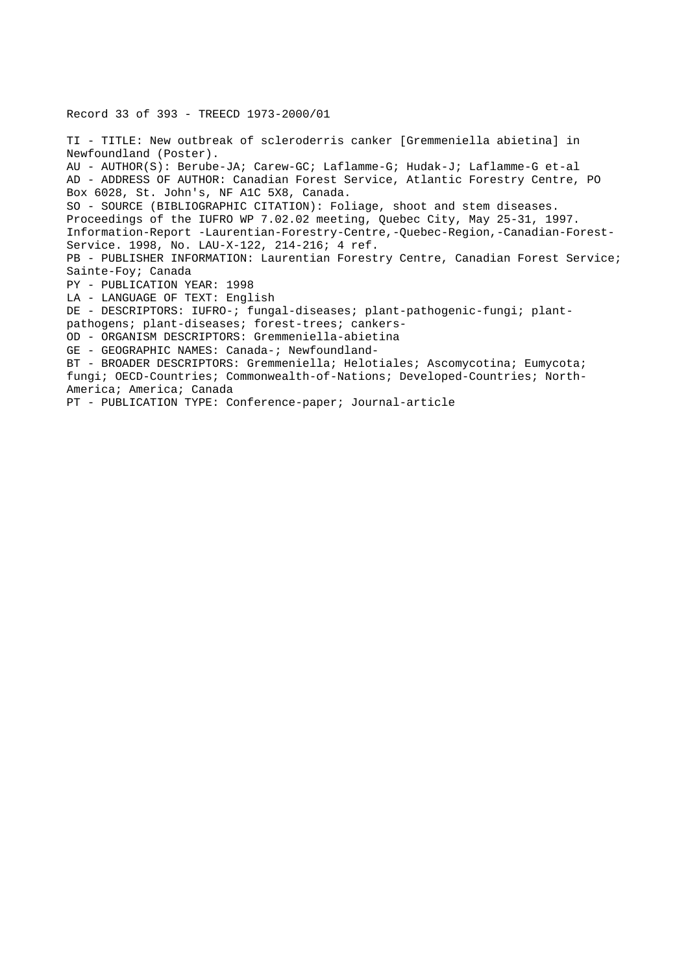### Record 33 of 393 - TREECD 1973-2000/01

TI - TITLE: New outbreak of scleroderris canker [Gremmeniella abietina] in Newfoundland (Poster). AU - AUTHOR(S): Berube-JA; Carew-GC; Laflamme-G; Hudak-J; Laflamme-G et-al AD - ADDRESS OF AUTHOR: Canadian Forest Service, Atlantic Forestry Centre, PO Box 6028, St. John's, NF A1C 5X8, Canada. SO - SOURCE (BIBLIOGRAPHIC CITATION): Foliage, shoot and stem diseases. Proceedings of the IUFRO WP 7.02.02 meeting, Quebec City, May 25-31, 1997. Information-Report -Laurentian-Forestry-Centre,-Quebec-Region,-Canadian-Forest-Service. 1998, No. LAU-X-122, 214-216; 4 ref. PB - PUBLISHER INFORMATION: Laurentian Forestry Centre, Canadian Forest Service; Sainte-Foy; Canada PY - PUBLICATION YEAR: 1998 LA - LANGUAGE OF TEXT: English DE - DESCRIPTORS: IUFRO-; fungal-diseases; plant-pathogenic-fungi; plantpathogens; plant-diseases; forest-trees; cankers-OD - ORGANISM DESCRIPTORS: Gremmeniella-abietina GE - GEOGRAPHIC NAMES: Canada-; Newfoundland-BT - BROADER DESCRIPTORS: Gremmeniella; Helotiales; Ascomycotina; Eumycota; fungi; OECD-Countries; Commonwealth-of-Nations; Developed-Countries; North-America; America; Canada

PT - PUBLICATION TYPE: Conference-paper; Journal-article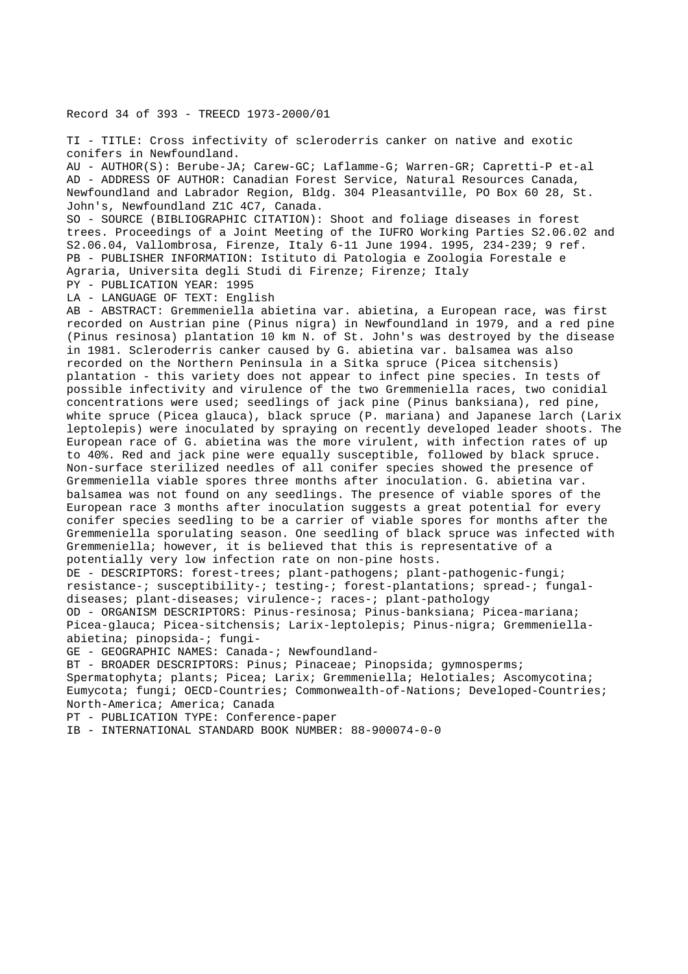Record 34 of 393 - TREECD 1973-2000/01

TI - TITLE: Cross infectivity of scleroderris canker on native and exotic conifers in Newfoundland. AU - AUTHOR(S): Berube-JA; Carew-GC; Laflamme-G; Warren-GR; Capretti-P et-al AD - ADDRESS OF AUTHOR: Canadian Forest Service, Natural Resources Canada, Newfoundland and Labrador Region, Bldg. 304 Pleasantville, PO Box 60 28, St. John's, Newfoundland Z1C 4C7, Canada. SO - SOURCE (BIBLIOGRAPHIC CITATION): Shoot and foliage diseases in forest trees. Proceedings of a Joint Meeting of the IUFRO Working Parties S2.06.02 and S2.06.04, Vallombrosa, Firenze, Italy 6-11 June 1994. 1995, 234-239; 9 ref. PB - PUBLISHER INFORMATION: Istituto di Patologia e Zoologia Forestale e Agraria, Universita degli Studi di Firenze; Firenze; Italy PY - PUBLICATION YEAR: 1995 LA - LANGUAGE OF TEXT: English AB - ABSTRACT: Gremmeniella abietina var. abietina, a European race, was first recorded on Austrian pine (Pinus nigra) in Newfoundland in 1979, and a red pine (Pinus resinosa) plantation 10 km N. of St. John's was destroyed by the disease in 1981. Scleroderris canker caused by G. abietina var. balsamea was also recorded on the Northern Peninsula in a Sitka spruce (Picea sitchensis) plantation - this variety does not appear to infect pine species. In tests of possible infectivity and virulence of the two Gremmeniella races, two conidial concentrations were used; seedlings of jack pine (Pinus banksiana), red pine, white spruce (Picea glauca), black spruce (P. mariana) and Japanese larch (Larix leptolepis) were inoculated by spraying on recently developed leader shoots. The European race of G. abietina was the more virulent, with infection rates of up to 40%. Red and jack pine were equally susceptible, followed by black spruce. Non-surface sterilized needles of all conifer species showed the presence of Gremmeniella viable spores three months after inoculation. G. abietina var. balsamea was not found on any seedlings. The presence of viable spores of the European race 3 months after inoculation suggests a great potential for every conifer species seedling to be a carrier of viable spores for months after the Gremmeniella sporulating season. One seedling of black spruce was infected with Gremmeniella; however, it is believed that this is representative of a potentially very low infection rate on non-pine hosts. DE - DESCRIPTORS: forest-trees; plant-pathogens; plant-pathogenic-fungi;

resistance-; susceptibility-; testing-; forest-plantations; spread-; fungaldiseases; plant-diseases; virulence-; races-; plant-pathology OD - ORGANISM DESCRIPTORS: Pinus-resinosa; Pinus-banksiana; Picea-mariana;

Picea-glauca; Picea-sitchensis; Larix-leptolepis; Pinus-nigra; Gremmeniellaabietina; pinopsida-; fungi-

GE - GEOGRAPHIC NAMES: Canada-; Newfoundland-

BT - BROADER DESCRIPTORS: Pinus; Pinaceae; Pinopsida; gymnosperms;

Spermatophyta; plants; Picea; Larix; Gremmeniella; Helotiales; Ascomycotina; Eumycota; fungi; OECD-Countries; Commonwealth-of-Nations; Developed-Countries; North-America; America; Canada

PT - PUBLICATION TYPE: Conference-paper

IB - INTERNATIONAL STANDARD BOOK NUMBER: 88-900074-0-0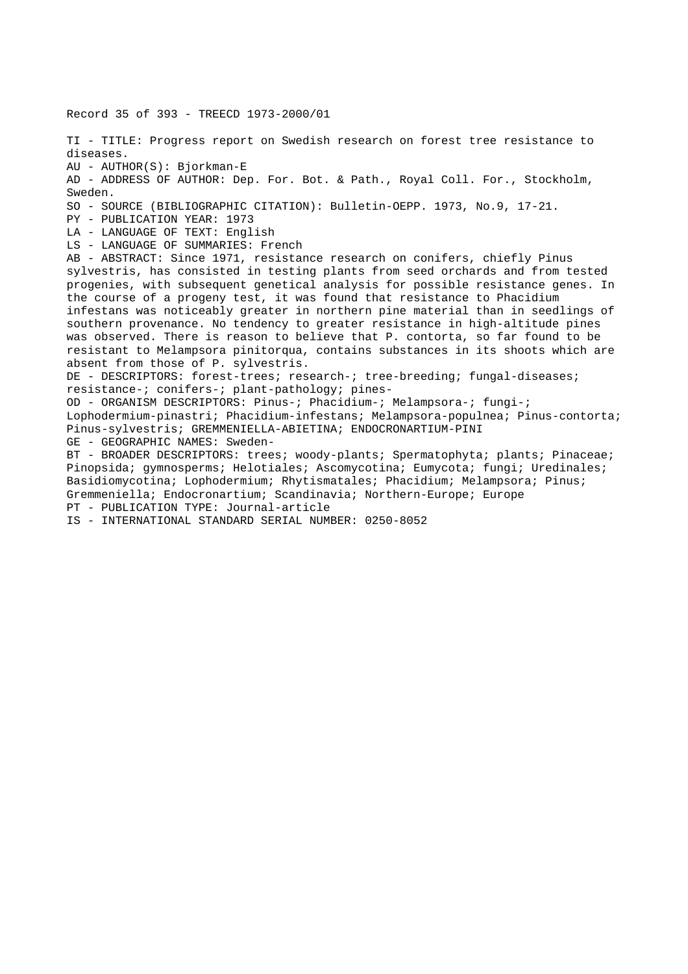Record 35 of 393 - TREECD 1973-2000/01 TI - TITLE: Progress report on Swedish research on forest tree resistance to diseases. AU - AUTHOR(S): Bjorkman-E AD - ADDRESS OF AUTHOR: Dep. For. Bot. & Path., Royal Coll. For., Stockholm, Sweden. SO - SOURCE (BIBLIOGRAPHIC CITATION): Bulletin-OEPP. 1973, No.9, 17-21. PY - PUBLICATION YEAR: 1973 LA - LANGUAGE OF TEXT: English LS - LANGUAGE OF SUMMARIES: French AB - ABSTRACT: Since 1971, resistance research on conifers, chiefly Pinus sylvestris, has consisted in testing plants from seed orchards and from tested progenies, with subsequent genetical analysis for possible resistance genes. In the course of a progeny test, it was found that resistance to Phacidium infestans was noticeably greater in northern pine material than in seedlings of southern provenance. No tendency to greater resistance in high-altitude pines was observed. There is reason to believe that P. contorta, so far found to be resistant to Melampsora pinitorqua, contains substances in its shoots which are absent from those of P. sylvestris. DE - DESCRIPTORS: forest-trees; research-; tree-breeding; fungal-diseases; resistance-; conifers-; plant-pathology; pines-OD - ORGANISM DESCRIPTORS: Pinus-; Phacidium-; Melampsora-; fungi-; Lophodermium-pinastri; Phacidium-infestans; Melampsora-populnea; Pinus-contorta; Pinus-sylvestris; GREMMENIELLA-ABIETINA; ENDOCRONARTIUM-PINI GE - GEOGRAPHIC NAMES: Sweden-BT - BROADER DESCRIPTORS: trees; woody-plants; Spermatophyta; plants; Pinaceae; Pinopsida; gymnosperms; Helotiales; Ascomycotina; Eumycota; fungi; Uredinales; Basidiomycotina; Lophodermium; Rhytismatales; Phacidium; Melampsora; Pinus; Gremmeniella; Endocronartium; Scandinavia; Northern-Europe; Europe PT - PUBLICATION TYPE: Journal-article IS - INTERNATIONAL STANDARD SERIAL NUMBER: 0250-8052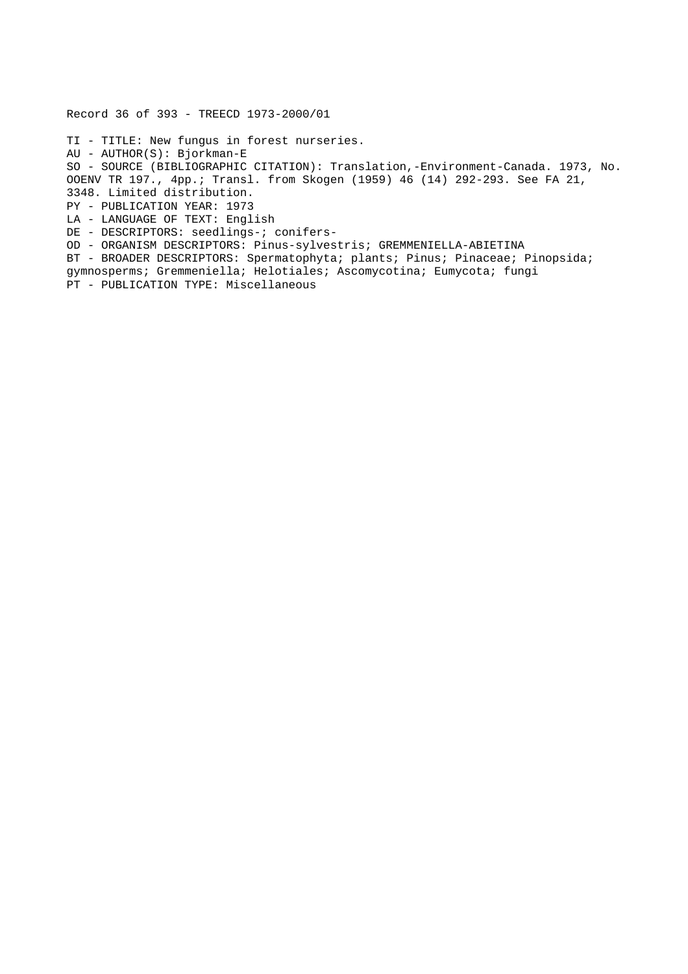Record 36 of 393 - TREECD 1973-2000/01 TI - TITLE: New fungus in forest nurseries. AU - AUTHOR(S): Bjorkman-E SO - SOURCE (BIBLIOGRAPHIC CITATION): Translation,-Environment-Canada. 1973, No. OOENV TR 197., 4pp.; Transl. from Skogen (1959) 46 (14) 292-293. See FA 21, 3348. Limited distribution. PY - PUBLICATION YEAR: 1973 LA - LANGUAGE OF TEXT: English DE - DESCRIPTORS: seedlings-; conifers-OD - ORGANISM DESCRIPTORS: Pinus-sylvestris; GREMMENIELLA-ABIETINA BT - BROADER DESCRIPTORS: Spermatophyta; plants; Pinus; Pinaceae; Pinopsida; gymnosperms; Gremmeniella; Helotiales; Ascomycotina; Eumycota; fungi PT - PUBLICATION TYPE: Miscellaneous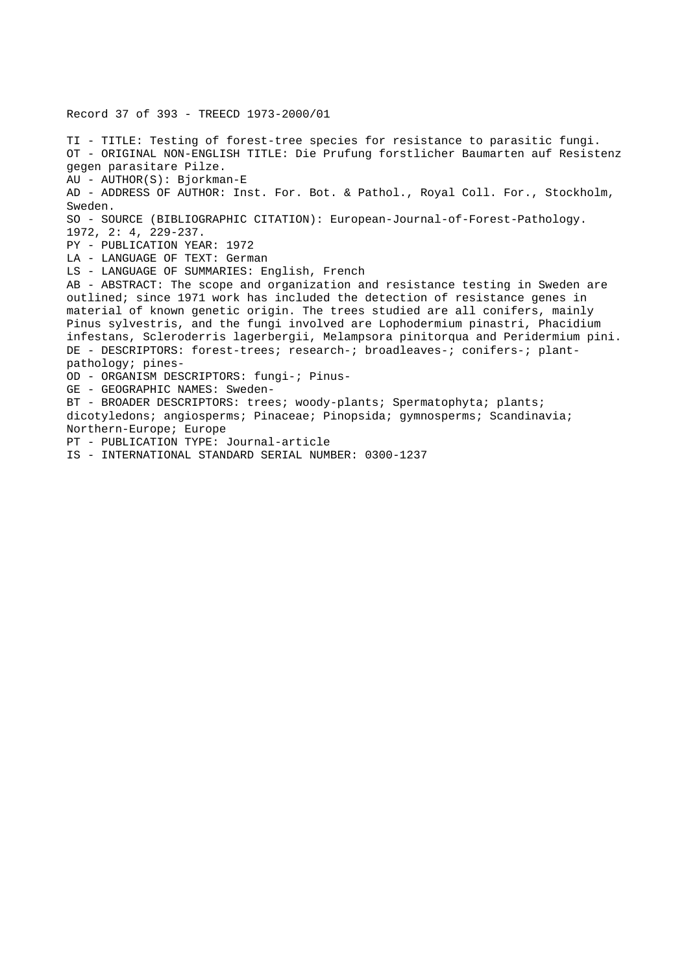Record 37 of 393 - TREECD 1973-2000/01 TI - TITLE: Testing of forest-tree species for resistance to parasitic fungi. OT - ORIGINAL NON-ENGLISH TITLE: Die Prufung forstlicher Baumarten auf Resistenz gegen parasitare Pilze. AU - AUTHOR(S): Bjorkman-E AD - ADDRESS OF AUTHOR: Inst. For. Bot. & Pathol., Royal Coll. For., Stockholm, Sweden. SO - SOURCE (BIBLIOGRAPHIC CITATION): European-Journal-of-Forest-Pathology. 1972, 2: 4, 229-237. PY - PUBLICATION YEAR: 1972 LA - LANGUAGE OF TEXT: German LS - LANGUAGE OF SUMMARIES: English, French AB - ABSTRACT: The scope and organization and resistance testing in Sweden are outlined; since 1971 work has included the detection of resistance genes in material of known genetic origin. The trees studied are all conifers, mainly Pinus sylvestris, and the fungi involved are Lophodermium pinastri, Phacidium infestans, Scleroderris lagerbergii, Melampsora pinitorqua and Peridermium pini. DE - DESCRIPTORS: forest-trees; research-; broadleaves-; conifers-; plantpathology; pines-OD - ORGANISM DESCRIPTORS: fungi-; Pinus-GE - GEOGRAPHIC NAMES: Sweden-BT - BROADER DESCRIPTORS: trees; woody-plants; Spermatophyta; plants; dicotyledons; angiosperms; Pinaceae; Pinopsida; gymnosperms; Scandinavia; Northern-Europe; Europe PT - PUBLICATION TYPE: Journal-article IS - INTERNATIONAL STANDARD SERIAL NUMBER: 0300-1237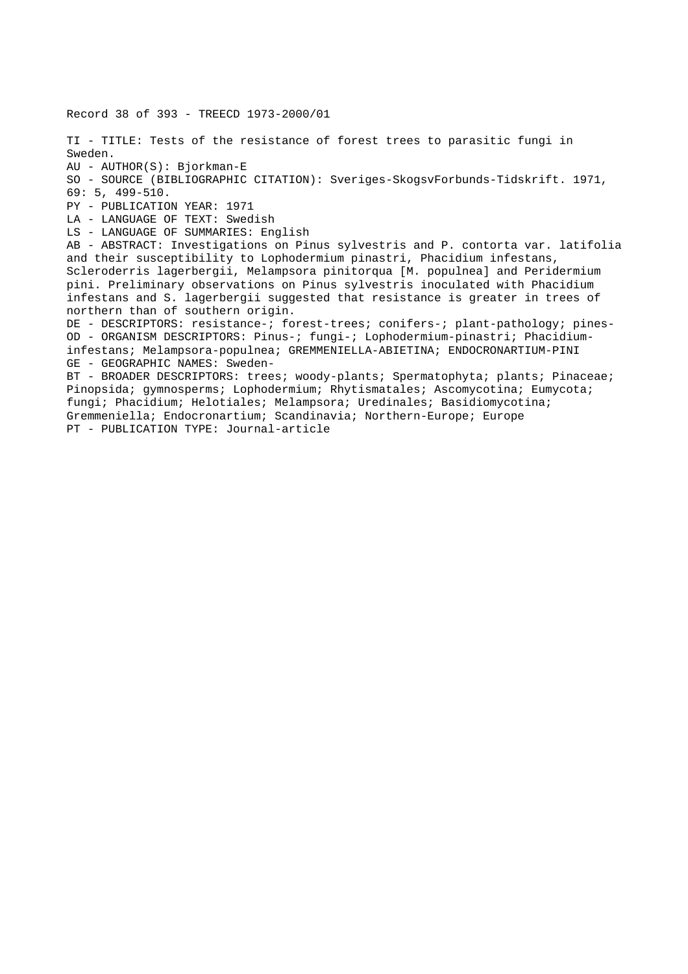Record 38 of 393 - TREECD 1973-2000/01 TI - TITLE: Tests of the resistance of forest trees to parasitic fungi in Sweden. AU - AUTHOR(S): Bjorkman-E SO - SOURCE (BIBLIOGRAPHIC CITATION): Sveriges-SkogsvForbunds-Tidskrift. 1971, 69: 5, 499-510. PY - PUBLICATION YEAR: 1971 LA - LANGUAGE OF TEXT: Swedish LS - LANGUAGE OF SUMMARIES: English AB - ABSTRACT: Investigations on Pinus sylvestris and P. contorta var. latifolia and their susceptibility to Lophodermium pinastri, Phacidium infestans, Scleroderris lagerbergii, Melampsora pinitorqua [M. populnea] and Peridermium pini. Preliminary observations on Pinus sylvestris inoculated with Phacidium infestans and S. lagerbergii suggested that resistance is greater in trees of northern than of southern origin. DE - DESCRIPTORS: resistance-; forest-trees; conifers-; plant-pathology; pines-OD - ORGANISM DESCRIPTORS: Pinus-; fungi-; Lophodermium-pinastri; Phacidiuminfestans; Melampsora-populnea; GREMMENIELLA-ABIETINA; ENDOCRONARTIUM-PINI GE - GEOGRAPHIC NAMES: Sweden-BT - BROADER DESCRIPTORS: trees; woody-plants; Spermatophyta; plants; Pinaceae; Pinopsida; gymnosperms; Lophodermium; Rhytismatales; Ascomycotina; Eumycota; fungi; Phacidium; Helotiales; Melampsora; Uredinales; Basidiomycotina; Gremmeniella; Endocronartium; Scandinavia; Northern-Europe; Europe PT - PUBLICATION TYPE: Journal-article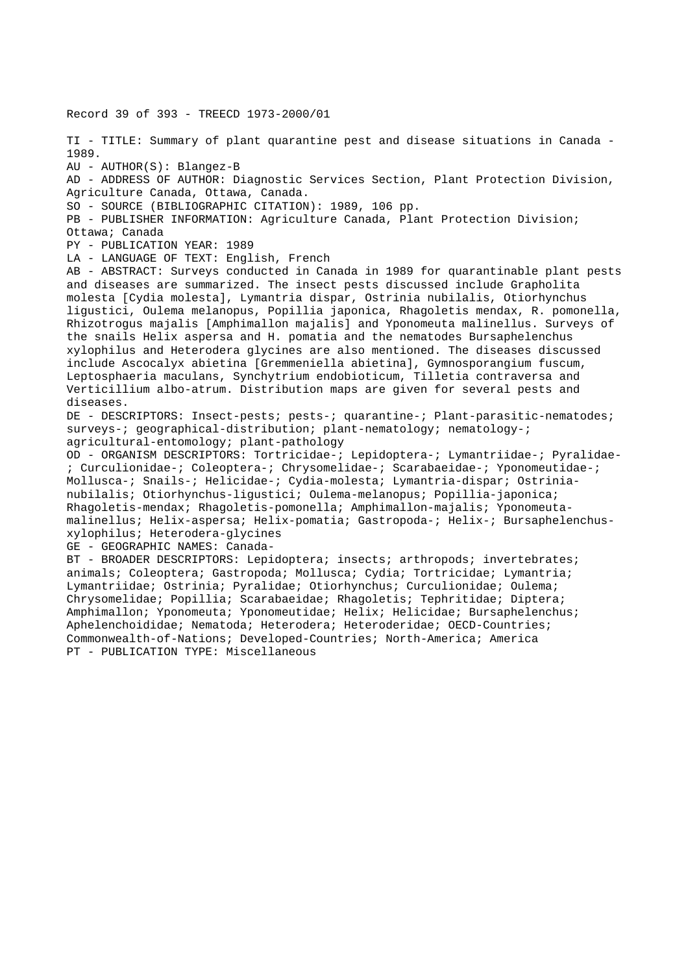Record 39 of 393 - TREECD 1973-2000/01 TI - TITLE: Summary of plant quarantine pest and disease situations in Canada - 1989. AU - AUTHOR(S): Blangez-B AD - ADDRESS OF AUTHOR: Diagnostic Services Section, Plant Protection Division, Agriculture Canada, Ottawa, Canada. SO - SOURCE (BIBLIOGRAPHIC CITATION): 1989, 106 pp. PB - PUBLISHER INFORMATION: Agriculture Canada, Plant Protection Division; Ottawa; Canada PY - PUBLICATION YEAR: 1989 LA - LANGUAGE OF TEXT: English, French AB - ABSTRACT: Surveys conducted in Canada in 1989 for quarantinable plant pests and diseases are summarized. The insect pests discussed include Grapholita molesta [Cydia molesta], Lymantria dispar, Ostrinia nubilalis, Otiorhynchus ligustici, Oulema melanopus, Popillia japonica, Rhagoletis mendax, R. pomonella, Rhizotrogus majalis [Amphimallon majalis] and Yponomeuta malinellus. Surveys of the snails Helix aspersa and H. pomatia and the nematodes Bursaphelenchus xylophilus and Heterodera glycines are also mentioned. The diseases discussed include Ascocalyx abietina [Gremmeniella abietina], Gymnosporangium fuscum, Leptosphaeria maculans, Synchytrium endobioticum, Tilletia contraversa and Verticillium albo-atrum. Distribution maps are given for several pests and diseases. DE - DESCRIPTORS: Insect-pests; pests-; quarantine-; Plant-parasitic-nematodes; surveys-; geographical-distribution; plant-nematology; nematology-; agricultural-entomology; plant-pathology OD - ORGANISM DESCRIPTORS: Tortricidae-; Lepidoptera-; Lymantriidae-; Pyralidae- ; Curculionidae-; Coleoptera-; Chrysomelidae-; Scarabaeidae-; Yponomeutidae-; Mollusca-; Snails-; Helicidae-; Cydia-molesta; Lymantria-dispar; Ostrinianubilalis; Otiorhynchus-ligustici; Oulema-melanopus; Popillia-japonica; Rhagoletis-mendax; Rhagoletis-pomonella; Amphimallon-majalis; Yponomeutamalinellus; Helix-aspersa; Helix-pomatia; Gastropoda-; Helix-; Bursaphelenchusxylophilus; Heterodera-glycines GE - GEOGRAPHIC NAMES: Canada-BT - BROADER DESCRIPTORS: Lepidoptera; insects; arthropods; invertebrates; animals; Coleoptera; Gastropoda; Mollusca; Cydia; Tortricidae; Lymantria; Lymantriidae; Ostrinia; Pyralidae; Otiorhynchus; Curculionidae; Oulema; Chrysomelidae; Popillia; Scarabaeidae; Rhagoletis; Tephritidae; Diptera; Amphimallon; Yponomeuta; Yponomeutidae; Helix; Helicidae; Bursaphelenchus; Aphelenchoididae; Nematoda; Heterodera; Heteroderidae; OECD-Countries; Commonwealth-of-Nations; Developed-Countries; North-America; America PT - PUBLICATION TYPE: Miscellaneous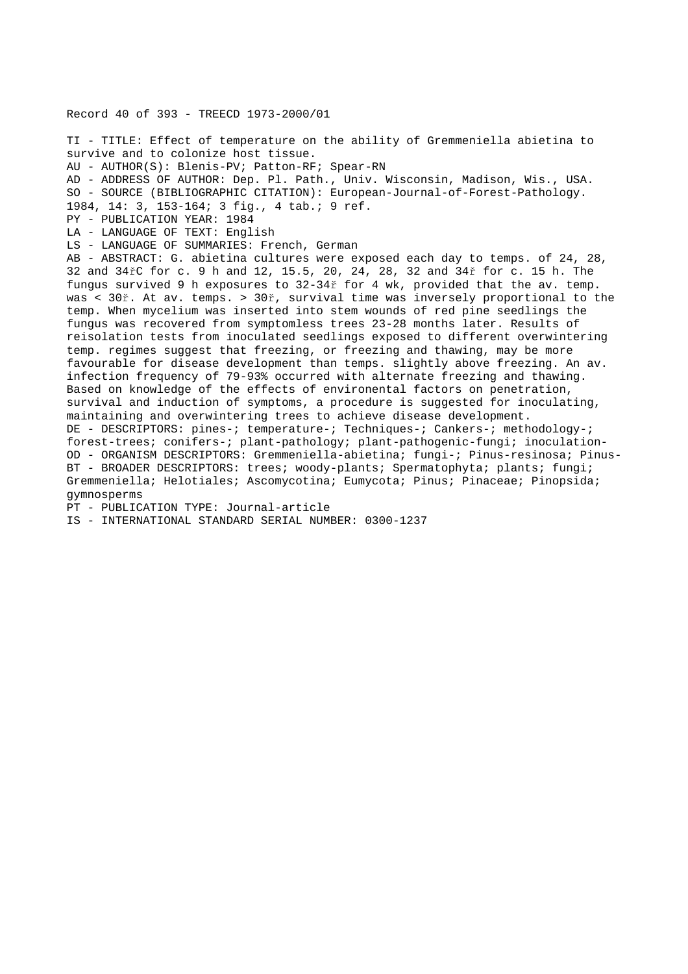Record 40 of 393 - TREECD 1973-2000/01 TI - TITLE: Effect of temperature on the ability of Gremmeniella abietina to survive and to colonize host tissue. AU - AUTHOR(S): Blenis-PV; Patton-RF; Spear-RN AD - ADDRESS OF AUTHOR: Dep. Pl. Path., Univ. Wisconsin, Madison, Wis., USA. SO - SOURCE (BIBLIOGRAPHIC CITATION): European-Journal-of-Forest-Pathology. 1984, 14: 3, 153-164; 3 fig., 4 tab.; 9 ref. PY - PUBLICATION YEAR: 1984 LA - LANGUAGE OF TEXT: English LS - LANGUAGE OF SUMMARIES: French, German AB - ABSTRACT: G. abietina cultures were exposed each day to temps. of 24, 28, 32 and 34řC for c. 9 h and 12, 15.5, 20, 24, 28, 32 and 34ř for c. 15 h. The fungus survived 9 h exposures to 32-34ř for 4 wk, provided that the av. temp. was < 30ř. At av. temps. > 30ř, survival time was inversely proportional to the temp. When mycelium was inserted into stem wounds of red pine seedlings the fungus was recovered from symptomless trees 23-28 months later. Results of reisolation tests from inoculated seedlings exposed to different overwintering temp. regimes suggest that freezing, or freezing and thawing, may be more favourable for disease development than temps. slightly above freezing. An av. infection frequency of 79-93% occurred with alternate freezing and thawing. Based on knowledge of the effects of environental factors on penetration, survival and induction of symptoms, a procedure is suggested for inoculating, maintaining and overwintering trees to achieve disease development. DE - DESCRIPTORS: pines-; temperature-; Techniques-; Cankers-; methodology-; forest-trees; conifers-; plant-pathology; plant-pathogenic-fungi; inoculation-OD - ORGANISM DESCRIPTORS: Gremmeniella-abietina; fungi-; Pinus-resinosa; Pinus-BT - BROADER DESCRIPTORS: trees; woody-plants; Spermatophyta; plants; fungi; Gremmeniella; Helotiales; Ascomycotina; Eumycota; Pinus; Pinaceae; Pinopsida; gymnosperms

PT - PUBLICATION TYPE: Journal-article

IS - INTERNATIONAL STANDARD SERIAL NUMBER: 0300-1237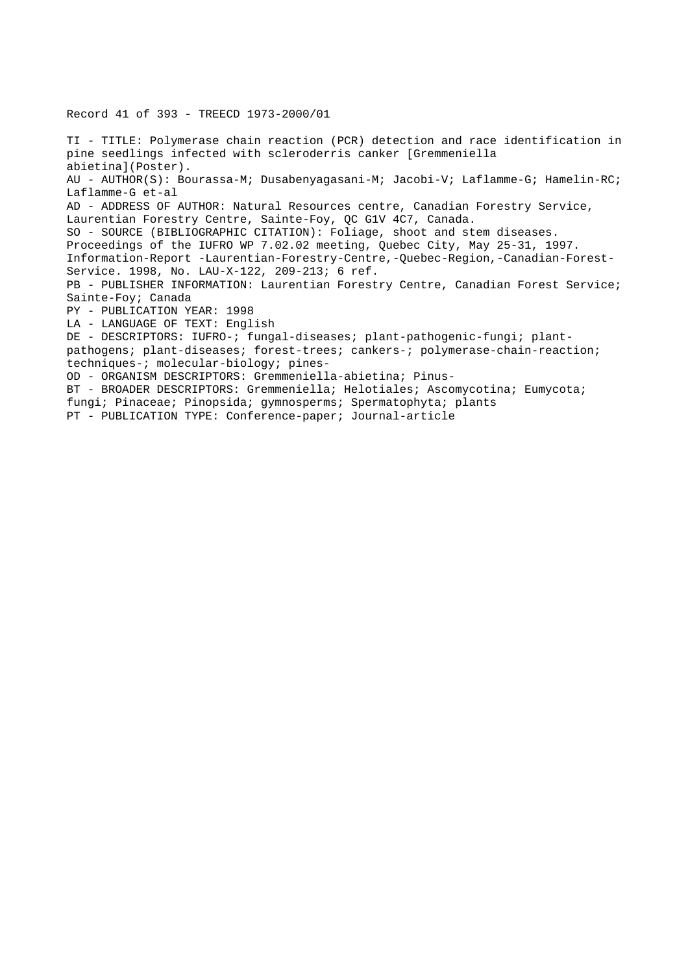Record 41 of 393 - TREECD 1973-2000/01

TI - TITLE: Polymerase chain reaction (PCR) detection and race identification in pine seedlings infected with scleroderris canker [Gremmeniella abietina](Poster). AU - AUTHOR(S): Bourassa-M; Dusabenyagasani-M; Jacobi-V; Laflamme-G; Hamelin-RC; Laflamme-G et-al AD - ADDRESS OF AUTHOR: Natural Resources centre, Canadian Forestry Service, Laurentian Forestry Centre, Sainte-Foy, QC G1V 4C7, Canada. SO - SOURCE (BIBLIOGRAPHIC CITATION): Foliage, shoot and stem diseases. Proceedings of the IUFRO WP 7.02.02 meeting, Quebec City, May 25-31, 1997. Information-Report -Laurentian-Forestry-Centre,-Quebec-Region,-Canadian-Forest-Service. 1998, No. LAU-X-122, 209-213; 6 ref. PB - PUBLISHER INFORMATION: Laurentian Forestry Centre, Canadian Forest Service; Sainte-Foy; Canada PY - PUBLICATION YEAR: 1998 LA - LANGUAGE OF TEXT: English DE - DESCRIPTORS: IUFRO-; fungal-diseases; plant-pathogenic-fungi; plantpathogens; plant-diseases; forest-trees; cankers-; polymerase-chain-reaction; techniques-; molecular-biology; pines-OD - ORGANISM DESCRIPTORS: Gremmeniella-abietina; Pinus-BT - BROADER DESCRIPTORS: Gremmeniella; Helotiales; Ascomycotina; Eumycota; fungi; Pinaceae; Pinopsida; gymnosperms; Spermatophyta; plants

PT - PUBLICATION TYPE: Conference-paper; Journal-article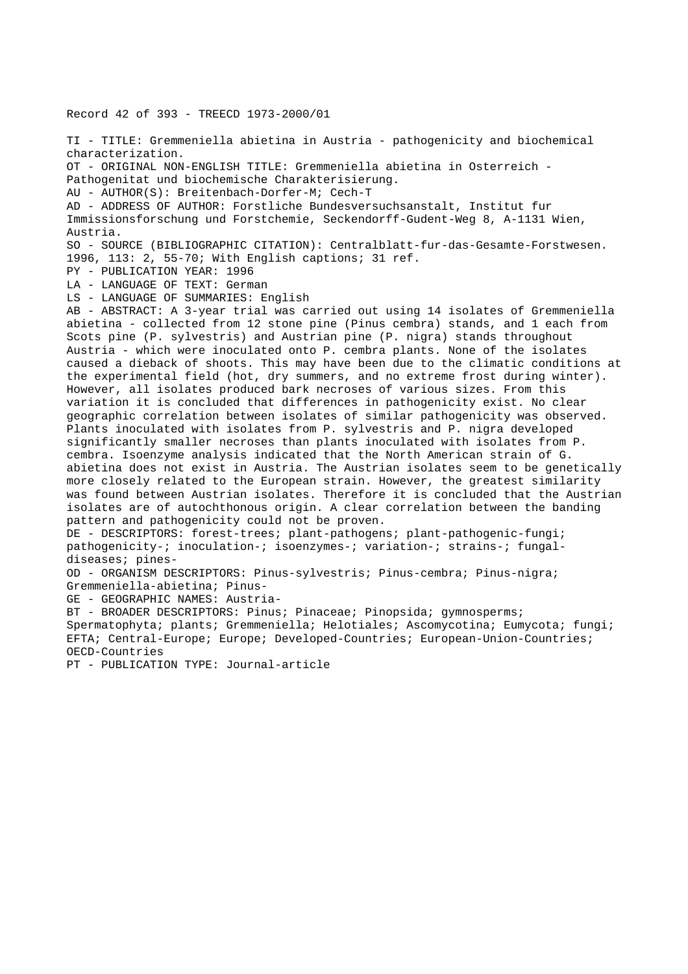Record 42 of 393 - TREECD 1973-2000/01

TI - TITLE: Gremmeniella abietina in Austria - pathogenicity and biochemical characterization. OT - ORIGINAL NON-ENGLISH TITLE: Gremmeniella abietina in Osterreich - Pathogenitat und biochemische Charakterisierung. AU - AUTHOR(S): Breitenbach-Dorfer-M; Cech-T AD - ADDRESS OF AUTHOR: Forstliche Bundesversuchsanstalt, Institut fur Immissionsforschung und Forstchemie, Seckendorff-Gudent-Weg 8, A-1131 Wien, Austria. SO - SOURCE (BIBLIOGRAPHIC CITATION): Centralblatt-fur-das-Gesamte-Forstwesen. 1996, 113: 2, 55-70; With English captions; 31 ref. PY - PUBLICATION YEAR: 1996 LA - LANGUAGE OF TEXT: German LS - LANGUAGE OF SUMMARIES: English AB - ABSTRACT: A 3-year trial was carried out using 14 isolates of Gremmeniella abietina - collected from 12 stone pine (Pinus cembra) stands, and 1 each from Scots pine (P. sylvestris) and Austrian pine (P. nigra) stands throughout Austria - which were inoculated onto P. cembra plants. None of the isolates caused a dieback of shoots. This may have been due to the climatic conditions at the experimental field (hot, dry summers, and no extreme frost during winter). However, all isolates produced bark necroses of various sizes. From this variation it is concluded that differences in pathogenicity exist. No clear geographic correlation between isolates of similar pathogenicity was observed. Plants inoculated with isolates from P. sylvestris and P. nigra developed significantly smaller necroses than plants inoculated with isolates from P. cembra. Isoenzyme analysis indicated that the North American strain of G. abietina does not exist in Austria. The Austrian isolates seem to be genetically more closely related to the European strain. However, the greatest similarity was found between Austrian isolates. Therefore it is concluded that the Austrian isolates are of autochthonous origin. A clear correlation between the banding pattern and pathogenicity could not be proven. DE - DESCRIPTORS: forest-trees; plant-pathogens; plant-pathogenic-fungi; pathogenicity-; inoculation-; isoenzymes-; variation-; strains-; fungaldiseases; pines-OD - ORGANISM DESCRIPTORS: Pinus-sylvestris; Pinus-cembra; Pinus-nigra; Gremmeniella-abietina; Pinus-GE - GEOGRAPHIC NAMES: Austria-BT - BROADER DESCRIPTORS: Pinus; Pinaceae; Pinopsida; gymnosperms; Spermatophyta; plants; Gremmeniella; Helotiales; Ascomycotina; Eumycota; fungi; EFTA; Central-Europe; Europe; Developed-Countries; European-Union-Countries; OECD-Countries PT - PUBLICATION TYPE: Journal-article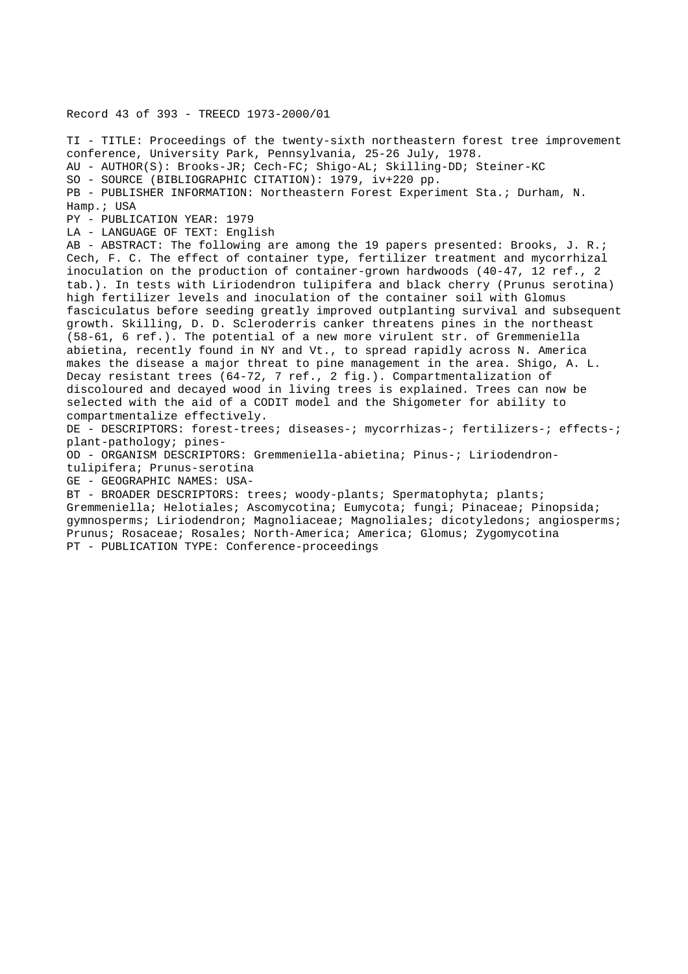Record 43 of 393 - TREECD 1973-2000/01

TI - TITLE: Proceedings of the twenty-sixth northeastern forest tree improvement conference, University Park, Pennsylvania, 25-26 July, 1978. AU - AUTHOR(S): Brooks-JR; Cech-FC; Shigo-AL; Skilling-DD; Steiner-KC SO - SOURCE (BIBLIOGRAPHIC CITATION): 1979, iv+220 pp. PB - PUBLISHER INFORMATION: Northeastern Forest Experiment Sta.; Durham, N. Hamp.; USA PY - PUBLICATION YEAR: 1979 LA - LANGUAGE OF TEXT: English AB - ABSTRACT: The following are among the 19 papers presented: Brooks, J. R.; Cech, F. C. The effect of container type, fertilizer treatment and mycorrhizal inoculation on the production of container-grown hardwoods (40-47, 12 ref., 2 tab.). In tests with Liriodendron tulipifera and black cherry (Prunus serotina) high fertilizer levels and inoculation of the container soil with Glomus fasciculatus before seeding greatly improved outplanting survival and subsequent growth. Skilling, D. D. Scleroderris canker threatens pines in the northeast (58-61, 6 ref.). The potential of a new more virulent str. of Gremmeniella abietina, recently found in NY and Vt., to spread rapidly across N. America makes the disease a major threat to pine management in the area. Shigo, A. L. Decay resistant trees (64-72, 7 ref., 2 fig.). Compartmentalization of discoloured and decayed wood in living trees is explained. Trees can now be selected with the aid of a CODIT model and the Shigometer for ability to compartmentalize effectively. DE - DESCRIPTORS: forest-trees; diseases-; mycorrhizas-; fertilizers-; effects-; plant-pathology; pines-OD - ORGANISM DESCRIPTORS: Gremmeniella-abietina; Pinus-; Liriodendrontulipifera; Prunus-serotina GE - GEOGRAPHIC NAMES: USA-BT - BROADER DESCRIPTORS: trees; woody-plants; Spermatophyta; plants; Gremmeniella; Helotiales; Ascomycotina; Eumycota; fungi; Pinaceae; Pinopsida;

gymnosperms; Liriodendron; Magnoliaceae; Magnoliales; dicotyledons; angiosperms; Prunus; Rosaceae; Rosales; North-America; America; Glomus; Zygomycotina PT - PUBLICATION TYPE: Conference-proceedings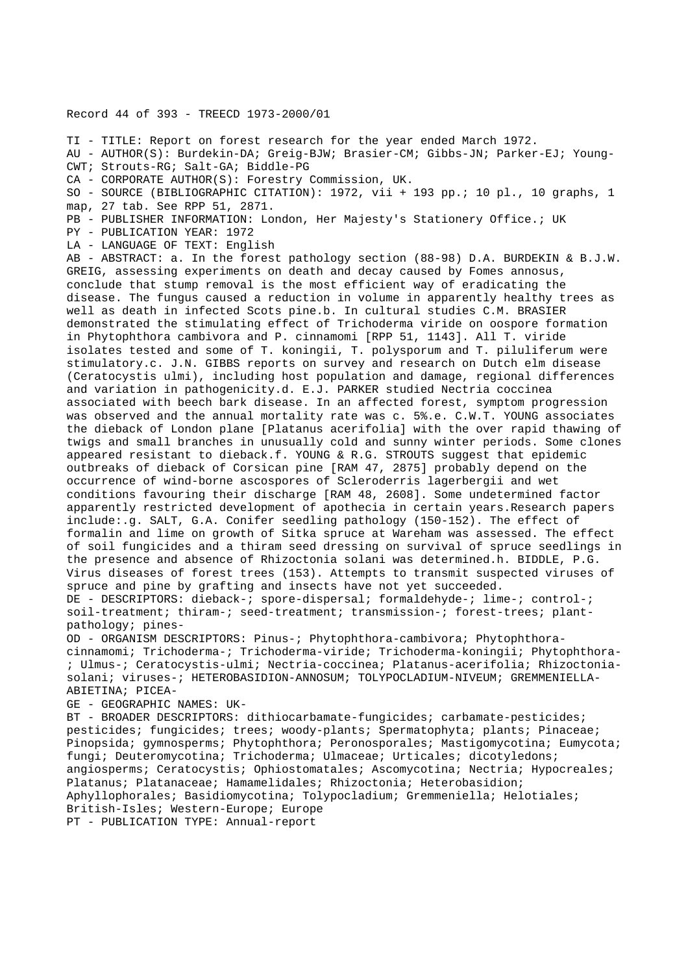Record 44 of 393 - TREECD 1973-2000/01

TI - TITLE: Report on forest research for the year ended March 1972.

AU - AUTHOR(S): Burdekin-DA; Greig-BJW; Brasier-CM; Gibbs-JN; Parker-EJ; Young-CWT; Strouts-RG; Salt-GA; Biddle-PG

CA - CORPORATE AUTHOR(S): Forestry Commission, UK.

SO - SOURCE (BIBLIOGRAPHIC CITATION): 1972, vii + 193 pp.; 10 pl., 10 graphs, 1 map, 27 tab. See RPP 51, 2871.

PB - PUBLISHER INFORMATION: London, Her Majesty's Stationery Office.; UK

PY - PUBLICATION YEAR: 1972

LA - LANGUAGE OF TEXT: English

AB - ABSTRACT: a. In the forest pathology section (88-98) D.A. BURDEKIN & B.J.W. GREIG, assessing experiments on death and decay caused by Fomes annosus, conclude that stump removal is the most efficient way of eradicating the disease. The fungus caused a reduction in volume in apparently healthy trees as well as death in infected Scots pine.b. In cultural studies C.M. BRASIER demonstrated the stimulating effect of Trichoderma viride on oospore formation in Phytophthora cambivora and P. cinnamomi [RPP 51, 1143]. All T. viride isolates tested and some of T. koningii, T. polysporum and T. piluliferum were stimulatory.c. J.N. GIBBS reports on survey and research on Dutch elm disease (Ceratocystis ulmi), including host population and damage, regional differences and variation in pathogenicity.d. E.J. PARKER studied Nectria coccinea associated with beech bark disease. In an affected forest, symptom progression was observed and the annual mortality rate was c. 5%.e. C.W.T. YOUNG associates the dieback of London plane [Platanus acerifolia] with the over rapid thawing of twigs and small branches in unusually cold and sunny winter periods. Some clones appeared resistant to dieback.f. YOUNG & R.G. STROUTS suggest that epidemic outbreaks of dieback of Corsican pine [RAM 47, 2875] probably depend on the occurrence of wind-borne ascospores of Scleroderris lagerbergii and wet conditions favouring their discharge [RAM 48, 2608]. Some undetermined factor apparently restricted development of apothecia in certain years.Research papers include:.g. SALT, G.A. Conifer seedling pathology (150-152). The effect of formalin and lime on growth of Sitka spruce at Wareham was assessed. The effect of soil fungicides and a thiram seed dressing on survival of spruce seedlings in the presence and absence of Rhizoctonia solani was determined.h. BIDDLE, P.G. Virus diseases of forest trees (153). Attempts to transmit suspected viruses of spruce and pine by grafting and insects have not yet succeeded. DE - DESCRIPTORS: dieback-; spore-dispersal; formaldehyde-; lime-; control-; soil-treatment; thiram-; seed-treatment; transmission-; forest-trees; plantpathology; pines-

OD - ORGANISM DESCRIPTORS: Pinus-; Phytophthora-cambivora; Phytophthoracinnamomi; Trichoderma-; Trichoderma-viride; Trichoderma-koningii; Phytophthora- ; Ulmus-; Ceratocystis-ulmi; Nectria-coccinea; Platanus-acerifolia; Rhizoctoniasolani; viruses-; HETEROBASIDION-ANNOSUM; TOLYPOCLADIUM-NIVEUM; GREMMENIELLA-ABIETINA; PICEA-

GE - GEOGRAPHIC NAMES: UK-

BT - BROADER DESCRIPTORS: dithiocarbamate-fungicides; carbamate-pesticides; pesticides; fungicides; trees; woody-plants; Spermatophyta; plants; Pinaceae; Pinopsida; gymnosperms; Phytophthora; Peronosporales; Mastigomycotina; Eumycota; fungi; Deuteromycotina; Trichoderma; Ulmaceae; Urticales; dicotyledons; angiosperms; Ceratocystis; Ophiostomatales; Ascomycotina; Nectria; Hypocreales; Platanus; Platanaceae; Hamamelidales; Rhizoctonia; Heterobasidion; Aphyllophorales; Basidiomycotina; Tolypocladium; Gremmeniella; Helotiales; British-Isles; Western-Europe; Europe PT - PUBLICATION TYPE: Annual-report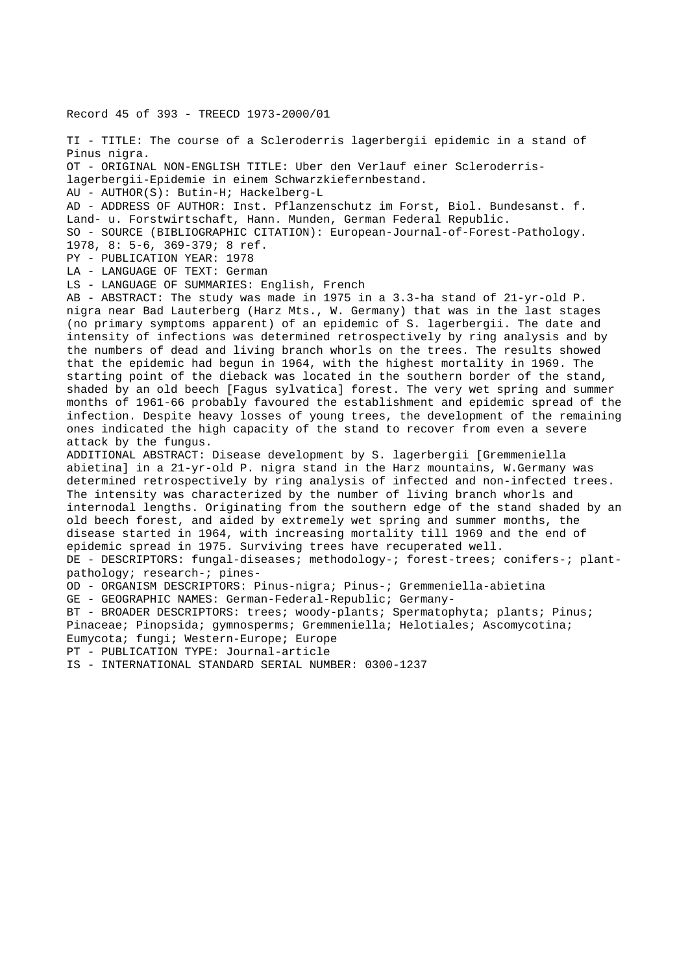Record 45 of 393 - TREECD 1973-2000/01 TI - TITLE: The course of a Scleroderris lagerbergii epidemic in a stand of Pinus nigra. OT - ORIGINAL NON-ENGLISH TITLE: Uber den Verlauf einer Scleroderrislagerbergii-Epidemie in einem Schwarzkiefernbestand. AU - AUTHOR(S): Butin-H; Hackelberg-L AD - ADDRESS OF AUTHOR: Inst. Pflanzenschutz im Forst, Biol. Bundesanst. f. Land- u. Forstwirtschaft, Hann. Munden, German Federal Republic. SO - SOURCE (BIBLIOGRAPHIC CITATION): European-Journal-of-Forest-Pathology. 1978, 8: 5-6, 369-379; 8 ref. PY - PUBLICATION YEAR: 1978 LA - LANGUAGE OF TEXT: German LS - LANGUAGE OF SUMMARIES: English, French AB - ABSTRACT: The study was made in 1975 in a 3.3-ha stand of 21-yr-old P. nigra near Bad Lauterberg (Harz Mts., W. Germany) that was in the last stages (no primary symptoms apparent) of an epidemic of S. lagerbergii. The date and intensity of infections was determined retrospectively by ring analysis and by the numbers of dead and living branch whorls on the trees. The results showed that the epidemic had begun in 1964, with the highest mortality in 1969. The starting point of the dieback was located in the southern border of the stand, shaded by an old beech [Fagus sylvatica] forest. The very wet spring and summer months of 1961-66 probably favoured the establishment and epidemic spread of the infection. Despite heavy losses of young trees, the development of the remaining ones indicated the high capacity of the stand to recover from even a severe attack by the fungus. ADDITIONAL ABSTRACT: Disease development by S. lagerbergii [Gremmeniella abietina] in a 21-yr-old P. nigra stand in the Harz mountains, W.Germany was determined retrospectively by ring analysis of infected and non-infected trees. The intensity was characterized by the number of living branch whorls and internodal lengths. Originating from the southern edge of the stand shaded by an old beech forest, and aided by extremely wet spring and summer months, the disease started in 1964, with increasing mortality till 1969 and the end of epidemic spread in 1975. Surviving trees have recuperated well. DE - DESCRIPTORS: fungal-diseases; methodology-; forest-trees; conifers-; plantpathology; research-; pines-OD - ORGANISM DESCRIPTORS: Pinus-nigra; Pinus-; Gremmeniella-abietina GE - GEOGRAPHIC NAMES: German-Federal-Republic; Germany-BT - BROADER DESCRIPTORS: trees; woody-plants; Spermatophyta; plants; Pinus; Pinaceae; Pinopsida; gymnosperms; Gremmeniella; Helotiales; Ascomycotina; Eumycota; fungi; Western-Europe; Europe PT - PUBLICATION TYPE: Journal-article IS - INTERNATIONAL STANDARD SERIAL NUMBER: 0300-1237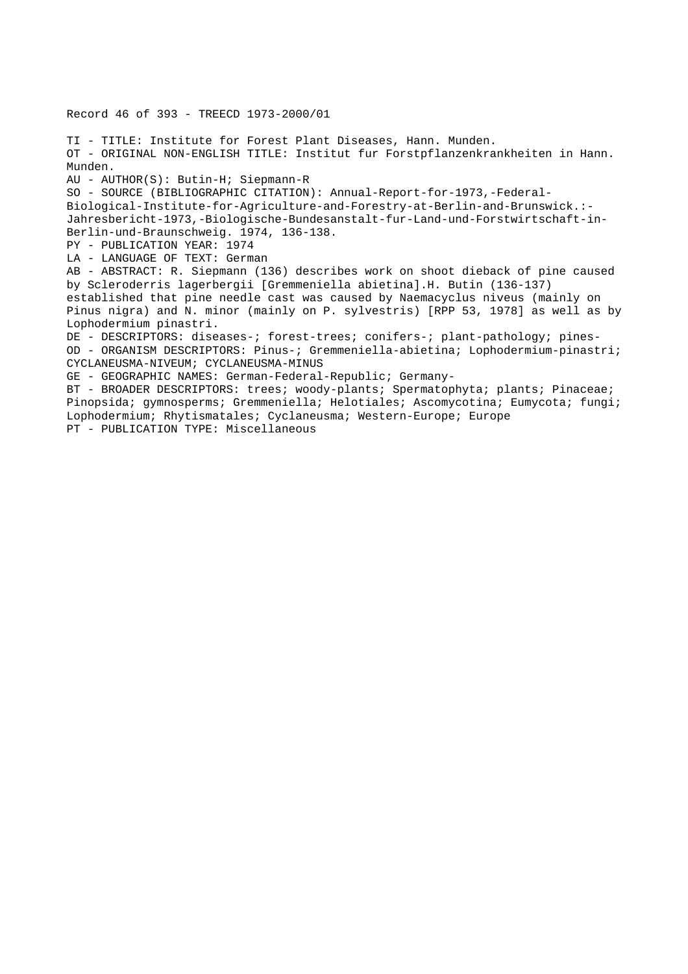Record 46 of 393 - TREECD 1973-2000/01

TI - TITLE: Institute for Forest Plant Diseases, Hann. Munden. OT - ORIGINAL NON-ENGLISH TITLE: Institut fur Forstpflanzenkrankheiten in Hann. Munden. AU - AUTHOR(S): Butin-H; Siepmann-R SO - SOURCE (BIBLIOGRAPHIC CITATION): Annual-Report-for-1973,-Federal-Biological-Institute-for-Agriculture-and-Forestry-at-Berlin-and-Brunswick.:- Jahresbericht-1973,-Biologische-Bundesanstalt-fur-Land-und-Forstwirtschaft-in-Berlin-und-Braunschweig. 1974, 136-138. PY - PUBLICATION YEAR: 1974 LA - LANGUAGE OF TEXT: German AB - ABSTRACT: R. Siepmann (136) describes work on shoot dieback of pine caused by Scleroderris lagerbergii [Gremmeniella abietina].H. Butin (136-137) established that pine needle cast was caused by Naemacyclus niveus (mainly on Pinus nigra) and N. minor (mainly on P. sylvestris) [RPP 53, 1978] as well as by Lophodermium pinastri. DE - DESCRIPTORS: diseases-; forest-trees; conifers-; plant-pathology; pines-OD - ORGANISM DESCRIPTORS: Pinus-; Gremmeniella-abietina; Lophodermium-pinastri; CYCLANEUSMA-NIVEUM; CYCLANEUSMA-MINUS GE - GEOGRAPHIC NAMES: German-Federal-Republic; Germany-BT - BROADER DESCRIPTORS: trees; woody-plants; Spermatophyta; plants; Pinaceae; Pinopsida; gymnosperms; Gremmeniella; Helotiales; Ascomycotina; Eumycota; fungi; Lophodermium; Rhytismatales; Cyclaneusma; Western-Europe; Europe PT - PUBLICATION TYPE: Miscellaneous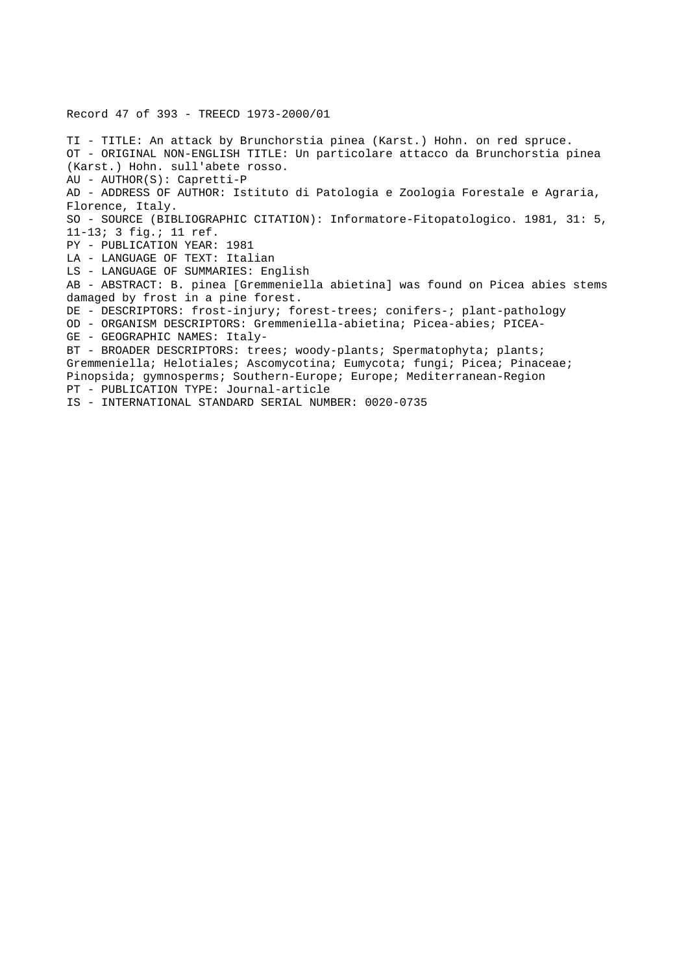Record 47 of 393 - TREECD 1973-2000/01

TI - TITLE: An attack by Brunchorstia pinea (Karst.) Hohn. on red spruce. OT - ORIGINAL NON-ENGLISH TITLE: Un particolare attacco da Brunchorstia pinea (Karst.) Hohn. sull'abete rosso. AU - AUTHOR(S): Capretti-P AD - ADDRESS OF AUTHOR: Istituto di Patologia e Zoologia Forestale e Agraria, Florence, Italy. SO - SOURCE (BIBLIOGRAPHIC CITATION): Informatore-Fitopatologico. 1981, 31: 5, 11-13; 3 fig.; 11 ref. PY - PUBLICATION YEAR: 1981 LA - LANGUAGE OF TEXT: Italian LS - LANGUAGE OF SUMMARIES: English AB - ABSTRACT: B. pinea [Gremmeniella abietina] was found on Picea abies stems damaged by frost in a pine forest. DE - DESCRIPTORS: frost-injury; forest-trees; conifers-; plant-pathology OD - ORGANISM DESCRIPTORS: Gremmeniella-abietina; Picea-abies; PICEA-GE - GEOGRAPHIC NAMES: Italy-BT - BROADER DESCRIPTORS: trees; woody-plants; Spermatophyta; plants; Gremmeniella; Helotiales; Ascomycotina; Eumycota; fungi; Picea; Pinaceae; Pinopsida; gymnosperms; Southern-Europe; Europe; Mediterranean-Region PT - PUBLICATION TYPE: Journal-article IS - INTERNATIONAL STANDARD SERIAL NUMBER: 0020-0735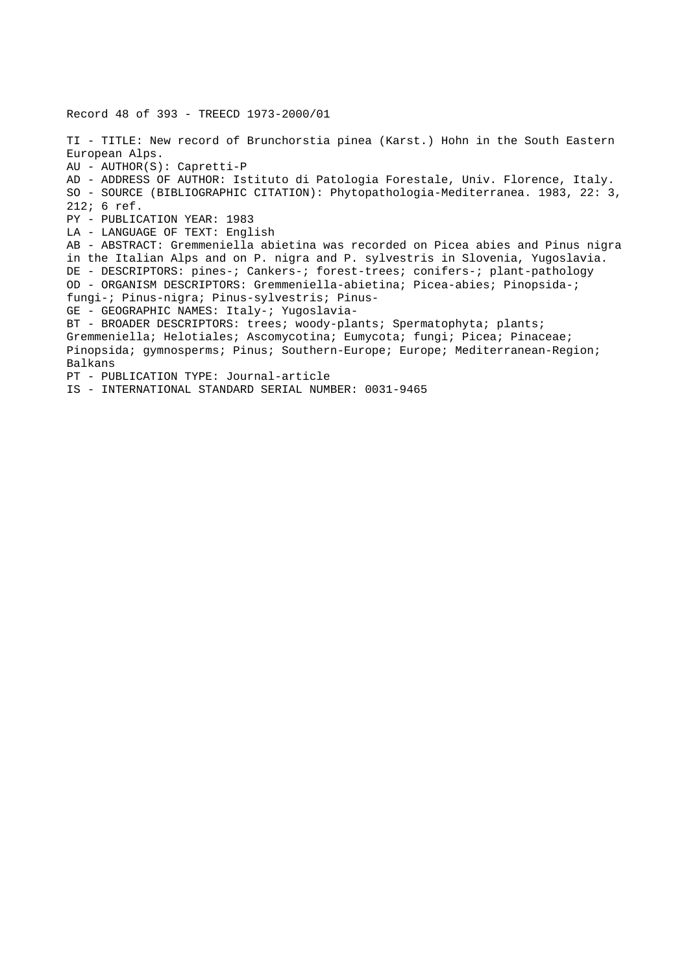Record 48 of 393 - TREECD 1973-2000/01 TI - TITLE: New record of Brunchorstia pinea (Karst.) Hohn in the South Eastern European Alps. AU - AUTHOR(S): Capretti-P AD - ADDRESS OF AUTHOR: Istituto di Patologia Forestale, Univ. Florence, Italy. SO - SOURCE (BIBLIOGRAPHIC CITATION): Phytopathologia-Mediterranea. 1983, 22: 3, 212; 6 ref. PY - PUBLICATION YEAR: 1983 LA - LANGUAGE OF TEXT: English AB - ABSTRACT: Gremmeniella abietina was recorded on Picea abies and Pinus nigra in the Italian Alps and on P. nigra and P. sylvestris in Slovenia, Yugoslavia. DE - DESCRIPTORS: pines-; Cankers-; forest-trees; conifers-; plant-pathology OD - ORGANISM DESCRIPTORS: Gremmeniella-abietina; Picea-abies; Pinopsida-; fungi-; Pinus-nigra; Pinus-sylvestris; Pinus-GE - GEOGRAPHIC NAMES: Italy-; Yugoslavia-BT - BROADER DESCRIPTORS: trees; woody-plants; Spermatophyta; plants; Gremmeniella; Helotiales; Ascomycotina; Eumycota; fungi; Picea; Pinaceae; Pinopsida; gymnosperms; Pinus; Southern-Europe; Europe; Mediterranean-Region; Balkans PT - PUBLICATION TYPE: Journal-article IS - INTERNATIONAL STANDARD SERIAL NUMBER: 0031-9465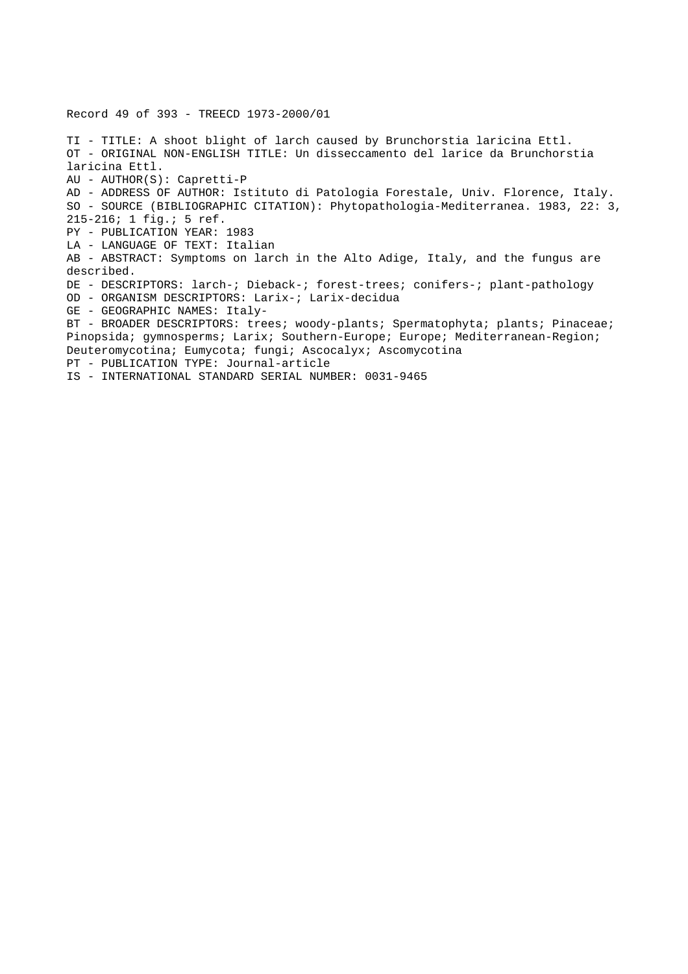TI - TITLE: A shoot blight of larch caused by Brunchorstia laricina Ettl. OT - ORIGINAL NON-ENGLISH TITLE: Un disseccamento del larice da Brunchorstia laricina Ettl. AU - AUTHOR(S): Capretti-P AD - ADDRESS OF AUTHOR: Istituto di Patologia Forestale, Univ. Florence, Italy. SO - SOURCE (BIBLIOGRAPHIC CITATION): Phytopathologia-Mediterranea. 1983, 22: 3, 215-216; 1 fig.; 5 ref. PY - PUBLICATION YEAR: 1983 LA - LANGUAGE OF TEXT: Italian AB - ABSTRACT: Symptoms on larch in the Alto Adige, Italy, and the fungus are described. DE - DESCRIPTORS: larch-; Dieback-; forest-trees; conifers-; plant-pathology OD - ORGANISM DESCRIPTORS: Larix-; Larix-decidua GE - GEOGRAPHIC NAMES: Italy-BT - BROADER DESCRIPTORS: trees; woody-plants; Spermatophyta; plants; Pinaceae; Pinopsida; gymnosperms; Larix; Southern-Europe; Europe; Mediterranean-Region; Deuteromycotina; Eumycota; fungi; Ascocalyx; Ascomycotina PT - PUBLICATION TYPE: Journal-article

IS - INTERNATIONAL STANDARD SERIAL NUMBER: 0031-9465

Record 49 of 393 - TREECD 1973-2000/01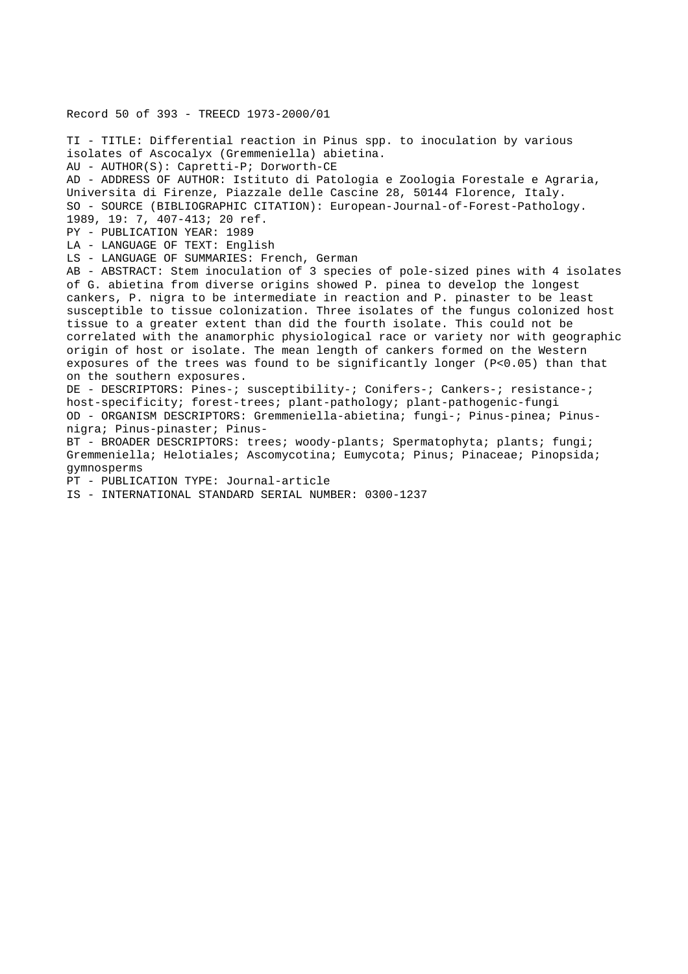## Record 50 of 393 - TREECD 1973-2000/01

TI - TITLE: Differential reaction in Pinus spp. to inoculation by various isolates of Ascocalyx (Gremmeniella) abietina. AU - AUTHOR(S): Capretti-P; Dorworth-CE AD - ADDRESS OF AUTHOR: Istituto di Patologia e Zoologia Forestale e Agraria, Universita di Firenze, Piazzale delle Cascine 28, 50144 Florence, Italy. SO - SOURCE (BIBLIOGRAPHIC CITATION): European-Journal-of-Forest-Pathology. 1989, 19: 7, 407-413; 20 ref. PY - PUBLICATION YEAR: 1989 LA - LANGUAGE OF TEXT: English LS - LANGUAGE OF SUMMARIES: French, German AB - ABSTRACT: Stem inoculation of 3 species of pole-sized pines with 4 isolates of G. abietina from diverse origins showed P. pinea to develop the longest cankers, P. nigra to be intermediate in reaction and P. pinaster to be least susceptible to tissue colonization. Three isolates of the fungus colonized host tissue to a greater extent than did the fourth isolate. This could not be correlated with the anamorphic physiological race or variety nor with geographic origin of host or isolate. The mean length of cankers formed on the Western exposures of the trees was found to be significantly longer (P<0.05) than that on the southern exposures. DE - DESCRIPTORS: Pines-; susceptibility-; Conifers-; Cankers-; resistance-; host-specificity; forest-trees; plant-pathology; plant-pathogenic-fungi OD - ORGANISM DESCRIPTORS: Gremmeniella-abietina; fungi-; Pinus-pinea; Pinusnigra; Pinus-pinaster; Pinus-BT - BROADER DESCRIPTORS: trees; woody-plants; Spermatophyta; plants; fungi; Gremmeniella; Helotiales; Ascomycotina; Eumycota; Pinus; Pinaceae; Pinopsida; gymnosperms PT - PUBLICATION TYPE: Journal-article

IS - INTERNATIONAL STANDARD SERIAL NUMBER: 0300-1237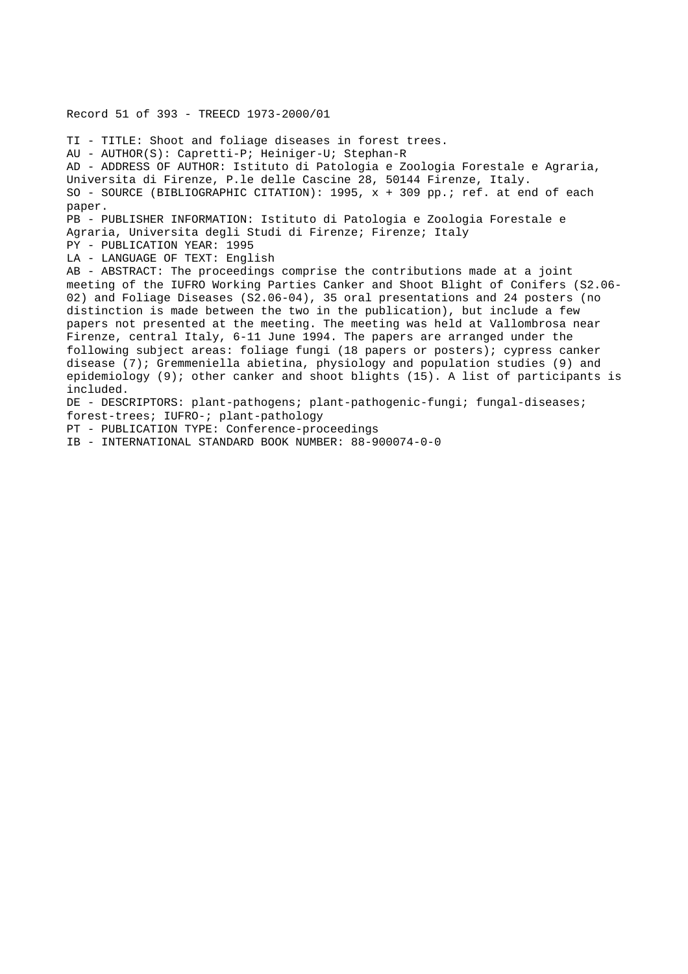Record 51 of 393 - TREECD 1973-2000/01

TI - TITLE: Shoot and foliage diseases in forest trees. AU - AUTHOR(S): Capretti-P; Heiniger-U; Stephan-R AD - ADDRESS OF AUTHOR: Istituto di Patologia e Zoologia Forestale e Agraria, Universita di Firenze, P.le delle Cascine 28, 50144 Firenze, Italy. SO - SOURCE (BIBLIOGRAPHIC CITATION): 1995,  $x + 309$  pp.; ref. at end of each paper. PB - PUBLISHER INFORMATION: Istituto di Patologia e Zoologia Forestale e Agraria, Universita degli Studi di Firenze; Firenze; Italy PY - PUBLICATION YEAR: 1995 LA - LANGUAGE OF TEXT: English AB - ABSTRACT: The proceedings comprise the contributions made at a joint meeting of the IUFRO Working Parties Canker and Shoot Blight of Conifers (S2.06- 02) and Foliage Diseases (S2.06-04), 35 oral presentations and 24 posters (no distinction is made between the two in the publication), but include a few papers not presented at the meeting. The meeting was held at Vallombrosa near Firenze, central Italy, 6-11 June 1994. The papers are arranged under the following subject areas: foliage fungi (18 papers or posters); cypress canker disease (7); Gremmeniella abietina, physiology and population studies (9) and epidemiology (9); other canker and shoot blights (15). A list of participants is included. DE - DESCRIPTORS: plant-pathogens; plant-pathogenic-fungi; fungal-diseases; forest-trees; IUFRO-; plant-pathology PT - PUBLICATION TYPE: Conference-proceedings

IB - INTERNATIONAL STANDARD BOOK NUMBER: 88-900074-0-0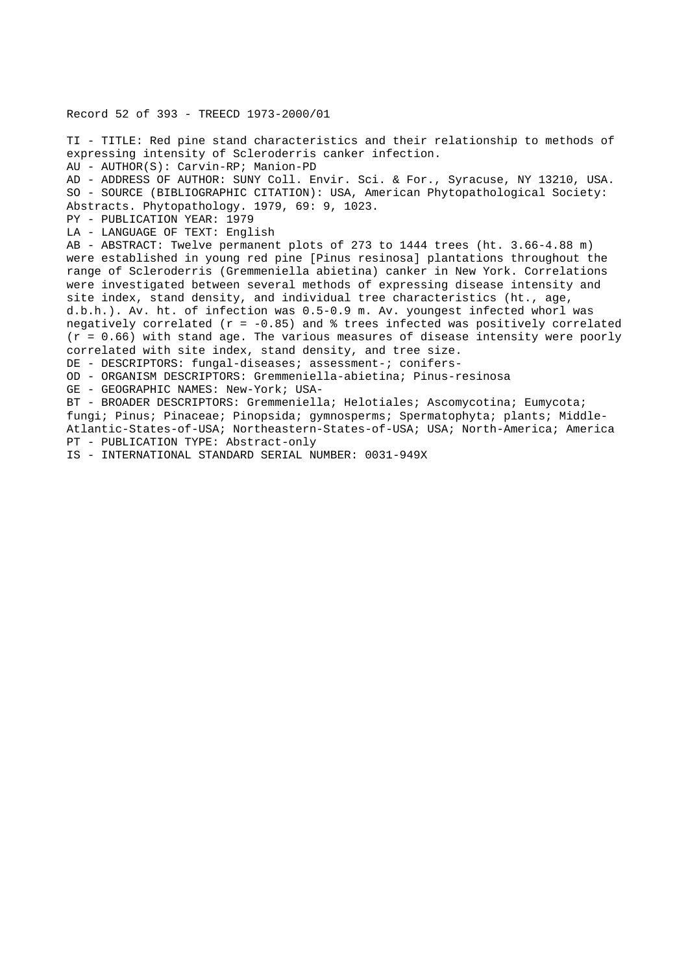Record 52 of 393 - TREECD 1973-2000/01

TI - TITLE: Red pine stand characteristics and their relationship to methods of expressing intensity of Scleroderris canker infection. AU - AUTHOR(S): Carvin-RP; Manion-PD AD - ADDRESS OF AUTHOR: SUNY Coll. Envir. Sci. & For., Syracuse, NY 13210, USA. SO - SOURCE (BIBLIOGRAPHIC CITATION): USA, American Phytopathological Society: Abstracts. Phytopathology. 1979, 69: 9, 1023. PY - PUBLICATION YEAR: 1979 LA - LANGUAGE OF TEXT: English AB - ABSTRACT: Twelve permanent plots of 273 to 1444 trees (ht. 3.66-4.88 m) were established in young red pine [Pinus resinosa] plantations throughout the range of Scleroderris (Gremmeniella abietina) canker in New York. Correlations were investigated between several methods of expressing disease intensity and site index, stand density, and individual tree characteristics (ht., age, d.b.h.). Av. ht. of infection was 0.5-0.9 m. Av. youngest infected whorl was negatively correlated ( $r = -0.85$ ) and  $\frac{1}{2}$  trees infected was positively correlated  $(r = 0.66)$  with stand age. The various measures of disease intensity were poorly correlated with site index, stand density, and tree size. DE - DESCRIPTORS: fungal-diseases; assessment-; conifers-OD - ORGANISM DESCRIPTORS: Gremmeniella-abietina; Pinus-resinosa GE - GEOGRAPHIC NAMES: New-York; USA-BT - BROADER DESCRIPTORS: Gremmeniella; Helotiales; Ascomycotina; Eumycota; fungi; Pinus; Pinaceae; Pinopsida; gymnosperms; Spermatophyta; plants; Middle-Atlantic-States-of-USA; Northeastern-States-of-USA; USA; North-America; America

PT - PUBLICATION TYPE: Abstract-only

IS - INTERNATIONAL STANDARD SERIAL NUMBER: 0031-949X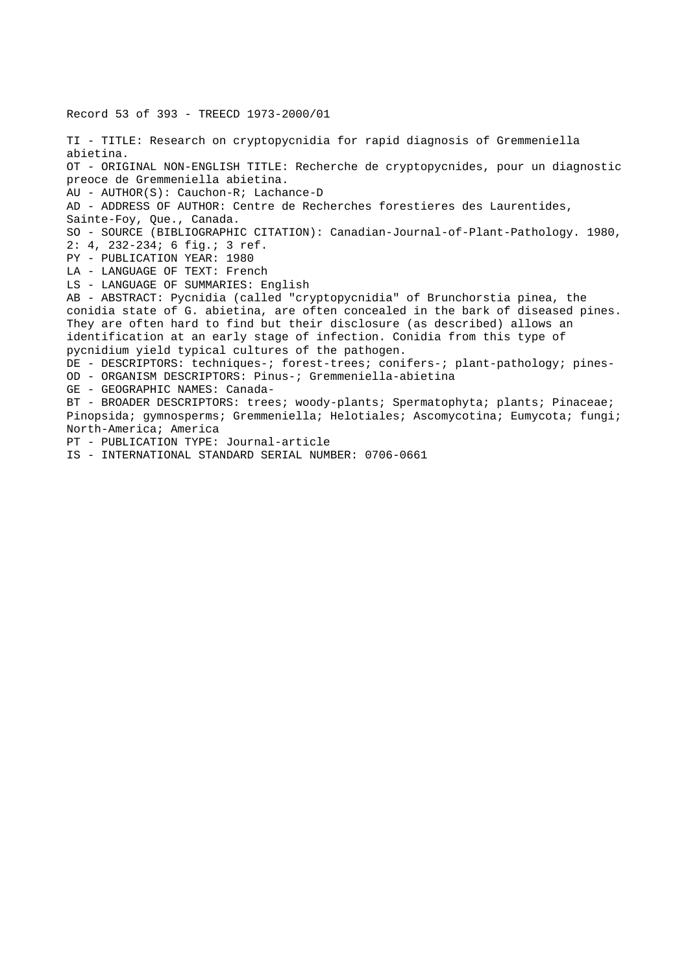Record 53 of 393 - TREECD 1973-2000/01 TI - TITLE: Research on cryptopycnidia for rapid diagnosis of Gremmeniella abietina. OT - ORIGINAL NON-ENGLISH TITLE: Recherche de cryptopycnides, pour un diagnostic preoce de Gremmeniella abietina. AU - AUTHOR(S): Cauchon-R; Lachance-D AD - ADDRESS OF AUTHOR: Centre de Recherches forestieres des Laurentides, Sainte-Foy, Que., Canada. SO - SOURCE (BIBLIOGRAPHIC CITATION): Canadian-Journal-of-Plant-Pathology. 1980, 2: 4, 232-234; 6 fig.; 3 ref. PY - PUBLICATION YEAR: 1980 LA - LANGUAGE OF TEXT: French LS - LANGUAGE OF SUMMARIES: English AB - ABSTRACT: Pycnidia (called "cryptopycnidia" of Brunchorstia pinea, the conidia state of G. abietina, are often concealed in the bark of diseased pines. They are often hard to find but their disclosure (as described) allows an identification at an early stage of infection. Conidia from this type of pycnidium yield typical cultures of the pathogen. DE - DESCRIPTORS: techniques-; forest-trees; conifers-; plant-pathology; pines-OD - ORGANISM DESCRIPTORS: Pinus-; Gremmeniella-abietina GE - GEOGRAPHIC NAMES: Canada-BT - BROADER DESCRIPTORS: trees; woody-plants; Spermatophyta; plants; Pinaceae; Pinopsida; gymnosperms; Gremmeniella; Helotiales; Ascomycotina; Eumycota; fungi; North-America; America PT - PUBLICATION TYPE: Journal-article IS - INTERNATIONAL STANDARD SERIAL NUMBER: 0706-0661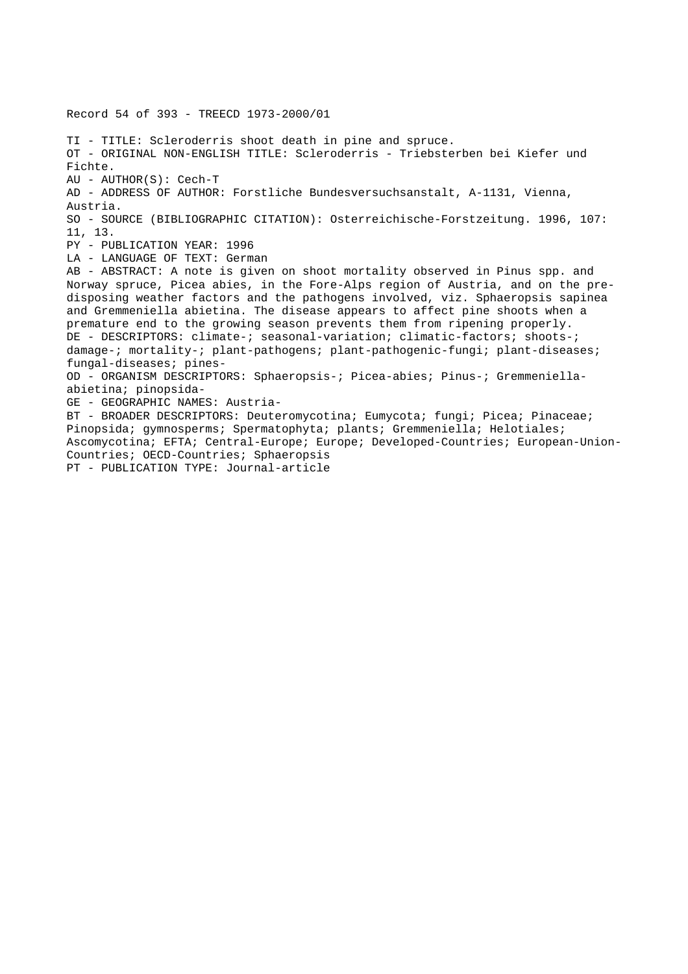Record 54 of 393 - TREECD 1973-2000/01 TI - TITLE: Scleroderris shoot death in pine and spruce. OT - ORIGINAL NON-ENGLISH TITLE: Scleroderris - Triebsterben bei Kiefer und Fichte. AU - AUTHOR(S): Cech-T AD - ADDRESS OF AUTHOR: Forstliche Bundesversuchsanstalt, A-1131, Vienna, Austria. SO - SOURCE (BIBLIOGRAPHIC CITATION): Osterreichische-Forstzeitung. 1996, 107: 11, 13. PY - PUBLICATION YEAR: 1996 LA - LANGUAGE OF TEXT: German AB - ABSTRACT: A note is given on shoot mortality observed in Pinus spp. and Norway spruce, Picea abies, in the Fore-Alps region of Austria, and on the predisposing weather factors and the pathogens involved, viz. Sphaeropsis sapinea and Gremmeniella abietina. The disease appears to affect pine shoots when a premature end to the growing season prevents them from ripening properly. DE - DESCRIPTORS: climate-; seasonal-variation; climatic-factors; shoots-; damage-; mortality-; plant-pathogens; plant-pathogenic-fungi; plant-diseases; fungal-diseases; pines-OD - ORGANISM DESCRIPTORS: Sphaeropsis-; Picea-abies; Pinus-; Gremmeniellaabietina; pinopsida-GE - GEOGRAPHIC NAMES: Austria-BT - BROADER DESCRIPTORS: Deuteromycotina; Eumycota; fungi; Picea; Pinaceae; Pinopsida; gymnosperms; Spermatophyta; plants; Gremmeniella; Helotiales; Ascomycotina; EFTA; Central-Europe; Europe; Developed-Countries; European-Union-Countries; OECD-Countries; Sphaeropsis PT - PUBLICATION TYPE: Journal-article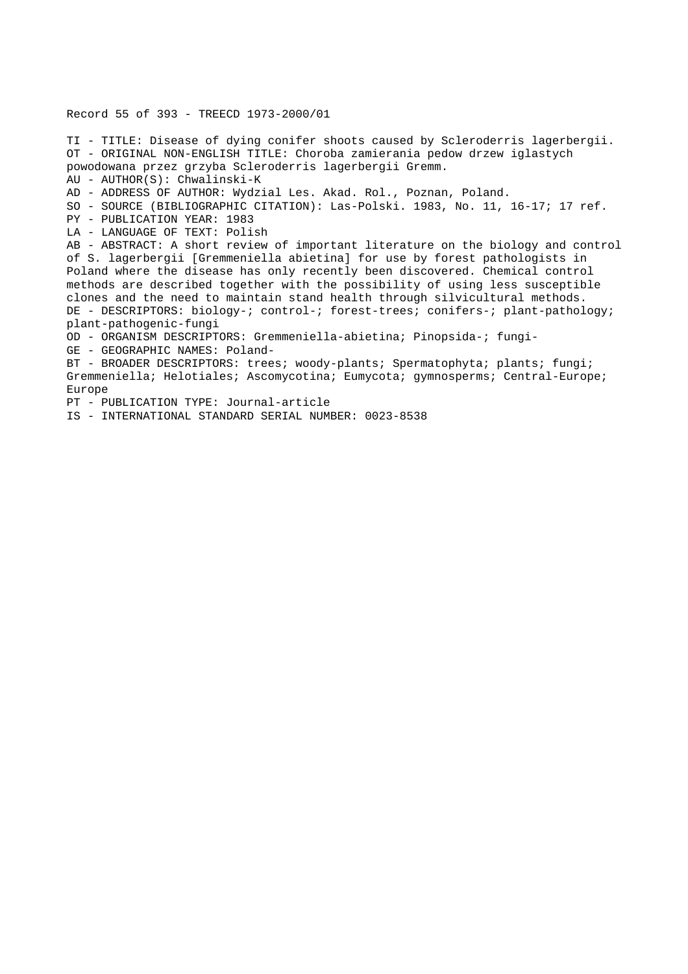Record 55 of 393 - TREECD 1973-2000/01

TI - TITLE: Disease of dying conifer shoots caused by Scleroderris lagerbergii. OT - ORIGINAL NON-ENGLISH TITLE: Choroba zamierania pedow drzew iglastych powodowana przez grzyba Scleroderris lagerbergii Gremm. AU - AUTHOR(S): Chwalinski-K AD - ADDRESS OF AUTHOR: Wydzial Les. Akad. Rol., Poznan, Poland. SO - SOURCE (BIBLIOGRAPHIC CITATION): Las-Polski. 1983, No. 11, 16-17; 17 ref. PY - PUBLICATION YEAR: 1983 LA - LANGUAGE OF TEXT: Polish AB - ABSTRACT: A short review of important literature on the biology and control of S. lagerbergii [Gremmeniella abietina] for use by forest pathologists in Poland where the disease has only recently been discovered. Chemical control methods are described together with the possibility of using less susceptible clones and the need to maintain stand health through silvicultural methods. DE - DESCRIPTORS: biology-; control-; forest-trees; conifers-; plant-pathology; plant-pathogenic-fungi OD - ORGANISM DESCRIPTORS: Gremmeniella-abietina; Pinopsida-; fungi-GE - GEOGRAPHIC NAMES: Poland-BT - BROADER DESCRIPTORS: trees; woody-plants; Spermatophyta; plants; fungi; Gremmeniella; Helotiales; Ascomycotina; Eumycota; gymnosperms; Central-Europe; Europe PT - PUBLICATION TYPE: Journal-article

IS - INTERNATIONAL STANDARD SERIAL NUMBER: 0023-8538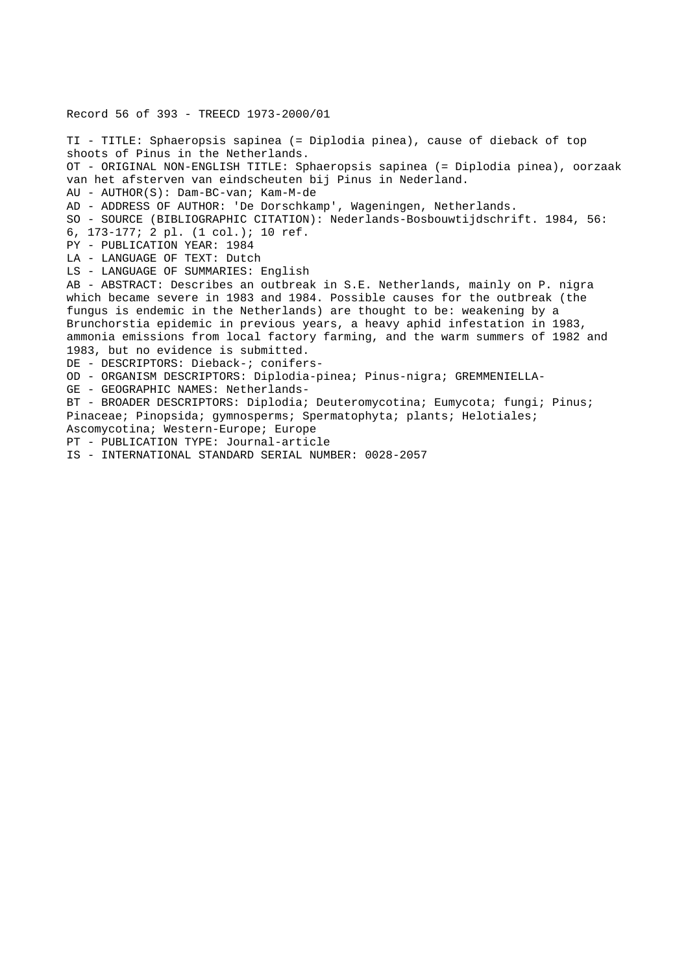Record 56 of 393 - TREECD 1973-2000/01 TI - TITLE: Sphaeropsis sapinea (= Diplodia pinea), cause of dieback of top shoots of Pinus in the Netherlands. OT - ORIGINAL NON-ENGLISH TITLE: Sphaeropsis sapinea (= Diplodia pinea), oorzaak van het afsterven van eindscheuten bij Pinus in Nederland. AU - AUTHOR(S): Dam-BC-van; Kam-M-de AD - ADDRESS OF AUTHOR: 'De Dorschkamp', Wageningen, Netherlands. SO - SOURCE (BIBLIOGRAPHIC CITATION): Nederlands-Bosbouwtijdschrift. 1984, 56: 6, 173-177; 2 pl. (1 col.); 10 ref. PY - PUBLICATION YEAR: 1984 LA - LANGUAGE OF TEXT: Dutch LS - LANGUAGE OF SUMMARIES: English AB - ABSTRACT: Describes an outbreak in S.E. Netherlands, mainly on P. nigra which became severe in 1983 and 1984. Possible causes for the outbreak (the fungus is endemic in the Netherlands) are thought to be: weakening by a Brunchorstia epidemic in previous years, a heavy aphid infestation in 1983, ammonia emissions from local factory farming, and the warm summers of 1982 and 1983, but no evidence is submitted. DE - DESCRIPTORS: Dieback-; conifers-OD - ORGANISM DESCRIPTORS: Diplodia-pinea; Pinus-nigra; GREMMENIELLA-GE - GEOGRAPHIC NAMES: Netherlands-BT - BROADER DESCRIPTORS: Diplodia; Deuteromycotina; Eumycota; fungi; Pinus; Pinaceae; Pinopsida; gymnosperms; Spermatophyta; plants; Helotiales; Ascomycotina; Western-Europe; Europe PT - PUBLICATION TYPE: Journal-article IS - INTERNATIONAL STANDARD SERIAL NUMBER: 0028-2057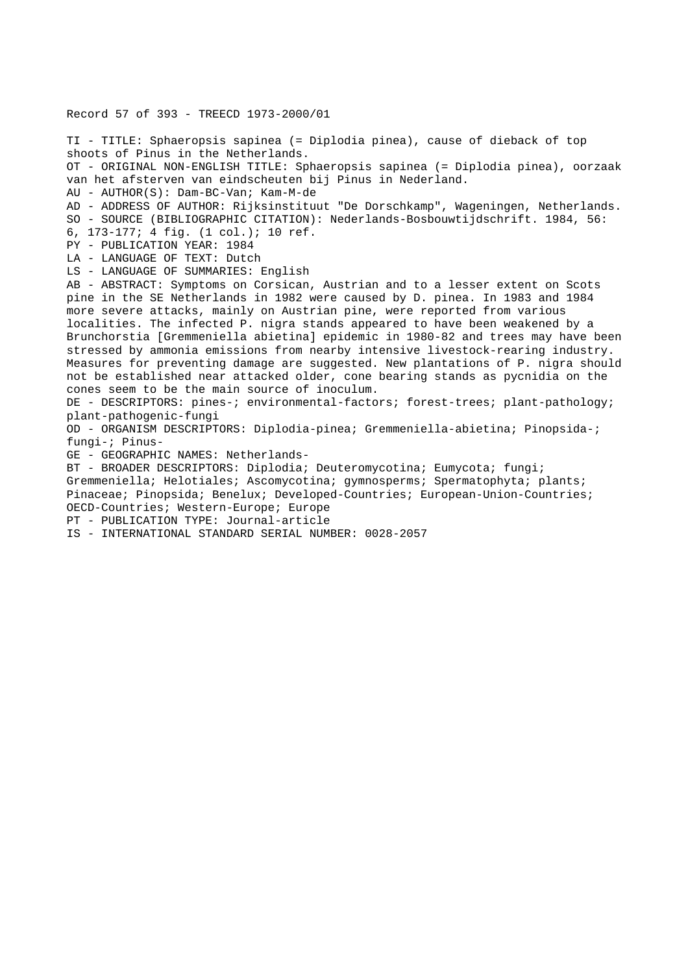Record 57 of 393 - TREECD 1973-2000/01 TI - TITLE: Sphaeropsis sapinea (= Diplodia pinea), cause of dieback of top shoots of Pinus in the Netherlands. OT - ORIGINAL NON-ENGLISH TITLE: Sphaeropsis sapinea (= Diplodia pinea), oorzaak van het afsterven van eindscheuten bij Pinus in Nederland. AU - AUTHOR(S): Dam-BC-Van; Kam-M-de AD - ADDRESS OF AUTHOR: Rijksinstituut "De Dorschkamp", Wageningen, Netherlands. SO - SOURCE (BIBLIOGRAPHIC CITATION): Nederlands-Bosbouwtijdschrift. 1984, 56: 6, 173-177; 4 fig. (1 col.); 10 ref. PY - PUBLICATION YEAR: 1984 LA - LANGUAGE OF TEXT: Dutch LS - LANGUAGE OF SUMMARIES: English AB - ABSTRACT: Symptoms on Corsican, Austrian and to a lesser extent on Scots pine in the SE Netherlands in 1982 were caused by D. pinea. In 1983 and 1984 more severe attacks, mainly on Austrian pine, were reported from various localities. The infected P. nigra stands appeared to have been weakened by a Brunchorstia [Gremmeniella abietina] epidemic in 1980-82 and trees may have been stressed by ammonia emissions from nearby intensive livestock-rearing industry. Measures for preventing damage are suggested. New plantations of P. nigra should not be established near attacked older, cone bearing stands as pycnidia on the cones seem to be the main source of inoculum. DE - DESCRIPTORS: pines-; environmental-factors; forest-trees; plant-pathology; plant-pathogenic-fungi OD - ORGANISM DESCRIPTORS: Diplodia-pinea; Gremmeniella-abietina; Pinopsida-; fungi-; Pinus-GE - GEOGRAPHIC NAMES: Netherlands-BT - BROADER DESCRIPTORS: Diplodia; Deuteromycotina; Eumycota; fungi; Gremmeniella; Helotiales; Ascomycotina; gymnosperms; Spermatophyta; plants; Pinaceae; Pinopsida; Benelux; Developed-Countries; European-Union-Countries; OECD-Countries; Western-Europe; Europe PT - PUBLICATION TYPE: Journal-article IS - INTERNATIONAL STANDARD SERIAL NUMBER: 0028-2057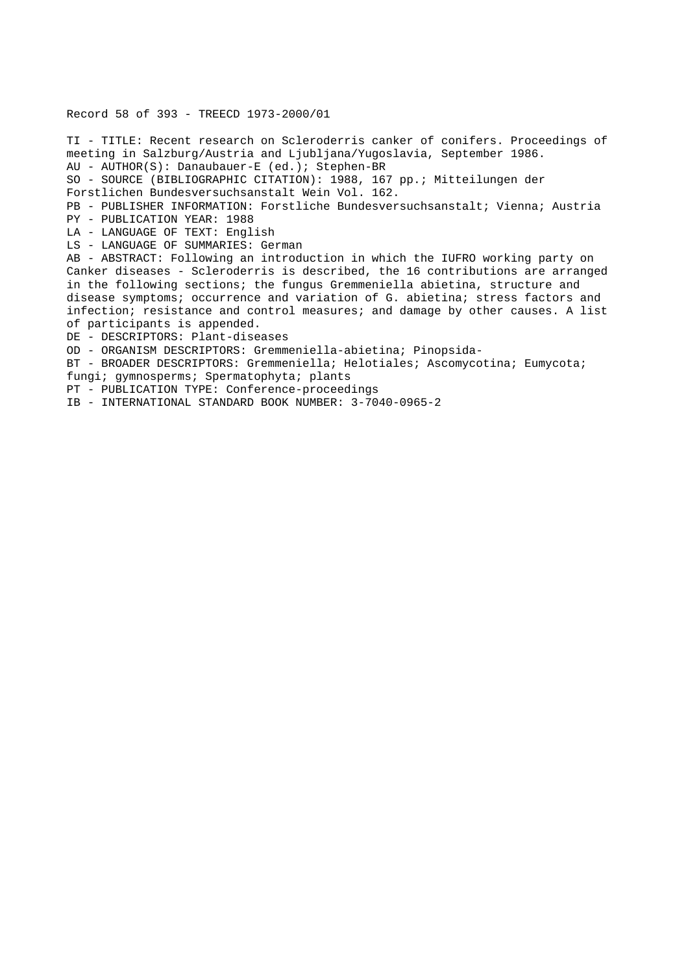## Record 58 of 393 - TREECD 1973-2000/01

TI - TITLE: Recent research on Scleroderris canker of conifers. Proceedings of meeting in Salzburg/Austria and Ljubljana/Yugoslavia, September 1986. AU - AUTHOR(S): Danaubauer-E (ed.); Stephen-BR SO - SOURCE (BIBLIOGRAPHIC CITATION): 1988, 167 pp.; Mitteilungen der Forstlichen Bundesversuchsanstalt Wein Vol. 162. PB - PUBLISHER INFORMATION: Forstliche Bundesversuchsanstalt; Vienna; Austria PY - PUBLICATION YEAR: 1988 LA - LANGUAGE OF TEXT: English LS - LANGUAGE OF SUMMARIES: German AB - ABSTRACT: Following an introduction in which the IUFRO working party on Canker diseases - Scleroderris is described, the 16 contributions are arranged in the following sections; the fungus Gremmeniella abietina, structure and disease symptoms; occurrence and variation of G. abietina; stress factors and infection; resistance and control measures; and damage by other causes. A list of participants is appended. DE - DESCRIPTORS: Plant-diseases OD - ORGANISM DESCRIPTORS: Gremmeniella-abietina; Pinopsida-BT - BROADER DESCRIPTORS: Gremmeniella; Helotiales; Ascomycotina; Eumycota; fungi; gymnosperms; Spermatophyta; plants PT - PUBLICATION TYPE: Conference-proceedings

IB - INTERNATIONAL STANDARD BOOK NUMBER: 3-7040-0965-2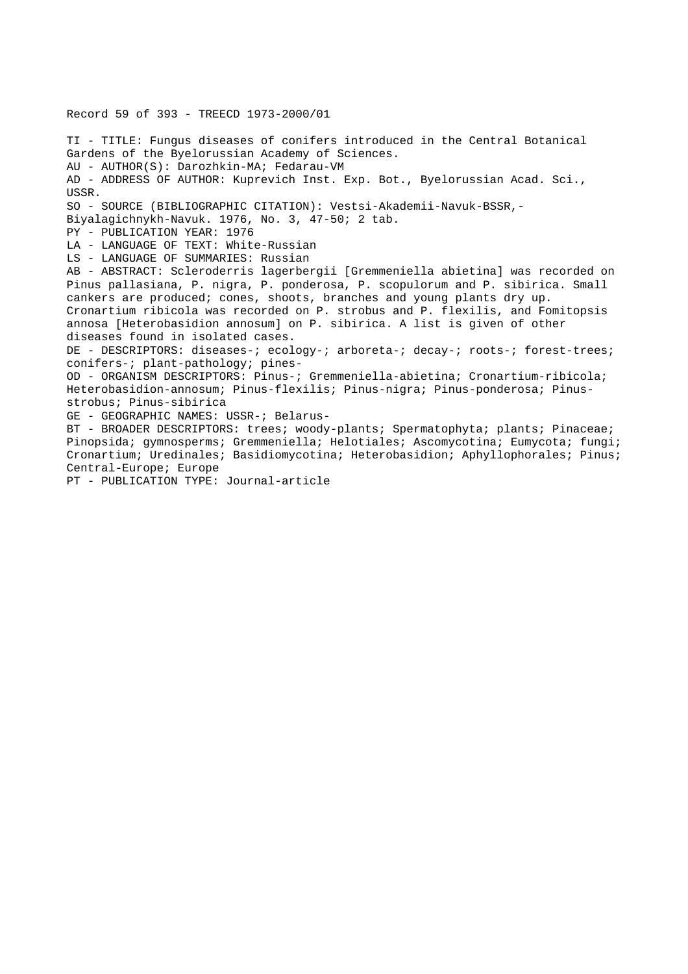Record 59 of 393 - TREECD 1973-2000/01 TI - TITLE: Fungus diseases of conifers introduced in the Central Botanical Gardens of the Byelorussian Academy of Sciences. AU - AUTHOR(S): Darozhkin-MA; Fedarau-VM AD - ADDRESS OF AUTHOR: Kuprevich Inst. Exp. Bot., Byelorussian Acad. Sci., USSR. SO - SOURCE (BIBLIOGRAPHIC CITATION): Vestsi-Akademii-Navuk-BSSR,- Biyalagichnykh-Navuk. 1976, No. 3, 47-50; 2 tab. PY - PUBLICATION YEAR: 1976 LA - LANGUAGE OF TEXT: White-Russian LS - LANGUAGE OF SUMMARIES: Russian AB - ABSTRACT: Scleroderris lagerbergii [Gremmeniella abietina] was recorded on Pinus pallasiana, P. nigra, P. ponderosa, P. scopulorum and P. sibirica. Small cankers are produced; cones, shoots, branches and young plants dry up. Cronartium ribicola was recorded on P. strobus and P. flexilis, and Fomitopsis annosa [Heterobasidion annosum] on P. sibirica. A list is given of other diseases found in isolated cases. DE - DESCRIPTORS: diseases-; ecology-; arboreta-; decay-; roots-; forest-trees; conifers-; plant-pathology; pines-OD - ORGANISM DESCRIPTORS: Pinus-; Gremmeniella-abietina; Cronartium-ribicola; Heterobasidion-annosum; Pinus-flexilis; Pinus-nigra; Pinus-ponderosa; Pinusstrobus; Pinus-sibirica GE - GEOGRAPHIC NAMES: USSR-; Belarus-BT - BROADER DESCRIPTORS: trees; woody-plants; Spermatophyta; plants; Pinaceae; Pinopsida; gymnosperms; Gremmeniella; Helotiales; Ascomycotina; Eumycota; fungi; Cronartium; Uredinales; Basidiomycotina; Heterobasidion; Aphyllophorales; Pinus; Central-Europe; Europe PT - PUBLICATION TYPE: Journal-article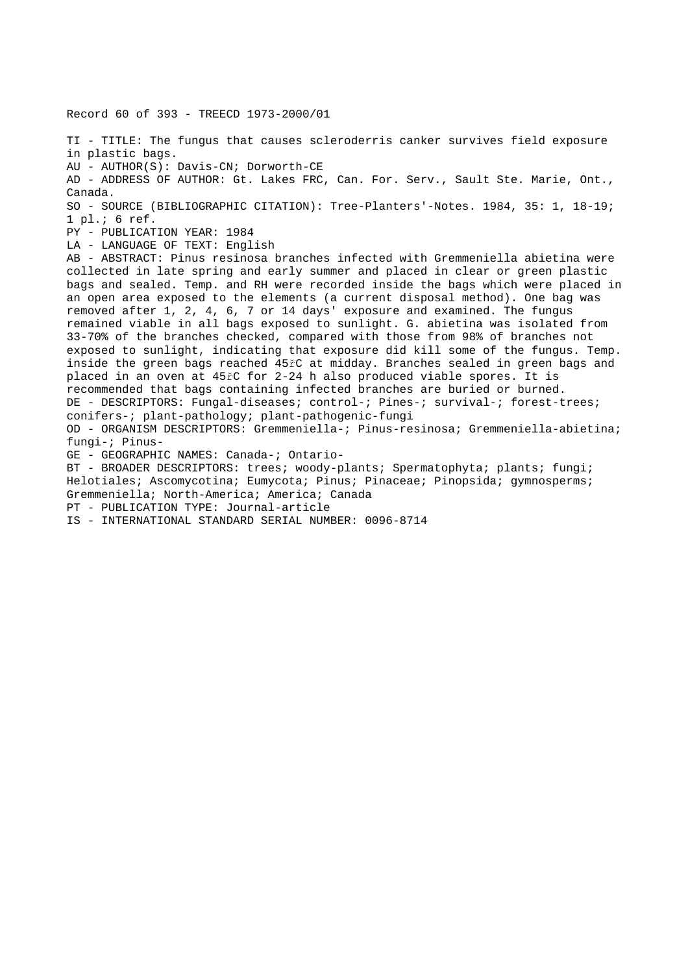Record 60 of 393 - TREECD 1973-2000/01 TI - TITLE: The fungus that causes scleroderris canker survives field exposure in plastic bags. AU - AUTHOR(S): Davis-CN; Dorworth-CE AD - ADDRESS OF AUTHOR: Gt. Lakes FRC, Can. For. Serv., Sault Ste. Marie, Ont., Canada. SO - SOURCE (BIBLIOGRAPHIC CITATION): Tree-Planters'-Notes. 1984, 35: 1, 18-19; 1 pl.; 6 ref. PY - PUBLICATION YEAR: 1984 LA - LANGUAGE OF TEXT: English AB - ABSTRACT: Pinus resinosa branches infected with Gremmeniella abietina were collected in late spring and early summer and placed in clear or green plastic bags and sealed. Temp. and RH were recorded inside the bags which were placed in an open area exposed to the elements (a current disposal method). One bag was removed after 1, 2, 4, 6, 7 or 14 days' exposure and examined. The fungus remained viable in all bags exposed to sunlight. G. abietina was isolated from 33-70% of the branches checked, compared with those from 98% of branches not exposed to sunlight, indicating that exposure did kill some of the fungus. Temp. inside the green bags reached 45řC at midday. Branches sealed in green bags and placed in an oven at 45řC for 2-24 h also produced viable spores. It is recommended that bags containing infected branches are buried or burned. DE - DESCRIPTORS: Fungal-diseases; control-; Pines-; survival-; forest-trees; conifers-; plant-pathology; plant-pathogenic-fungi OD - ORGANISM DESCRIPTORS: Gremmeniella-; Pinus-resinosa; Gremmeniella-abietina; fungi-; Pinus-GE - GEOGRAPHIC NAMES: Canada-; Ontario-BT - BROADER DESCRIPTORS: trees; woody-plants; Spermatophyta; plants; fungi; Helotiales; Ascomycotina; Eumycota; Pinus; Pinaceae; Pinopsida; gymnosperms; Gremmeniella; North-America; America; Canada PT - PUBLICATION TYPE: Journal-article IS - INTERNATIONAL STANDARD SERIAL NUMBER: 0096-8714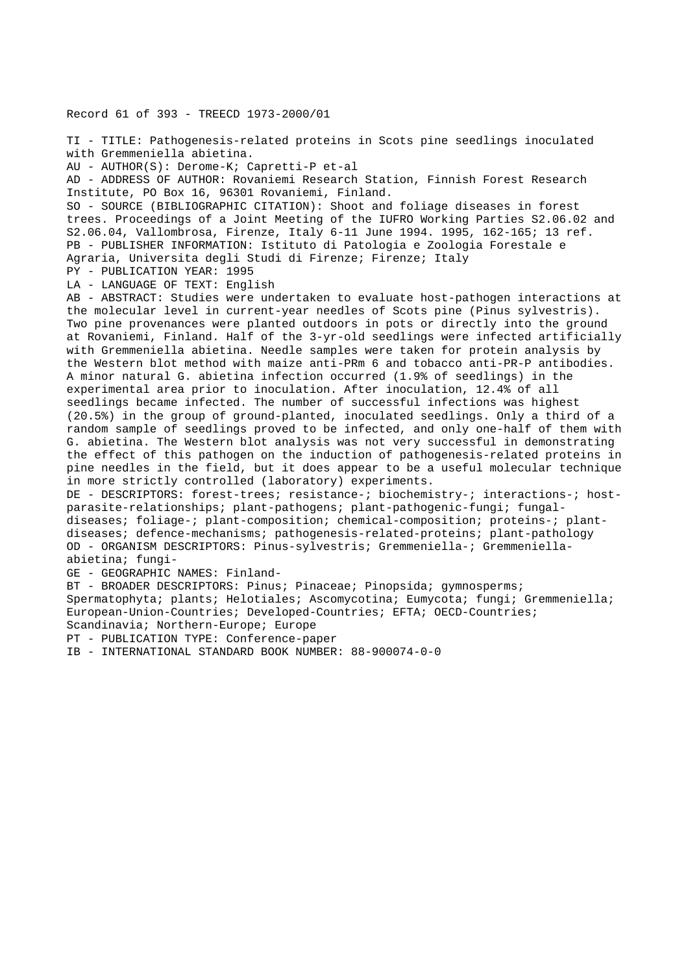Record 61 of 393 - TREECD 1973-2000/01

TI - TITLE: Pathogenesis-related proteins in Scots pine seedlings inoculated with Gremmeniella abietina. AU - AUTHOR(S): Derome-K; Capretti-P et-al AD - ADDRESS OF AUTHOR: Rovaniemi Research Station, Finnish Forest Research Institute, PO Box 16, 96301 Rovaniemi, Finland. SO - SOURCE (BIBLIOGRAPHIC CITATION): Shoot and foliage diseases in forest trees. Proceedings of a Joint Meeting of the IUFRO Working Parties S2.06.02 and S2.06.04, Vallombrosa, Firenze, Italy 6-11 June 1994. 1995, 162-165; 13 ref. PB - PUBLISHER INFORMATION: Istituto di Patologia e Zoologia Forestale e Agraria, Universita degli Studi di Firenze; Firenze; Italy PY - PUBLICATION YEAR: 1995 LA - LANGUAGE OF TEXT: English AB - ABSTRACT: Studies were undertaken to evaluate host-pathogen interactions at the molecular level in current-year needles of Scots pine (Pinus sylvestris). Two pine provenances were planted outdoors in pots or directly into the ground at Rovaniemi, Finland. Half of the 3-yr-old seedlings were infected artificially with Gremmeniella abietina. Needle samples were taken for protein analysis by the Western blot method with maize anti-PRm 6 and tobacco anti-PR-P antibodies. A minor natural G. abietina infection occurred (1.9% of seedlings) in the experimental area prior to inoculation. After inoculation, 12.4% of all seedlings became infected. The number of successful infections was highest (20.5%) in the group of ground-planted, inoculated seedlings. Only a third of a random sample of seedlings proved to be infected, and only one-half of them with G. abietina. The Western blot analysis was not very successful in demonstrating the effect of this pathogen on the induction of pathogenesis-related proteins in pine needles in the field, but it does appear to be a useful molecular technique in more strictly controlled (laboratory) experiments. DE - DESCRIPTORS: forest-trees; resistance-; biochemistry-; interactions-; hostparasite-relationships; plant-pathogens; plant-pathogenic-fungi; fungaldiseases; foliage-; plant-composition; chemical-composition; proteins-; plantdiseases; defence-mechanisms; pathogenesis-related-proteins; plant-pathology OD - ORGANISM DESCRIPTORS: Pinus-sylvestris; Gremmeniella-; Gremmeniellaabietina; fungi-GE - GEOGRAPHIC NAMES: Finland-BT - BROADER DESCRIPTORS: Pinus; Pinaceae; Pinopsida; gymnosperms; Spermatophyta; plants; Helotiales; Ascomycotina; Eumycota; fungi; Gremmeniella; European-Union-Countries; Developed-Countries; EFTA; OECD-Countries;

Scandinavia; Northern-Europe; Europe

PT - PUBLICATION TYPE: Conference-paper

IB - INTERNATIONAL STANDARD BOOK NUMBER: 88-900074-0-0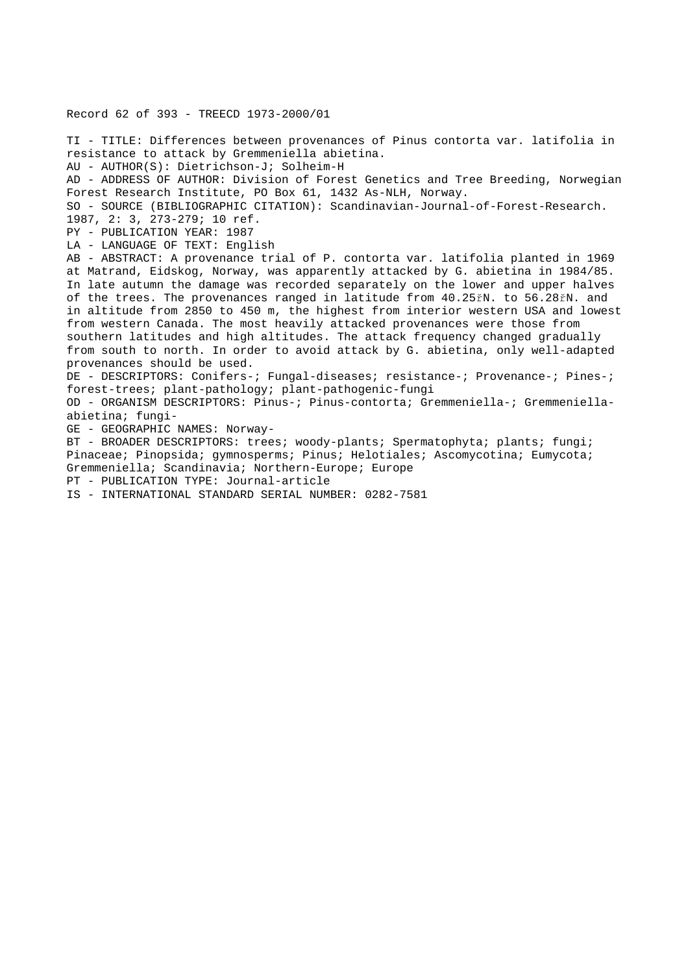Record 62 of 393 - TREECD 1973-2000/01

TI - TITLE: Differences between provenances of Pinus contorta var. latifolia in resistance to attack by Gremmeniella abietina. AU - AUTHOR(S): Dietrichson-J; Solheim-H AD - ADDRESS OF AUTHOR: Division of Forest Genetics and Tree Breeding, Norwegian Forest Research Institute, PO Box 61, 1432 As-NLH, Norway. SO - SOURCE (BIBLIOGRAPHIC CITATION): Scandinavian-Journal-of-Forest-Research. 1987, 2: 3, 273-279; 10 ref. PY - PUBLICATION YEAR: 1987 LA - LANGUAGE OF TEXT: English AB - ABSTRACT: A provenance trial of P. contorta var. latifolia planted in 1969 at Matrand, Eidskog, Norway, was apparently attacked by G. abietina in 1984/85. In late autumn the damage was recorded separately on the lower and upper halves of the trees. The provenances ranged in latitude from 40.25řN. to 56.28řN. and in altitude from 2850 to 450 m, the highest from interior western USA and lowest from western Canada. The most heavily attacked provenances were those from southern latitudes and high altitudes. The attack frequency changed gradually from south to north. In order to avoid attack by G. abietina, only well-adapted provenances should be used. DE - DESCRIPTORS: Conifers-; Fungal-diseases; resistance-; Provenance-; Pines-; forest-trees; plant-pathology; plant-pathogenic-fungi OD - ORGANISM DESCRIPTORS: Pinus-; Pinus-contorta; Gremmeniella-; Gremmeniellaabietina; fungi-GE - GEOGRAPHIC NAMES: Norway-BT - BROADER DESCRIPTORS: trees; woody-plants; Spermatophyta; plants; fungi; Pinaceae; Pinopsida; gymnosperms; Pinus; Helotiales; Ascomycotina; Eumycota; Gremmeniella; Scandinavia; Northern-Europe; Europe PT - PUBLICATION TYPE: Journal-article IS - INTERNATIONAL STANDARD SERIAL NUMBER: 0282-7581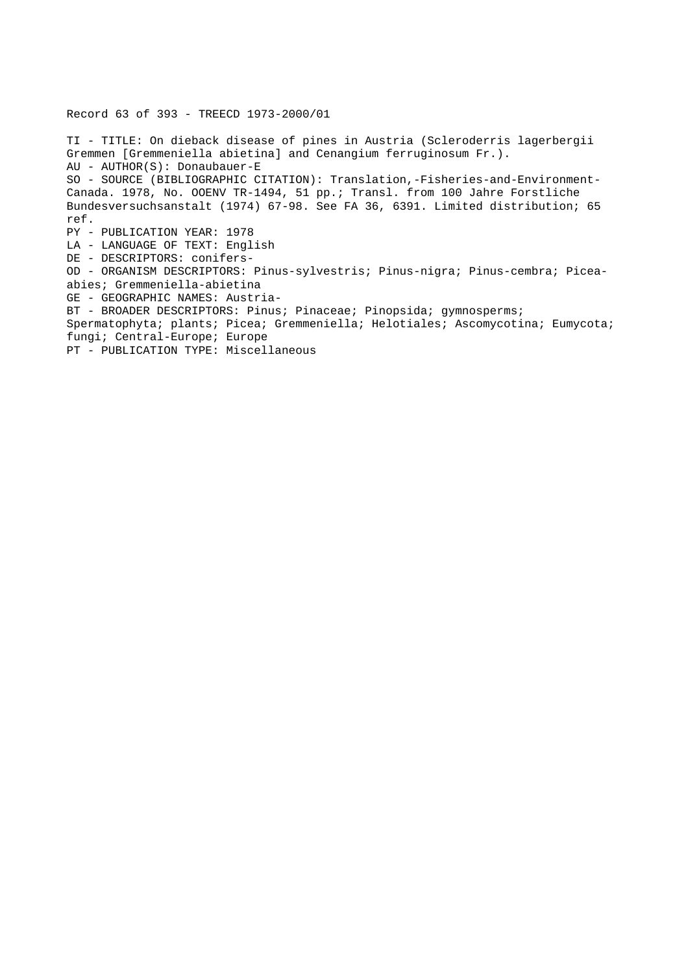Record 63 of 393 - TREECD 1973-2000/01

TI - TITLE: On dieback disease of pines in Austria (Scleroderris lagerbergii Gremmen [Gremmeniella abietina] and Cenangium ferruginosum Fr.). AU - AUTHOR(S): Donaubauer-E SO - SOURCE (BIBLIOGRAPHIC CITATION): Translation,-Fisheries-and-Environment-Canada. 1978, No. OOENV TR-1494, 51 pp.; Transl. from 100 Jahre Forstliche Bundesversuchsanstalt (1974) 67-98. See FA 36, 6391. Limited distribution; 65 ref. PY - PUBLICATION YEAR: 1978 LA - LANGUAGE OF TEXT: English DE - DESCRIPTORS: conifers-OD - ORGANISM DESCRIPTORS: Pinus-sylvestris; Pinus-nigra; Pinus-cembra; Piceaabies; Gremmeniella-abietina GE - GEOGRAPHIC NAMES: Austria-BT - BROADER DESCRIPTORS: Pinus; Pinaceae; Pinopsida; gymnosperms; Spermatophyta; plants; Picea; Gremmeniella; Helotiales; Ascomycotina; Eumycota; fungi; Central-Europe; Europe PT - PUBLICATION TYPE: Miscellaneous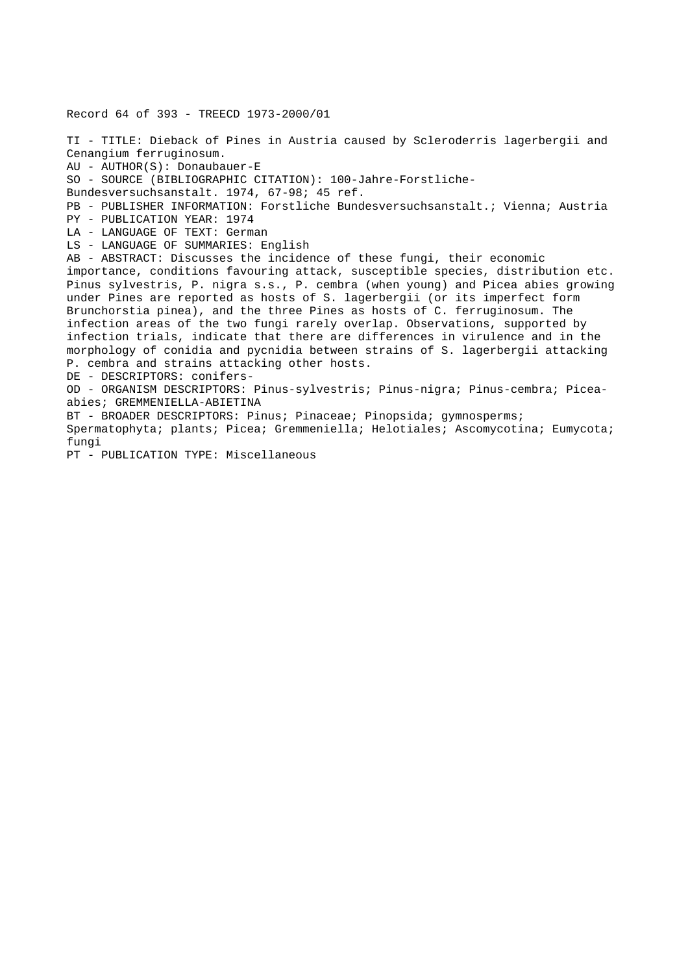Record 64 of 393 - TREECD 1973-2000/01 TI - TITLE: Dieback of Pines in Austria caused by Scleroderris lagerbergii and Cenangium ferruginosum. AU - AUTHOR(S): Donaubauer-E SO - SOURCE (BIBLIOGRAPHIC CITATION): 100-Jahre-Forstliche-Bundesversuchsanstalt. 1974, 67-98; 45 ref. PB - PUBLISHER INFORMATION: Forstliche Bundesversuchsanstalt.; Vienna; Austria PY - PUBLICATION YEAR: 1974 LA - LANGUAGE OF TEXT: German LS - LANGUAGE OF SUMMARIES: English AB - ABSTRACT: Discusses the incidence of these fungi, their economic importance, conditions favouring attack, susceptible species, distribution etc. Pinus sylvestris, P. nigra s.s., P. cembra (when young) and Picea abies growing under Pines are reported as hosts of S. lagerbergii (or its imperfect form Brunchorstia pinea), and the three Pines as hosts of C. ferruginosum. The infection areas of the two fungi rarely overlap. Observations, supported by infection trials, indicate that there are differences in virulence and in the morphology of conidia and pycnidia between strains of S. lagerbergii attacking P. cembra and strains attacking other hosts. DE - DESCRIPTORS: conifers-OD - ORGANISM DESCRIPTORS: Pinus-sylvestris; Pinus-nigra; Pinus-cembra; Piceaabies; GREMMENIELLA-ABIETINA BT - BROADER DESCRIPTORS: Pinus; Pinaceae; Pinopsida; gymnosperms; Spermatophyta; plants; Picea; Gremmeniella; Helotiales; Ascomycotina; Eumycota; fungi PT - PUBLICATION TYPE: Miscellaneous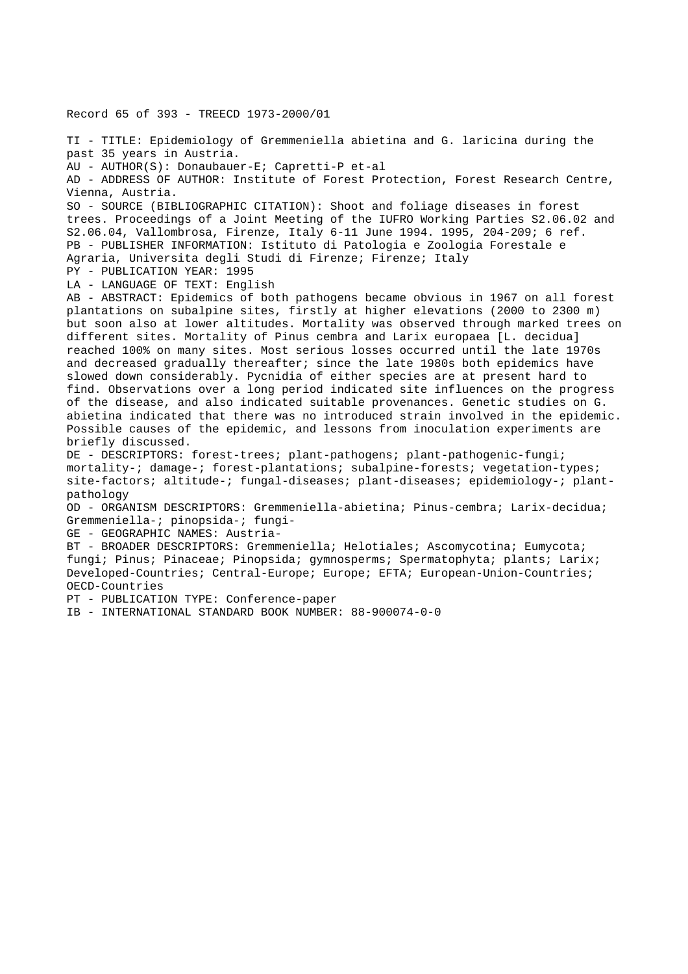Record 65 of 393 - TREECD 1973-2000/01 TI - TITLE: Epidemiology of Gremmeniella abietina and G. laricina during the past 35 years in Austria. AU - AUTHOR(S): Donaubauer-E; Capretti-P et-al AD - ADDRESS OF AUTHOR: Institute of Forest Protection, Forest Research Centre, Vienna, Austria. SO - SOURCE (BIBLIOGRAPHIC CITATION): Shoot and foliage diseases in forest trees. Proceedings of a Joint Meeting of the IUFRO Working Parties S2.06.02 and S2.06.04, Vallombrosa, Firenze, Italy 6-11 June 1994. 1995, 204-209; 6 ref. PB - PUBLISHER INFORMATION: Istituto di Patologia e Zoologia Forestale e Agraria, Universita degli Studi di Firenze; Firenze; Italy PY - PUBLICATION YEAR: 1995 LA - LANGUAGE OF TEXT: English AB - ABSTRACT: Epidemics of both pathogens became obvious in 1967 on all forest plantations on subalpine sites, firstly at higher elevations (2000 to 2300 m) but soon also at lower altitudes. Mortality was observed through marked trees on different sites. Mortality of Pinus cembra and Larix europaea [L. decidua] reached 100% on many sites. Most serious losses occurred until the late 1970s and decreased gradually thereafter; since the late 1980s both epidemics have slowed down considerably. Pycnidia of either species are at present hard to find. Observations over a long period indicated site influences on the progress of the disease, and also indicated suitable provenances. Genetic studies on G. abietina indicated that there was no introduced strain involved in the epidemic. Possible causes of the epidemic, and lessons from inoculation experiments are briefly discussed. DE - DESCRIPTORS: forest-trees; plant-pathogens; plant-pathogenic-fungi; mortality-; damage-; forest-plantations; subalpine-forests; vegetation-types; site-factors; altitude-; fungal-diseases; plant-diseases; epidemiology-; plantpathology OD - ORGANISM DESCRIPTORS: Gremmeniella-abietina; Pinus-cembra; Larix-decidua; Gremmeniella-; pinopsida-; fungi-GE - GEOGRAPHIC NAMES: Austria-BT - BROADER DESCRIPTORS: Gremmeniella; Helotiales; Ascomycotina; Eumycota; fungi; Pinus; Pinaceae; Pinopsida; gymnosperms; Spermatophyta; plants; Larix;

Developed-Countries; Central-Europe; Europe; EFTA; European-Union-Countries; OECD-Countries

PT - PUBLICATION TYPE: Conference-paper

IB - INTERNATIONAL STANDARD BOOK NUMBER: 88-900074-0-0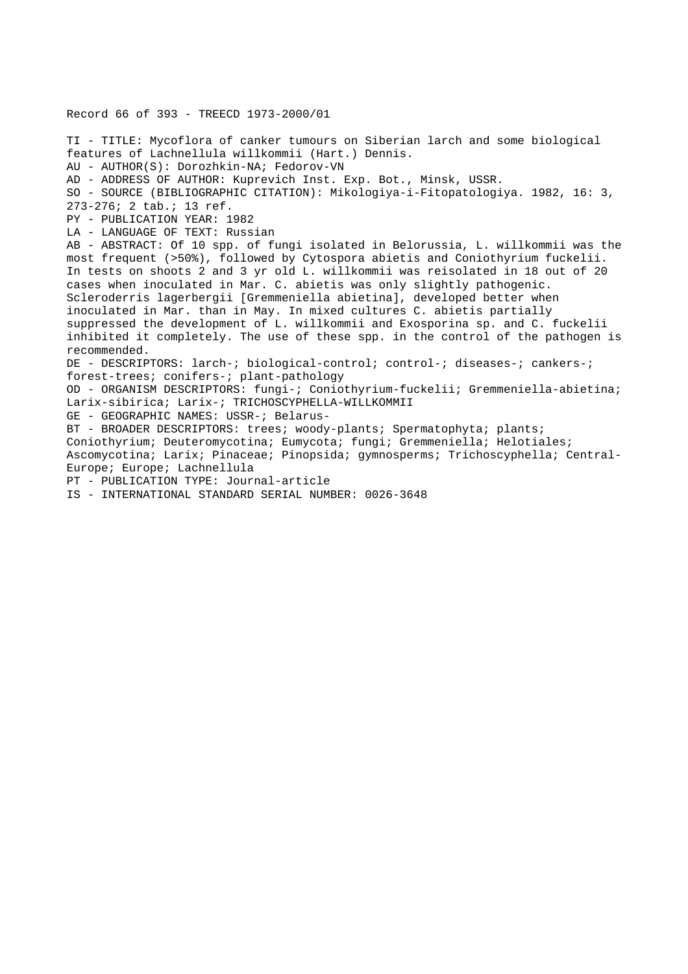Record 66 of 393 - TREECD 1973-2000/01 TI - TITLE: Mycoflora of canker tumours on Siberian larch and some biological features of Lachnellula willkommii (Hart.) Dennis. AU - AUTHOR(S): Dorozhkin-NA; Fedorov-VN AD - ADDRESS OF AUTHOR: Kuprevich Inst. Exp. Bot., Minsk, USSR. SO - SOURCE (BIBLIOGRAPHIC CITATION): Mikologiya-i-Fitopatologiya. 1982, 16: 3, 273-276; 2 tab.; 13 ref. PY - PUBLICATION YEAR: 1982 LA - LANGUAGE OF TEXT: Russian AB - ABSTRACT: Of 10 spp. of fungi isolated in Belorussia, L. willkommii was the most frequent (>50%), followed by Cytospora abietis and Coniothyrium fuckelii. In tests on shoots 2 and 3 yr old L. willkommii was reisolated in 18 out of 20 cases when inoculated in Mar. C. abietis was only slightly pathogenic. Scleroderris lagerbergii [Gremmeniella abietina], developed better when inoculated in Mar. than in May. In mixed cultures C. abietis partially suppressed the development of L. willkommii and Exosporina sp. and C. fuckelii inhibited it completely. The use of these spp. in the control of the pathogen is recommended. DE - DESCRIPTORS: larch-; biological-control; control-; diseases-; cankers-; forest-trees; conifers-; plant-pathology OD - ORGANISM DESCRIPTORS: fungi-; Coniothyrium-fuckelii; Gremmeniella-abietina; Larix-sibirica; Larix-; TRICHOSCYPHELLA-WILLKOMMII GE - GEOGRAPHIC NAMES: USSR-; Belarus-BT - BROADER DESCRIPTORS: trees; woody-plants; Spermatophyta; plants; Coniothyrium; Deuteromycotina; Eumycota; fungi; Gremmeniella; Helotiales; Ascomycotina; Larix; Pinaceae; Pinopsida; gymnosperms; Trichoscyphella; Central-Europe; Europe; Lachnellula PT - PUBLICATION TYPE: Journal-article IS - INTERNATIONAL STANDARD SERIAL NUMBER: 0026-3648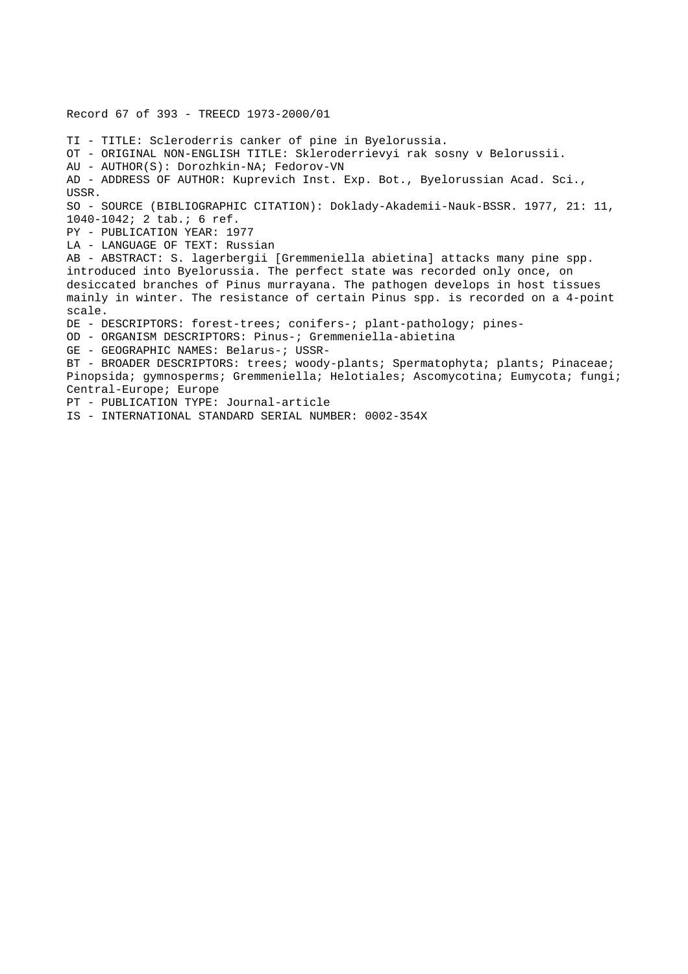Record 67 of 393 - TREECD 1973-2000/01 TI - TITLE: Scleroderris canker of pine in Byelorussia. OT - ORIGINAL NON-ENGLISH TITLE: Skleroderrievyi rak sosny v Belorussii. AU - AUTHOR(S): Dorozhkin-NA; Fedorov-VN AD - ADDRESS OF AUTHOR: Kuprevich Inst. Exp. Bot., Byelorussian Acad. Sci., USSR. SO - SOURCE (BIBLIOGRAPHIC CITATION): Doklady-Akademii-Nauk-BSSR. 1977, 21: 11, 1040-1042; 2 tab.; 6 ref. PY - PUBLICATION YEAR: 1977 LA - LANGUAGE OF TEXT: Russian AB - ABSTRACT: S. lagerbergii [Gremmeniella abietina] attacks many pine spp. introduced into Byelorussia. The perfect state was recorded only once, on desiccated branches of Pinus murrayana. The pathogen develops in host tissues mainly in winter. The resistance of certain Pinus spp. is recorded on a 4-point scale. DE - DESCRIPTORS: forest-trees; conifers-; plant-pathology; pines-OD - ORGANISM DESCRIPTORS: Pinus-; Gremmeniella-abietina GE - GEOGRAPHIC NAMES: Belarus-; USSR-BT - BROADER DESCRIPTORS: trees; woody-plants; Spermatophyta; plants; Pinaceae; Pinopsida; gymnosperms; Gremmeniella; Helotiales; Ascomycotina; Eumycota; fungi; Central-Europe; Europe PT - PUBLICATION TYPE: Journal-article IS - INTERNATIONAL STANDARD SERIAL NUMBER: 0002-354X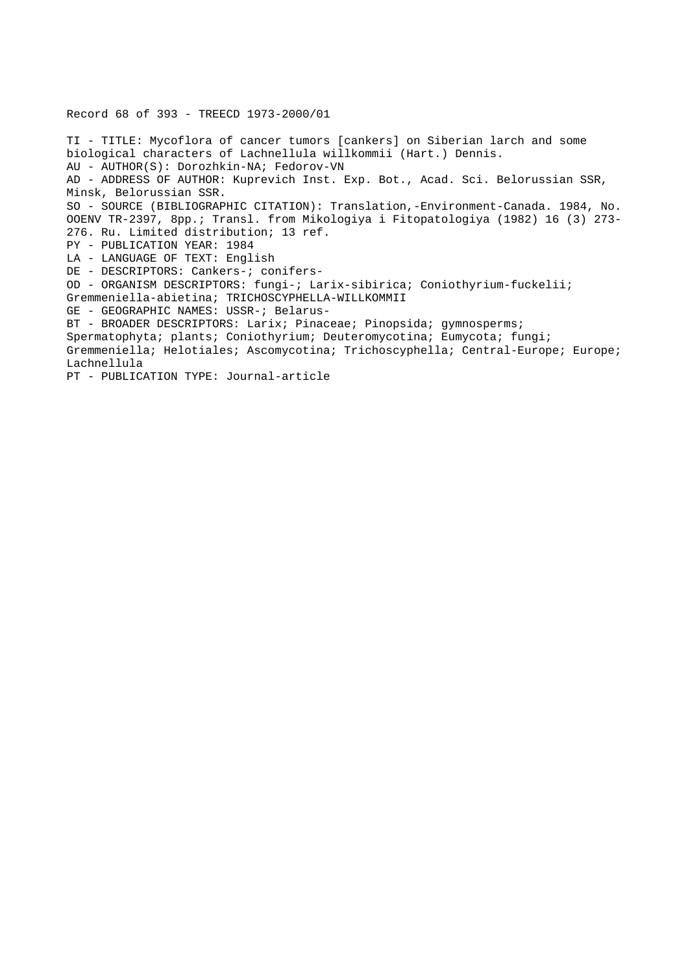Record 68 of 393 - TREECD 1973-2000/01 TI - TITLE: Mycoflora of cancer tumors [cankers] on Siberian larch and some biological characters of Lachnellula willkommii (Hart.) Dennis. AU - AUTHOR(S): Dorozhkin-NA; Fedorov-VN AD - ADDRESS OF AUTHOR: Kuprevich Inst. Exp. Bot., Acad. Sci. Belorussian SSR, Minsk, Belorussian SSR. SO - SOURCE (BIBLIOGRAPHIC CITATION): Translation,-Environment-Canada. 1984, No. OOENV TR-2397, 8pp.; Transl. from Mikologiya i Fitopatologiya (1982) 16 (3) 273- 276. Ru. Limited distribution; 13 ref. PY - PUBLICATION YEAR: 1984 LA - LANGUAGE OF TEXT: English DE - DESCRIPTORS: Cankers-; conifers-OD - ORGANISM DESCRIPTORS: fungi-; Larix-sibirica; Coniothyrium-fuckelii; Gremmeniella-abietina; TRICHOSCYPHELLA-WILLKOMMII GE - GEOGRAPHIC NAMES: USSR-; Belarus-BT - BROADER DESCRIPTORS: Larix; Pinaceae; Pinopsida; gymnosperms; Spermatophyta; plants; Coniothyrium; Deuteromycotina; Eumycota; fungi; Gremmeniella; Helotiales; Ascomycotina; Trichoscyphella; Central-Europe; Europe; Lachnellula PT - PUBLICATION TYPE: Journal-article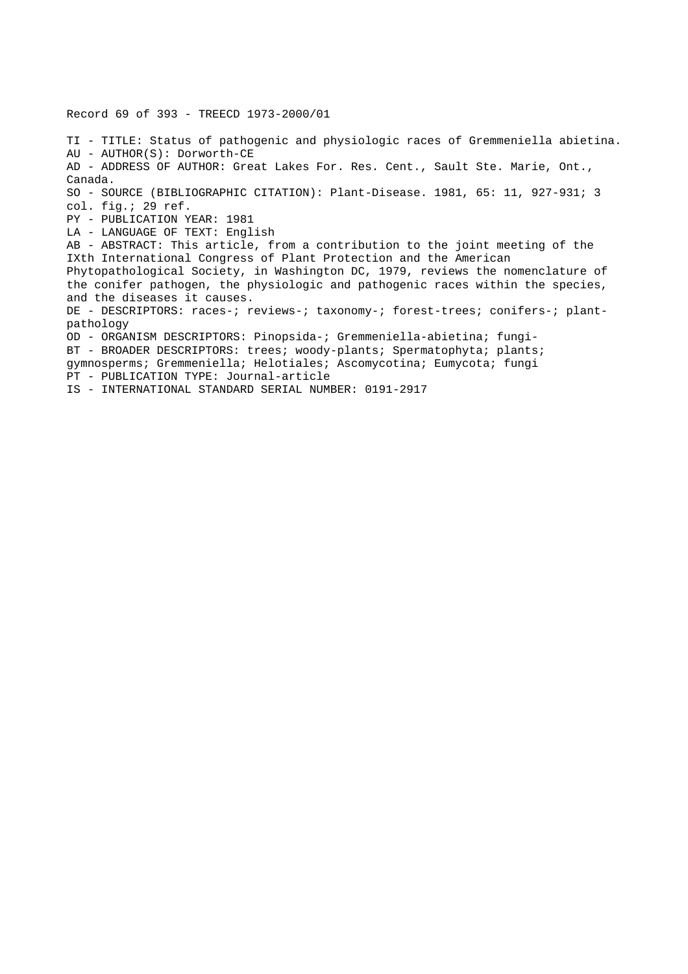Record 69 of 393 - TREECD 1973-2000/01

TI - TITLE: Status of pathogenic and physiologic races of Gremmeniella abietina. AU - AUTHOR(S): Dorworth-CE AD - ADDRESS OF AUTHOR: Great Lakes For. Res. Cent., Sault Ste. Marie, Ont., Canada. SO - SOURCE (BIBLIOGRAPHIC CITATION): Plant-Disease. 1981, 65: 11, 927-931; 3 col. fig.; 29 ref. PY - PUBLICATION YEAR: 1981 LA - LANGUAGE OF TEXT: English AB - ABSTRACT: This article, from a contribution to the joint meeting of the IXth International Congress of Plant Protection and the American Phytopathological Society, in Washington DC, 1979, reviews the nomenclature of the conifer pathogen, the physiologic and pathogenic races within the species, and the diseases it causes. DE - DESCRIPTORS: races-; reviews-; taxonomy-; forest-trees; conifers-; plantpathology OD - ORGANISM DESCRIPTORS: Pinopsida-; Gremmeniella-abietina; fungi-BT - BROADER DESCRIPTORS: trees; woody-plants; Spermatophyta; plants; gymnosperms; Gremmeniella; Helotiales; Ascomycotina; Eumycota; fungi PT - PUBLICATION TYPE: Journal-article IS - INTERNATIONAL STANDARD SERIAL NUMBER: 0191-2917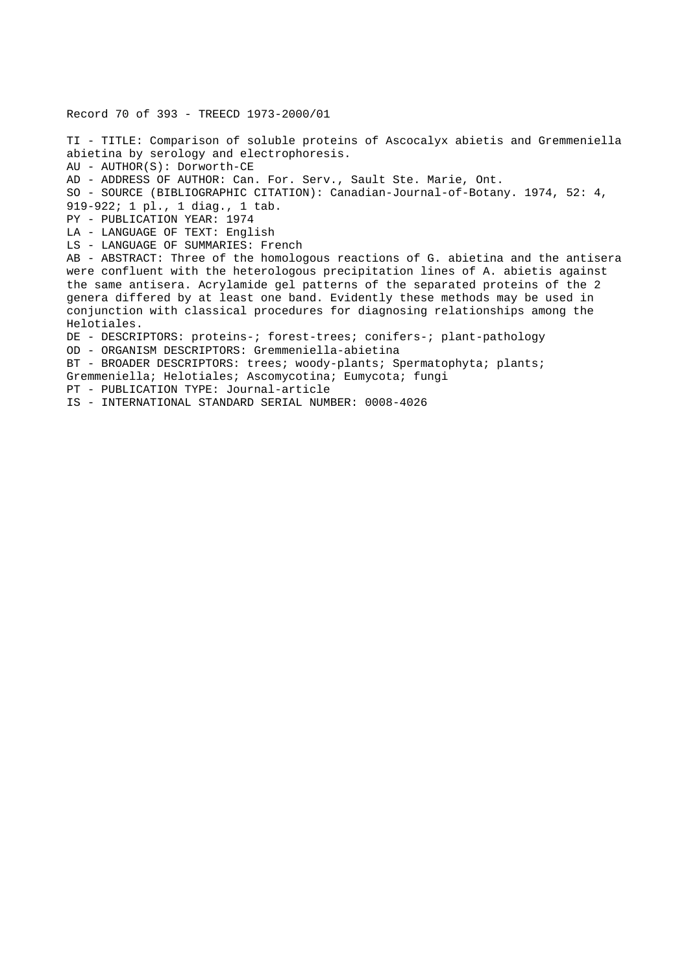Record 70 of 393 - TREECD 1973-2000/01 TI - TITLE: Comparison of soluble proteins of Ascocalyx abietis and Gremmeniella abietina by serology and electrophoresis. AU - AUTHOR(S): Dorworth-CE AD - ADDRESS OF AUTHOR: Can. For. Serv., Sault Ste. Marie, Ont. SO - SOURCE (BIBLIOGRAPHIC CITATION): Canadian-Journal-of-Botany. 1974, 52: 4, 919-922; 1 pl., 1 diag., 1 tab. PY - PUBLICATION YEAR: 1974 LA - LANGUAGE OF TEXT: English LS - LANGUAGE OF SUMMARIES: French AB - ABSTRACT: Three of the homologous reactions of G. abietina and the antisera were confluent with the heterologous precipitation lines of A. abietis against the same antisera. Acrylamide gel patterns of the separated proteins of the 2 genera differed by at least one band. Evidently these methods may be used in conjunction with classical procedures for diagnosing relationships among the Helotiales. DE - DESCRIPTORS: proteins-; forest-trees; conifers-; plant-pathology OD - ORGANISM DESCRIPTORS: Gremmeniella-abietina BT - BROADER DESCRIPTORS: trees; woody-plants; Spermatophyta; plants; Gremmeniella; Helotiales; Ascomycotina; Eumycota; fungi PT - PUBLICATION TYPE: Journal-article IS - INTERNATIONAL STANDARD SERIAL NUMBER: 0008-4026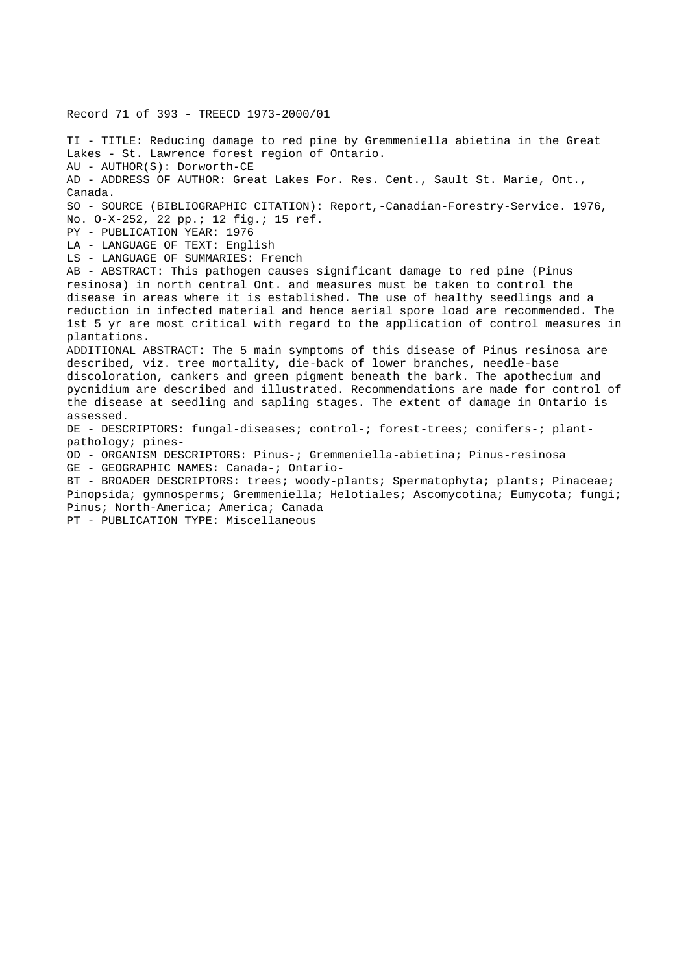Record 71 of 393 - TREECD 1973-2000/01 TI - TITLE: Reducing damage to red pine by Gremmeniella abietina in the Great Lakes - St. Lawrence forest region of Ontario. AU - AUTHOR(S): Dorworth-CE AD - ADDRESS OF AUTHOR: Great Lakes For. Res. Cent., Sault St. Marie, Ont., Canada. SO - SOURCE (BIBLIOGRAPHIC CITATION): Report,-Canadian-Forestry-Service. 1976, No. O-X-252, 22 pp.; 12 fig.; 15 ref. PY - PUBLICATION YEAR: 1976 LA - LANGUAGE OF TEXT: English LS - LANGUAGE OF SUMMARIES: French AB - ABSTRACT: This pathogen causes significant damage to red pine (Pinus resinosa) in north central Ont. and measures must be taken to control the disease in areas where it is established. The use of healthy seedlings and a reduction in infected material and hence aerial spore load are recommended. The 1st 5 yr are most critical with regard to the application of control measures in plantations. ADDITIONAL ABSTRACT: The 5 main symptoms of this disease of Pinus resinosa are described, viz. tree mortality, die-back of lower branches, needle-base discoloration, cankers and green pigment beneath the bark. The apothecium and pycnidium are described and illustrated. Recommendations are made for control of the disease at seedling and sapling stages. The extent of damage in Ontario is assessed. DE - DESCRIPTORS: fungal-diseases; control-; forest-trees; conifers-; plantpathology; pines-OD - ORGANISM DESCRIPTORS: Pinus-; Gremmeniella-abietina; Pinus-resinosa GE - GEOGRAPHIC NAMES: Canada-; Ontario-BT - BROADER DESCRIPTORS: trees; woody-plants; Spermatophyta; plants; Pinaceae; Pinopsida; gymnosperms; Gremmeniella; Helotiales; Ascomycotina; Eumycota; fungi; Pinus; North-America; America; Canada PT - PUBLICATION TYPE: Miscellaneous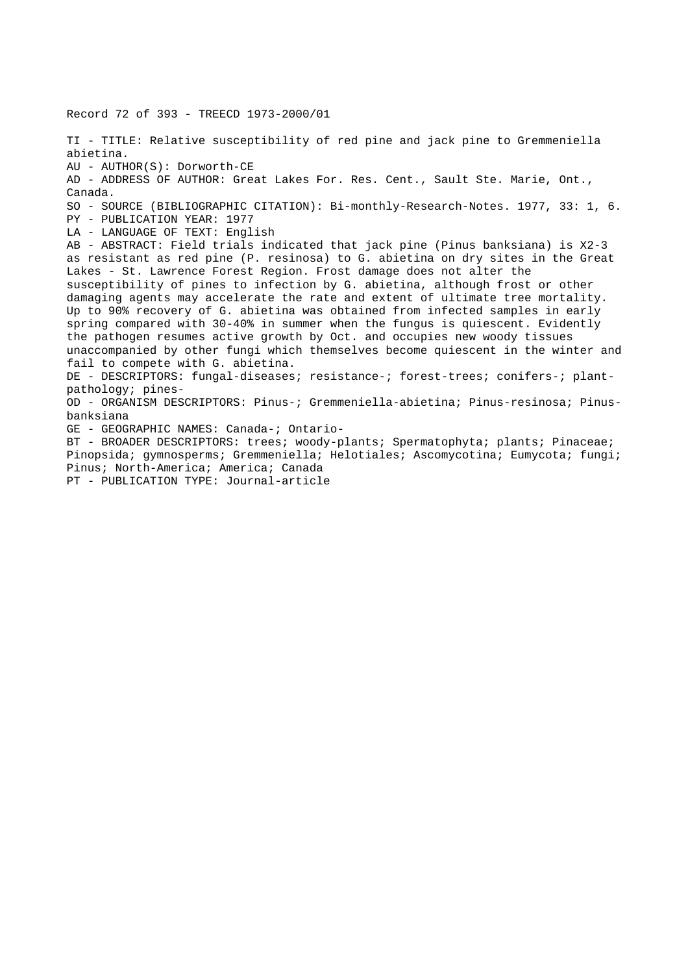Record 72 of 393 - TREECD 1973-2000/01 TI - TITLE: Relative susceptibility of red pine and jack pine to Gremmeniella abietina. AU - AUTHOR(S): Dorworth-CE AD - ADDRESS OF AUTHOR: Great Lakes For. Res. Cent., Sault Ste. Marie, Ont., Canada. SO - SOURCE (BIBLIOGRAPHIC CITATION): Bi-monthly-Research-Notes. 1977, 33: 1, 6. PY - PUBLICATION YEAR: 1977 LA - LANGUAGE OF TEXT: English AB - ABSTRACT: Field trials indicated that jack pine (Pinus banksiana) is X2-3 as resistant as red pine (P. resinosa) to G. abietina on dry sites in the Great Lakes - St. Lawrence Forest Region. Frost damage does not alter the susceptibility of pines to infection by G. abietina, although frost or other damaging agents may accelerate the rate and extent of ultimate tree mortality. Up to 90% recovery of G. abietina was obtained from infected samples in early spring compared with 30-40% in summer when the fungus is quiescent. Evidently the pathogen resumes active growth by Oct. and occupies new woody tissues unaccompanied by other fungi which themselves become quiescent in the winter and fail to compete with G. abietina. DE - DESCRIPTORS: fungal-diseases; resistance-; forest-trees; conifers-; plantpathology; pines-OD - ORGANISM DESCRIPTORS: Pinus-; Gremmeniella-abietina; Pinus-resinosa; Pinusbanksiana GE - GEOGRAPHIC NAMES: Canada-; Ontario-BT - BROADER DESCRIPTORS: trees; woody-plants; Spermatophyta; plants; Pinaceae; Pinopsida; gymnosperms; Gremmeniella; Helotiales; Ascomycotina; Eumycota; fungi; Pinus; North-America; America; Canada

PT - PUBLICATION TYPE: Journal-article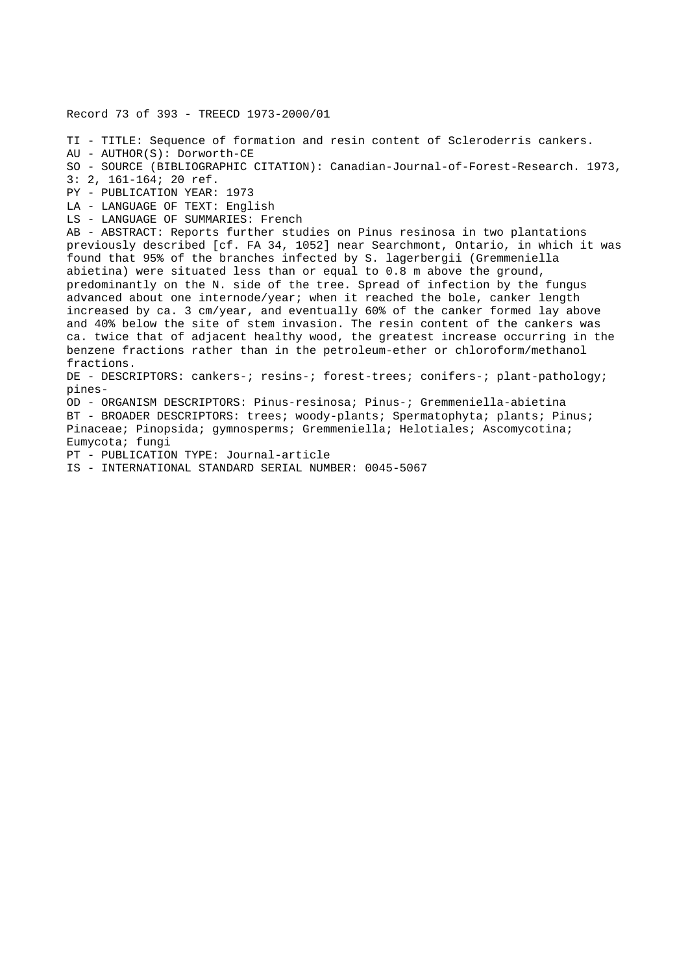TI - TITLE: Sequence of formation and resin content of Scleroderris cankers. AU - AUTHOR(S): Dorworth-CE SO - SOURCE (BIBLIOGRAPHIC CITATION): Canadian-Journal-of-Forest-Research. 1973, 3: 2, 161-164; 20 ref. PY - PUBLICATION YEAR: 1973 LA - LANGUAGE OF TEXT: English LS - LANGUAGE OF SUMMARIES: French AB - ABSTRACT: Reports further studies on Pinus resinosa in two plantations previously described [cf. FA 34, 1052] near Searchmont, Ontario, in which it was found that 95% of the branches infected by S. lagerbergii (Gremmeniella abietina) were situated less than or equal to 0.8 m above the ground, predominantly on the N. side of the tree. Spread of infection by the fungus advanced about one internode/year; when it reached the bole, canker length increased by ca. 3 cm/year, and eventually 60% of the canker formed lay above and 40% below the site of stem invasion. The resin content of the cankers was ca. twice that of adjacent healthy wood, the greatest increase occurring in the benzene fractions rather than in the petroleum-ether or chloroform/methanol fractions. DE - DESCRIPTORS: cankers-; resins-; forest-trees; conifers-; plant-pathology; pines-OD - ORGANISM DESCRIPTORS: Pinus-resinosa; Pinus-; Gremmeniella-abietina BT - BROADER DESCRIPTORS: trees; woody-plants; Spermatophyta; plants; Pinus; Pinaceae; Pinopsida; gymnosperms; Gremmeniella; Helotiales; Ascomycotina; Eumycota; fungi PT - PUBLICATION TYPE: Journal-article IS - INTERNATIONAL STANDARD SERIAL NUMBER: 0045-5067

Record 73 of 393 - TREECD 1973-2000/01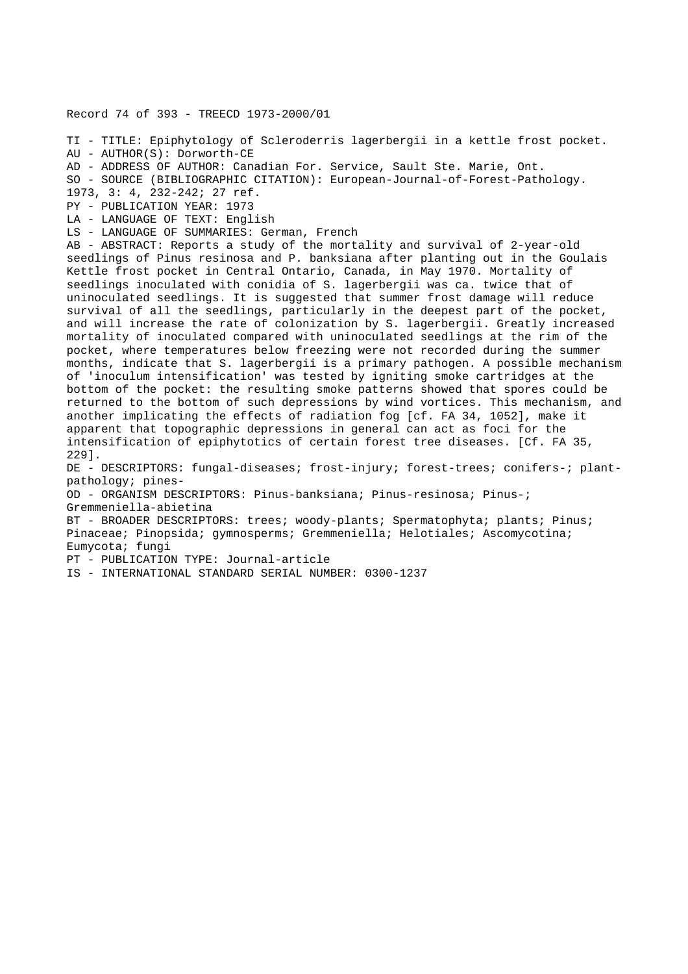Record 74 of 393 - TREECD 1973-2000/01 TI - TITLE: Epiphytology of Scleroderris lagerbergii in a kettle frost pocket. AU - AUTHOR(S): Dorworth-CE AD - ADDRESS OF AUTHOR: Canadian For. Service, Sault Ste. Marie, Ont. SO - SOURCE (BIBLIOGRAPHIC CITATION): European-Journal-of-Forest-Pathology. 1973, 3: 4, 232-242; 27 ref. PY - PUBLICATION YEAR: 1973 LA - LANGUAGE OF TEXT: English LS - LANGUAGE OF SUMMARIES: German, French AB - ABSTRACT: Reports a study of the mortality and survival of 2-year-old seedlings of Pinus resinosa and P. banksiana after planting out in the Goulais Kettle frost pocket in Central Ontario, Canada, in May 1970. Mortality of seedlings inoculated with conidia of S. lagerbergii was ca. twice that of uninoculated seedlings. It is suggested that summer frost damage will reduce survival of all the seedlings, particularly in the deepest part of the pocket, and will increase the rate of colonization by S. lagerbergii. Greatly increased mortality of inoculated compared with uninoculated seedlings at the rim of the pocket, where temperatures below freezing were not recorded during the summer months, indicate that S. lagerbergii is a primary pathogen. A possible mechanism of 'inoculum intensification' was tested by igniting smoke cartridges at the bottom of the pocket: the resulting smoke patterns showed that spores could be returned to the bottom of such depressions by wind vortices. This mechanism, and another implicating the effects of radiation fog [cf. FA 34, 1052], make it apparent that topographic depressions in general can act as foci for the intensification of epiphytotics of certain forest tree diseases. [Cf. FA 35, 229]. DE - DESCRIPTORS: fungal-diseases; frost-injury; forest-trees; conifers-; plantpathology; pines-OD - ORGANISM DESCRIPTORS: Pinus-banksiana; Pinus-resinosa; Pinus-; Gremmeniella-abietina BT - BROADER DESCRIPTORS: trees; woody-plants; Spermatophyta; plants; Pinus; Pinaceae; Pinopsida; gymnosperms; Gremmeniella; Helotiales; Ascomycotina; Eumycota; fungi PT - PUBLICATION TYPE: Journal-article IS - INTERNATIONAL STANDARD SERIAL NUMBER: 0300-1237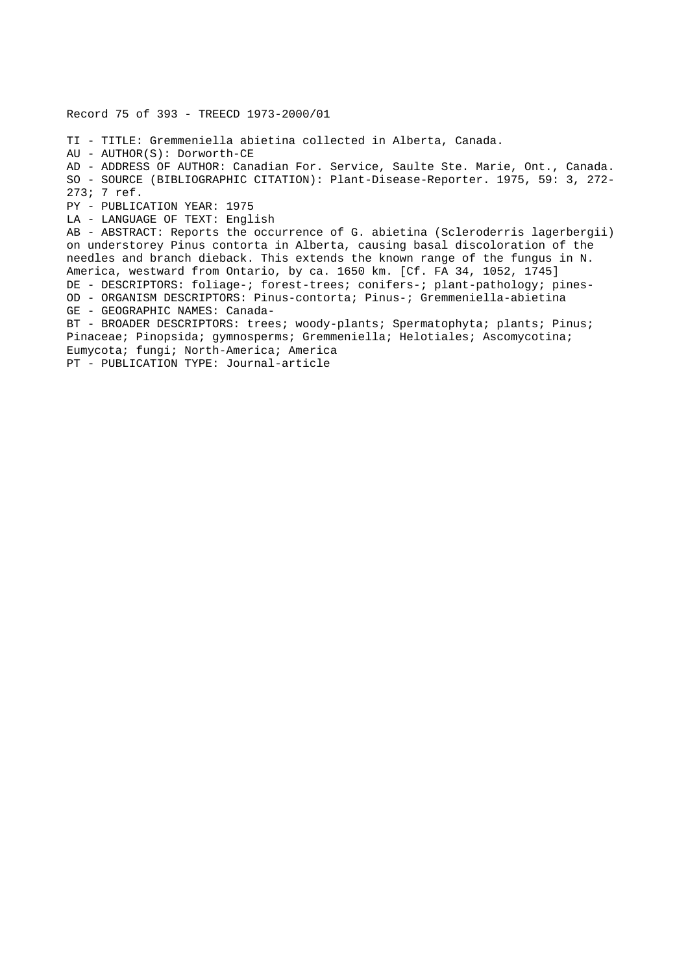Record 75 of 393 - TREECD 1973-2000/01

TI - TITLE: Gremmeniella abietina collected in Alberta, Canada. AU - AUTHOR(S): Dorworth-CE AD - ADDRESS OF AUTHOR: Canadian For. Service, Saulte Ste. Marie, Ont., Canada. SO - SOURCE (BIBLIOGRAPHIC CITATION): Plant-Disease-Reporter. 1975, 59: 3, 272- 273; 7 ref. PY - PUBLICATION YEAR: 1975 LA - LANGUAGE OF TEXT: English AB - ABSTRACT: Reports the occurrence of G. abietina (Scleroderris lagerbergii) on understorey Pinus contorta in Alberta, causing basal discoloration of the needles and branch dieback. This extends the known range of the fungus in N. America, westward from Ontario, by ca. 1650 km. [Cf. FA 34, 1052, 1745] DE - DESCRIPTORS: foliage-; forest-trees; conifers-; plant-pathology; pines-OD - ORGANISM DESCRIPTORS: Pinus-contorta; Pinus-; Gremmeniella-abietina GE - GEOGRAPHIC NAMES: Canada-BT - BROADER DESCRIPTORS: trees; woody-plants; Spermatophyta; plants; Pinus; Pinaceae; Pinopsida; gymnosperms; Gremmeniella; Helotiales; Ascomycotina; Eumycota; fungi; North-America; America

PT - PUBLICATION TYPE: Journal-article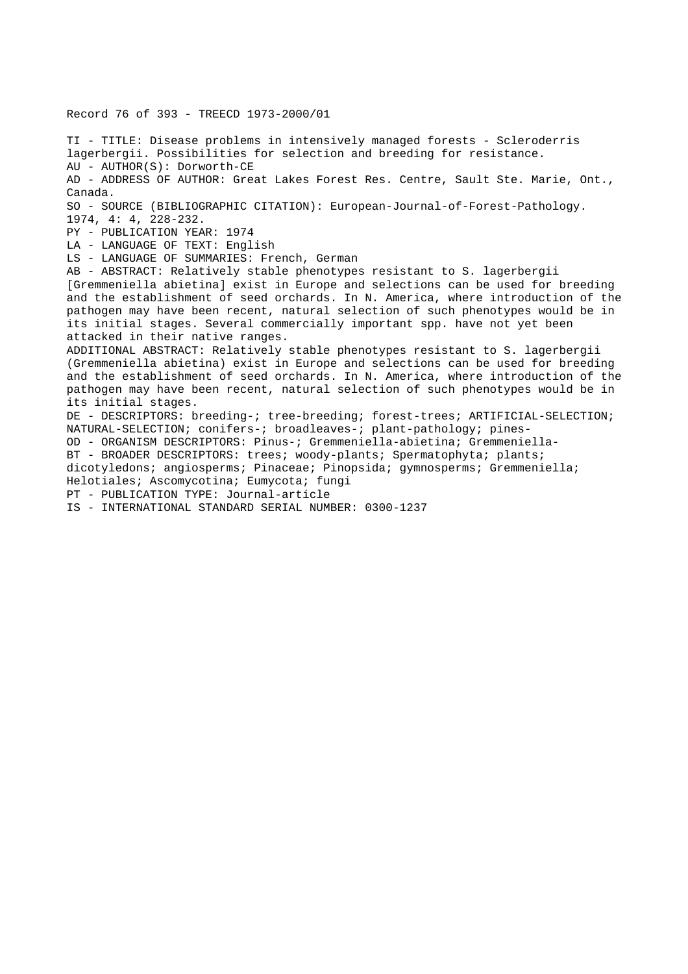Record 76 of 393 - TREECD 1973-2000/01

TI - TITLE: Disease problems in intensively managed forests - Scleroderris lagerbergii. Possibilities for selection and breeding for resistance. AU - AUTHOR(S): Dorworth-CE AD - ADDRESS OF AUTHOR: Great Lakes Forest Res. Centre, Sault Ste. Marie, Ont., Canada. SO - SOURCE (BIBLIOGRAPHIC CITATION): European-Journal-of-Forest-Pathology. 1974, 4: 4, 228-232. PY - PUBLICATION YEAR: 1974 LA - LANGUAGE OF TEXT: English LS - LANGUAGE OF SUMMARIES: French, German AB - ABSTRACT: Relatively stable phenotypes resistant to S. lagerbergii [Gremmeniella abietina] exist in Europe and selections can be used for breeding and the establishment of seed orchards. In N. America, where introduction of the pathogen may have been recent, natural selection of such phenotypes would be in its initial stages. Several commercially important spp. have not yet been attacked in their native ranges. ADDITIONAL ABSTRACT: Relatively stable phenotypes resistant to S. lagerbergii (Gremmeniella abietina) exist in Europe and selections can be used for breeding and the establishment of seed orchards. In N. America, where introduction of the pathogen may have been recent, natural selection of such phenotypes would be in its initial stages. DE - DESCRIPTORS: breeding-; tree-breeding; forest-trees; ARTIFICIAL-SELECTION; NATURAL-SELECTION; conifers-; broadleaves-; plant-pathology; pines-OD - ORGANISM DESCRIPTORS: Pinus-; Gremmeniella-abietina; Gremmeniella-BT - BROADER DESCRIPTORS: trees; woody-plants; Spermatophyta; plants; dicotyledons; angiosperms; Pinaceae; Pinopsida; gymnosperms; Gremmeniella; Helotiales; Ascomycotina; Eumycota; fungi PT - PUBLICATION TYPE: Journal-article IS - INTERNATIONAL STANDARD SERIAL NUMBER: 0300-1237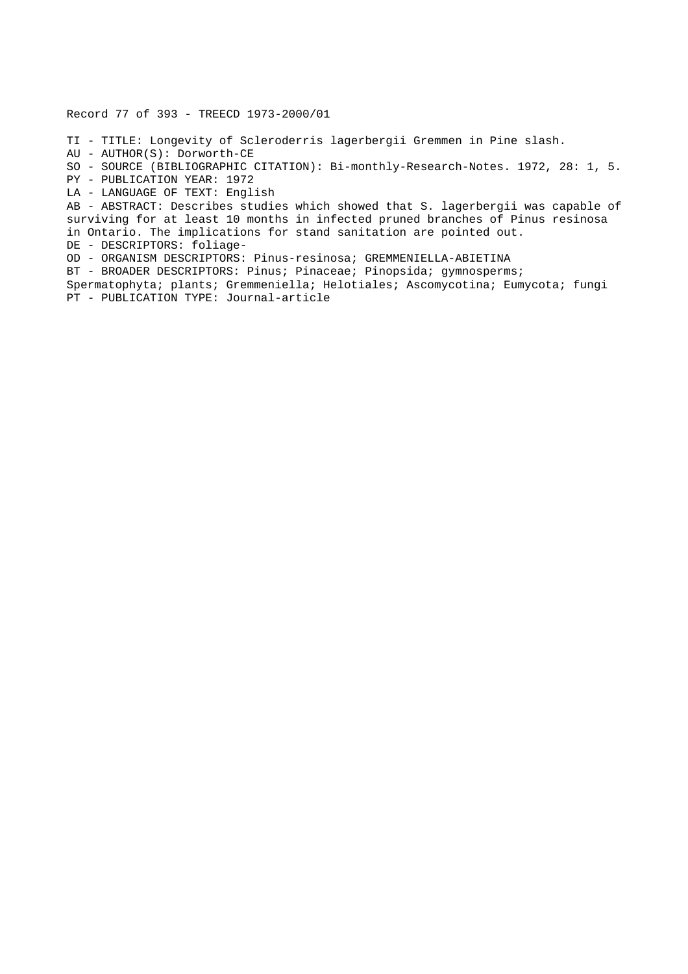Record 77 of 393 - TREECD 1973-2000/01

TI - TITLE: Longevity of Scleroderris lagerbergii Gremmen in Pine slash. AU - AUTHOR(S): Dorworth-CE SO - SOURCE (BIBLIOGRAPHIC CITATION): Bi-monthly-Research-Notes. 1972, 28: 1, 5. PY - PUBLICATION YEAR: 1972 LA - LANGUAGE OF TEXT: English AB - ABSTRACT: Describes studies which showed that S. lagerbergii was capable of surviving for at least 10 months in infected pruned branches of Pinus resinosa in Ontario. The implications for stand sanitation are pointed out.

DE - DESCRIPTORS: foliage-

OD - ORGANISM DESCRIPTORS: Pinus-resinosa; GREMMENIELLA-ABIETINA

BT - BROADER DESCRIPTORS: Pinus; Pinaceae; Pinopsida; gymnosperms;

Spermatophyta; plants; Gremmeniella; Helotiales; Ascomycotina; Eumycota; fungi PT - PUBLICATION TYPE: Journal-article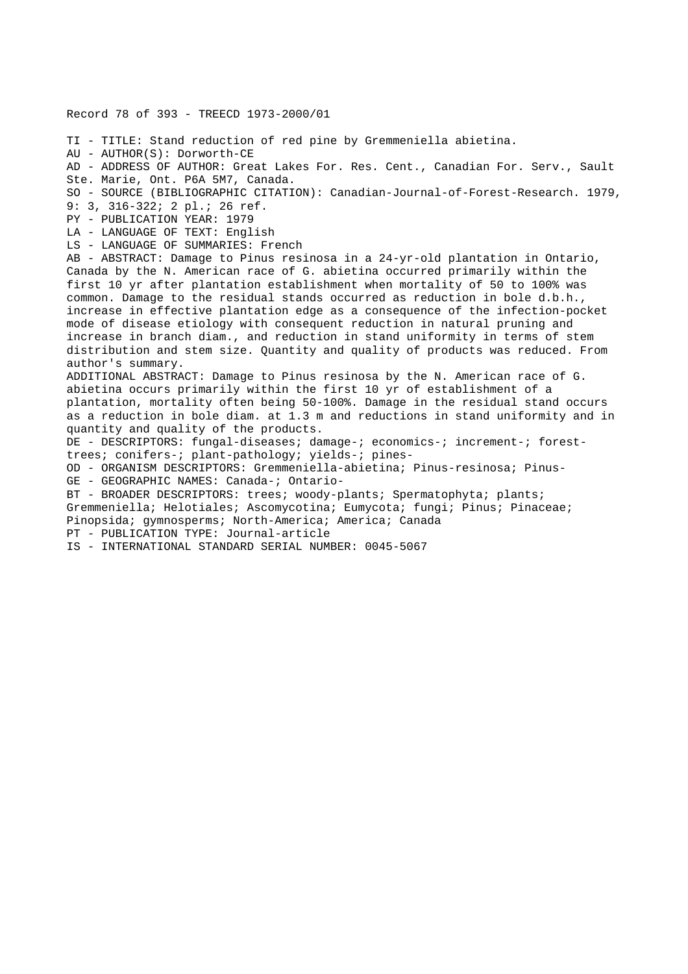Record 78 of 393 - TREECD 1973-2000/01 TI - TITLE: Stand reduction of red pine by Gremmeniella abietina. AU - AUTHOR(S): Dorworth-CE AD - ADDRESS OF AUTHOR: Great Lakes For. Res. Cent., Canadian For. Serv., Sault Ste. Marie, Ont. P6A 5M7, Canada. SO - SOURCE (BIBLIOGRAPHIC CITATION): Canadian-Journal-of-Forest-Research. 1979, 9: 3, 316-322; 2 pl.; 26 ref. PY - PUBLICATION YEAR: 1979 LA - LANGUAGE OF TEXT: English LS - LANGUAGE OF SUMMARIES: French AB - ABSTRACT: Damage to Pinus resinosa in a 24-yr-old plantation in Ontario, Canada by the N. American race of G. abietina occurred primarily within the first 10 yr after plantation establishment when mortality of 50 to 100% was common. Damage to the residual stands occurred as reduction in bole d.b.h., increase in effective plantation edge as a consequence of the infection-pocket mode of disease etiology with consequent reduction in natural pruning and increase in branch diam., and reduction in stand uniformity in terms of stem distribution and stem size. Quantity and quality of products was reduced. From author's summary. ADDITIONAL ABSTRACT: Damage to Pinus resinosa by the N. American race of G. abietina occurs primarily within the first 10 yr of establishment of a plantation, mortality often being 50-100%. Damage in the residual stand occurs as a reduction in bole diam. at 1.3 m and reductions in stand uniformity and in quantity and quality of the products. DE - DESCRIPTORS: fungal-diseases; damage-; economics-; increment-; foresttrees; conifers-; plant-pathology; yields-; pines-OD - ORGANISM DESCRIPTORS: Gremmeniella-abietina; Pinus-resinosa; Pinus-GE - GEOGRAPHIC NAMES: Canada-; Ontario-BT - BROADER DESCRIPTORS: trees; woody-plants; Spermatophyta; plants; Gremmeniella; Helotiales; Ascomycotina; Eumycota; fungi; Pinus; Pinaceae; Pinopsida; gymnosperms; North-America; America; Canada PT - PUBLICATION TYPE: Journal-article IS - INTERNATIONAL STANDARD SERIAL NUMBER: 0045-5067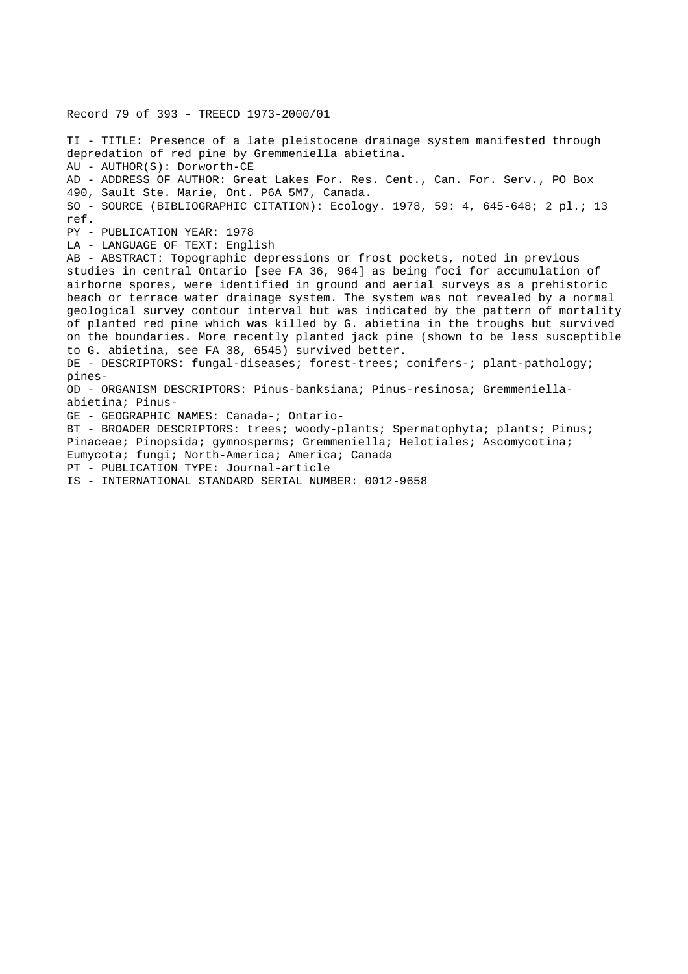Record 79 of 393 - TREECD 1973-2000/01

TI - TITLE: Presence of a late pleistocene drainage system manifested through depredation of red pine by Gremmeniella abietina. AU - AUTHOR(S): Dorworth-CE AD - ADDRESS OF AUTHOR: Great Lakes For. Res. Cent., Can. For. Serv., PO Box 490, Sault Ste. Marie, Ont. P6A 5M7, Canada. SO - SOURCE (BIBLIOGRAPHIC CITATION): Ecology. 1978, 59: 4, 645-648; 2 pl.; 13 ref. PY - PUBLICATION YEAR: 1978 LA - LANGUAGE OF TEXT: English AB - ABSTRACT: Topographic depressions or frost pockets, noted in previous studies in central Ontario [see FA 36, 964] as being foci for accumulation of airborne spores, were identified in ground and aerial surveys as a prehistoric beach or terrace water drainage system. The system was not revealed by a normal geological survey contour interval but was indicated by the pattern of mortality of planted red pine which was killed by G. abietina in the troughs but survived on the boundaries. More recently planted jack pine (shown to be less susceptible to G. abietina, see FA 38, 6545) survived better. DE - DESCRIPTORS: fungal-diseases; forest-trees; conifers-; plant-pathology; pines-OD - ORGANISM DESCRIPTORS: Pinus-banksiana; Pinus-resinosa; Gremmeniellaabietina; Pinus-GE - GEOGRAPHIC NAMES: Canada-; Ontario-BT - BROADER DESCRIPTORS: trees; woody-plants; Spermatophyta; plants; Pinus; Pinaceae; Pinopsida; gymnosperms; Gremmeniella; Helotiales; Ascomycotina; Eumycota; fungi; North-America; America; Canada PT - PUBLICATION TYPE: Journal-article

IS - INTERNATIONAL STANDARD SERIAL NUMBER: 0012-9658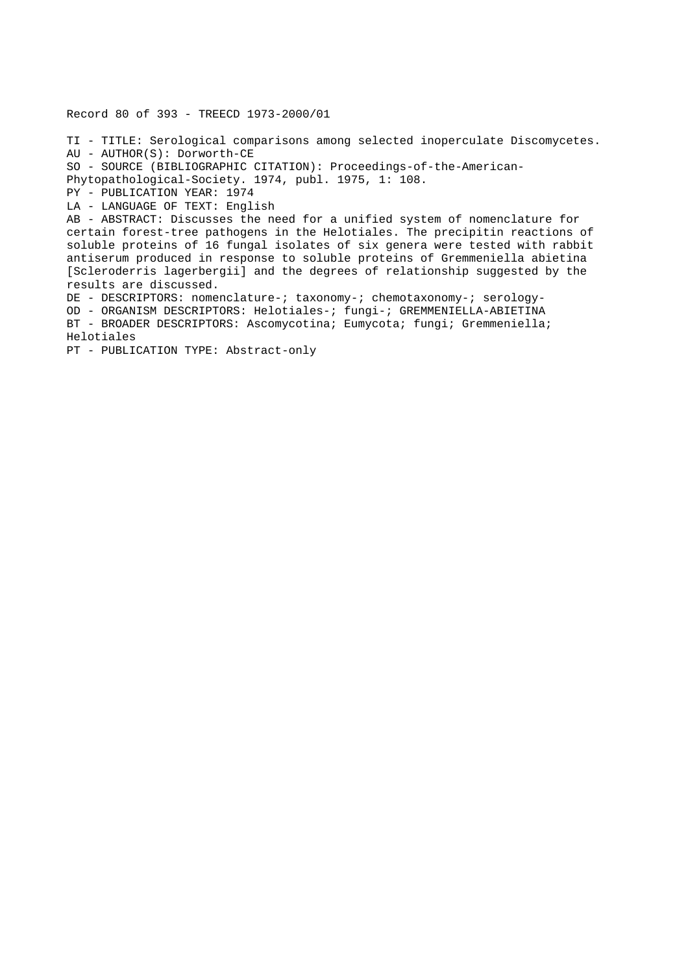Record 80 of 393 - TREECD 1973-2000/01

TI - TITLE: Serological comparisons among selected inoperculate Discomycetes. AU - AUTHOR(S): Dorworth-CE SO - SOURCE (BIBLIOGRAPHIC CITATION): Proceedings-of-the-American-Phytopathological-Society. 1974, publ. 1975, 1: 108. PY - PUBLICATION YEAR: 1974 LA - LANGUAGE OF TEXT: English AB - ABSTRACT: Discusses the need for a unified system of nomenclature for certain forest-tree pathogens in the Helotiales. The precipitin reactions of soluble proteins of 16 fungal isolates of six genera were tested with rabbit antiserum produced in response to soluble proteins of Gremmeniella abietina [Scleroderris lagerbergii] and the degrees of relationship suggested by the results are discussed. DE - DESCRIPTORS: nomenclature-; taxonomy-; chemotaxonomy-; serology-OD - ORGANISM DESCRIPTORS: Helotiales-; fungi-; GREMMENIELLA-ABIETINA BT - BROADER DESCRIPTORS: Ascomycotina; Eumycota; fungi; Gremmeniella; Helotiales PT - PUBLICATION TYPE: Abstract-only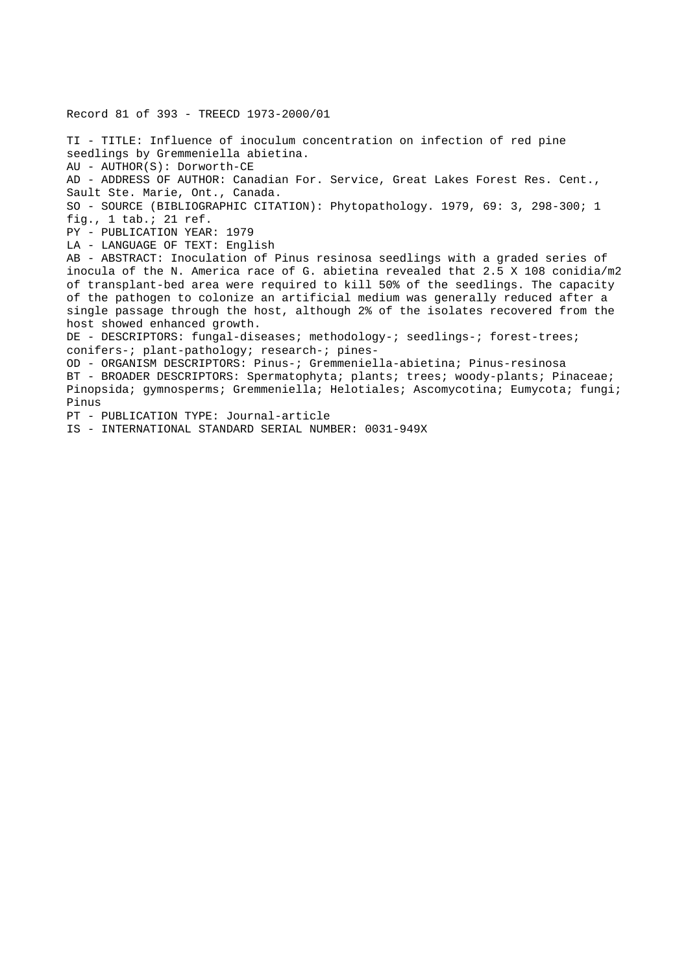Record 81 of 393 - TREECD 1973-2000/01 TI - TITLE: Influence of inoculum concentration on infection of red pine seedlings by Gremmeniella abietina. AU - AUTHOR(S): Dorworth-CE AD - ADDRESS OF AUTHOR: Canadian For. Service, Great Lakes Forest Res. Cent., Sault Ste. Marie, Ont., Canada. SO - SOURCE (BIBLIOGRAPHIC CITATION): Phytopathology. 1979, 69: 3, 298-300; 1 fig., 1 tab.; 21 ref. PY - PUBLICATION YEAR: 1979 LA - LANGUAGE OF TEXT: English AB - ABSTRACT: Inoculation of Pinus resinosa seedlings with a graded series of inocula of the N. America race of G. abietina revealed that 2.5 X 108 conidia/m2 of transplant-bed area were required to kill 50% of the seedlings. The capacity of the pathogen to colonize an artificial medium was generally reduced after a single passage through the host, although 2% of the isolates recovered from the host showed enhanced growth. DE - DESCRIPTORS: fungal-diseases; methodology-; seedlings-; forest-trees; conifers-; plant-pathology; research-; pines-OD - ORGANISM DESCRIPTORS: Pinus-; Gremmeniella-abietina; Pinus-resinosa BT - BROADER DESCRIPTORS: Spermatophyta; plants; trees; woody-plants; Pinaceae; Pinopsida; gymnosperms; Gremmeniella; Helotiales; Ascomycotina; Eumycota; fungi; Pinus PT - PUBLICATION TYPE: Journal-article IS - INTERNATIONAL STANDARD SERIAL NUMBER: 0031-949X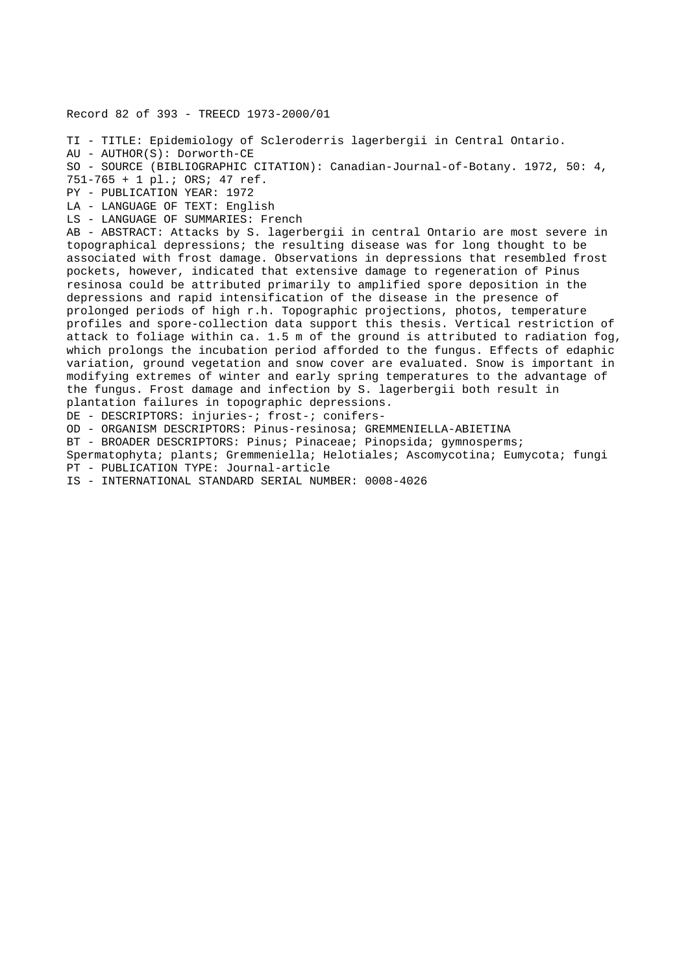Record 82 of 393 - TREECD 1973-2000/01 TI - TITLE: Epidemiology of Scleroderris lagerbergii in Central Ontario. AU - AUTHOR(S): Dorworth-CE SO - SOURCE (BIBLIOGRAPHIC CITATION): Canadian-Journal-of-Botany. 1972, 50: 4, 751-765 + 1 pl.; ORS; 47 ref. PY - PUBLICATION YEAR: 1972 LA - LANGUAGE OF TEXT: English LS - LANGUAGE OF SUMMARIES: French AB - ABSTRACT: Attacks by S. lagerbergii in central Ontario are most severe in topographical depressions; the resulting disease was for long thought to be associated with frost damage. Observations in depressions that resembled frost pockets, however, indicated that extensive damage to regeneration of Pinus resinosa could be attributed primarily to amplified spore deposition in the depressions and rapid intensification of the disease in the presence of prolonged periods of high r.h. Topographic projections, photos, temperature profiles and spore-collection data support this thesis. Vertical restriction of attack to foliage within ca. 1.5 m of the ground is attributed to radiation fog, which prolongs the incubation period afforded to the fungus. Effects of edaphic variation, ground vegetation and snow cover are evaluated. Snow is important in modifying extremes of winter and early spring temperatures to the advantage of the fungus. Frost damage and infection by S. lagerbergii both result in plantation failures in topographic depressions. DE - DESCRIPTORS: injuries-; frost-; conifers-OD - ORGANISM DESCRIPTORS: Pinus-resinosa; GREMMENIELLA-ABIETINA BT - BROADER DESCRIPTORS: Pinus; Pinaceae; Pinopsida; gymnosperms; Spermatophyta; plants; Gremmeniella; Helotiales; Ascomycotina; Eumycota; fungi PT - PUBLICATION TYPE: Journal-article

IS - INTERNATIONAL STANDARD SERIAL NUMBER: 0008-4026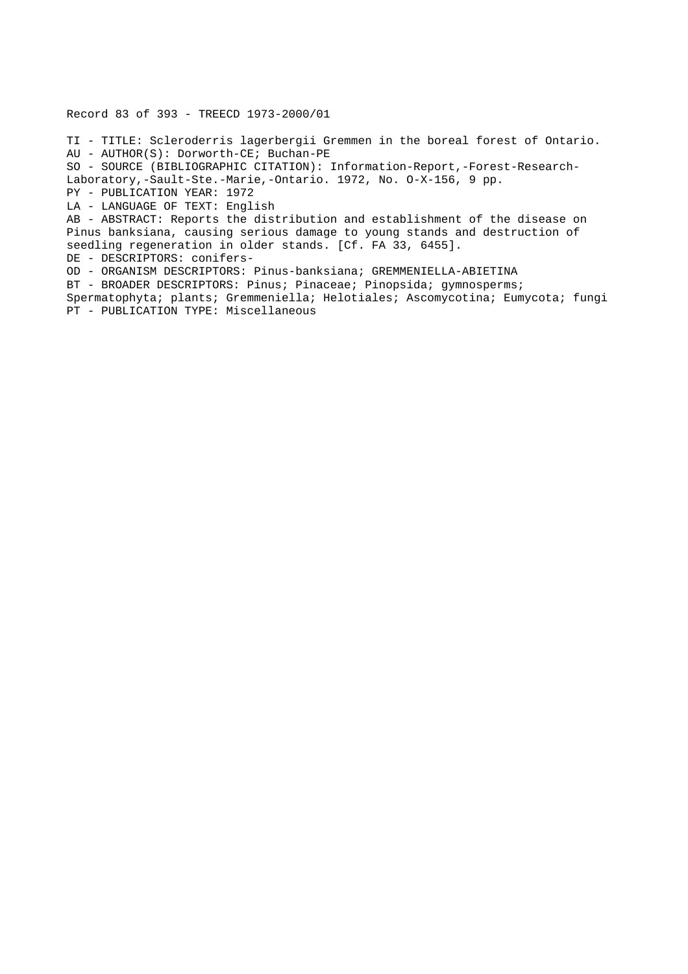Record 83 of 393 - TREECD 1973-2000/01

TI - TITLE: Scleroderris lagerbergii Gremmen in the boreal forest of Ontario. AU - AUTHOR(S): Dorworth-CE; Buchan-PE SO - SOURCE (BIBLIOGRAPHIC CITATION): Information-Report,-Forest-Research-Laboratory,-Sault-Ste.-Marie,-Ontario. 1972, No. O-X-156, 9 pp. PY - PUBLICATION YEAR: 1972 LA - LANGUAGE OF TEXT: English AB - ABSTRACT: Reports the distribution and establishment of the disease on Pinus banksiana, causing serious damage to young stands and destruction of seedling regeneration in older stands. [Cf. FA 33, 6455]. DE - DESCRIPTORS: conifers-OD - ORGANISM DESCRIPTORS: Pinus-banksiana; GREMMENIELLA-ABIETINA BT - BROADER DESCRIPTORS: Pinus; Pinaceae; Pinopsida; gymnosperms; Spermatophyta; plants; Gremmeniella; Helotiales; Ascomycotina; Eumycota; fungi PT - PUBLICATION TYPE: Miscellaneous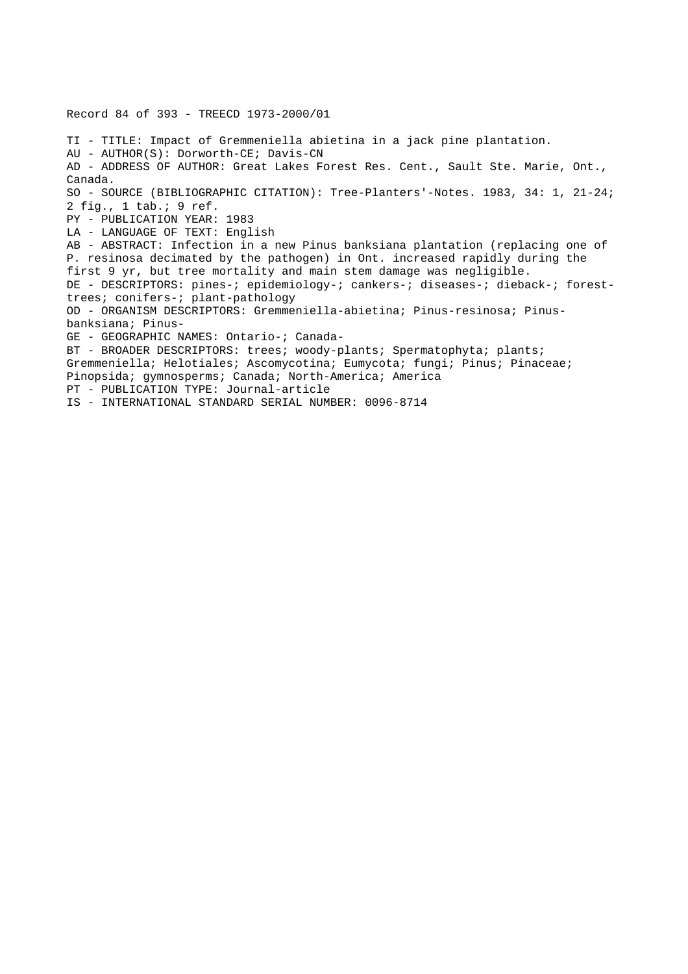Record 84 of 393 - TREECD 1973-2000/01 TI - TITLE: Impact of Gremmeniella abietina in a jack pine plantation. AU - AUTHOR(S): Dorworth-CE; Davis-CN AD - ADDRESS OF AUTHOR: Great Lakes Forest Res. Cent., Sault Ste. Marie, Ont., Canada. SO - SOURCE (BIBLIOGRAPHIC CITATION): Tree-Planters'-Notes. 1983, 34: 1, 21-24; 2 fig., 1 tab.; 9 ref. PY - PUBLICATION YEAR: 1983 LA - LANGUAGE OF TEXT: English AB - ABSTRACT: Infection in a new Pinus banksiana plantation (replacing one of P. resinosa decimated by the pathogen) in Ont. increased rapidly during the first 9 yr, but tree mortality and main stem damage was negligible. DE - DESCRIPTORS: pines-; epidemiology-; cankers-; diseases-; dieback-; foresttrees; conifers-; plant-pathology OD - ORGANISM DESCRIPTORS: Gremmeniella-abietina; Pinus-resinosa; Pinusbanksiana; Pinus-GE - GEOGRAPHIC NAMES: Ontario-; Canada-BT - BROADER DESCRIPTORS: trees; woody-plants; Spermatophyta; plants; Gremmeniella; Helotiales; Ascomycotina; Eumycota; fungi; Pinus; Pinaceae; Pinopsida; gymnosperms; Canada; North-America; America PT - PUBLICATION TYPE: Journal-article IS - INTERNATIONAL STANDARD SERIAL NUMBER: 0096-8714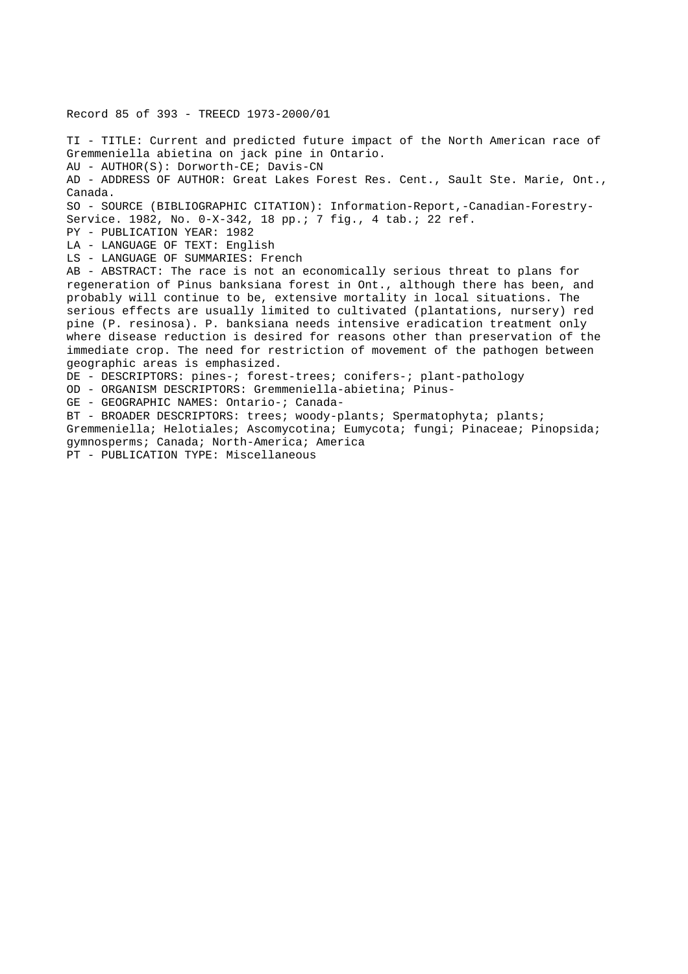Record 85 of 393 - TREECD 1973-2000/01

TI - TITLE: Current and predicted future impact of the North American race of Gremmeniella abietina on jack pine in Ontario. AU - AUTHOR(S): Dorworth-CE; Davis-CN AD - ADDRESS OF AUTHOR: Great Lakes Forest Res. Cent., Sault Ste. Marie, Ont., Canada. SO - SOURCE (BIBLIOGRAPHIC CITATION): Information-Report,-Canadian-Forestry-Service. 1982, No. 0-X-342, 18 pp.; 7 fig., 4 tab.; 22 ref. PY - PUBLICATION YEAR: 1982 LA - LANGUAGE OF TEXT: English LS - LANGUAGE OF SUMMARIES: French AB - ABSTRACT: The race is not an economically serious threat to plans for regeneration of Pinus banksiana forest in Ont., although there has been, and probably will continue to be, extensive mortality in local situations. The serious effects are usually limited to cultivated (plantations, nursery) red pine (P. resinosa). P. banksiana needs intensive eradication treatment only where disease reduction is desired for reasons other than preservation of the immediate crop. The need for restriction of movement of the pathogen between geographic areas is emphasized. DE - DESCRIPTORS: pines-; forest-trees; conifers-; plant-pathology OD - ORGANISM DESCRIPTORS: Gremmeniella-abietina; Pinus-GE - GEOGRAPHIC NAMES: Ontario-; Canada-BT - BROADER DESCRIPTORS: trees; woody-plants; Spermatophyta; plants; Gremmeniella; Helotiales; Ascomycotina; Eumycota; fungi; Pinaceae; Pinopsida; gymnosperms; Canada; North-America; America PT - PUBLICATION TYPE: Miscellaneous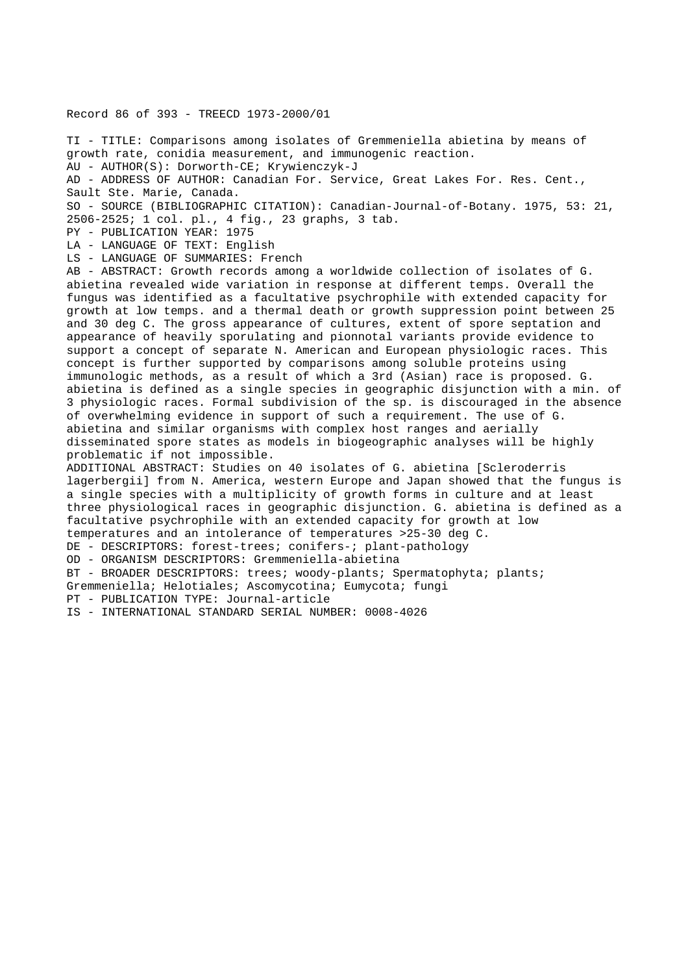Record 86 of 393 - TREECD 1973-2000/01

TI - TITLE: Comparisons among isolates of Gremmeniella abietina by means of growth rate, conidia measurement, and immunogenic reaction. AU - AUTHOR(S): Dorworth-CE; Krywienczyk-J AD - ADDRESS OF AUTHOR: Canadian For. Service, Great Lakes For. Res. Cent., Sault Ste. Marie, Canada. SO - SOURCE (BIBLIOGRAPHIC CITATION): Canadian-Journal-of-Botany. 1975, 53: 21, 2506-2525; 1 col. pl., 4 fig., 23 graphs, 3 tab. PY - PUBLICATION YEAR: 1975 LA - LANGUAGE OF TEXT: English LS - LANGUAGE OF SUMMARIES: French AB - ABSTRACT: Growth records among a worldwide collection of isolates of G. abietina revealed wide variation in response at different temps. Overall the fungus was identified as a facultative psychrophile with extended capacity for growth at low temps. and a thermal death or growth suppression point between 25 and 30 deg C. The gross appearance of cultures, extent of spore septation and appearance of heavily sporulating and pionnotal variants provide evidence to support a concept of separate N. American and European physiologic races. This concept is further supported by comparisons among soluble proteins using immunologic methods, as a result of which a 3rd (Asian) race is proposed. G. abietina is defined as a single species in geographic disjunction with a min. of 3 physiologic races. Formal subdivision of the sp. is discouraged in the absence of overwhelming evidence in support of such a requirement. The use of G. abietina and similar organisms with complex host ranges and aerially disseminated spore states as models in biogeographic analyses will be highly problematic if not impossible. ADDITIONAL ABSTRACT: Studies on 40 isolates of G. abietina [Scleroderris lagerbergii] from N. America, western Europe and Japan showed that the fungus is a single species with a multiplicity of growth forms in culture and at least three physiological races in geographic disjunction. G. abietina is defined as a facultative psychrophile with an extended capacity for growth at low temperatures and an intolerance of temperatures >25-30 deg C. DE - DESCRIPTORS: forest-trees; conifers-; plant-pathology OD - ORGANISM DESCRIPTORS: Gremmeniella-abietina BT - BROADER DESCRIPTORS: trees; woody-plants; Spermatophyta; plants; Gremmeniella; Helotiales; Ascomycotina; Eumycota; fungi

PT - PUBLICATION TYPE: Journal-article

IS - INTERNATIONAL STANDARD SERIAL NUMBER: 0008-4026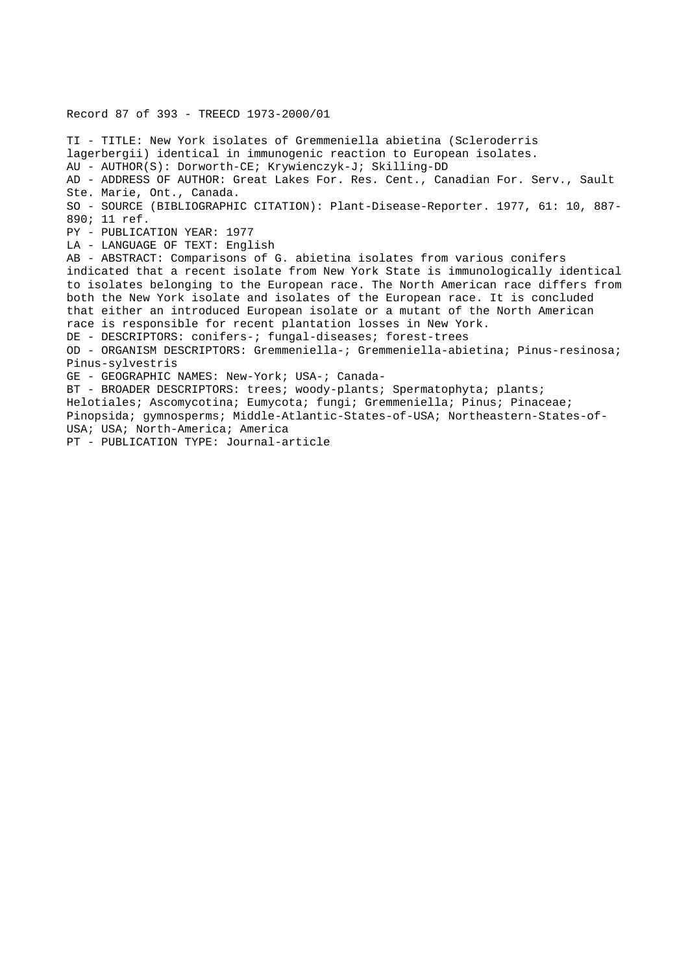Record 87 of 393 - TREECD 1973-2000/01 TI - TITLE: New York isolates of Gremmeniella abietina (Scleroderris lagerbergii) identical in immunogenic reaction to European isolates. AU - AUTHOR(S): Dorworth-CE; Krywienczyk-J; Skilling-DD AD - ADDRESS OF AUTHOR: Great Lakes For. Res. Cent., Canadian For. Serv., Sault Ste. Marie, Ont., Canada. SO - SOURCE (BIBLIOGRAPHIC CITATION): Plant-Disease-Reporter. 1977, 61: 10, 887- 890; 11 ref. PY - PUBLICATION YEAR: 1977 LA - LANGUAGE OF TEXT: English AB - ABSTRACT: Comparisons of G. abietina isolates from various conifers indicated that a recent isolate from New York State is immunologically identical to isolates belonging to the European race. The North American race differs from both the New York isolate and isolates of the European race. It is concluded that either an introduced European isolate or a mutant of the North American race is responsible for recent plantation losses in New York. DE - DESCRIPTORS: conifers-; fungal-diseases; forest-trees OD - ORGANISM DESCRIPTORS: Gremmeniella-; Gremmeniella-abietina; Pinus-resinosa; Pinus-sylvestris GE - GEOGRAPHIC NAMES: New-York; USA-; Canada-BT - BROADER DESCRIPTORS: trees; woody-plants; Spermatophyta; plants; Helotiales; Ascomycotina; Eumycota; fungi; Gremmeniella; Pinus; Pinaceae; Pinopsida; gymnosperms; Middle-Atlantic-States-of-USA; Northeastern-States-of-USA; USA; North-America; America PT - PUBLICATION TYPE: Journal-article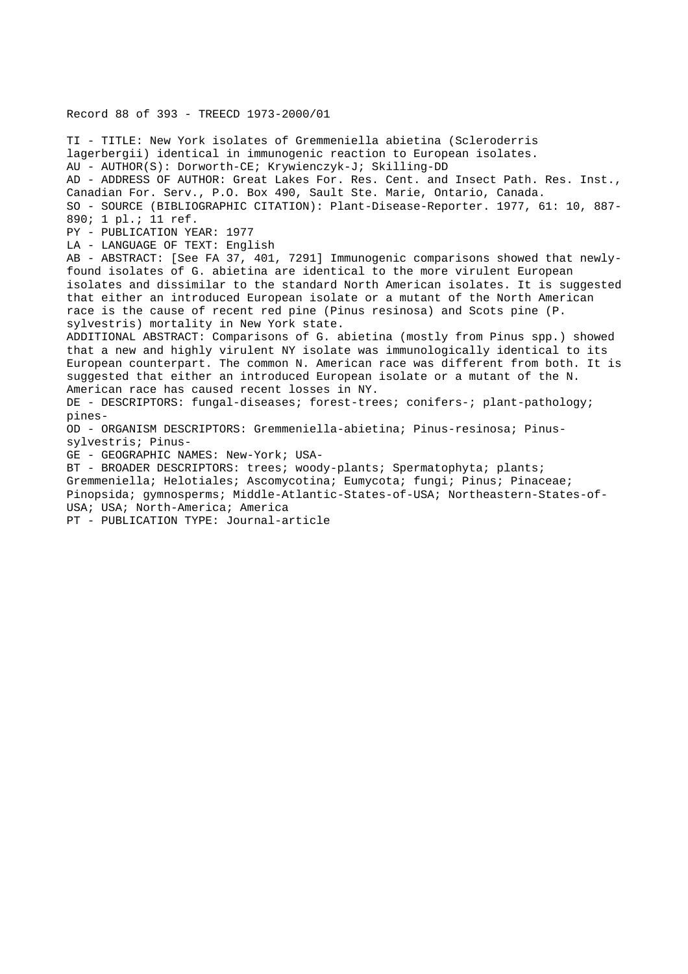Record 88 of 393 - TREECD 1973-2000/01

TI - TITLE: New York isolates of Gremmeniella abietina (Scleroderris lagerbergii) identical in immunogenic reaction to European isolates. AU - AUTHOR(S): Dorworth-CE; Krywienczyk-J; Skilling-DD AD - ADDRESS OF AUTHOR: Great Lakes For. Res. Cent. and Insect Path. Res. Inst., Canadian For. Serv., P.O. Box 490, Sault Ste. Marie, Ontario, Canada. SO - SOURCE (BIBLIOGRAPHIC CITATION): Plant-Disease-Reporter. 1977, 61: 10, 887- 890; 1 pl.; 11 ref. PY - PUBLICATION YEAR: 1977 LA - LANGUAGE OF TEXT: English AB - ABSTRACT: [See FA 37, 401, 7291] Immunogenic comparisons showed that newlyfound isolates of G. abietina are identical to the more virulent European isolates and dissimilar to the standard North American isolates. It is suggested that either an introduced European isolate or a mutant of the North American race is the cause of recent red pine (Pinus resinosa) and Scots pine (P. sylvestris) mortality in New York state. ADDITIONAL ABSTRACT: Comparisons of G. abietina (mostly from Pinus spp.) showed that a new and highly virulent NY isolate was immunologically identical to its European counterpart. The common N. American race was different from both. It is suggested that either an introduced European isolate or a mutant of the N. American race has caused recent losses in NY. DE - DESCRIPTORS: fungal-diseases; forest-trees; conifers-; plant-pathology; pines-OD - ORGANISM DESCRIPTORS: Gremmeniella-abietina; Pinus-resinosa; Pinussylvestris; Pinus-GE - GEOGRAPHIC NAMES: New-York; USA-BT - BROADER DESCRIPTORS: trees; woody-plants; Spermatophyta; plants; Gremmeniella; Helotiales; Ascomycotina; Eumycota; fungi; Pinus; Pinaceae; Pinopsida; gymnosperms; Middle-Atlantic-States-of-USA; Northeastern-States-of-

USA; USA; North-America; America

PT - PUBLICATION TYPE: Journal-article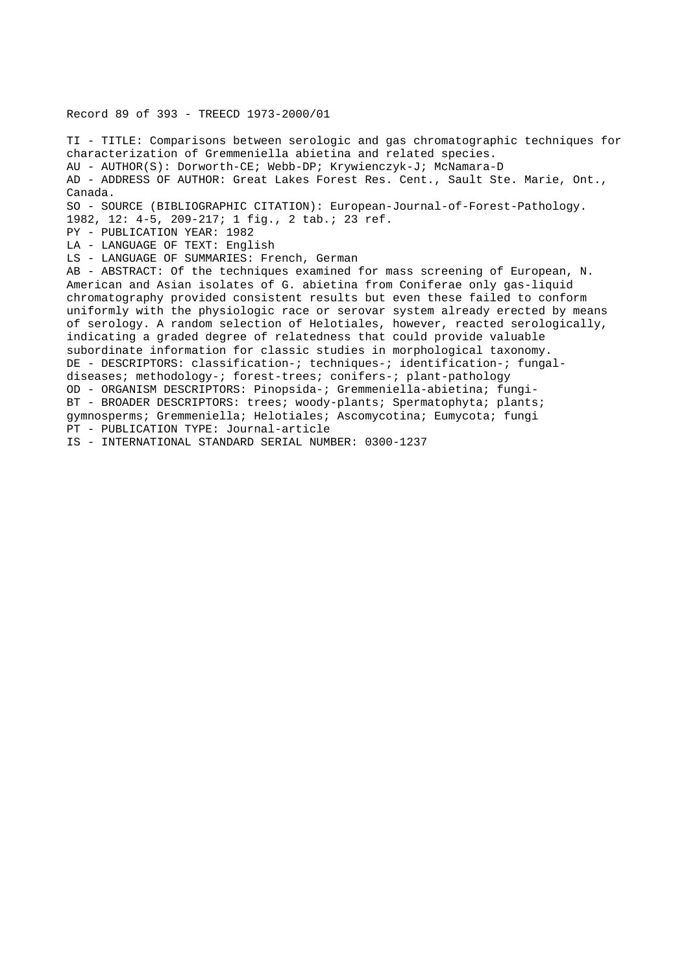Record 89 of 393 - TREECD 1973-2000/01

TI - TITLE: Comparisons between serologic and gas chromatographic techniques for characterization of Gremmeniella abietina and related species. AU - AUTHOR(S): Dorworth-CE; Webb-DP; Krywienczyk-J; McNamara-D AD - ADDRESS OF AUTHOR: Great Lakes Forest Res. Cent., Sault Ste. Marie, Ont., Canada. SO - SOURCE (BIBLIOGRAPHIC CITATION): European-Journal-of-Forest-Pathology. 1982, 12: 4-5, 209-217; 1 fig., 2 tab.; 23 ref. PY - PUBLICATION YEAR: 1982 LA - LANGUAGE OF TEXT: English LS - LANGUAGE OF SUMMARIES: French, German AB - ABSTRACT: Of the techniques examined for mass screening of European, N. American and Asian isolates of G. abietina from Coniferae only gas-liquid chromatography provided consistent results but even these failed to conform uniformly with the physiologic race or serovar system already erected by means of serology. A random selection of Helotiales, however, reacted serologically, indicating a graded degree of relatedness that could provide valuable subordinate information for classic studies in morphological taxonomy. DE - DESCRIPTORS: classification-; techniques-; identification-; fungaldiseases; methodology-; forest-trees; conifers-; plant-pathology OD - ORGANISM DESCRIPTORS: Pinopsida-; Gremmeniella-abietina; fungi-BT - BROADER DESCRIPTORS: trees; woody-plants; Spermatophyta; plants; gymnosperms; Gremmeniella; Helotiales; Ascomycotina; Eumycota; fungi PT - PUBLICATION TYPE: Journal-article IS - INTERNATIONAL STANDARD SERIAL NUMBER: 0300-1237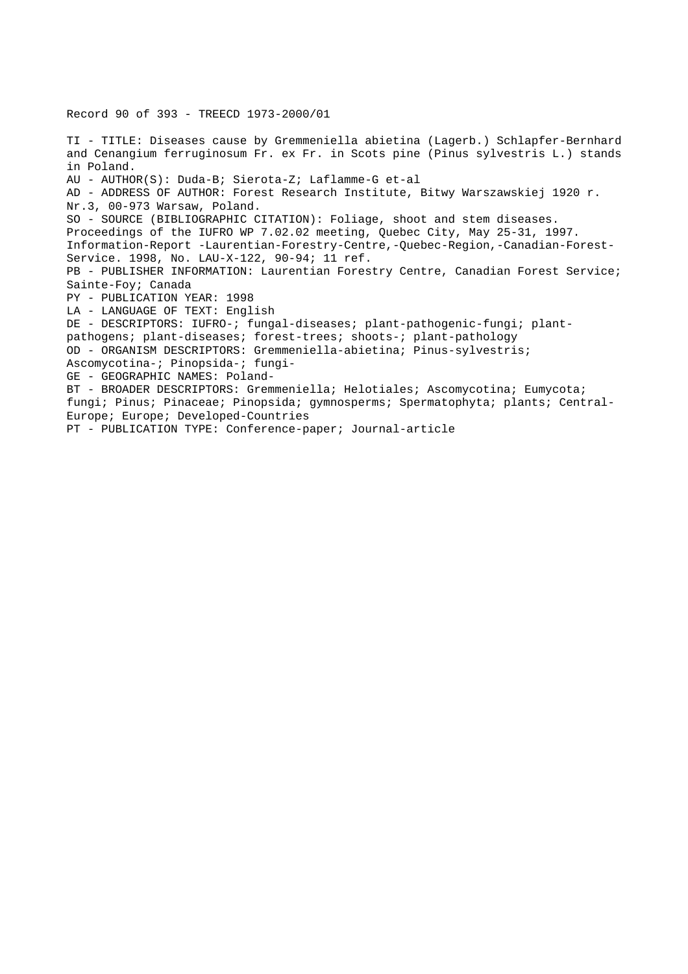TI - TITLE: Diseases cause by Gremmeniella abietina (Lagerb.) Schlapfer-Bernhard and Cenangium ferruginosum Fr. ex Fr. in Scots pine (Pinus sylvestris L.) stands

Record 90 of 393 - TREECD 1973-2000/01

in Poland. AU - AUTHOR(S): Duda-B; Sierota-Z; Laflamme-G et-al AD - ADDRESS OF AUTHOR: Forest Research Institute, Bitwy Warszawskiej 1920 r. Nr.3, 00-973 Warsaw, Poland. SO - SOURCE (BIBLIOGRAPHIC CITATION): Foliage, shoot and stem diseases. Proceedings of the IUFRO WP 7.02.02 meeting, Quebec City, May 25-31, 1997. Information-Report -Laurentian-Forestry-Centre,-Quebec-Region,-Canadian-Forest-Service. 1998, No. LAU-X-122, 90-94; 11 ref. PB - PUBLISHER INFORMATION: Laurentian Forestry Centre, Canadian Forest Service; Sainte-Foy; Canada PY - PUBLICATION YEAR: 1998 LA - LANGUAGE OF TEXT: English DE - DESCRIPTORS: IUFRO-; fungal-diseases; plant-pathogenic-fungi; plantpathogens; plant-diseases; forest-trees; shoots-; plant-pathology OD - ORGANISM DESCRIPTORS: Gremmeniella-abietina; Pinus-sylvestris; Ascomycotina-; Pinopsida-; fungi-GE - GEOGRAPHIC NAMES: Poland-BT - BROADER DESCRIPTORS: Gremmeniella; Helotiales; Ascomycotina; Eumycota; fungi; Pinus; Pinaceae; Pinopsida; gymnosperms; Spermatophyta; plants; Central-Europe; Europe; Developed-Countries PT - PUBLICATION TYPE: Conference-paper; Journal-article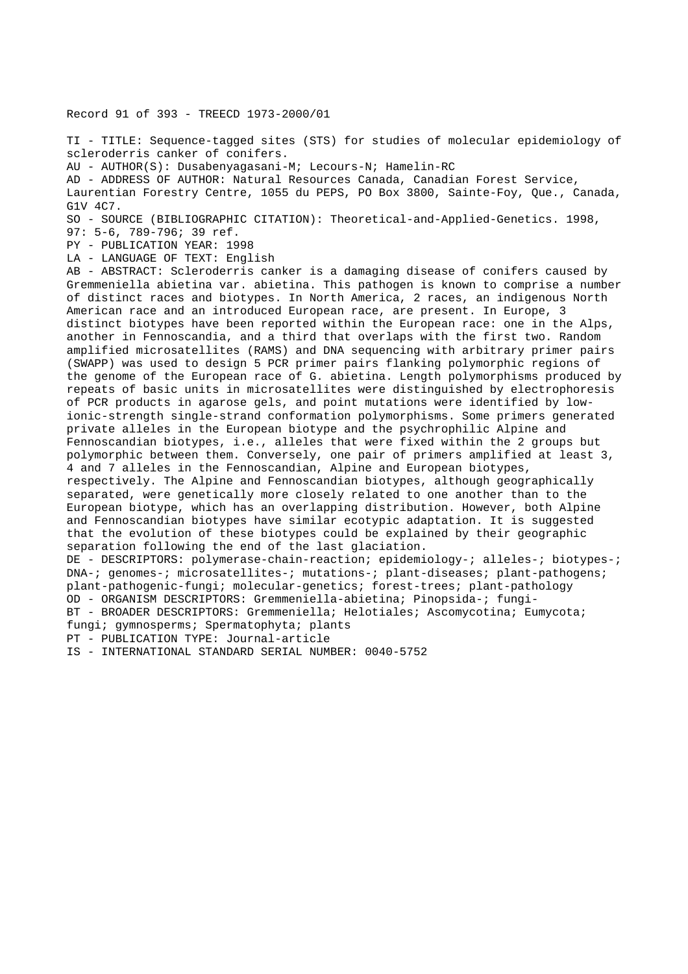Record 91 of 393 - TREECD 1973-2000/01

TI - TITLE: Sequence-tagged sites (STS) for studies of molecular epidemiology of scleroderris canker of conifers.

AU - AUTHOR(S): Dusabenyagasani-M; Lecours-N; Hamelin-RC

AD - ADDRESS OF AUTHOR: Natural Resources Canada, Canadian Forest Service, Laurentian Forestry Centre, 1055 du PEPS, PO Box 3800, Sainte-Foy, Que., Canada, G1V 4C7.

SO - SOURCE (BIBLIOGRAPHIC CITATION): Theoretical-and-Applied-Genetics. 1998,

97: 5-6, 789-796; 39 ref.

PY - PUBLICATION YEAR: 1998

LA - LANGUAGE OF TEXT: English

AB - ABSTRACT: Scleroderris canker is a damaging disease of conifers caused by Gremmeniella abietina var. abietina. This pathogen is known to comprise a number of distinct races and biotypes. In North America, 2 races, an indigenous North American race and an introduced European race, are present. In Europe, 3 distinct biotypes have been reported within the European race: one in the Alps, another in Fennoscandia, and a third that overlaps with the first two. Random amplified microsatellites (RAMS) and DNA sequencing with arbitrary primer pairs (SWAPP) was used to design 5 PCR primer pairs flanking polymorphic regions of the genome of the European race of G. abietina. Length polymorphisms produced by repeats of basic units in microsatellites were distinguished by electrophoresis of PCR products in agarose gels, and point mutations were identified by lowionic-strength single-strand conformation polymorphisms. Some primers generated private alleles in the European biotype and the psychrophilic Alpine and Fennoscandian biotypes, i.e., alleles that were fixed within the 2 groups but polymorphic between them. Conversely, one pair of primers amplified at least 3, 4 and 7 alleles in the Fennoscandian, Alpine and European biotypes, respectively. The Alpine and Fennoscandian biotypes, although geographically separated, were genetically more closely related to one another than to the European biotype, which has an overlapping distribution. However, both Alpine and Fennoscandian biotypes have similar ecotypic adaptation. It is suggested that the evolution of these biotypes could be explained by their geographic separation following the end of the last glaciation. DE - DESCRIPTORS: polymerase-chain-reaction; epidemiology-; alleles-; biotypes-; DNA-; genomes-; microsatellites-; mutations-; plant-diseases; plant-pathogens; plant-pathogenic-fungi; molecular-genetics; forest-trees; plant-pathology OD - ORGANISM DESCRIPTORS: Gremmeniella-abietina; Pinopsida-; fungi-BT - BROADER DESCRIPTORS: Gremmeniella; Helotiales; Ascomycotina; Eumycota; fungi; gymnosperms; Spermatophyta; plants PT - PUBLICATION TYPE: Journal-article IS - INTERNATIONAL STANDARD SERIAL NUMBER: 0040-5752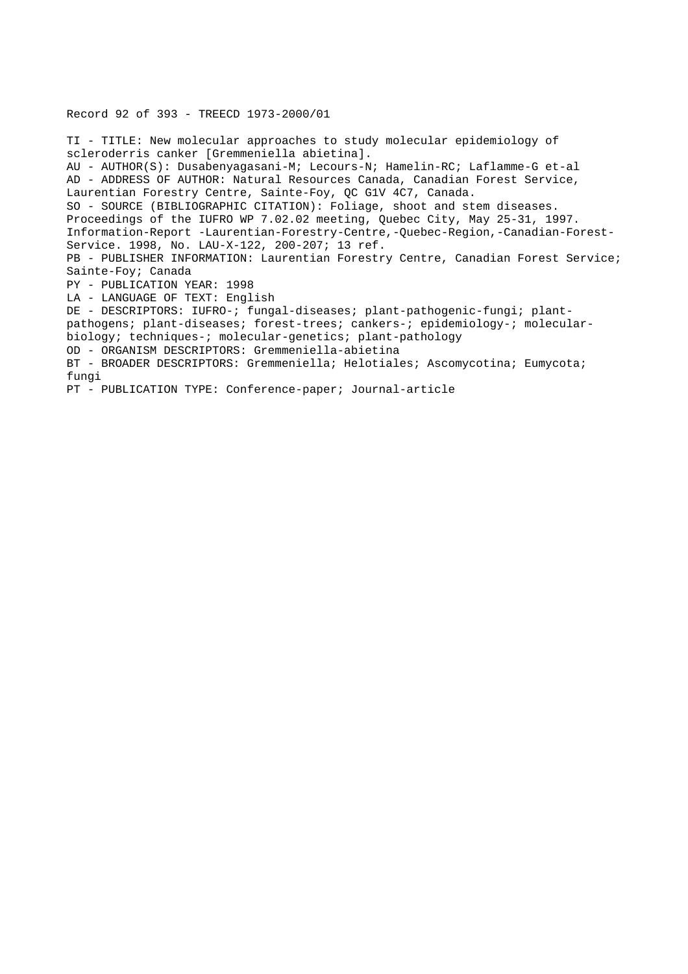Record 92 of 393 - TREECD 1973-2000/01

TI - TITLE: New molecular approaches to study molecular epidemiology of scleroderris canker [Gremmeniella abietina]. AU - AUTHOR(S): Dusabenyagasani-M; Lecours-N; Hamelin-RC; Laflamme-G et-al AD - ADDRESS OF AUTHOR: Natural Resources Canada, Canadian Forest Service, Laurentian Forestry Centre, Sainte-Foy, QC G1V 4C7, Canada. SO - SOURCE (BIBLIOGRAPHIC CITATION): Foliage, shoot and stem diseases. Proceedings of the IUFRO WP 7.02.02 meeting, Quebec City, May 25-31, 1997. Information-Report -Laurentian-Forestry-Centre,-Quebec-Region,-Canadian-Forest-Service. 1998, No. LAU-X-122, 200-207; 13 ref. PB - PUBLISHER INFORMATION: Laurentian Forestry Centre, Canadian Forest Service; Sainte-Foy; Canada PY - PUBLICATION YEAR: 1998 LA - LANGUAGE OF TEXT: English DE - DESCRIPTORS: IUFRO-; fungal-diseases; plant-pathogenic-fungi; plantpathogens; plant-diseases; forest-trees; cankers-; epidemiology-; molecularbiology; techniques-; molecular-genetics; plant-pathology OD - ORGANISM DESCRIPTORS: Gremmeniella-abietina BT - BROADER DESCRIPTORS: Gremmeniella; Helotiales; Ascomycotina; Eumycota; fungi PT - PUBLICATION TYPE: Conference-paper; Journal-article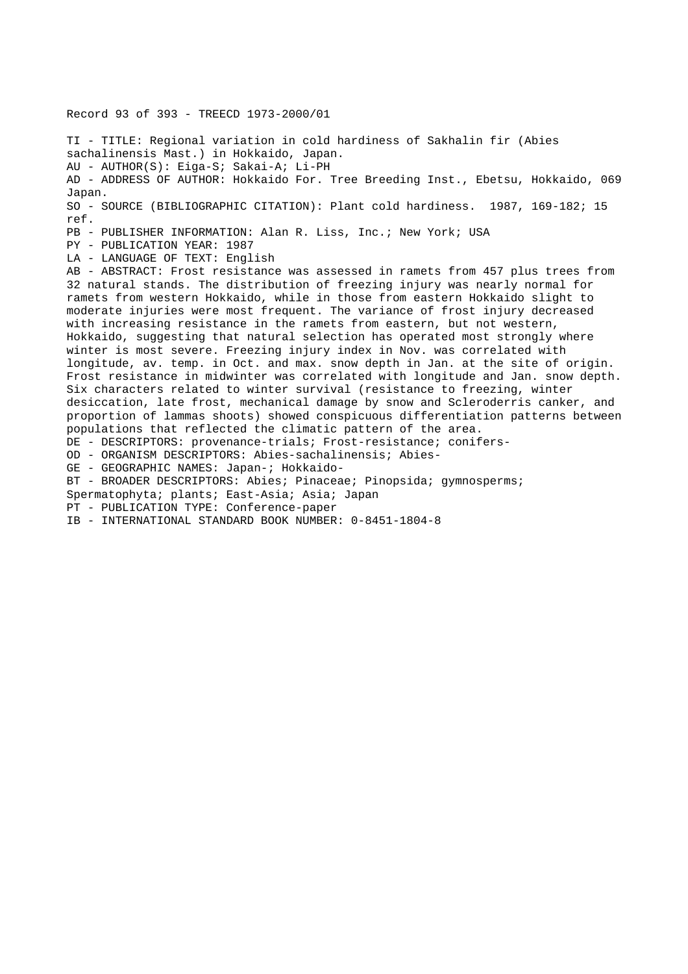Record 93 of 393 - TREECD 1973-2000/01 TI - TITLE: Regional variation in cold hardiness of Sakhalin fir (Abies sachalinensis Mast.) in Hokkaido, Japan. AU - AUTHOR(S): Eiga-S; Sakai-A; Li-PH AD - ADDRESS OF AUTHOR: Hokkaido For. Tree Breeding Inst., Ebetsu, Hokkaido, 069 Japan. SO - SOURCE (BIBLIOGRAPHIC CITATION): Plant cold hardiness. 1987, 169-182; 15 ref. PB - PUBLISHER INFORMATION: Alan R. Liss, Inc.; New York; USA PY - PUBLICATION YEAR: 1987 LA - LANGUAGE OF TEXT: English AB - ABSTRACT: Frost resistance was assessed in ramets from 457 plus trees from 32 natural stands. The distribution of freezing injury was nearly normal for ramets from western Hokkaido, while in those from eastern Hokkaido slight to moderate injuries were most frequent. The variance of frost injury decreased with increasing resistance in the ramets from eastern, but not western, Hokkaido, suggesting that natural selection has operated most strongly where winter is most severe. Freezing injury index in Nov. was correlated with longitude, av. temp. in Oct. and max. snow depth in Jan. at the site of origin. Frost resistance in midwinter was correlated with longitude and Jan. snow depth. Six characters related to winter survival (resistance to freezing, winter desiccation, late frost, mechanical damage by snow and Scleroderris canker, and proportion of lammas shoots) showed conspicuous differentiation patterns between populations that reflected the climatic pattern of the area. DE - DESCRIPTORS: provenance-trials; Frost-resistance; conifers-OD - ORGANISM DESCRIPTORS: Abies-sachalinensis; Abies-GE - GEOGRAPHIC NAMES: Japan-; Hokkaido-BT - BROADER DESCRIPTORS: Abies; Pinaceae; Pinopsida; gymnosperms; Spermatophyta; plants; East-Asia; Asia; Japan PT - PUBLICATION TYPE: Conference-paper

IB - INTERNATIONAL STANDARD BOOK NUMBER: 0-8451-1804-8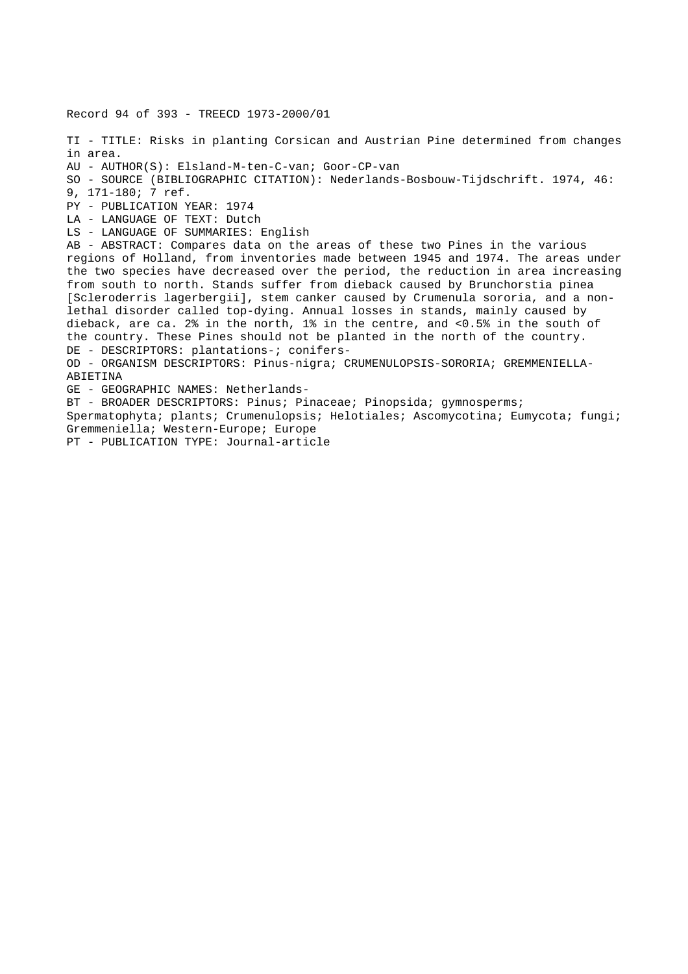Record 94 of 393 - TREECD 1973-2000/01 TI - TITLE: Risks in planting Corsican and Austrian Pine determined from changes in area. AU - AUTHOR(S): Elsland-M-ten-C-van; Goor-CP-van SO - SOURCE (BIBLIOGRAPHIC CITATION): Nederlands-Bosbouw-Tijdschrift. 1974, 46: 9, 171-180; 7 ref. PY - PUBLICATION YEAR: 1974 LA - LANGUAGE OF TEXT: Dutch LS - LANGUAGE OF SUMMARIES: English AB - ABSTRACT: Compares data on the areas of these two Pines in the various regions of Holland, from inventories made between 1945 and 1974. The areas under the two species have decreased over the period, the reduction in area increasing from south to north. Stands suffer from dieback caused by Brunchorstia pinea [Scleroderris lagerbergii], stem canker caused by Crumenula sororia, and a nonlethal disorder called top-dying. Annual losses in stands, mainly caused by dieback, are ca. 2% in the north, 1% in the centre, and <0.5% in the south of the country. These Pines should not be planted in the north of the country. DE - DESCRIPTORS: plantations-; conifers-OD - ORGANISM DESCRIPTORS: Pinus-nigra; CRUMENULOPSIS-SORORIA; GREMMENIELLA-ABIETINA GE - GEOGRAPHIC NAMES: Netherlands-BT - BROADER DESCRIPTORS: Pinus; Pinaceae; Pinopsida; gymnosperms; Spermatophyta; plants; Crumenulopsis; Helotiales; Ascomycotina; Eumycota; fungi; Gremmeniella; Western-Europe; Europe PT - PUBLICATION TYPE: Journal-article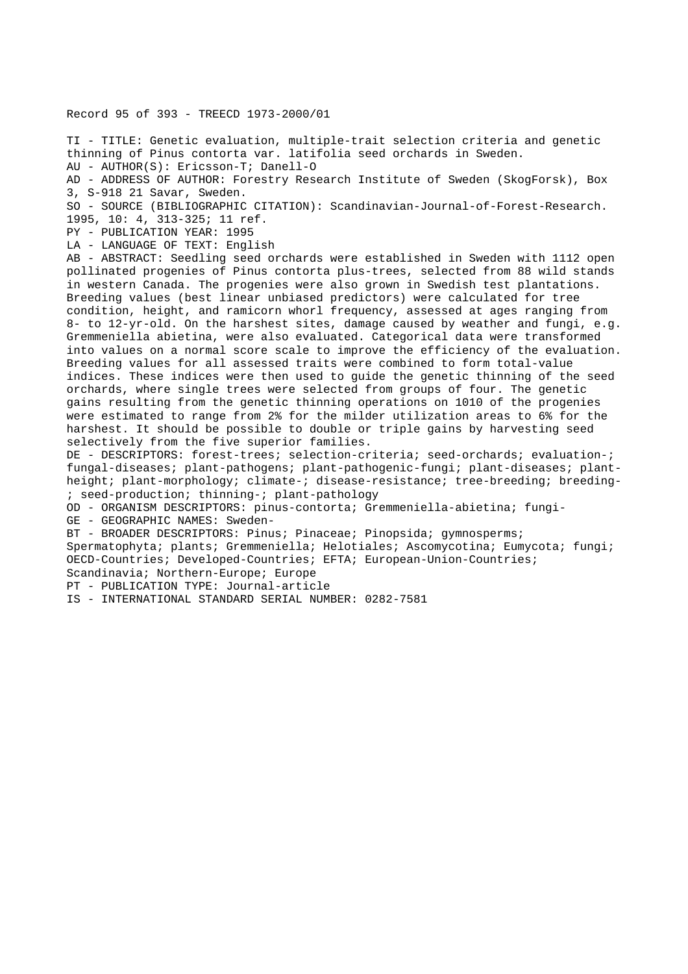Record 95 of 393 - TREECD 1973-2000/01

TI - TITLE: Genetic evaluation, multiple-trait selection criteria and genetic thinning of Pinus contorta var. latifolia seed orchards in Sweden. AU - AUTHOR(S): Ericsson-T; Danell-O

AD - ADDRESS OF AUTHOR: Forestry Research Institute of Sweden (SkogForsk), Box 3, S-918 21 Savar, Sweden.

SO - SOURCE (BIBLIOGRAPHIC CITATION): Scandinavian-Journal-of-Forest-Research.

1995, 10: 4, 313-325; 11 ref.

PY - PUBLICATION YEAR: 1995

LA - LANGUAGE OF TEXT: English

AB - ABSTRACT: Seedling seed orchards were established in Sweden with 1112 open pollinated progenies of Pinus contorta plus-trees, selected from 88 wild stands in western Canada. The progenies were also grown in Swedish test plantations. Breeding values (best linear unbiased predictors) were calculated for tree condition, height, and ramicorn whorl frequency, assessed at ages ranging from 8- to 12-yr-old. On the harshest sites, damage caused by weather and fungi, e.g. Gremmeniella abietina, were also evaluated. Categorical data were transformed into values on a normal score scale to improve the efficiency of the evaluation. Breeding values for all assessed traits were combined to form total-value indices. These indices were then used to guide the genetic thinning of the seed orchards, where single trees were selected from groups of four. The genetic gains resulting from the genetic thinning operations on 1010 of the progenies were estimated to range from 2% for the milder utilization areas to 6% for the harshest. It should be possible to double or triple gains by harvesting seed selectively from the five superior families.

DE - DESCRIPTORS: forest-trees; selection-criteria; seed-orchards; evaluation-; fungal-diseases; plant-pathogens; plant-pathogenic-fungi; plant-diseases; plantheight; plant-morphology; climate-; disease-resistance; tree-breeding; breeding-; seed-production; thinning-; plant-pathology

OD - ORGANISM DESCRIPTORS: pinus-contorta; Gremmeniella-abietina; fungi-

GE - GEOGRAPHIC NAMES: Sweden-

BT - BROADER DESCRIPTORS: Pinus; Pinaceae; Pinopsida; gymnosperms;

Spermatophyta; plants; Gremmeniella; Helotiales; Ascomycotina; Eumycota; fungi; OECD-Countries; Developed-Countries; EFTA; European-Union-Countries; Scandinavia; Northern-Europe; Europe

PT - PUBLICATION TYPE: Journal-article

IS - INTERNATIONAL STANDARD SERIAL NUMBER: 0282-7581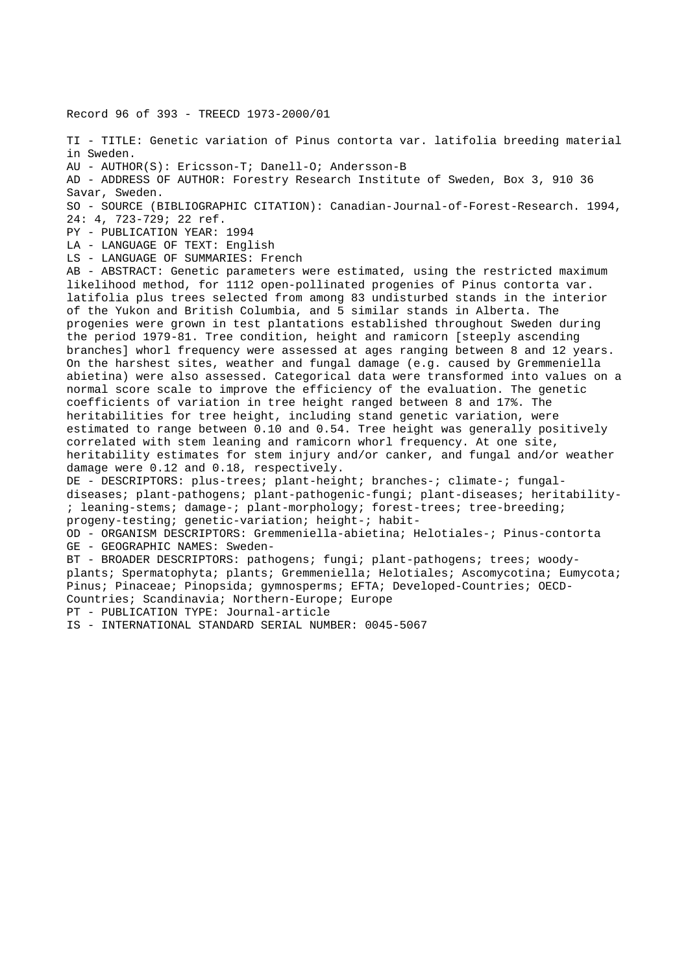Record 96 of 393 - TREECD 1973-2000/01

TI - TITLE: Genetic variation of Pinus contorta var. latifolia breeding material in Sweden.

AU - AUTHOR(S): Ericsson-T; Danell-O; Andersson-B

AD - ADDRESS OF AUTHOR: Forestry Research Institute of Sweden, Box 3, 910 36 Savar, Sweden.

SO - SOURCE (BIBLIOGRAPHIC CITATION): Canadian-Journal-of-Forest-Research. 1994, 24: 4, 723-729; 22 ref.

PY - PUBLICATION YEAR: 1994

LA - LANGUAGE OF TEXT: English

LS - LANGUAGE OF SUMMARIES: French

AB - ABSTRACT: Genetic parameters were estimated, using the restricted maximum likelihood method, for 1112 open-pollinated progenies of Pinus contorta var. latifolia plus trees selected from among 83 undisturbed stands in the interior of the Yukon and British Columbia, and 5 similar stands in Alberta. The progenies were grown in test plantations established throughout Sweden during the period 1979-81. Tree condition, height and ramicorn [steeply ascending branches] whorl frequency were assessed at ages ranging between 8 and 12 years. On the harshest sites, weather and fungal damage (e.g. caused by Gremmeniella abietina) were also assessed. Categorical data were transformed into values on a normal score scale to improve the efficiency of the evaluation. The genetic coefficients of variation in tree height ranged between 8 and 17%. The heritabilities for tree height, including stand genetic variation, were estimated to range between 0.10 and 0.54. Tree height was generally positively correlated with stem leaning and ramicorn whorl frequency. At one site, heritability estimates for stem injury and/or canker, and fungal and/or weather damage were 0.12 and 0.18, respectively. DE - DESCRIPTORS: plus-trees; plant-height; branches-; climate-; fungaldiseases; plant-pathogens; plant-pathogenic-fungi; plant-diseases; heritability-

; leaning-stems; damage-; plant-morphology; forest-trees; tree-breeding; progeny-testing; genetic-variation; height-; habit-

OD - ORGANISM DESCRIPTORS: Gremmeniella-abietina; Helotiales-; Pinus-contorta GE - GEOGRAPHIC NAMES: Sweden-

BT - BROADER DESCRIPTORS: pathogens; fungi; plant-pathogens; trees; woodyplants; Spermatophyta; plants; Gremmeniella; Helotiales; Ascomycotina; Eumycota; Pinus; Pinaceae; Pinopsida; gymnosperms; EFTA; Developed-Countries; OECD-Countries; Scandinavia; Northern-Europe; Europe

PT - PUBLICATION TYPE: Journal-article

IS - INTERNATIONAL STANDARD SERIAL NUMBER: 0045-5067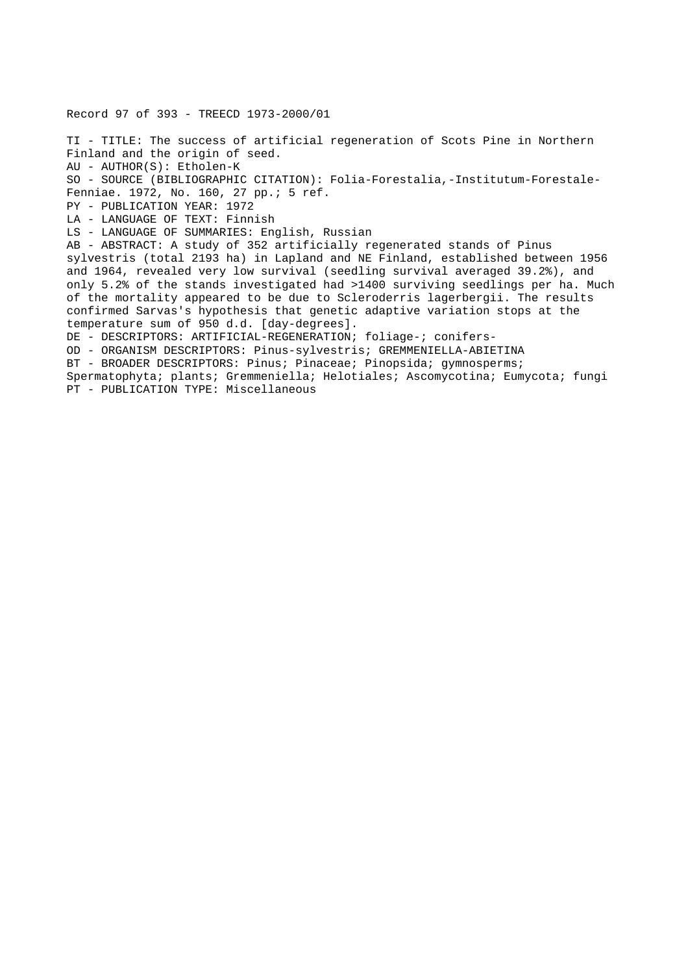Record 97 of 393 - TREECD 1973-2000/01 TI - TITLE: The success of artificial regeneration of Scots Pine in Northern Finland and the origin of seed. AU - AUTHOR(S): Etholen-K SO - SOURCE (BIBLIOGRAPHIC CITATION): Folia-Forestalia,-Institutum-Forestale-Fenniae. 1972, No. 160, 27 pp.; 5 ref. PY - PUBLICATION YEAR: 1972 LA - LANGUAGE OF TEXT: Finnish LS - LANGUAGE OF SUMMARIES: English, Russian AB - ABSTRACT: A study of 352 artificially regenerated stands of Pinus sylvestris (total 2193 ha) in Lapland and NE Finland, established between 1956 and 1964, revealed very low survival (seedling survival averaged 39.2%), and only 5.2% of the stands investigated had >1400 surviving seedlings per ha. Much of the mortality appeared to be due to Scleroderris lagerbergii. The results confirmed Sarvas's hypothesis that genetic adaptive variation stops at the temperature sum of 950 d.d. [day-degrees]. DE - DESCRIPTORS: ARTIFICIAL-REGENERATION; foliage-; conifers-OD - ORGANISM DESCRIPTORS: Pinus-sylvestris; GREMMENIELLA-ABIETINA BT - BROADER DESCRIPTORS: Pinus; Pinaceae; Pinopsida; gymnosperms; Spermatophyta; plants; Gremmeniella; Helotiales; Ascomycotina; Eumycota; fungi PT - PUBLICATION TYPE: Miscellaneous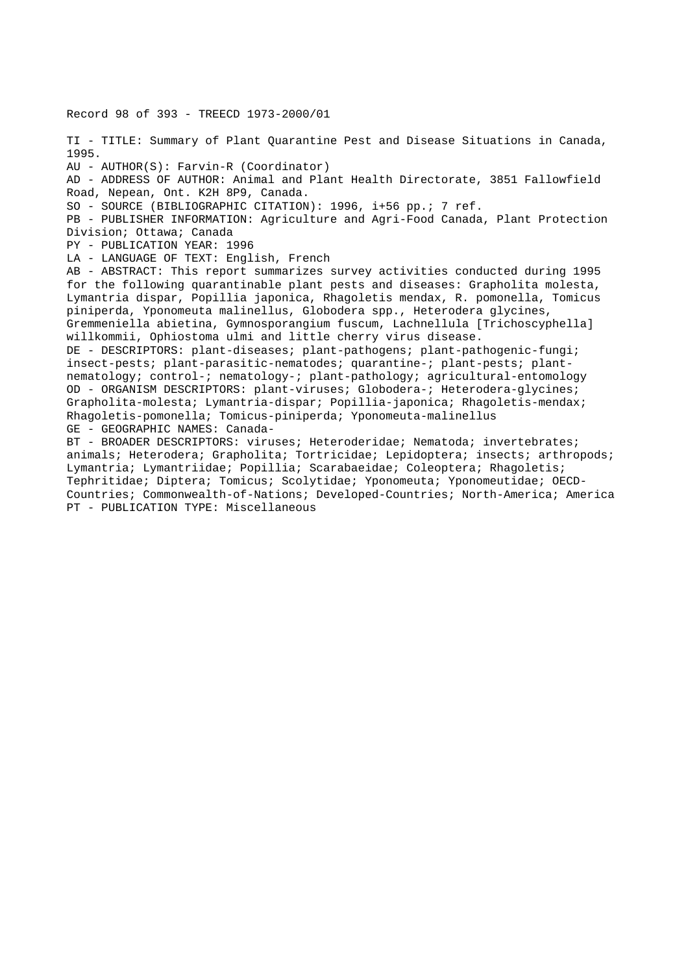Record 98 of 393 - TREECD 1973-2000/01

TI - TITLE: Summary of Plant Quarantine Pest and Disease Situations in Canada, 1995. AU - AUTHOR(S): Farvin-R (Coordinator) AD - ADDRESS OF AUTHOR: Animal and Plant Health Directorate, 3851 Fallowfield Road, Nepean, Ont. K2H 8P9, Canada. SO - SOURCE (BIBLIOGRAPHIC CITATION): 1996, i+56 pp.; 7 ref. PB - PUBLISHER INFORMATION: Agriculture and Agri-Food Canada, Plant Protection Division; Ottawa; Canada PY - PUBLICATION YEAR: 1996 LA - LANGUAGE OF TEXT: English, French AB - ABSTRACT: This report summarizes survey activities conducted during 1995 for the following quarantinable plant pests and diseases: Grapholita molesta, Lymantria dispar, Popillia japonica, Rhagoletis mendax, R. pomonella, Tomicus piniperda, Yponomeuta malinellus, Globodera spp., Heterodera glycines, Gremmeniella abietina, Gymnosporangium fuscum, Lachnellula [Trichoscyphella] willkommii, Ophiostoma ulmi and little cherry virus disease. DE - DESCRIPTORS: plant-diseases; plant-pathogens; plant-pathogenic-fungi; insect-pests; plant-parasitic-nematodes; quarantine-; plant-pests; plantnematology; control-; nematology-; plant-pathology; agricultural-entomology OD - ORGANISM DESCRIPTORS: plant-viruses; Globodera-; Heterodera-glycines; Grapholita-molesta; Lymantria-dispar; Popillia-japonica; Rhagoletis-mendax; Rhagoletis-pomonella; Tomicus-piniperda; Yponomeuta-malinellus GE - GEOGRAPHIC NAMES: Canada-

BT - BROADER DESCRIPTORS: viruses; Heteroderidae; Nematoda; invertebrates; animals; Heterodera; Grapholita; Tortricidae; Lepidoptera; insects; arthropods; Lymantria; Lymantriidae; Popillia; Scarabaeidae; Coleoptera; Rhagoletis; Tephritidae; Diptera; Tomicus; Scolytidae; Yponomeuta; Yponomeutidae; OECD-Countries; Commonwealth-of-Nations; Developed-Countries; North-America; America PT - PUBLICATION TYPE: Miscellaneous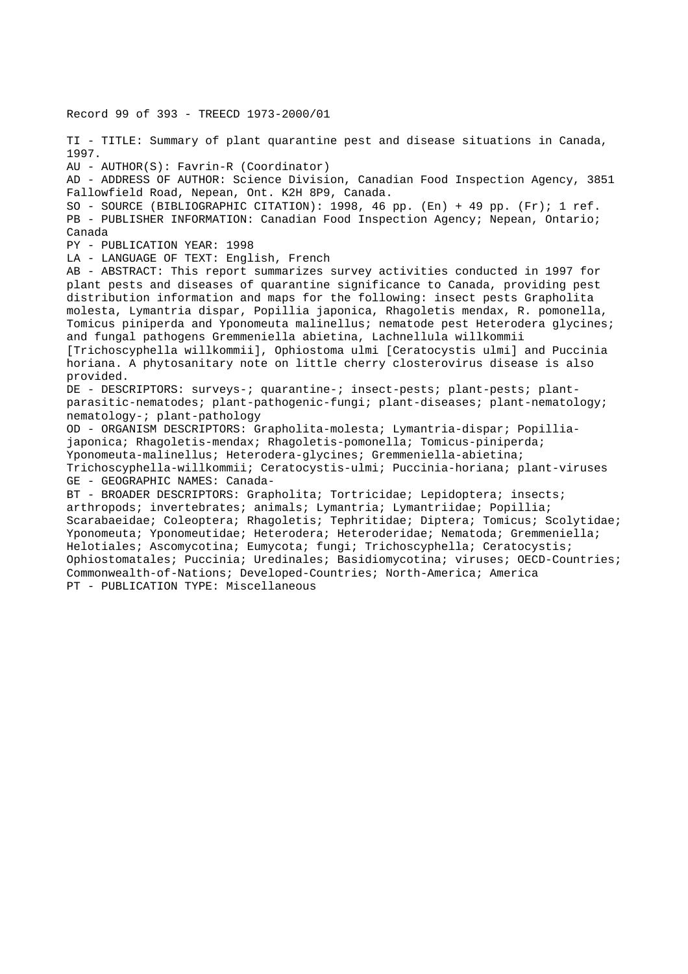Record 99 of 393 - TREECD 1973-2000/01 TI - TITLE: Summary of plant quarantine pest and disease situations in Canada, 1997. AU - AUTHOR(S): Favrin-R (Coordinator) AD - ADDRESS OF AUTHOR: Science Division, Canadian Food Inspection Agency, 3851 Fallowfield Road, Nepean, Ont. K2H 8P9, Canada. SO - SOURCE (BIBLIOGRAPHIC CITATION): 1998, 46 pp. (En) + 49 pp. (Fr); 1 ref. PB - PUBLISHER INFORMATION: Canadian Food Inspection Agency; Nepean, Ontario; Canada PY - PUBLICATION YEAR: 1998 LA - LANGUAGE OF TEXT: English, French AB - ABSTRACT: This report summarizes survey activities conducted in 1997 for plant pests and diseases of quarantine significance to Canada, providing pest distribution information and maps for the following: insect pests Grapholita molesta, Lymantria dispar, Popillia japonica, Rhagoletis mendax, R. pomonella, Tomicus piniperda and Yponomeuta malinellus; nematode pest Heterodera glycines; and fungal pathogens Gremmeniella abietina, Lachnellula willkommii [Trichoscyphella willkommii], Ophiostoma ulmi [Ceratocystis ulmi] and Puccinia horiana. A phytosanitary note on little cherry closterovirus disease is also provided. DE - DESCRIPTORS: surveys-; quarantine-; insect-pests; plant-pests; plantparasitic-nematodes; plant-pathogenic-fungi; plant-diseases; plant-nematology; nematology-; plant-pathology OD - ORGANISM DESCRIPTORS: Grapholita-molesta; Lymantria-dispar; Popilliajaponica; Rhagoletis-mendax; Rhagoletis-pomonella; Tomicus-piniperda; Yponomeuta-malinellus; Heterodera-glycines; Gremmeniella-abietina; Trichoscyphella-willkommii; Ceratocystis-ulmi; Puccinia-horiana; plant-viruses GE - GEOGRAPHIC NAMES: Canada-BT - BROADER DESCRIPTORS: Grapholita; Tortricidae; Lepidoptera; insects; arthropods; invertebrates; animals; Lymantria; Lymantriidae; Popillia; Scarabaeidae; Coleoptera; Rhagoletis; Tephritidae; Diptera; Tomicus; Scolytidae; Yponomeuta; Yponomeutidae; Heterodera; Heteroderidae; Nematoda; Gremmeniella; Helotiales; Ascomycotina; Eumycota; fungi; Trichoscyphella; Ceratocystis; Ophiostomatales; Puccinia; Uredinales; Basidiomycotina; viruses; OECD-Countries; Commonwealth-of-Nations; Developed-Countries; North-America; America PT - PUBLICATION TYPE: Miscellaneous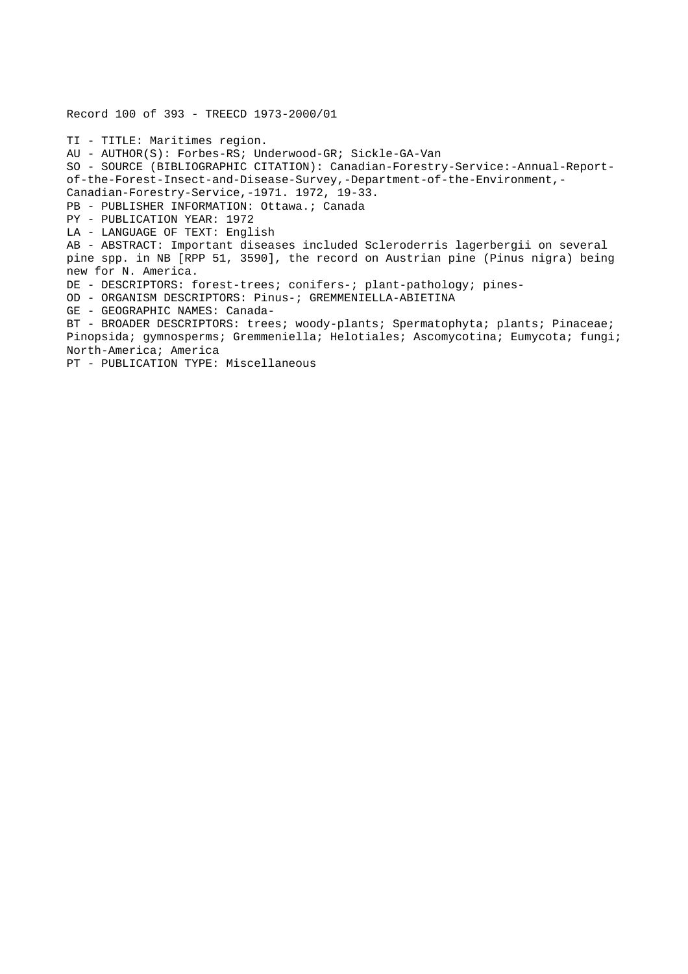Record 100 of 393 - TREECD 1973-2000/01 TI - TITLE: Maritimes region. AU - AUTHOR(S): Forbes-RS; Underwood-GR; Sickle-GA-Van SO - SOURCE (BIBLIOGRAPHIC CITATION): Canadian-Forestry-Service:-Annual-Reportof-the-Forest-Insect-and-Disease-Survey,-Department-of-the-Environment,- Canadian-Forestry-Service,-1971. 1972, 19-33. PB - PUBLISHER INFORMATION: Ottawa.; Canada PY - PUBLICATION YEAR: 1972 LA - LANGUAGE OF TEXT: English AB - ABSTRACT: Important diseases included Scleroderris lagerbergii on several pine spp. in NB [RPP 51, 3590], the record on Austrian pine (Pinus nigra) being new for N. America. DE - DESCRIPTORS: forest-trees; conifers-; plant-pathology; pines-OD - ORGANISM DESCRIPTORS: Pinus-; GREMMENIELLA-ABIETINA GE - GEOGRAPHIC NAMES: Canada-BT - BROADER DESCRIPTORS: trees; woody-plants; Spermatophyta; plants; Pinaceae; Pinopsida; gymnosperms; Gremmeniella; Helotiales; Ascomycotina; Eumycota; fungi; North-America; America PT - PUBLICATION TYPE: Miscellaneous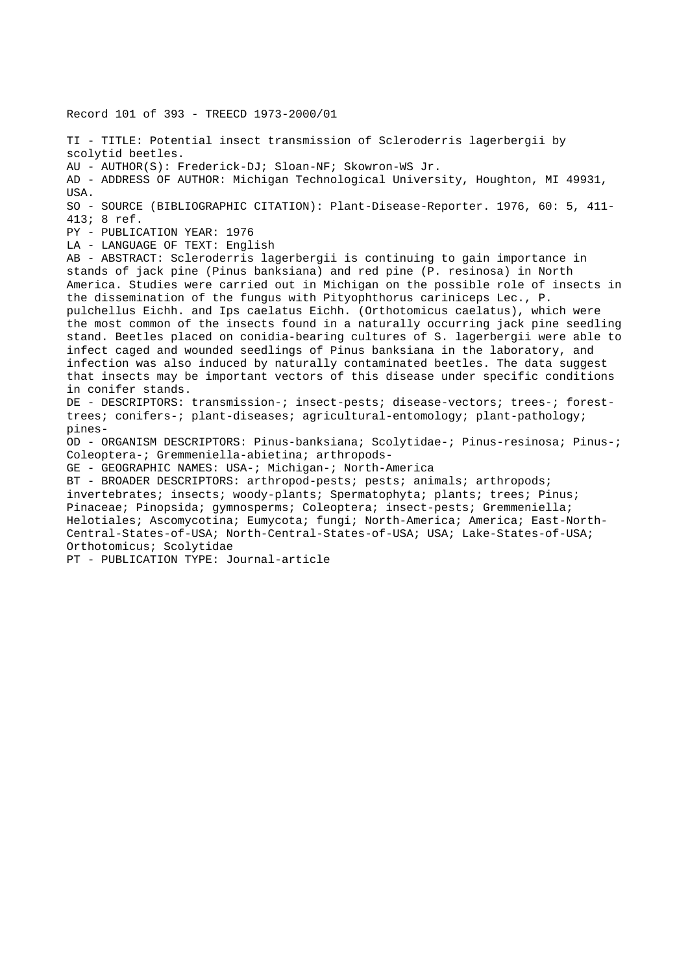Record 101 of 393 - TREECD 1973-2000/01 TI - TITLE: Potential insect transmission of Scleroderris lagerbergii by scolytid beetles. AU - AUTHOR(S): Frederick-DJ; Sloan-NF; Skowron-WS Jr. AD - ADDRESS OF AUTHOR: Michigan Technological University, Houghton, MI 49931, USA. SO - SOURCE (BIBLIOGRAPHIC CITATION): Plant-Disease-Reporter. 1976, 60: 5, 411- 413; 8 ref. PY - PUBLICATION YEAR: 1976 LA - LANGUAGE OF TEXT: English AB - ABSTRACT: Scleroderris lagerbergii is continuing to gain importance in stands of jack pine (Pinus banksiana) and red pine (P. resinosa) in North America. Studies were carried out in Michigan on the possible role of insects in the dissemination of the fungus with Pityophthorus cariniceps Lec., P. pulchellus Eichh. and Ips caelatus Eichh. (Orthotomicus caelatus), which were the most common of the insects found in a naturally occurring jack pine seedling stand. Beetles placed on conidia-bearing cultures of S. lagerbergii were able to infect caged and wounded seedlings of Pinus banksiana in the laboratory, and infection was also induced by naturally contaminated beetles. The data suggest that insects may be important vectors of this disease under specific conditions in conifer stands. DE - DESCRIPTORS: transmission-; insect-pests; disease-vectors; trees-; foresttrees; conifers-; plant-diseases; agricultural-entomology; plant-pathology; pines-OD - ORGANISM DESCRIPTORS: Pinus-banksiana; Scolytidae-; Pinus-resinosa; Pinus-; Coleoptera-; Gremmeniella-abietina; arthropods-GE - GEOGRAPHIC NAMES: USA-; Michigan-; North-America BT - BROADER DESCRIPTORS: arthropod-pests; pests; animals; arthropods; invertebrates; insects; woody-plants; Spermatophyta; plants; trees; Pinus; Pinaceae; Pinopsida; gymnosperms; Coleoptera; insect-pests; Gremmeniella; Helotiales; Ascomycotina; Eumycota; fungi; North-America; America; East-North-Central-States-of-USA; North-Central-States-of-USA; USA; Lake-States-of-USA; Orthotomicus; Scolytidae PT - PUBLICATION TYPE: Journal-article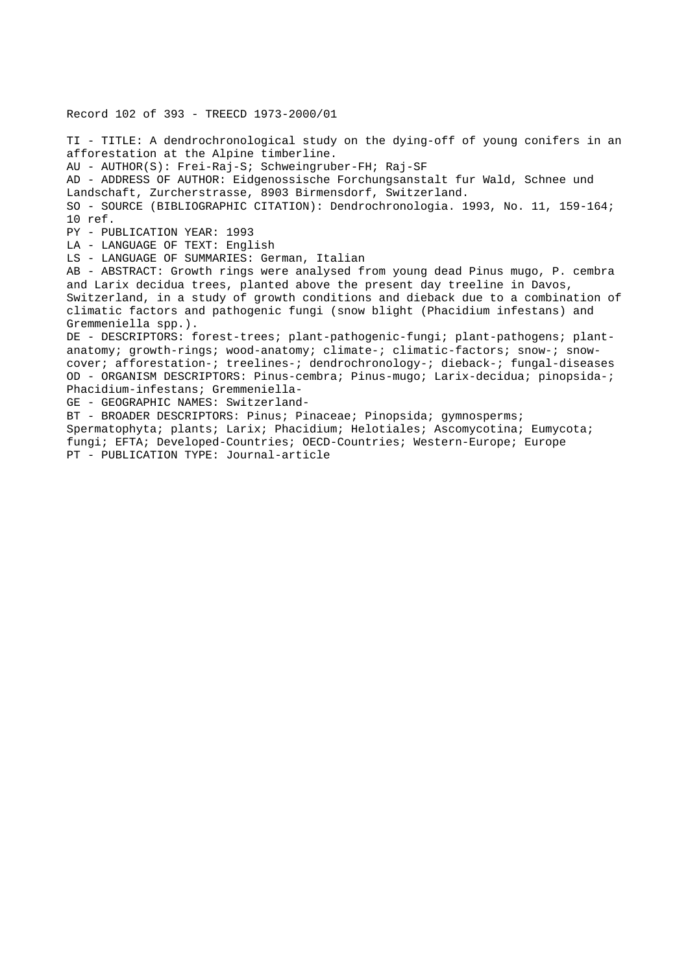Record 102 of 393 - TREECD 1973-2000/01 TI - TITLE: A dendrochronological study on the dying-off of young conifers in an afforestation at the Alpine timberline. AU - AUTHOR(S): Frei-Raj-S; Schweingruber-FH; Raj-SF AD - ADDRESS OF AUTHOR: Eidgenossische Forchungsanstalt fur Wald, Schnee und Landschaft, Zurcherstrasse, 8903 Birmensdorf, Switzerland. SO - SOURCE (BIBLIOGRAPHIC CITATION): Dendrochronologia. 1993, No. 11, 159-164; 10 ref. PY - PUBLICATION YEAR: 1993 LA - LANGUAGE OF TEXT: English LS - LANGUAGE OF SUMMARIES: German, Italian AB - ABSTRACT: Growth rings were analysed from young dead Pinus mugo, P. cembra and Larix decidua trees, planted above the present day treeline in Davos, Switzerland, in a study of growth conditions and dieback due to a combination of climatic factors and pathogenic fungi (snow blight (Phacidium infestans) and Gremmeniella spp.). DE - DESCRIPTORS: forest-trees; plant-pathogenic-fungi; plant-pathogens; plantanatomy; growth-rings; wood-anatomy; climate-; climatic-factors; snow-; snowcover; afforestation-; treelines-; dendrochronology-; dieback-; fungal-diseases OD - ORGANISM DESCRIPTORS: Pinus-cembra; Pinus-mugo; Larix-decidua; pinopsida-; Phacidium-infestans; Gremmeniella-GE - GEOGRAPHIC NAMES: Switzerland-BT - BROADER DESCRIPTORS: Pinus; Pinaceae; Pinopsida; gymnosperms; Spermatophyta; plants; Larix; Phacidium; Helotiales; Ascomycotina; Eumycota; fungi; EFTA; Developed-Countries; OECD-Countries; Western-Europe; Europe PT - PUBLICATION TYPE: Journal-article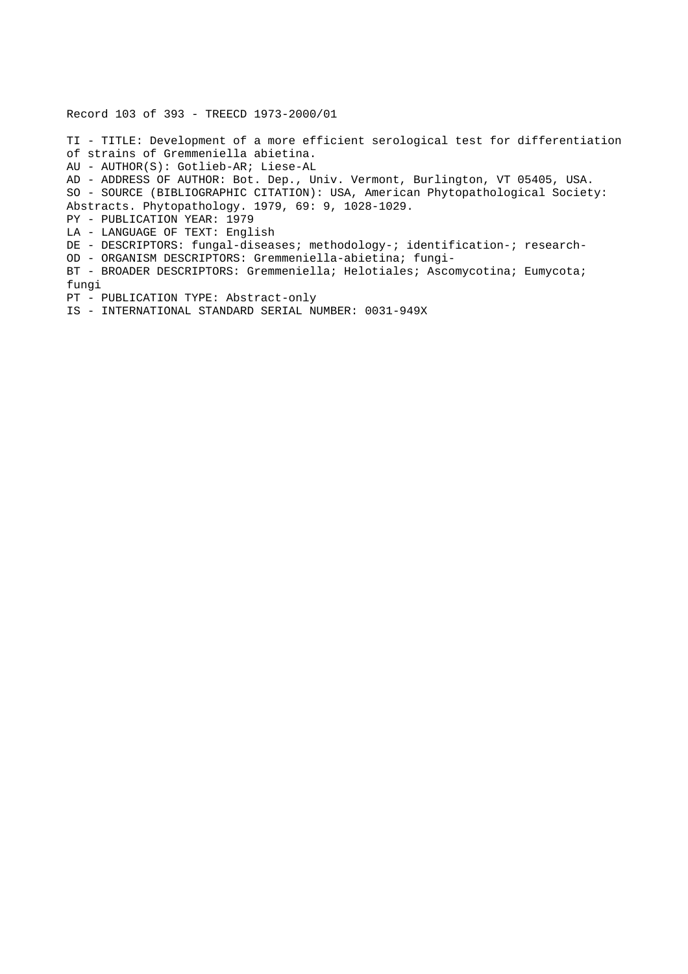Record 103 of 393 - TREECD 1973-2000/01

TI - TITLE: Development of a more efficient serological test for differentiation of strains of Gremmeniella abietina. AU - AUTHOR(S): Gotlieb-AR; Liese-AL AD - ADDRESS OF AUTHOR: Bot. Dep., Univ. Vermont, Burlington, VT 05405, USA. SO - SOURCE (BIBLIOGRAPHIC CITATION): USA, American Phytopathological Society: Abstracts. Phytopathology. 1979, 69: 9, 1028-1029. PY - PUBLICATION YEAR: 1979 LA - LANGUAGE OF TEXT: English DE - DESCRIPTORS: fungal-diseases; methodology-; identification-; research-OD - ORGANISM DESCRIPTORS: Gremmeniella-abietina; fungi-BT - BROADER DESCRIPTORS: Gremmeniella; Helotiales; Ascomycotina; Eumycota; fungi PT - PUBLICATION TYPE: Abstract-only IS - INTERNATIONAL STANDARD SERIAL NUMBER: 0031-949X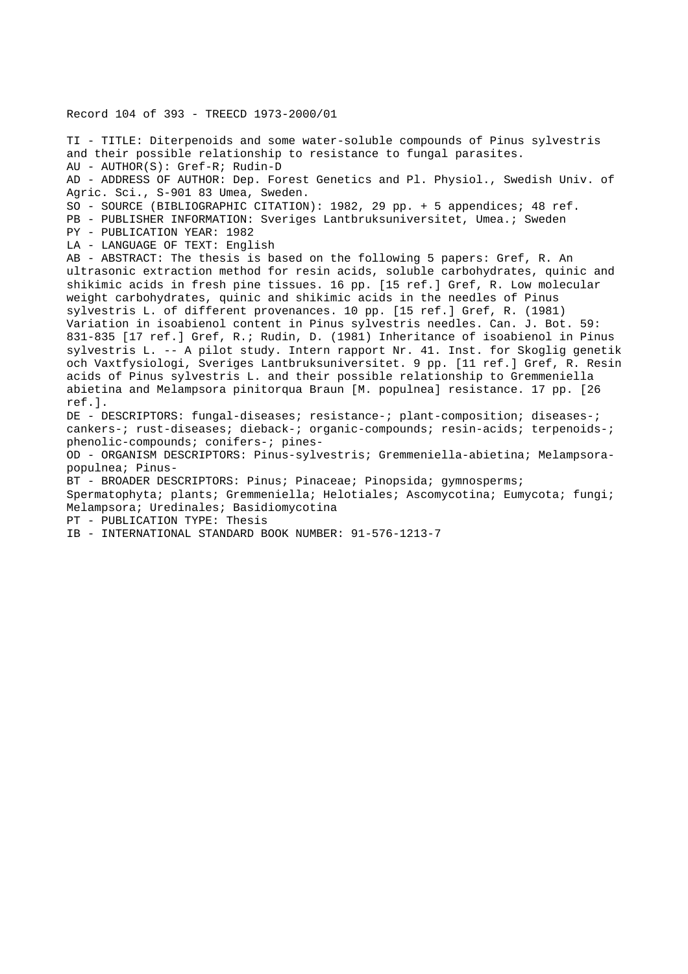Record 104 of 393 - TREECD 1973-2000/01

TI - TITLE: Diterpenoids and some water-soluble compounds of Pinus sylvestris and their possible relationship to resistance to fungal parasites. AU - AUTHOR(S): Gref-R; Rudin-D AD - ADDRESS OF AUTHOR: Dep. Forest Genetics and Pl. Physiol., Swedish Univ. of Agric. Sci., S-901 83 Umea, Sweden. SO - SOURCE (BIBLIOGRAPHIC CITATION): 1982, 29 pp. + 5 appendices; 48 ref. PB - PUBLISHER INFORMATION: Sveriges Lantbruksuniversitet, Umea.; Sweden PY - PUBLICATION YEAR: 1982 LA - LANGUAGE OF TEXT: English AB - ABSTRACT: The thesis is based on the following 5 papers: Gref, R. An ultrasonic extraction method for resin acids, soluble carbohydrates, quinic and shikimic acids in fresh pine tissues. 16 pp. [15 ref.] Gref, R. Low molecular weight carbohydrates, quinic and shikimic acids in the needles of Pinus sylvestris L. of different provenances. 10 pp. [15 ref.] Gref, R. (1981) Variation in isoabienol content in Pinus sylvestris needles. Can. J. Bot. 59: 831-835 [17 ref.] Gref, R.; Rudin, D. (1981) Inheritance of isoabienol in Pinus sylvestris L. -- A pilot study. Intern rapport Nr. 41. Inst. for Skoglig genetik och Vaxtfysiologi, Sveriges Lantbruksuniversitet. 9 pp. [11 ref.] Gref, R. Resin acids of Pinus sylvestris L. and their possible relationship to Gremmeniella abietina and Melampsora pinitorqua Braun [M. populnea] resistance. 17 pp. [26 ref.]. DE - DESCRIPTORS: fungal-diseases; resistance-; plant-composition; diseases-; cankers-; rust-diseases; dieback-; organic-compounds; resin-acids; terpenoids-; phenolic-compounds; conifers-; pines-OD - ORGANISM DESCRIPTORS: Pinus-sylvestris; Gremmeniella-abietina; Melampsorapopulnea; Pinus-BT - BROADER DESCRIPTORS: Pinus; Pinaceae; Pinopsida; gymnosperms; Spermatophyta; plants; Gremmeniella; Helotiales; Ascomycotina; Eumycota; fungi; Melampsora; Uredinales; Basidiomycotina PT - PUBLICATION TYPE: Thesis IB - INTERNATIONAL STANDARD BOOK NUMBER: 91-576-1213-7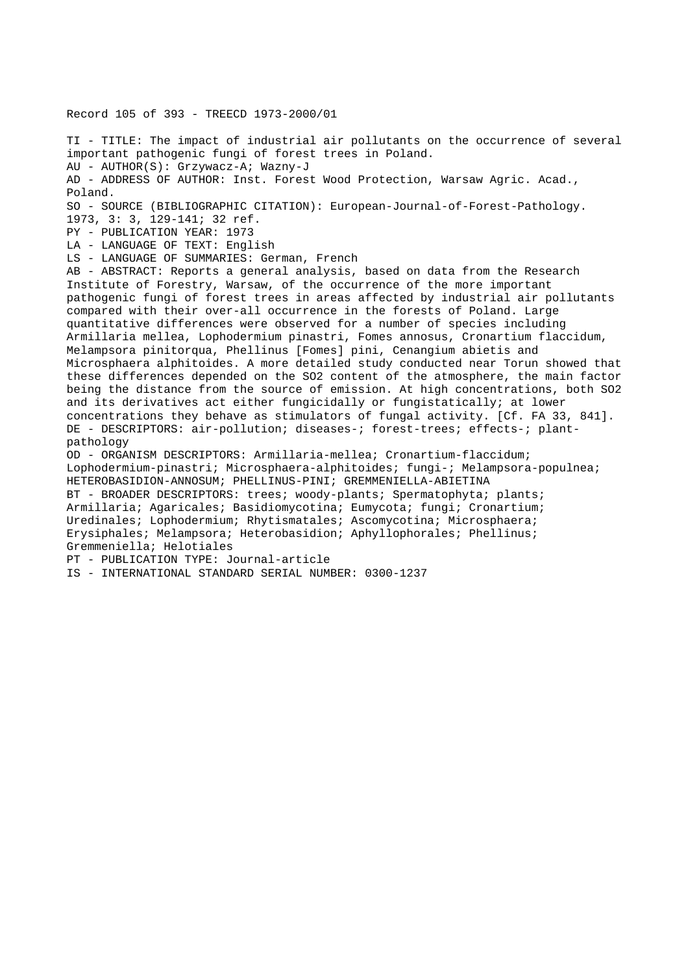Record 105 of 393 - TREECD 1973-2000/01

TI - TITLE: The impact of industrial air pollutants on the occurrence of several important pathogenic fungi of forest trees in Poland. AU - AUTHOR(S): Grzywacz-A; Wazny-J AD - ADDRESS OF AUTHOR: Inst. Forest Wood Protection, Warsaw Agric. Acad., Poland. SO - SOURCE (BIBLIOGRAPHIC CITATION): European-Journal-of-Forest-Pathology. 1973, 3: 3, 129-141; 32 ref. PY - PUBLICATION YEAR: 1973 LA - LANGUAGE OF TEXT: English LS - LANGUAGE OF SUMMARIES: German, French AB - ABSTRACT: Reports a general analysis, based on data from the Research Institute of Forestry, Warsaw, of the occurrence of the more important pathogenic fungi of forest trees in areas affected by industrial air pollutants compared with their over-all occurrence in the forests of Poland. Large quantitative differences were observed for a number of species including Armillaria mellea, Lophodermium pinastri, Fomes annosus, Cronartium flaccidum, Melampsora pinitorqua, Phellinus [Fomes] pini, Cenangium abietis and Microsphaera alphitoides. A more detailed study conducted near Torun showed that these differences depended on the SO2 content of the atmosphere, the main factor being the distance from the source of emission. At high concentrations, both SO2 and its derivatives act either fungicidally or fungistatically; at lower concentrations they behave as stimulators of fungal activity. [Cf. FA 33, 841]. DE - DESCRIPTORS: air-pollution; diseases-; forest-trees; effects-; plantpathology OD - ORGANISM DESCRIPTORS: Armillaria-mellea; Cronartium-flaccidum; Lophodermium-pinastri; Microsphaera-alphitoides; fungi-; Melampsora-populnea; HETEROBASIDION-ANNOSUM; PHELLINUS-PINI; GREMMENIELLA-ABIETINA BT - BROADER DESCRIPTORS: trees; woody-plants; Spermatophyta; plants; Armillaria; Agaricales; Basidiomycotina; Eumycota; fungi; Cronartium; Uredinales; Lophodermium; Rhytismatales; Ascomycotina; Microsphaera; Erysiphales; Melampsora; Heterobasidion; Aphyllophorales; Phellinus; Gremmeniella; Helotiales PT - PUBLICATION TYPE: Journal-article IS - INTERNATIONAL STANDARD SERIAL NUMBER: 0300-1237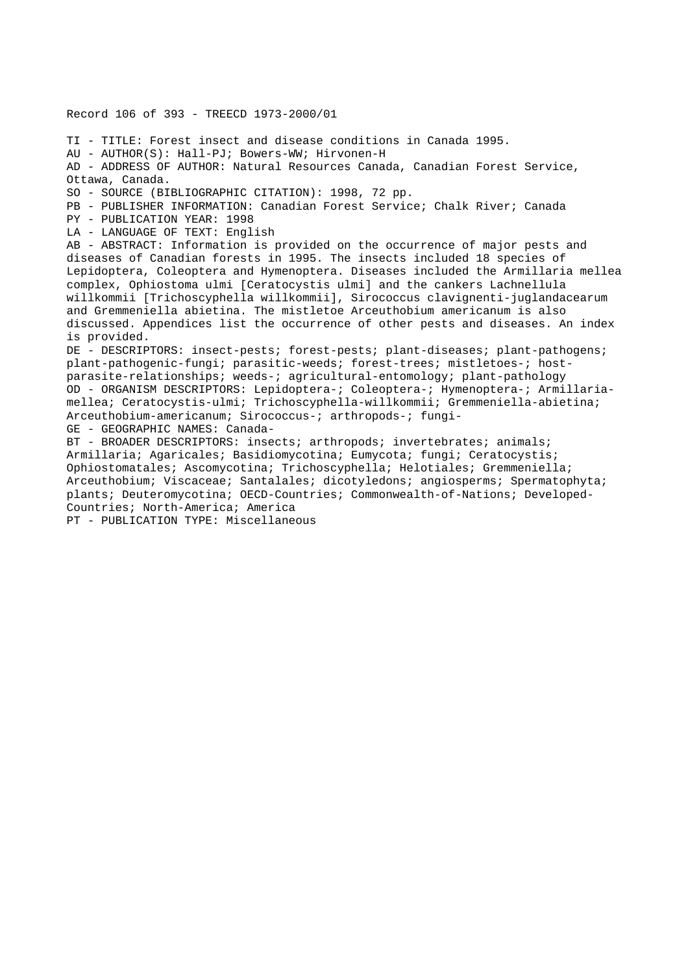Record 106 of 393 - TREECD 1973-2000/01 TI - TITLE: Forest insect and disease conditions in Canada 1995. AU - AUTHOR(S): Hall-PJ; Bowers-WW; Hirvonen-H AD - ADDRESS OF AUTHOR: Natural Resources Canada, Canadian Forest Service, Ottawa, Canada. SO - SOURCE (BIBLIOGRAPHIC CITATION): 1998, 72 pp. PB - PUBLISHER INFORMATION: Canadian Forest Service; Chalk River; Canada PY - PUBLICATION YEAR: 1998 LA - LANGUAGE OF TEXT: English AB - ABSTRACT: Information is provided on the occurrence of major pests and diseases of Canadian forests in 1995. The insects included 18 species of Lepidoptera, Coleoptera and Hymenoptera. Diseases included the Armillaria mellea complex, Ophiostoma ulmi [Ceratocystis ulmi] and the cankers Lachnellula willkommii [Trichoscyphella willkommii], Sirococcus clavignenti-juglandacearum and Gremmeniella abietina. The mistletoe Arceuthobium americanum is also discussed. Appendices list the occurrence of other pests and diseases. An index is provided. DE - DESCRIPTORS: insect-pests; forest-pests; plant-diseases; plant-pathogens; plant-pathogenic-fungi; parasitic-weeds; forest-trees; mistletoes-; hostparasite-relationships; weeds-; agricultural-entomology; plant-pathology OD - ORGANISM DESCRIPTORS: Lepidoptera-; Coleoptera-; Hymenoptera-; Armillariamellea; Ceratocystis-ulmi; Trichoscyphella-willkommii; Gremmeniella-abietina; Arceuthobium-americanum; Sirococcus-; arthropods-; fungi-GE - GEOGRAPHIC NAMES: Canada-BT - BROADER DESCRIPTORS: insects; arthropods; invertebrates; animals; Armillaria; Agaricales; Basidiomycotina; Eumycota; fungi; Ceratocystis; Ophiostomatales; Ascomycotina; Trichoscyphella; Helotiales; Gremmeniella; Arceuthobium; Viscaceae; Santalales; dicotyledons; angiosperms; Spermatophyta; plants; Deuteromycotina; OECD-Countries; Commonwealth-of-Nations; Developed-Countries; North-America; America

PT - PUBLICATION TYPE: Miscellaneous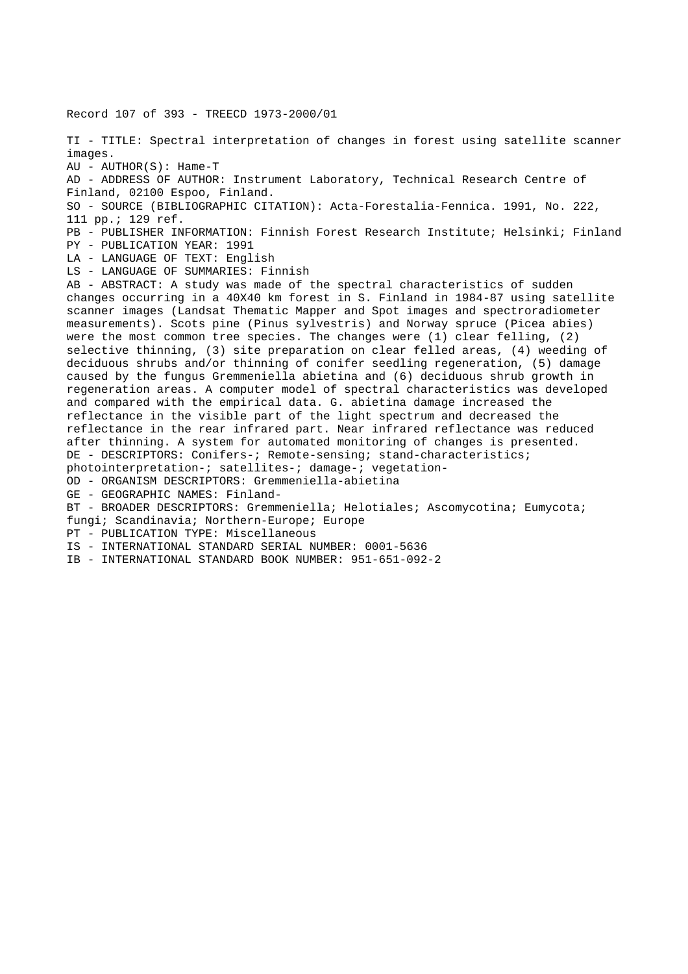Record 107 of 393 - TREECD 1973-2000/01 TI - TITLE: Spectral interpretation of changes in forest using satellite scanner images. AU - AUTHOR(S): Hame-T AD - ADDRESS OF AUTHOR: Instrument Laboratory, Technical Research Centre of Finland, 02100 Espoo, Finland. SO - SOURCE (BIBLIOGRAPHIC CITATION): Acta-Forestalia-Fennica. 1991, No. 222, 111 pp.; 129 ref. PB - PUBLISHER INFORMATION: Finnish Forest Research Institute; Helsinki; Finland PY - PUBLICATION YEAR: 1991 LA - LANGUAGE OF TEXT: English LS - LANGUAGE OF SUMMARIES: Finnish AB - ABSTRACT: A study was made of the spectral characteristics of sudden changes occurring in a 40X40 km forest in S. Finland in 1984-87 using satellite scanner images (Landsat Thematic Mapper and Spot images and spectroradiometer measurements). Scots pine (Pinus sylvestris) and Norway spruce (Picea abies) were the most common tree species. The changes were  $(1)$  clear felling,  $(2)$ selective thinning, (3) site preparation on clear felled areas, (4) weeding of deciduous shrubs and/or thinning of conifer seedling regeneration, (5) damage caused by the fungus Gremmeniella abietina and (6) deciduous shrub growth in regeneration areas. A computer model of spectral characteristics was developed and compared with the empirical data. G. abietina damage increased the reflectance in the visible part of the light spectrum and decreased the reflectance in the rear infrared part. Near infrared reflectance was reduced after thinning. A system for automated monitoring of changes is presented. DE - DESCRIPTORS: Conifers-; Remote-sensing; stand-characteristics; photointerpretation-; satellites-; damage-; vegetation-OD - ORGANISM DESCRIPTORS: Gremmeniella-abietina GE - GEOGRAPHIC NAMES: Finland-BT - BROADER DESCRIPTORS: Gremmeniella; Helotiales; Ascomycotina; Eumycota; fungi; Scandinavia; Northern-Europe; Europe PT - PUBLICATION TYPE: Miscellaneous IS - INTERNATIONAL STANDARD SERIAL NUMBER: 0001-5636 IB - INTERNATIONAL STANDARD BOOK NUMBER: 951-651-092-2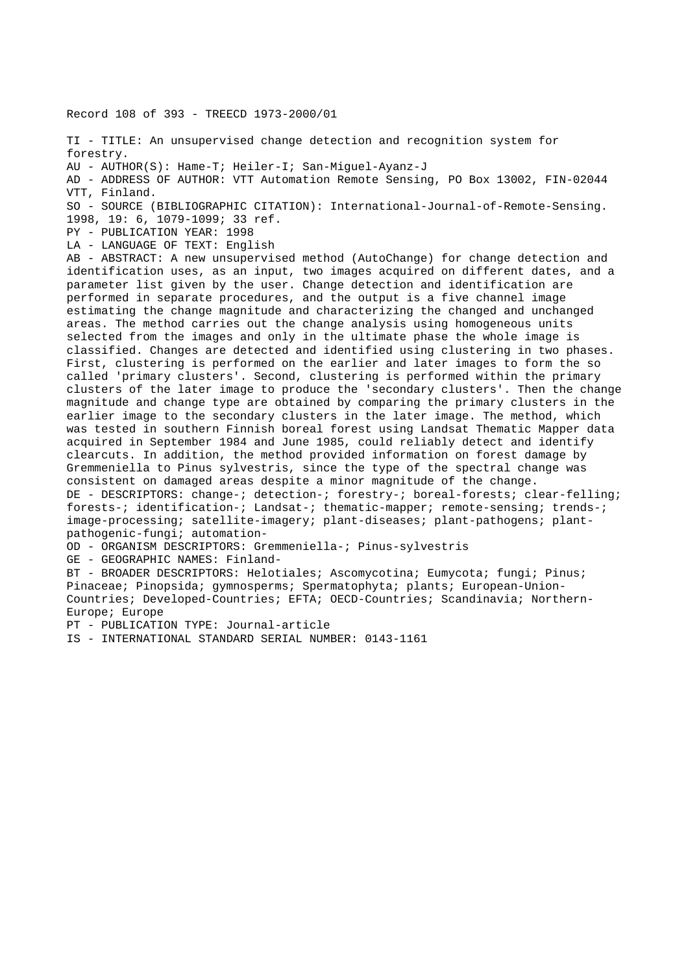Record 108 of 393 - TREECD 1973-2000/01

TI - TITLE: An unsupervised change detection and recognition system for forestry. AU - AUTHOR(S): Hame-T; Heiler-I; San-Miguel-Ayanz-J AD - ADDRESS OF AUTHOR: VTT Automation Remote Sensing, PO Box 13002, FIN-02044 VTT, Finland. SO - SOURCE (BIBLIOGRAPHIC CITATION): International-Journal-of-Remote-Sensing. 1998, 19: 6, 1079-1099; 33 ref. PY - PUBLICATION YEAR: 1998 LA - LANGUAGE OF TEXT: English AB - ABSTRACT: A new unsupervised method (AutoChange) for change detection and identification uses, as an input, two images acquired on different dates, and a parameter list given by the user. Change detection and identification are performed in separate procedures, and the output is a five channel image estimating the change magnitude and characterizing the changed and unchanged areas. The method carries out the change analysis using homogeneous units selected from the images and only in the ultimate phase the whole image is classified. Changes are detected and identified using clustering in two phases. First, clustering is performed on the earlier and later images to form the so called 'primary clusters'. Second, clustering is performed within the primary clusters of the later image to produce the 'secondary clusters'. Then the change magnitude and change type are obtained by comparing the primary clusters in the earlier image to the secondary clusters in the later image. The method, which was tested in southern Finnish boreal forest using Landsat Thematic Mapper data acquired in September 1984 and June 1985, could reliably detect and identify clearcuts. In addition, the method provided information on forest damage by Gremmeniella to Pinus sylvestris, since the type of the spectral change was consistent on damaged areas despite a minor magnitude of the change. DE - DESCRIPTORS: change-; detection-; forestry-; boreal-forests; clear-felling; forests-; identification-; Landsat-; thematic-mapper; remote-sensing; trends-; image-processing; satellite-imagery; plant-diseases; plant-pathogens; plantpathogenic-fungi; automation-OD - ORGANISM DESCRIPTORS: Gremmeniella-; Pinus-sylvestris GE - GEOGRAPHIC NAMES: Finland-BT - BROADER DESCRIPTORS: Helotiales; Ascomycotina; Eumycota; fungi; Pinus; Pinaceae; Pinopsida; gymnosperms; Spermatophyta; plants; European-Union-Countries; Developed-Countries; EFTA; OECD-Countries; Scandinavia; Northern-Europe; Europe

PT - PUBLICATION TYPE: Journal-article

IS - INTERNATIONAL STANDARD SERIAL NUMBER: 0143-1161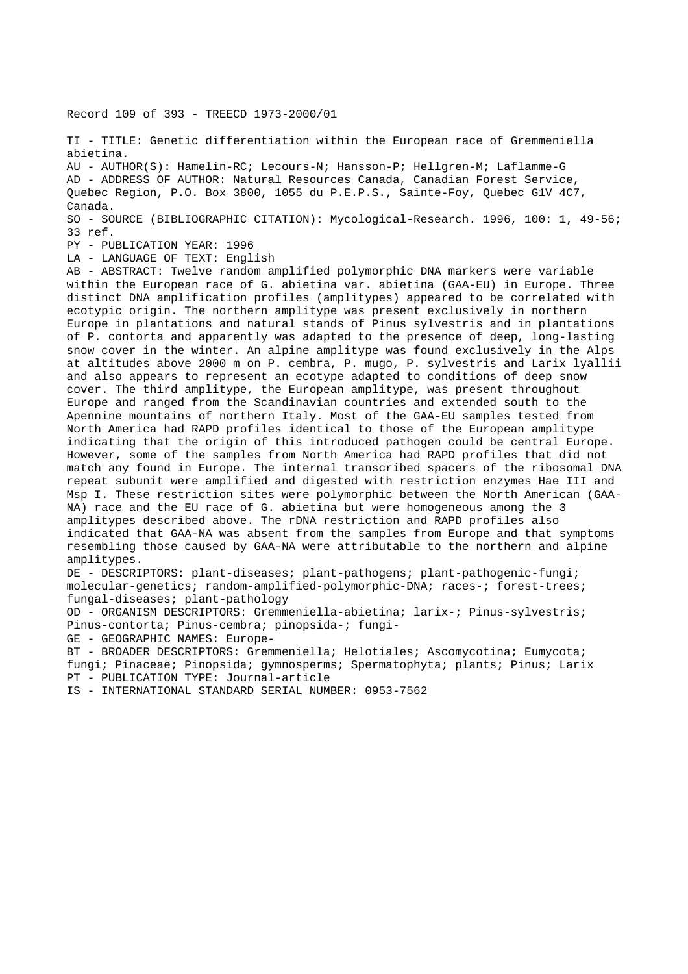Record 109 of 393 - TREECD 1973-2000/01

TI - TITLE: Genetic differentiation within the European race of Gremmeniella abietina.

AU - AUTHOR(S): Hamelin-RC; Lecours-N; Hansson-P; Hellgren-M; Laflamme-G AD - ADDRESS OF AUTHOR: Natural Resources Canada, Canadian Forest Service, Quebec Region, P.O. Box 3800, 1055 du P.E.P.S., Sainte-Foy, Quebec G1V 4C7, Canada.

SO - SOURCE (BIBLIOGRAPHIC CITATION): Mycological-Research. 1996, 100: 1, 49-56; 33 ref.

PY - PUBLICATION YEAR: 1996

LA - LANGUAGE OF TEXT: English

AB - ABSTRACT: Twelve random amplified polymorphic DNA markers were variable within the European race of G. abietina var. abietina (GAA-EU) in Europe. Three distinct DNA amplification profiles (amplitypes) appeared to be correlated with ecotypic origin. The northern amplitype was present exclusively in northern Europe in plantations and natural stands of Pinus sylvestris and in plantations of P. contorta and apparently was adapted to the presence of deep, long-lasting snow cover in the winter. An alpine amplitype was found exclusively in the Alps at altitudes above 2000 m on P. cembra, P. mugo, P. sylvestris and Larix lyallii and also appears to represent an ecotype adapted to conditions of deep snow cover. The third amplitype, the European amplitype, was present throughout Europe and ranged from the Scandinavian countries and extended south to the Apennine mountains of northern Italy. Most of the GAA-EU samples tested from North America had RAPD profiles identical to those of the European amplitype indicating that the origin of this introduced pathogen could be central Europe. However, some of the samples from North America had RAPD profiles that did not match any found in Europe. The internal transcribed spacers of the ribosomal DNA repeat subunit were amplified and digested with restriction enzymes Hae III and Msp I. These restriction sites were polymorphic between the North American (GAA-NA) race and the EU race of G. abietina but were homogeneous among the 3 amplitypes described above. The rDNA restriction and RAPD profiles also indicated that GAA-NA was absent from the samples from Europe and that symptoms resembling those caused by GAA-NA were attributable to the northern and alpine amplitypes.

DE - DESCRIPTORS: plant-diseases; plant-pathogens; plant-pathogenic-fungi; molecular-genetics; random-amplified-polymorphic-DNA; races-; forest-trees; fungal-diseases; plant-pathology

OD - ORGANISM DESCRIPTORS: Gremmeniella-abietina; larix-; Pinus-sylvestris; Pinus-contorta; Pinus-cembra; pinopsida-; fungi-

GE - GEOGRAPHIC NAMES: Europe-

BT - BROADER DESCRIPTORS: Gremmeniella; Helotiales; Ascomycotina; Eumycota; fungi; Pinaceae; Pinopsida; gymnosperms; Spermatophyta; plants; Pinus; Larix PT - PUBLICATION TYPE: Journal-article

IS - INTERNATIONAL STANDARD SERIAL NUMBER: 0953-7562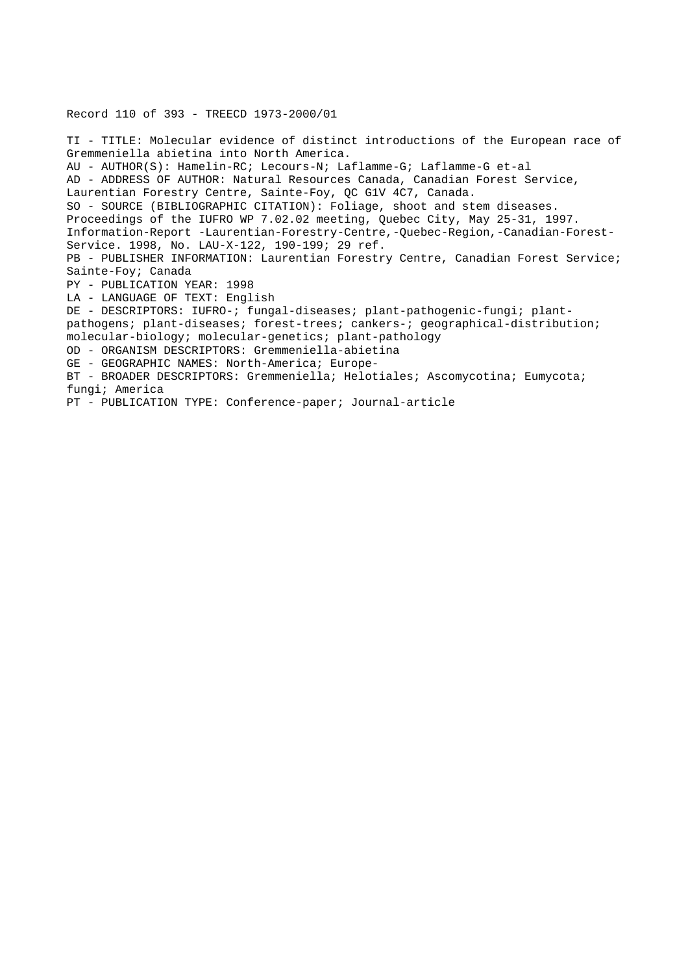Record 110 of 393 - TREECD 1973-2000/01

TI - TITLE: Molecular evidence of distinct introductions of the European race of Gremmeniella abietina into North America. AU - AUTHOR(S): Hamelin-RC; Lecours-N; Laflamme-G; Laflamme-G et-al AD - ADDRESS OF AUTHOR: Natural Resources Canada, Canadian Forest Service, Laurentian Forestry Centre, Sainte-Foy, QC G1V 4C7, Canada. SO - SOURCE (BIBLIOGRAPHIC CITATION): Foliage, shoot and stem diseases. Proceedings of the IUFRO WP 7.02.02 meeting, Quebec City, May 25-31, 1997. Information-Report -Laurentian-Forestry-Centre,-Quebec-Region,-Canadian-Forest-Service. 1998, No. LAU-X-122, 190-199; 29 ref. PB - PUBLISHER INFORMATION: Laurentian Forestry Centre, Canadian Forest Service; Sainte-Foy; Canada PY - PUBLICATION YEAR: 1998 LA - LANGUAGE OF TEXT: English DE - DESCRIPTORS: IUFRO-; fungal-diseases; plant-pathogenic-fungi; plantpathogens; plant-diseases; forest-trees; cankers-; geographical-distribution; molecular-biology; molecular-genetics; plant-pathology OD - ORGANISM DESCRIPTORS: Gremmeniella-abietina GE - GEOGRAPHIC NAMES: North-America; Europe-BT - BROADER DESCRIPTORS: Gremmeniella; Helotiales; Ascomycotina; Eumycota; fungi; America PT - PUBLICATION TYPE: Conference-paper; Journal-article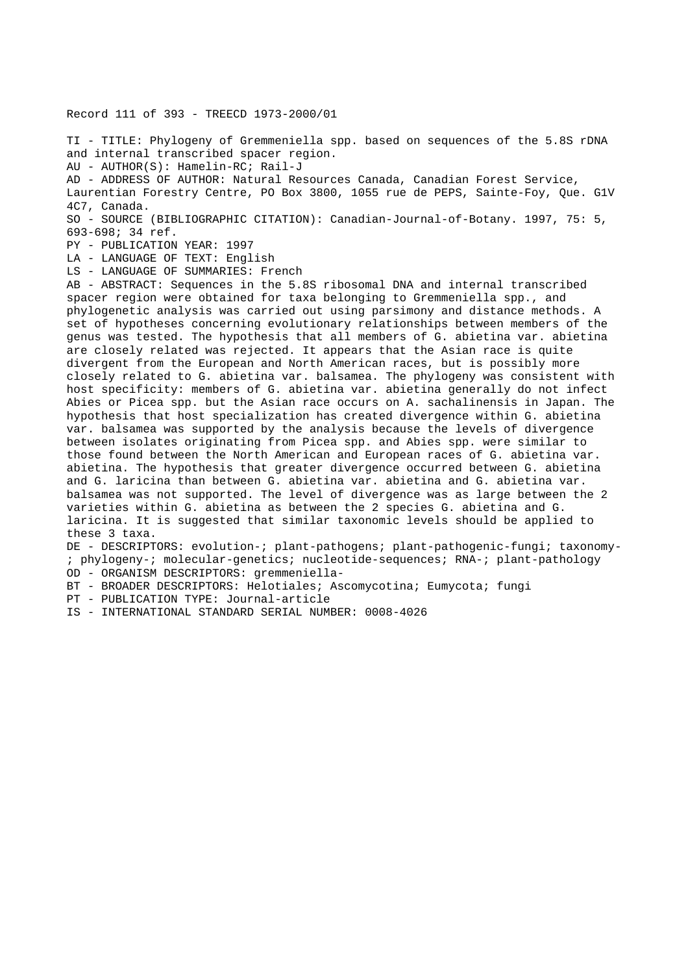Record 111 of 393 - TREECD 1973-2000/01

TI - TITLE: Phylogeny of Gremmeniella spp. based on sequences of the 5.8S rDNA and internal transcribed spacer region.

AU - AUTHOR(S): Hamelin-RC; Rail-J

AD - ADDRESS OF AUTHOR: Natural Resources Canada, Canadian Forest Service, Laurentian Forestry Centre, PO Box 3800, 1055 rue de PEPS, Sainte-Foy, Que. G1V 4C7, Canada.

SO - SOURCE (BIBLIOGRAPHIC CITATION): Canadian-Journal-of-Botany. 1997, 75: 5, 693-698; 34 ref.

PY - PUBLICATION YEAR: 1997

LA - LANGUAGE OF TEXT: English

LS - LANGUAGE OF SUMMARIES: French

AB - ABSTRACT: Sequences in the 5.8S ribosomal DNA and internal transcribed spacer region were obtained for taxa belonging to Gremmeniella spp., and phylogenetic analysis was carried out using parsimony and distance methods. A set of hypotheses concerning evolutionary relationships between members of the genus was tested. The hypothesis that all members of G. abietina var. abietina are closely related was rejected. It appears that the Asian race is quite divergent from the European and North American races, but is possibly more closely related to G. abietina var. balsamea. The phylogeny was consistent with host specificity: members of G. abietina var. abietina generally do not infect Abies or Picea spp. but the Asian race occurs on A. sachalinensis in Japan. The hypothesis that host specialization has created divergence within G. abietina var. balsamea was supported by the analysis because the levels of divergence between isolates originating from Picea spp. and Abies spp. were similar to those found between the North American and European races of G. abietina var. abietina. The hypothesis that greater divergence occurred between G. abietina and G. laricina than between G. abietina var. abietina and G. abietina var. balsamea was not supported. The level of divergence was as large between the 2 varieties within G. abietina as between the 2 species G. abietina and G. laricina. It is suggested that similar taxonomic levels should be applied to these 3 taxa.

DE - DESCRIPTORS: evolution-; plant-pathogens; plant-pathogenic-fungi; taxonomy- ; phylogeny-; molecular-genetics; nucleotide-sequences; RNA-; plant-pathology OD - ORGANISM DESCRIPTORS: gremmeniella-

BT - BROADER DESCRIPTORS: Helotiales; Ascomycotina; Eumycota; fungi

PT - PUBLICATION TYPE: Journal-article

IS - INTERNATIONAL STANDARD SERIAL NUMBER: 0008-4026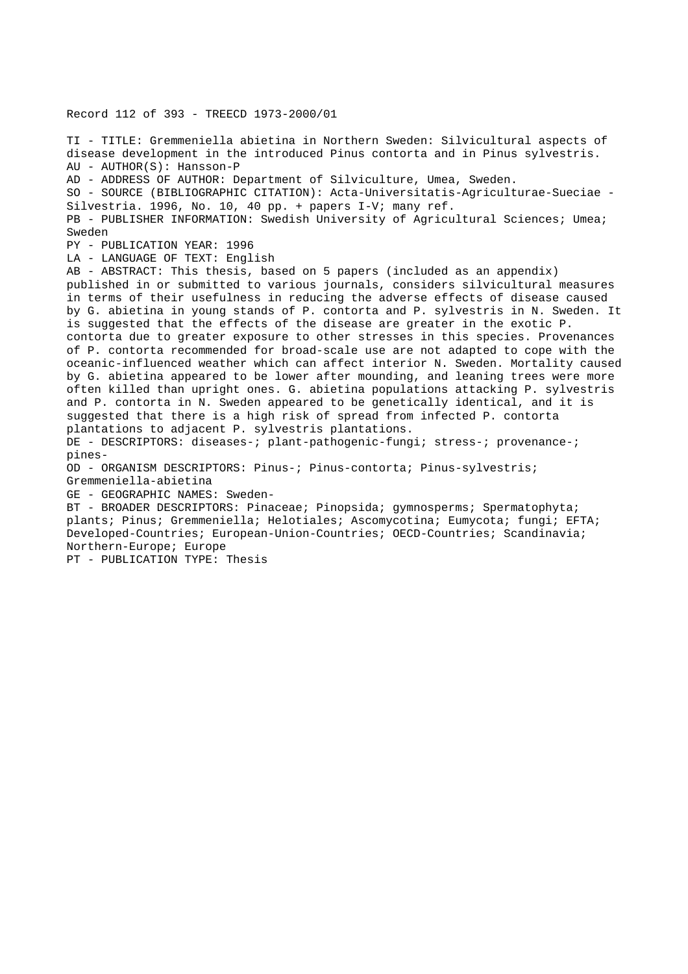Record 112 of 393 - TREECD 1973-2000/01 TI - TITLE: Gremmeniella abietina in Northern Sweden: Silvicultural aspects of disease development in the introduced Pinus contorta and in Pinus sylvestris. AU - AUTHOR(S): Hansson-P AD - ADDRESS OF AUTHOR: Department of Silviculture, Umea, Sweden. SO - SOURCE (BIBLIOGRAPHIC CITATION): Acta-Universitatis-Agriculturae-Sueciae - Silvestria. 1996, No. 10, 40 pp. + papers I-V; many ref. PB - PUBLISHER INFORMATION: Swedish University of Agricultural Sciences; Umea; Sweden PY - PUBLICATION YEAR: 1996 LA - LANGUAGE OF TEXT: English AB - ABSTRACT: This thesis, based on 5 papers (included as an appendix) published in or submitted to various journals, considers silvicultural measures in terms of their usefulness in reducing the adverse effects of disease caused by G. abietina in young stands of P. contorta and P. sylvestris in N. Sweden. It is suggested that the effects of the disease are greater in the exotic P. contorta due to greater exposure to other stresses in this species. Provenances of P. contorta recommended for broad-scale use are not adapted to cope with the oceanic-influenced weather which can affect interior N. Sweden. Mortality caused by G. abietina appeared to be lower after mounding, and leaning trees were more often killed than upright ones. G. abietina populations attacking P. sylvestris and P. contorta in N. Sweden appeared to be genetically identical, and it is suggested that there is a high risk of spread from infected P. contorta plantations to adjacent P. sylvestris plantations. DE - DESCRIPTORS: diseases-; plant-pathogenic-fungi; stress-; provenance-; pines-OD - ORGANISM DESCRIPTORS: Pinus-; Pinus-contorta; Pinus-sylvestris; Gremmeniella-abietina GE - GEOGRAPHIC NAMES: Sweden-BT - BROADER DESCRIPTORS: Pinaceae; Pinopsida; gymnosperms; Spermatophyta; plants; Pinus; Gremmeniella; Helotiales; Ascomycotina; Eumycota; fungi; EFTA; Developed-Countries; European-Union-Countries; OECD-Countries; Scandinavia; Northern-Europe; Europe PT - PUBLICATION TYPE: Thesis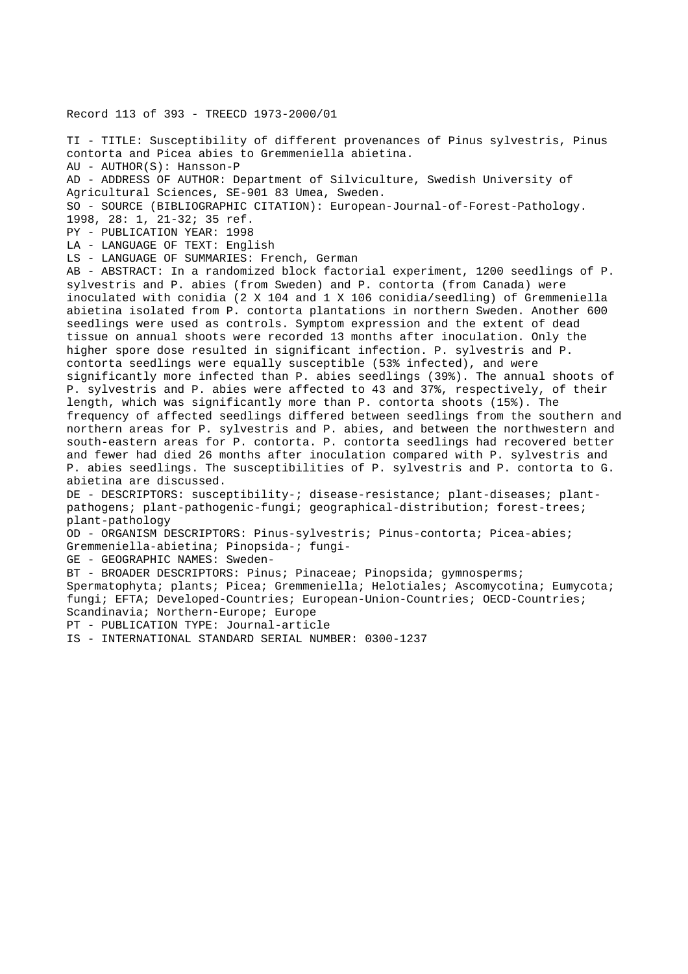## Record 113 of 393 - TREECD 1973-2000/01

TI - TITLE: Susceptibility of different provenances of Pinus sylvestris, Pinus contorta and Picea abies to Gremmeniella abietina. AU - AUTHOR(S): Hansson-P AD - ADDRESS OF AUTHOR: Department of Silviculture, Swedish University of Agricultural Sciences, SE-901 83 Umea, Sweden. SO - SOURCE (BIBLIOGRAPHIC CITATION): European-Journal-of-Forest-Pathology. 1998, 28: 1, 21-32; 35 ref. PY - PUBLICATION YEAR: 1998 LA - LANGUAGE OF TEXT: English LS - LANGUAGE OF SUMMARIES: French, German AB - ABSTRACT: In a randomized block factorial experiment, 1200 seedlings of P. sylvestris and P. abies (from Sweden) and P. contorta (from Canada) were inoculated with conidia (2 X 104 and 1 X 106 conidia/seedling) of Gremmeniella abietina isolated from P. contorta plantations in northern Sweden. Another 600 seedlings were used as controls. Symptom expression and the extent of dead tissue on annual shoots were recorded 13 months after inoculation. Only the higher spore dose resulted in significant infection. P. sylvestris and P. contorta seedlings were equally susceptible (53% infected), and were significantly more infected than P. abies seedlings (39%). The annual shoots of P. sylvestris and P. abies were affected to 43 and 37%, respectively, of their length, which was significantly more than P. contorta shoots (15%). The frequency of affected seedlings differed between seedlings from the southern and northern areas for P. sylvestris and P. abies, and between the northwestern and south-eastern areas for P. contorta. P. contorta seedlings had recovered better and fewer had died 26 months after inoculation compared with P. sylvestris and P. abies seedlings. The susceptibilities of P. sylvestris and P. contorta to G. abietina are discussed. DE - DESCRIPTORS: susceptibility-; disease-resistance; plant-diseases; plantpathogens; plant-pathogenic-fungi; geographical-distribution; forest-trees; plant-pathology OD - ORGANISM DESCRIPTORS: Pinus-sylvestris; Pinus-contorta; Picea-abies; Gremmeniella-abietina; Pinopsida-; fungi-GE - GEOGRAPHIC NAMES: Sweden-BT - BROADER DESCRIPTORS: Pinus; Pinaceae; Pinopsida; gymnosperms; Spermatophyta; plants; Picea; Gremmeniella; Helotiales; Ascomycotina; Eumycota; fungi; EFTA; Developed-Countries; European-Union-Countries; OECD-Countries; Scandinavia; Northern-Europe; Europe PT - PUBLICATION TYPE: Journal-article IS - INTERNATIONAL STANDARD SERIAL NUMBER: 0300-1237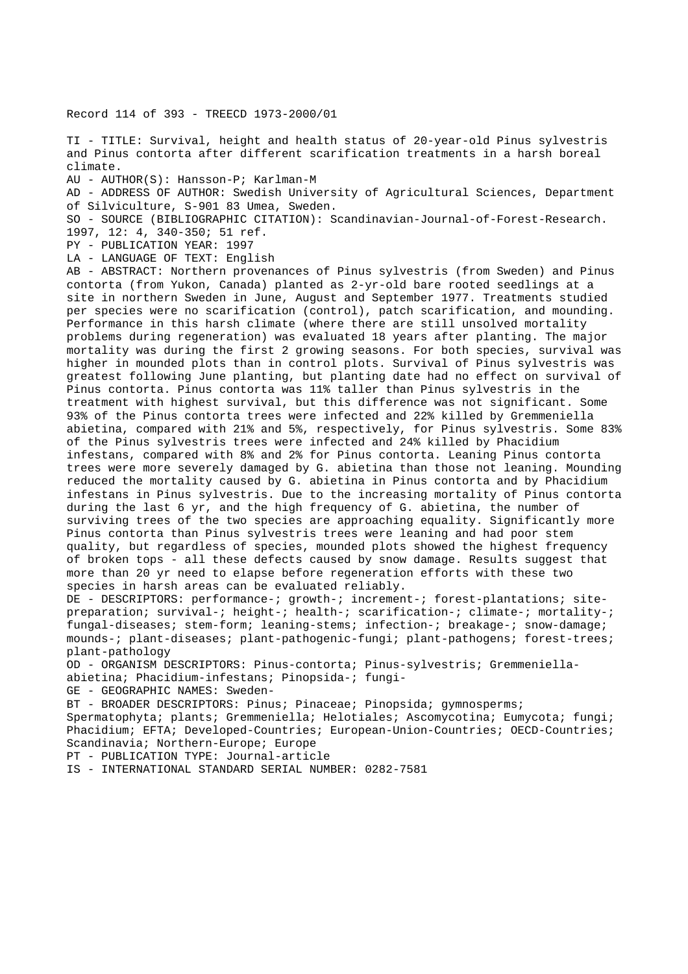Record 114 of 393 - TREECD 1973-2000/01

TI - TITLE: Survival, height and health status of 20-year-old Pinus sylvestris and Pinus contorta after different scarification treatments in a harsh boreal climate.

AU - AUTHOR(S): Hansson-P; Karlman-M

AD - ADDRESS OF AUTHOR: Swedish University of Agricultural Sciences, Department of Silviculture, S-901 83 Umea, Sweden.

SO - SOURCE (BIBLIOGRAPHIC CITATION): Scandinavian-Journal-of-Forest-Research.

1997, 12: 4, 340-350; 51 ref.

PY - PUBLICATION YEAR: 1997

LA - LANGUAGE OF TEXT: English

AB - ABSTRACT: Northern provenances of Pinus sylvestris (from Sweden) and Pinus contorta (from Yukon, Canada) planted as 2-yr-old bare rooted seedlings at a site in northern Sweden in June, August and September 1977. Treatments studied per species were no scarification (control), patch scarification, and mounding. Performance in this harsh climate (where there are still unsolved mortality problems during regeneration) was evaluated 18 years after planting. The major mortality was during the first 2 growing seasons. For both species, survival was higher in mounded plots than in control plots. Survival of Pinus sylvestris was greatest following June planting, but planting date had no effect on survival of Pinus contorta. Pinus contorta was 11% taller than Pinus sylvestris in the treatment with highest survival, but this difference was not significant. Some 93% of the Pinus contorta trees were infected and 22% killed by Gremmeniella abietina, compared with 21% and 5%, respectively, for Pinus sylvestris. Some 83% of the Pinus sylvestris trees were infected and 24% killed by Phacidium infestans, compared with 8% and 2% for Pinus contorta. Leaning Pinus contorta trees were more severely damaged by G. abietina than those not leaning. Mounding reduced the mortality caused by G. abietina in Pinus contorta and by Phacidium infestans in Pinus sylvestris. Due to the increasing mortality of Pinus contorta during the last 6 yr, and the high frequency of G. abietina, the number of surviving trees of the two species are approaching equality. Significantly more Pinus contorta than Pinus sylvestris trees were leaning and had poor stem quality, but regardless of species, mounded plots showed the highest frequency of broken tops - all these defects caused by snow damage. Results suggest that more than 20 yr need to elapse before regeneration efforts with these two species in harsh areas can be evaluated reliably.

DE - DESCRIPTORS: performance-; growth-; increment-; forest-plantations; sitepreparation; survival-; height-; health-; scarification-; climate-; mortality-; fungal-diseases; stem-form; leaning-stems; infection-; breakage-; snow-damage; mounds-; plant-diseases; plant-pathogenic-fungi; plant-pathogens; forest-trees; plant-pathology

OD - ORGANISM DESCRIPTORS: Pinus-contorta; Pinus-sylvestris; Gremmeniellaabietina; Phacidium-infestans; Pinopsida-; fungi-

GE - GEOGRAPHIC NAMES: Sweden-

BT - BROADER DESCRIPTORS: Pinus; Pinaceae; Pinopsida; gymnosperms;

Spermatophyta; plants; Gremmeniella; Helotiales; Ascomycotina; Eumycota; fungi; Phacidium; EFTA; Developed-Countries; European-Union-Countries; OECD-Countries; Scandinavia; Northern-Europe; Europe

PT - PUBLICATION TYPE: Journal-article

IS - INTERNATIONAL STANDARD SERIAL NUMBER: 0282-7581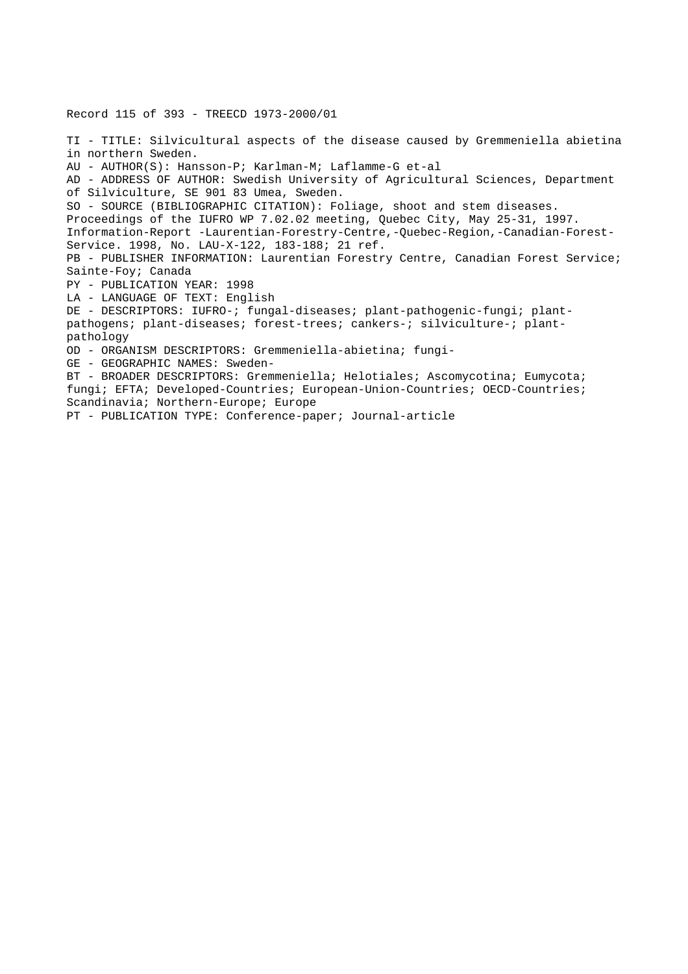Record 115 of 393 - TREECD 1973-2000/01 TI - TITLE: Silvicultural aspects of the disease caused by Gremmeniella abietina in northern Sweden. AU - AUTHOR(S): Hansson-P; Karlman-M; Laflamme-G et-al AD - ADDRESS OF AUTHOR: Swedish University of Agricultural Sciences, Department of Silviculture, SE 901 83 Umea, Sweden. SO - SOURCE (BIBLIOGRAPHIC CITATION): Foliage, shoot and stem diseases. Proceedings of the IUFRO WP 7.02.02 meeting, Quebec City, May 25-31, 1997. Information-Report -Laurentian-Forestry-Centre,-Quebec-Region,-Canadian-Forest-Service. 1998, No. LAU-X-122, 183-188; 21 ref. PB - PUBLISHER INFORMATION: Laurentian Forestry Centre, Canadian Forest Service; Sainte-Foy; Canada PY - PUBLICATION YEAR: 1998 LA - LANGUAGE OF TEXT: English DE - DESCRIPTORS: IUFRO-; fungal-diseases; plant-pathogenic-fungi; plantpathogens; plant-diseases; forest-trees; cankers-; silviculture-; plantpathology OD - ORGANISM DESCRIPTORS: Gremmeniella-abietina; fungi-GE - GEOGRAPHIC NAMES: Sweden-BT - BROADER DESCRIPTORS: Gremmeniella; Helotiales; Ascomycotina; Eumycota; fungi; EFTA; Developed-Countries; European-Union-Countries; OECD-Countries; Scandinavia; Northern-Europe; Europe PT - PUBLICATION TYPE: Conference-paper; Journal-article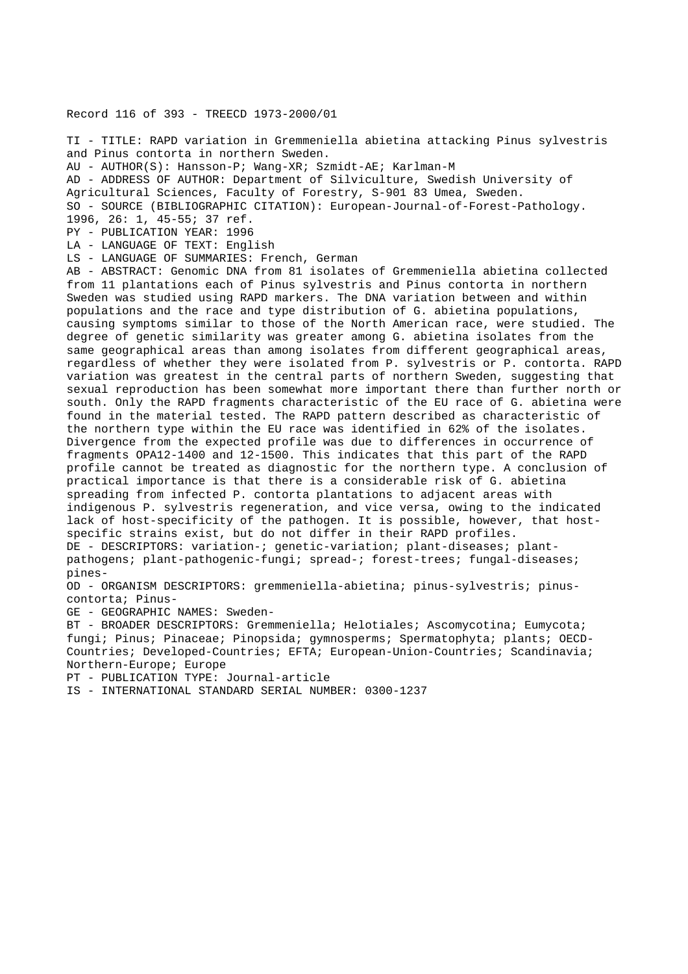# Record 116 of 393 - TREECD 1973-2000/01

TI - TITLE: RAPD variation in Gremmeniella abietina attacking Pinus sylvestris and Pinus contorta in northern Sweden. AU - AUTHOR(S): Hansson-P; Wang-XR; Szmidt-AE; Karlman-M AD - ADDRESS OF AUTHOR: Department of Silviculture, Swedish University of Agricultural Sciences, Faculty of Forestry, S-901 83 Umea, Sweden. SO - SOURCE (BIBLIOGRAPHIC CITATION): European-Journal-of-Forest-Pathology. 1996, 26: 1, 45-55; 37 ref. PY - PUBLICATION YEAR: 1996 LA - LANGUAGE OF TEXT: English LS - LANGUAGE OF SUMMARIES: French, German

AB - ABSTRACT: Genomic DNA from 81 isolates of Gremmeniella abietina collected from 11 plantations each of Pinus sylvestris and Pinus contorta in northern Sweden was studied using RAPD markers. The DNA variation between and within populations and the race and type distribution of G. abietina populations, causing symptoms similar to those of the North American race, were studied. The degree of genetic similarity was greater among G. abietina isolates from the same geographical areas than among isolates from different geographical areas, regardless of whether they were isolated from P. sylvestris or P. contorta. RAPD variation was greatest in the central parts of northern Sweden, suggesting that sexual reproduction has been somewhat more important there than further north or south. Only the RAPD fragments characteristic of the EU race of G. abietina were found in the material tested. The RAPD pattern described as characteristic of the northern type within the EU race was identified in 62% of the isolates. Divergence from the expected profile was due to differences in occurrence of fragments OPA12-1400 and 12-1500. This indicates that this part of the RAPD profile cannot be treated as diagnostic for the northern type. A conclusion of practical importance is that there is a considerable risk of G. abietina spreading from infected P. contorta plantations to adjacent areas with indigenous P. sylvestris regeneration, and vice versa, owing to the indicated lack of host-specificity of the pathogen. It is possible, however, that hostspecific strains exist, but do not differ in their RAPD profiles. DE - DESCRIPTORS: variation-; genetic-variation; plant-diseases; plantpathogens; plant-pathogenic-fungi; spread-; forest-trees; fungal-diseases; pines-

OD - ORGANISM DESCRIPTORS: gremmeniella-abietina; pinus-sylvestris; pinuscontorta; Pinus-

GE - GEOGRAPHIC NAMES: Sweden-

BT - BROADER DESCRIPTORS: Gremmeniella; Helotiales; Ascomycotina; Eumycota; fungi; Pinus; Pinaceae; Pinopsida; gymnosperms; Spermatophyta; plants; OECD-Countries; Developed-Countries; EFTA; European-Union-Countries; Scandinavia; Northern-Europe; Europe

PT - PUBLICATION TYPE: Journal-article

IS - INTERNATIONAL STANDARD SERIAL NUMBER: 0300-1237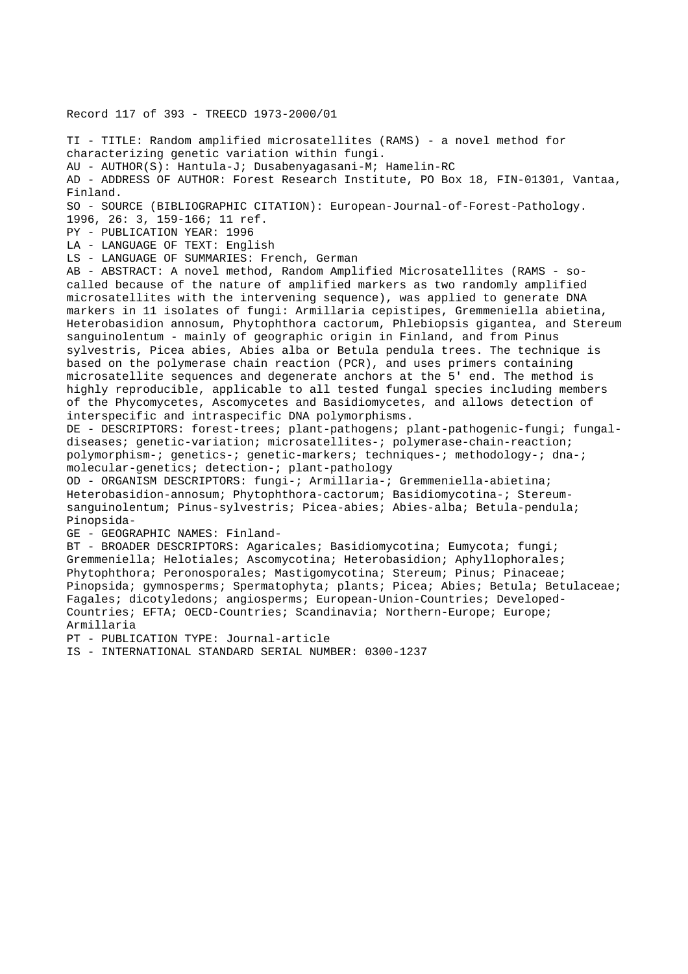Record 117 of 393 - TREECD 1973-2000/01

TI - TITLE: Random amplified microsatellites (RAMS) - a novel method for characterizing genetic variation within fungi. AU - AUTHOR(S): Hantula-J; Dusabenyagasani-M; Hamelin-RC AD - ADDRESS OF AUTHOR: Forest Research Institute, PO Box 18, FIN-01301, Vantaa, Finland. SO - SOURCE (BIBLIOGRAPHIC CITATION): European-Journal-of-Forest-Pathology. 1996, 26: 3, 159-166; 11 ref. PY - PUBLICATION YEAR: 1996 LA - LANGUAGE OF TEXT: English LS - LANGUAGE OF SUMMARIES: French, German AB - ABSTRACT: A novel method, Random Amplified Microsatellites (RAMS - socalled because of the nature of amplified markers as two randomly amplified microsatellites with the intervening sequence), was applied to generate DNA markers in 11 isolates of fungi: Armillaria cepistipes, Gremmeniella abietina, Heterobasidion annosum, Phytophthora cactorum, Phlebiopsis gigantea, and Stereum sanguinolentum - mainly of geographic origin in Finland, and from Pinus sylvestris, Picea abies, Abies alba or Betula pendula trees. The technique is based on the polymerase chain reaction (PCR), and uses primers containing microsatellite sequences and degenerate anchors at the 5' end. The method is highly reproducible, applicable to all tested fungal species including members of the Phycomycetes, Ascomycetes and Basidiomycetes, and allows detection of interspecific and intraspecific DNA polymorphisms. DE - DESCRIPTORS: forest-trees; plant-pathogens; plant-pathogenic-fungi; fungaldiseases; genetic-variation; microsatellites-; polymerase-chain-reaction; polymorphism-; genetics-; genetic-markers; techniques-; methodology-; dna-; molecular-genetics; detection-; plant-pathology OD - ORGANISM DESCRIPTORS: fungi-; Armillaria-; Gremmeniella-abietina; Heterobasidion-annosum; Phytophthora-cactorum; Basidiomycotina-; Stereumsanguinolentum; Pinus-sylvestris; Picea-abies; Abies-alba; Betula-pendula; Pinopsida-GE - GEOGRAPHIC NAMES: Finland-BT - BROADER DESCRIPTORS: Agaricales; Basidiomycotina; Eumycota; fungi; Gremmeniella; Helotiales; Ascomycotina; Heterobasidion; Aphyllophorales; Phytophthora; Peronosporales; Mastigomycotina; Stereum; Pinus; Pinaceae; Pinopsida; gymnosperms; Spermatophyta; plants; Picea; Abies; Betula; Betulaceae; Fagales; dicotyledons; angiosperms; European-Union-Countries; Developed-Countries; EFTA; OECD-Countries; Scandinavia; Northern-Europe; Europe; Armillaria

PT - PUBLICATION TYPE: Journal-article

IS - INTERNATIONAL STANDARD SERIAL NUMBER: 0300-1237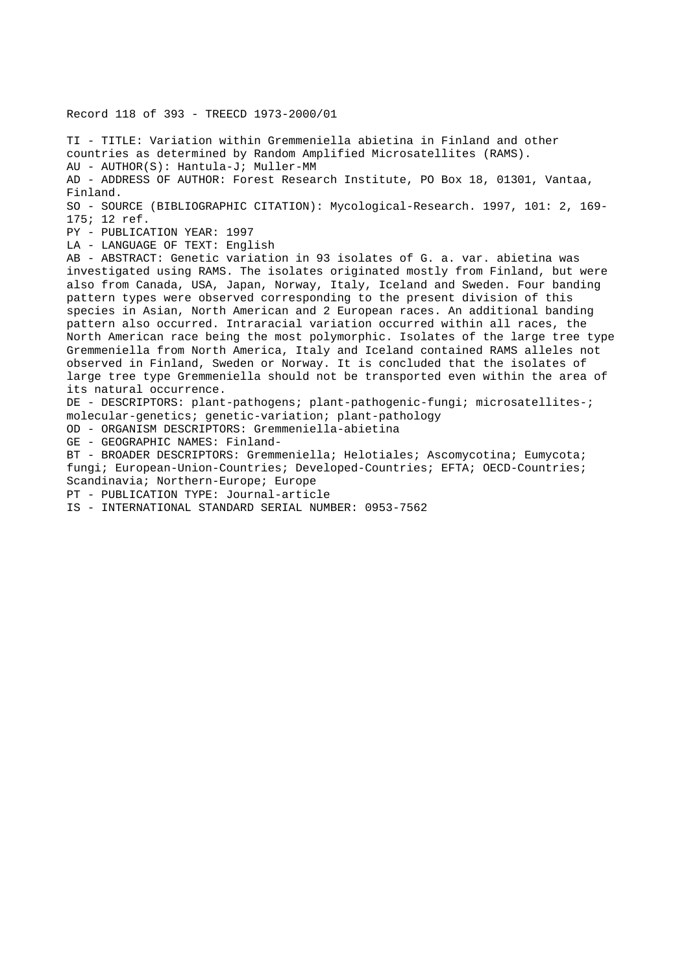TI - TITLE: Variation within Gremmeniella abietina in Finland and other countries as determined by Random Amplified Microsatellites (RAMS). AU - AUTHOR(S): Hantula-J; Muller-MM AD - ADDRESS OF AUTHOR: Forest Research Institute, PO Box 18, 01301, Vantaa, Finland. SO - SOURCE (BIBLIOGRAPHIC CITATION): Mycological-Research. 1997, 101: 2, 169- 175; 12 ref. PY - PUBLICATION YEAR: 1997 LA - LANGUAGE OF TEXT: English AB - ABSTRACT: Genetic variation in 93 isolates of G. a. var. abietina was investigated using RAMS. The isolates originated mostly from Finland, but were also from Canada, USA, Japan, Norway, Italy, Iceland and Sweden. Four banding pattern types were observed corresponding to the present division of this species in Asian, North American and 2 European races. An additional banding pattern also occurred. Intraracial variation occurred within all races, the

North American race being the most polymorphic. Isolates of the large tree type Gremmeniella from North America, Italy and Iceland contained RAMS alleles not observed in Finland, Sweden or Norway. It is concluded that the isolates of large tree type Gremmeniella should not be transported even within the area of its natural occurrence.

DE - DESCRIPTORS: plant-pathogens; plant-pathogenic-fungi; microsatellites-; molecular-genetics; genetic-variation; plant-pathology

OD - ORGANISM DESCRIPTORS: Gremmeniella-abietina

GE - GEOGRAPHIC NAMES: Finland-

BT - BROADER DESCRIPTORS: Gremmeniella; Helotiales; Ascomycotina; Eumycota; fungi; European-Union-Countries; Developed-Countries; EFTA; OECD-Countries; Scandinavia; Northern-Europe; Europe

PT - PUBLICATION TYPE: Journal-article

Record 118 of 393 - TREECD 1973-2000/01

IS - INTERNATIONAL STANDARD SERIAL NUMBER: 0953-7562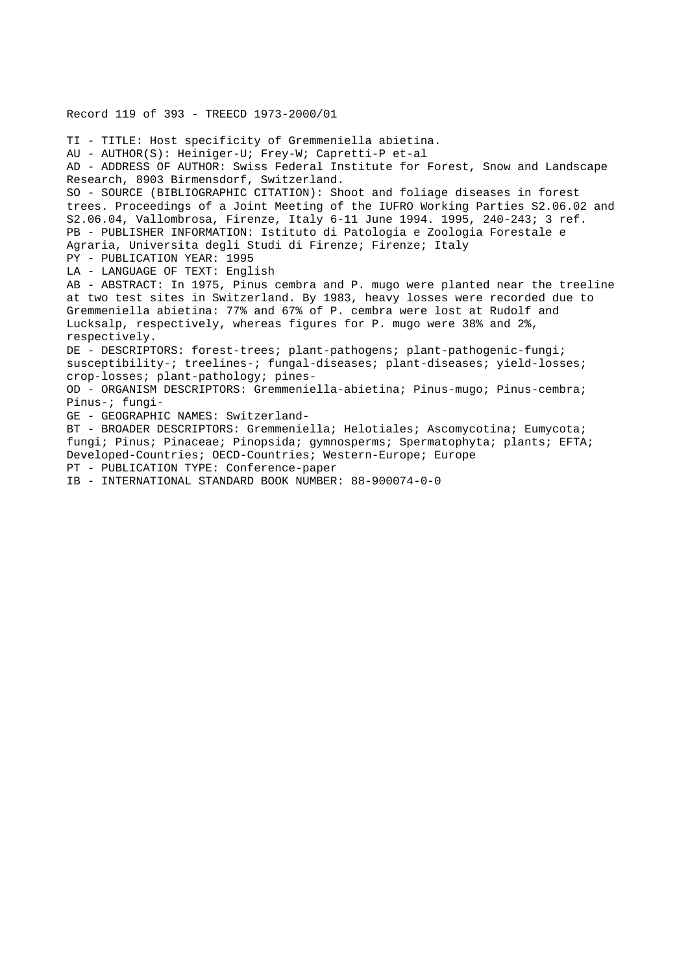TI - TITLE: Host specificity of Gremmeniella abietina. AU - AUTHOR(S): Heiniger-U; Frey-W; Capretti-P et-al AD - ADDRESS OF AUTHOR: Swiss Federal Institute for Forest, Snow and Landscape Research, 8903 Birmensdorf, Switzerland. SO - SOURCE (BIBLIOGRAPHIC CITATION): Shoot and foliage diseases in forest trees. Proceedings of a Joint Meeting of the IUFRO Working Parties S2.06.02 and S2.06.04, Vallombrosa, Firenze, Italy 6-11 June 1994. 1995, 240-243; 3 ref. PB - PUBLISHER INFORMATION: Istituto di Patologia e Zoologia Forestale e Agraria, Universita degli Studi di Firenze; Firenze; Italy PY - PUBLICATION YEAR: 1995 LA - LANGUAGE OF TEXT: English AB - ABSTRACT: In 1975, Pinus cembra and P. mugo were planted near the treeline at two test sites in Switzerland. By 1983, heavy losses were recorded due to Gremmeniella abietina: 77% and 67% of P. cembra were lost at Rudolf and Lucksalp, respectively, whereas figures for P. mugo were 38% and 2%, respectively. DE - DESCRIPTORS: forest-trees; plant-pathogens; plant-pathogenic-fungi; susceptibility-; treelines-; fungal-diseases; plant-diseases; yield-losses; crop-losses; plant-pathology; pines-OD - ORGANISM DESCRIPTORS: Gremmeniella-abietina; Pinus-mugo; Pinus-cembra; Pinus-; fungi-GE - GEOGRAPHIC NAMES: Switzerland-BT - BROADER DESCRIPTORS: Gremmeniella; Helotiales; Ascomycotina; Eumycota; fungi; Pinus; Pinaceae; Pinopsida; gymnosperms; Spermatophyta; plants; EFTA; Developed-Countries; OECD-Countries; Western-Europe; Europe PT - PUBLICATION TYPE: Conference-paper IB - INTERNATIONAL STANDARD BOOK NUMBER: 88-900074-0-0

Record 119 of 393 - TREECD 1973-2000/01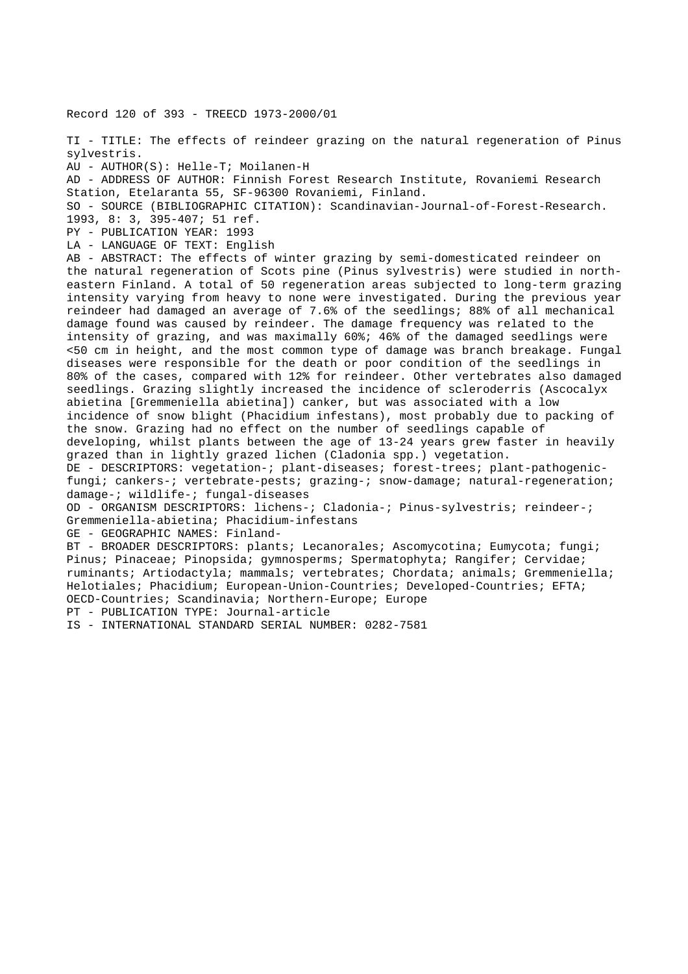Record 120 of 393 - TREECD 1973-2000/01

TI - TITLE: The effects of reindeer grazing on the natural regeneration of Pinus sylvestris.

AU - AUTHOR(S): Helle-T; Moilanen-H

AD - ADDRESS OF AUTHOR: Finnish Forest Research Institute, Rovaniemi Research Station, Etelaranta 55, SF-96300 Rovaniemi, Finland.

SO - SOURCE (BIBLIOGRAPHIC CITATION): Scandinavian-Journal-of-Forest-Research.

1993, 8: 3, 395-407; 51 ref.

PY - PUBLICATION YEAR: 1993

LA - LANGUAGE OF TEXT: English

AB - ABSTRACT: The effects of winter grazing by semi-domesticated reindeer on the natural regeneration of Scots pine (Pinus sylvestris) were studied in northeastern Finland. A total of 50 regeneration areas subjected to long-term grazing intensity varying from heavy to none were investigated. During the previous year reindeer had damaged an average of 7.6% of the seedlings; 88% of all mechanical damage found was caused by reindeer. The damage frequency was related to the intensity of grazing, and was maximally 60%; 46% of the damaged seedlings were <50 cm in height, and the most common type of damage was branch breakage. Fungal diseases were responsible for the death or poor condition of the seedlings in 80% of the cases, compared with 12% for reindeer. Other vertebrates also damaged seedlings. Grazing slightly increased the incidence of scleroderris (Ascocalyx abietina [Gremmeniella abietina]) canker, but was associated with a low incidence of snow blight (Phacidium infestans), most probably due to packing of the snow. Grazing had no effect on the number of seedlings capable of developing, whilst plants between the age of 13-24 years grew faster in heavily grazed than in lightly grazed lichen (Cladonia spp.) vegetation. DE - DESCRIPTORS: vegetation-; plant-diseases; forest-trees; plant-pathogenicfungi; cankers-; vertebrate-pests; grazing-; snow-damage; natural-regeneration; damage-; wildlife-; fungal-diseases

OD - ORGANISM DESCRIPTORS: lichens-; Cladonia-; Pinus-sylvestris; reindeer-; Gremmeniella-abietina; Phacidium-infestans

GE - GEOGRAPHIC NAMES: Finland-

BT - BROADER DESCRIPTORS: plants; Lecanorales; Ascomycotina; Eumycota; fungi; Pinus; Pinaceae; Pinopsida; gymnosperms; Spermatophyta; Rangifer; Cervidae; ruminants; Artiodactyla; mammals; vertebrates; Chordata; animals; Gremmeniella; Helotiales; Phacidium; European-Union-Countries; Developed-Countries; EFTA; OECD-Countries; Scandinavia; Northern-Europe; Europe

PT - PUBLICATION TYPE: Journal-article

IS - INTERNATIONAL STANDARD SERIAL NUMBER: 0282-7581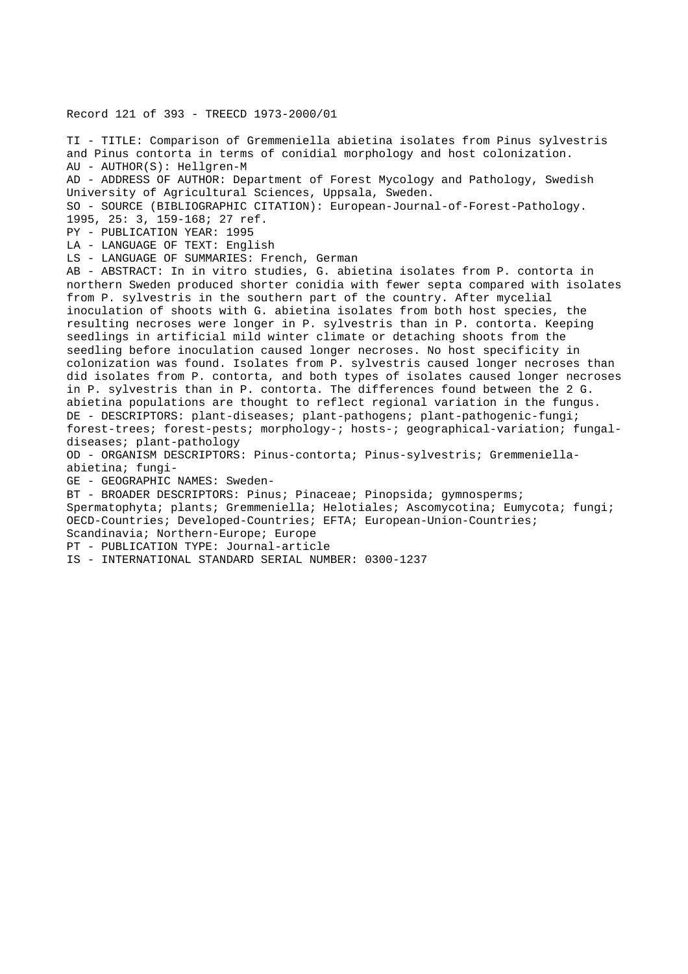Record 121 of 393 - TREECD 1973-2000/01

TI - TITLE: Comparison of Gremmeniella abietina isolates from Pinus sylvestris and Pinus contorta in terms of conidial morphology and host colonization. AU - AUTHOR(S): Hellgren-M AD - ADDRESS OF AUTHOR: Department of Forest Mycology and Pathology, Swedish University of Agricultural Sciences, Uppsala, Sweden. SO - SOURCE (BIBLIOGRAPHIC CITATION): European-Journal-of-Forest-Pathology. 1995, 25: 3, 159-168; 27 ref. PY - PUBLICATION YEAR: 1995 LA - LANGUAGE OF TEXT: English LS - LANGUAGE OF SUMMARIES: French, German AB - ABSTRACT: In in vitro studies, G. abietina isolates from P. contorta in northern Sweden produced shorter conidia with fewer septa compared with isolates from P. sylvestris in the southern part of the country. After mycelial inoculation of shoots with G. abietina isolates from both host species, the resulting necroses were longer in P. sylvestris than in P. contorta. Keeping seedlings in artificial mild winter climate or detaching shoots from the seedling before inoculation caused longer necroses. No host specificity in colonization was found. Isolates from P. sylvestris caused longer necroses than did isolates from P. contorta, and both types of isolates caused longer necroses in P. sylvestris than in P. contorta. The differences found between the 2 G. abietina populations are thought to reflect regional variation in the fungus. DE - DESCRIPTORS: plant-diseases; plant-pathogens; plant-pathogenic-fungi; forest-trees; forest-pests; morphology-; hosts-; geographical-variation; fungaldiseases; plant-pathology OD - ORGANISM DESCRIPTORS: Pinus-contorta; Pinus-sylvestris; Gremmeniellaabietina; fungi-GE - GEOGRAPHIC NAMES: Sweden-BT - BROADER DESCRIPTORS: Pinus; Pinaceae; Pinopsida; gymnosperms; Spermatophyta; plants; Gremmeniella; Helotiales; Ascomycotina; Eumycota; fungi; OECD-Countries; Developed-Countries; EFTA; European-Union-Countries; Scandinavia; Northern-Europe; Europe PT - PUBLICATION TYPE: Journal-article IS - INTERNATIONAL STANDARD SERIAL NUMBER: 0300-1237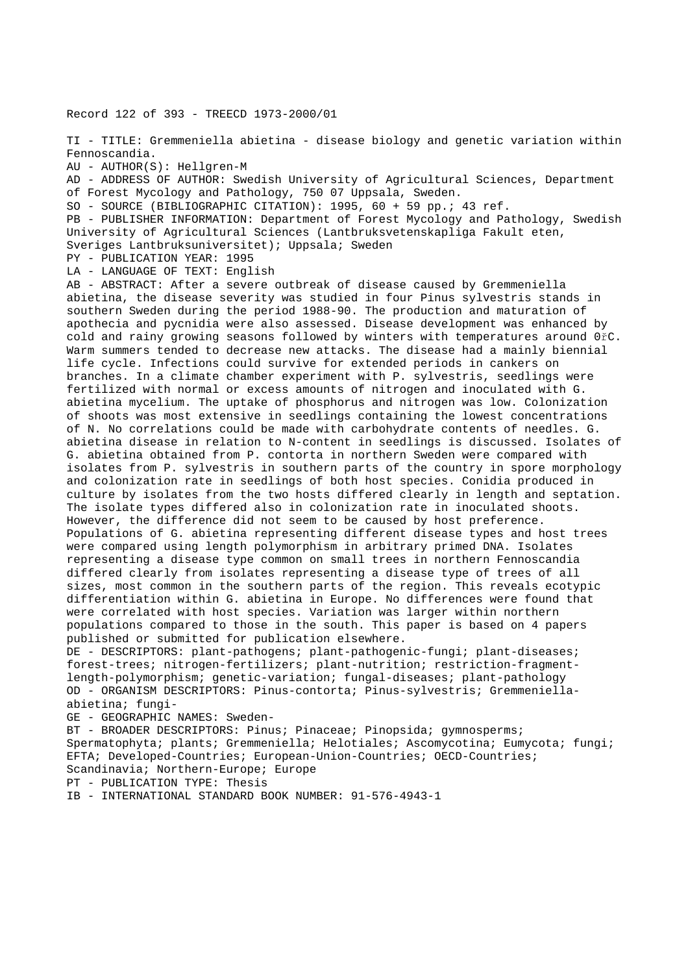Record 122 of 393 - TREECD 1973-2000/01

TI - TITLE: Gremmeniella abietina - disease biology and genetic variation within Fennoscandia.

AU - AUTHOR(S): Hellgren-M

AD - ADDRESS OF AUTHOR: Swedish University of Agricultural Sciences, Department of Forest Mycology and Pathology, 750 07 Uppsala, Sweden.

SO - SOURCE (BIBLIOGRAPHIC CITATION): 1995, 60 + 59 pp.; 43 ref.

PB - PUBLISHER INFORMATION: Department of Forest Mycology and Pathology, Swedish University of Agricultural Sciences (Lantbruksvetenskapliga Fakult eten, Sveriges Lantbruksuniversitet); Uppsala; Sweden

PY - PUBLICATION YEAR: 1995

LA - LANGUAGE OF TEXT: English

AB - ABSTRACT: After a severe outbreak of disease caused by Gremmeniella abietina, the disease severity was studied in four Pinus sylvestris stands in southern Sweden during the period 1988-90. The production and maturation of apothecia and pycnidia were also assessed. Disease development was enhanced by cold and rainy growing seasons followed by winters with temperatures around 0řC. Warm summers tended to decrease new attacks. The disease had a mainly biennial life cycle. Infections could survive for extended periods in cankers on branches. In a climate chamber experiment with P. sylvestris, seedlings were fertilized with normal or excess amounts of nitrogen and inoculated with G. abietina mycelium. The uptake of phosphorus and nitrogen was low. Colonization of shoots was most extensive in seedlings containing the lowest concentrations of N. No correlations could be made with carbohydrate contents of needles. G. abietina disease in relation to N-content in seedlings is discussed. Isolates of G. abietina obtained from P. contorta in northern Sweden were compared with isolates from P. sylvestris in southern parts of the country in spore morphology and colonization rate in seedlings of both host species. Conidia produced in culture by isolates from the two hosts differed clearly in length and septation. The isolate types differed also in colonization rate in inoculated shoots. However, the difference did not seem to be caused by host preference. Populations of G. abietina representing different disease types and host trees were compared using length polymorphism in arbitrary primed DNA. Isolates representing a disease type common on small trees in northern Fennoscandia differed clearly from isolates representing a disease type of trees of all sizes, most common in the southern parts of the region. This reveals ecotypic differentiation within G. abietina in Europe. No differences were found that were correlated with host species. Variation was larger within northern populations compared to those in the south. This paper is based on 4 papers published or submitted for publication elsewhere. DE - DESCRIPTORS: plant-pathogens; plant-pathogenic-fungi; plant-diseases;

forest-trees; nitrogen-fertilizers; plant-nutrition; restriction-fragmentlength-polymorphism; genetic-variation; fungal-diseases; plant-pathology OD - ORGANISM DESCRIPTORS: Pinus-contorta; Pinus-sylvestris; Gremmeniellaabietina; fungi-

GE - GEOGRAPHIC NAMES: Sweden-

BT - BROADER DESCRIPTORS: Pinus; Pinaceae; Pinopsida; gymnosperms; Spermatophyta; plants; Gremmeniella; Helotiales; Ascomycotina; Eumycota; fungi; EFTA; Developed-Countries; European-Union-Countries; OECD-Countries; Scandinavia; Northern-Europe; Europe

PT - PUBLICATION TYPE: Thesis

IB - INTERNATIONAL STANDARD BOOK NUMBER: 91-576-4943-1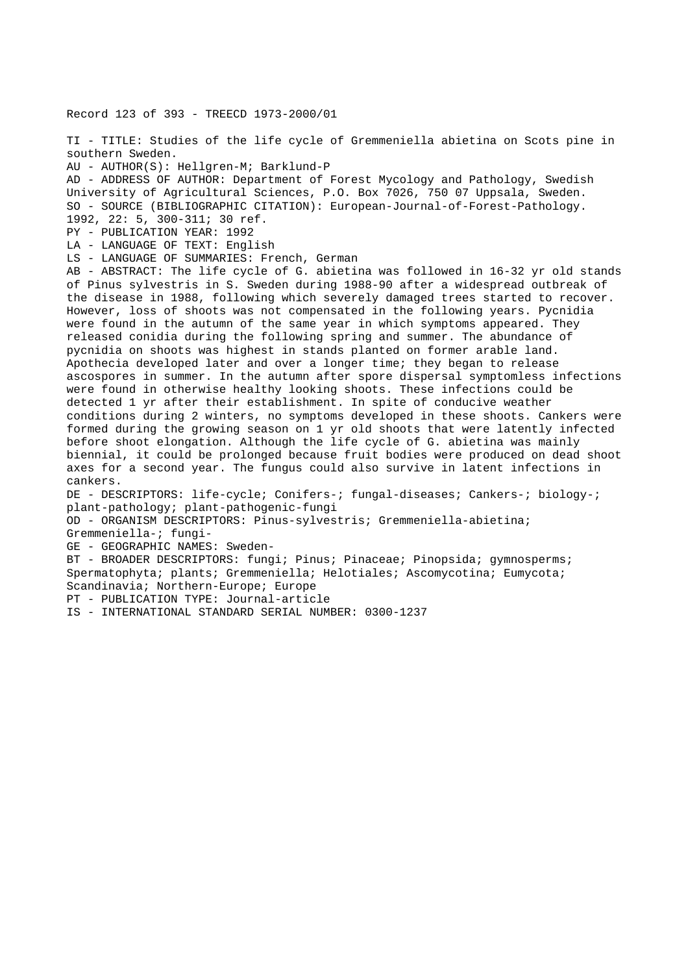Record 123 of 393 - TREECD 1973-2000/01

TI - TITLE: Studies of the life cycle of Gremmeniella abietina on Scots pine in southern Sweden. AU - AUTHOR(S): Hellgren-M; Barklund-P AD - ADDRESS OF AUTHOR: Department of Forest Mycology and Pathology, Swedish University of Agricultural Sciences, P.O. Box 7026, 750 07 Uppsala, Sweden. SO - SOURCE (BIBLIOGRAPHIC CITATION): European-Journal-of-Forest-Pathology. 1992, 22: 5, 300-311; 30 ref. PY - PUBLICATION YEAR: 1992 LA - LANGUAGE OF TEXT: English LS - LANGUAGE OF SUMMARIES: French, German AB - ABSTRACT: The life cycle of G. abietina was followed in 16-32 yr old stands of Pinus sylvestris in S. Sweden during 1988-90 after a widespread outbreak of the disease in 1988, following which severely damaged trees started to recover. However, loss of shoots was not compensated in the following years. Pycnidia were found in the autumn of the same year in which symptoms appeared. They released conidia during the following spring and summer. The abundance of pycnidia on shoots was highest in stands planted on former arable land. Apothecia developed later and over a longer time; they began to release ascospores in summer. In the autumn after spore dispersal symptomless infections were found in otherwise healthy looking shoots. These infections could be detected 1 yr after their establishment. In spite of conducive weather conditions during 2 winters, no symptoms developed in these shoots. Cankers were formed during the growing season on 1 yr old shoots that were latently infected before shoot elongation. Although the life cycle of G. abietina was mainly biennial, it could be prolonged because fruit bodies were produced on dead shoot axes for a second year. The fungus could also survive in latent infections in cankers. DE - DESCRIPTORS: life-cycle; Conifers-; fungal-diseases; Cankers-; biology-; plant-pathology; plant-pathogenic-fungi OD - ORGANISM DESCRIPTORS: Pinus-sylvestris; Gremmeniella-abietina; Gremmeniella-; fungi-GE - GEOGRAPHIC NAMES: Sweden-BT - BROADER DESCRIPTORS: fungi; Pinus; Pinaceae; Pinopsida; gymnosperms; Spermatophyta; plants; Gremmeniella; Helotiales; Ascomycotina; Eumycota; Scandinavia; Northern-Europe; Europe PT - PUBLICATION TYPE: Journal-article IS - INTERNATIONAL STANDARD SERIAL NUMBER: 0300-1237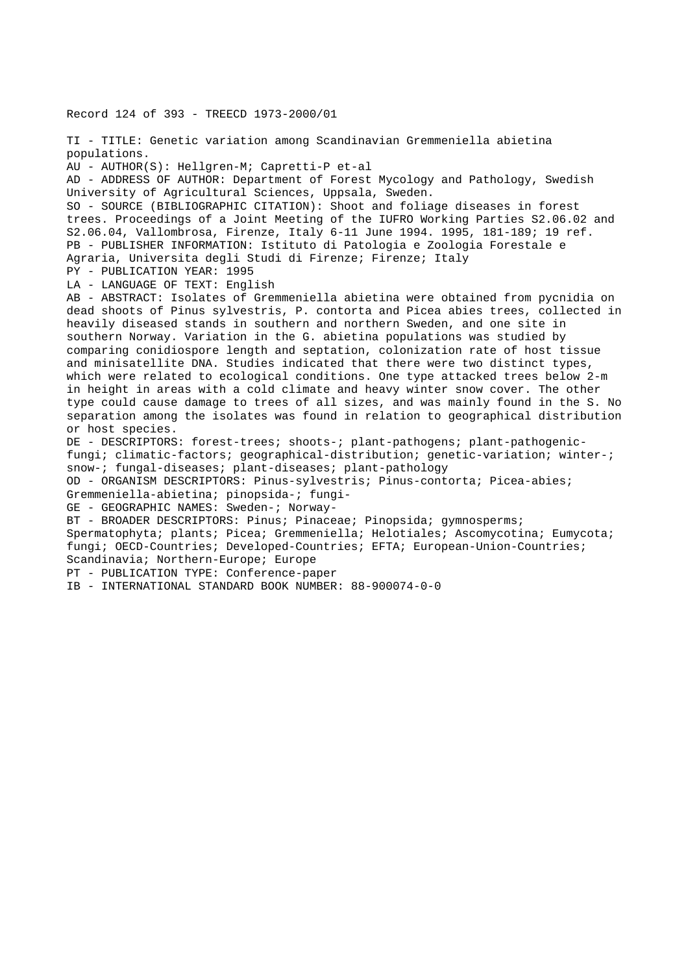Record 124 of 393 - TREECD 1973-2000/01 TI - TITLE: Genetic variation among Scandinavian Gremmeniella abietina populations. AU - AUTHOR(S): Hellgren-M; Capretti-P et-al AD - ADDRESS OF AUTHOR: Department of Forest Mycology and Pathology, Swedish University of Agricultural Sciences, Uppsala, Sweden. SO - SOURCE (BIBLIOGRAPHIC CITATION): Shoot and foliage diseases in forest trees. Proceedings of a Joint Meeting of the IUFRO Working Parties S2.06.02 and S2.06.04, Vallombrosa, Firenze, Italy 6-11 June 1994. 1995, 181-189; 19 ref. PB - PUBLISHER INFORMATION: Istituto di Patologia e Zoologia Forestale e Agraria, Universita degli Studi di Firenze; Firenze; Italy PY - PUBLICATION YEAR: 1995 LA - LANGUAGE OF TEXT: English AB - ABSTRACT: Isolates of Gremmeniella abietina were obtained from pycnidia on dead shoots of Pinus sylvestris, P. contorta and Picea abies trees, collected in heavily diseased stands in southern and northern Sweden, and one site in southern Norway. Variation in the G. abietina populations was studied by comparing conidiospore length and septation, colonization rate of host tissue and minisatellite DNA. Studies indicated that there were two distinct types, which were related to ecological conditions. One type attacked trees below 2-m in height in areas with a cold climate and heavy winter snow cover. The other type could cause damage to trees of all sizes, and was mainly found in the S. No separation among the isolates was found in relation to geographical distribution or host species. DE - DESCRIPTORS: forest-trees; shoots-; plant-pathogens; plant-pathogenicfungi; climatic-factors; geographical-distribution; genetic-variation; winter-; snow-; fungal-diseases; plant-diseases; plant-pathology OD - ORGANISM DESCRIPTORS: Pinus-sylvestris; Pinus-contorta; Picea-abies; Gremmeniella-abietina; pinopsida-; fungi-GE - GEOGRAPHIC NAMES: Sweden-; Norway-BT - BROADER DESCRIPTORS: Pinus; Pinaceae; Pinopsida; gymnosperms; Spermatophyta; plants; Picea; Gremmeniella; Helotiales; Ascomycotina; Eumycota; fungi; OECD-Countries; Developed-Countries; EFTA; European-Union-Countries; Scandinavia; Northern-Europe; Europe PT - PUBLICATION TYPE: Conference-paper

IB - INTERNATIONAL STANDARD BOOK NUMBER: 88-900074-0-0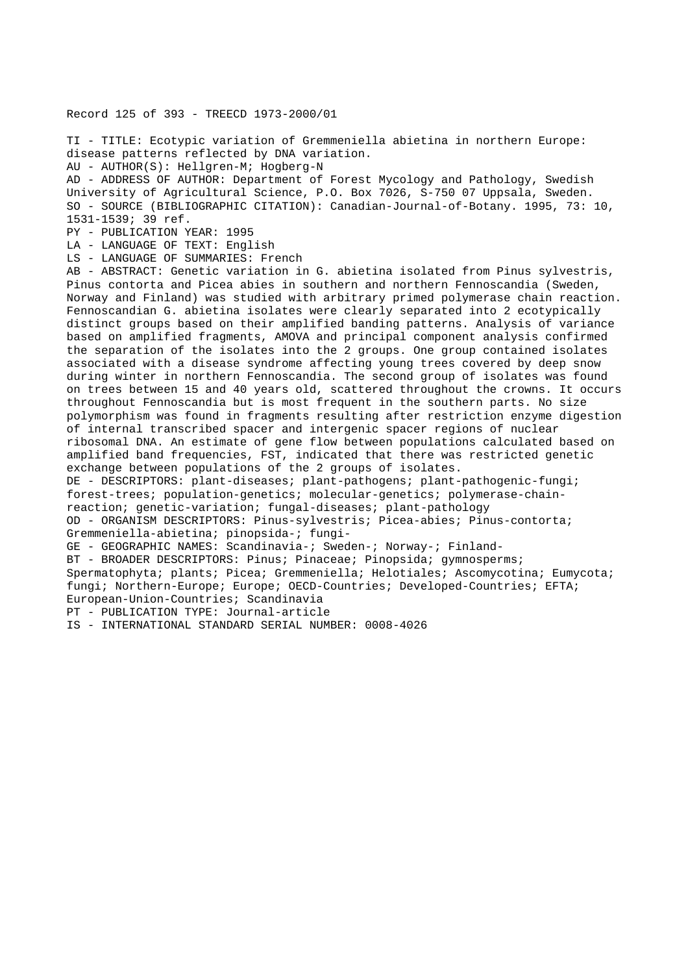Record 125 of 393 - TREECD 1973-2000/01

TI - TITLE: Ecotypic variation of Gremmeniella abietina in northern Europe: disease patterns reflected by DNA variation.

AU - AUTHOR(S): Hellgren-M; Hogberg-N

AD - ADDRESS OF AUTHOR: Department of Forest Mycology and Pathology, Swedish University of Agricultural Science, P.O. Box 7026, S-750 07 Uppsala, Sweden. SO - SOURCE (BIBLIOGRAPHIC CITATION): Canadian-Journal-of-Botany. 1995, 73: 10, 1531-1539; 39 ref.

PY - PUBLICATION YEAR: 1995

LA - LANGUAGE OF TEXT: English

LS - LANGUAGE OF SUMMARIES: French

AB - ABSTRACT: Genetic variation in G. abietina isolated from Pinus sylvestris, Pinus contorta and Picea abies in southern and northern Fennoscandia (Sweden, Norway and Finland) was studied with arbitrary primed polymerase chain reaction. Fennoscandian G. abietina isolates were clearly separated into 2 ecotypically distinct groups based on their amplified banding patterns. Analysis of variance based on amplified fragments, AMOVA and principal component analysis confirmed the separation of the isolates into the 2 groups. One group contained isolates associated with a disease syndrome affecting young trees covered by deep snow during winter in northern Fennoscandia. The second group of isolates was found on trees between 15 and 40 years old, scattered throughout the crowns. It occurs throughout Fennoscandia but is most frequent in the southern parts. No size polymorphism was found in fragments resulting after restriction enzyme digestion of internal transcribed spacer and intergenic spacer regions of nuclear ribosomal DNA. An estimate of gene flow between populations calculated based on amplified band frequencies, FST, indicated that there was restricted genetic exchange between populations of the 2 groups of isolates. DE - DESCRIPTORS: plant-diseases; plant-pathogens; plant-pathogenic-fungi; forest-trees; population-genetics; molecular-genetics; polymerase-chainreaction; genetic-variation; fungal-diseases; plant-pathology OD - ORGANISM DESCRIPTORS: Pinus-sylvestris; Picea-abies; Pinus-contorta; Gremmeniella-abietina; pinopsida-; fungi-GE - GEOGRAPHIC NAMES: Scandinavia-; Sweden-; Norway-; Finland-BT - BROADER DESCRIPTORS: Pinus; Pinaceae; Pinopsida; gymnosperms; Spermatophyta; plants; Picea; Gremmeniella; Helotiales; Ascomycotina; Eumycota; fungi; Northern-Europe; Europe; OECD-Countries; Developed-Countries; EFTA;

European-Union-Countries; Scandinavia

PT - PUBLICATION TYPE: Journal-article

IS - INTERNATIONAL STANDARD SERIAL NUMBER: 0008-4026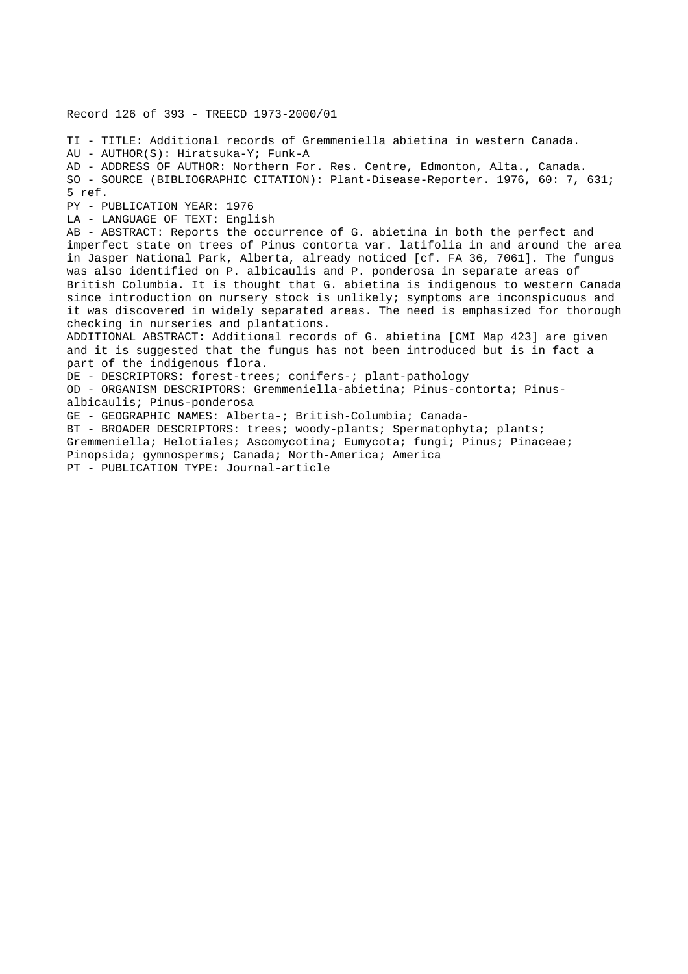Record 126 of 393 - TREECD 1973-2000/01 TI - TITLE: Additional records of Gremmeniella abietina in western Canada. AU - AUTHOR(S): Hiratsuka-Y; Funk-A AD - ADDRESS OF AUTHOR: Northern For. Res. Centre, Edmonton, Alta., Canada. SO - SOURCE (BIBLIOGRAPHIC CITATION): Plant-Disease-Reporter. 1976, 60: 7, 631; 5 ref. PY - PUBLICATION YEAR: 1976 LA - LANGUAGE OF TEXT: English AB - ABSTRACT: Reports the occurrence of G. abietina in both the perfect and imperfect state on trees of Pinus contorta var. latifolia in and around the area in Jasper National Park, Alberta, already noticed [cf. FA 36, 7061]. The fungus was also identified on P. albicaulis and P. ponderosa in separate areas of British Columbia. It is thought that G. abietina is indigenous to western Canada since introduction on nursery stock is unlikely; symptoms are inconspicuous and it was discovered in widely separated areas. The need is emphasized for thorough checking in nurseries and plantations. ADDITIONAL ABSTRACT: Additional records of G. abietina [CMI Map 423] are given and it is suggested that the fungus has not been introduced but is in fact a part of the indigenous flora. DE - DESCRIPTORS: forest-trees; conifers-; plant-pathology OD - ORGANISM DESCRIPTORS: Gremmeniella-abietina; Pinus-contorta; Pinusalbicaulis; Pinus-ponderosa GE - GEOGRAPHIC NAMES: Alberta-; British-Columbia; Canada-BT - BROADER DESCRIPTORS: trees; woody-plants; Spermatophyta; plants; Gremmeniella; Helotiales; Ascomycotina; Eumycota; fungi; Pinus; Pinaceae; Pinopsida; gymnosperms; Canada; North-America; America PT - PUBLICATION TYPE: Journal-article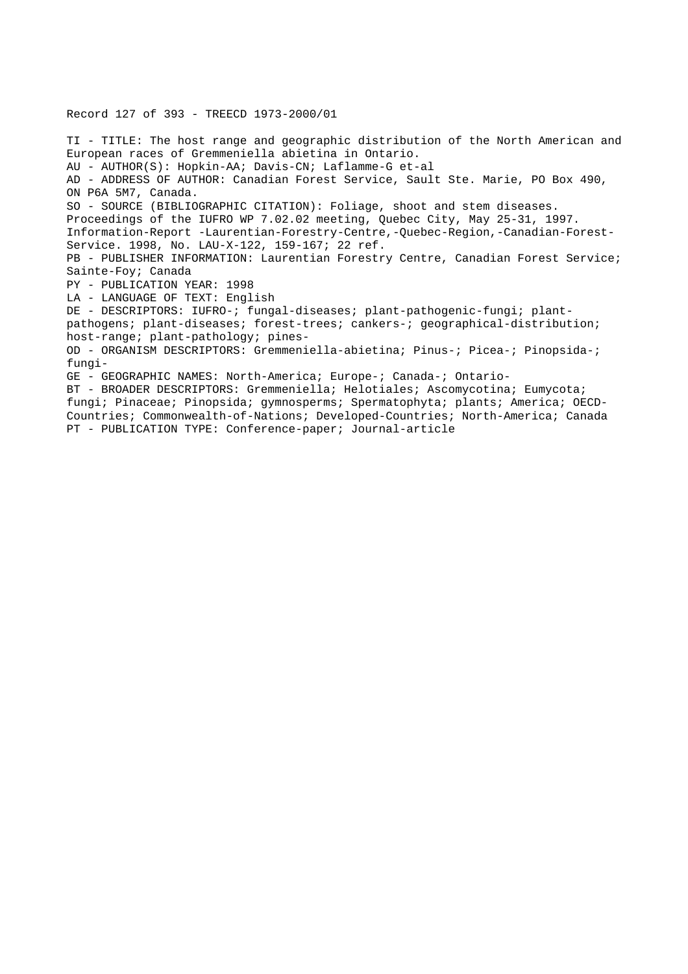TI - TITLE: The host range and geographic distribution of the North American and European races of Gremmeniella abietina in Ontario. AU - AUTHOR(S): Hopkin-AA; Davis-CN; Laflamme-G et-al AD - ADDRESS OF AUTHOR: Canadian Forest Service, Sault Ste. Marie, PO Box 490, ON P6A 5M7, Canada. SO - SOURCE (BIBLIOGRAPHIC CITATION): Foliage, shoot and stem diseases. Proceedings of the IUFRO WP 7.02.02 meeting, Quebec City, May 25-31, 1997. Information-Report -Laurentian-Forestry-Centre,-Quebec-Region,-Canadian-Forest-Service. 1998, No. LAU-X-122, 159-167; 22 ref. PB - PUBLISHER INFORMATION: Laurentian Forestry Centre, Canadian Forest Service; Sainte-Foy; Canada PY - PUBLICATION YEAR: 1998 LA - LANGUAGE OF TEXT: English DE - DESCRIPTORS: IUFRO-; fungal-diseases; plant-pathogenic-fungi; plantpathogens; plant-diseases; forest-trees; cankers-; geographical-distribution; host-range; plant-pathology; pines-OD - ORGANISM DESCRIPTORS: Gremmeniella-abietina; Pinus-; Picea-; Pinopsida-; fungi-GE - GEOGRAPHIC NAMES: North-America; Europe-; Canada-; Ontario-BT - BROADER DESCRIPTORS: Gremmeniella; Helotiales; Ascomycotina; Eumycota; fungi; Pinaceae; Pinopsida; gymnosperms; Spermatophyta; plants; America; OECD-Countries; Commonwealth-of-Nations; Developed-Countries; North-America; Canada PT - PUBLICATION TYPE: Conference-paper; Journal-article

Record 127 of 393 - TREECD 1973-2000/01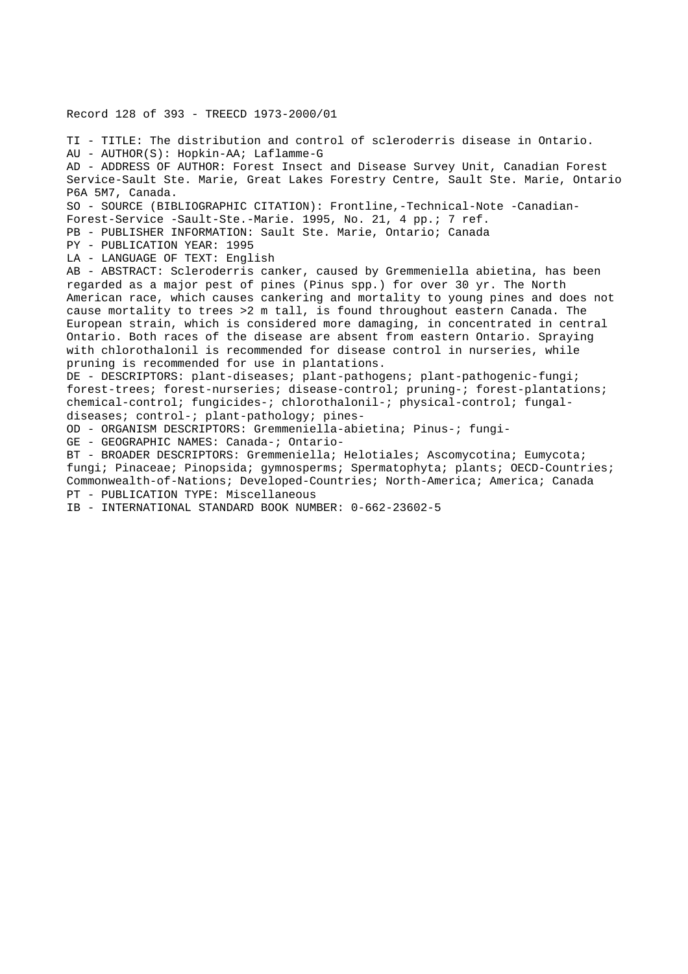Record 128 of 393 - TREECD 1973-2000/01

TI - TITLE: The distribution and control of scleroderris disease in Ontario. AU - AUTHOR(S): Hopkin-AA; Laflamme-G AD - ADDRESS OF AUTHOR: Forest Insect and Disease Survey Unit, Canadian Forest Service-Sault Ste. Marie, Great Lakes Forestry Centre, Sault Ste. Marie, Ontario P6A 5M7, Canada. SO - SOURCE (BIBLIOGRAPHIC CITATION): Frontline,-Technical-Note -Canadian-Forest-Service -Sault-Ste.-Marie. 1995, No. 21, 4 pp.; 7 ref. PB - PUBLISHER INFORMATION: Sault Ste. Marie, Ontario; Canada PY - PUBLICATION YEAR: 1995 LA - LANGUAGE OF TEXT: English AB - ABSTRACT: Scleroderris canker, caused by Gremmeniella abietina, has been regarded as a major pest of pines (Pinus spp.) for over 30 yr. The North American race, which causes cankering and mortality to young pines and does not cause mortality to trees >2 m tall, is found throughout eastern Canada. The European strain, which is considered more damaging, in concentrated in central Ontario. Both races of the disease are absent from eastern Ontario. Spraying with chlorothalonil is recommended for disease control in nurseries, while pruning is recommended for use in plantations. DE - DESCRIPTORS: plant-diseases; plant-pathogens; plant-pathogenic-fungi; forest-trees; forest-nurseries; disease-control; pruning-; forest-plantations; chemical-control; fungicides-; chlorothalonil-; physical-control; fungaldiseases; control-; plant-pathology; pines-OD - ORGANISM DESCRIPTORS: Gremmeniella-abietina; Pinus-; fungi-GE - GEOGRAPHIC NAMES: Canada-; Ontario-BT - BROADER DESCRIPTORS: Gremmeniella; Helotiales; Ascomycotina; Eumycota; fungi; Pinaceae; Pinopsida; gymnosperms; Spermatophyta; plants; OECD-Countries; Commonwealth-of-Nations; Developed-Countries; North-America; America; Canada

PT - PUBLICATION TYPE: Miscellaneous

IB - INTERNATIONAL STANDARD BOOK NUMBER: 0-662-23602-5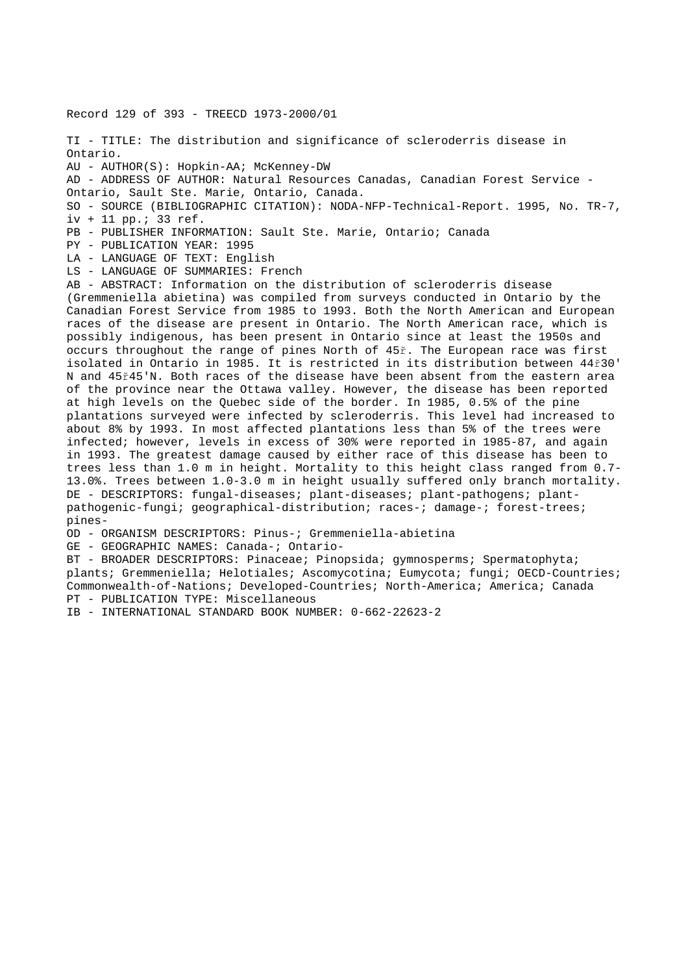Record 129 of 393 - TREECD 1973-2000/01

TI - TITLE: The distribution and significance of scleroderris disease in Ontario. AU - AUTHOR(S): Hopkin-AA; McKenney-DW AD - ADDRESS OF AUTHOR: Natural Resources Canadas, Canadian Forest Service - Ontario, Sault Ste. Marie, Ontario, Canada. SO - SOURCE (BIBLIOGRAPHIC CITATION): NODA-NFP-Technical-Report. 1995, No. TR-7, iv + 11 pp.; 33 ref.

PB - PUBLISHER INFORMATION: Sault Ste. Marie, Ontario; Canada

PY - PUBLICATION YEAR: 1995

LA - LANGUAGE OF TEXT: English

LS - LANGUAGE OF SUMMARIES: French

AB - ABSTRACT: Information on the distribution of scleroderris disease (Gremmeniella abietina) was compiled from surveys conducted in Ontario by the Canadian Forest Service from 1985 to 1993. Both the North American and European races of the disease are present in Ontario. The North American race, which is possibly indigenous, has been present in Ontario since at least the 1950s and occurs throughout the range of pines North of 45ř. The European race was first isolated in Ontario in 1985. It is restricted in its distribution between 44ř30' N and 45ř45'N. Both races of the disease have been absent from the eastern area of the province near the Ottawa valley. However, the disease has been reported at high levels on the Quebec side of the border. In 1985, 0.5% of the pine plantations surveyed were infected by scleroderris. This level had increased to about 8% by 1993. In most affected plantations less than 5% of the trees were infected; however, levels in excess of 30% were reported in 1985-87, and again in 1993. The greatest damage caused by either race of this disease has been to trees less than 1.0 m in height. Mortality to this height class ranged from 0.7- 13.0%. Trees between 1.0-3.0 m in height usually suffered only branch mortality. DE - DESCRIPTORS: fungal-diseases; plant-diseases; plant-pathogens; plantpathogenic-fungi; geographical-distribution; races-; damage-; forest-trees; pines-

OD - ORGANISM DESCRIPTORS: Pinus-; Gremmeniella-abietina

GE - GEOGRAPHIC NAMES: Canada-; Ontario-

BT - BROADER DESCRIPTORS: Pinaceae; Pinopsida; gymnosperms; Spermatophyta; plants; Gremmeniella; Helotiales; Ascomycotina; Eumycota; fungi; OECD-Countries; Commonwealth-of-Nations; Developed-Countries; North-America; America; Canada PT - PUBLICATION TYPE: Miscellaneous

IB - INTERNATIONAL STANDARD BOOK NUMBER: 0-662-22623-2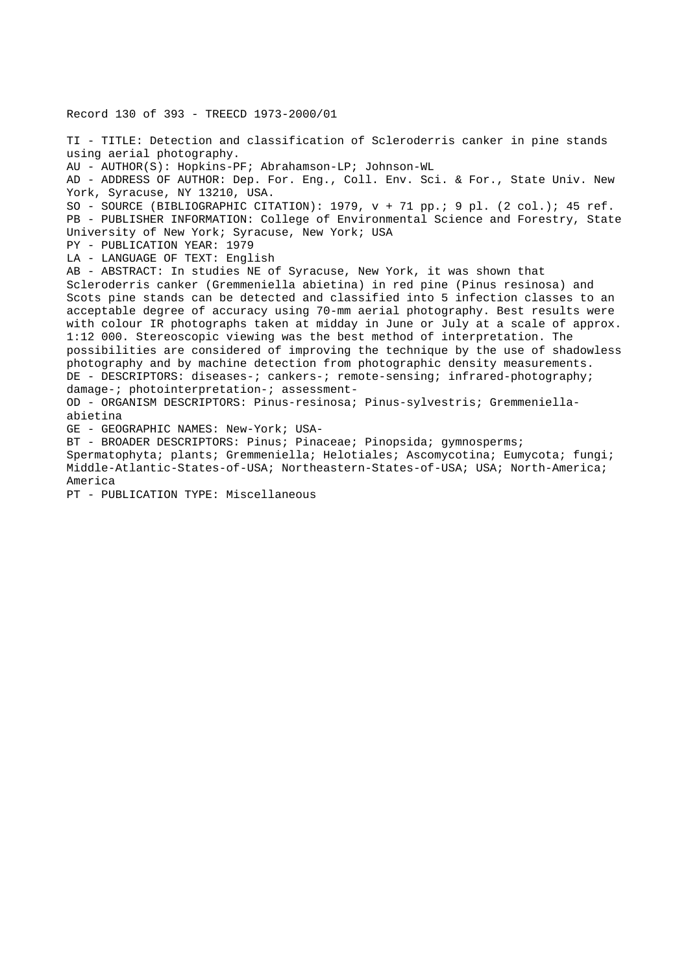Record 130 of 393 - TREECD 1973-2000/01 TI - TITLE: Detection and classification of Scleroderris canker in pine stands using aerial photography. AU - AUTHOR(S): Hopkins-PF; Abrahamson-LP; Johnson-WL AD - ADDRESS OF AUTHOR: Dep. For. Eng., Coll. Env. Sci. & For., State Univ. New York, Syracuse, NY 13210, USA. SO - SOURCE (BIBLIOGRAPHIC CITATION): 1979, v + 71 pp.; 9 pl. (2 col.); 45 ref. PB - PUBLISHER INFORMATION: College of Environmental Science and Forestry, State University of New York; Syracuse, New York; USA PY - PUBLICATION YEAR: 1979 LA - LANGUAGE OF TEXT: English AB - ABSTRACT: In studies NE of Syracuse, New York, it was shown that Scleroderris canker (Gremmeniella abietina) in red pine (Pinus resinosa) and Scots pine stands can be detected and classified into 5 infection classes to an acceptable degree of accuracy using 70-mm aerial photography. Best results were with colour IR photographs taken at midday in June or July at a scale of approx. 1:12 000. Stereoscopic viewing was the best method of interpretation. The possibilities are considered of improving the technique by the use of shadowless photography and by machine detection from photographic density measurements. DE - DESCRIPTORS: diseases-; cankers-; remote-sensing; infrared-photography; damage-; photointerpretation-; assessment-OD - ORGANISM DESCRIPTORS: Pinus-resinosa; Pinus-sylvestris; Gremmeniellaabietina GE - GEOGRAPHIC NAMES: New-York; USA-BT - BROADER DESCRIPTORS: Pinus; Pinaceae; Pinopsida; gymnosperms; Spermatophyta; plants; Gremmeniella; Helotiales; Ascomycotina; Eumycota; fungi; Middle-Atlantic-States-of-USA; Northeastern-States-of-USA; USA; North-America; America

PT - PUBLICATION TYPE: Miscellaneous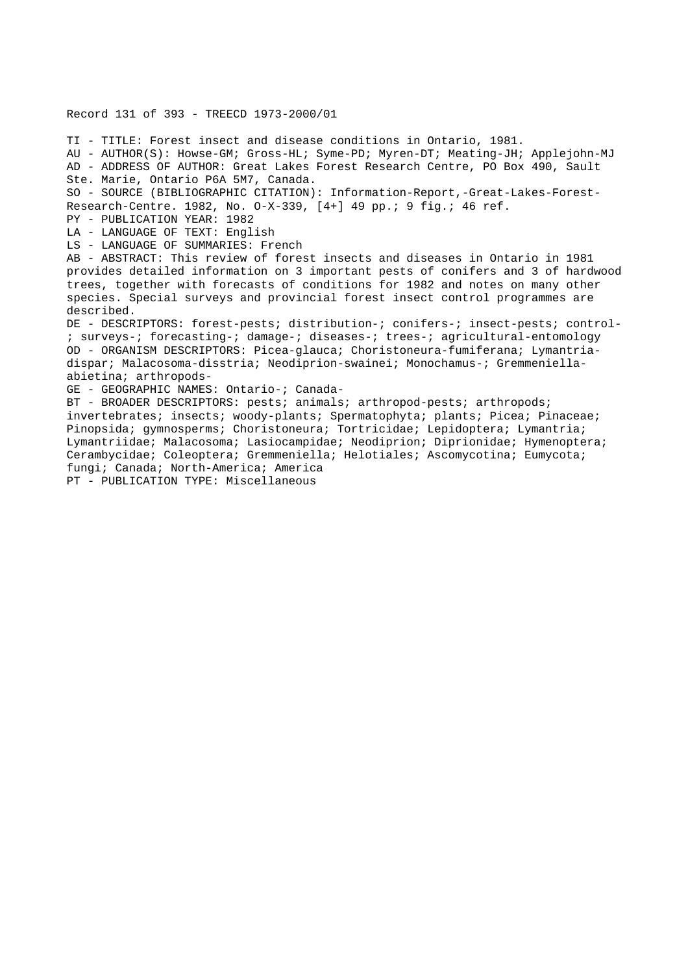## Record 131 of 393 - TREECD 1973-2000/01

TI - TITLE: Forest insect and disease conditions in Ontario, 1981. AU - AUTHOR(S): Howse-GM; Gross-HL; Syme-PD; Myren-DT; Meating-JH; Applejohn-MJ AD - ADDRESS OF AUTHOR: Great Lakes Forest Research Centre, PO Box 490, Sault Ste. Marie, Ontario P6A 5M7, Canada. SO - SOURCE (BIBLIOGRAPHIC CITATION): Information-Report,-Great-Lakes-Forest-Research-Centre. 1982, No. O-X-339, [4+] 49 pp.; 9 fig.; 46 ref. PY - PUBLICATION YEAR: 1982 LA - LANGUAGE OF TEXT: English LS - LANGUAGE OF SUMMARIES: French AB - ABSTRACT: This review of forest insects and diseases in Ontario in 1981 provides detailed information on 3 important pests of conifers and 3 of hardwood trees, together with forecasts of conditions for 1982 and notes on many other species. Special surveys and provincial forest insect control programmes are described. DE - DESCRIPTORS: forest-pests; distribution-; conifers-; insect-pests; control- ; surveys-; forecasting-; damage-; diseases-; trees-; agricultural-entomology OD - ORGANISM DESCRIPTORS: Picea-glauca; Choristoneura-fumiferana; Lymantriadispar; Malacosoma-disstria; Neodiprion-swainei; Monochamus-; Gremmeniellaabietina; arthropods-GE - GEOGRAPHIC NAMES: Ontario-; Canada-BT - BROADER DESCRIPTORS: pests; animals; arthropod-pests; arthropods; invertebrates; insects; woody-plants; Spermatophyta; plants; Picea; Pinaceae; Pinopsida; gymnosperms; Choristoneura; Tortricidae; Lepidoptera; Lymantria; Lymantriidae; Malacosoma; Lasiocampidae; Neodiprion; Diprionidae; Hymenoptera; Cerambycidae; Coleoptera; Gremmeniella; Helotiales; Ascomycotina; Eumycota; fungi; Canada; North-America; America

PT - PUBLICATION TYPE: Miscellaneous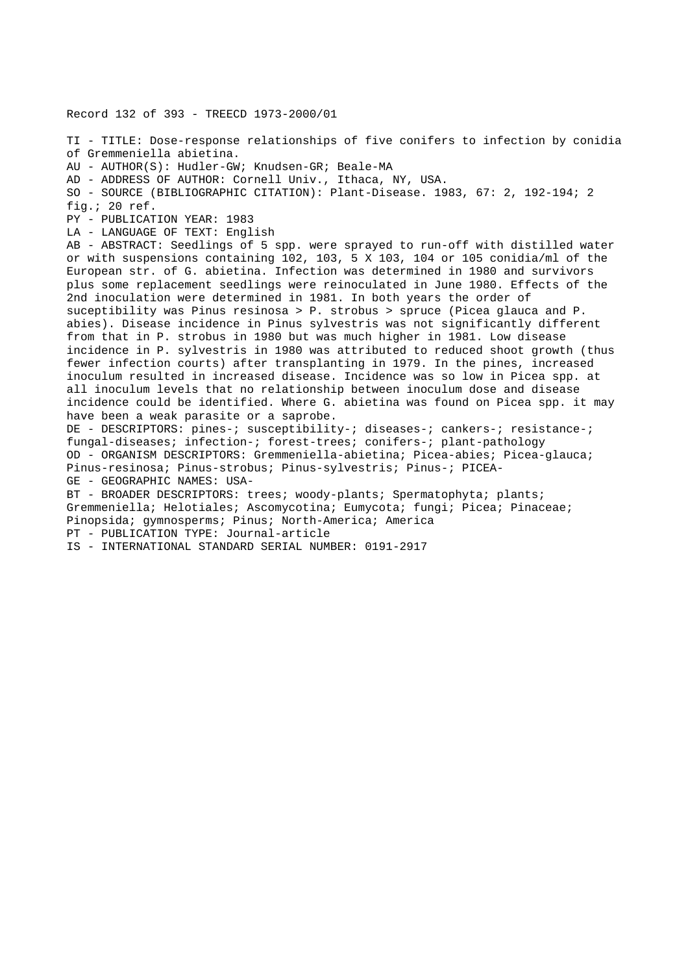Record 132 of 393 - TREECD 1973-2000/01 TI - TITLE: Dose-response relationships of five conifers to infection by conidia of Gremmeniella abietina. AU - AUTHOR(S): Hudler-GW; Knudsen-GR; Beale-MA AD - ADDRESS OF AUTHOR: Cornell Univ., Ithaca, NY, USA. SO - SOURCE (BIBLIOGRAPHIC CITATION): Plant-Disease. 1983, 67: 2, 192-194; 2 fig.; 20 ref. PY - PUBLICATION YEAR: 1983 LA - LANGUAGE OF TEXT: English AB - ABSTRACT: Seedlings of 5 spp. were sprayed to run-off with distilled water or with suspensions containing 102, 103, 5 X 103, 104 or 105 conidia/ml of the European str. of G. abietina. Infection was determined in 1980 and survivors plus some replacement seedlings were reinoculated in June 1980. Effects of the 2nd inoculation were determined in 1981. In both years the order of suceptibility was Pinus resinosa > P. strobus > spruce (Picea glauca and P. abies). Disease incidence in Pinus sylvestris was not significantly different from that in P. strobus in 1980 but was much higher in 1981. Low disease incidence in P. sylvestris in 1980 was attributed to reduced shoot growth (thus fewer infection courts) after transplanting in 1979. In the pines, increased inoculum resulted in increased disease. Incidence was so low in Picea spp. at all inoculum levels that no relationship between inoculum dose and disease incidence could be identified. Where G. abietina was found on Picea spp. it may have been a weak parasite or a saprobe. DE - DESCRIPTORS: pines-; susceptibility-; diseases-; cankers-; resistance-; fungal-diseases; infection-; forest-trees; conifers-; plant-pathology OD - ORGANISM DESCRIPTORS: Gremmeniella-abietina; Picea-abies; Picea-glauca; Pinus-resinosa; Pinus-strobus; Pinus-sylvestris; Pinus-; PICEA-GE - GEOGRAPHIC NAMES: USA-BT - BROADER DESCRIPTORS: trees; woody-plants; Spermatophyta; plants; Gremmeniella; Helotiales; Ascomycotina; Eumycota; fungi; Picea; Pinaceae; Pinopsida; gymnosperms; Pinus; North-America; America PT - PUBLICATION TYPE: Journal-article IS - INTERNATIONAL STANDARD SERIAL NUMBER: 0191-2917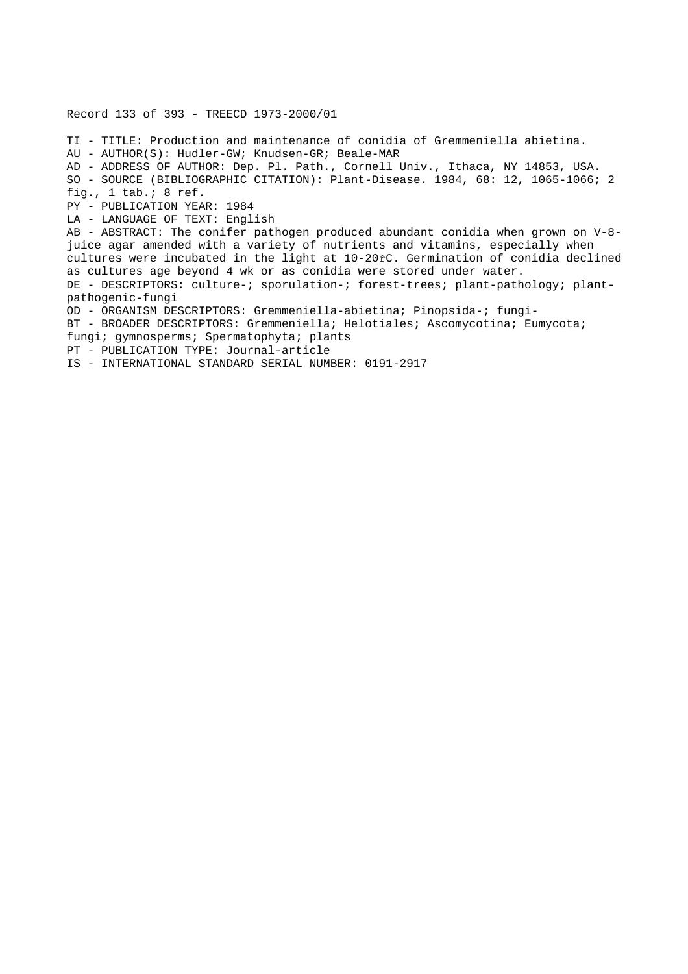Record 133 of 393 - TREECD 1973-2000/01 TI - TITLE: Production and maintenance of conidia of Gremmeniella abietina. AU - AUTHOR(S): Hudler-GW; Knudsen-GR; Beale-MAR AD - ADDRESS OF AUTHOR: Dep. Pl. Path., Cornell Univ., Ithaca, NY 14853, USA. SO - SOURCE (BIBLIOGRAPHIC CITATION): Plant-Disease. 1984, 68: 12, 1065-1066; 2 fig., 1 tab.; 8 ref. PY - PUBLICATION YEAR: 1984 LA - LANGUAGE OF TEXT: English AB - ABSTRACT: The conifer pathogen produced abundant conidia when grown on V-8 juice agar amended with a variety of nutrients and vitamins, especially when cultures were incubated in the light at 10-20řC. Germination of conidia declined as cultures age beyond 4 wk or as conidia were stored under water. DE - DESCRIPTORS: culture-; sporulation-; forest-trees; plant-pathology; plantpathogenic-fungi OD - ORGANISM DESCRIPTORS: Gremmeniella-abietina; Pinopsida-; fungi-BT - BROADER DESCRIPTORS: Gremmeniella; Helotiales; Ascomycotina; Eumycota; fungi; gymnosperms; Spermatophyta; plants PT - PUBLICATION TYPE: Journal-article IS - INTERNATIONAL STANDARD SERIAL NUMBER: 0191-2917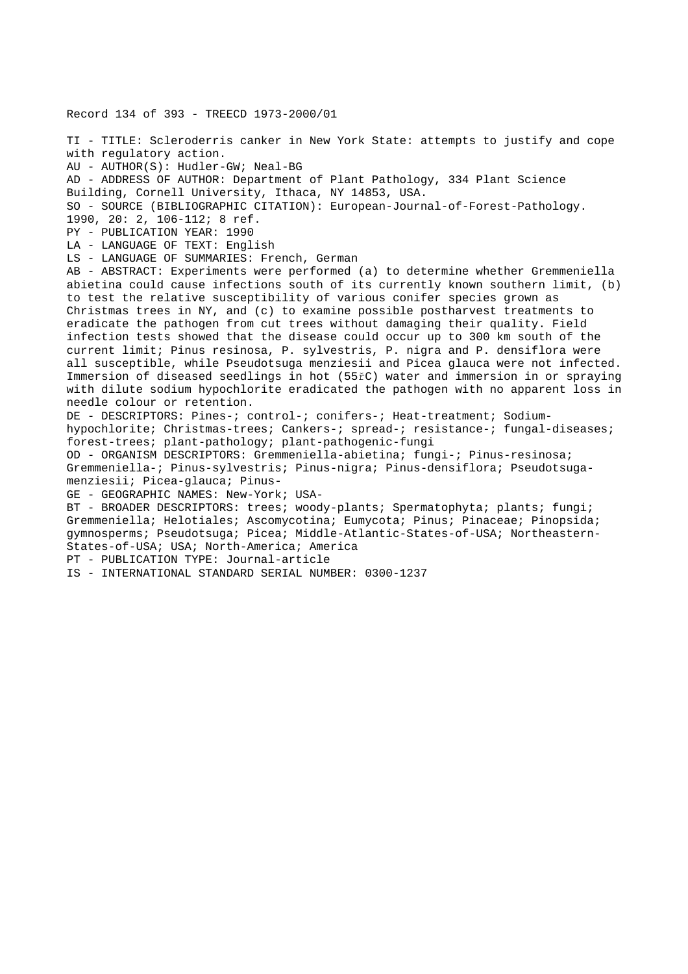Record 134 of 393 - TREECD 1973-2000/01 TI - TITLE: Scleroderris canker in New York State: attempts to justify and cope with regulatory action. AU - AUTHOR(S): Hudler-GW; Neal-BG AD - ADDRESS OF AUTHOR: Department of Plant Pathology, 334 Plant Science Building, Cornell University, Ithaca, NY 14853, USA. SO - SOURCE (BIBLIOGRAPHIC CITATION): European-Journal-of-Forest-Pathology. 1990, 20: 2, 106-112; 8 ref. PY - PUBLICATION YEAR: 1990 LA - LANGUAGE OF TEXT: English LS - LANGUAGE OF SUMMARIES: French, German AB - ABSTRACT: Experiments were performed (a) to determine whether Gremmeniella abietina could cause infections south of its currently known southern limit, (b) to test the relative susceptibility of various conifer species grown as Christmas trees in NY, and (c) to examine possible postharvest treatments to eradicate the pathogen from cut trees without damaging their quality. Field infection tests showed that the disease could occur up to 300 km south of the current limit; Pinus resinosa, P. sylvestris, P. nigra and P. densiflora were all susceptible, while Pseudotsuga menziesii and Picea glauca were not infected. Immersion of diseased seedlings in hot (55řC) water and immersion in or spraying with dilute sodium hypochlorite eradicated the pathogen with no apparent loss in needle colour or retention. DE - DESCRIPTORS: Pines-; control-; conifers-; Heat-treatment; Sodiumhypochlorite; Christmas-trees; Cankers-; spread-; resistance-; fungal-diseases; forest-trees; plant-pathology; plant-pathogenic-fungi OD - ORGANISM DESCRIPTORS: Gremmeniella-abietina; fungi-; Pinus-resinosa; Gremmeniella-; Pinus-sylvestris; Pinus-nigra; Pinus-densiflora; Pseudotsugamenziesii; Picea-glauca; Pinus-GE - GEOGRAPHIC NAMES: New-York; USA-BT - BROADER DESCRIPTORS: trees; woody-plants; Spermatophyta; plants; fungi; Gremmeniella; Helotiales; Ascomycotina; Eumycota; Pinus; Pinaceae; Pinopsida; gymnosperms; Pseudotsuga; Picea; Middle-Atlantic-States-of-USA; Northeastern-States-of-USA; USA; North-America; America PT - PUBLICATION TYPE: Journal-article IS - INTERNATIONAL STANDARD SERIAL NUMBER: 0300-1237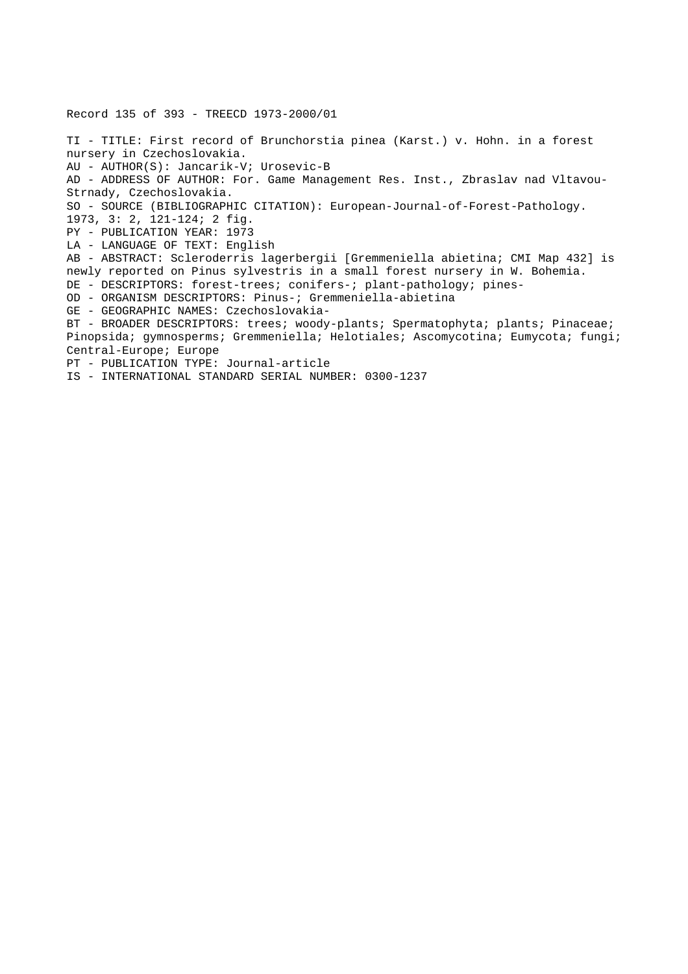Record 135 of 393 - TREECD 1973-2000/01 TI - TITLE: First record of Brunchorstia pinea (Karst.) v. Hohn. in a forest nursery in Czechoslovakia. AU - AUTHOR(S): Jancarik-V; Urosevic-B AD - ADDRESS OF AUTHOR: For. Game Management Res. Inst., Zbraslav nad Vltavou-Strnady, Czechoslovakia. SO - SOURCE (BIBLIOGRAPHIC CITATION): European-Journal-of-Forest-Pathology. 1973, 3: 2, 121-124; 2 fig. PY - PUBLICATION YEAR: 1973 LA - LANGUAGE OF TEXT: English AB - ABSTRACT: Scleroderris lagerbergii [Gremmeniella abietina; CMI Map 432] is newly reported on Pinus sylvestris in a small forest nursery in W. Bohemia. DE - DESCRIPTORS: forest-trees; conifers-; plant-pathology; pines-OD - ORGANISM DESCRIPTORS: Pinus-; Gremmeniella-abietina GE - GEOGRAPHIC NAMES: Czechoslovakia-BT - BROADER DESCRIPTORS: trees; woody-plants; Spermatophyta; plants; Pinaceae; Pinopsida; gymnosperms; Gremmeniella; Helotiales; Ascomycotina; Eumycota; fungi; Central-Europe; Europe PT - PUBLICATION TYPE: Journal-article IS - INTERNATIONAL STANDARD SERIAL NUMBER: 0300-1237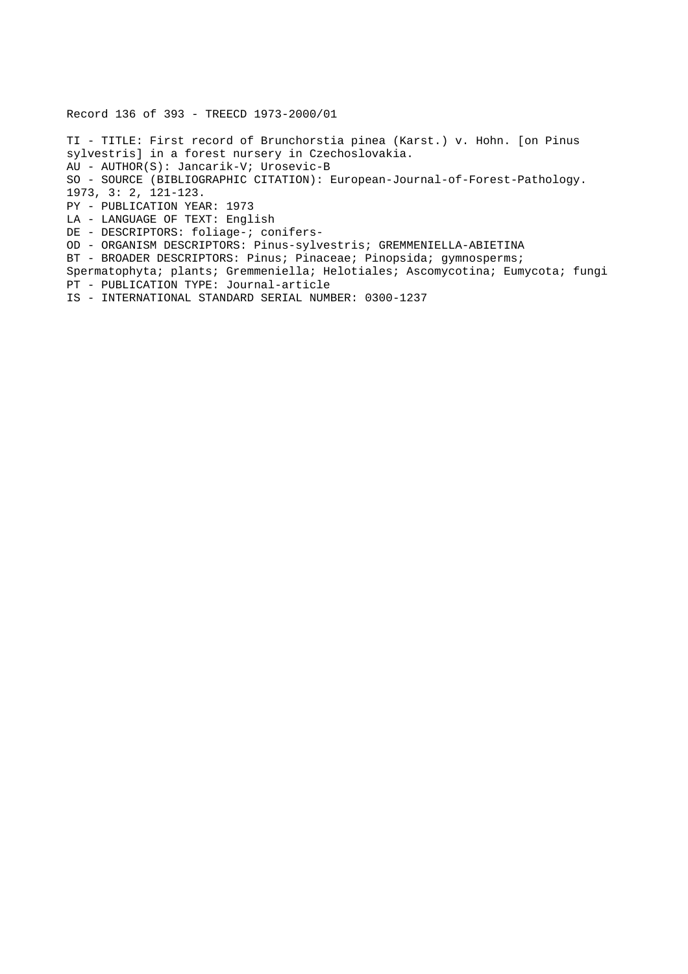Record 136 of 393 - TREECD 1973-2000/01

TI - TITLE: First record of Brunchorstia pinea (Karst.) v. Hohn. [on Pinus sylvestris] in a forest nursery in Czechoslovakia. AU - AUTHOR(S): Jancarik-V; Urosevic-B SO - SOURCE (BIBLIOGRAPHIC CITATION): European-Journal-of-Forest-Pathology. 1973, 3: 2, 121-123. PY - PUBLICATION YEAR: 1973 LA - LANGUAGE OF TEXT: English DE - DESCRIPTORS: foliage-; conifers-OD - ORGANISM DESCRIPTORS: Pinus-sylvestris; GREMMENIELLA-ABIETINA BT - BROADER DESCRIPTORS: Pinus; Pinaceae; Pinopsida; gymnosperms; Spermatophyta; plants; Gremmeniella; Helotiales; Ascomycotina; Eumycota; fungi PT - PUBLICATION TYPE: Journal-article IS - INTERNATIONAL STANDARD SERIAL NUMBER: 0300-1237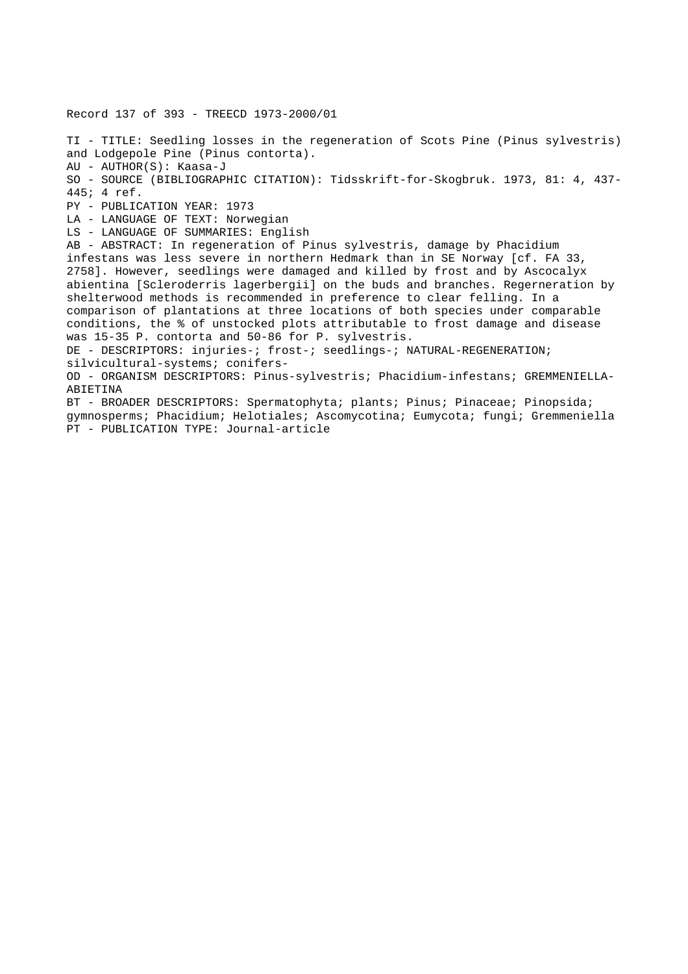Record 137 of 393 - TREECD 1973-2000/01 TI - TITLE: Seedling losses in the regeneration of Scots Pine (Pinus sylvestris) and Lodgepole Pine (Pinus contorta). AU - AUTHOR(S): Kaasa-J SO - SOURCE (BIBLIOGRAPHIC CITATION): Tidsskrift-for-Skogbruk. 1973, 81: 4, 437- 445; 4 ref. PY - PUBLICATION YEAR: 1973 LA - LANGUAGE OF TEXT: Norwegian LS - LANGUAGE OF SUMMARIES: English AB - ABSTRACT: In regeneration of Pinus sylvestris, damage by Phacidium infestans was less severe in northern Hedmark than in SE Norway [cf. FA 33, 2758]. However, seedlings were damaged and killed by frost and by Ascocalyx abientina [Scleroderris lagerbergii] on the buds and branches. Regerneration by shelterwood methods is recommended in preference to clear felling. In a comparison of plantations at three locations of both species under comparable conditions, the % of unstocked plots attributable to frost damage and disease was 15-35 P. contorta and 50-86 for P. sylvestris. DE - DESCRIPTORS: injuries-; frost-; seedlings-; NATURAL-REGENERATION; silvicultural-systems; conifers-OD - ORGANISM DESCRIPTORS: Pinus-sylvestris; Phacidium-infestans; GREMMENIELLA-ABIETINA BT - BROADER DESCRIPTORS: Spermatophyta; plants; Pinus; Pinaceae; Pinopsida; gymnosperms; Phacidium; Helotiales; Ascomycotina; Eumycota; fungi; Gremmeniella PT - PUBLICATION TYPE: Journal-article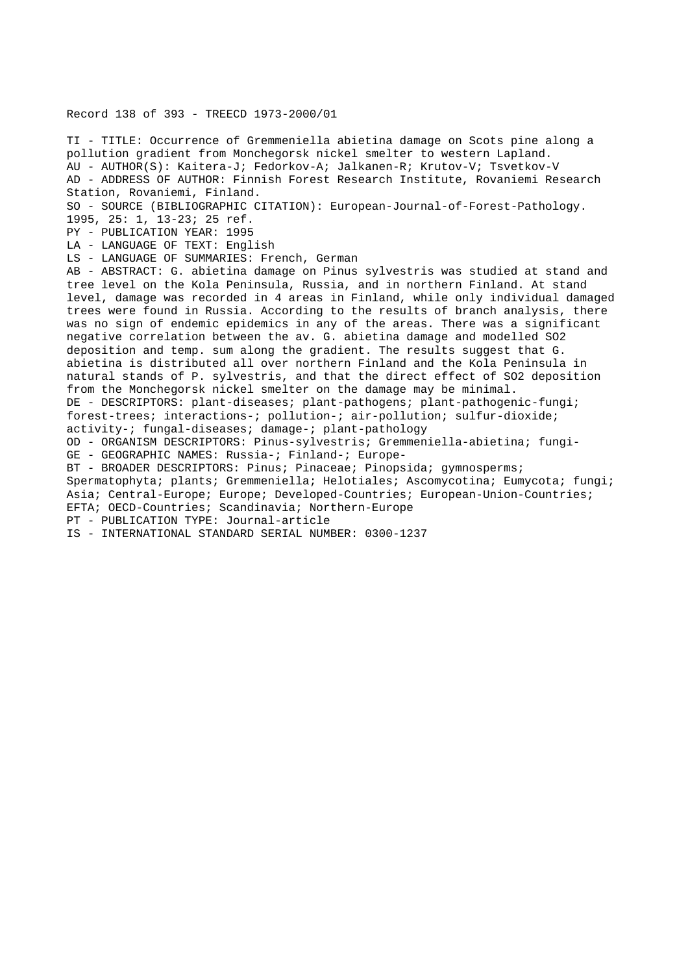## Record 138 of 393 - TREECD 1973-2000/01

TI - TITLE: Occurrence of Gremmeniella abietina damage on Scots pine along a pollution gradient from Monchegorsk nickel smelter to western Lapland. AU - AUTHOR(S): Kaitera-J; Fedorkov-A; Jalkanen-R; Krutov-V; Tsvetkov-V AD - ADDRESS OF AUTHOR: Finnish Forest Research Institute, Rovaniemi Research Station, Rovaniemi, Finland. SO - SOURCE (BIBLIOGRAPHIC CITATION): European-Journal-of-Forest-Pathology. 1995, 25: 1, 13-23; 25 ref. PY - PUBLICATION YEAR: 1995 LA - LANGUAGE OF TEXT: English LS - LANGUAGE OF SUMMARIES: French, German AB - ABSTRACT: G. abietina damage on Pinus sylvestris was studied at stand and tree level on the Kola Peninsula, Russia, and in northern Finland. At stand level, damage was recorded in 4 areas in Finland, while only individual damaged trees were found in Russia. According to the results of branch analysis, there was no sign of endemic epidemics in any of the areas. There was a significant negative correlation between the av. G. abietina damage and modelled SO2 deposition and temp. sum along the gradient. The results suggest that G. abietina is distributed all over northern Finland and the Kola Peninsula in natural stands of P. sylvestris, and that the direct effect of SO2 deposition from the Monchegorsk nickel smelter on the damage may be minimal. DE - DESCRIPTORS: plant-diseases; plant-pathogens; plant-pathogenic-fungi; forest-trees; interactions-; pollution-; air-pollution; sulfur-dioxide; activity-; fungal-diseases; damage-; plant-pathology OD - ORGANISM DESCRIPTORS: Pinus-sylvestris; Gremmeniella-abietina; fungi-GE - GEOGRAPHIC NAMES: Russia-; Finland-; Europe-BT - BROADER DESCRIPTORS: Pinus; Pinaceae; Pinopsida; gymnosperms; Spermatophyta; plants; Gremmeniella; Helotiales; Ascomycotina; Eumycota; fungi; Asia; Central-Europe; Europe; Developed-Countries; European-Union-Countries; EFTA; OECD-Countries; Scandinavia; Northern-Europe PT - PUBLICATION TYPE: Journal-article IS - INTERNATIONAL STANDARD SERIAL NUMBER: 0300-1237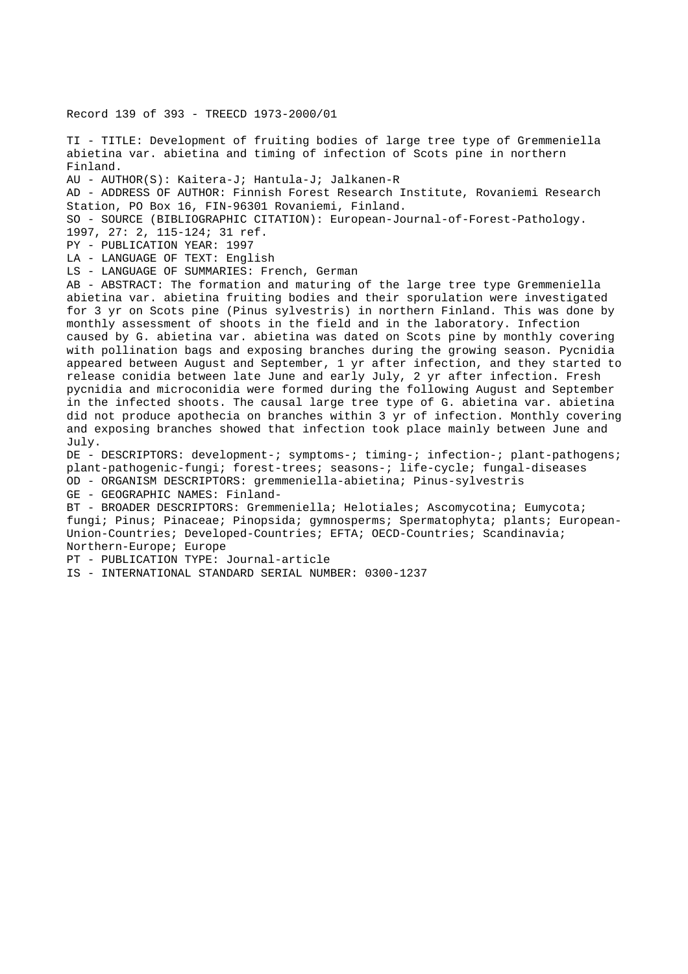Record 139 of 393 - TREECD 1973-2000/01

TI - TITLE: Development of fruiting bodies of large tree type of Gremmeniella abietina var. abietina and timing of infection of Scots pine in northern Finland. AU - AUTHOR(S): Kaitera-J; Hantula-J; Jalkanen-R AD - ADDRESS OF AUTHOR: Finnish Forest Research Institute, Rovaniemi Research Station, PO Box 16, FIN-96301 Rovaniemi, Finland. SO - SOURCE (BIBLIOGRAPHIC CITATION): European-Journal-of-Forest-Pathology. 1997, 27: 2, 115-124; 31 ref. PY - PUBLICATION YEAR: 1997 LA - LANGUAGE OF TEXT: English LS - LANGUAGE OF SUMMARIES: French, German AB - ABSTRACT: The formation and maturing of the large tree type Gremmeniella abietina var. abietina fruiting bodies and their sporulation were investigated for 3 yr on Scots pine (Pinus sylvestris) in northern Finland. This was done by monthly assessment of shoots in the field and in the laboratory. Infection caused by G. abietina var. abietina was dated on Scots pine by monthly covering with pollination bags and exposing branches during the growing season. Pycnidia appeared between August and September, 1 yr after infection, and they started to release conidia between late June and early July, 2 yr after infection. Fresh pycnidia and microconidia were formed during the following August and September in the infected shoots. The causal large tree type of G. abietina var. abietina did not produce apothecia on branches within 3 yr of infection. Monthly covering and exposing branches showed that infection took place mainly between June and July. DE - DESCRIPTORS: development-; symptoms-; timing-; infection-; plant-pathogens; plant-pathogenic-fungi; forest-trees; seasons-; life-cycle; fungal-diseases OD - ORGANISM DESCRIPTORS: gremmeniella-abietina; Pinus-sylvestris GE - GEOGRAPHIC NAMES: Finland-BT - BROADER DESCRIPTORS: Gremmeniella; Helotiales; Ascomycotina; Eumycota; fungi; Pinus; Pinaceae; Pinopsida; gymnosperms; Spermatophyta; plants; European-Union-Countries; Developed-Countries; EFTA; OECD-Countries; Scandinavia; Northern-Europe; Europe PT - PUBLICATION TYPE: Journal-article IS - INTERNATIONAL STANDARD SERIAL NUMBER: 0300-1237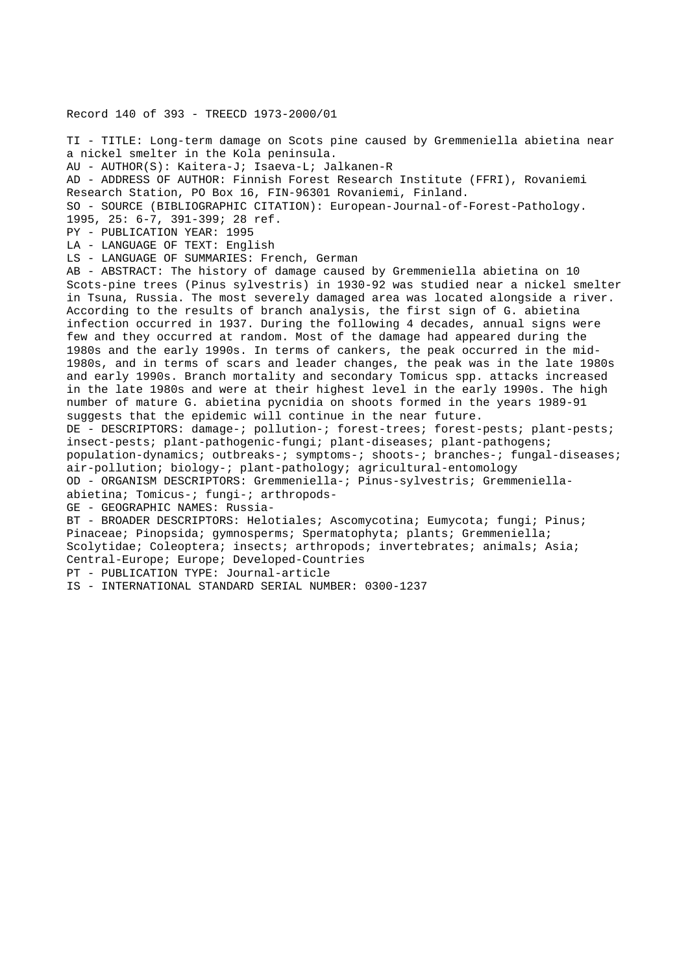Record 140 of 393 - TREECD 1973-2000/01

TI - TITLE: Long-term damage on Scots pine caused by Gremmeniella abietina near a nickel smelter in the Kola peninsula. AU - AUTHOR(S): Kaitera-J; Isaeva-L; Jalkanen-R AD - ADDRESS OF AUTHOR: Finnish Forest Research Institute (FFRI), Rovaniemi Research Station, PO Box 16, FIN-96301 Rovaniemi, Finland. SO - SOURCE (BIBLIOGRAPHIC CITATION): European-Journal-of-Forest-Pathology. 1995, 25: 6-7, 391-399; 28 ref. PY - PUBLICATION YEAR: 1995 LA - LANGUAGE OF TEXT: English LS - LANGUAGE OF SUMMARIES: French, German AB - ABSTRACT: The history of damage caused by Gremmeniella abietina on 10 Scots-pine trees (Pinus sylvestris) in 1930-92 was studied near a nickel smelter in Tsuna, Russia. The most severely damaged area was located alongside a river. According to the results of branch analysis, the first sign of G. abietina infection occurred in 1937. During the following 4 decades, annual signs were few and they occurred at random. Most of the damage had appeared during the 1980s and the early 1990s. In terms of cankers, the peak occurred in the mid-1980s, and in terms of scars and leader changes, the peak was in the late 1980s and early 1990s. Branch mortality and secondary Tomicus spp. attacks increased in the late 1980s and were at their highest level in the early 1990s. The high number of mature G. abietina pycnidia on shoots formed in the years 1989-91 suggests that the epidemic will continue in the near future. DE - DESCRIPTORS: damage-; pollution-; forest-trees; forest-pests; plant-pests; insect-pests; plant-pathogenic-fungi; plant-diseases; plant-pathogens; population-dynamics; outbreaks-; symptoms-; shoots-; branches-; fungal-diseases; air-pollution; biology-; plant-pathology; agricultural-entomology OD - ORGANISM DESCRIPTORS: Gremmeniella-; Pinus-sylvestris; Gremmeniellaabietina; Tomicus-; fungi-; arthropods-GE - GEOGRAPHIC NAMES: Russia-BT - BROADER DESCRIPTORS: Helotiales; Ascomycotina; Eumycota; fungi; Pinus; Pinaceae; Pinopsida; gymnosperms; Spermatophyta; plants; Gremmeniella; Scolytidae; Coleoptera; insects; arthropods; invertebrates; animals; Asia; Central-Europe; Europe; Developed-Countries PT - PUBLICATION TYPE: Journal-article

IS - INTERNATIONAL STANDARD SERIAL NUMBER: 0300-1237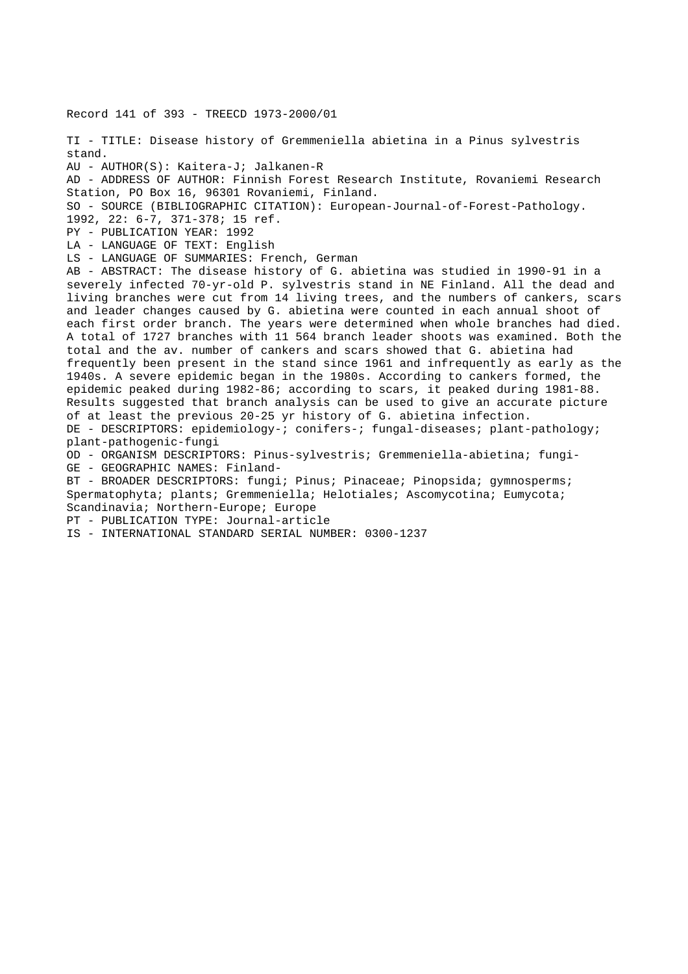Record 141 of 393 - TREECD 1973-2000/01

TI - TITLE: Disease history of Gremmeniella abietina in a Pinus sylvestris stand. AU - AUTHOR(S): Kaitera-J; Jalkanen-R AD - ADDRESS OF AUTHOR: Finnish Forest Research Institute, Rovaniemi Research Station, PO Box 16, 96301 Rovaniemi, Finland. SO - SOURCE (BIBLIOGRAPHIC CITATION): European-Journal-of-Forest-Pathology. 1992, 22: 6-7, 371-378; 15 ref. PY - PUBLICATION YEAR: 1992 LA - LANGUAGE OF TEXT: English LS - LANGUAGE OF SUMMARIES: French, German AB - ABSTRACT: The disease history of G. abietina was studied in 1990-91 in a severely infected 70-yr-old P. sylvestris stand in NE Finland. All the dead and living branches were cut from 14 living trees, and the numbers of cankers, scars and leader changes caused by G. abietina were counted in each annual shoot of each first order branch. The years were determined when whole branches had died. A total of 1727 branches with 11 564 branch leader shoots was examined. Both the total and the av. number of cankers and scars showed that G. abietina had frequently been present in the stand since 1961 and infrequently as early as the 1940s. A severe epidemic began in the 1980s. According to cankers formed, the epidemic peaked during 1982-86; according to scars, it peaked during 1981-88. Results suggested that branch analysis can be used to give an accurate picture of at least the previous 20-25 yr history of G. abietina infection. DE - DESCRIPTORS: epidemiology-; conifers-; fungal-diseases; plant-pathology; plant-pathogenic-fungi OD - ORGANISM DESCRIPTORS: Pinus-sylvestris; Gremmeniella-abietina; fungi-GE - GEOGRAPHIC NAMES: Finland-BT - BROADER DESCRIPTORS: fungi; Pinus; Pinaceae; Pinopsida; gymnosperms; Spermatophyta; plants; Gremmeniella; Helotiales; Ascomycotina; Eumycota; Scandinavia; Northern-Europe; Europe PT - PUBLICATION TYPE: Journal-article IS - INTERNATIONAL STANDARD SERIAL NUMBER: 0300-1237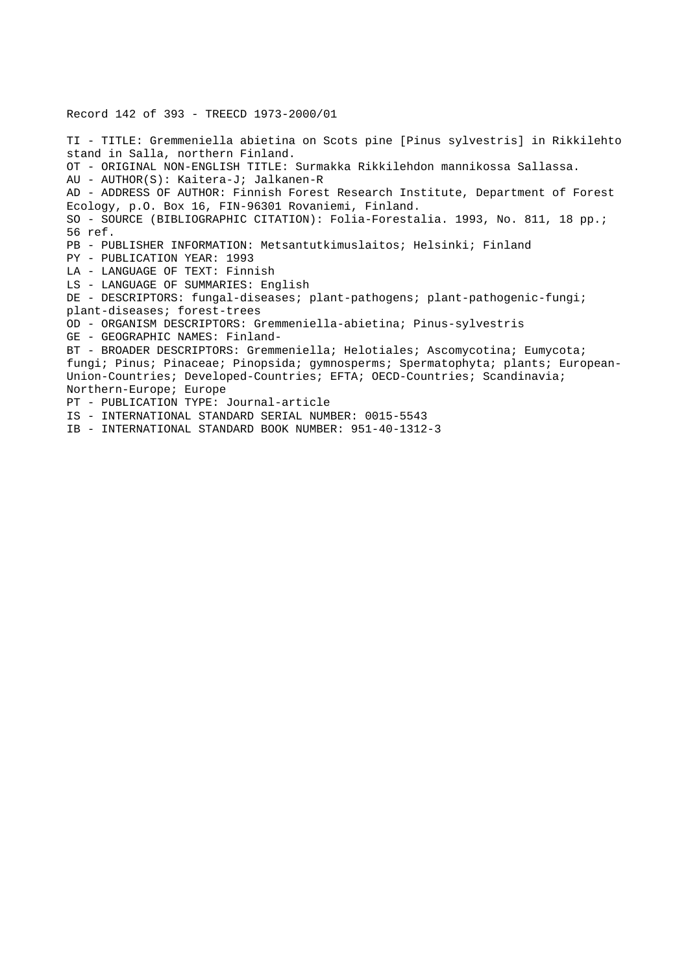# Record 142 of 393 - TREECD 1973-2000/01

TI - TITLE: Gremmeniella abietina on Scots pine [Pinus sylvestris] in Rikkilehto stand in Salla, northern Finland. OT - ORIGINAL NON-ENGLISH TITLE: Surmakka Rikkilehdon mannikossa Sallassa. AU - AUTHOR(S): Kaitera-J; Jalkanen-R AD - ADDRESS OF AUTHOR: Finnish Forest Research Institute, Department of Forest Ecology, p.O. Box 16, FIN-96301 Rovaniemi, Finland. SO - SOURCE (BIBLIOGRAPHIC CITATION): Folia-Forestalia. 1993, No. 811, 18 pp.; 56 ref. PB - PUBLISHER INFORMATION: Metsantutkimuslaitos; Helsinki; Finland PY - PUBLICATION YEAR: 1993 LA - LANGUAGE OF TEXT: Finnish LS - LANGUAGE OF SUMMARIES: English DE - DESCRIPTORS: fungal-diseases; plant-pathogens; plant-pathogenic-fungi; plant-diseases; forest-trees OD - ORGANISM DESCRIPTORS: Gremmeniella-abietina; Pinus-sylvestris GE - GEOGRAPHIC NAMES: Finland-BT - BROADER DESCRIPTORS: Gremmeniella; Helotiales; Ascomycotina; Eumycota; fungi; Pinus; Pinaceae; Pinopsida; gymnosperms; Spermatophyta; plants; European-Union-Countries; Developed-Countries; EFTA; OECD-Countries; Scandinavia; Northern-Europe; Europe PT - PUBLICATION TYPE: Journal-article IS - INTERNATIONAL STANDARD SERIAL NUMBER: 0015-5543 IB - INTERNATIONAL STANDARD BOOK NUMBER: 951-40-1312-3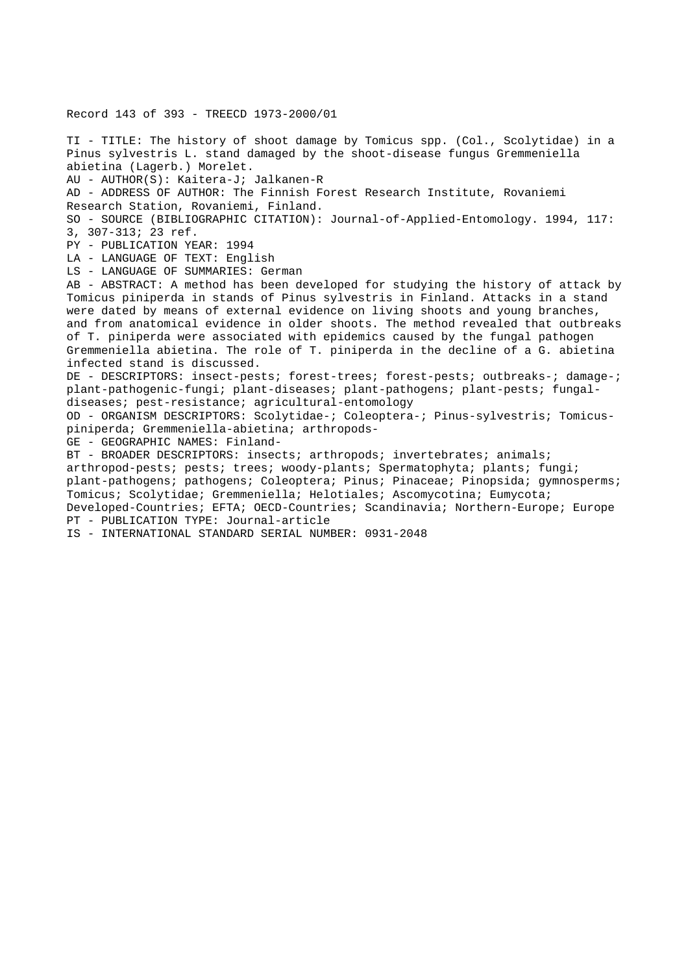Record 143 of 393 - TREECD 1973-2000/01 TI - TITLE: The history of shoot damage by Tomicus spp. (Col., Scolytidae) in a Pinus sylvestris L. stand damaged by the shoot-disease fungus Gremmeniella abietina (Lagerb.) Morelet. AU - AUTHOR(S): Kaitera-J; Jalkanen-R AD - ADDRESS OF AUTHOR: The Finnish Forest Research Institute, Rovaniemi Research Station, Rovaniemi, Finland. SO - SOURCE (BIBLIOGRAPHIC CITATION): Journal-of-Applied-Entomology. 1994, 117: 3, 307-313; 23 ref. PY - PUBLICATION YEAR: 1994 LA - LANGUAGE OF TEXT: English LS - LANGUAGE OF SUMMARIES: German AB - ABSTRACT: A method has been developed for studying the history of attack by Tomicus piniperda in stands of Pinus sylvestris in Finland. Attacks in a stand were dated by means of external evidence on living shoots and young branches, and from anatomical evidence in older shoots. The method revealed that outbreaks of T. piniperda were associated with epidemics caused by the fungal pathogen Gremmeniella abietina. The role of T. piniperda in the decline of a G. abietina infected stand is discussed. DE - DESCRIPTORS: insect-pests; forest-trees; forest-pests; outbreaks-; damage-; plant-pathogenic-fungi; plant-diseases; plant-pathogens; plant-pests; fungaldiseases; pest-resistance; agricultural-entomology OD - ORGANISM DESCRIPTORS: Scolytidae-; Coleoptera-; Pinus-sylvestris; Tomicuspiniperda; Gremmeniella-abietina; arthropods-GE - GEOGRAPHIC NAMES: Finland-BT - BROADER DESCRIPTORS: insects; arthropods; invertebrates; animals; arthropod-pests; pests; trees; woody-plants; Spermatophyta; plants; fungi; plant-pathogens; pathogens; Coleoptera; Pinus; Pinaceae; Pinopsida; gymnosperms; Tomicus; Scolytidae; Gremmeniella; Helotiales; Ascomycotina; Eumycota; Developed-Countries; EFTA; OECD-Countries; Scandinavia; Northern-Europe; Europe PT - PUBLICATION TYPE: Journal-article IS - INTERNATIONAL STANDARD SERIAL NUMBER: 0931-2048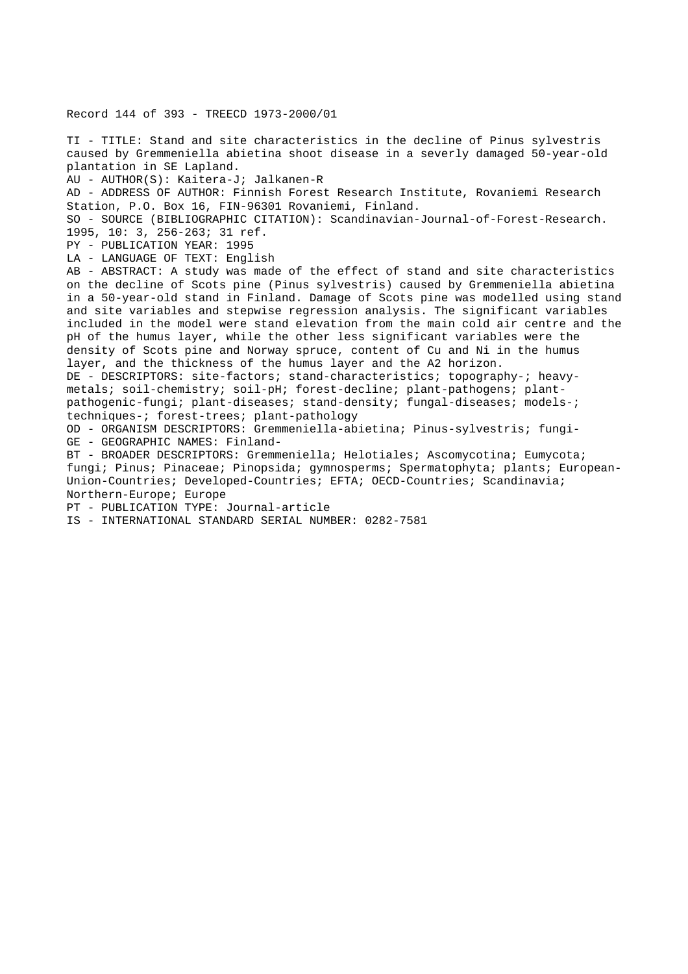Record 144 of 393 - TREECD 1973-2000/01

TI - TITLE: Stand and site characteristics in the decline of Pinus sylvestris caused by Gremmeniella abietina shoot disease in a severly damaged 50-year-old plantation in SE Lapland.

AU - AUTHOR(S): Kaitera-J; Jalkanen-R

AD - ADDRESS OF AUTHOR: Finnish Forest Research Institute, Rovaniemi Research Station, P.O. Box 16, FIN-96301 Rovaniemi, Finland.

SO - SOURCE (BIBLIOGRAPHIC CITATION): Scandinavian-Journal-of-Forest-Research. 1995, 10: 3, 256-263; 31 ref.

PY - PUBLICATION YEAR: 1995

LA - LANGUAGE OF TEXT: English

AB - ABSTRACT: A study was made of the effect of stand and site characteristics on the decline of Scots pine (Pinus sylvestris) caused by Gremmeniella abietina in a 50-year-old stand in Finland. Damage of Scots pine was modelled using stand and site variables and stepwise regression analysis. The significant variables included in the model were stand elevation from the main cold air centre and the pH of the humus layer, while the other less significant variables were the density of Scots pine and Norway spruce, content of Cu and Ni in the humus layer, and the thickness of the humus layer and the A2 horizon. DE - DESCRIPTORS: site-factors; stand-characteristics; topography-; heavy-

metals; soil-chemistry; soil-pH; forest-decline; plant-pathogens; plantpathogenic-fungi; plant-diseases; stand-density; fungal-diseases; models-; techniques-; forest-trees; plant-pathology

OD - ORGANISM DESCRIPTORS: Gremmeniella-abietina; Pinus-sylvestris; fungi-GE - GEOGRAPHIC NAMES: Finland-

BT - BROADER DESCRIPTORS: Gremmeniella; Helotiales; Ascomycotina; Eumycota; fungi; Pinus; Pinaceae; Pinopsida; gymnosperms; Spermatophyta; plants; European-Union-Countries; Developed-Countries; EFTA; OECD-Countries; Scandinavia; Northern-Europe; Europe

PT - PUBLICATION TYPE: Journal-article

IS - INTERNATIONAL STANDARD SERIAL NUMBER: 0282-7581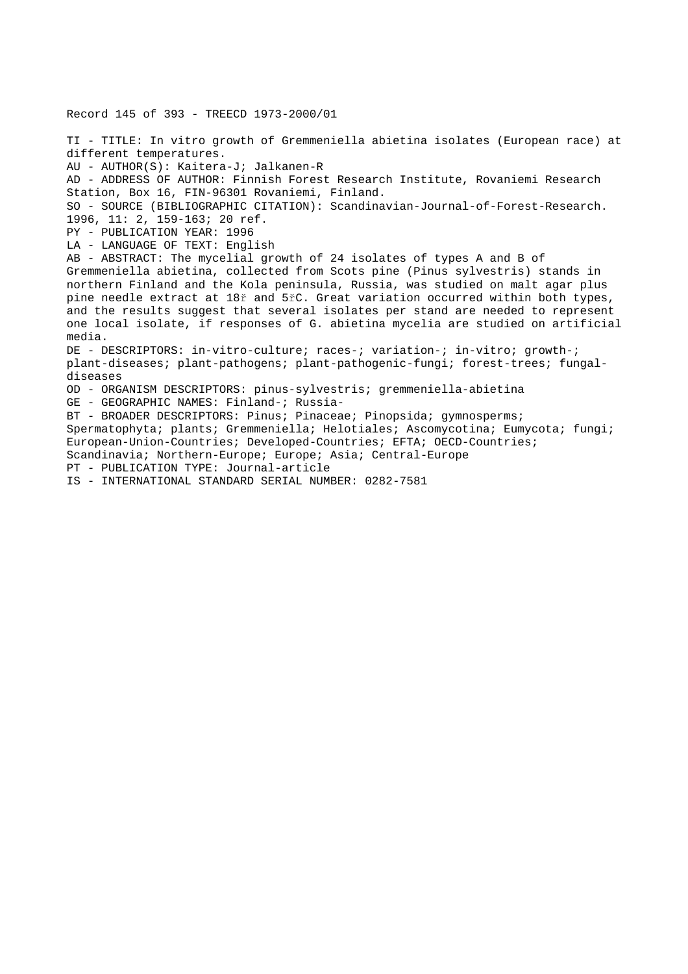Record 145 of 393 - TREECD 1973-2000/01

TI - TITLE: In vitro growth of Gremmeniella abietina isolates (European race) at different temperatures. AU - AUTHOR(S): Kaitera-J; Jalkanen-R AD - ADDRESS OF AUTHOR: Finnish Forest Research Institute, Rovaniemi Research Station, Box 16, FIN-96301 Rovaniemi, Finland. SO - SOURCE (BIBLIOGRAPHIC CITATION): Scandinavian-Journal-of-Forest-Research. 1996, 11: 2, 159-163; 20 ref. PY - PUBLICATION YEAR: 1996 LA - LANGUAGE OF TEXT: English AB - ABSTRACT: The mycelial growth of 24 isolates of types A and B of Gremmeniella abietina, collected from Scots pine (Pinus sylvestris) stands in northern Finland and the Kola peninsula, Russia, was studied on malt agar plus pine needle extract at 18ř and 5řC. Great variation occurred within both types, and the results suggest that several isolates per stand are needed to represent one local isolate, if responses of G. abietina mycelia are studied on artificial media. DE - DESCRIPTORS: in-vitro-culture; races-; variation-; in-vitro; growth-; plant-diseases; plant-pathogens; plant-pathogenic-fungi; forest-trees; fungaldiseases OD - ORGANISM DESCRIPTORS: pinus-sylvestris; gremmeniella-abietina GE - GEOGRAPHIC NAMES: Finland-; Russia-BT - BROADER DESCRIPTORS: Pinus; Pinaceae; Pinopsida; gymnosperms; Spermatophyta; plants; Gremmeniella; Helotiales; Ascomycotina; Eumycota; fungi; European-Union-Countries; Developed-Countries; EFTA; OECD-Countries; Scandinavia; Northern-Europe; Europe; Asia; Central-Europe PT - PUBLICATION TYPE: Journal-article IS - INTERNATIONAL STANDARD SERIAL NUMBER: 0282-7581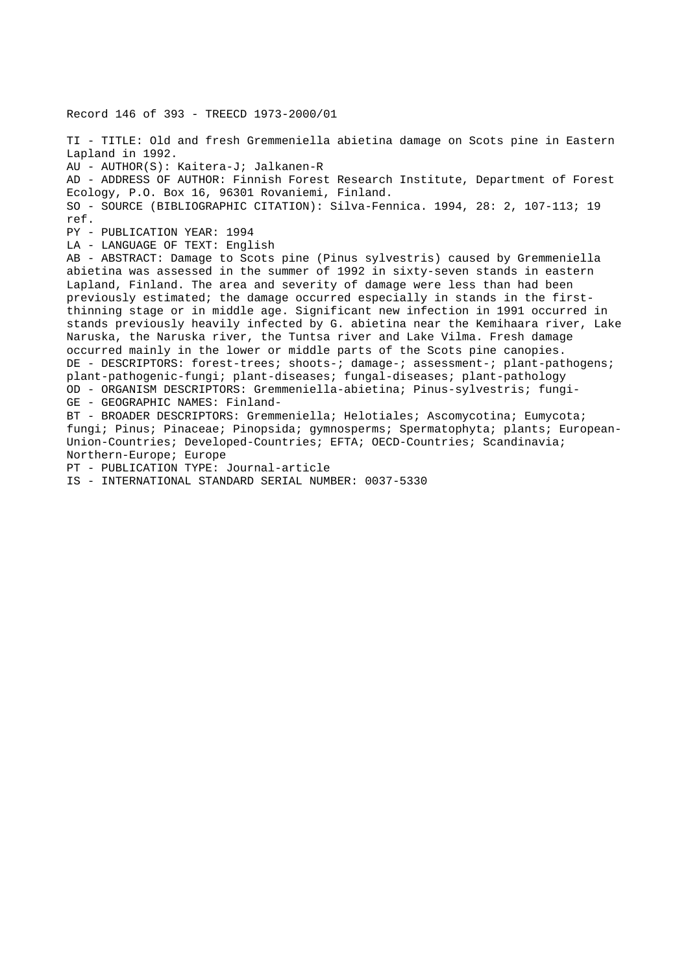Record 146 of 393 - TREECD 1973-2000/01 TI - TITLE: Old and fresh Gremmeniella abietina damage on Scots pine in Eastern Lapland in 1992. AU - AUTHOR(S): Kaitera-J; Jalkanen-R AD - ADDRESS OF AUTHOR: Finnish Forest Research Institute, Department of Forest Ecology, P.O. Box 16, 96301 Rovaniemi, Finland. SO - SOURCE (BIBLIOGRAPHIC CITATION): Silva-Fennica. 1994, 28: 2, 107-113; 19 ref. PY - PUBLICATION YEAR: 1994 LA - LANGUAGE OF TEXT: English AB - ABSTRACT: Damage to Scots pine (Pinus sylvestris) caused by Gremmeniella abietina was assessed in the summer of 1992 in sixty-seven stands in eastern Lapland, Finland. The area and severity of damage were less than had been previously estimated; the damage occurred especially in stands in the firstthinning stage or in middle age. Significant new infection in 1991 occurred in stands previously heavily infected by G. abietina near the Kemihaara river, Lake Naruska, the Naruska river, the Tuntsa river and Lake Vilma. Fresh damage occurred mainly in the lower or middle parts of the Scots pine canopies. DE - DESCRIPTORS: forest-trees; shoots-; damage-; assessment-; plant-pathogens; plant-pathogenic-fungi; plant-diseases; fungal-diseases; plant-pathology OD - ORGANISM DESCRIPTORS: Gremmeniella-abietina; Pinus-sylvestris; fungi-GE - GEOGRAPHIC NAMES: Finland-BT - BROADER DESCRIPTORS: Gremmeniella; Helotiales; Ascomycotina; Eumycota; fungi; Pinus; Pinaceae; Pinopsida; gymnosperms; Spermatophyta; plants; European-Union-Countries; Developed-Countries; EFTA; OECD-Countries; Scandinavia; Northern-Europe; Europe PT - PUBLICATION TYPE: Journal-article

IS - INTERNATIONAL STANDARD SERIAL NUMBER: 0037-5330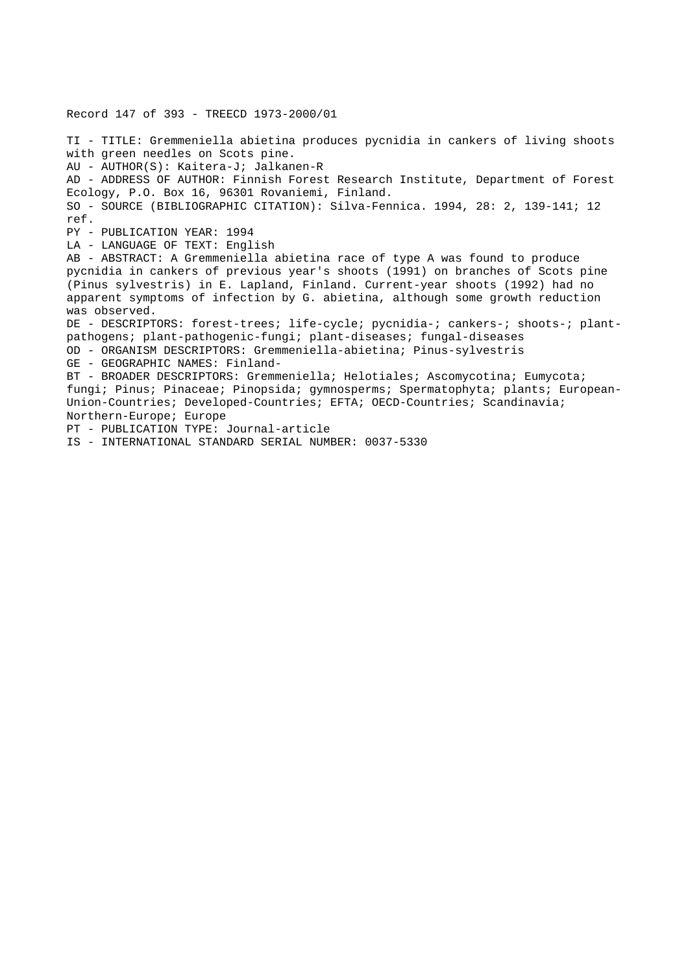Record 147 of 393 - TREECD 1973-2000/01

TI - TITLE: Gremmeniella abietina produces pycnidia in cankers of living shoots with green needles on Scots pine. AU - AUTHOR(S): Kaitera-J; Jalkanen-R AD - ADDRESS OF AUTHOR: Finnish Forest Research Institute, Department of Forest Ecology, P.O. Box 16, 96301 Rovaniemi, Finland. SO - SOURCE (BIBLIOGRAPHIC CITATION): Silva-Fennica. 1994, 28: 2, 139-141; 12 ref. PY - PUBLICATION YEAR: 1994 LA - LANGUAGE OF TEXT: English AB - ABSTRACT: A Gremmeniella abietina race of type A was found to produce pycnidia in cankers of previous year's shoots (1991) on branches of Scots pine (Pinus sylvestris) in E. Lapland, Finland. Current-year shoots (1992) had no apparent symptoms of infection by G. abietina, although some growth reduction was observed. DE - DESCRIPTORS: forest-trees; life-cycle; pycnidia-; cankers-; shoots-; plantpathogens; plant-pathogenic-fungi; plant-diseases; fungal-diseases OD - ORGANISM DESCRIPTORS: Gremmeniella-abietina; Pinus-sylvestris GE - GEOGRAPHIC NAMES: Finland-BT - BROADER DESCRIPTORS: Gremmeniella; Helotiales; Ascomycotina; Eumycota; fungi; Pinus; Pinaceae; Pinopsida; gymnosperms; Spermatophyta; plants; European-Union-Countries; Developed-Countries; EFTA; OECD-Countries; Scandinavia; Northern-Europe; Europe PT - PUBLICATION TYPE: Journal-article IS - INTERNATIONAL STANDARD SERIAL NUMBER: 0037-5330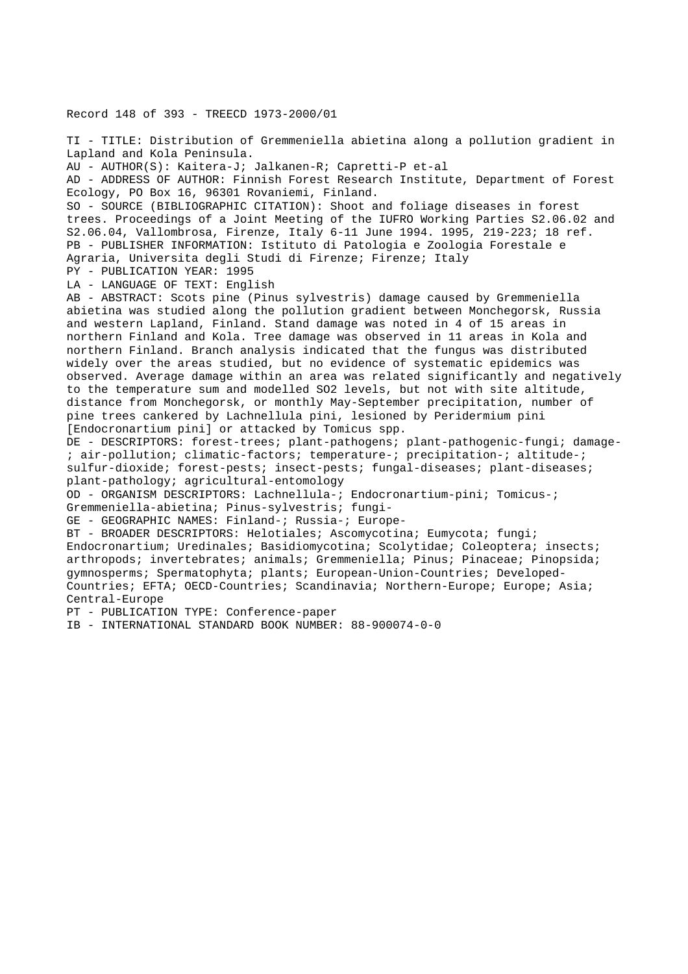Record 148 of 393 - TREECD 1973-2000/01

TI - TITLE: Distribution of Gremmeniella abietina along a pollution gradient in Lapland and Kola Peninsula. AU - AUTHOR(S): Kaitera-J; Jalkanen-R; Capretti-P et-al AD - ADDRESS OF AUTHOR: Finnish Forest Research Institute, Department of Forest Ecology, PO Box 16, 96301 Rovaniemi, Finland. SO - SOURCE (BIBLIOGRAPHIC CITATION): Shoot and foliage diseases in forest trees. Proceedings of a Joint Meeting of the IUFRO Working Parties S2.06.02 and S2.06.04, Vallombrosa, Firenze, Italy 6-11 June 1994. 1995, 219-223; 18 ref. PB - PUBLISHER INFORMATION: Istituto di Patologia e Zoologia Forestale e Agraria, Universita degli Studi di Firenze; Firenze; Italy PY - PUBLICATION YEAR: 1995 LA - LANGUAGE OF TEXT: English AB - ABSTRACT: Scots pine (Pinus sylvestris) damage caused by Gremmeniella abietina was studied along the pollution gradient between Monchegorsk, Russia and western Lapland, Finland. Stand damage was noted in 4 of 15 areas in northern Finland and Kola. Tree damage was observed in 11 areas in Kola and northern Finland. Branch analysis indicated that the fungus was distributed widely over the areas studied, but no evidence of systematic epidemics was observed. Average damage within an area was related significantly and negatively to the temperature sum and modelled SO2 levels, but not with site altitude, distance from Monchegorsk, or monthly May-September precipitation, number of pine trees cankered by Lachnellula pini, lesioned by Peridermium pini [Endocronartium pini] or attacked by Tomicus spp. DE - DESCRIPTORS: forest-trees; plant-pathogens; plant-pathogenic-fungi; damage- ; air-pollution; climatic-factors; temperature-; precipitation-; altitude-; sulfur-dioxide; forest-pests; insect-pests; fungal-diseases; plant-diseases; plant-pathology; agricultural-entomology OD - ORGANISM DESCRIPTORS: Lachnellula-; Endocronartium-pini; Tomicus-; Gremmeniella-abietina; Pinus-sylvestris; fungi-GE - GEOGRAPHIC NAMES: Finland-; Russia-; Europe-BT - BROADER DESCRIPTORS: Helotiales; Ascomycotina; Eumycota; fungi; Endocronartium; Uredinales; Basidiomycotina; Scolytidae; Coleoptera; insects; arthropods; invertebrates; animals; Gremmeniella; Pinus; Pinaceae; Pinopsida; gymnosperms; Spermatophyta; plants; European-Union-Countries; Developed-Countries; EFTA; OECD-Countries; Scandinavia; Northern-Europe; Europe; Asia; Central-Europe

PT - PUBLICATION TYPE: Conference-paper

IB - INTERNATIONAL STANDARD BOOK NUMBER: 88-900074-0-0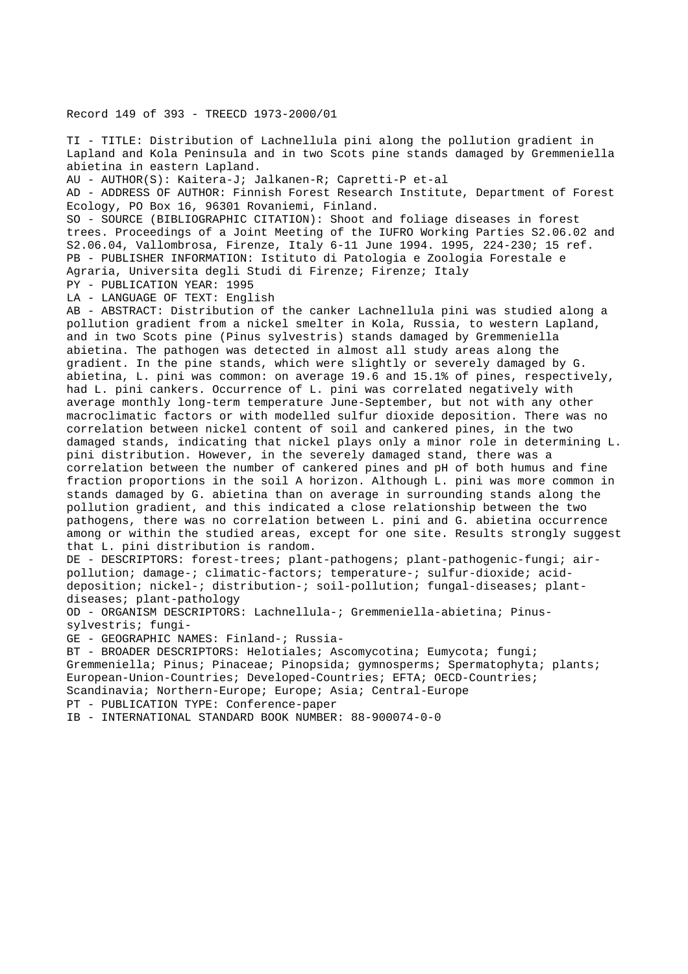Record 149 of 393 - TREECD 1973-2000/01

TI - TITLE: Distribution of Lachnellula pini along the pollution gradient in Lapland and Kola Peninsula and in two Scots pine stands damaged by Gremmeniella abietina in eastern Lapland.

AU - AUTHOR(S): Kaitera-J; Jalkanen-R; Capretti-P et-al

AD - ADDRESS OF AUTHOR: Finnish Forest Research Institute, Department of Forest Ecology, PO Box 16, 96301 Rovaniemi, Finland.

SO - SOURCE (BIBLIOGRAPHIC CITATION): Shoot and foliage diseases in forest trees. Proceedings of a Joint Meeting of the IUFRO Working Parties S2.06.02 and S2.06.04, Vallombrosa, Firenze, Italy 6-11 June 1994. 1995, 224-230; 15 ref. PB - PUBLISHER INFORMATION: Istituto di Patologia e Zoologia Forestale e Agraria, Universita degli Studi di Firenze; Firenze; Italy

PY - PUBLICATION YEAR: 1995

LA - LANGUAGE OF TEXT: English

AB - ABSTRACT: Distribution of the canker Lachnellula pini was studied along a pollution gradient from a nickel smelter in Kola, Russia, to western Lapland, and in two Scots pine (Pinus sylvestris) stands damaged by Gremmeniella abietina. The pathogen was detected in almost all study areas along the gradient. In the pine stands, which were slightly or severely damaged by G. abietina, L. pini was common: on average 19.6 and 15.1% of pines, respectively, had L. pini cankers. Occurrence of L. pini was correlated negatively with average monthly long-term temperature June-September, but not with any other macroclimatic factors or with modelled sulfur dioxide deposition. There was no correlation between nickel content of soil and cankered pines, in the two damaged stands, indicating that nickel plays only a minor role in determining L. pini distribution. However, in the severely damaged stand, there was a correlation between the number of cankered pines and pH of both humus and fine fraction proportions in the soil A horizon. Although L. pini was more common in stands damaged by G. abietina than on average in surrounding stands along the pollution gradient, and this indicated a close relationship between the two pathogens, there was no correlation between L. pini and G. abietina occurrence among or within the studied areas, except for one site. Results strongly suggest that L. pini distribution is random.

DE - DESCRIPTORS: forest-trees; plant-pathogens; plant-pathogenic-fungi; airpollution; damage-; climatic-factors; temperature-; sulfur-dioxide; aciddeposition; nickel-; distribution-; soil-pollution; fungal-diseases; plantdiseases; plant-pathology

OD - ORGANISM DESCRIPTORS: Lachnellula-; Gremmeniella-abietina; Pinussylvestris; fungi-

GE - GEOGRAPHIC NAMES: Finland-; Russia-

BT - BROADER DESCRIPTORS: Helotiales; Ascomycotina; Eumycota; fungi; Gremmeniella; Pinus; Pinaceae; Pinopsida; gymnosperms; Spermatophyta; plants; European-Union-Countries; Developed-Countries; EFTA; OECD-Countries; Scandinavia; Northern-Europe; Europe; Asia; Central-Europe PT - PUBLICATION TYPE: Conference-paper

IB - INTERNATIONAL STANDARD BOOK NUMBER: 88-900074-0-0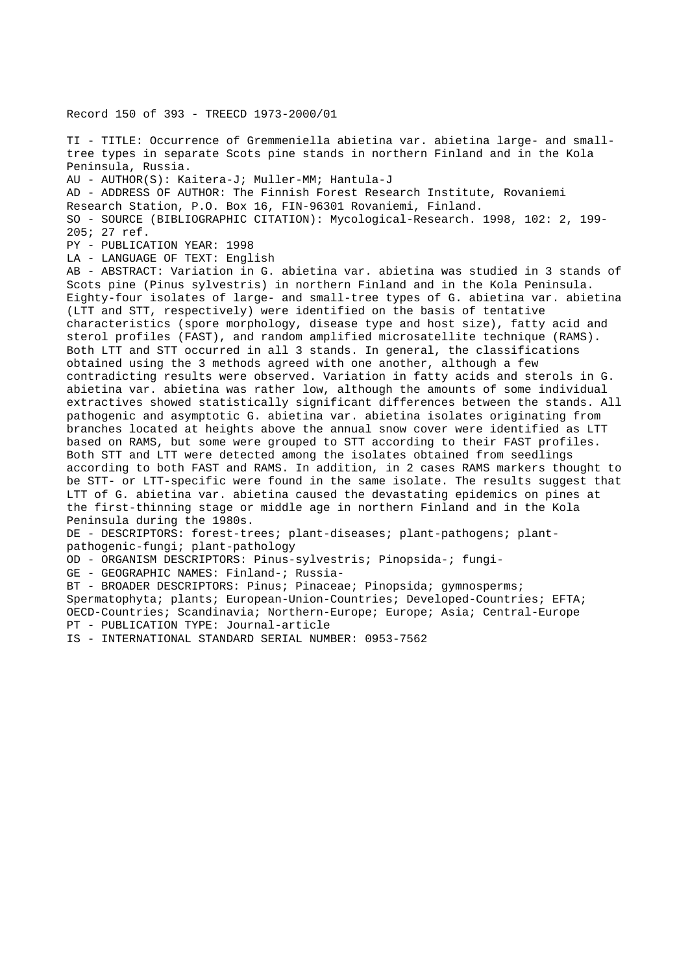Record 150 of 393 - TREECD 1973-2000/01

TI - TITLE: Occurrence of Gremmeniella abietina var. abietina large- and smalltree types in separate Scots pine stands in northern Finland and in the Kola Peninsula, Russia.

AU - AUTHOR(S): Kaitera-J; Muller-MM; Hantula-J

AD - ADDRESS OF AUTHOR: The Finnish Forest Research Institute, Rovaniemi Research Station, P.O. Box 16, FIN-96301 Rovaniemi, Finland. SO - SOURCE (BIBLIOGRAPHIC CITATION): Mycological-Research. 1998, 102: 2, 199- 205; 27 ref.

PY - PUBLICATION YEAR: 1998

LA - LANGUAGE OF TEXT: English

AB - ABSTRACT: Variation in G. abietina var. abietina was studied in 3 stands of Scots pine (Pinus sylvestris) in northern Finland and in the Kola Peninsula. Eighty-four isolates of large- and small-tree types of G. abietina var. abietina (LTT and STT, respectively) were identified on the basis of tentative characteristics (spore morphology, disease type and host size), fatty acid and sterol profiles (FAST), and random amplified microsatellite technique (RAMS). Both LTT and STT occurred in all 3 stands. In general, the classifications obtained using the 3 methods agreed with one another, although a few contradicting results were observed. Variation in fatty acids and sterols in G. abietina var. abietina was rather low, although the amounts of some individual extractives showed statistically significant differences between the stands. All pathogenic and asymptotic G. abietina var. abietina isolates originating from branches located at heights above the annual snow cover were identified as LTT based on RAMS, but some were grouped to STT according to their FAST profiles. Both STT and LTT were detected among the isolates obtained from seedlings according to both FAST and RAMS. In addition, in 2 cases RAMS markers thought to be STT- or LTT-specific were found in the same isolate. The results suggest that LTT of G. abietina var. abietina caused the devastating epidemics on pines at the first-thinning stage or middle age in northern Finland and in the Kola Peninsula during the 1980s.

DE - DESCRIPTORS: forest-trees; plant-diseases; plant-pathogens; plantpathogenic-fungi; plant-pathology

OD - ORGANISM DESCRIPTORS: Pinus-sylvestris; Pinopsida-; fungi-

GE - GEOGRAPHIC NAMES: Finland-; Russia-

BT - BROADER DESCRIPTORS: Pinus; Pinaceae; Pinopsida; gymnosperms; Spermatophyta; plants; European-Union-Countries; Developed-Countries; EFTA; OECD-Countries; Scandinavia; Northern-Europe; Europe; Asia; Central-Europe PT - PUBLICATION TYPE: Journal-article

IS - INTERNATIONAL STANDARD SERIAL NUMBER: 0953-7562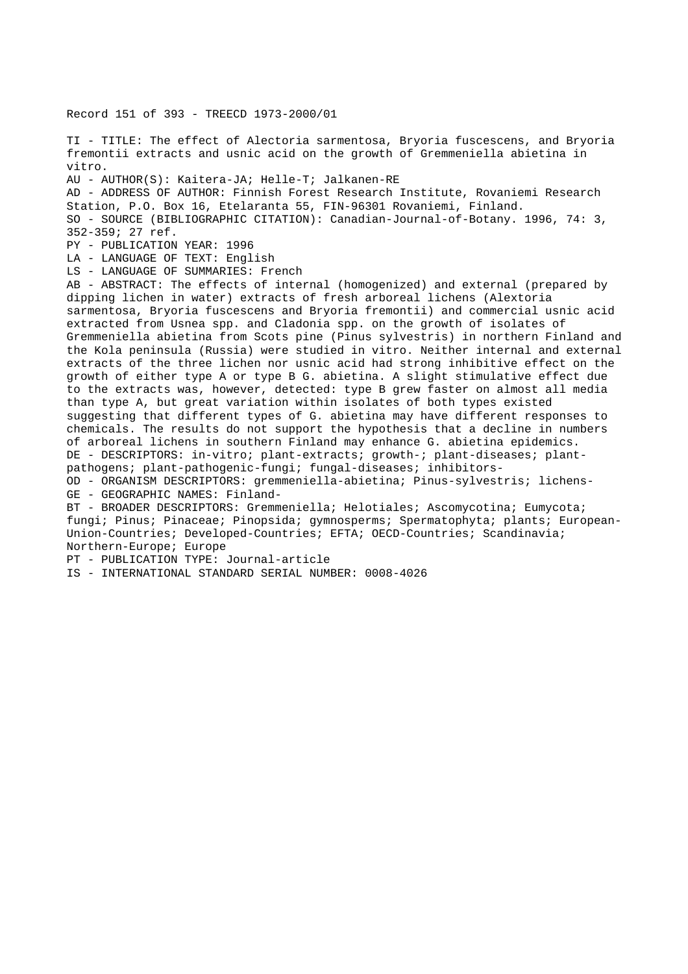Record 151 of 393 - TREECD 1973-2000/01

TI - TITLE: The effect of Alectoria sarmentosa, Bryoria fuscescens, and Bryoria fremontii extracts and usnic acid on the growth of Gremmeniella abietina in vitro. AU - AUTHOR(S): Kaitera-JA; Helle-T; Jalkanen-RE AD - ADDRESS OF AUTHOR: Finnish Forest Research Institute, Rovaniemi Research Station, P.O. Box 16, Etelaranta 55, FIN-96301 Rovaniemi, Finland. SO - SOURCE (BIBLIOGRAPHIC CITATION): Canadian-Journal-of-Botany. 1996, 74: 3,

352-359; 27 ref.

PY - PUBLICATION YEAR: 1996

LA - LANGUAGE OF TEXT: English

LS - LANGUAGE OF SUMMARIES: French

AB - ABSTRACT: The effects of internal (homogenized) and external (prepared by dipping lichen in water) extracts of fresh arboreal lichens (Alextoria sarmentosa, Bryoria fuscescens and Bryoria fremontii) and commercial usnic acid extracted from Usnea spp. and Cladonia spp. on the growth of isolates of Gremmeniella abietina from Scots pine (Pinus sylvestris) in northern Finland and the Kola peninsula (Russia) were studied in vitro. Neither internal and external extracts of the three lichen nor usnic acid had strong inhibitive effect on the growth of either type A or type B G. abietina. A slight stimulative effect due to the extracts was, however, detected: type B grew faster on almost all media than type A, but great variation within isolates of both types existed suggesting that different types of G. abietina may have different responses to chemicals. The results do not support the hypothesis that a decline in numbers of arboreal lichens in southern Finland may enhance G. abietina epidemics. DE - DESCRIPTORS: in-vitro; plant-extracts; growth-; plant-diseases; plantpathogens; plant-pathogenic-fungi; fungal-diseases; inhibitors-OD - ORGANISM DESCRIPTORS: gremmeniella-abietina; Pinus-sylvestris; lichens-GE - GEOGRAPHIC NAMES: Finland-BT - BROADER DESCRIPTORS: Gremmeniella; Helotiales; Ascomycotina; Eumycota; fungi; Pinus; Pinaceae; Pinopsida; gymnosperms; Spermatophyta; plants; European-Union-Countries; Developed-Countries; EFTA; OECD-Countries; Scandinavia;

Northern-Europe; Europe

```
PT - PUBLICATION TYPE: Journal-article
```

```
IS - INTERNATIONAL STANDARD SERIAL NUMBER: 0008-4026
```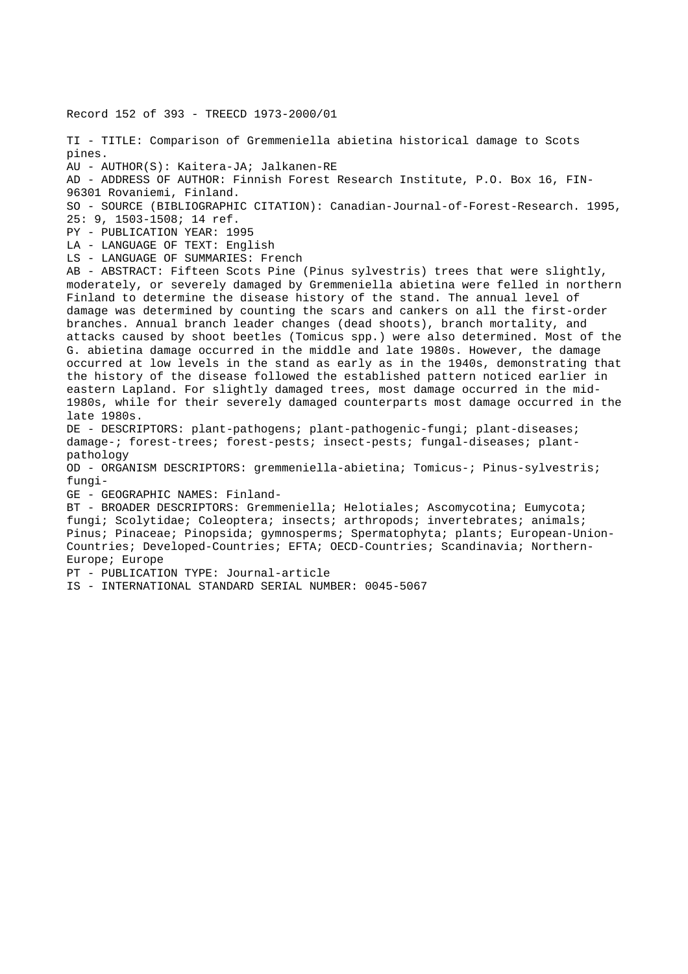Record 152 of 393 - TREECD 1973-2000/01 TI - TITLE: Comparison of Gremmeniella abietina historical damage to Scots pines. AU - AUTHOR(S): Kaitera-JA; Jalkanen-RE AD - ADDRESS OF AUTHOR: Finnish Forest Research Institute, P.O. Box 16, FIN-96301 Rovaniemi, Finland. SO - SOURCE (BIBLIOGRAPHIC CITATION): Canadian-Journal-of-Forest-Research. 1995, 25: 9, 1503-1508; 14 ref. PY - PUBLICATION YEAR: 1995 LA - LANGUAGE OF TEXT: English LS - LANGUAGE OF SUMMARIES: French AB - ABSTRACT: Fifteen Scots Pine (Pinus sylvestris) trees that were slightly, moderately, or severely damaged by Gremmeniella abietina were felled in northern Finland to determine the disease history of the stand. The annual level of damage was determined by counting the scars and cankers on all the first-order branches. Annual branch leader changes (dead shoots), branch mortality, and attacks caused by shoot beetles (Tomicus spp.) were also determined. Most of the G. abietina damage occurred in the middle and late 1980s. However, the damage occurred at low levels in the stand as early as in the 1940s, demonstrating that the history of the disease followed the established pattern noticed earlier in eastern Lapland. For slightly damaged trees, most damage occurred in the mid-1980s, while for their severely damaged counterparts most damage occurred in the late 1980s. DE - DESCRIPTORS: plant-pathogens; plant-pathogenic-fungi; plant-diseases; damage-; forest-trees; forest-pests; insect-pests; fungal-diseases; plantpathology OD - ORGANISM DESCRIPTORS: gremmeniella-abietina; Tomicus-; Pinus-sylvestris; fungi-GE - GEOGRAPHIC NAMES: Finland-BT - BROADER DESCRIPTORS: Gremmeniella; Helotiales; Ascomycotina; Eumycota; fungi; Scolytidae; Coleoptera; insects; arthropods; invertebrates; animals; Pinus; Pinaceae; Pinopsida; gymnosperms; Spermatophyta; plants; European-Union-Countries; Developed-Countries; EFTA; OECD-Countries; Scandinavia; Northern-Europe; Europe PT - PUBLICATION TYPE: Journal-article IS - INTERNATIONAL STANDARD SERIAL NUMBER: 0045-5067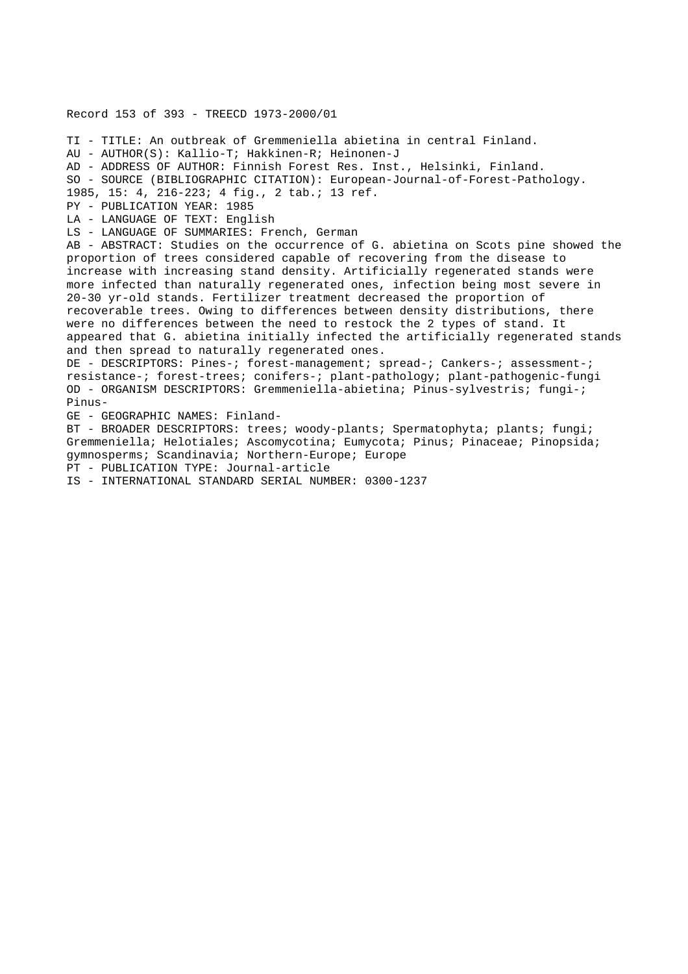Record 153 of 393 - TREECD 1973-2000/01 TI - TITLE: An outbreak of Gremmeniella abietina in central Finland. AU - AUTHOR(S): Kallio-T; Hakkinen-R; Heinonen-J AD - ADDRESS OF AUTHOR: Finnish Forest Res. Inst., Helsinki, Finland. SO - SOURCE (BIBLIOGRAPHIC CITATION): European-Journal-of-Forest-Pathology. 1985, 15: 4, 216-223; 4 fig., 2 tab.; 13 ref. PY - PUBLICATION YEAR: 1985 LA - LANGUAGE OF TEXT: English LS - LANGUAGE OF SUMMARIES: French, German AB - ABSTRACT: Studies on the occurrence of G. abietina on Scots pine showed the proportion of trees considered capable of recovering from the disease to increase with increasing stand density. Artificially regenerated stands were more infected than naturally regenerated ones, infection being most severe in 20-30 yr-old stands. Fertilizer treatment decreased the proportion of recoverable trees. Owing to differences between density distributions, there were no differences between the need to restock the 2 types of stand. It appeared that G. abietina initially infected the artificially regenerated stands and then spread to naturally regenerated ones. DE - DESCRIPTORS: Pines-; forest-management; spread-; Cankers-; assessment-; resistance-; forest-trees; conifers-; plant-pathology; plant-pathogenic-fungi OD - ORGANISM DESCRIPTORS: Gremmeniella-abietina; Pinus-sylvestris; fungi-; Pinus-GE - GEOGRAPHIC NAMES: Finland-BT - BROADER DESCRIPTORS: trees; woody-plants; Spermatophyta; plants; fungi; Gremmeniella; Helotiales; Ascomycotina; Eumycota; Pinus; Pinaceae; Pinopsida; gymnosperms; Scandinavia; Northern-Europe; Europe PT - PUBLICATION TYPE: Journal-article IS - INTERNATIONAL STANDARD SERIAL NUMBER: 0300-1237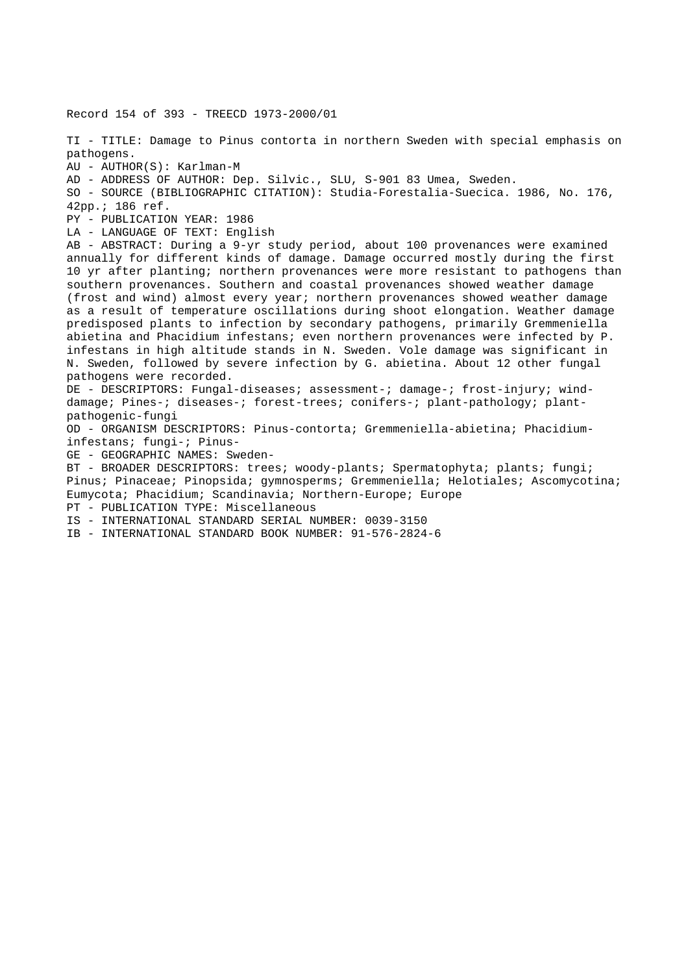Record 154 of 393 - TREECD 1973-2000/01 TI - TITLE: Damage to Pinus contorta in northern Sweden with special emphasis on pathogens. AU - AUTHOR(S): Karlman-M AD - ADDRESS OF AUTHOR: Dep. Silvic., SLU, S-901 83 Umea, Sweden. SO - SOURCE (BIBLIOGRAPHIC CITATION): Studia-Forestalia-Suecica. 1986, No. 176, 42pp.; 186 ref. PY - PUBLICATION YEAR: 1986 LA - LANGUAGE OF TEXT: English AB - ABSTRACT: During a 9-yr study period, about 100 provenances were examined annually for different kinds of damage. Damage occurred mostly during the first 10 yr after planting; northern provenances were more resistant to pathogens than southern provenances. Southern and coastal provenances showed weather damage (frost and wind) almost every year; northern provenances showed weather damage as a result of temperature oscillations during shoot elongation. Weather damage predisposed plants to infection by secondary pathogens, primarily Gremmeniella abietina and Phacidium infestans; even northern provenances were infected by P. infestans in high altitude stands in N. Sweden. Vole damage was significant in N. Sweden, followed by severe infection by G. abietina. About 12 other fungal pathogens were recorded. DE - DESCRIPTORS: Fungal-diseases; assessment-; damage-; frost-injury; winddamage; Pines-; diseases-; forest-trees; conifers-; plant-pathology; plantpathogenic-fungi OD - ORGANISM DESCRIPTORS: Pinus-contorta; Gremmeniella-abietina; Phacidiuminfestans; fungi-; Pinus-GE - GEOGRAPHIC NAMES: Sweden-BT - BROADER DESCRIPTORS: trees; woody-plants; Spermatophyta; plants; fungi; Pinus; Pinaceae; Pinopsida; gymnosperms; Gremmeniella; Helotiales; Ascomycotina; Eumycota; Phacidium; Scandinavia; Northern-Europe; Europe PT - PUBLICATION TYPE: Miscellaneous IS - INTERNATIONAL STANDARD SERIAL NUMBER: 0039-3150 IB - INTERNATIONAL STANDARD BOOK NUMBER: 91-576-2824-6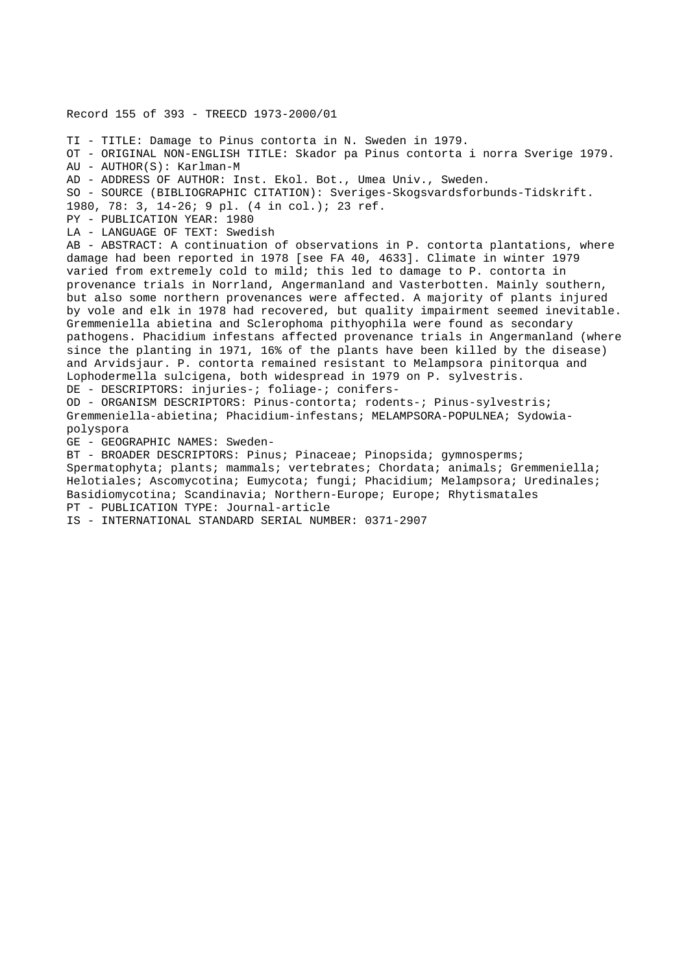Record 155 of 393 - TREECD 1973-2000/01 TI - TITLE: Damage to Pinus contorta in N. Sweden in 1979. OT - ORIGINAL NON-ENGLISH TITLE: Skador pa Pinus contorta i norra Sverige 1979. AU - AUTHOR(S): Karlman-M AD - ADDRESS OF AUTHOR: Inst. Ekol. Bot., Umea Univ., Sweden. SO - SOURCE (BIBLIOGRAPHIC CITATION): Sveriges-Skogsvardsforbunds-Tidskrift. 1980, 78: 3, 14-26; 9 pl. (4 in col.); 23 ref. PY - PUBLICATION YEAR: 1980 LA - LANGUAGE OF TEXT: Swedish AB - ABSTRACT: A continuation of observations in P. contorta plantations, where damage had been reported in 1978 [see FA 40, 4633]. Climate in winter 1979 varied from extremely cold to mild; this led to damage to P. contorta in provenance trials in Norrland, Angermanland and Vasterbotten. Mainly southern, but also some northern provenances were affected. A majority of plants injured by vole and elk in 1978 had recovered, but quality impairment seemed inevitable. Gremmeniella abietina and Sclerophoma pithyophila were found as secondary pathogens. Phacidium infestans affected provenance trials in Angermanland (where since the planting in 1971, 16% of the plants have been killed by the disease) and Arvidsjaur. P. contorta remained resistant to Melampsora pinitorqua and Lophodermella sulcigena, both widespread in 1979 on P. sylvestris. DE - DESCRIPTORS: injuries-; foliage-; conifers-OD - ORGANISM DESCRIPTORS: Pinus-contorta; rodents-; Pinus-sylvestris; Gremmeniella-abietina; Phacidium-infestans; MELAMPSORA-POPULNEA; Sydowiapolyspora GE - GEOGRAPHIC NAMES: Sweden-BT - BROADER DESCRIPTORS: Pinus; Pinaceae; Pinopsida; gymnosperms; Spermatophyta; plants; mammals; vertebrates; Chordata; animals; Gremmeniella; Helotiales; Ascomycotina; Eumycota; fungi; Phacidium; Melampsora; Uredinales;

Basidiomycotina; Scandinavia; Northern-Europe; Europe; Rhytismatales

PT - PUBLICATION TYPE: Journal-article

IS - INTERNATIONAL STANDARD SERIAL NUMBER: 0371-2907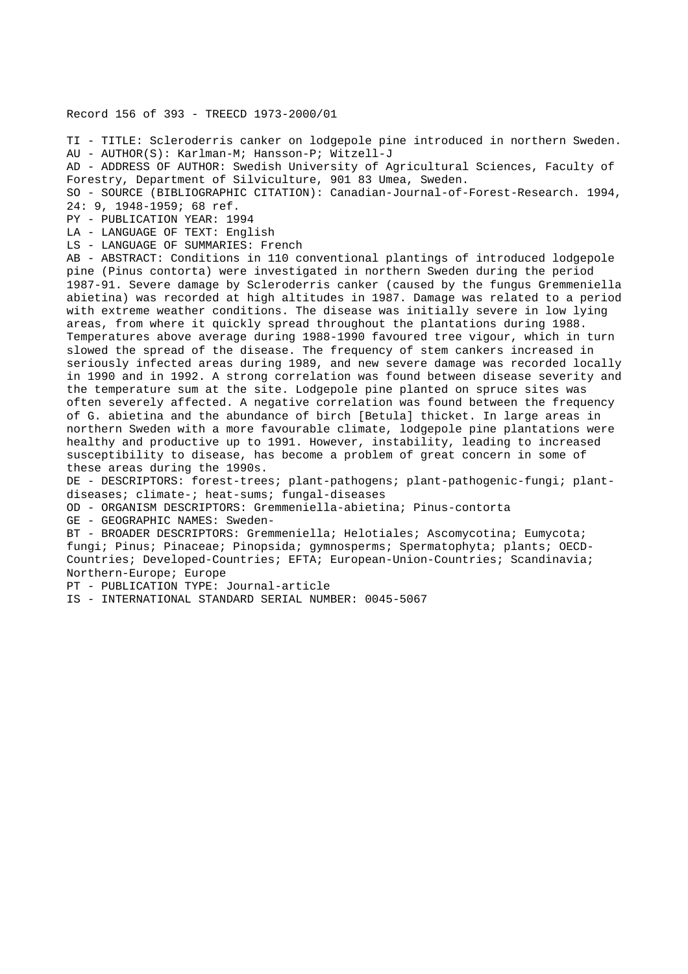## Record 156 of 393 - TREECD 1973-2000/01

TI - TITLE: Scleroderris canker on lodgepole pine introduced in northern Sweden. AU - AUTHOR(S): Karlman-M; Hansson-P; Witzell-J AD - ADDRESS OF AUTHOR: Swedish University of Agricultural Sciences, Faculty of Forestry, Department of Silviculture, 901 83 Umea, Sweden. SO - SOURCE (BIBLIOGRAPHIC CITATION): Canadian-Journal-of-Forest-Research. 1994, 24: 9, 1948-1959; 68 ref. PY - PUBLICATION YEAR: 1994 LA - LANGUAGE OF TEXT: English LS - LANGUAGE OF SUMMARIES: French AB - ABSTRACT: Conditions in 110 conventional plantings of introduced lodgepole pine (Pinus contorta) were investigated in northern Sweden during the period 1987-91. Severe damage by Scleroderris canker (caused by the fungus Gremmeniella abietina) was recorded at high altitudes in 1987. Damage was related to a period with extreme weather conditions. The disease was initially severe in low lying areas, from where it quickly spread throughout the plantations during 1988. Temperatures above average during 1988-1990 favoured tree vigour, which in turn slowed the spread of the disease. The frequency of stem cankers increased in seriously infected areas during 1989, and new severe damage was recorded locally in 1990 and in 1992. A strong correlation was found between disease severity and the temperature sum at the site. Lodgepole pine planted on spruce sites was often severely affected. A negative correlation was found between the frequency of G. abietina and the abundance of birch [Betula] thicket. In large areas in northern Sweden with a more favourable climate, lodgepole pine plantations were healthy and productive up to 1991. However, instability, leading to increased susceptibility to disease, has become a problem of great concern in some of these areas during the 1990s. DE - DESCRIPTORS: forest-trees; plant-pathogens; plant-pathogenic-fungi; plantdiseases; climate-; heat-sums; fungal-diseases OD - ORGANISM DESCRIPTORS: Gremmeniella-abietina; Pinus-contorta GE - GEOGRAPHIC NAMES: Sweden-BT - BROADER DESCRIPTORS: Gremmeniella; Helotiales; Ascomycotina; Eumycota; fungi; Pinus; Pinaceae; Pinopsida; gymnosperms; Spermatophyta; plants; OECD-Countries; Developed-Countries; EFTA; European-Union-Countries; Scandinavia; Northern-Europe; Europe PT - PUBLICATION TYPE: Journal-article

IS - INTERNATIONAL STANDARD SERIAL NUMBER: 0045-5067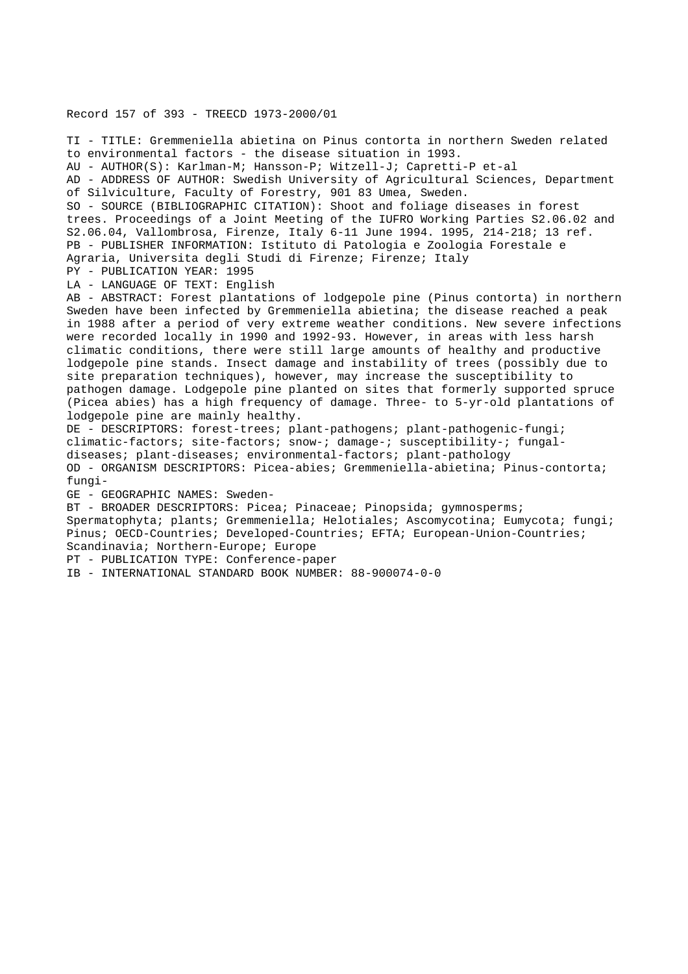## Record 157 of 393 - TREECD 1973-2000/01

TI - TITLE: Gremmeniella abietina on Pinus contorta in northern Sweden related to environmental factors - the disease situation in 1993. AU - AUTHOR(S): Karlman-M; Hansson-P; Witzell-J; Capretti-P et-al AD - ADDRESS OF AUTHOR: Swedish University of Agricultural Sciences, Department of Silviculture, Faculty of Forestry, 901 83 Umea, Sweden. SO - SOURCE (BIBLIOGRAPHIC CITATION): Shoot and foliage diseases in forest trees. Proceedings of a Joint Meeting of the IUFRO Working Parties S2.06.02 and S2.06.04, Vallombrosa, Firenze, Italy 6-11 June 1994. 1995, 214-218; 13 ref. PB - PUBLISHER INFORMATION: Istituto di Patologia e Zoologia Forestale e Agraria, Universita degli Studi di Firenze; Firenze; Italy PY - PUBLICATION YEAR: 1995 LA - LANGUAGE OF TEXT: English AB - ABSTRACT: Forest plantations of lodgepole pine (Pinus contorta) in northern Sweden have been infected by Gremmeniella abietina; the disease reached a peak in 1988 after a period of very extreme weather conditions. New severe infections were recorded locally in 1990 and 1992-93. However, in areas with less harsh climatic conditions, there were still large amounts of healthy and productive lodgepole pine stands. Insect damage and instability of trees (possibly due to site preparation techniques), however, may increase the susceptibility to pathogen damage. Lodgepole pine planted on sites that formerly supported spruce (Picea abies) has a high frequency of damage. Three- to 5-yr-old plantations of lodgepole pine are mainly healthy. DE - DESCRIPTORS: forest-trees; plant-pathogens; plant-pathogenic-fungi; climatic-factors; site-factors; snow-; damage-; susceptibility-; fungaldiseases; plant-diseases; environmental-factors; plant-pathology OD - ORGANISM DESCRIPTORS: Picea-abies; Gremmeniella-abietina; Pinus-contorta; fungi-GE - GEOGRAPHIC NAMES: Sweden-BT - BROADER DESCRIPTORS: Picea; Pinaceae; Pinopsida; gymnosperms; Spermatophyta; plants; Gremmeniella; Helotiales; Ascomycotina; Eumycota; fungi; Pinus; OECD-Countries; Developed-Countries; EFTA; European-Union-Countries; Scandinavia; Northern-Europe; Europe PT - PUBLICATION TYPE: Conference-paper

IB - INTERNATIONAL STANDARD BOOK NUMBER: 88-900074-0-0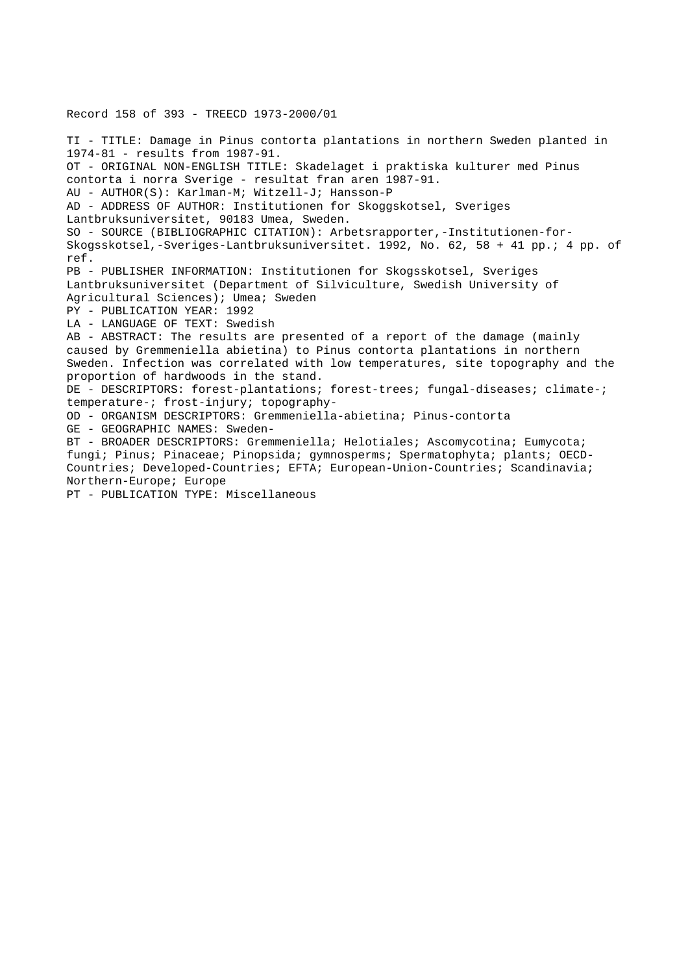Record 158 of 393 - TREECD 1973-2000/01 TI - TITLE: Damage in Pinus contorta plantations in northern Sweden planted in 1974-81 - results from 1987-91. OT - ORIGINAL NON-ENGLISH TITLE: Skadelaget i praktiska kulturer med Pinus contorta i norra Sverige - resultat fran aren 1987-91. AU - AUTHOR(S): Karlman-M; Witzell-J; Hansson-P AD - ADDRESS OF AUTHOR: Institutionen for Skoggskotsel, Sveriges Lantbruksuniversitet, 90183 Umea, Sweden. SO - SOURCE (BIBLIOGRAPHIC CITATION): Arbetsrapporter,-Institutionen-for-Skogsskotsel,-Sveriges-Lantbruksuniversitet. 1992, No. 62, 58 + 41 pp.; 4 pp. of ref. PB - PUBLISHER INFORMATION: Institutionen for Skogsskotsel, Sveriges Lantbruksuniversitet (Department of Silviculture, Swedish University of Agricultural Sciences); Umea; Sweden PY - PUBLICATION YEAR: 1992 LA - LANGUAGE OF TEXT: Swedish AB - ABSTRACT: The results are presented of a report of the damage (mainly caused by Gremmeniella abietina) to Pinus contorta plantations in northern Sweden. Infection was correlated with low temperatures, site topography and the proportion of hardwoods in the stand. DE - DESCRIPTORS: forest-plantations; forest-trees; fungal-diseases; climate-; temperature-; frost-injury; topography-OD - ORGANISM DESCRIPTORS: Gremmeniella-abietina; Pinus-contorta GE - GEOGRAPHIC NAMES: Sweden-BT - BROADER DESCRIPTORS: Gremmeniella; Helotiales; Ascomycotina; Eumycota; fungi; Pinus; Pinaceae; Pinopsida; gymnosperms; Spermatophyta; plants; OECD-Countries; Developed-Countries; EFTA; European-Union-Countries; Scandinavia; Northern-Europe; Europe PT - PUBLICATION TYPE: Miscellaneous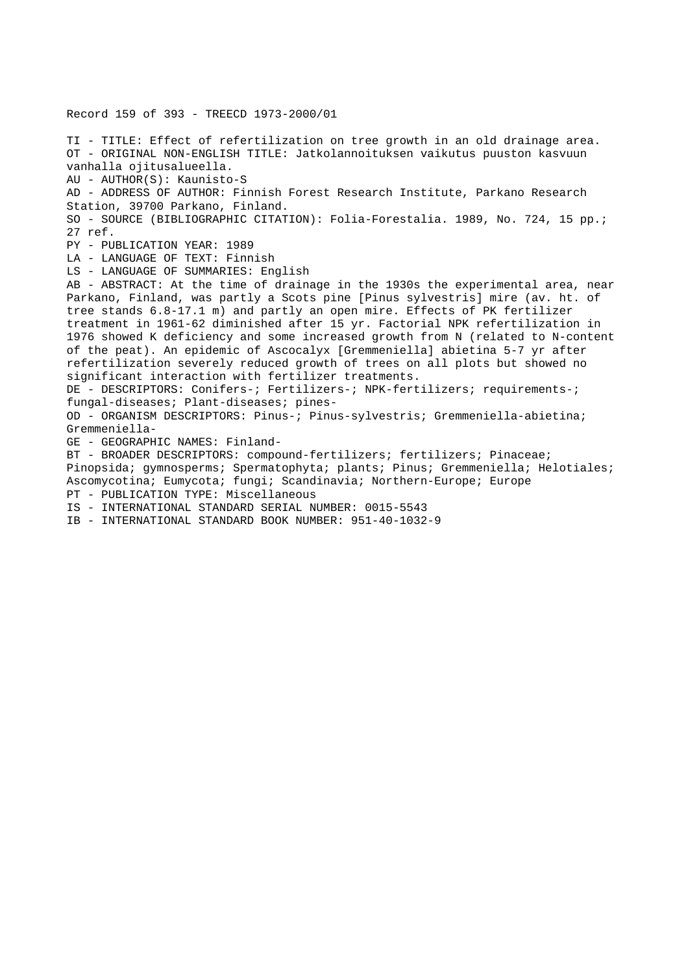Record 159 of 393 - TREECD 1973-2000/01 TI - TITLE: Effect of refertilization on tree growth in an old drainage area. OT - ORIGINAL NON-ENGLISH TITLE: Jatkolannoituksen vaikutus puuston kasvuun vanhalla ojitusalueella. AU - AUTHOR(S): Kaunisto-S AD - ADDRESS OF AUTHOR: Finnish Forest Research Institute, Parkano Research Station, 39700 Parkano, Finland. SO - SOURCE (BIBLIOGRAPHIC CITATION): Folia-Forestalia. 1989, No. 724, 15 pp.; 27 ref. PY - PUBLICATION YEAR: 1989 LA - LANGUAGE OF TEXT: Finnish LS - LANGUAGE OF SUMMARIES: English AB - ABSTRACT: At the time of drainage in the 1930s the experimental area, near Parkano, Finland, was partly a Scots pine [Pinus sylvestris] mire (av. ht. of tree stands 6.8-17.1 m) and partly an open mire. Effects of PK fertilizer treatment in 1961-62 diminished after 15 yr. Factorial NPK refertilization in 1976 showed K deficiency and some increased growth from N (related to N-content of the peat). An epidemic of Ascocalyx [Gremmeniella] abietina 5-7 yr after refertilization severely reduced growth of trees on all plots but showed no significant interaction with fertilizer treatments. DE - DESCRIPTORS: Conifers-; Fertilizers-; NPK-fertilizers; requirements-; fungal-diseases; Plant-diseases; pines-OD - ORGANISM DESCRIPTORS: Pinus-; Pinus-sylvestris; Gremmeniella-abietina; Gremmeniella-GE - GEOGRAPHIC NAMES: Finland-BT - BROADER DESCRIPTORS: compound-fertilizers; fertilizers; Pinaceae; Pinopsida; gymnosperms; Spermatophyta; plants; Pinus; Gremmeniella; Helotiales; Ascomycotina; Eumycota; fungi; Scandinavia; Northern-Europe; Europe PT - PUBLICATION TYPE: Miscellaneous IS - INTERNATIONAL STANDARD SERIAL NUMBER: 0015-5543 IB - INTERNATIONAL STANDARD BOOK NUMBER: 951-40-1032-9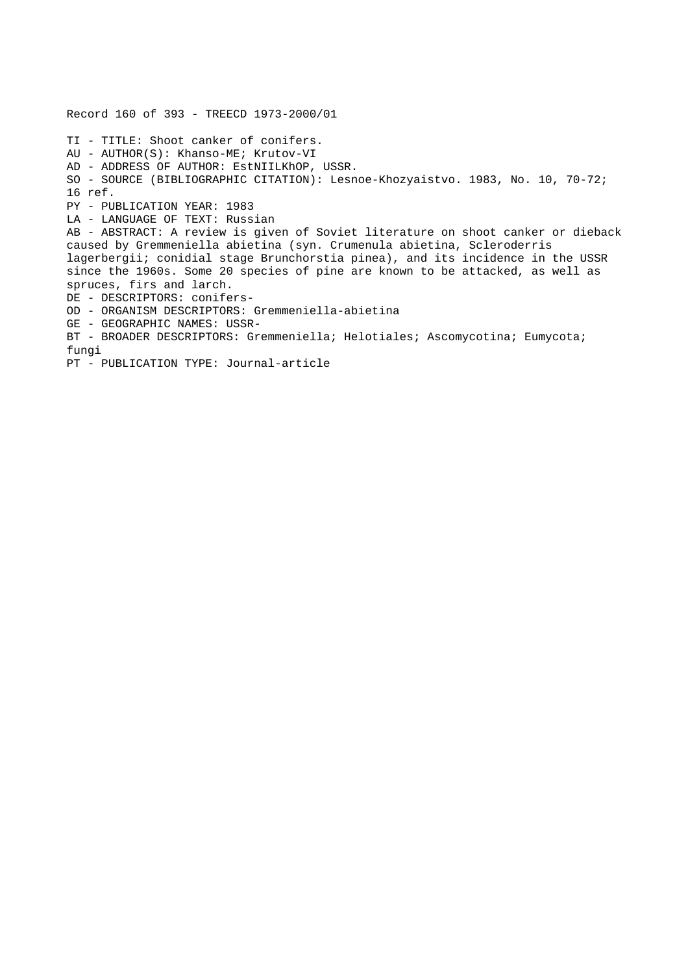Record 160 of 393 - TREECD 1973-2000/01 TI - TITLE: Shoot canker of conifers. AU - AUTHOR(S): Khanso-ME; Krutov-VI AD - ADDRESS OF AUTHOR: EstNIILKhOP, USSR. SO - SOURCE (BIBLIOGRAPHIC CITATION): Lesnoe-Khozyaistvo. 1983, No. 10, 70-72; 16 ref. PY - PUBLICATION YEAR: 1983 LA - LANGUAGE OF TEXT: Russian AB - ABSTRACT: A review is given of Soviet literature on shoot canker or dieback caused by Gremmeniella abietina (syn. Crumenula abietina, Scleroderris lagerbergii; conidial stage Brunchorstia pinea), and its incidence in the USSR since the 1960s. Some 20 species of pine are known to be attacked, as well as spruces, firs and larch. DE - DESCRIPTORS: conifers-OD - ORGANISM DESCRIPTORS: Gremmeniella-abietina GE - GEOGRAPHIC NAMES: USSR-BT - BROADER DESCRIPTORS: Gremmeniella; Helotiales; Ascomycotina; Eumycota; fungi PT - PUBLICATION TYPE: Journal-article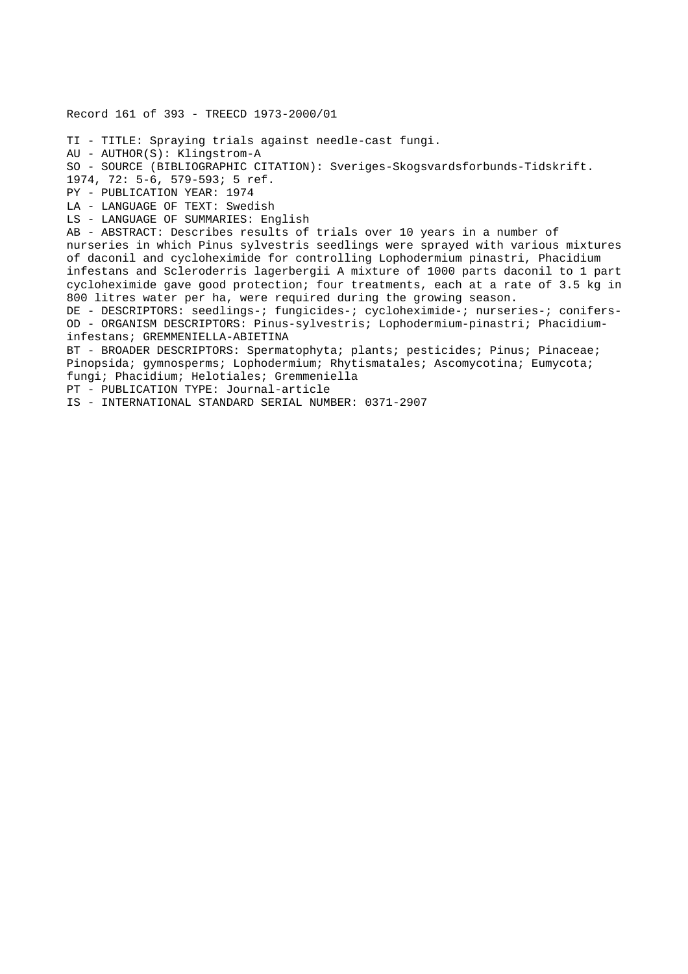Record 161 of 393 - TREECD 1973-2000/01 TI - TITLE: Spraying trials against needle-cast fungi. AU - AUTHOR(S): Klingstrom-A SO - SOURCE (BIBLIOGRAPHIC CITATION): Sveriges-Skogsvardsforbunds-Tidskrift. 1974, 72: 5-6, 579-593; 5 ref. PY - PUBLICATION YEAR: 1974 LA - LANGUAGE OF TEXT: Swedish LS - LANGUAGE OF SUMMARIES: English AB - ABSTRACT: Describes results of trials over 10 years in a number of nurseries in which Pinus sylvestris seedlings were sprayed with various mixtures of daconil and cycloheximide for controlling Lophodermium pinastri, Phacidium infestans and Scleroderris lagerbergii A mixture of 1000 parts daconil to 1 part cycloheximide gave good protection; four treatments, each at a rate of 3.5 kg in 800 litres water per ha, were required during the growing season. DE - DESCRIPTORS: seedlings-; fungicides-; cycloheximide-; nurseries-; conifers-OD - ORGANISM DESCRIPTORS: Pinus-sylvestris; Lophodermium-pinastri; Phacidiuminfestans; GREMMENIELLA-ABIETINA BT - BROADER DESCRIPTORS: Spermatophyta; plants; pesticides; Pinus; Pinaceae; Pinopsida; gymnosperms; Lophodermium; Rhytismatales; Ascomycotina; Eumycota; fungi; Phacidium; Helotiales; Gremmeniella PT - PUBLICATION TYPE: Journal-article IS - INTERNATIONAL STANDARD SERIAL NUMBER: 0371-2907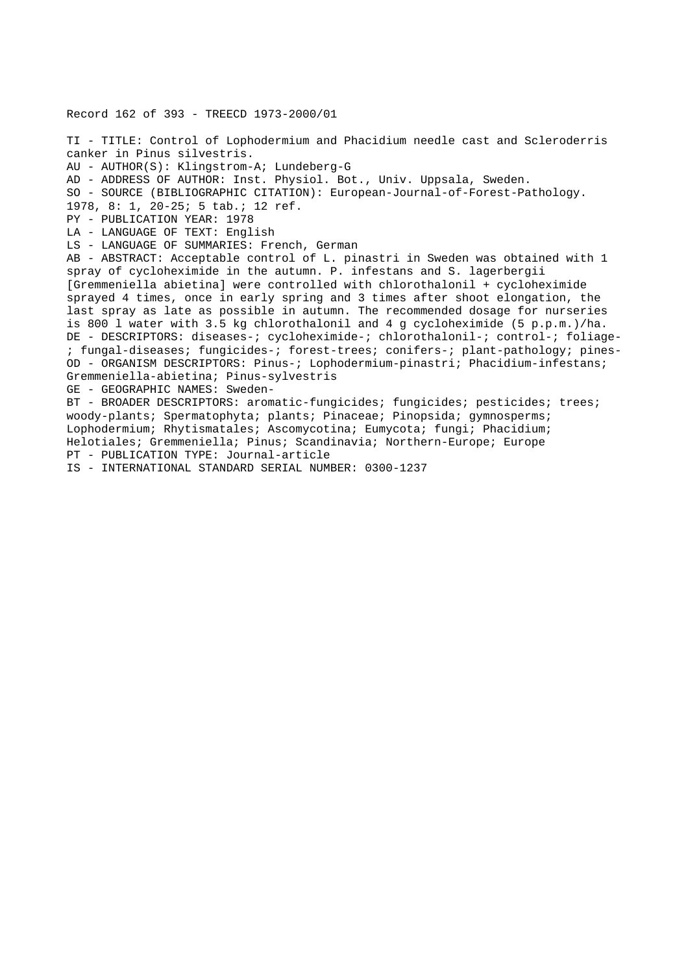Record 162 of 393 - TREECD 1973-2000/01 TI - TITLE: Control of Lophodermium and Phacidium needle cast and Scleroderris canker in Pinus silvestris. AU - AUTHOR(S): Klingstrom-A; Lundeberg-G AD - ADDRESS OF AUTHOR: Inst. Physiol. Bot., Univ. Uppsala, Sweden. SO - SOURCE (BIBLIOGRAPHIC CITATION): European-Journal-of-Forest-Pathology. 1978, 8: 1, 20-25; 5 tab.; 12 ref. PY - PUBLICATION YEAR: 1978 LA - LANGUAGE OF TEXT: English LS - LANGUAGE OF SUMMARIES: French, German AB - ABSTRACT: Acceptable control of L. pinastri in Sweden was obtained with 1 spray of cycloheximide in the autumn. P. infestans and S. lagerbergii [Gremmeniella abietina] were controlled with chlorothalonil + cycloheximide sprayed 4 times, once in early spring and 3 times after shoot elongation, the last spray as late as possible in autumn. The recommended dosage for nurseries is 800 l water with 3.5 kg chlorothalonil and 4 g cycloheximide (5 p.p.m.)/ha. DE - DESCRIPTORS: diseases-; cycloheximide-; chlorothalonil-; control-; foliage- ; fungal-diseases; fungicides-; forest-trees; conifers-; plant-pathology; pines-OD - ORGANISM DESCRIPTORS: Pinus-; Lophodermium-pinastri; Phacidium-infestans; Gremmeniella-abietina; Pinus-sylvestris GE - GEOGRAPHIC NAMES: Sweden-BT - BROADER DESCRIPTORS: aromatic-fungicides; fungicides; pesticides; trees; woody-plants; Spermatophyta; plants; Pinaceae; Pinopsida; gymnosperms; Lophodermium; Rhytismatales; Ascomycotina; Eumycota; fungi; Phacidium; Helotiales; Gremmeniella; Pinus; Scandinavia; Northern-Europe; Europe PT - PUBLICATION TYPE: Journal-article

IS - INTERNATIONAL STANDARD SERIAL NUMBER: 0300-1237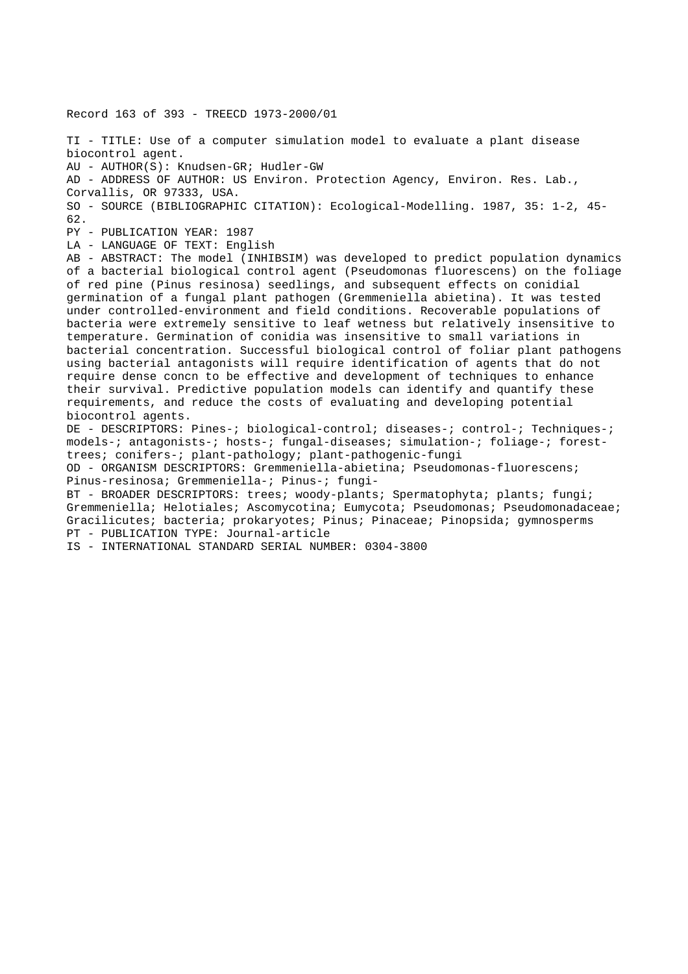Record 163 of 393 - TREECD 1973-2000/01 TI - TITLE: Use of a computer simulation model to evaluate a plant disease biocontrol agent. AU - AUTHOR(S): Knudsen-GR; Hudler-GW AD - ADDRESS OF AUTHOR: US Environ. Protection Agency, Environ. Res. Lab., Corvallis, OR 97333, USA. SO - SOURCE (BIBLIOGRAPHIC CITATION): Ecological-Modelling. 1987, 35: 1-2, 45- 62. PY - PUBLICATION YEAR: 1987 LA - LANGUAGE OF TEXT: English AB - ABSTRACT: The model (INHIBSIM) was developed to predict population dynamics of a bacterial biological control agent (Pseudomonas fluorescens) on the foliage of red pine (Pinus resinosa) seedlings, and subsequent effects on conidial germination of a fungal plant pathogen (Gremmeniella abietina). It was tested under controlled-environment and field conditions. Recoverable populations of bacteria were extremely sensitive to leaf wetness but relatively insensitive to temperature. Germination of conidia was insensitive to small variations in bacterial concentration. Successful biological control of foliar plant pathogens using bacterial antagonists will require identification of agents that do not require dense concn to be effective and development of techniques to enhance their survival. Predictive population models can identify and quantify these requirements, and reduce the costs of evaluating and developing potential biocontrol agents. DE - DESCRIPTORS: Pines-; biological-control; diseases-; control-; Techniques-; models-; antagonists-; hosts-; fungal-diseases; simulation-; foliage-; foresttrees; conifers-; plant-pathology; plant-pathogenic-fungi OD - ORGANISM DESCRIPTORS: Gremmeniella-abietina; Pseudomonas-fluorescens; Pinus-resinosa; Gremmeniella-; Pinus-; fungi-BT - BROADER DESCRIPTORS: trees; woody-plants; Spermatophyta; plants; fungi; Gremmeniella; Helotiales; Ascomycotina; Eumycota; Pseudomonas; Pseudomonadaceae; Gracilicutes; bacteria; prokaryotes; Pinus; Pinaceae; Pinopsida; gymnosperms PT - PUBLICATION TYPE: Journal-article

IS - INTERNATIONAL STANDARD SERIAL NUMBER: 0304-3800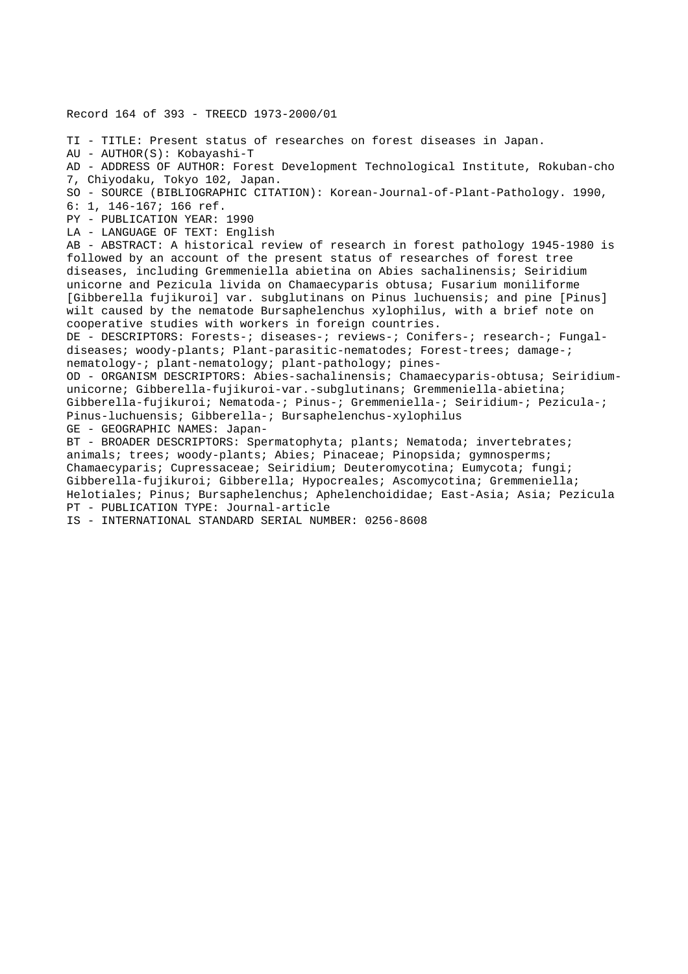Record 164 of 393 - TREECD 1973-2000/01

TI - TITLE: Present status of researches on forest diseases in Japan. AU - AUTHOR(S): Kobayashi-T AD - ADDRESS OF AUTHOR: Forest Development Technological Institute, Rokuban-cho 7, Chiyodaku, Tokyo 102, Japan. SO - SOURCE (BIBLIOGRAPHIC CITATION): Korean-Journal-of-Plant-Pathology. 1990, 6: 1, 146-167; 166 ref. PY - PUBLICATION YEAR: 1990 LA - LANGUAGE OF TEXT: English AB - ABSTRACT: A historical review of research in forest pathology 1945-1980 is followed by an account of the present status of researches of forest tree diseases, including Gremmeniella abietina on Abies sachalinensis; Seiridium unicorne and Pezicula livida on Chamaecyparis obtusa; Fusarium moniliforme [Gibberella fujikuroi] var. subglutinans on Pinus luchuensis; and pine [Pinus] wilt caused by the nematode Bursaphelenchus xylophilus, with a brief note on cooperative studies with workers in foreign countries. DE - DESCRIPTORS: Forests-; diseases-; reviews-; Conifers-; research-; Fungaldiseases; woody-plants; Plant-parasitic-nematodes; Forest-trees; damage-; nematology-; plant-nematology; plant-pathology; pines-OD - ORGANISM DESCRIPTORS: Abies-sachalinensis; Chamaecyparis-obtusa; Seiridiumunicorne; Gibberella-fujikuroi-var.-subglutinans; Gremmeniella-abietina; Gibberella-fujikuroi; Nematoda-; Pinus-; Gremmeniella-; Seiridium-; Pezicula-; Pinus-luchuensis; Gibberella-; Bursaphelenchus-xylophilus GE - GEOGRAPHIC NAMES: Japan-BT - BROADER DESCRIPTORS: Spermatophyta; plants; Nematoda; invertebrates; animals; trees; woody-plants; Abies; Pinaceae; Pinopsida; gymnosperms; Chamaecyparis; Cupressaceae; Seiridium; Deuteromycotina; Eumycota; fungi; Gibberella-fujikuroi; Gibberella; Hypocreales; Ascomycotina; Gremmeniella; Helotiales; Pinus; Bursaphelenchus; Aphelenchoididae; East-Asia; Asia; Pezicula

PT - PUBLICATION TYPE: Journal-article

IS - INTERNATIONAL STANDARD SERIAL NUMBER: 0256-8608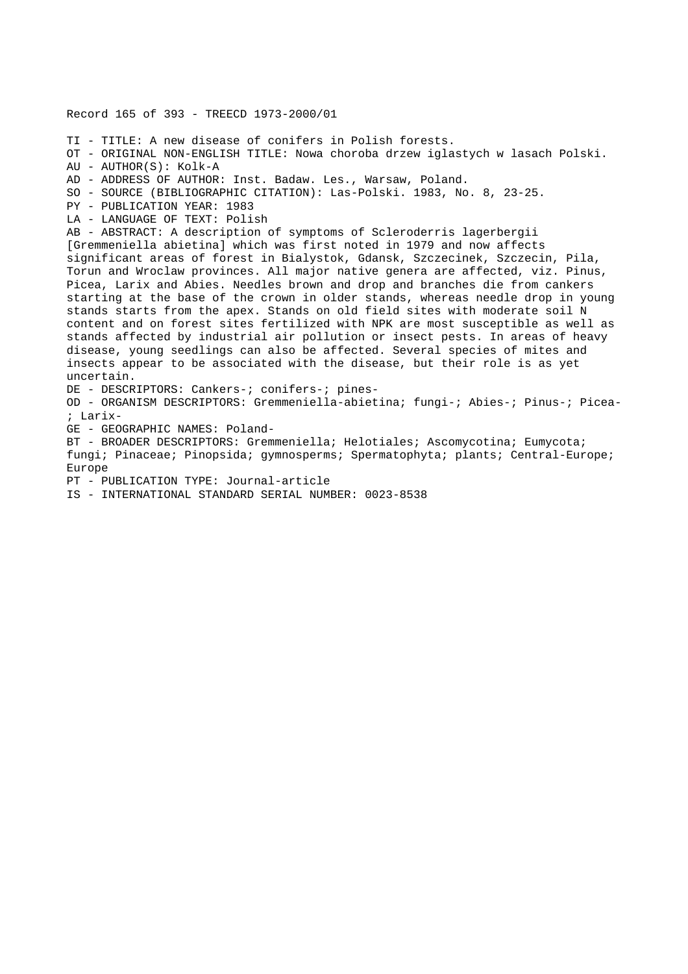Record 165 of 393 - TREECD 1973-2000/01 TI - TITLE: A new disease of conifers in Polish forests. OT - ORIGINAL NON-ENGLISH TITLE: Nowa choroba drzew iglastych w lasach Polski. AU - AUTHOR(S): Kolk-A AD - ADDRESS OF AUTHOR: Inst. Badaw. Les., Warsaw, Poland. SO - SOURCE (BIBLIOGRAPHIC CITATION): Las-Polski. 1983, No. 8, 23-25. PY - PUBLICATION YEAR: 1983 LA - LANGUAGE OF TEXT: Polish AB - ABSTRACT: A description of symptoms of Scleroderris lagerbergii [Gremmeniella abietina] which was first noted in 1979 and now affects significant areas of forest in Bialystok, Gdansk, Szczecinek, Szczecin, Pila, Torun and Wroclaw provinces. All major native genera are affected, viz. Pinus, Picea, Larix and Abies. Needles brown and drop and branches die from cankers starting at the base of the crown in older stands, whereas needle drop in young stands starts from the apex. Stands on old field sites with moderate soil N content and on forest sites fertilized with NPK are most susceptible as well as stands affected by industrial air pollution or insect pests. In areas of heavy disease, young seedlings can also be affected. Several species of mites and insects appear to be associated with the disease, but their role is as yet uncertain. DE - DESCRIPTORS: Cankers-; conifers-; pines-OD - ORGANISM DESCRIPTORS: Gremmeniella-abietina; fungi-; Abies-; Pinus-; Picea- ; Larix-GE - GEOGRAPHIC NAMES: Poland-BT - BROADER DESCRIPTORS: Gremmeniella; Helotiales; Ascomycotina; Eumycota; fungi; Pinaceae; Pinopsida; gymnosperms; Spermatophyta; plants; Central-Europe; Europe PT - PUBLICATION TYPE: Journal-article IS - INTERNATIONAL STANDARD SERIAL NUMBER: 0023-8538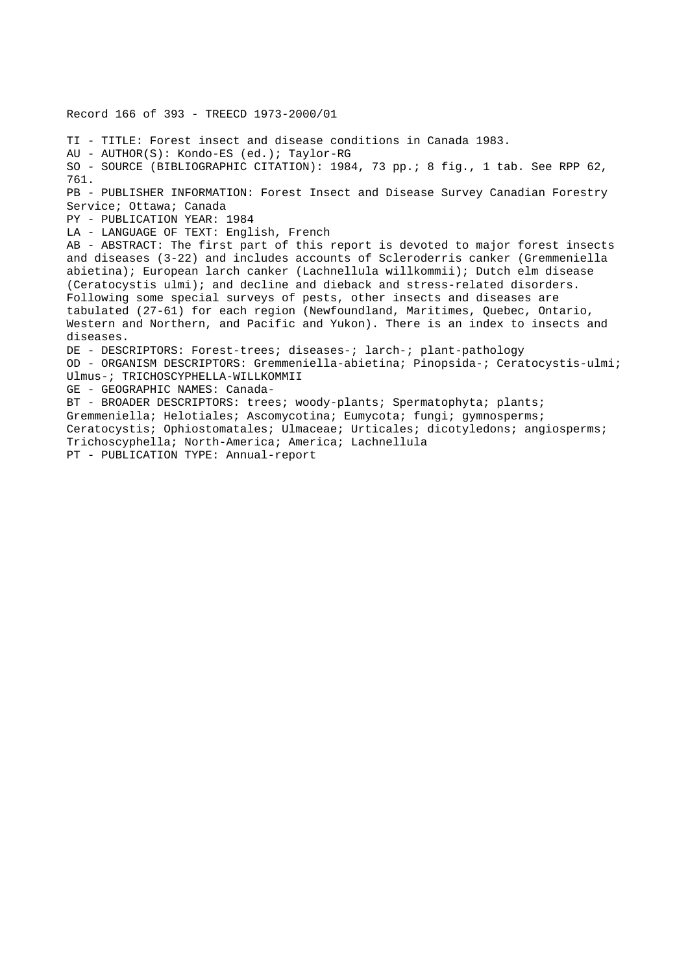Record 166 of 393 - TREECD 1973-2000/01 TI - TITLE: Forest insect and disease conditions in Canada 1983. AU - AUTHOR(S): Kondo-ES (ed.); Taylor-RG SO - SOURCE (BIBLIOGRAPHIC CITATION): 1984, 73 pp.; 8 fig., 1 tab. See RPP 62, 761. PB - PUBLISHER INFORMATION: Forest Insect and Disease Survey Canadian Forestry Service; Ottawa; Canada PY - PUBLICATION YEAR: 1984 LA - LANGUAGE OF TEXT: English, French AB - ABSTRACT: The first part of this report is devoted to major forest insects and diseases (3-22) and includes accounts of Scleroderris canker (Gremmeniella abietina); European larch canker (Lachnellula willkommii); Dutch elm disease (Ceratocystis ulmi); and decline and dieback and stress-related disorders. Following some special surveys of pests, other insects and diseases are tabulated (27-61) for each region (Newfoundland, Maritimes, Quebec, Ontario, Western and Northern, and Pacific and Yukon). There is an index to insects and diseases. DE - DESCRIPTORS: Forest-trees; diseases-; larch-; plant-pathology OD - ORGANISM DESCRIPTORS: Gremmeniella-abietina; Pinopsida-; Ceratocystis-ulmi; Ulmus-; TRICHOSCYPHELLA-WILLKOMMII GE - GEOGRAPHIC NAMES: Canada-BT - BROADER DESCRIPTORS: trees; woody-plants; Spermatophyta; plants; Gremmeniella; Helotiales; Ascomycotina; Eumycota; fungi; gymnosperms; Ceratocystis; Ophiostomatales; Ulmaceae; Urticales; dicotyledons; angiosperms; Trichoscyphella; North-America; America; Lachnellula PT - PUBLICATION TYPE: Annual-report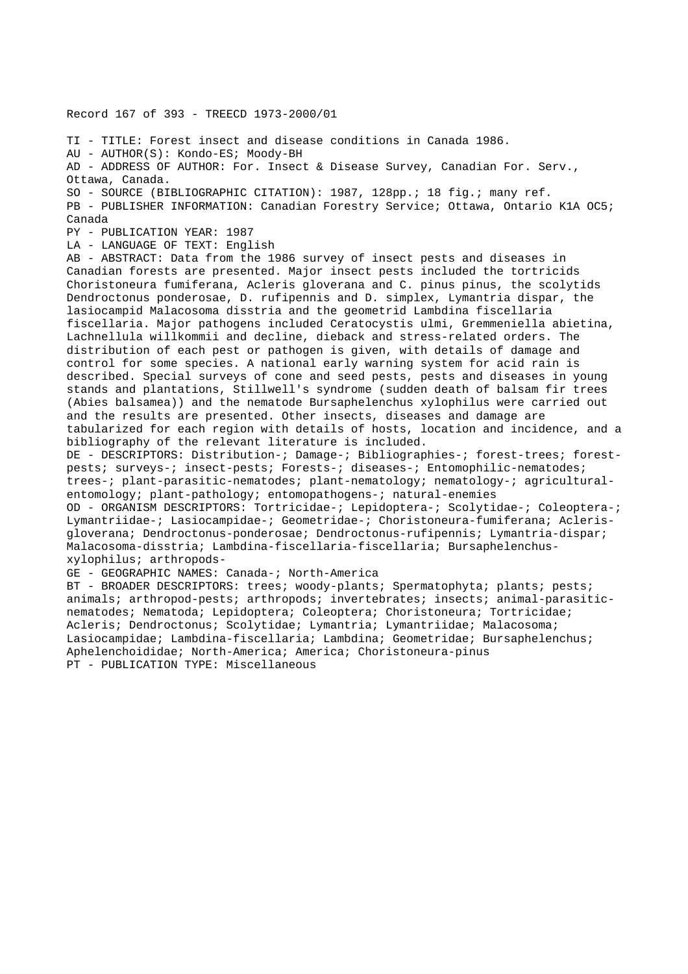Record 167 of 393 - TREECD 1973-2000/01

TI - TITLE: Forest insect and disease conditions in Canada 1986. AU - AUTHOR(S): Kondo-ES; Moody-BH AD - ADDRESS OF AUTHOR: For. Insect & Disease Survey, Canadian For. Serv., Ottawa, Canada. SO - SOURCE (BIBLIOGRAPHIC CITATION): 1987, 128pp.; 18 fig.; many ref. PB - PUBLISHER INFORMATION: Canadian Forestry Service; Ottawa, Ontario K1A OC5; Canada

PY - PUBLICATION YEAR: 1987

LA - LANGUAGE OF TEXT: English

AB - ABSTRACT: Data from the 1986 survey of insect pests and diseases in Canadian forests are presented. Major insect pests included the tortricids Choristoneura fumiferana, Acleris gloverana and C. pinus pinus, the scolytids Dendroctonus ponderosae, D. rufipennis and D. simplex, Lymantria dispar, the lasiocampid Malacosoma disstria and the geometrid Lambdina fiscellaria fiscellaria. Major pathogens included Ceratocystis ulmi, Gremmeniella abietina, Lachnellula willkommii and decline, dieback and stress-related orders. The distribution of each pest or pathogen is given, with details of damage and control for some species. A national early warning system for acid rain is described. Special surveys of cone and seed pests, pests and diseases in young stands and plantations, Stillwell's syndrome (sudden death of balsam fir trees (Abies balsamea)) and the nematode Bursaphelenchus xylophilus were carried out and the results are presented. Other insects, diseases and damage are tabularized for each region with details of hosts, location and incidence, and a bibliography of the relevant literature is included.

DE - DESCRIPTORS: Distribution-; Damage-; Bibliographies-; forest-trees; forestpests; surveys-; insect-pests; Forests-; diseases-; Entomophilic-nematodes; trees-; plant-parasitic-nematodes; plant-nematology; nematology-; agriculturalentomology; plant-pathology; entomopathogens-; natural-enemies

OD - ORGANISM DESCRIPTORS: Tortricidae-; Lepidoptera-; Scolytidae-; Coleoptera-; Lymantriidae-; Lasiocampidae-; Geometridae-; Choristoneura-fumiferana; Aclerisgloverana; Dendroctonus-ponderosae; Dendroctonus-rufipennis; Lymantria-dispar; Malacosoma-disstria; Lambdina-fiscellaria-fiscellaria; Bursaphelenchusxylophilus; arthropods-

GE - GEOGRAPHIC NAMES: Canada-; North-America

BT - BROADER DESCRIPTORS: trees; woody-plants; Spermatophyta; plants; pests; animals; arthropod-pests; arthropods; invertebrates; insects; animal-parasiticnematodes; Nematoda; Lepidoptera; Coleoptera; Choristoneura; Tortricidae; Acleris; Dendroctonus; Scolytidae; Lymantria; Lymantriidae; Malacosoma; Lasiocampidae; Lambdina-fiscellaria; Lambdina; Geometridae; Bursaphelenchus; Aphelenchoididae; North-America; America; Choristoneura-pinus PT - PUBLICATION TYPE: Miscellaneous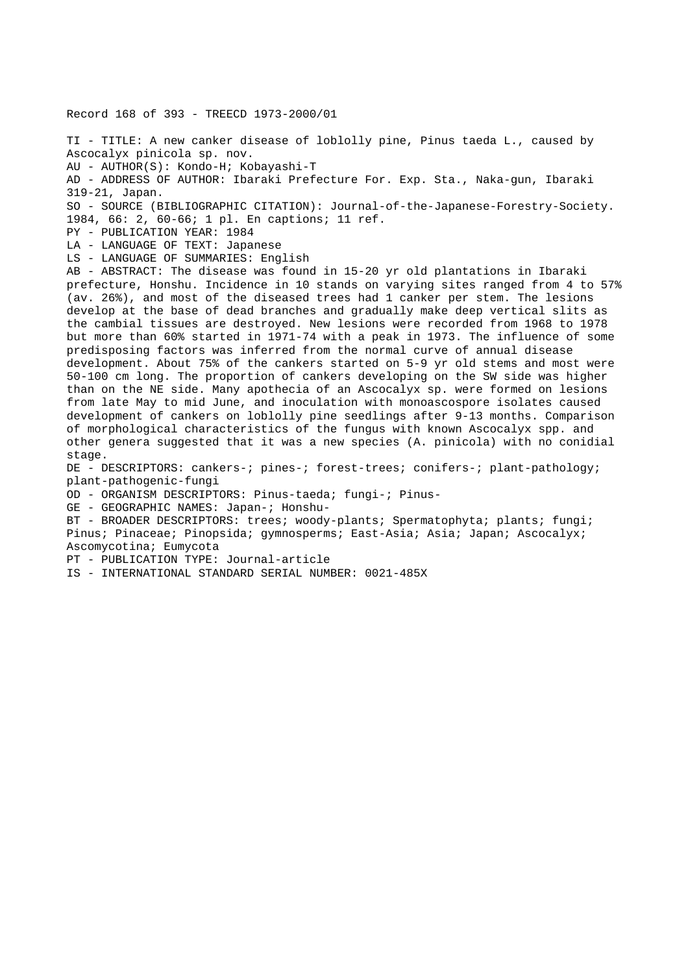Record 168 of 393 - TREECD 1973-2000/01 TI - TITLE: A new canker disease of loblolly pine, Pinus taeda L., caused by Ascocalyx pinicola sp. nov. AU - AUTHOR(S): Kondo-H; Kobayashi-T AD - ADDRESS OF AUTHOR: Ibaraki Prefecture For. Exp. Sta., Naka-gun, Ibaraki 319-21, Japan. SO - SOURCE (BIBLIOGRAPHIC CITATION): Journal-of-the-Japanese-Forestry-Society. 1984, 66: 2, 60-66; 1 pl. En captions; 11 ref. PY - PUBLICATION YEAR: 1984 LA - LANGUAGE OF TEXT: Japanese LS - LANGUAGE OF SUMMARIES: English AB - ABSTRACT: The disease was found in 15-20 yr old plantations in Ibaraki prefecture, Honshu. Incidence in 10 stands on varying sites ranged from 4 to 57% (av. 26%), and most of the diseased trees had 1 canker per stem. The lesions develop at the base of dead branches and gradually make deep vertical slits as the cambial tissues are destroyed. New lesions were recorded from 1968 to 1978 but more than 60% started in 1971-74 with a peak in 1973. The influence of some predisposing factors was inferred from the normal curve of annual disease development. About 75% of the cankers started on 5-9 yr old stems and most were 50-100 cm long. The proportion of cankers developing on the SW side was higher than on the NE side. Many apothecia of an Ascocalyx sp. were formed on lesions from late May to mid June, and inoculation with monoascospore isolates caused development of cankers on loblolly pine seedlings after 9-13 months. Comparison of morphological characteristics of the fungus with known Ascocalyx spp. and other genera suggested that it was a new species (A. pinicola) with no conidial stage. DE - DESCRIPTORS: cankers-; pines-; forest-trees; conifers-; plant-pathology; plant-pathogenic-fungi OD - ORGANISM DESCRIPTORS: Pinus-taeda; fungi-; Pinus-GE - GEOGRAPHIC NAMES: Japan-; Honshu-BT - BROADER DESCRIPTORS: trees; woody-plants; Spermatophyta; plants; fungi; Pinus; Pinaceae; Pinopsida; gymnosperms; East-Asia; Asia; Japan; Ascocalyx; Ascomycotina; Eumycota PT - PUBLICATION TYPE: Journal-article IS - INTERNATIONAL STANDARD SERIAL NUMBER: 0021-485X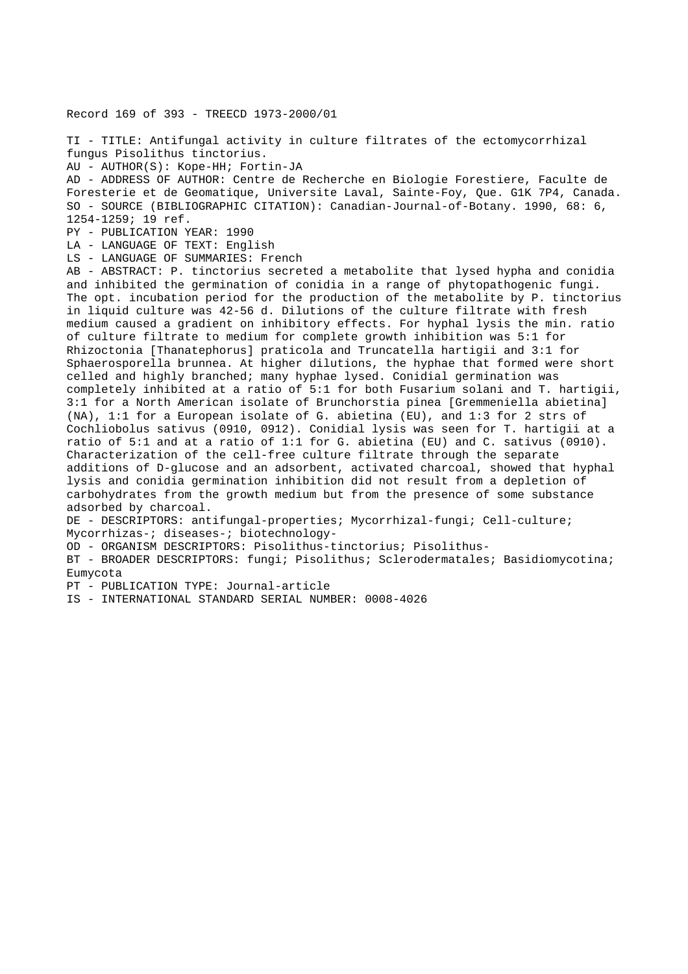Record 169 of 393 - TREECD 1973-2000/01

TI - TITLE: Antifungal activity in culture filtrates of the ectomycorrhizal fungus Pisolithus tinctorius.

AU - AUTHOR(S): Kope-HH; Fortin-JA

AD - ADDRESS OF AUTHOR: Centre de Recherche en Biologie Forestiere, Faculte de Foresterie et de Geomatique, Universite Laval, Sainte-Foy, Que. G1K 7P4, Canada. SO - SOURCE (BIBLIOGRAPHIC CITATION): Canadian-Journal-of-Botany. 1990, 68: 6, 1254-1259; 19 ref.

PY - PUBLICATION YEAR: 1990

LA - LANGUAGE OF TEXT: English

LS - LANGUAGE OF SUMMARIES: French

AB - ABSTRACT: P. tinctorius secreted a metabolite that lysed hypha and conidia and inhibited the germination of conidia in a range of phytopathogenic fungi. The opt. incubation period for the production of the metabolite by P. tinctorius in liquid culture was 42-56 d. Dilutions of the culture filtrate with fresh medium caused a gradient on inhibitory effects. For hyphal lysis the min. ratio of culture filtrate to medium for complete growth inhibition was 5:1 for Rhizoctonia [Thanatephorus] praticola and Truncatella hartigii and 3:1 for Sphaerosporella brunnea. At higher dilutions, the hyphae that formed were short celled and highly branched; many hyphae lysed. Conidial germination was completely inhibited at a ratio of 5:1 for both Fusarium solani and T. hartigii, 3:1 for a North American isolate of Brunchorstia pinea [Gremmeniella abietina] (NA), 1:1 for a European isolate of G. abietina (EU), and 1:3 for 2 strs of Cochliobolus sativus (0910, 0912). Conidial lysis was seen for T. hartigii at a ratio of 5:1 and at a ratio of 1:1 for G. abietina (EU) and C. sativus (0910). Characterization of the cell-free culture filtrate through the separate additions of D-glucose and an adsorbent, activated charcoal, showed that hyphal lysis and conidia germination inhibition did not result from a depletion of carbohydrates from the growth medium but from the presence of some substance adsorbed by charcoal.

DE - DESCRIPTORS: antifungal-properties; Mycorrhizal-fungi; Cell-culture; Mycorrhizas-; diseases-; biotechnology-

OD - ORGANISM DESCRIPTORS: Pisolithus-tinctorius; Pisolithus-

BT - BROADER DESCRIPTORS: fungi; Pisolithus; Sclerodermatales; Basidiomycotina; Eumycota

PT - PUBLICATION TYPE: Journal-article

IS - INTERNATIONAL STANDARD SERIAL NUMBER: 0008-4026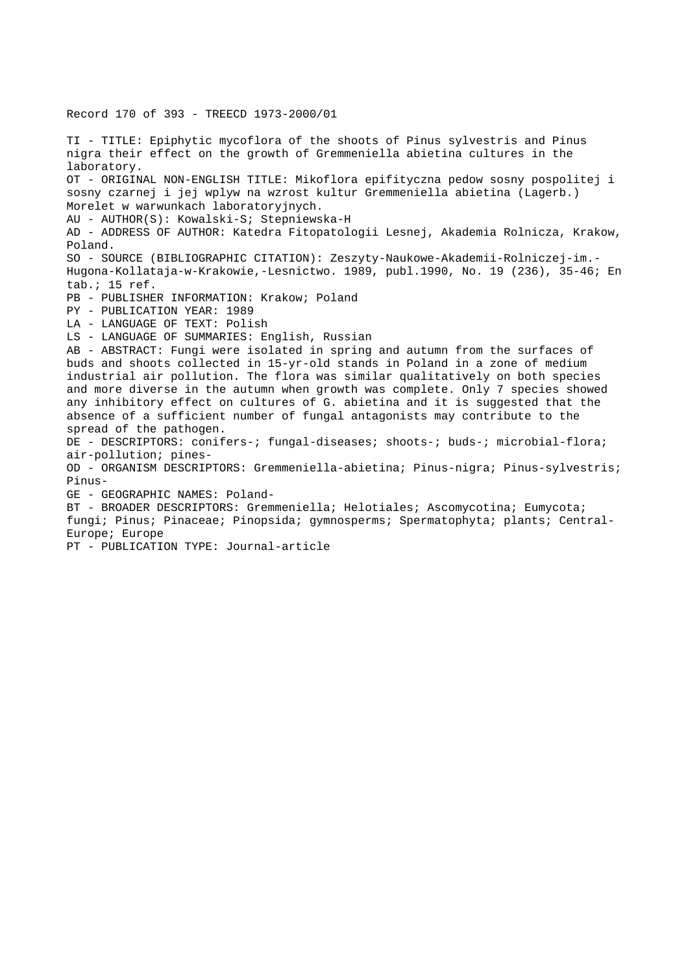TI - TITLE: Epiphytic mycoflora of the shoots of Pinus sylvestris and Pinus nigra their effect on the growth of Gremmeniella abietina cultures in the laboratory. OT - ORIGINAL NON-ENGLISH TITLE: Mikoflora epifityczna pedow sosny pospolitej i sosny czarnej i jej wplyw na wzrost kultur Gremmeniella abietina (Lagerb.) Morelet w warwunkach laboratoryjnych. AU - AUTHOR(S): Kowalski-S; Stepniewska-H AD - ADDRESS OF AUTHOR: Katedra Fitopatologii Lesnej, Akademia Rolnicza, Krakow, Poland. SO - SOURCE (BIBLIOGRAPHIC CITATION): Zeszyty-Naukowe-Akademii-Rolniczej-im.- Hugona-Kollataja-w-Krakowie,-Lesnictwo. 1989, publ.1990, No. 19 (236), 35-46; En tab.; 15 ref. PB - PUBLISHER INFORMATION: Krakow; Poland PY - PUBLICATION YEAR: 1989 LA - LANGUAGE OF TEXT: Polish LS - LANGUAGE OF SUMMARIES: English, Russian AB - ABSTRACT: Fungi were isolated in spring and autumn from the surfaces of buds and shoots collected in 15-yr-old stands in Poland in a zone of medium industrial air pollution. The flora was similar qualitatively on both species and more diverse in the autumn when growth was complete. Only 7 species showed any inhibitory effect on cultures of G. abietina and it is suggested that the absence of a sufficient number of fungal antagonists may contribute to the spread of the pathogen. DE - DESCRIPTORS: conifers-; fungal-diseases; shoots-; buds-; microbial-flora; air-pollution; pines-OD - ORGANISM DESCRIPTORS: Gremmeniella-abietina; Pinus-nigra; Pinus-sylvestris; Pinus-GE - GEOGRAPHIC NAMES: Poland-BT - BROADER DESCRIPTORS: Gremmeniella; Helotiales; Ascomycotina; Eumycota; fungi; Pinus; Pinaceae; Pinopsida; gymnosperms; Spermatophyta; plants; Central-Europe; Europe PT - PUBLICATION TYPE: Journal-article

Record 170 of 393 - TREECD 1973-2000/01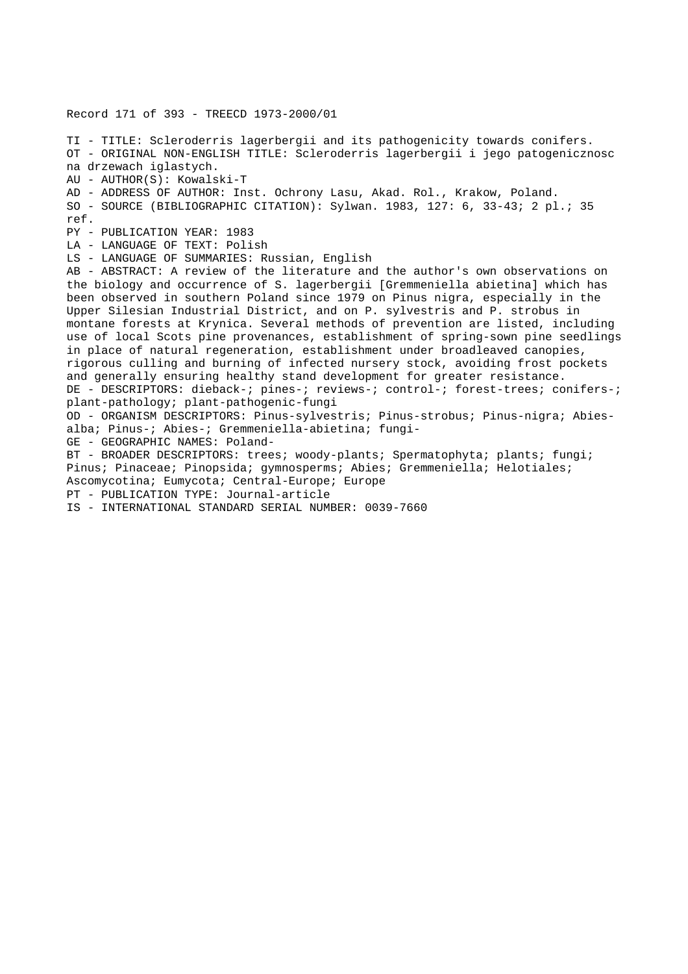Record 171 of 393 - TREECD 1973-2000/01

TI - TITLE: Scleroderris lagerbergii and its pathogenicity towards conifers. OT - ORIGINAL NON-ENGLISH TITLE: Scleroderris lagerbergii i jego patogenicznosc na drzewach iglastych. AU - AUTHOR(S): Kowalski-T AD - ADDRESS OF AUTHOR: Inst. Ochrony Lasu, Akad. Rol., Krakow, Poland. SO - SOURCE (BIBLIOGRAPHIC CITATION): Sylwan. 1983, 127: 6, 33-43; 2 pl.; 35 ref. PY - PUBLICATION YEAR: 1983 LA - LANGUAGE OF TEXT: Polish LS - LANGUAGE OF SUMMARIES: Russian, English AB - ABSTRACT: A review of the literature and the author's own observations on the biology and occurrence of S. lagerbergii [Gremmeniella abietina] which has been observed in southern Poland since 1979 on Pinus nigra, especially in the Upper Silesian Industrial District, and on P. sylvestris and P. strobus in montane forests at Krynica. Several methods of prevention are listed, including use of local Scots pine provenances, establishment of spring-sown pine seedlings in place of natural regeneration, establishment under broadleaved canopies, rigorous culling and burning of infected nursery stock, avoiding frost pockets and generally ensuring healthy stand development for greater resistance. DE - DESCRIPTORS: dieback-; pines-; reviews-; control-; forest-trees; conifers-; plant-pathology; plant-pathogenic-fungi OD - ORGANISM DESCRIPTORS: Pinus-sylvestris; Pinus-strobus; Pinus-nigra; Abiesalba; Pinus-; Abies-; Gremmeniella-abietina; fungi-GE - GEOGRAPHIC NAMES: Poland-BT - BROADER DESCRIPTORS: trees; woody-plants; Spermatophyta; plants; fungi; Pinus; Pinaceae; Pinopsida; gymnosperms; Abies; Gremmeniella; Helotiales; Ascomycotina; Eumycota; Central-Europe; Europe PT - PUBLICATION TYPE: Journal-article

IS - INTERNATIONAL STANDARD SERIAL NUMBER: 0039-7660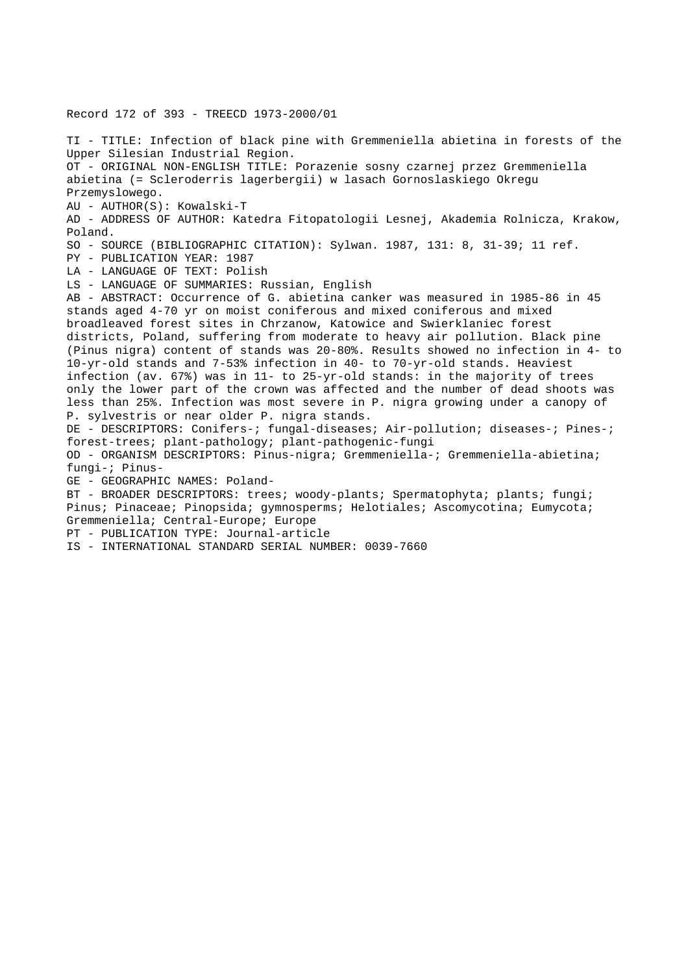Record 172 of 393 - TREECD 1973-2000/01 TI - TITLE: Infection of black pine with Gremmeniella abietina in forests of the Upper Silesian Industrial Region. OT - ORIGINAL NON-ENGLISH TITLE: Porazenie sosny czarnej przez Gremmeniella abietina (= Scleroderris lagerbergii) w lasach Gornoslaskiego Okregu Przemyslowego. AU - AUTHOR(S): Kowalski-T AD - ADDRESS OF AUTHOR: Katedra Fitopatologii Lesnej, Akademia Rolnicza, Krakow, Poland. SO - SOURCE (BIBLIOGRAPHIC CITATION): Sylwan. 1987, 131: 8, 31-39; 11 ref. PY - PUBLICATION YEAR: 1987 LA - LANGUAGE OF TEXT: Polish LS - LANGUAGE OF SUMMARIES: Russian, English AB - ABSTRACT: Occurrence of G. abietina canker was measured in 1985-86 in 45 stands aged 4-70 yr on moist coniferous and mixed coniferous and mixed broadleaved forest sites in Chrzanow, Katowice and Swierklaniec forest districts, Poland, suffering from moderate to heavy air pollution. Black pine (Pinus nigra) content of stands was 20-80%. Results showed no infection in 4- to 10-yr-old stands and 7-53% infection in 40- to 70-yr-old stands. Heaviest infection (av. 67%) was in 11- to 25-yr-old stands: in the majority of trees only the lower part of the crown was affected and the number of dead shoots was less than 25%. Infection was most severe in P. nigra growing under a canopy of P. sylvestris or near older P. nigra stands. DE - DESCRIPTORS: Conifers-; fungal-diseases; Air-pollution; diseases-; Pines-; forest-trees; plant-pathology; plant-pathogenic-fungi OD - ORGANISM DESCRIPTORS: Pinus-nigra; Gremmeniella-; Gremmeniella-abietina; fungi-; Pinus-GE - GEOGRAPHIC NAMES: Poland-BT - BROADER DESCRIPTORS: trees; woody-plants; Spermatophyta; plants; fungi; Pinus; Pinaceae; Pinopsida; gymnosperms; Helotiales; Ascomycotina; Eumycota; Gremmeniella; Central-Europe; Europe PT - PUBLICATION TYPE: Journal-article IS - INTERNATIONAL STANDARD SERIAL NUMBER: 0039-7660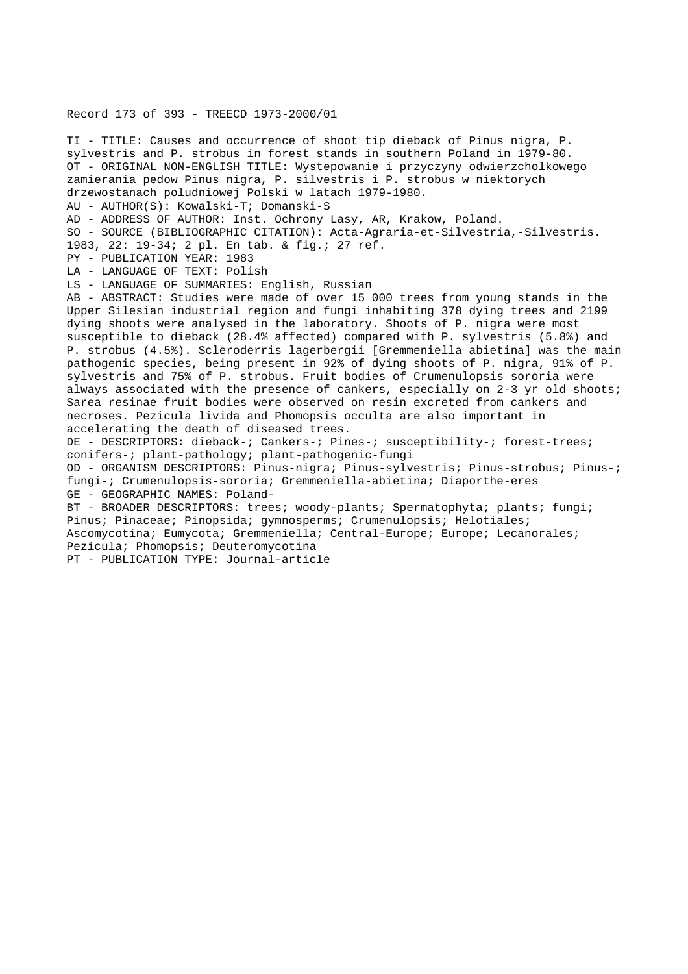## Record 173 of 393 - TREECD 1973-2000/01

TI - TITLE: Causes and occurrence of shoot tip dieback of Pinus nigra, P. sylvestris and P. strobus in forest stands in southern Poland in 1979-80. OT - ORIGINAL NON-ENGLISH TITLE: Wystepowanie i przyczyny odwierzcholkowego zamierania pedow Pinus nigra, P. silvestris i P. strobus w niektorych drzewostanach poludniowej Polski w latach 1979-1980. AU - AUTHOR(S): Kowalski-T; Domanski-S AD - ADDRESS OF AUTHOR: Inst. Ochrony Lasy, AR, Krakow, Poland. SO - SOURCE (BIBLIOGRAPHIC CITATION): Acta-Agraria-et-Silvestria,-Silvestris. 1983, 22: 19-34; 2 pl. En tab. & fig.; 27 ref. PY - PUBLICATION YEAR: 1983 LA - LANGUAGE OF TEXT: Polish LS - LANGUAGE OF SUMMARIES: English, Russian AB - ABSTRACT: Studies were made of over 15 000 trees from young stands in the Upper Silesian industrial region and fungi inhabiting 378 dying trees and 2199 dying shoots were analysed in the laboratory. Shoots of P. nigra were most susceptible to dieback (28.4% affected) compared with P. sylvestris (5.8%) and P. strobus (4.5%). Scleroderris lagerbergii [Gremmeniella abietina] was the main pathogenic species, being present in 92% of dying shoots of P. nigra, 91% of P. sylvestris and 75% of P. strobus. Fruit bodies of Crumenulopsis sororia were always associated with the presence of cankers, especially on 2-3 yr old shoots; Sarea resinae fruit bodies were observed on resin excreted from cankers and necroses. Pezicula livida and Phomopsis occulta are also important in accelerating the death of diseased trees. DE - DESCRIPTORS: dieback-; Cankers-; Pines-; susceptibility-; forest-trees; conifers-; plant-pathology; plant-pathogenic-fungi OD - ORGANISM DESCRIPTORS: Pinus-nigra; Pinus-sylvestris; Pinus-strobus; Pinus-; fungi-; Crumenulopsis-sororia; Gremmeniella-abietina; Diaporthe-eres GE - GEOGRAPHIC NAMES: Poland-BT - BROADER DESCRIPTORS: trees; woody-plants; Spermatophyta; plants; fungi; Pinus; Pinaceae; Pinopsida; gymnosperms; Crumenulopsis; Helotiales; Ascomycotina; Eumycota; Gremmeniella; Central-Europe; Europe; Lecanorales; Pezicula; Phomopsis; Deuteromycotina PT - PUBLICATION TYPE: Journal-article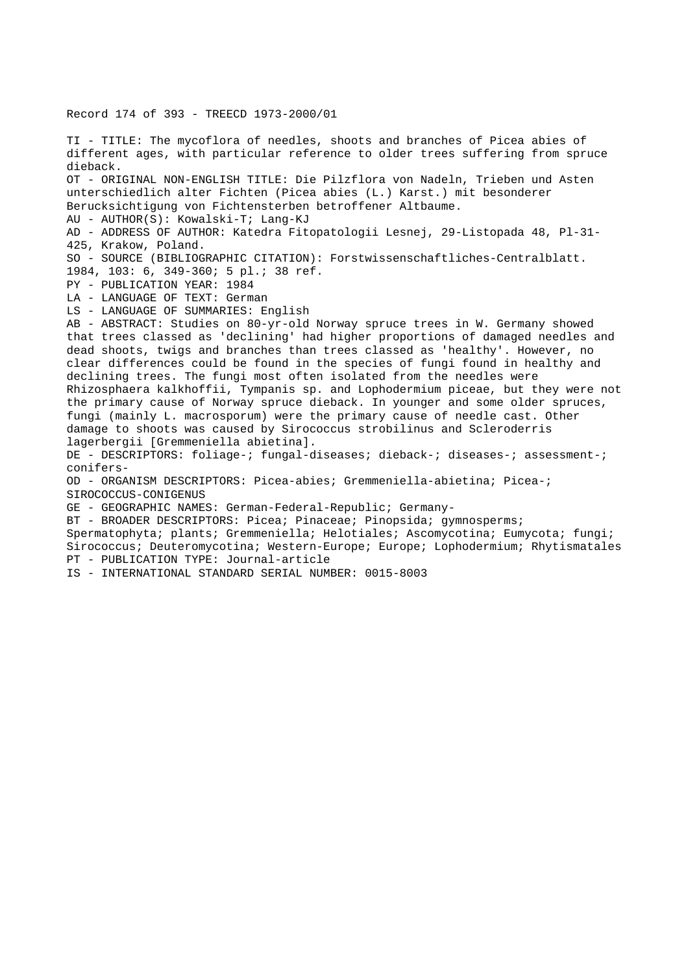Record 174 of 393 - TREECD 1973-2000/01

TI - TITLE: The mycoflora of needles, shoots and branches of Picea abies of different ages, with particular reference to older trees suffering from spruce dieback. OT - ORIGINAL NON-ENGLISH TITLE: Die Pilzflora von Nadeln, Trieben und Asten unterschiedlich alter Fichten (Picea abies (L.) Karst.) mit besonderer Berucksichtigung von Fichtensterben betroffener Altbaume. AU - AUTHOR(S): Kowalski-T; Lang-KJ AD - ADDRESS OF AUTHOR: Katedra Fitopatologii Lesnej, 29-Listopada 48, Pl-31- 425, Krakow, Poland. SO - SOURCE (BIBLIOGRAPHIC CITATION): Forstwissenschaftliches-Centralblatt. 1984, 103: 6, 349-360; 5 pl.; 38 ref. PY - PUBLICATION YEAR: 1984 LA - LANGUAGE OF TEXT: German LS - LANGUAGE OF SUMMARIES: English AB - ABSTRACT: Studies on 80-yr-old Norway spruce trees in W. Germany showed that trees classed as 'declining' had higher proportions of damaged needles and dead shoots, twigs and branches than trees classed as 'healthy'. However, no clear differences could be found in the species of fungi found in healthy and declining trees. The fungi most often isolated from the needles were Rhizosphaera kalkhoffii, Tympanis sp. and Lophodermium piceae, but they were not the primary cause of Norway spruce dieback. In younger and some older spruces, fungi (mainly L. macrosporum) were the primary cause of needle cast. Other damage to shoots was caused by Sirococcus strobilinus and Scleroderris lagerbergii [Gremmeniella abietina]. DE - DESCRIPTORS: foliage-; fungal-diseases; dieback-; diseases-; assessment-; conifers-OD - ORGANISM DESCRIPTORS: Picea-abies; Gremmeniella-abietina; Picea-; SIROCOCCUS-CONIGENUS GE - GEOGRAPHIC NAMES: German-Federal-Republic; Germany-BT - BROADER DESCRIPTORS: Picea; Pinaceae; Pinopsida; gymnosperms; Spermatophyta; plants; Gremmeniella; Helotiales; Ascomycotina; Eumycota; fungi; Sirococcus; Deuteromycotina; Western-Europe; Europe; Lophodermium; Rhytismatales PT - PUBLICATION TYPE: Journal-article IS - INTERNATIONAL STANDARD SERIAL NUMBER: 0015-8003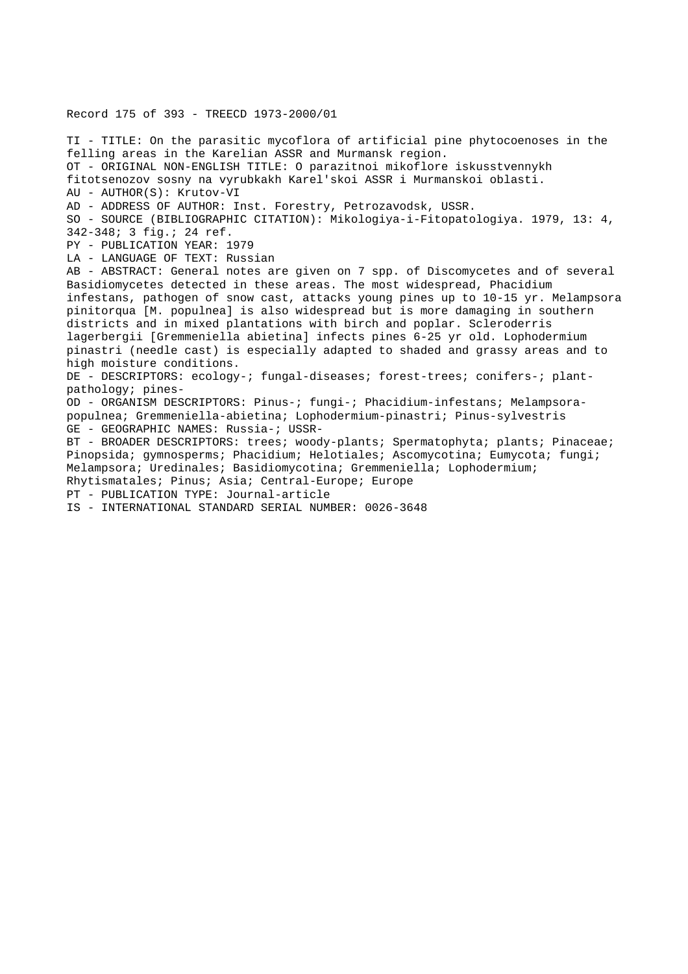Record 175 of 393 - TREECD 1973-2000/01

TI - TITLE: On the parasitic mycoflora of artificial pine phytocoenoses in the felling areas in the Karelian ASSR and Murmansk region. OT - ORIGINAL NON-ENGLISH TITLE: O parazitnoi mikoflore iskusstvennykh fitotsenozov sosny na vyrubkakh Karel'skoi ASSR i Murmanskoi oblasti. AU - AUTHOR(S): Krutov-VI AD - ADDRESS OF AUTHOR: Inst. Forestry, Petrozavodsk, USSR. SO - SOURCE (BIBLIOGRAPHIC CITATION): Mikologiya-i-Fitopatologiya. 1979, 13: 4, 342-348; 3 fig.; 24 ref. PY - PUBLICATION YEAR: 1979 LA - LANGUAGE OF TEXT: Russian AB - ABSTRACT: General notes are given on 7 spp. of Discomycetes and of several Basidiomycetes detected in these areas. The most widespread, Phacidium infestans, pathogen of snow cast, attacks young pines up to 10-15 yr. Melampsora pinitorqua [M. populnea] is also widespread but is more damaging in southern districts and in mixed plantations with birch and poplar. Scleroderris lagerbergii [Gremmeniella abietina] infects pines 6-25 yr old. Lophodermium pinastri (needle cast) is especially adapted to shaded and grassy areas and to high moisture conditions. DE - DESCRIPTORS: ecology-; fungal-diseases; forest-trees; conifers-; plantpathology; pines-OD - ORGANISM DESCRIPTORS: Pinus-; fungi-; Phacidium-infestans; Melampsorapopulnea; Gremmeniella-abietina; Lophodermium-pinastri; Pinus-sylvestris GE - GEOGRAPHIC NAMES: Russia-; USSR-BT - BROADER DESCRIPTORS: trees; woody-plants; Spermatophyta; plants; Pinaceae; Pinopsida; gymnosperms; Phacidium; Helotiales; Ascomycotina; Eumycota; fungi; Melampsora; Uredinales; Basidiomycotina; Gremmeniella; Lophodermium; Rhytismatales; Pinus; Asia; Central-Europe; Europe PT - PUBLICATION TYPE: Journal-article IS - INTERNATIONAL STANDARD SERIAL NUMBER: 0026-3648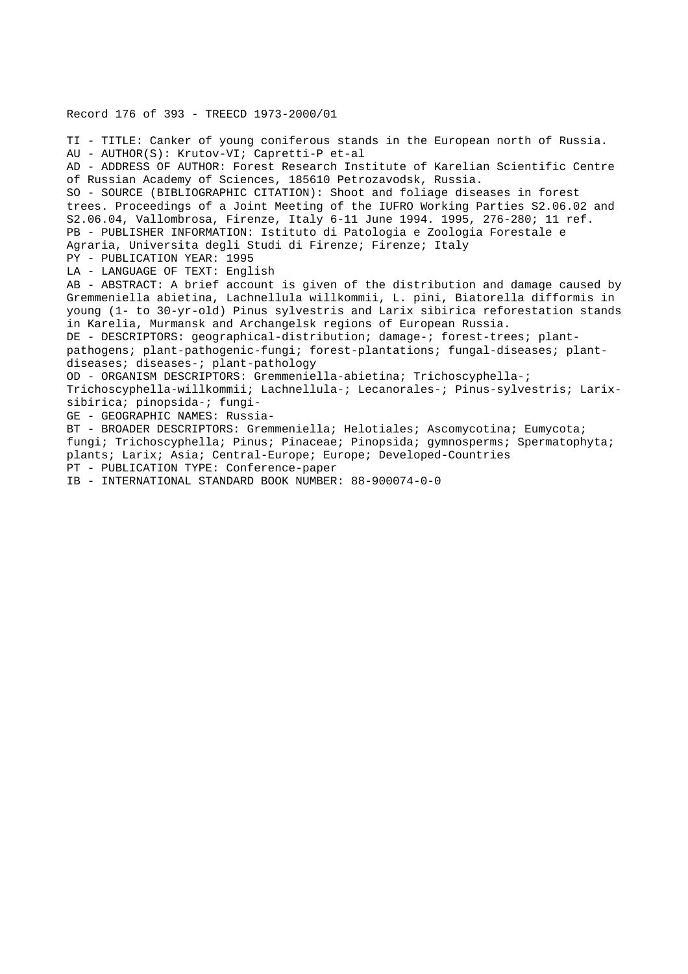Record 176 of 393 - TREECD 1973-2000/01

TI - TITLE: Canker of young coniferous stands in the European north of Russia. AU - AUTHOR(S): Krutov-VI; Capretti-P et-al AD - ADDRESS OF AUTHOR: Forest Research Institute of Karelian Scientific Centre of Russian Academy of Sciences, 185610 Petrozavodsk, Russia. SO - SOURCE (BIBLIOGRAPHIC CITATION): Shoot and foliage diseases in forest trees. Proceedings of a Joint Meeting of the IUFRO Working Parties S2.06.02 and S2.06.04, Vallombrosa, Firenze, Italy 6-11 June 1994. 1995, 276-280; 11 ref. PB - PUBLISHER INFORMATION: Istituto di Patologia e Zoologia Forestale e Agraria, Universita degli Studi di Firenze; Firenze; Italy PY - PUBLICATION YEAR: 1995 LA - LANGUAGE OF TEXT: English AB - ABSTRACT: A brief account is given of the distribution and damage caused by Gremmeniella abietina, Lachnellula willkommii, L. pini, Biatorella difformis in young (1- to 30-yr-old) Pinus sylvestris and Larix sibirica reforestation stands in Karelia, Murmansk and Archangelsk regions of European Russia. DE - DESCRIPTORS: geographical-distribution; damage-; forest-trees; plantpathogens; plant-pathogenic-fungi; forest-plantations; fungal-diseases; plantdiseases; diseases-; plant-pathology OD - ORGANISM DESCRIPTORS: Gremmeniella-abietina; Trichoscyphella-; Trichoscyphella-willkommii; Lachnellula-; Lecanorales-; Pinus-sylvestris; Larixsibirica; pinopsida-; fungi-GE - GEOGRAPHIC NAMES: Russia-BT - BROADER DESCRIPTORS: Gremmeniella; Helotiales; Ascomycotina; Eumycota; fungi; Trichoscyphella; Pinus; Pinaceae; Pinopsida; gymnosperms; Spermatophyta; plants; Larix; Asia; Central-Europe; Europe; Developed-Countries PT - PUBLICATION TYPE: Conference-paper

IB - INTERNATIONAL STANDARD BOOK NUMBER: 88-900074-0-0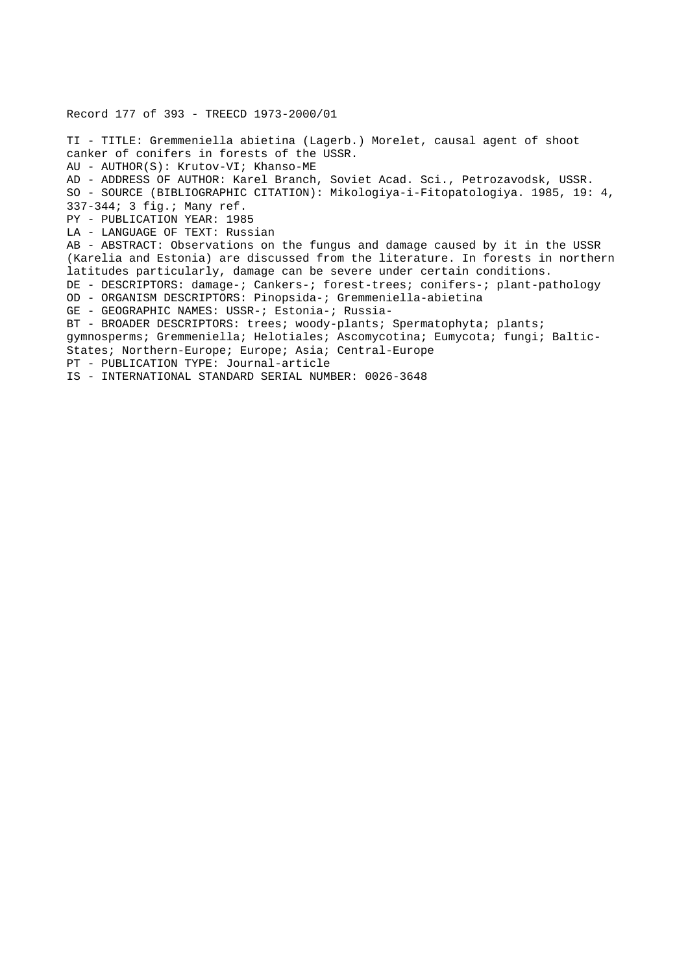Record 177 of 393 - TREECD 1973-2000/01 TI - TITLE: Gremmeniella abietina (Lagerb.) Morelet, causal agent of shoot canker of conifers in forests of the USSR. AU - AUTHOR(S): Krutov-VI; Khanso-ME AD - ADDRESS OF AUTHOR: Karel Branch, Soviet Acad. Sci., Petrozavodsk, USSR. SO - SOURCE (BIBLIOGRAPHIC CITATION): Mikologiya-i-Fitopatologiya. 1985, 19: 4, 337-344; 3 fig.; Many ref. PY - PUBLICATION YEAR: 1985 LA - LANGUAGE OF TEXT: Russian AB - ABSTRACT: Observations on the fungus and damage caused by it in the USSR (Karelia and Estonia) are discussed from the literature. In forests in northern latitudes particularly, damage can be severe under certain conditions. DE - DESCRIPTORS: damage-; Cankers-; forest-trees; conifers-; plant-pathology OD - ORGANISM DESCRIPTORS: Pinopsida-; Gremmeniella-abietina GE - GEOGRAPHIC NAMES: USSR-; Estonia-; Russia-BT - BROADER DESCRIPTORS: trees; woody-plants; Spermatophyta; plants; gymnosperms; Gremmeniella; Helotiales; Ascomycotina; Eumycota; fungi; Baltic-States; Northern-Europe; Europe; Asia; Central-Europe PT - PUBLICATION TYPE: Journal-article IS - INTERNATIONAL STANDARD SERIAL NUMBER: 0026-3648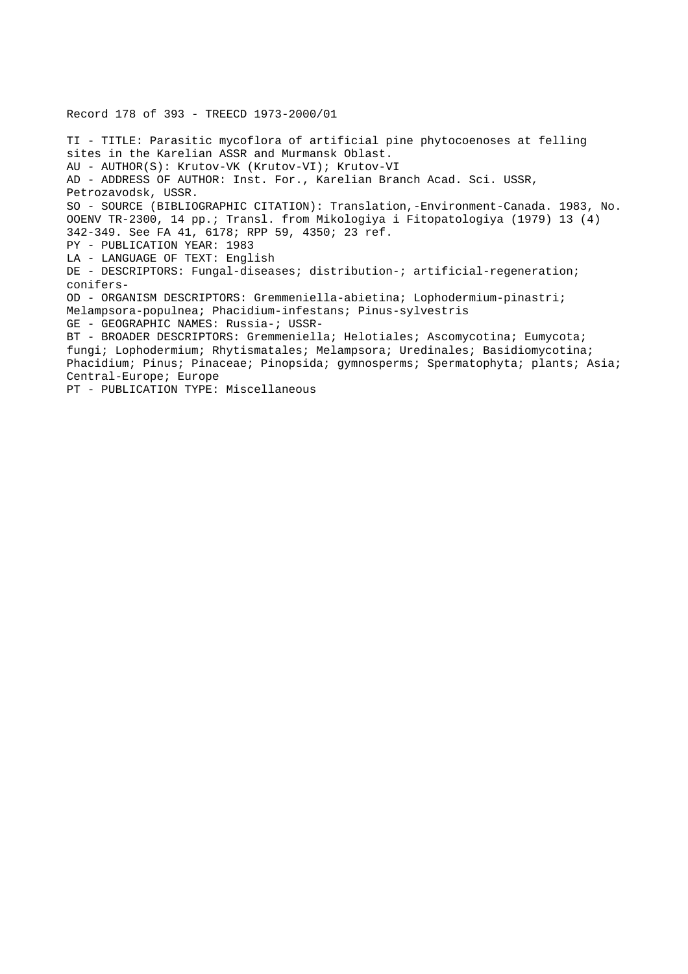Record 178 of 393 - TREECD 1973-2000/01

TI - TITLE: Parasitic mycoflora of artificial pine phytocoenoses at felling sites in the Karelian ASSR and Murmansk Oblast. AU - AUTHOR(S): Krutov-VK (Krutov-VI); Krutov-VI AD - ADDRESS OF AUTHOR: Inst. For., Karelian Branch Acad. Sci. USSR, Petrozavodsk, USSR. SO - SOURCE (BIBLIOGRAPHIC CITATION): Translation,-Environment-Canada. 1983, No. OOENV TR-2300, 14 pp.; Transl. from Mikologiya i Fitopatologiya (1979) 13 (4) 342-349. See FA 41, 6178; RPP 59, 4350; 23 ref. PY - PUBLICATION YEAR: 1983 LA - LANGUAGE OF TEXT: English DE - DESCRIPTORS: Fungal-diseases; distribution-; artificial-regeneration; conifers-OD - ORGANISM DESCRIPTORS: Gremmeniella-abietina; Lophodermium-pinastri; Melampsora-populnea; Phacidium-infestans; Pinus-sylvestris GE - GEOGRAPHIC NAMES: Russia-; USSR-BT - BROADER DESCRIPTORS: Gremmeniella; Helotiales; Ascomycotina; Eumycota; fungi; Lophodermium; Rhytismatales; Melampsora; Uredinales; Basidiomycotina; Phacidium; Pinus; Pinaceae; Pinopsida; gymnosperms; Spermatophyta; plants; Asia; Central-Europe; Europe PT - PUBLICATION TYPE: Miscellaneous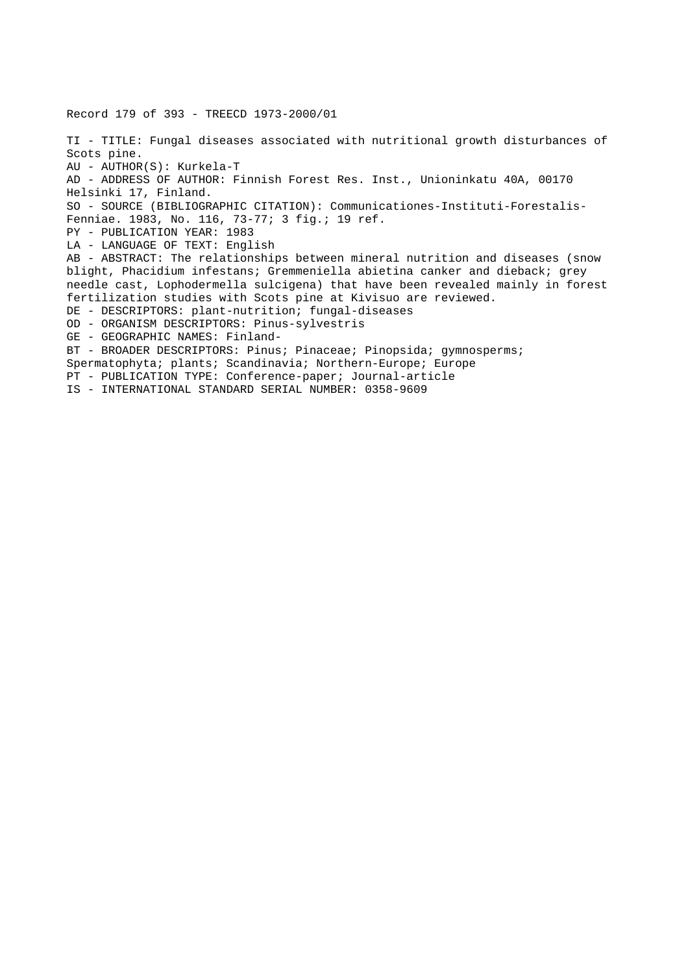Record 179 of 393 - TREECD 1973-2000/01 TI - TITLE: Fungal diseases associated with nutritional growth disturbances of Scots pine. AU - AUTHOR(S): Kurkela-T AD - ADDRESS OF AUTHOR: Finnish Forest Res. Inst., Unioninkatu 40A, 00170 Helsinki 17, Finland. SO - SOURCE (BIBLIOGRAPHIC CITATION): Communicationes-Instituti-Forestalis-Fenniae. 1983, No. 116, 73-77; 3 fig.; 19 ref. PY - PUBLICATION YEAR: 1983 LA - LANGUAGE OF TEXT: English AB - ABSTRACT: The relationships between mineral nutrition and diseases (snow blight, Phacidium infestans; Gremmeniella abietina canker and dieback; grey needle cast, Lophodermella sulcigena) that have been revealed mainly in forest fertilization studies with Scots pine at Kivisuo are reviewed. DE - DESCRIPTORS: plant-nutrition; fungal-diseases OD - ORGANISM DESCRIPTORS: Pinus-sylvestris GE - GEOGRAPHIC NAMES: Finland-BT - BROADER DESCRIPTORS: Pinus; Pinaceae; Pinopsida; gymnosperms; Spermatophyta; plants; Scandinavia; Northern-Europe; Europe PT - PUBLICATION TYPE: Conference-paper; Journal-article IS - INTERNATIONAL STANDARD SERIAL NUMBER: 0358-9609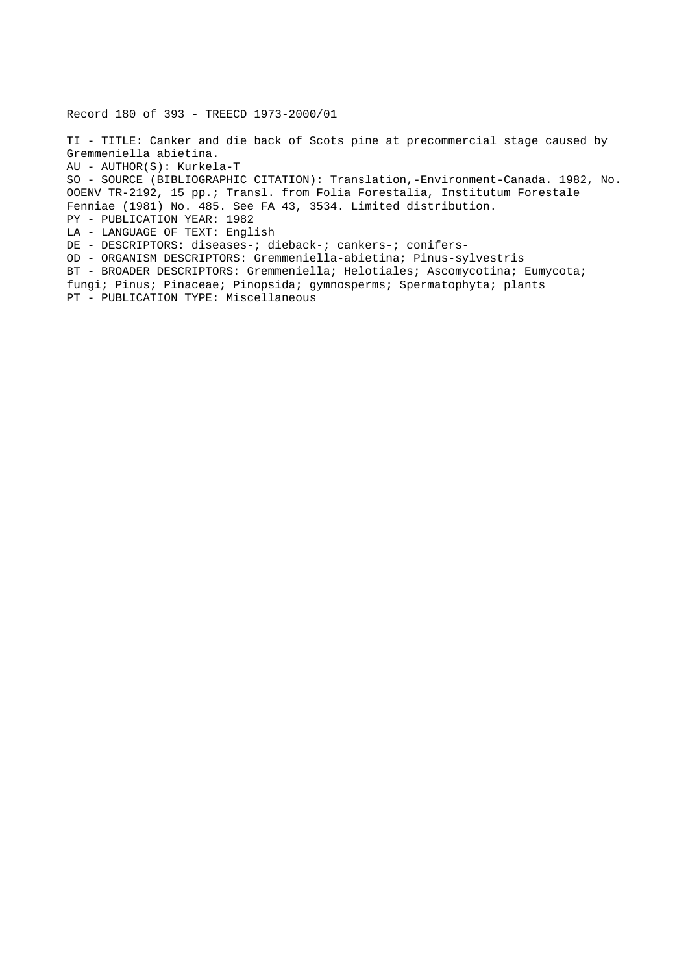Record 180 of 393 - TREECD 1973-2000/01

TI - TITLE: Canker and die back of Scots pine at precommercial stage caused by Gremmeniella abietina. AU - AUTHOR(S): Kurkela-T SO - SOURCE (BIBLIOGRAPHIC CITATION): Translation,-Environment-Canada. 1982, No. OOENV TR-2192, 15 pp.; Transl. from Folia Forestalia, Institutum Forestale Fenniae (1981) No. 485. See FA 43, 3534. Limited distribution. PY - PUBLICATION YEAR: 1982 LA - LANGUAGE OF TEXT: English DE - DESCRIPTORS: diseases-; dieback-; cankers-; conifers-OD - ORGANISM DESCRIPTORS: Gremmeniella-abietina; Pinus-sylvestris BT - BROADER DESCRIPTORS: Gremmeniella; Helotiales; Ascomycotina; Eumycota; fungi; Pinus; Pinaceae; Pinopsida; gymnosperms; Spermatophyta; plants

PT - PUBLICATION TYPE: Miscellaneous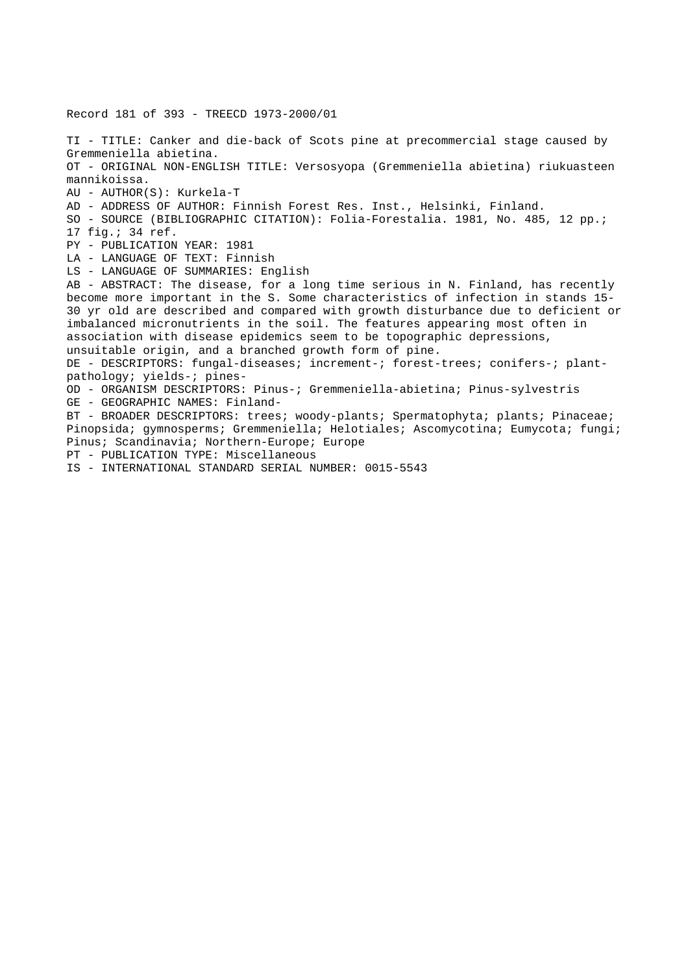Record 181 of 393 - TREECD 1973-2000/01 TI - TITLE: Canker and die-back of Scots pine at precommercial stage caused by Gremmeniella abietina. OT - ORIGINAL NON-ENGLISH TITLE: Versosyopa (Gremmeniella abietina) riukuasteen mannikoissa. AU - AUTHOR(S): Kurkela-T AD - ADDRESS OF AUTHOR: Finnish Forest Res. Inst., Helsinki, Finland. SO - SOURCE (BIBLIOGRAPHIC CITATION): Folia-Forestalia. 1981, No. 485, 12 pp.; 17 fig.; 34 ref. PY - PUBLICATION YEAR: 1981 LA - LANGUAGE OF TEXT: Finnish LS - LANGUAGE OF SUMMARIES: English AB - ABSTRACT: The disease, for a long time serious in N. Finland, has recently become more important in the S. Some characteristics of infection in stands 15- 30 yr old are described and compared with growth disturbance due to deficient or imbalanced micronutrients in the soil. The features appearing most often in association with disease epidemics seem to be topographic depressions, unsuitable origin, and a branched growth form of pine. DE - DESCRIPTORS: fungal-diseases; increment-; forest-trees; conifers-; plantpathology; yields-; pines-OD - ORGANISM DESCRIPTORS: Pinus-; Gremmeniella-abietina; Pinus-sylvestris GE - GEOGRAPHIC NAMES: Finland-BT - BROADER DESCRIPTORS: trees; woody-plants; Spermatophyta; plants; Pinaceae; Pinopsida; gymnosperms; Gremmeniella; Helotiales; Ascomycotina; Eumycota; fungi; Pinus; Scandinavia; Northern-Europe; Europe PT - PUBLICATION TYPE: Miscellaneous IS - INTERNATIONAL STANDARD SERIAL NUMBER: 0015-5543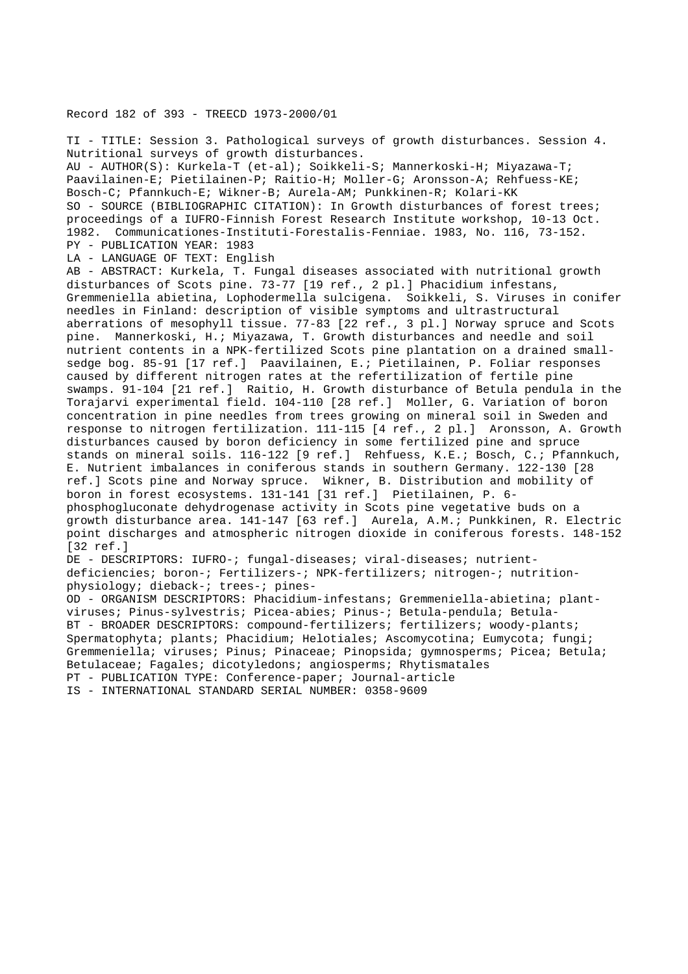# Record 182 of 393 - TREECD 1973-2000/01

TI - TITLE: Session 3. Pathological surveys of growth disturbances. Session 4. Nutritional surveys of growth disturbances. AU - AUTHOR(S): Kurkela-T (et-al); Soikkeli-S; Mannerkoski-H; Miyazawa-T; Paavilainen-E; Pietilainen-P; Raitio-H; Moller-G; Aronsson-A; Rehfuess-KE; Bosch-C; Pfannkuch-E; Wikner-B; Aurela-AM; Punkkinen-R; Kolari-KK SO - SOURCE (BIBLIOGRAPHIC CITATION): In Growth disturbances of forest trees; proceedings of a IUFRO-Finnish Forest Research Institute workshop, 10-13 Oct. 1982. Communicationes-Instituti-Forestalis-Fenniae. 1983, No. 116, 73-152. PY - PUBLICATION YEAR: 1983 LA - LANGUAGE OF TEXT: English AB - ABSTRACT: Kurkela, T. Fungal diseases associated with nutritional growth disturbances of Scots pine. 73-77 [19 ref., 2 pl.] Phacidium infestans, Gremmeniella abietina, Lophodermella sulcigena. Soikkeli, S. Viruses in conifer needles in Finland: description of visible symptoms and ultrastructural aberrations of mesophyll tissue. 77-83 [22 ref., 3 pl.] Norway spruce and Scots pine. Mannerkoski, H.; Miyazawa, T. Growth disturbances and needle and soil nutrient contents in a NPK-fertilized Scots pine plantation on a drained smallsedge bog. 85-91 [17 ref.] Paavilainen, E.; Pietilainen, P. Foliar responses caused by different nitrogen rates at the refertilization of fertile pine swamps. 91-104 [21 ref.] Raitio, H. Growth disturbance of Betula pendula in the Torajarvi experimental field. 104-110 [28 ref.] Moller, G. Variation of boron concentration in pine needles from trees growing on mineral soil in Sweden and response to nitrogen fertilization. 111-115 [4 ref., 2 pl.] Aronsson, A. Growth disturbances caused by boron deficiency in some fertilized pine and spruce stands on mineral soils. 116-122 [9 ref.] Rehfuess, K.E.; Bosch, C.; Pfannkuch, E. Nutrient imbalances in coniferous stands in southern Germany. 122-130 [28 ref.] Scots pine and Norway spruce. Wikner, B. Distribution and mobility of boron in forest ecosystems. 131-141 [31 ref.] Pietilainen, P. 6 phosphogluconate dehydrogenase activity in Scots pine vegetative buds on a growth disturbance area. 141-147 [63 ref.] Aurela, A.M.; Punkkinen, R. Electric point discharges and atmospheric nitrogen dioxide in coniferous forests. 148-152 [32 ref.] DE - DESCRIPTORS: IUFRO-; fungal-diseases; viral-diseases; nutrientdeficiencies; boron-; Fertilizers-; NPK-fertilizers; nitrogen-; nutritionphysiology; dieback-; trees-; pines-OD - ORGANISM DESCRIPTORS: Phacidium-infestans; Gremmeniella-abietina; plantviruses; Pinus-sylvestris; Picea-abies; Pinus-; Betula-pendula; Betula-BT - BROADER DESCRIPTORS: compound-fertilizers; fertilizers; woody-plants; Spermatophyta; plants; Phacidium; Helotiales; Ascomycotina; Eumycota; fungi; Gremmeniella; viruses; Pinus; Pinaceae; Pinopsida; gymnosperms; Picea; Betula; Betulaceae; Fagales; dicotyledons; angiosperms; Rhytismatales PT - PUBLICATION TYPE: Conference-paper; Journal-article IS - INTERNATIONAL STANDARD SERIAL NUMBER: 0358-9609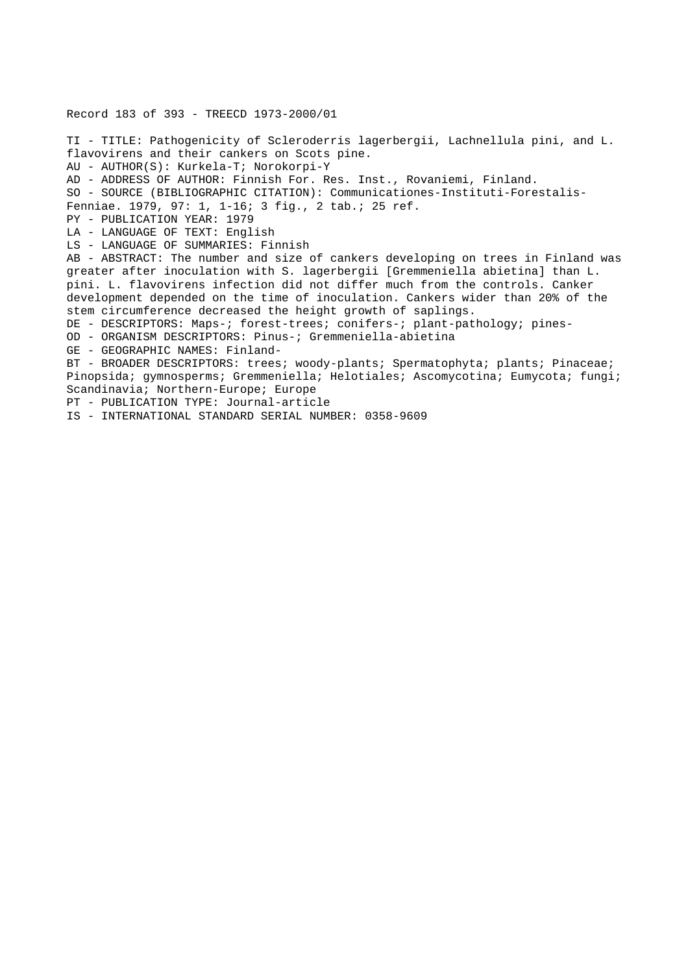## Record 183 of 393 - TREECD 1973-2000/01

TI - TITLE: Pathogenicity of Scleroderris lagerbergii, Lachnellula pini, and L. flavovirens and their cankers on Scots pine. AU - AUTHOR(S): Kurkela-T; Norokorpi-Y AD - ADDRESS OF AUTHOR: Finnish For. Res. Inst., Rovaniemi, Finland. SO - SOURCE (BIBLIOGRAPHIC CITATION): Communicationes-Instituti-Forestalis-Fenniae. 1979, 97: 1, 1-16; 3 fig., 2 tab.; 25 ref. PY - PUBLICATION YEAR: 1979 LA - LANGUAGE OF TEXT: English LS - LANGUAGE OF SUMMARIES: Finnish AB - ABSTRACT: The number and size of cankers developing on trees in Finland was greater after inoculation with S. lagerbergii [Gremmeniella abietina] than L. pini. L. flavovirens infection did not differ much from the controls. Canker development depended on the time of inoculation. Cankers wider than 20% of the stem circumference decreased the height growth of saplings. DE - DESCRIPTORS: Maps-; forest-trees; conifers-; plant-pathology; pines-OD - ORGANISM DESCRIPTORS: Pinus-; Gremmeniella-abietina GE - GEOGRAPHIC NAMES: Finland-BT - BROADER DESCRIPTORS: trees; woody-plants; Spermatophyta; plants; Pinaceae; Pinopsida; gymnosperms; Gremmeniella; Helotiales; Ascomycotina; Eumycota; fungi; Scandinavia; Northern-Europe; Europe PT - PUBLICATION TYPE: Journal-article

IS - INTERNATIONAL STANDARD SERIAL NUMBER: 0358-9609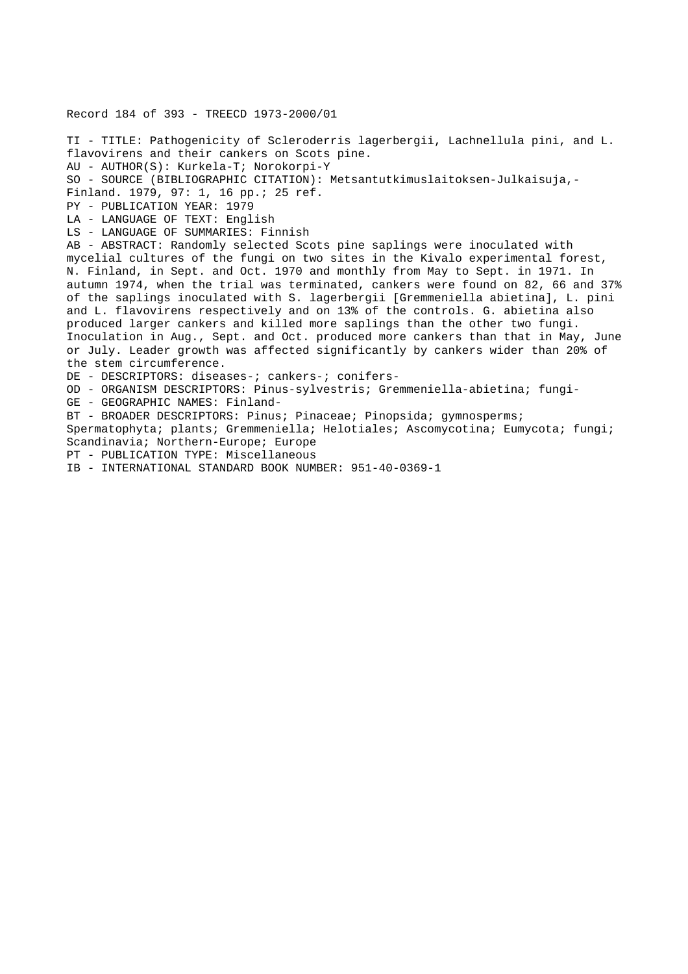# Record 184 of 393 - TREECD 1973-2000/01

TI - TITLE: Pathogenicity of Scleroderris lagerbergii, Lachnellula pini, and L. flavovirens and their cankers on Scots pine. AU - AUTHOR(S): Kurkela-T; Norokorpi-Y SO - SOURCE (BIBLIOGRAPHIC CITATION): Metsantutkimuslaitoksen-Julkaisuja,- Finland. 1979, 97: 1, 16 pp.; 25 ref. PY - PUBLICATION YEAR: 1979 LA - LANGUAGE OF TEXT: English LS - LANGUAGE OF SUMMARIES: Finnish AB - ABSTRACT: Randomly selected Scots pine saplings were inoculated with mycelial cultures of the fungi on two sites in the Kivalo experimental forest, N. Finland, in Sept. and Oct. 1970 and monthly from May to Sept. in 1971. In autumn 1974, when the trial was terminated, cankers were found on 82, 66 and 37% of the saplings inoculated with S. lagerbergii [Gremmeniella abietina], L. pini and L. flavovirens respectively and on 13% of the controls. G. abietina also produced larger cankers and killed more saplings than the other two fungi. Inoculation in Aug., Sept. and Oct. produced more cankers than that in May, June or July. Leader growth was affected significantly by cankers wider than 20% of the stem circumference. DE - DESCRIPTORS: diseases-; cankers-; conifers-OD - ORGANISM DESCRIPTORS: Pinus-sylvestris; Gremmeniella-abietina; fungi-GE - GEOGRAPHIC NAMES: Finland-BT - BROADER DESCRIPTORS: Pinus; Pinaceae; Pinopsida; gymnosperms; Spermatophyta; plants; Gremmeniella; Helotiales; Ascomycotina; Eumycota; fungi; Scandinavia; Northern-Europe; Europe PT - PUBLICATION TYPE: Miscellaneous

IB - INTERNATIONAL STANDARD BOOK NUMBER: 951-40-0369-1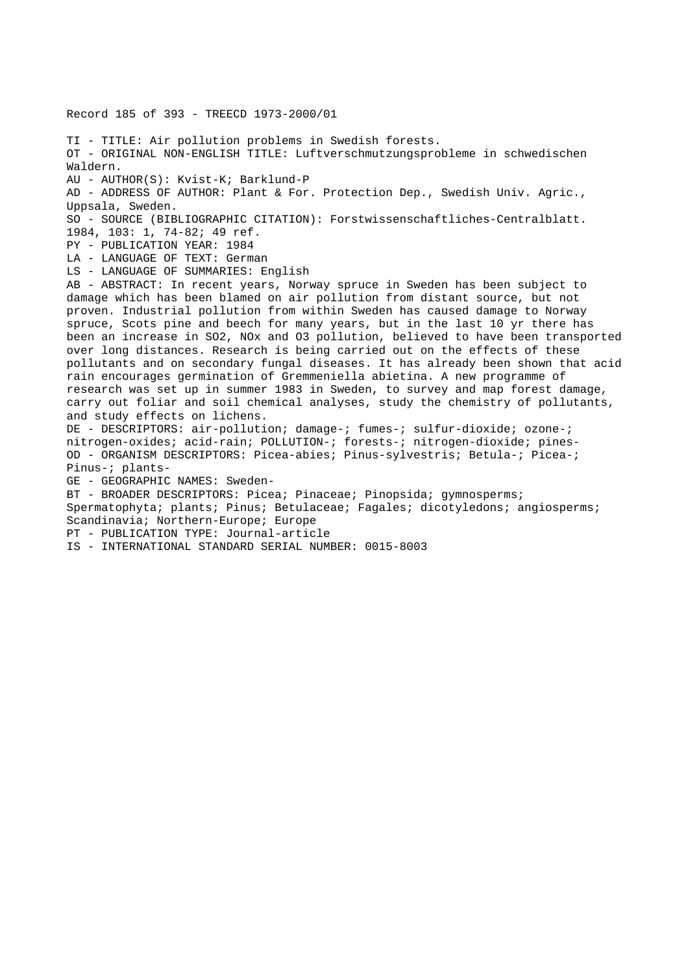Record 185 of 393 - TREECD 1973-2000/01 TI - TITLE: Air pollution problems in Swedish forests. OT - ORIGINAL NON-ENGLISH TITLE: Luftverschmutzungsprobleme in schwedischen Waldern. AU - AUTHOR(S): Kvist-K; Barklund-P AD - ADDRESS OF AUTHOR: Plant & For. Protection Dep., Swedish Univ. Agric., Uppsala, Sweden. SO - SOURCE (BIBLIOGRAPHIC CITATION): Forstwissenschaftliches-Centralblatt. 1984, 103: 1, 74-82; 49 ref. PY - PUBLICATION YEAR: 1984 LA - LANGUAGE OF TEXT: German LS - LANGUAGE OF SUMMARIES: English AB - ABSTRACT: In recent years, Norway spruce in Sweden has been subject to damage which has been blamed on air pollution from distant source, but not proven. Industrial pollution from within Sweden has caused damage to Norway spruce, Scots pine and beech for many years, but in the last 10 yr there has been an increase in SO2, NOx and O3 pollution, believed to have been transported over long distances. Research is being carried out on the effects of these pollutants and on secondary fungal diseases. It has already been shown that acid rain encourages germination of Gremmeniella abietina. A new programme of research was set up in summer 1983 in Sweden, to survey and map forest damage, carry out foliar and soil chemical analyses, study the chemistry of pollutants, and study effects on lichens. DE - DESCRIPTORS: air-pollution; damage-; fumes-; sulfur-dioxide; ozone-; nitrogen-oxides; acid-rain; POLLUTION-; forests-; nitrogen-dioxide; pines-OD - ORGANISM DESCRIPTORS: Picea-abies; Pinus-sylvestris; Betula-; Picea-; Pinus-; plants-GE - GEOGRAPHIC NAMES: Sweden-BT - BROADER DESCRIPTORS: Picea; Pinaceae; Pinopsida; gymnosperms; Spermatophyta; plants; Pinus; Betulaceae; Fagales; dicotyledons; angiosperms; Scandinavia; Northern-Europe; Europe PT - PUBLICATION TYPE: Journal-article IS - INTERNATIONAL STANDARD SERIAL NUMBER: 0015-8003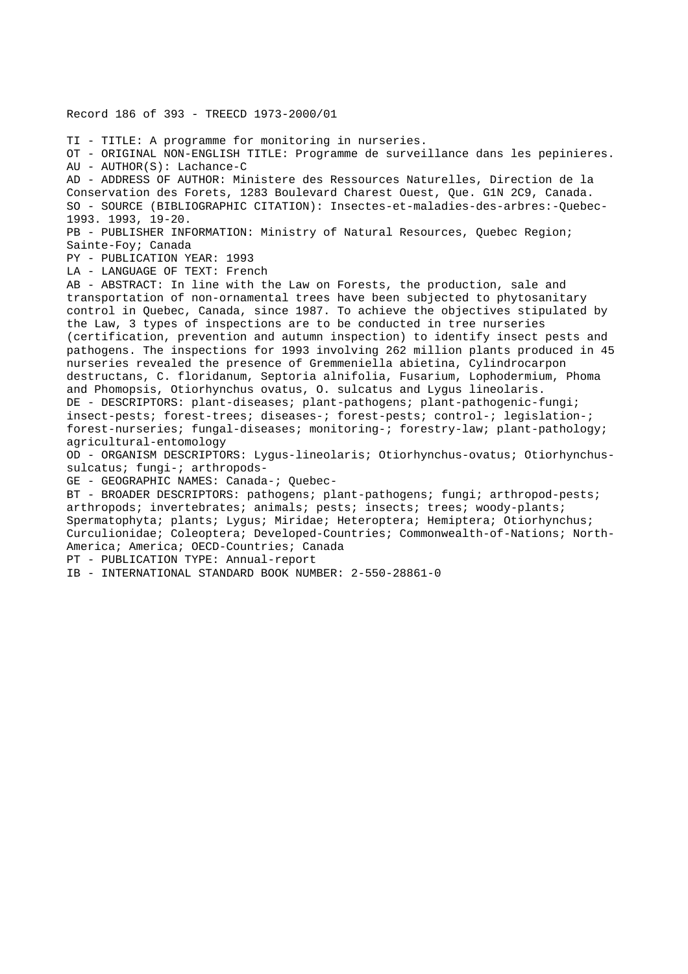Record 186 of 393 - TREECD 1973-2000/01 TI - TITLE: A programme for monitoring in nurseries. OT - ORIGINAL NON-ENGLISH TITLE: Programme de surveillance dans les pepinieres. AU - AUTHOR(S): Lachance-C AD - ADDRESS OF AUTHOR: Ministere des Ressources Naturelles, Direction de la Conservation des Forets, 1283 Boulevard Charest Ouest, Que. G1N 2C9, Canada. SO - SOURCE (BIBLIOGRAPHIC CITATION): Insectes-et-maladies-des-arbres:-Quebec-1993. 1993, 19-20. PB - PUBLISHER INFORMATION: Ministry of Natural Resources, Quebec Region; Sainte-Foy; Canada PY - PUBLICATION YEAR: 1993 LA - LANGUAGE OF TEXT: French AB - ABSTRACT: In line with the Law on Forests, the production, sale and transportation of non-ornamental trees have been subjected to phytosanitary control in Quebec, Canada, since 1987. To achieve the objectives stipulated by the Law, 3 types of inspections are to be conducted in tree nurseries (certification, prevention and autumn inspection) to identify insect pests and pathogens. The inspections for 1993 involving 262 million plants produced in 45 nurseries revealed the presence of Gremmeniella abietina, Cylindrocarpon destructans, C. floridanum, Septoria alnifolia, Fusarium, Lophodermium, Phoma and Phomopsis, Otiorhynchus ovatus, O. sulcatus and Lygus lineolaris. DE - DESCRIPTORS: plant-diseases; plant-pathogens; plant-pathogenic-fungi; insect-pests; forest-trees; diseases-; forest-pests; control-; legislation-; forest-nurseries; fungal-diseases; monitoring-; forestry-law; plant-pathology; agricultural-entomology OD - ORGANISM DESCRIPTORS: Lygus-lineolaris; Otiorhynchus-ovatus; Otiorhynchussulcatus; fungi-; arthropods-GE - GEOGRAPHIC NAMES: Canada-; Quebec-BT - BROADER DESCRIPTORS: pathogens; plant-pathogens; fungi; arthropod-pests; arthropods; invertebrates; animals; pests; insects; trees; woody-plants; Spermatophyta; plants; Lygus; Miridae; Heteroptera; Hemiptera; Otiorhynchus; Curculionidae; Coleoptera; Developed-Countries; Commonwealth-of-Nations; North-America; America; OECD-Countries; Canada PT - PUBLICATION TYPE: Annual-report IB - INTERNATIONAL STANDARD BOOK NUMBER: 2-550-28861-0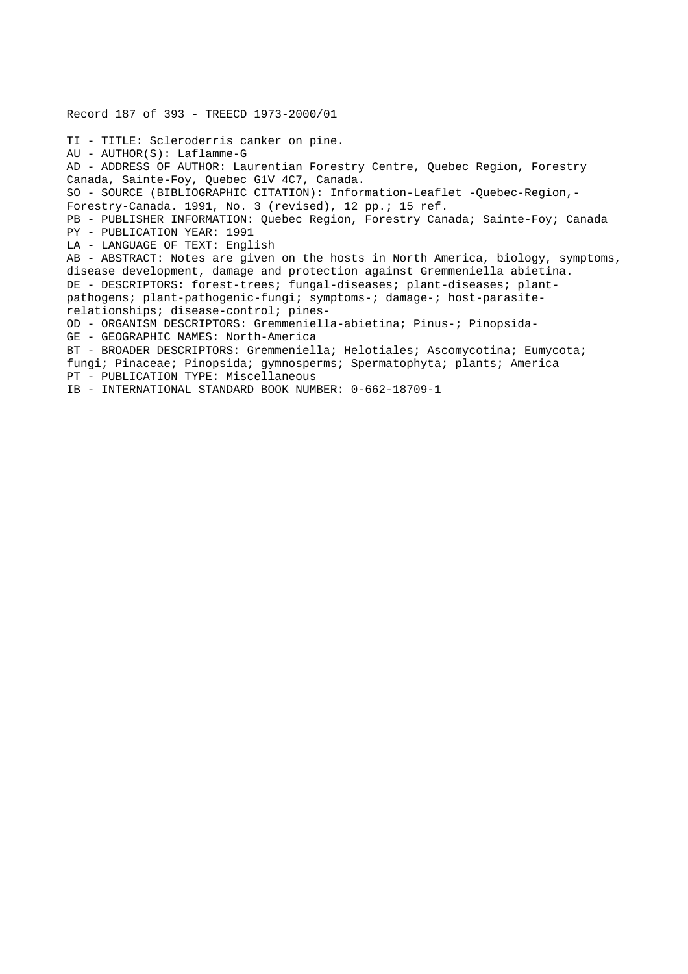Record 187 of 393 - TREECD 1973-2000/01 TI - TITLE: Scleroderris canker on pine. AU - AUTHOR(S): Laflamme-G AD - ADDRESS OF AUTHOR: Laurentian Forestry Centre, Quebec Region, Forestry Canada, Sainte-Foy, Quebec G1V 4C7, Canada. SO - SOURCE (BIBLIOGRAPHIC CITATION): Information-Leaflet -Quebec-Region,- Forestry-Canada. 1991, No. 3 (revised), 12 pp.; 15 ref. PB - PUBLISHER INFORMATION: Quebec Region, Forestry Canada; Sainte-Foy; Canada PY - PUBLICATION YEAR: 1991 LA - LANGUAGE OF TEXT: English AB - ABSTRACT: Notes are given on the hosts in North America, biology, symptoms, disease development, damage and protection against Gremmeniella abietina. DE - DESCRIPTORS: forest-trees; fungal-diseases; plant-diseases; plantpathogens; plant-pathogenic-fungi; symptoms-; damage-; host-parasiterelationships; disease-control; pines-OD - ORGANISM DESCRIPTORS: Gremmeniella-abietina; Pinus-; Pinopsida-GE - GEOGRAPHIC NAMES: North-America BT - BROADER DESCRIPTORS: Gremmeniella; Helotiales; Ascomycotina; Eumycota; fungi; Pinaceae; Pinopsida; gymnosperms; Spermatophyta; plants; America PT - PUBLICATION TYPE: Miscellaneous IB - INTERNATIONAL STANDARD BOOK NUMBER: 0-662-18709-1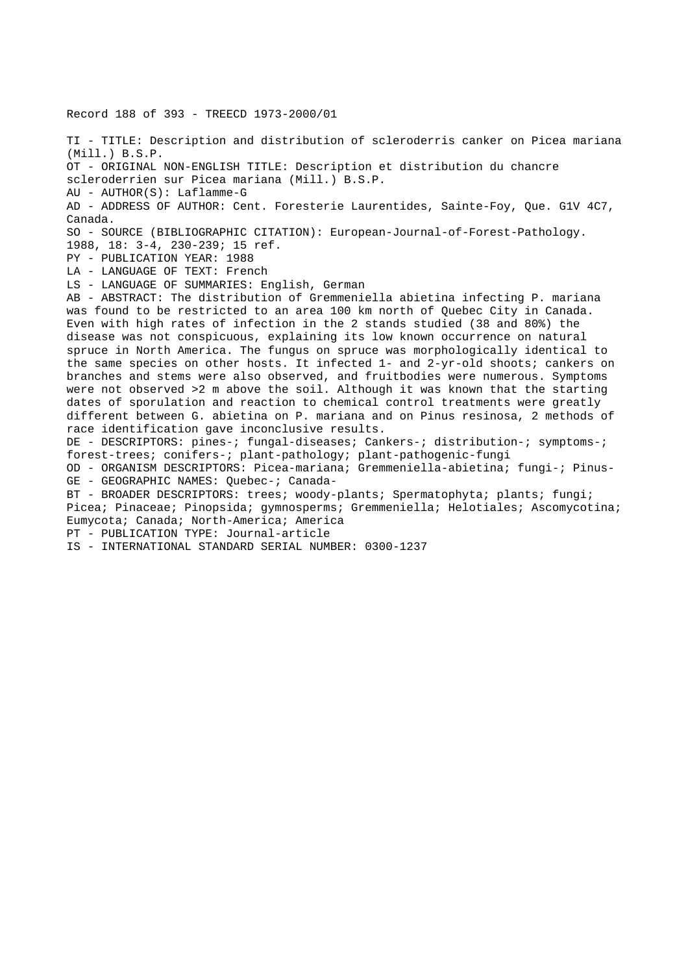Record 188 of 393 - TREECD 1973-2000/01 TI - TITLE: Description and distribution of scleroderris canker on Picea mariana (Mill.) B.S.P. OT - ORIGINAL NON-ENGLISH TITLE: Description et distribution du chancre scleroderrien sur Picea mariana (Mill.) B.S.P. AU - AUTHOR(S): Laflamme-G AD - ADDRESS OF AUTHOR: Cent. Foresterie Laurentides, Sainte-Foy, Que. G1V 4C7, Canada. SO - SOURCE (BIBLIOGRAPHIC CITATION): European-Journal-of-Forest-Pathology. 1988, 18: 3-4, 230-239; 15 ref. PY - PUBLICATION YEAR: 1988 LA - LANGUAGE OF TEXT: French LS - LANGUAGE OF SUMMARIES: English, German AB - ABSTRACT: The distribution of Gremmeniella abietina infecting P. mariana was found to be restricted to an area 100 km north of Quebec City in Canada. Even with high rates of infection in the 2 stands studied (38 and 80%) the disease was not conspicuous, explaining its low known occurrence on natural spruce in North America. The fungus on spruce was morphologically identical to the same species on other hosts. It infected 1- and 2-yr-old shoots; cankers on branches and stems were also observed, and fruitbodies were numerous. Symptoms were not observed >2 m above the soil. Although it was known that the starting dates of sporulation and reaction to chemical control treatments were greatly different between G. abietina on P. mariana and on Pinus resinosa, 2 methods of race identification gave inconclusive results. DE - DESCRIPTORS: pines-; fungal-diseases; Cankers-; distribution-; symptoms-; forest-trees; conifers-; plant-pathology; plant-pathogenic-fungi OD - ORGANISM DESCRIPTORS: Picea-mariana; Gremmeniella-abietina; fungi-; Pinus-GE - GEOGRAPHIC NAMES: Quebec-; Canada-BT - BROADER DESCRIPTORS: trees; woody-plants; Spermatophyta; plants; fungi; Picea; Pinaceae; Pinopsida; gymnosperms; Gremmeniella; Helotiales; Ascomycotina; Eumycota; Canada; North-America; America PT - PUBLICATION TYPE: Journal-article

IS - INTERNATIONAL STANDARD SERIAL NUMBER: 0300-1237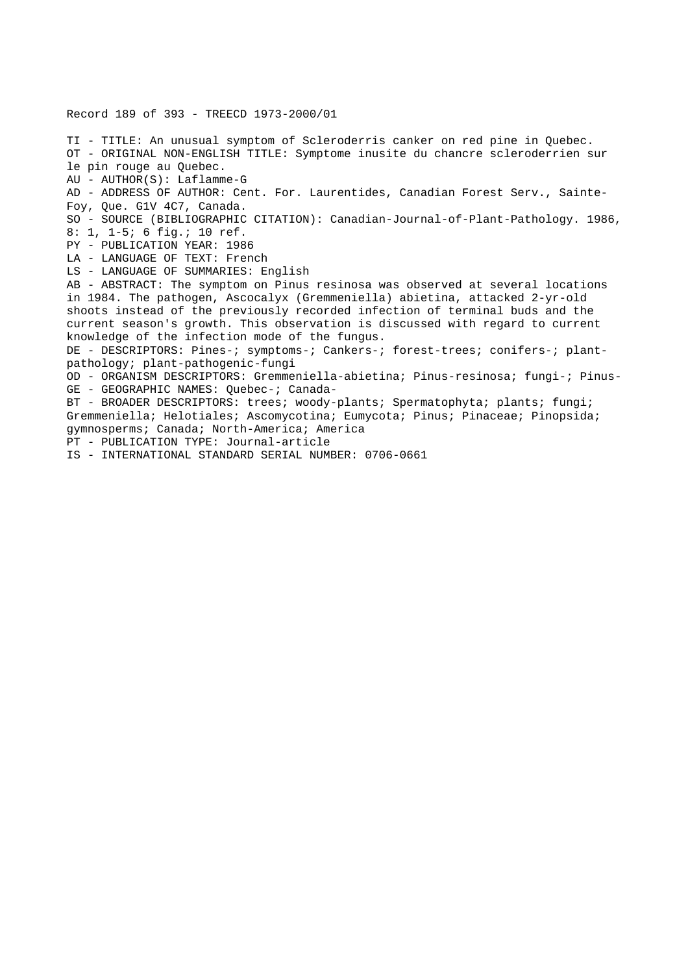Record 189 of 393 - TREECD 1973-2000/01

TI - TITLE: An unusual symptom of Scleroderris canker on red pine in Quebec. OT - ORIGINAL NON-ENGLISH TITLE: Symptome inusite du chancre scleroderrien sur le pin rouge au Quebec. AU - AUTHOR(S): Laflamme-G AD - ADDRESS OF AUTHOR: Cent. For. Laurentides, Canadian Forest Serv., Sainte-Foy, Que. G1V 4C7, Canada. SO - SOURCE (BIBLIOGRAPHIC CITATION): Canadian-Journal-of-Plant-Pathology. 1986, 8: 1, 1-5; 6 fig.; 10 ref. PY - PUBLICATION YEAR: 1986 LA - LANGUAGE OF TEXT: French LS - LANGUAGE OF SUMMARIES: English AB - ABSTRACT: The symptom on Pinus resinosa was observed at several locations in 1984. The pathogen, Ascocalyx (Gremmeniella) abietina, attacked 2-yr-old shoots instead of the previously recorded infection of terminal buds and the current season's growth. This observation is discussed with regard to current knowledge of the infection mode of the fungus. DE - DESCRIPTORS: Pines-; symptoms-; Cankers-; forest-trees; conifers-; plantpathology; plant-pathogenic-fungi OD - ORGANISM DESCRIPTORS: Gremmeniella-abietina; Pinus-resinosa; fungi-; Pinus-GE - GEOGRAPHIC NAMES: Quebec-; Canada-BT - BROADER DESCRIPTORS: trees; woody-plants; Spermatophyta; plants; fungi; Gremmeniella; Helotiales; Ascomycotina; Eumycota; Pinus; Pinaceae; Pinopsida; gymnosperms; Canada; North-America; America PT - PUBLICATION TYPE: Journal-article IS - INTERNATIONAL STANDARD SERIAL NUMBER: 0706-0661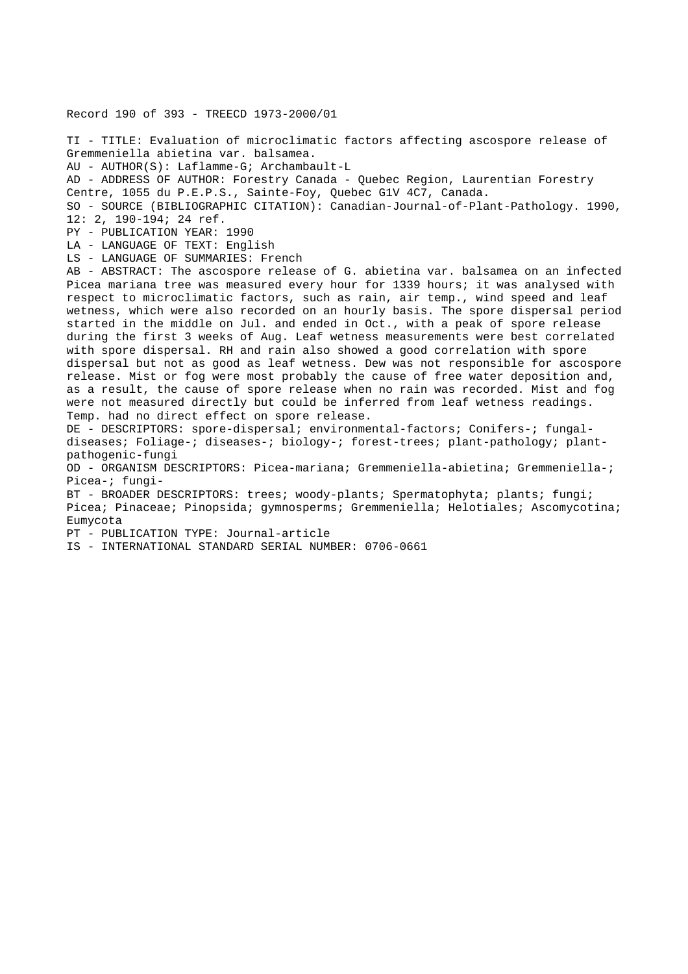Record 190 of 393 - TREECD 1973-2000/01 TI - TITLE: Evaluation of microclimatic factors affecting ascospore release of Gremmeniella abietina var. balsamea. AU - AUTHOR(S): Laflamme-G; Archambault-L AD - ADDRESS OF AUTHOR: Forestry Canada - Quebec Region, Laurentian Forestry Centre, 1055 du P.E.P.S., Sainte-Foy, Quebec G1V 4C7, Canada. SO - SOURCE (BIBLIOGRAPHIC CITATION): Canadian-Journal-of-Plant-Pathology. 1990, 12: 2, 190-194; 24 ref. PY - PUBLICATION YEAR: 1990 LA - LANGUAGE OF TEXT: English LS - LANGUAGE OF SUMMARIES: French AB - ABSTRACT: The ascospore release of G. abietina var. balsamea on an infected Picea mariana tree was measured every hour for 1339 hours; it was analysed with respect to microclimatic factors, such as rain, air temp., wind speed and leaf wetness, which were also recorded on an hourly basis. The spore dispersal period started in the middle on Jul. and ended in Oct., with a peak of spore release during the first 3 weeks of Aug. Leaf wetness measurements were best correlated with spore dispersal. RH and rain also showed a good correlation with spore dispersal but not as good as leaf wetness. Dew was not responsible for ascospore release. Mist or fog were most probably the cause of free water deposition and, as a result, the cause of spore release when no rain was recorded. Mist and fog were not measured directly but could be inferred from leaf wetness readings. Temp. had no direct effect on spore release. DE - DESCRIPTORS: spore-dispersal; environmental-factors; Conifers-; fungaldiseases; Foliage-; diseases-; biology-; forest-trees; plant-pathology; plantpathogenic-fungi OD - ORGANISM DESCRIPTORS: Picea-mariana; Gremmeniella-abietina; Gremmeniella-; Picea-; fungi-BT - BROADER DESCRIPTORS: trees; woody-plants; Spermatophyta; plants; fungi; Picea; Pinaceae; Pinopsida; gymnosperms; Gremmeniella; Helotiales; Ascomycotina; Eumycota PT - PUBLICATION TYPE: Journal-article IS - INTERNATIONAL STANDARD SERIAL NUMBER: 0706-0661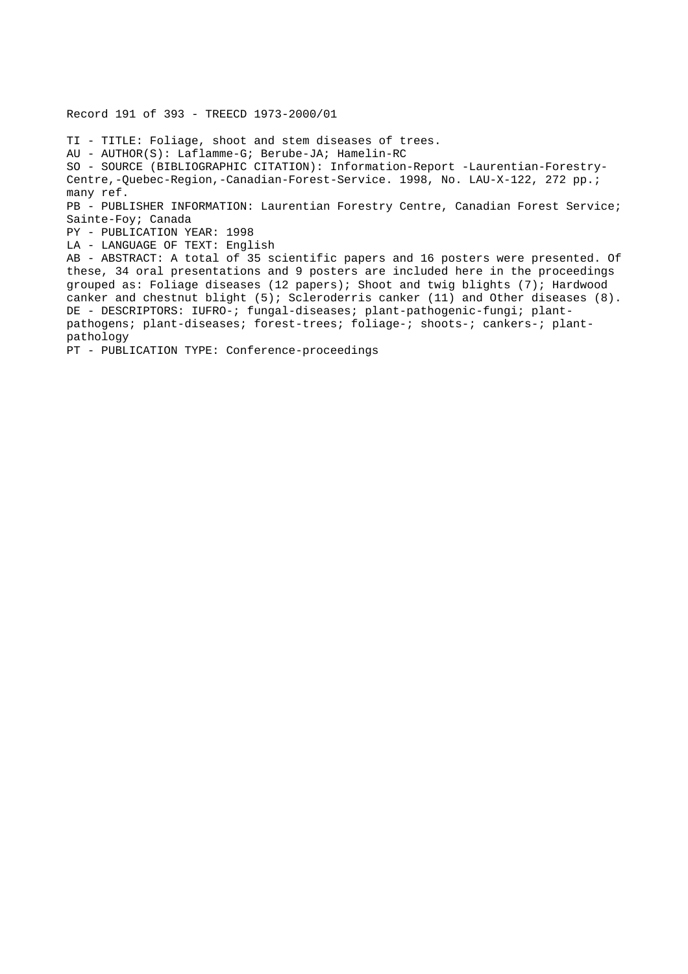TI - TITLE: Foliage, shoot and stem diseases of trees. AU - AUTHOR(S): Laflamme-G; Berube-JA; Hamelin-RC SO - SOURCE (BIBLIOGRAPHIC CITATION): Information-Report -Laurentian-Forestry-Centre,-Quebec-Region,-Canadian-Forest-Service. 1998, No. LAU-X-122, 272 pp.; many ref. PB - PUBLISHER INFORMATION: Laurentian Forestry Centre, Canadian Forest Service; Sainte-Foy; Canada PY - PUBLICATION YEAR: 1998 LA - LANGUAGE OF TEXT: English AB - ABSTRACT: A total of 35 scientific papers and 16 posters were presented. Of these, 34 oral presentations and 9 posters are included here in the proceedings grouped as: Foliage diseases (12 papers); Shoot and twig blights (7); Hardwood canker and chestnut blight (5); Scleroderris canker (11) and Other diseases (8). DE - DESCRIPTORS: IUFRO-; fungal-diseases; plant-pathogenic-fungi; plantpathogens; plant-diseases; forest-trees; foliage-; shoots-; cankers-; plantpathology PT - PUBLICATION TYPE: Conference-proceedings

Record 191 of 393 - TREECD 1973-2000/01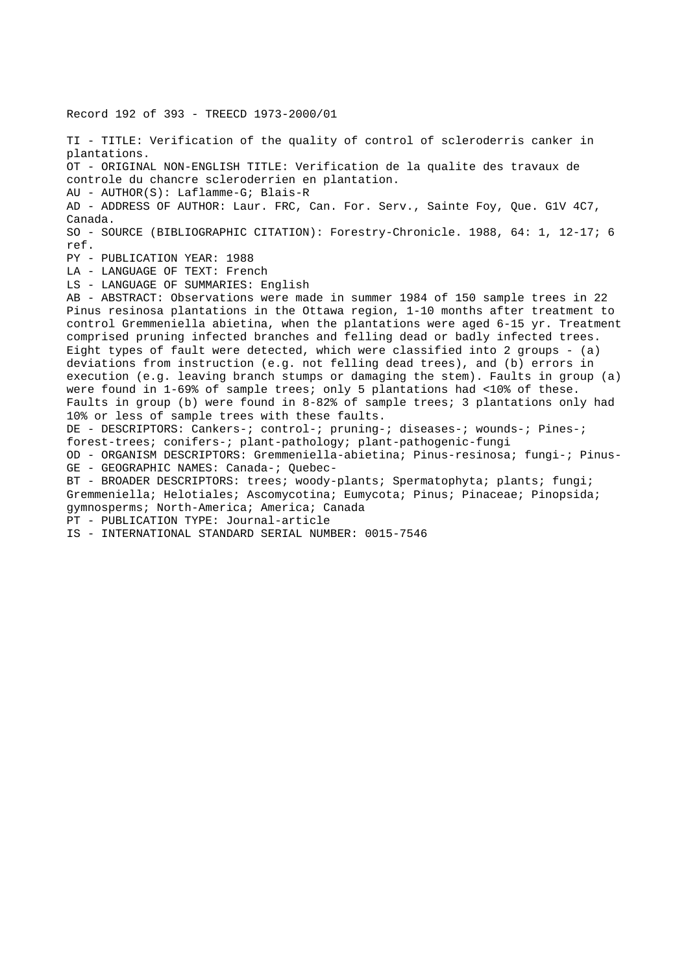Record 192 of 393 - TREECD 1973-2000/01 TI - TITLE: Verification of the quality of control of scleroderris canker in plantations. OT - ORIGINAL NON-ENGLISH TITLE: Verification de la qualite des travaux de controle du chancre scleroderrien en plantation. AU - AUTHOR(S): Laflamme-G; Blais-R AD - ADDRESS OF AUTHOR: Laur. FRC, Can. For. Serv., Sainte Foy, Que. G1V 4C7, Canada. SO - SOURCE (BIBLIOGRAPHIC CITATION): Forestry-Chronicle. 1988, 64: 1, 12-17; 6 ref. PY - PUBLICATION YEAR: 1988 LA - LANGUAGE OF TEXT: French LS - LANGUAGE OF SUMMARIES: English AB - ABSTRACT: Observations were made in summer 1984 of 150 sample trees in 22 Pinus resinosa plantations in the Ottawa region, 1-10 months after treatment to control Gremmeniella abietina, when the plantations were aged 6-15 yr. Treatment comprised pruning infected branches and felling dead or badly infected trees. Eight types of fault were detected, which were classified into 2 groups - (a) deviations from instruction (e.g. not felling dead trees), and (b) errors in execution (e.g. leaving branch stumps or damaging the stem). Faults in group (a) were found in 1-69% of sample trees; only 5 plantations had <10% of these. Faults in group (b) were found in 8-82% of sample trees; 3 plantations only had 10% or less of sample trees with these faults. DE - DESCRIPTORS: Cankers-; control-; pruning-; diseases-; wounds-; Pines-; forest-trees; conifers-; plant-pathology; plant-pathogenic-fungi OD - ORGANISM DESCRIPTORS: Gremmeniella-abietina; Pinus-resinosa; fungi-; Pinus-GE - GEOGRAPHIC NAMES: Canada-; Quebec-BT - BROADER DESCRIPTORS: trees; woody-plants; Spermatophyta; plants; fungi; Gremmeniella; Helotiales; Ascomycotina; Eumycota; Pinus; Pinaceae; Pinopsida; gymnosperms; North-America; America; Canada PT - PUBLICATION TYPE: Journal-article IS - INTERNATIONAL STANDARD SERIAL NUMBER: 0015-7546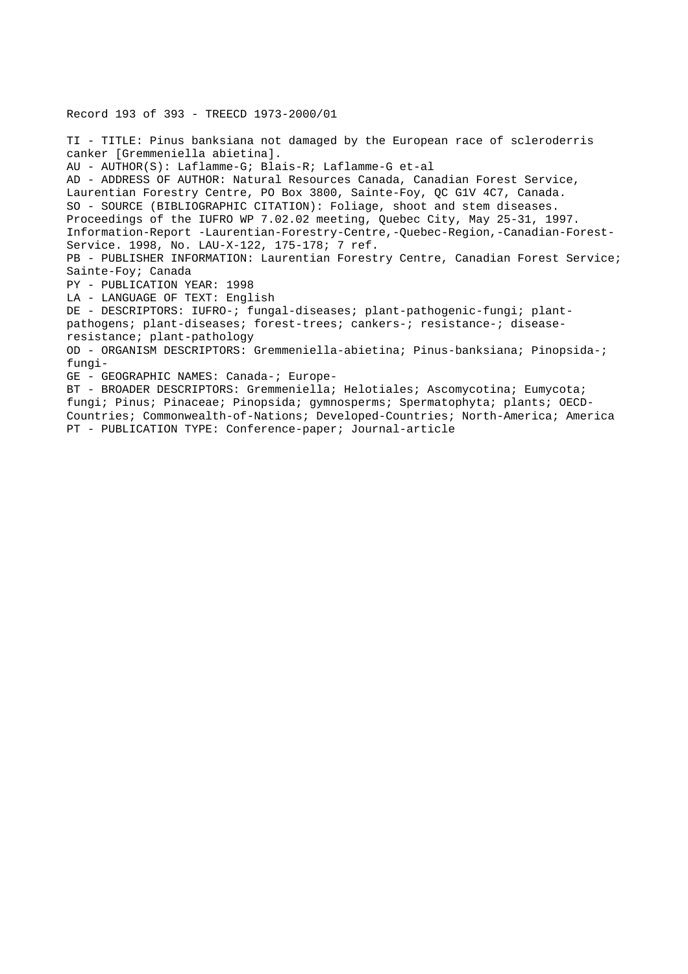TI - TITLE: Pinus banksiana not damaged by the European race of scleroderris canker [Gremmeniella abietina]. AU - AUTHOR(S): Laflamme-G; Blais-R; Laflamme-G et-al AD - ADDRESS OF AUTHOR: Natural Resources Canada, Canadian Forest Service, Laurentian Forestry Centre, PO Box 3800, Sainte-Foy, QC G1V 4C7, Canada. SO - SOURCE (BIBLIOGRAPHIC CITATION): Foliage, shoot and stem diseases. Proceedings of the IUFRO WP 7.02.02 meeting, Quebec City, May 25-31, 1997. Information-Report -Laurentian-Forestry-Centre,-Quebec-Region,-Canadian-Forest-Service. 1998, No. LAU-X-122, 175-178; 7 ref. PB - PUBLISHER INFORMATION: Laurentian Forestry Centre, Canadian Forest Service; Sainte-Foy; Canada PY - PUBLICATION YEAR: 1998 LA - LANGUAGE OF TEXT: English DE - DESCRIPTORS: IUFRO-; fungal-diseases; plant-pathogenic-fungi; plantpathogens; plant-diseases; forest-trees; cankers-; resistance-; diseaseresistance; plant-pathology OD - ORGANISM DESCRIPTORS: Gremmeniella-abietina; Pinus-banksiana; Pinopsida-; fungi-GE - GEOGRAPHIC NAMES: Canada-; Europe-BT - BROADER DESCRIPTORS: Gremmeniella; Helotiales; Ascomycotina; Eumycota; fungi; Pinus; Pinaceae; Pinopsida; gymnosperms; Spermatophyta; plants; OECD-Countries; Commonwealth-of-Nations; Developed-Countries; North-America; America PT - PUBLICATION TYPE: Conference-paper; Journal-article

Record 193 of 393 - TREECD 1973-2000/01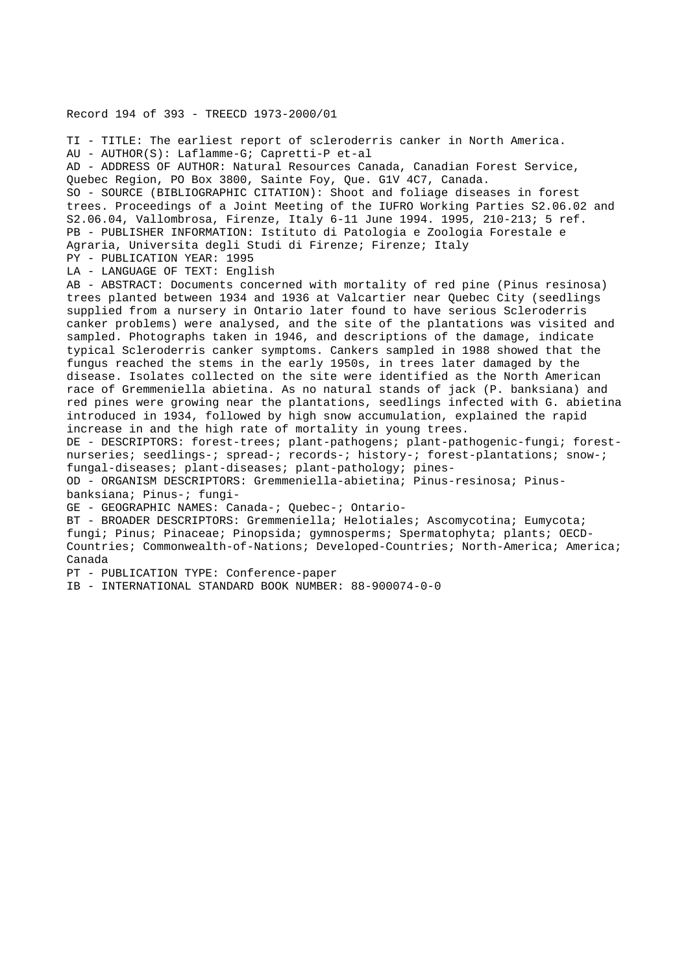Record 194 of 393 - TREECD 1973-2000/01

TI - TITLE: The earliest report of scleroderris canker in North America. AU - AUTHOR(S): Laflamme-G; Capretti-P et-al AD - ADDRESS OF AUTHOR: Natural Resources Canada, Canadian Forest Service, Quebec Region, PO Box 3800, Sainte Foy, Que. G1V 4C7, Canada. SO - SOURCE (BIBLIOGRAPHIC CITATION): Shoot and foliage diseases in forest trees. Proceedings of a Joint Meeting of the IUFRO Working Parties S2.06.02 and S2.06.04, Vallombrosa, Firenze, Italy 6-11 June 1994. 1995, 210-213; 5 ref. PB - PUBLISHER INFORMATION: Istituto di Patologia e Zoologia Forestale e Agraria, Universita degli Studi di Firenze; Firenze; Italy PY - PUBLICATION YEAR: 1995 LA - LANGUAGE OF TEXT: English AB - ABSTRACT: Documents concerned with mortality of red pine (Pinus resinosa) trees planted between 1934 and 1936 at Valcartier near Quebec City (seedlings supplied from a nursery in Ontario later found to have serious Scleroderris canker problems) were analysed, and the site of the plantations was visited and sampled. Photographs taken in 1946, and descriptions of the damage, indicate typical Scleroderris canker symptoms. Cankers sampled in 1988 showed that the fungus reached the stems in the early 1950s, in trees later damaged by the disease. Isolates collected on the site were identified as the North American race of Gremmeniella abietina. As no natural stands of jack (P. banksiana) and red pines were growing near the plantations, seedlings infected with G. abietina introduced in 1934, followed by high snow accumulation, explained the rapid increase in and the high rate of mortality in young trees. DE - DESCRIPTORS: forest-trees; plant-pathogens; plant-pathogenic-fungi; forestnurseries; seedlings-; spread-; records-; history-; forest-plantations; snow-; fungal-diseases; plant-diseases; plant-pathology; pines-OD - ORGANISM DESCRIPTORS: Gremmeniella-abietina; Pinus-resinosa; Pinusbanksiana; Pinus-; fungi-GE - GEOGRAPHIC NAMES: Canada-; Quebec-; Ontario-BT - BROADER DESCRIPTORS: Gremmeniella; Helotiales; Ascomycotina; Eumycota; fungi; Pinus; Pinaceae; Pinopsida; gymnosperms; Spermatophyta; plants; OECD-Countries; Commonwealth-of-Nations; Developed-Countries; North-America; America;

Canada

PT - PUBLICATION TYPE: Conference-paper

IB - INTERNATIONAL STANDARD BOOK NUMBER: 88-900074-0-0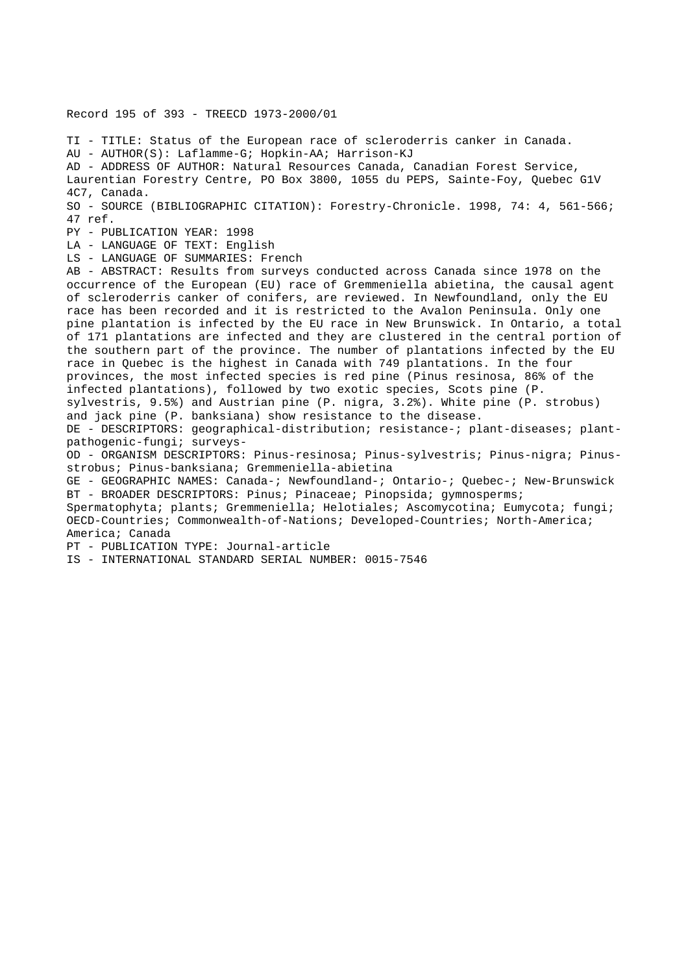Record 195 of 393 - TREECD 1973-2000/01

TI - TITLE: Status of the European race of scleroderris canker in Canada. AU - AUTHOR(S): Laflamme-G; Hopkin-AA; Harrison-KJ AD - ADDRESS OF AUTHOR: Natural Resources Canada, Canadian Forest Service, Laurentian Forestry Centre, PO Box 3800, 1055 du PEPS, Sainte-Foy, Quebec G1V 4C7, Canada. SO - SOURCE (BIBLIOGRAPHIC CITATION): Forestry-Chronicle. 1998, 74: 4, 561-566; 47 ref. PY - PUBLICATION YEAR: 1998 LA - LANGUAGE OF TEXT: English LS - LANGUAGE OF SUMMARIES: French AB - ABSTRACT: Results from surveys conducted across Canada since 1978 on the occurrence of the European (EU) race of Gremmeniella abietina, the causal agent of scleroderris canker of conifers, are reviewed. In Newfoundland, only the EU race has been recorded and it is restricted to the Avalon Peninsula. Only one pine plantation is infected by the EU race in New Brunswick. In Ontario, a total of 171 plantations are infected and they are clustered in the central portion of the southern part of the province. The number of plantations infected by the EU race in Quebec is the highest in Canada with 749 plantations. In the four provinces, the most infected species is red pine (Pinus resinosa, 86% of the infected plantations), followed by two exotic species, Scots pine (P. sylvestris, 9.5%) and Austrian pine (P. nigra, 3.2%). White pine (P. strobus) and jack pine (P. banksiana) show resistance to the disease. DE - DESCRIPTORS: geographical-distribution; resistance-; plant-diseases; plantpathogenic-fungi; surveys-OD - ORGANISM DESCRIPTORS: Pinus-resinosa; Pinus-sylvestris; Pinus-nigra; Pinusstrobus; Pinus-banksiana; Gremmeniella-abietina GE - GEOGRAPHIC NAMES: Canada-; Newfoundland-; Ontario-; Quebec-; New-Brunswick BT - BROADER DESCRIPTORS: Pinus; Pinaceae; Pinopsida; gymnosperms; Spermatophyta; plants; Gremmeniella; Helotiales; Ascomycotina; Eumycota; fungi; OECD-Countries; Commonwealth-of-Nations; Developed-Countries; North-America; America; Canada PT - PUBLICATION TYPE: Journal-article IS - INTERNATIONAL STANDARD SERIAL NUMBER: 0015-7546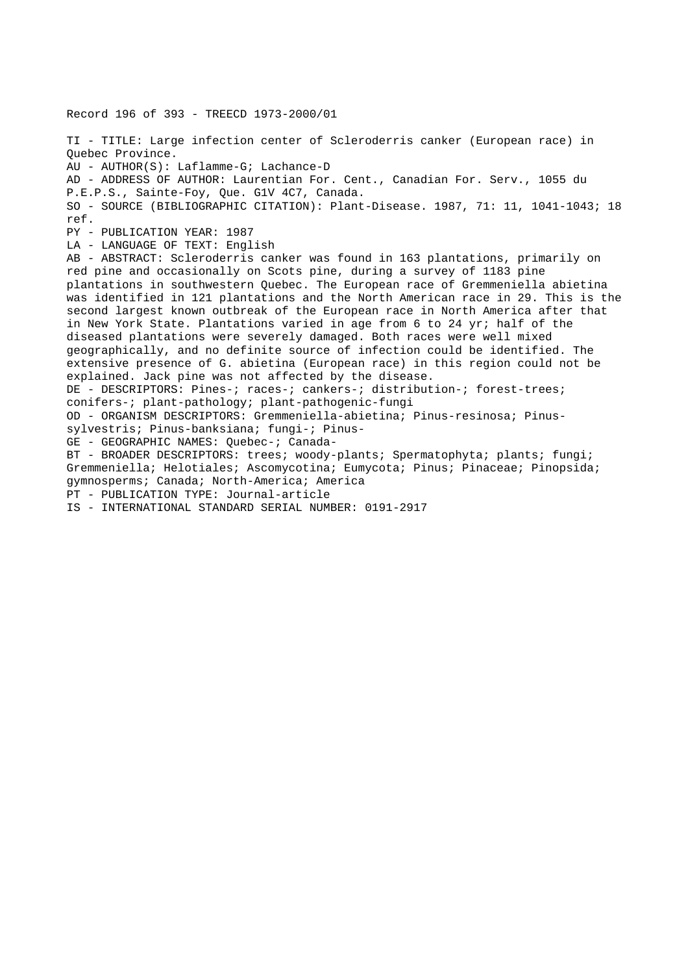Record 196 of 393 - TREECD 1973-2000/01 TI - TITLE: Large infection center of Scleroderris canker (European race) in Quebec Province. AU - AUTHOR(S): Laflamme-G; Lachance-D AD - ADDRESS OF AUTHOR: Laurentian For. Cent., Canadian For. Serv., 1055 du P.E.P.S., Sainte-Foy, Que. G1V 4C7, Canada. SO - SOURCE (BIBLIOGRAPHIC CITATION): Plant-Disease. 1987, 71: 11, 1041-1043; 18 ref. PY - PUBLICATION YEAR: 1987 LA - LANGUAGE OF TEXT: English AB - ABSTRACT: Scleroderris canker was found in 163 plantations, primarily on red pine and occasionally on Scots pine, during a survey of 1183 pine plantations in southwestern Quebec. The European race of Gremmeniella abietina was identified in 121 plantations and the North American race in 29. This is the second largest known outbreak of the European race in North America after that in New York State. Plantations varied in age from 6 to 24 yr; half of the diseased plantations were severely damaged. Both races were well mixed geographically, and no definite source of infection could be identified. The extensive presence of G. abietina (European race) in this region could not be explained. Jack pine was not affected by the disease. DE - DESCRIPTORS: Pines-; races-; cankers-; distribution-; forest-trees; conifers-; plant-pathology; plant-pathogenic-fungi OD - ORGANISM DESCRIPTORS: Gremmeniella-abietina; Pinus-resinosa; Pinussylvestris; Pinus-banksiana; fungi-; Pinus-GE - GEOGRAPHIC NAMES: Quebec-; Canada-BT - BROADER DESCRIPTORS: trees; woody-plants; Spermatophyta; plants; fungi; Gremmeniella; Helotiales; Ascomycotina; Eumycota; Pinus; Pinaceae; Pinopsida; gymnosperms; Canada; North-America; America PT - PUBLICATION TYPE: Journal-article IS - INTERNATIONAL STANDARD SERIAL NUMBER: 0191-2917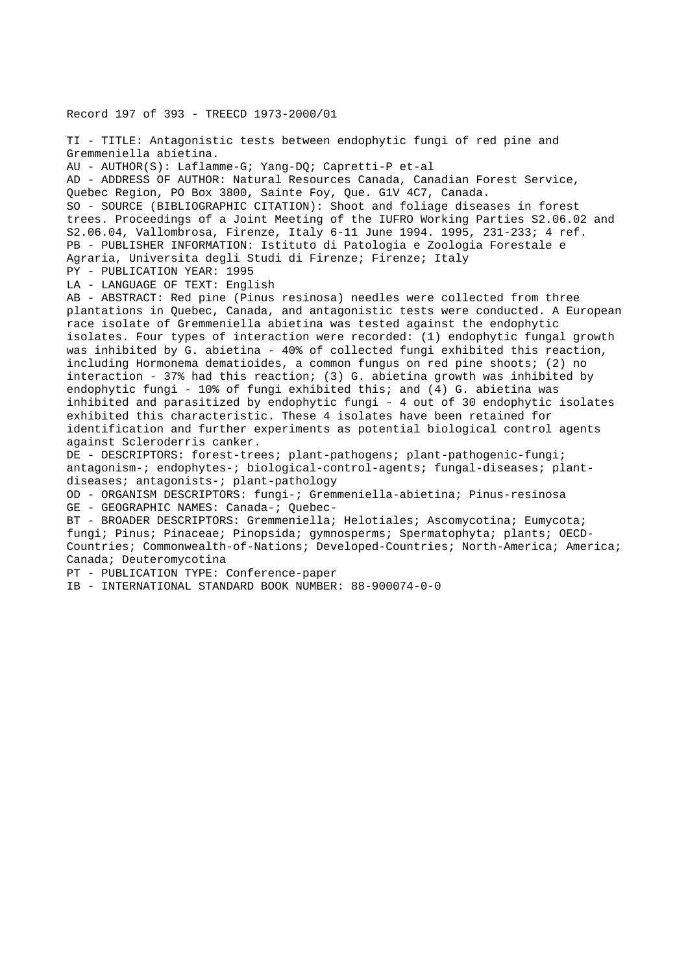Record 197 of 393 - TREECD 1973-2000/01

TI - TITLE: Antagonistic tests between endophytic fungi of red pine and Gremmeniella abietina. AU - AUTHOR(S): Laflamme-G; Yang-DQ; Capretti-P et-al AD - ADDRESS OF AUTHOR: Natural Resources Canada, Canadian Forest Service, Quebec Region, PO Box 3800, Sainte Foy, Que. G1V 4C7, Canada. SO - SOURCE (BIBLIOGRAPHIC CITATION): Shoot and foliage diseases in forest trees. Proceedings of a Joint Meeting of the IUFRO Working Parties S2.06.02 and S2.06.04, Vallombrosa, Firenze, Italy 6-11 June 1994. 1995, 231-233; 4 ref. PB - PUBLISHER INFORMATION: Istituto di Patologia e Zoologia Forestale e Agraria, Universita degli Studi di Firenze; Firenze; Italy PY - PUBLICATION YEAR: 1995 LA - LANGUAGE OF TEXT: English AB - ABSTRACT: Red pine (Pinus resinosa) needles were collected from three plantations in Quebec, Canada, and antagonistic tests were conducted. A European race isolate of Gremmeniella abietina was tested against the endophytic isolates. Four types of interaction were recorded: (1) endophytic fungal growth was inhibited by G. abietina - 40% of collected fungi exhibited this reaction, including Hormonema dematioides, a common fungus on red pine shoots; (2) no interaction - 37% had this reaction; (3) G. abietina growth was inhibited by endophytic fungi - 10% of fungi exhibited this; and (4) G. abietina was inhibited and parasitized by endophytic fungi - 4 out of 30 endophytic isolates exhibited this characteristic. These 4 isolates have been retained for identification and further experiments as potential biological control agents against Scleroderris canker. DE - DESCRIPTORS: forest-trees; plant-pathogens; plant-pathogenic-fungi; antagonism-; endophytes-; biological-control-agents; fungal-diseases; plantdiseases; antagonists-; plant-pathology OD - ORGANISM DESCRIPTORS: fungi-; Gremmeniella-abietina; Pinus-resinosa GE - GEOGRAPHIC NAMES: Canada-; Quebec-BT - BROADER DESCRIPTORS: Gremmeniella; Helotiales; Ascomycotina; Eumycota;

fungi; Pinus; Pinaceae; Pinopsida; gymnosperms; Spermatophyta; plants; OECD-Countries; Commonwealth-of-Nations; Developed-Countries; North-America; America; Canada; Deuteromycotina

PT - PUBLICATION TYPE: Conference-paper

IB - INTERNATIONAL STANDARD BOOK NUMBER: 88-900074-0-0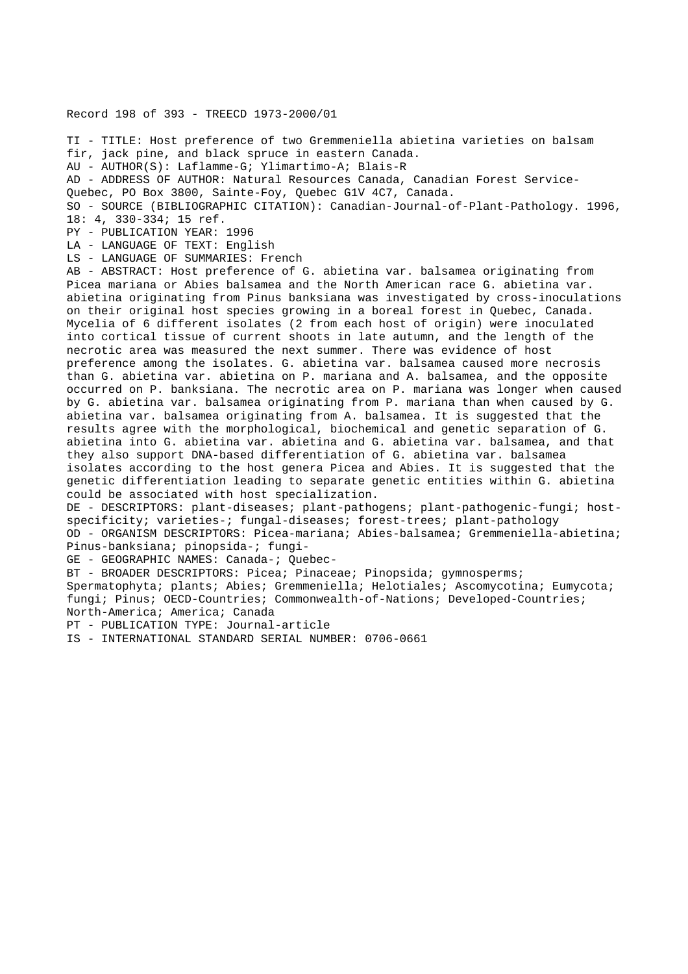# Record 198 of 393 - TREECD 1973-2000/01

TI - TITLE: Host preference of two Gremmeniella abietina varieties on balsam fir, jack pine, and black spruce in eastern Canada. AU - AUTHOR(S): Laflamme-G; Ylimartimo-A; Blais-R AD - ADDRESS OF AUTHOR: Natural Resources Canada, Canadian Forest Service-Quebec, PO Box 3800, Sainte-Foy, Quebec G1V 4C7, Canada. SO - SOURCE (BIBLIOGRAPHIC CITATION): Canadian-Journal-of-Plant-Pathology. 1996, 18: 4, 330-334; 15 ref. PY - PUBLICATION YEAR: 1996 LA - LANGUAGE OF TEXT: English LS - LANGUAGE OF SUMMARIES: French AB - ABSTRACT: Host preference of G. abietina var. balsamea originating from Picea mariana or Abies balsamea and the North American race G. abietina var. abietina originating from Pinus banksiana was investigated by cross-inoculations on their original host species growing in a boreal forest in Quebec, Canada. Mycelia of 6 different isolates (2 from each host of origin) were inoculated into cortical tissue of current shoots in late autumn, and the length of the necrotic area was measured the next summer. There was evidence of host preference among the isolates. G. abietina var. balsamea caused more necrosis than G. abietina var. abietina on P. mariana and A. balsamea, and the opposite occurred on P. banksiana. The necrotic area on P. mariana was longer when caused by G. abietina var. balsamea originating from P. mariana than when caused by G. abietina var. balsamea originating from A. balsamea. It is suggested that the results agree with the morphological, biochemical and genetic separation of G. abietina into G. abietina var. abietina and G. abietina var. balsamea, and that they also support DNA-based differentiation of G. abietina var. balsamea isolates according to the host genera Picea and Abies. It is suggested that the

genetic differentiation leading to separate genetic entities within G. abietina could be associated with host specialization.

DE - DESCRIPTORS: plant-diseases; plant-pathogens; plant-pathogenic-fungi; hostspecificity; varieties-; fungal-diseases; forest-trees; plant-pathology OD - ORGANISM DESCRIPTORS: Picea-mariana; Abies-balsamea; Gremmeniella-abietina; Pinus-banksiana; pinopsida-; fungi-

GE - GEOGRAPHIC NAMES: Canada-; Quebec-

BT - BROADER DESCRIPTORS: Picea; Pinaceae; Pinopsida; gymnosperms;

Spermatophyta; plants; Abies; Gremmeniella; Helotiales; Ascomycotina; Eumycota; fungi; Pinus; OECD-Countries; Commonwealth-of-Nations; Developed-Countries; North-America; America; Canada

PT - PUBLICATION TYPE: Journal-article

IS - INTERNATIONAL STANDARD SERIAL NUMBER: 0706-0661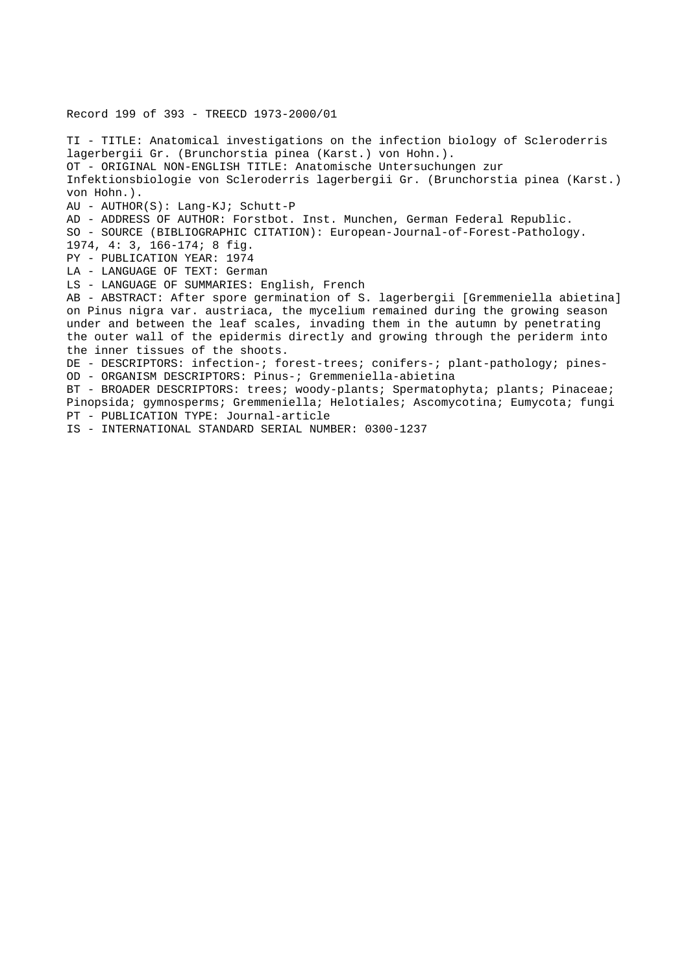Record 199 of 393 - TREECD 1973-2000/01

TI - TITLE: Anatomical investigations on the infection biology of Scleroderris lagerbergii Gr. (Brunchorstia pinea (Karst.) von Hohn.). OT - ORIGINAL NON-ENGLISH TITLE: Anatomische Untersuchungen zur Infektionsbiologie von Scleroderris lagerbergii Gr. (Brunchorstia pinea (Karst.) von Hohn.). AU - AUTHOR(S): Lang-KJ; Schutt-P AD - ADDRESS OF AUTHOR: Forstbot. Inst. Munchen, German Federal Republic. SO - SOURCE (BIBLIOGRAPHIC CITATION): European-Journal-of-Forest-Pathology. 1974, 4: 3, 166-174; 8 fig. PY - PUBLICATION YEAR: 1974 LA - LANGUAGE OF TEXT: German LS - LANGUAGE OF SUMMARIES: English, French AB - ABSTRACT: After spore germination of S. lagerbergii [Gremmeniella abietina] on Pinus nigra var. austriaca, the mycelium remained during the growing season under and between the leaf scales, invading them in the autumn by penetrating the outer wall of the epidermis directly and growing through the periderm into the inner tissues of the shoots. DE - DESCRIPTORS: infection-; forest-trees; conifers-; plant-pathology; pines-OD - ORGANISM DESCRIPTORS: Pinus-; Gremmeniella-abietina BT - BROADER DESCRIPTORS: trees; woody-plants; Spermatophyta; plants; Pinaceae; Pinopsida; gymnosperms; Gremmeniella; Helotiales; Ascomycotina; Eumycota; fungi PT - PUBLICATION TYPE: Journal-article

IS - INTERNATIONAL STANDARD SERIAL NUMBER: 0300-1237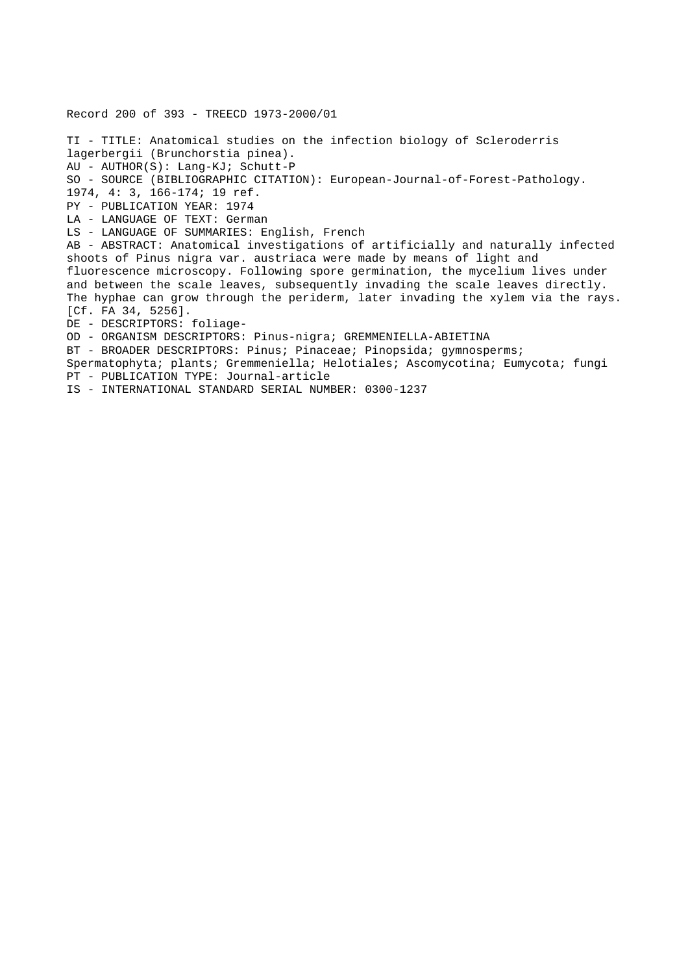Record 200 of 393 - TREECD 1973-2000/01 TI - TITLE: Anatomical studies on the infection biology of Scleroderris lagerbergii (Brunchorstia pinea). AU - AUTHOR(S): Lang-KJ; Schutt-P SO - SOURCE (BIBLIOGRAPHIC CITATION): European-Journal-of-Forest-Pathology. 1974, 4: 3, 166-174; 19 ref. PY - PUBLICATION YEAR: 1974 LA - LANGUAGE OF TEXT: German LS - LANGUAGE OF SUMMARIES: English, French AB - ABSTRACT: Anatomical investigations of artificially and naturally infected shoots of Pinus nigra var. austriaca were made by means of light and fluorescence microscopy. Following spore germination, the mycelium lives under and between the scale leaves, subsequently invading the scale leaves directly. The hyphae can grow through the periderm, later invading the xylem via the rays. [Cf. FA 34, 5256]. DE - DESCRIPTORS: foliage-OD - ORGANISM DESCRIPTORS: Pinus-nigra; GREMMENIELLA-ABIETINA BT - BROADER DESCRIPTORS: Pinus; Pinaceae; Pinopsida; gymnosperms; Spermatophyta; plants; Gremmeniella; Helotiales; Ascomycotina; Eumycota; fungi PT - PUBLICATION TYPE: Journal-article

IS - INTERNATIONAL STANDARD SERIAL NUMBER: 0300-1237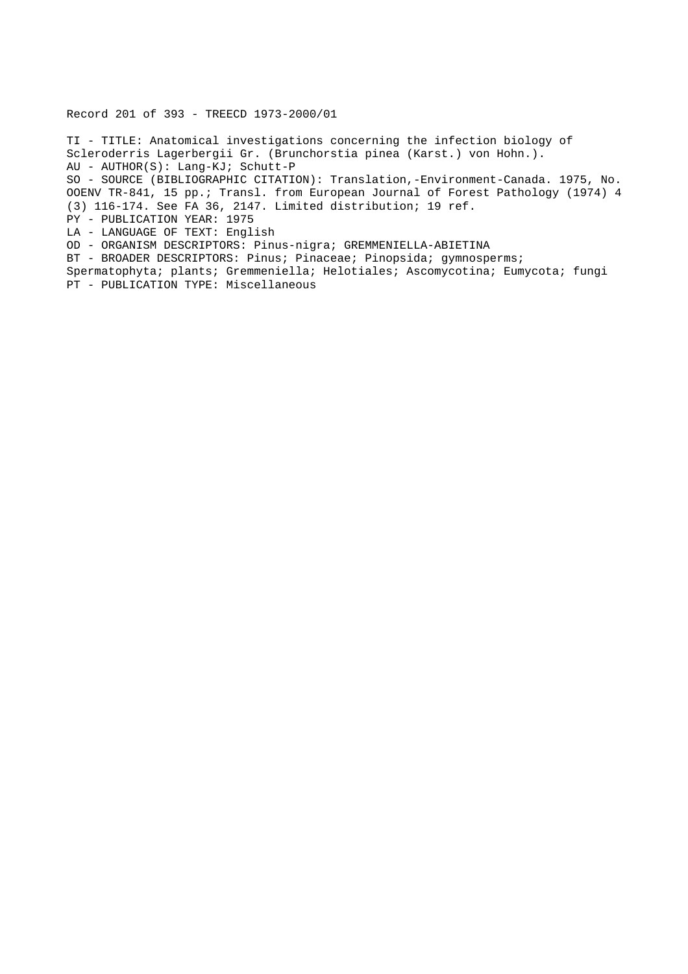Record 201 of 393 - TREECD 1973-2000/01

TI - TITLE: Anatomical investigations concerning the infection biology of Scleroderris Lagerbergii Gr. (Brunchorstia pinea (Karst.) von Hohn.). AU - AUTHOR(S): Lang-KJ; Schutt-P SO - SOURCE (BIBLIOGRAPHIC CITATION): Translation,-Environment-Canada. 1975, No. OOENV TR-841, 15 pp.; Transl. from European Journal of Forest Pathology (1974) 4 (3) 116-174. See FA 36, 2147. Limited distribution; 19 ref. PY - PUBLICATION YEAR: 1975 LA - LANGUAGE OF TEXT: English OD - ORGANISM DESCRIPTORS: Pinus-nigra; GREMMENIELLA-ABIETINA BT - BROADER DESCRIPTORS: Pinus; Pinaceae; Pinopsida; gymnosperms; Spermatophyta; plants; Gremmeniella; Helotiales; Ascomycotina; Eumycota; fungi PT - PUBLICATION TYPE: Miscellaneous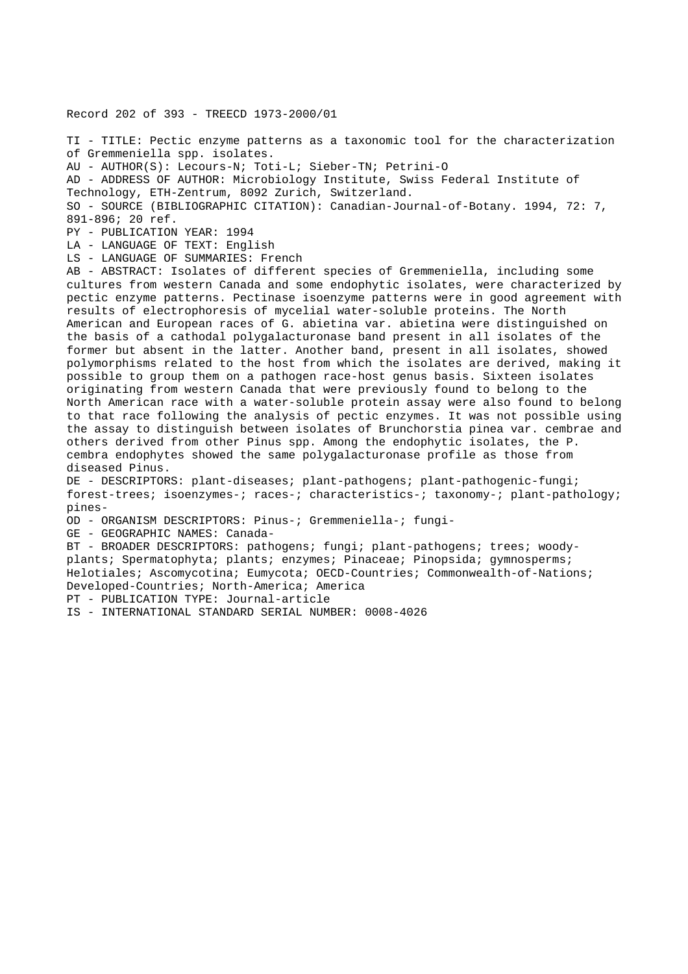Record 202 of 393 - TREECD 1973-2000/01

TI - TITLE: Pectic enzyme patterns as a taxonomic tool for the characterization of Gremmeniella spp. isolates. AU - AUTHOR(S): Lecours-N; Toti-L; Sieber-TN; Petrini-O AD - ADDRESS OF AUTHOR: Microbiology Institute, Swiss Federal Institute of Technology, ETH-Zentrum, 8092 Zurich, Switzerland.

SO - SOURCE (BIBLIOGRAPHIC CITATION): Canadian-Journal-of-Botany. 1994, 72: 7, 891-896; 20 ref.

PY - PUBLICATION YEAR: 1994

LA - LANGUAGE OF TEXT: English

LS - LANGUAGE OF SUMMARIES: French

AB - ABSTRACT: Isolates of different species of Gremmeniella, including some cultures from western Canada and some endophytic isolates, were characterized by pectic enzyme patterns. Pectinase isoenzyme patterns were in good agreement with results of electrophoresis of mycelial water-soluble proteins. The North American and European races of G. abietina var. abietina were distinguished on the basis of a cathodal polygalacturonase band present in all isolates of the former but absent in the latter. Another band, present in all isolates, showed polymorphisms related to the host from which the isolates are derived, making it possible to group them on a pathogen race-host genus basis. Sixteen isolates originating from western Canada that were previously found to belong to the North American race with a water-soluble protein assay were also found to belong to that race following the analysis of pectic enzymes. It was not possible using the assay to distinguish between isolates of Brunchorstia pinea var. cembrae and others derived from other Pinus spp. Among the endophytic isolates, the P. cembra endophytes showed the same polygalacturonase profile as those from diseased Pinus.

DE - DESCRIPTORS: plant-diseases; plant-pathogens; plant-pathogenic-fungi; forest-trees; isoenzymes-; races-; characteristics-; taxonomy-; plant-pathology; pines-

OD - ORGANISM DESCRIPTORS: Pinus-; Gremmeniella-; fungi-

GE - GEOGRAPHIC NAMES: Canada-

BT - BROADER DESCRIPTORS: pathogens; fungi; plant-pathogens; trees; woodyplants; Spermatophyta; plants; enzymes; Pinaceae; Pinopsida; gymnosperms; Helotiales; Ascomycotina; Eumycota; OECD-Countries; Commonwealth-of-Nations; Developed-Countries; North-America; America

PT - PUBLICATION TYPE: Journal-article

IS - INTERNATIONAL STANDARD SERIAL NUMBER: 0008-4026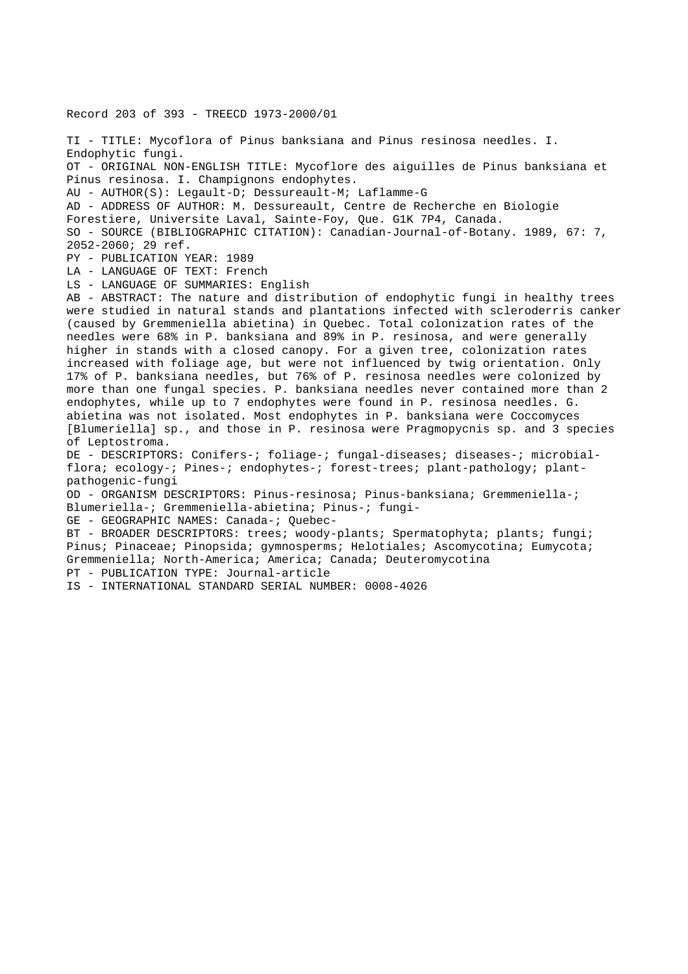Record 203 of 393 - TREECD 1973-2000/01 TI - TITLE: Mycoflora of Pinus banksiana and Pinus resinosa needles. I. Endophytic fungi. OT - ORIGINAL NON-ENGLISH TITLE: Mycoflore des aiguilles de Pinus banksiana et Pinus resinosa. I. Champignons endophytes. AU - AUTHOR(S): Legault-D; Dessureault-M; Laflamme-G AD - ADDRESS OF AUTHOR: M. Dessureault, Centre de Recherche en Biologie Forestiere, Universite Laval, Sainte-Foy, Que. G1K 7P4, Canada. SO - SOURCE (BIBLIOGRAPHIC CITATION): Canadian-Journal-of-Botany. 1989, 67: 7, 2052-2060; 29 ref. PY - PUBLICATION YEAR: 1989 LA - LANGUAGE OF TEXT: French LS - LANGUAGE OF SUMMARIES: English AB - ABSTRACT: The nature and distribution of endophytic fungi in healthy trees were studied in natural stands and plantations infected with scleroderris canker (caused by Gremmeniella abietina) in Quebec. Total colonization rates of the needles were 68% in P. banksiana and 89% in P. resinosa, and were generally higher in stands with a closed canopy. For a given tree, colonization rates increased with foliage age, but were not influenced by twig orientation. Only 17% of P. banksiana needles, but 76% of P. resinosa needles were colonized by more than one fungal species. P. banksiana needles never contained more than 2 endophytes, while up to 7 endophytes were found in P. resinosa needles. G. abietina was not isolated. Most endophytes in P. banksiana were Coccomyces [Blumeriella] sp., and those in P. resinosa were Pragmopycnis sp. and 3 species of Leptostroma. DE - DESCRIPTORS: Conifers-; foliage-; fungal-diseases; diseases-; microbialflora; ecology-; Pines-; endophytes-; forest-trees; plant-pathology; plantpathogenic-fungi OD - ORGANISM DESCRIPTORS: Pinus-resinosa; Pinus-banksiana; Gremmeniella-; Blumeriella-; Gremmeniella-abietina; Pinus-; fungi-GE - GEOGRAPHIC NAMES: Canada-; Quebec-BT - BROADER DESCRIPTORS: trees; woody-plants; Spermatophyta; plants; fungi; Pinus; Pinaceae; Pinopsida; gymnosperms; Helotiales; Ascomycotina; Eumycota; Gremmeniella; North-America; America; Canada; Deuteromycotina PT - PUBLICATION TYPE: Journal-article IS - INTERNATIONAL STANDARD SERIAL NUMBER: 0008-4026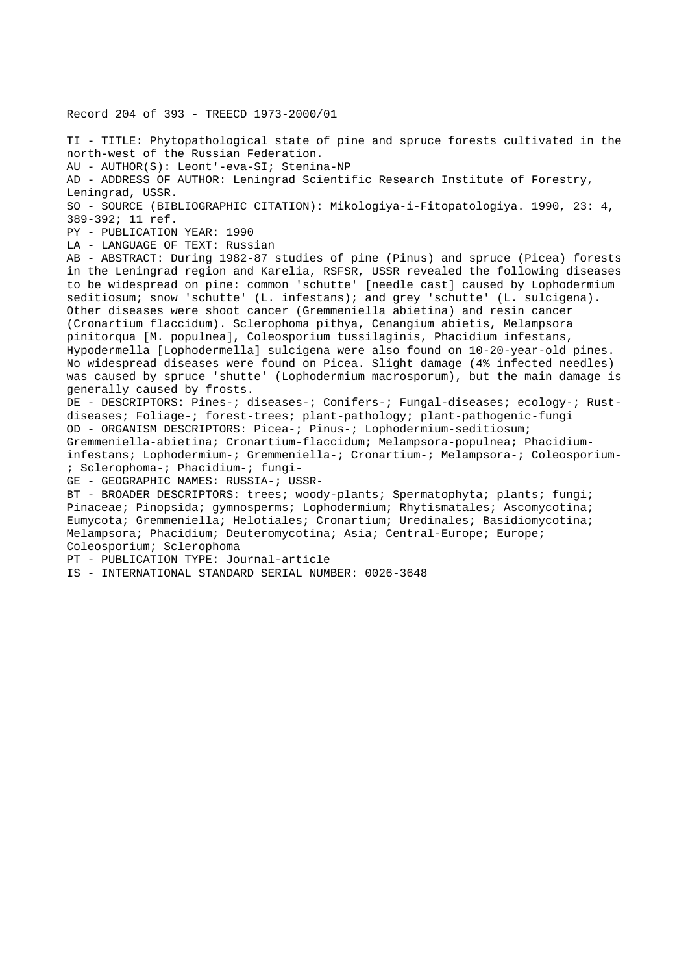Record 204 of 393 - TREECD 1973-2000/01 TI - TITLE: Phytopathological state of pine and spruce forests cultivated in the north-west of the Russian Federation. AU - AUTHOR(S): Leont'-eva-SI; Stenina-NP AD - ADDRESS OF AUTHOR: Leningrad Scientific Research Institute of Forestry, Leningrad, USSR. SO - SOURCE (BIBLIOGRAPHIC CITATION): Mikologiya-i-Fitopatologiya. 1990, 23: 4, 389-392; 11 ref. PY - PUBLICATION YEAR: 1990 LA - LANGUAGE OF TEXT: Russian AB - ABSTRACT: During 1982-87 studies of pine (Pinus) and spruce (Picea) forests in the Leningrad region and Karelia, RSFSR, USSR revealed the following diseases to be widespread on pine: common 'schutte' [needle cast] caused by Lophodermium seditiosum; snow 'schutte' (L. infestans); and grey 'schutte' (L. sulcigena). Other diseases were shoot cancer (Gremmeniella abietina) and resin cancer (Cronartium flaccidum). Sclerophoma pithya, Cenangium abietis, Melampsora pinitorqua [M. populnea], Coleosporium tussilaginis, Phacidium infestans, Hypodermella [Lophodermella] sulcigena were also found on 10-20-year-old pines. No widespread diseases were found on Picea. Slight damage (4% infected needles) was caused by spruce 'shutte' (Lophodermium macrosporum), but the main damage is generally caused by frosts. DE - DESCRIPTORS: Pines-; diseases-; Conifers-; Fungal-diseases; ecology-; Rustdiseases; Foliage-; forest-trees; plant-pathology; plant-pathogenic-fungi OD - ORGANISM DESCRIPTORS: Picea-; Pinus-; Lophodermium-seditiosum; Gremmeniella-abietina; Cronartium-flaccidum; Melampsora-populnea; Phacidiuminfestans; Lophodermium-; Gremmeniella-; Cronartium-; Melampsora-; Coleosporium- ; Sclerophoma-; Phacidium-; fungi-GE - GEOGRAPHIC NAMES: RUSSIA-; USSR-BT - BROADER DESCRIPTORS: trees; woody-plants; Spermatophyta; plants; fungi; Pinaceae; Pinopsida; gymnosperms; Lophodermium; Rhytismatales; Ascomycotina; Eumycota; Gremmeniella; Helotiales; Cronartium; Uredinales; Basidiomycotina; Melampsora; Phacidium; Deuteromycotina; Asia; Central-Europe; Europe; Coleosporium; Sclerophoma PT - PUBLICATION TYPE: Journal-article IS - INTERNATIONAL STANDARD SERIAL NUMBER: 0026-3648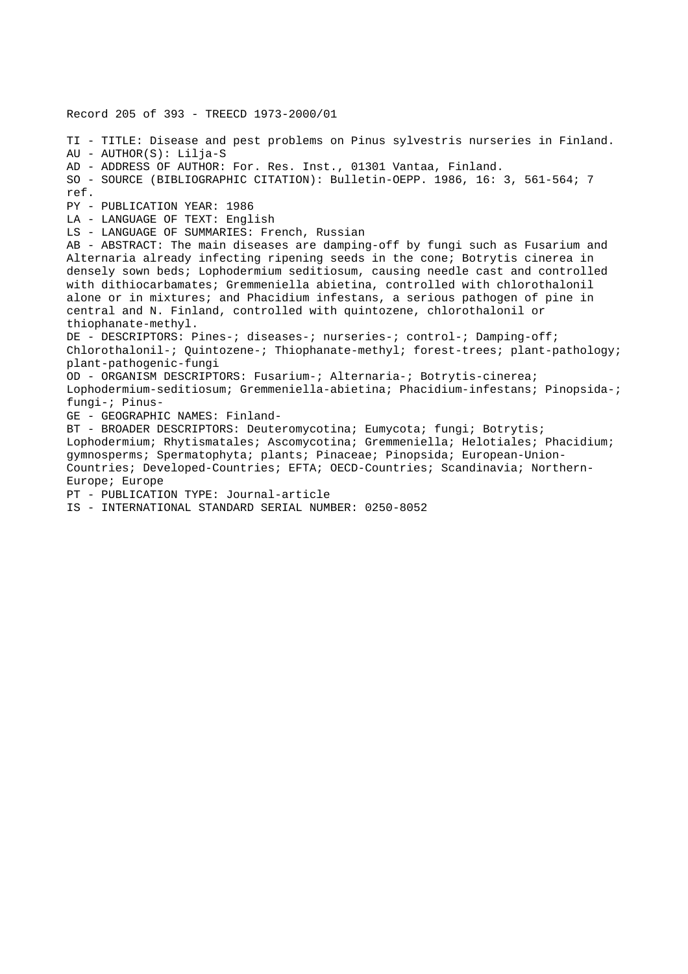Record 205 of 393 - TREECD 1973-2000/01 TI - TITLE: Disease and pest problems on Pinus sylvestris nurseries in Finland. AU - AUTHOR(S): Lilja-S AD - ADDRESS OF AUTHOR: For. Res. Inst., 01301 Vantaa, Finland. SO - SOURCE (BIBLIOGRAPHIC CITATION): Bulletin-OEPP. 1986, 16: 3, 561-564; 7 ref. PY - PUBLICATION YEAR: 1986 LA - LANGUAGE OF TEXT: English LS - LANGUAGE OF SUMMARIES: French, Russian AB - ABSTRACT: The main diseases are damping-off by fungi such as Fusarium and Alternaria already infecting ripening seeds in the cone; Botrytis cinerea in densely sown beds; Lophodermium seditiosum, causing needle cast and controlled with dithiocarbamates; Gremmeniella abietina, controlled with chlorothalonil alone or in mixtures; and Phacidium infestans, a serious pathogen of pine in central and N. Finland, controlled with quintozene, chlorothalonil or thiophanate-methyl. DE - DESCRIPTORS: Pines-; diseases-; nurseries-; control-; Damping-off; Chlorothalonil-; Quintozene-; Thiophanate-methyl; forest-trees; plant-pathology; plant-pathogenic-fungi OD - ORGANISM DESCRIPTORS: Fusarium-; Alternaria-; Botrytis-cinerea; Lophodermium-seditiosum; Gremmeniella-abietina; Phacidium-infestans; Pinopsida-; fungi-; Pinus-GE - GEOGRAPHIC NAMES: Finland-BT - BROADER DESCRIPTORS: Deuteromycotina; Eumycota; fungi; Botrytis; Lophodermium; Rhytismatales; Ascomycotina; Gremmeniella; Helotiales; Phacidium; gymnosperms; Spermatophyta; plants; Pinaceae; Pinopsida; European-Union-Countries; Developed-Countries; EFTA; OECD-Countries; Scandinavia; Northern-Europe; Europe PT - PUBLICATION TYPE: Journal-article IS - INTERNATIONAL STANDARD SERIAL NUMBER: 0250-8052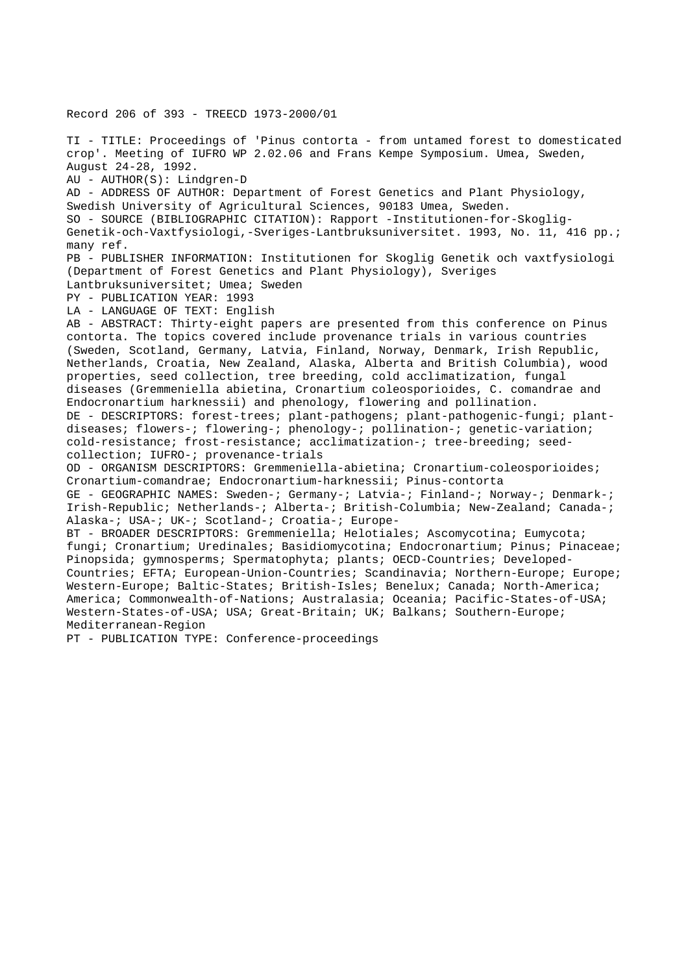Record 206 of 393 - TREECD 1973-2000/01 TI - TITLE: Proceedings of 'Pinus contorta - from untamed forest to domesticated crop'. Meeting of IUFRO WP 2.02.06 and Frans Kempe Symposium. Umea, Sweden, August 24-28, 1992. AU - AUTHOR(S): Lindgren-D AD - ADDRESS OF AUTHOR: Department of Forest Genetics and Plant Physiology, Swedish University of Agricultural Sciences, 90183 Umea, Sweden. SO - SOURCE (BIBLIOGRAPHIC CITATION): Rapport -Institutionen-for-Skoglig-Genetik-och-Vaxtfysiologi,-Sveriges-Lantbruksuniversitet. 1993, No. 11, 416 pp.; many ref. PB - PUBLISHER INFORMATION: Institutionen for Skoglig Genetik och vaxtfysiologi (Department of Forest Genetics and Plant Physiology), Sveriges Lantbruksuniversitet; Umea; Sweden PY - PUBLICATION YEAR: 1993 LA - LANGUAGE OF TEXT: English AB - ABSTRACT: Thirty-eight papers are presented from this conference on Pinus contorta. The topics covered include provenance trials in various countries (Sweden, Scotland, Germany, Latvia, Finland, Norway, Denmark, Irish Republic, Netherlands, Croatia, New Zealand, Alaska, Alberta and British Columbia), wood properties, seed collection, tree breeding, cold acclimatization, fungal diseases (Gremmeniella abietina, Cronartium coleosporioides, C. comandrae and Endocronartium harknessii) and phenology, flowering and pollination. DE - DESCRIPTORS: forest-trees; plant-pathogens; plant-pathogenic-fungi; plantdiseases; flowers-; flowering-; phenology-; pollination-; genetic-variation; cold-resistance; frost-resistance; acclimatization-; tree-breeding; seedcollection; IUFRO-; provenance-trials OD - ORGANISM DESCRIPTORS: Gremmeniella-abietina; Cronartium-coleosporioides; Cronartium-comandrae; Endocronartium-harknessii; Pinus-contorta GE - GEOGRAPHIC NAMES: Sweden-; Germany-; Latvia-; Finland-; Norway-; Denmark-; Irish-Republic; Netherlands-; Alberta-; British-Columbia; New-Zealand; Canada-; Alaska-; USA-; UK-; Scotland-; Croatia-; Europe-BT - BROADER DESCRIPTORS: Gremmeniella; Helotiales; Ascomycotina; Eumycota; fungi; Cronartium; Uredinales; Basidiomycotina; Endocronartium; Pinus; Pinaceae; Pinopsida; gymnosperms; Spermatophyta; plants; OECD-Countries; Developed-Countries; EFTA; European-Union-Countries; Scandinavia; Northern-Europe; Europe; Western-Europe; Baltic-States; British-Isles; Benelux; Canada; North-America; America; Commonwealth-of-Nations; Australasia; Oceania; Pacific-States-of-USA; Western-States-of-USA; USA; Great-Britain; UK; Balkans; Southern-Europe; Mediterranean-Region

PT - PUBLICATION TYPE: Conference-proceedings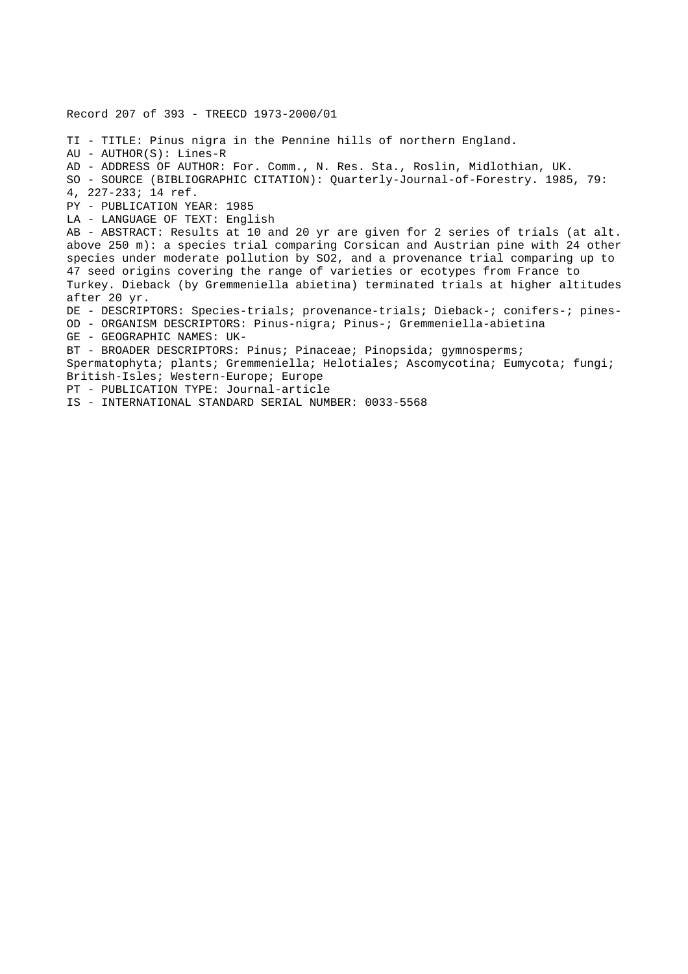Record 207 of 393 - TREECD 1973-2000/01 TI - TITLE: Pinus nigra in the Pennine hills of northern England. AU - AUTHOR(S): Lines-R AD - ADDRESS OF AUTHOR: For. Comm., N. Res. Sta., Roslin, Midlothian, UK. SO - SOURCE (BIBLIOGRAPHIC CITATION): Quarterly-Journal-of-Forestry. 1985, 79: 4, 227-233; 14 ref. PY - PUBLICATION YEAR: 1985 LA - LANGUAGE OF TEXT: English AB - ABSTRACT: Results at 10 and 20 yr are given for 2 series of trials (at alt. above 250 m): a species trial comparing Corsican and Austrian pine with 24 other species under moderate pollution by SO2, and a provenance trial comparing up to 47 seed origins covering the range of varieties or ecotypes from France to Turkey. Dieback (by Gremmeniella abietina) terminated trials at higher altitudes after 20 yr. DE - DESCRIPTORS: Species-trials; provenance-trials; Dieback-; conifers-; pines-OD - ORGANISM DESCRIPTORS: Pinus-nigra; Pinus-; Gremmeniella-abietina GE - GEOGRAPHIC NAMES: UK-BT - BROADER DESCRIPTORS: Pinus; Pinaceae; Pinopsida; gymnosperms; Spermatophyta; plants; Gremmeniella; Helotiales; Ascomycotina; Eumycota; fungi; British-Isles; Western-Europe; Europe PT - PUBLICATION TYPE: Journal-article IS - INTERNATIONAL STANDARD SERIAL NUMBER: 0033-5568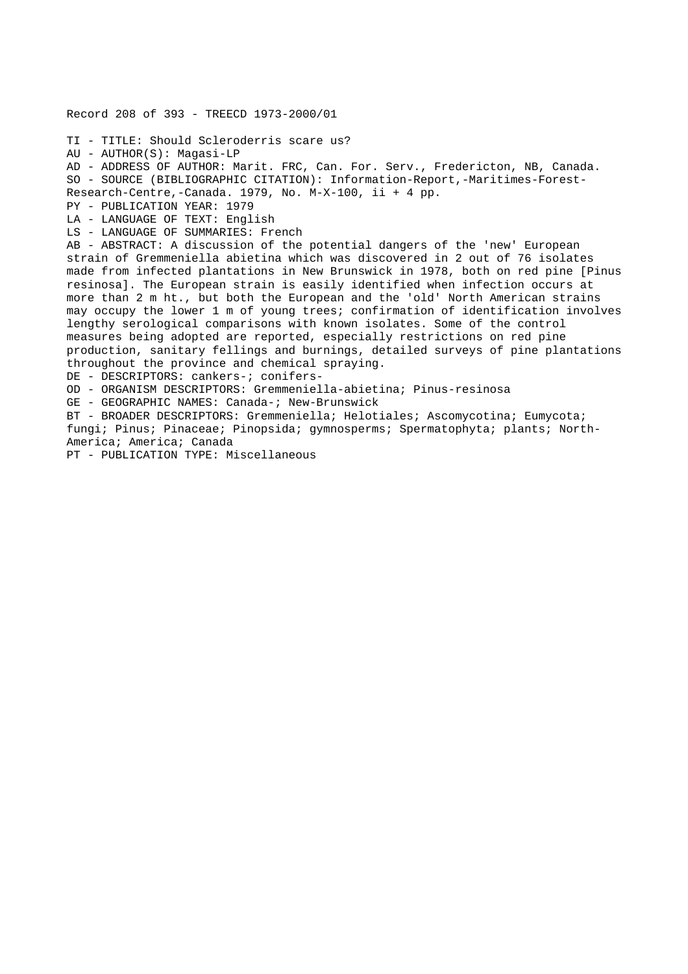```
Record 208 of 393 - TREECD 1973-2000/01
TI - TITLE: Should Scleroderris scare us?
AU - AUTHOR(S): Magasi-LP
AD - ADDRESS OF AUTHOR: Marit. FRC, Can. For. Serv., Fredericton, NB, Canada.
SO - SOURCE (BIBLIOGRAPHIC CITATION): Information-Report,-Maritimes-Forest-
Research-Centre,-Canada. 1979, No. M-X-100, ii + 4 pp.
PY - PUBLICATION YEAR: 1979
LA - LANGUAGE OF TEXT: English
LS - LANGUAGE OF SUMMARIES: French
AB - ABSTRACT: A discussion of the potential dangers of the 'new' European
strain of Gremmeniella abietina which was discovered in 2 out of 76 isolates
made from infected plantations in New Brunswick in 1978, both on red pine [Pinus
resinosa]. The European strain is easily identified when infection occurs at
more than 2 m ht., but both the European and the 'old' North American strains
may occupy the lower 1 m of young trees; confirmation of identification involves
lengthy serological comparisons with known isolates. Some of the control
measures being adopted are reported, especially restrictions on red pine
production, sanitary fellings and burnings, detailed surveys of pine plantations
throughout the province and chemical spraying.
DE - DESCRIPTORS: cankers-; conifers-
OD - ORGANISM DESCRIPTORS: Gremmeniella-abietina; Pinus-resinosa
GE - GEOGRAPHIC NAMES: Canada-; New-Brunswick
BT - BROADER DESCRIPTORS: Gremmeniella; Helotiales; Ascomycotina; Eumycota;
fungi; Pinus; Pinaceae; Pinopsida; gymnosperms; Spermatophyta; plants; North-
America; America; Canada
```
PT - PUBLICATION TYPE: Miscellaneous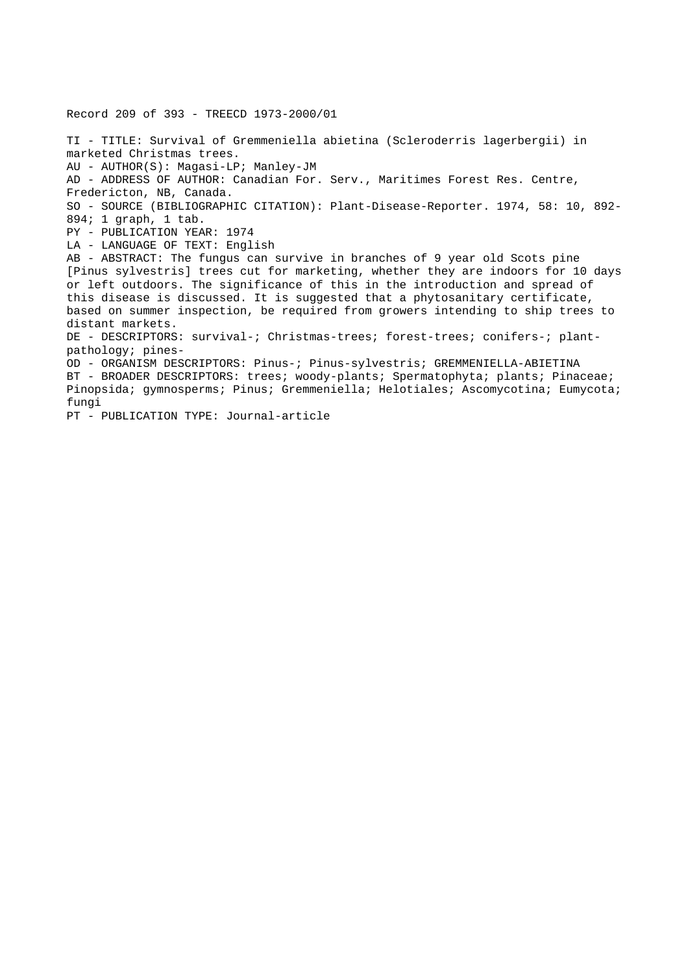Record 209 of 393 - TREECD 1973-2000/01 TI - TITLE: Survival of Gremmeniella abietina (Scleroderris lagerbergii) in marketed Christmas trees. AU - AUTHOR(S): Magasi-LP; Manley-JM AD - ADDRESS OF AUTHOR: Canadian For. Serv., Maritimes Forest Res. Centre, Fredericton, NB, Canada. SO - SOURCE (BIBLIOGRAPHIC CITATION): Plant-Disease-Reporter. 1974, 58: 10, 892- 894; 1 graph, 1 tab. PY - PUBLICATION YEAR: 1974 LA - LANGUAGE OF TEXT: English AB - ABSTRACT: The fungus can survive in branches of 9 year old Scots pine [Pinus sylvestris] trees cut for marketing, whether they are indoors for 10 days or left outdoors. The significance of this in the introduction and spread of this disease is discussed. It is suggested that a phytosanitary certificate, based on summer inspection, be required from growers intending to ship trees to distant markets. DE - DESCRIPTORS: survival-; Christmas-trees; forest-trees; conifers-; plantpathology; pines-OD - ORGANISM DESCRIPTORS: Pinus-; Pinus-sylvestris; GREMMENIELLA-ABIETINA BT - BROADER DESCRIPTORS: trees; woody-plants; Spermatophyta; plants; Pinaceae; Pinopsida; gymnosperms; Pinus; Gremmeniella; Helotiales; Ascomycotina; Eumycota; fungi

PT - PUBLICATION TYPE: Journal-article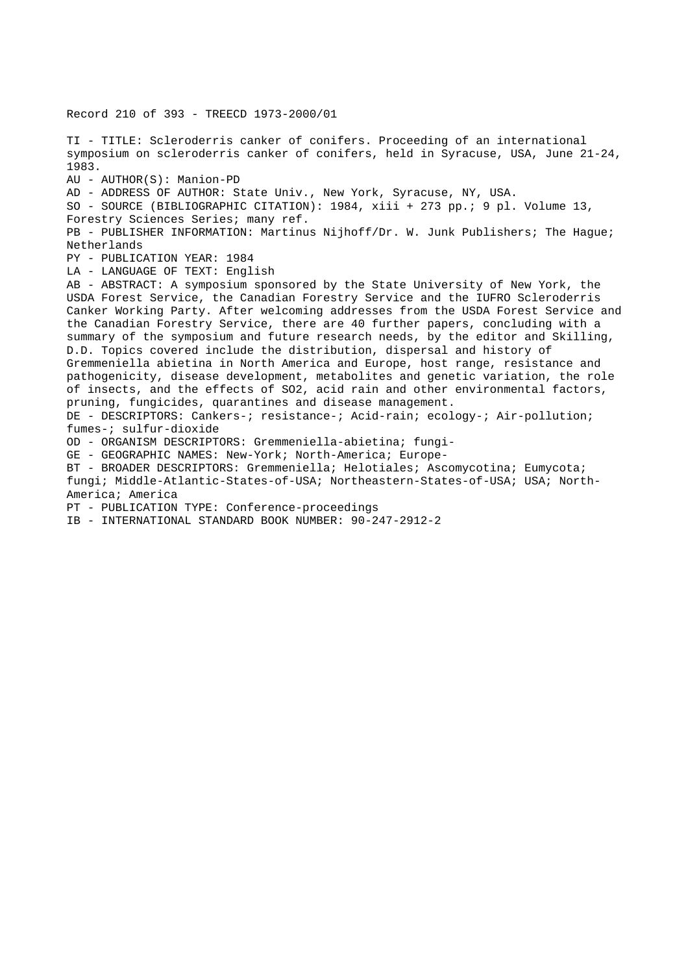Record 210 of 393 - TREECD 1973-2000/01 TI - TITLE: Scleroderris canker of conifers. Proceeding of an international symposium on scleroderris canker of conifers, held in Syracuse, USA, June 21-24, 1983. AU - AUTHOR(S): Manion-PD AD - ADDRESS OF AUTHOR: State Univ., New York, Syracuse, NY, USA. SO - SOURCE (BIBLIOGRAPHIC CITATION): 1984, xiii + 273 pp.; 9 pl. Volume 13, Forestry Sciences Series; many ref. PB - PUBLISHER INFORMATION: Martinus Nijhoff/Dr. W. Junk Publishers; The Hague; Netherlands PY - PUBLICATION YEAR: 1984 LA - LANGUAGE OF TEXT: English AB - ABSTRACT: A symposium sponsored by the State University of New York, the USDA Forest Service, the Canadian Forestry Service and the IUFRO Scleroderris Canker Working Party. After welcoming addresses from the USDA Forest Service and the Canadian Forestry Service, there are 40 further papers, concluding with a summary of the symposium and future research needs, by the editor and Skilling, D.D. Topics covered include the distribution, dispersal and history of Gremmeniella abietina in North America and Europe, host range, resistance and pathogenicity, disease development, metabolites and genetic variation, the role of insects, and the effects of SO2, acid rain and other environmental factors, pruning, fungicides, quarantines and disease management. DE - DESCRIPTORS: Cankers-; resistance-; Acid-rain; ecology-; Air-pollution; fumes-; sulfur-dioxide OD - ORGANISM DESCRIPTORS: Gremmeniella-abietina; fungi-GE - GEOGRAPHIC NAMES: New-York; North-America; Europe-BT - BROADER DESCRIPTORS: Gremmeniella; Helotiales; Ascomycotina; Eumycota; fungi; Middle-Atlantic-States-of-USA; Northeastern-States-of-USA; USA; North-America; America PT - PUBLICATION TYPE: Conference-proceedings

IB - INTERNATIONAL STANDARD BOOK NUMBER: 90-247-2912-2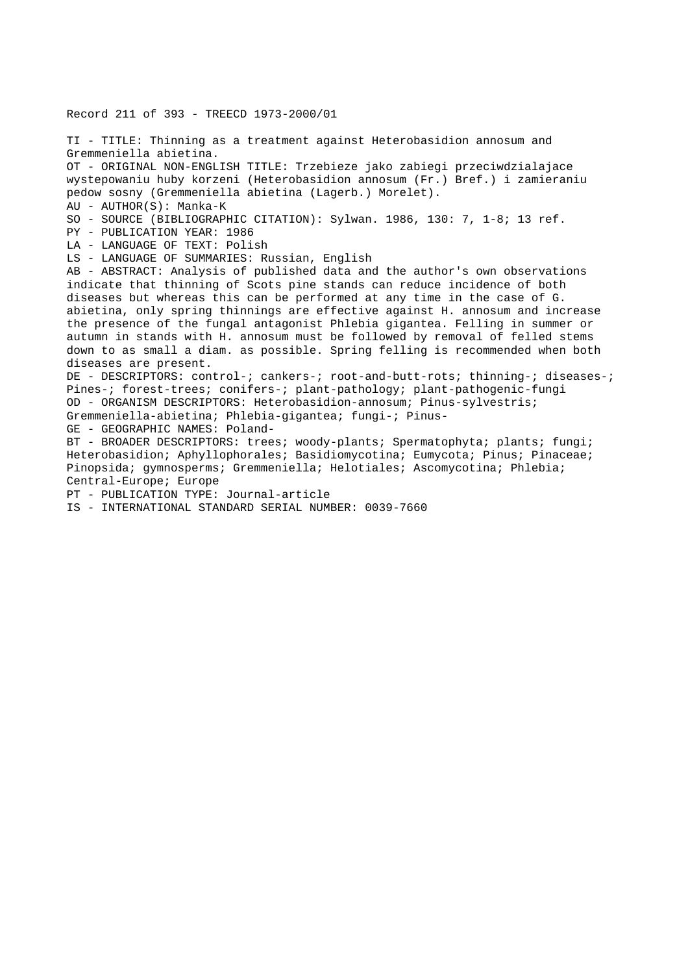#### Record 211 of 393 - TREECD 1973-2000/01

TI - TITLE: Thinning as a treatment against Heterobasidion annosum and Gremmeniella abietina. OT - ORIGINAL NON-ENGLISH TITLE: Trzebieze jako zabiegi przeciwdzialajace wystepowaniu huby korzeni (Heterobasidion annosum (Fr.) Bref.) i zamieraniu pedow sosny (Gremmeniella abietina (Lagerb.) Morelet). AU - AUTHOR(S): Manka-K SO - SOURCE (BIBLIOGRAPHIC CITATION): Sylwan. 1986, 130: 7, 1-8; 13 ref. PY - PUBLICATION YEAR: 1986 LA - LANGUAGE OF TEXT: Polish LS - LANGUAGE OF SUMMARIES: Russian, English AB - ABSTRACT: Analysis of published data and the author's own observations indicate that thinning of Scots pine stands can reduce incidence of both diseases but whereas this can be performed at any time in the case of G. abietina, only spring thinnings are effective against H. annosum and increase the presence of the fungal antagonist Phlebia gigantea. Felling in summer or autumn in stands with H. annosum must be followed by removal of felled stems down to as small a diam. as possible. Spring felling is recommended when both diseases are present. DE - DESCRIPTORS: control-; cankers-; root-and-butt-rots; thinning-; diseases-; Pines-; forest-trees; conifers-; plant-pathology; plant-pathogenic-fungi OD - ORGANISM DESCRIPTORS: Heterobasidion-annosum; Pinus-sylvestris; Gremmeniella-abietina; Phlebia-gigantea; fungi-; Pinus-GE - GEOGRAPHIC NAMES: Poland-BT - BROADER DESCRIPTORS: trees; woody-plants; Spermatophyta; plants; fungi; Heterobasidion; Aphyllophorales; Basidiomycotina; Eumycota; Pinus; Pinaceae; Pinopsida; gymnosperms; Gremmeniella; Helotiales; Ascomycotina; Phlebia; Central-Europe; Europe PT - PUBLICATION TYPE: Journal-article IS - INTERNATIONAL STANDARD SERIAL NUMBER: 0039-7660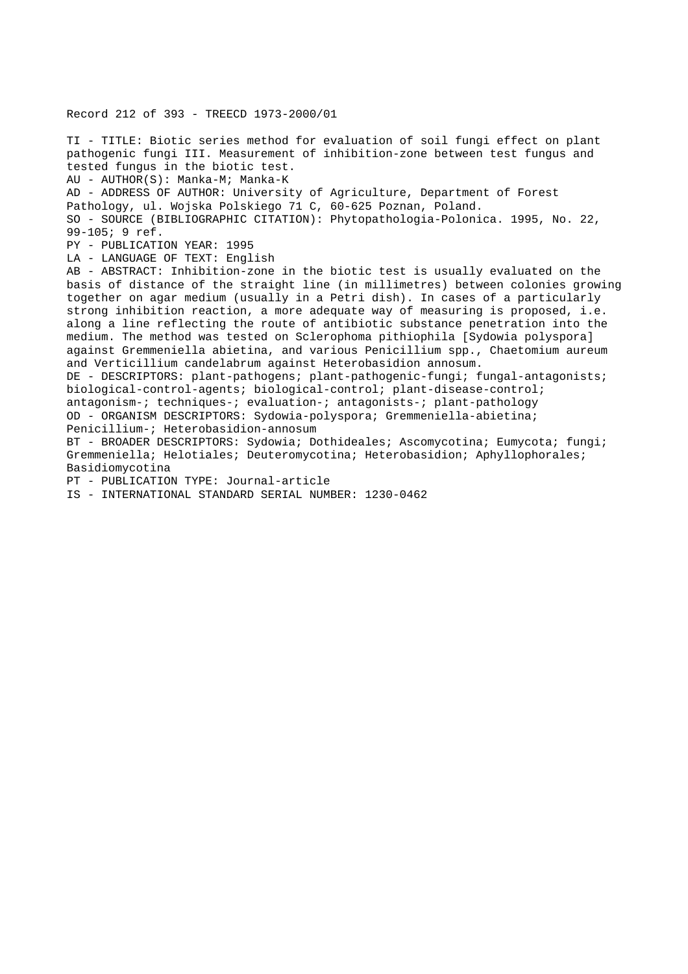Record 212 of 393 - TREECD 1973-2000/01 TI - TITLE: Biotic series method for evaluation of soil fungi effect on plant pathogenic fungi III. Measurement of inhibition-zone between test fungus and tested fungus in the biotic test. AU - AUTHOR(S): Manka-M; Manka-K AD - ADDRESS OF AUTHOR: University of Agriculture, Department of Forest Pathology, ul. Wojska Polskiego 71 C, 60-625 Poznan, Poland. SO - SOURCE (BIBLIOGRAPHIC CITATION): Phytopathologia-Polonica. 1995, No. 22, 99-105; 9 ref. PY - PUBLICATION YEAR: 1995 LA - LANGUAGE OF TEXT: English AB - ABSTRACT: Inhibition-zone in the biotic test is usually evaluated on the basis of distance of the straight line (in millimetres) between colonies growing together on agar medium (usually in a Petri dish). In cases of a particularly strong inhibition reaction, a more adequate way of measuring is proposed, i.e. along a line reflecting the route of antibiotic substance penetration into the medium. The method was tested on Sclerophoma pithiophila [Sydowia polyspora] against Gremmeniella abietina, and various Penicillium spp., Chaetomium aureum and Verticillium candelabrum against Heterobasidion annosum. DE - DESCRIPTORS: plant-pathogens; plant-pathogenic-fungi; fungal-antagonists; biological-control-agents; biological-control; plant-disease-control; antagonism-; techniques-; evaluation-; antagonists-; plant-pathology OD - ORGANISM DESCRIPTORS: Sydowia-polyspora; Gremmeniella-abietina; Penicillium-; Heterobasidion-annosum BT - BROADER DESCRIPTORS: Sydowia; Dothideales; Ascomycotina; Eumycota; fungi; Gremmeniella; Helotiales; Deuteromycotina; Heterobasidion; Aphyllophorales; Basidiomycotina PT - PUBLICATION TYPE: Journal-article IS - INTERNATIONAL STANDARD SERIAL NUMBER: 1230-0462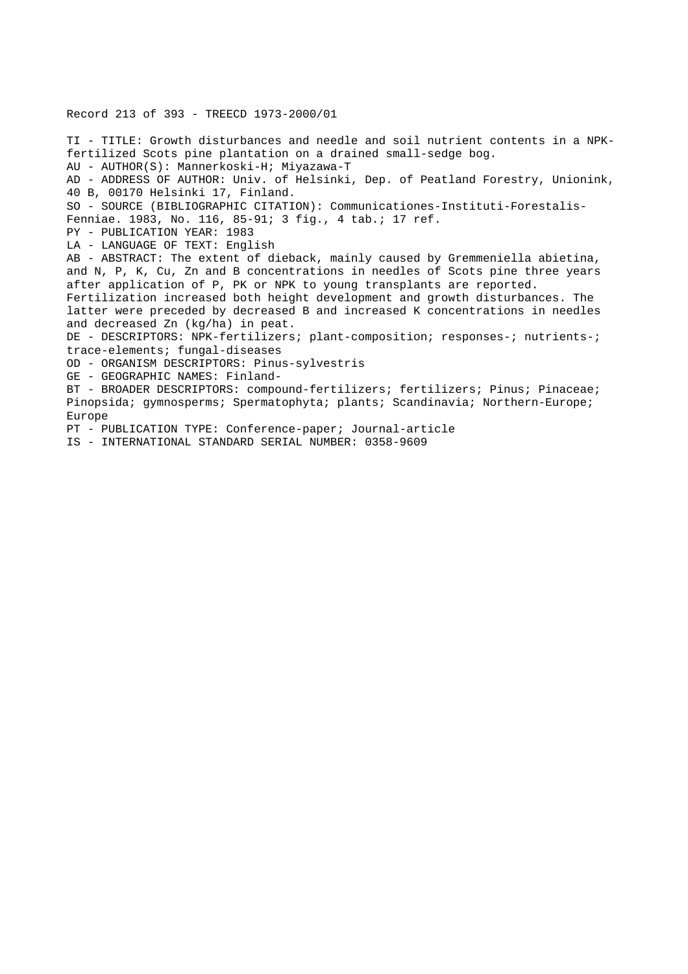# Record 213 of 393 - TREECD 1973-2000/01

TI - TITLE: Growth disturbances and needle and soil nutrient contents in a NPKfertilized Scots pine plantation on a drained small-sedge bog. AU - AUTHOR(S): Mannerkoski-H; Miyazawa-T AD - ADDRESS OF AUTHOR: Univ. of Helsinki, Dep. of Peatland Forestry, Unionink, 40 B, 00170 Helsinki 17, Finland. SO - SOURCE (BIBLIOGRAPHIC CITATION): Communicationes-Instituti-Forestalis-Fenniae. 1983, No. 116, 85-91; 3 fig., 4 tab.; 17 ref. PY - PUBLICATION YEAR: 1983 LA - LANGUAGE OF TEXT: English AB - ABSTRACT: The extent of dieback, mainly caused by Gremmeniella abietina, and N, P, K, Cu, Zn and B concentrations in needles of Scots pine three years after application of P, PK or NPK to young transplants are reported. Fertilization increased both height development and growth disturbances. The latter were preceded by decreased B and increased K concentrations in needles and decreased Zn (kg/ha) in peat. DE - DESCRIPTORS: NPK-fertilizers; plant-composition; responses-; nutrients-; trace-elements; fungal-diseases OD - ORGANISM DESCRIPTORS: Pinus-sylvestris GE - GEOGRAPHIC NAMES: Finland-BT - BROADER DESCRIPTORS: compound-fertilizers; fertilizers; Pinus; Pinaceae; Pinopsida; gymnosperms; Spermatophyta; plants; Scandinavia; Northern-Europe; Europe PT - PUBLICATION TYPE: Conference-paper; Journal-article

IS - INTERNATIONAL STANDARD SERIAL NUMBER: 0358-9609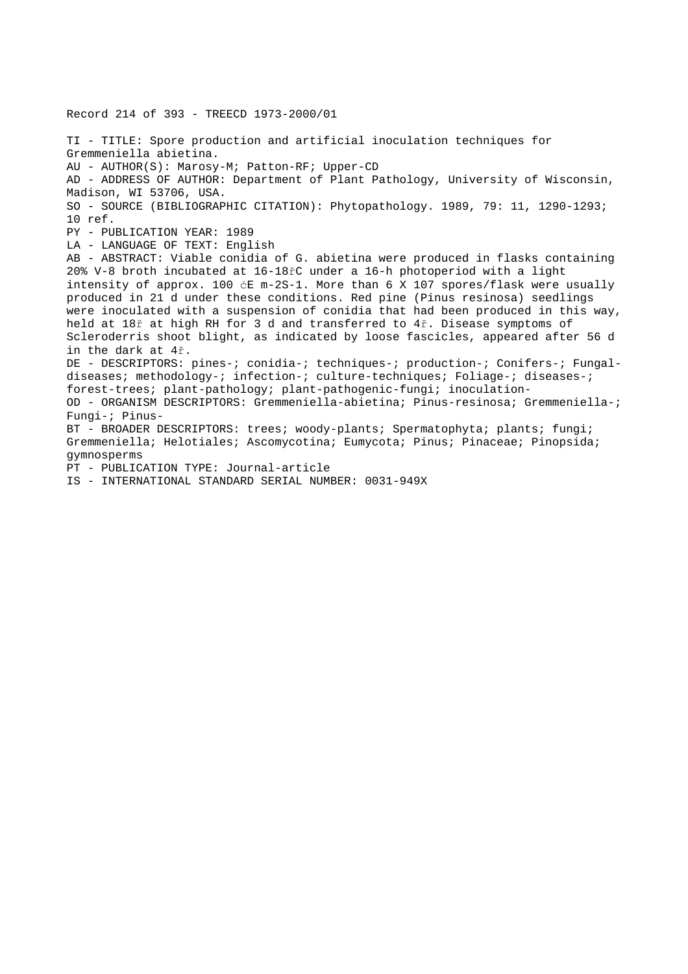Record 214 of 393 - TREECD 1973-2000/01 TI - TITLE: Spore production and artificial inoculation techniques for Gremmeniella abietina. AU - AUTHOR(S): Marosy-M; Patton-RF; Upper-CD AD - ADDRESS OF AUTHOR: Department of Plant Pathology, University of Wisconsin, Madison, WI 53706, USA. SO - SOURCE (BIBLIOGRAPHIC CITATION): Phytopathology. 1989, 79: 11, 1290-1293; 10 ref. PY - PUBLICATION YEAR: 1989 LA - LANGUAGE OF TEXT: English AB - ABSTRACT: Viable conidia of G. abietina were produced in flasks containing 20% V-8 broth incubated at 16-18řC under a 16-h photoperiod with a light intensity of approx. 100 ćE m-2S-1. More than 6 X 107 spores/flask were usually produced in 21 d under these conditions. Red pine (Pinus resinosa) seedlings were inoculated with a suspension of conidia that had been produced in this way, held at 18ř at high RH for 3 d and transferred to 4ř. Disease symptoms of Scleroderris shoot blight, as indicated by loose fascicles, appeared after 56 d in the dark at 4ř. DE - DESCRIPTORS: pines-; conidia-; techniques-; production-; Conifers-; Fungaldiseases; methodology-; infection-; culture-techniques; Foliage-; diseases-; forest-trees; plant-pathology; plant-pathogenic-fungi; inoculation-OD - ORGANISM DESCRIPTORS: Gremmeniella-abietina; Pinus-resinosa; Gremmeniella-; Fungi-; Pinus-BT - BROADER DESCRIPTORS: trees; woody-plants; Spermatophyta; plants; fungi; Gremmeniella; Helotiales; Ascomycotina; Eumycota; Pinus; Pinaceae; Pinopsida; gymnosperms PT - PUBLICATION TYPE: Journal-article

IS - INTERNATIONAL STANDARD SERIAL NUMBER: 0031-949X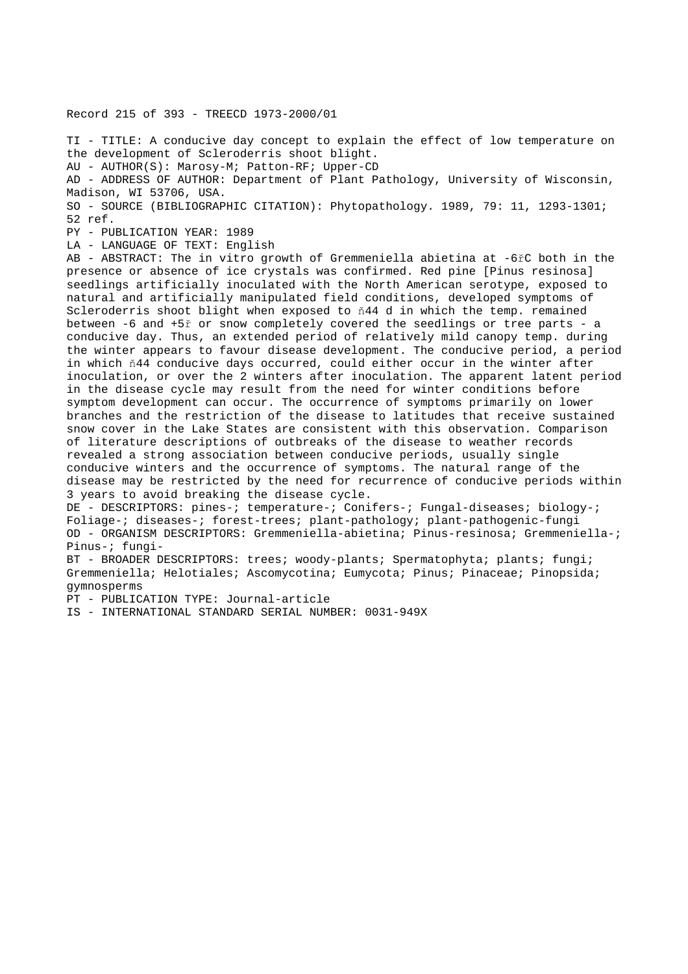Record 215 of 393 - TREECD 1973-2000/01

TI - TITLE: A conducive day concept to explain the effect of low temperature on the development of Scleroderris shoot blight. AU - AUTHOR(S): Marosy-M; Patton-RF; Upper-CD AD - ADDRESS OF AUTHOR: Department of Plant Pathology, University of Wisconsin, Madison, WI 53706, USA. SO - SOURCE (BIBLIOGRAPHIC CITATION): Phytopathology. 1989, 79: 11, 1293-1301; 52 ref. PY - PUBLICATION YEAR: 1989

LA - LANGUAGE OF TEXT: English

AB - ABSTRACT: The in vitro growth of Gremmeniella abietina at -6řC both in the presence or absence of ice crystals was confirmed. Red pine [Pinus resinosa] seedlings artificially inoculated with the North American serotype, exposed to natural and artificially manipulated field conditions, developed symptoms of Scleroderris shoot blight when exposed to ň44 d in which the temp. remained between -6 and +5ř or snow completely covered the seedlings or tree parts - a conducive day. Thus, an extended period of relatively mild canopy temp. during the winter appears to favour disease development. The conducive period, a period in which ň44 conducive days occurred, could either occur in the winter after inoculation, or over the 2 winters after inoculation. The apparent latent period in the disease cycle may result from the need for winter conditions before symptom development can occur. The occurrence of symptoms primarily on lower branches and the restriction of the disease to latitudes that receive sustained snow cover in the Lake States are consistent with this observation. Comparison of literature descriptions of outbreaks of the disease to weather records revealed a strong association between conducive periods, usually single conducive winters and the occurrence of symptoms. The natural range of the disease may be restricted by the need for recurrence of conducive periods within 3 years to avoid breaking the disease cycle.

DE - DESCRIPTORS: pines-; temperature-; Conifers-; Fungal-diseases; biology-; Foliage-; diseases-; forest-trees; plant-pathology; plant-pathogenic-fungi OD - ORGANISM DESCRIPTORS: Gremmeniella-abietina; Pinus-resinosa; Gremmeniella-; Pinus-; fungi-

BT - BROADER DESCRIPTORS: trees; woody-plants; Spermatophyta; plants; fungi; Gremmeniella; Helotiales; Ascomycotina; Eumycota; Pinus; Pinaceae; Pinopsida; gymnosperms

PT - PUBLICATION TYPE: Journal-article

IS - INTERNATIONAL STANDARD SERIAL NUMBER: 0031-949X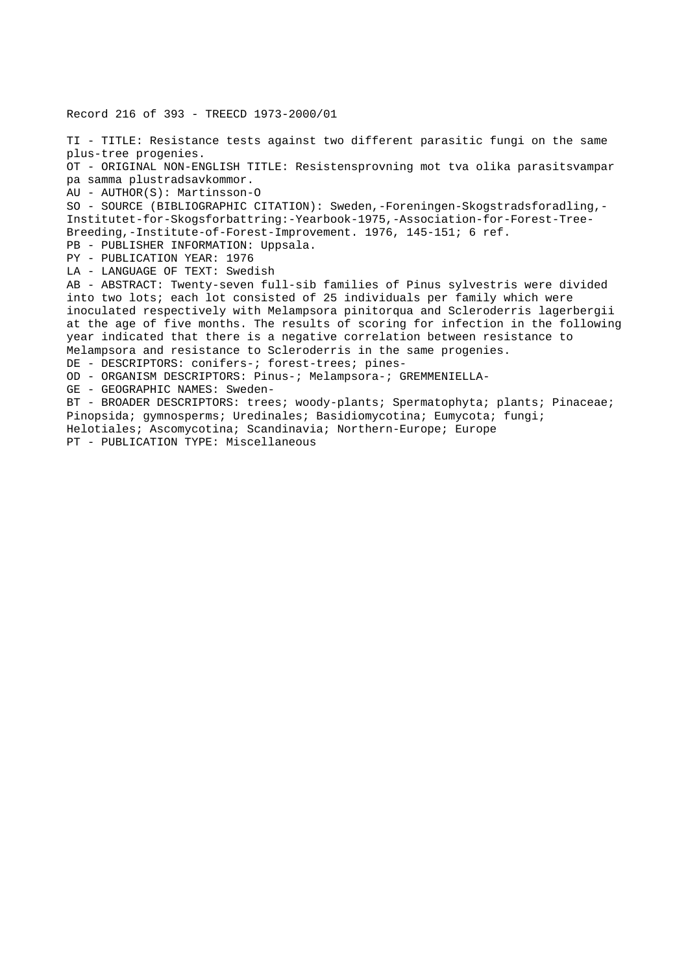Record 216 of 393 - TREECD 1973-2000/01

TI - TITLE: Resistance tests against two different parasitic fungi on the same plus-tree progenies. OT - ORIGINAL NON-ENGLISH TITLE: Resistensprovning mot tva olika parasitsvampar pa samma plustradsavkommor. AU - AUTHOR(S): Martinsson-O SO - SOURCE (BIBLIOGRAPHIC CITATION): Sweden,-Foreningen-Skogstradsforadling,- Institutet-for-Skogsforbattring:-Yearbook-1975,-Association-for-Forest-Tree-Breeding,-Institute-of-Forest-Improvement. 1976, 145-151; 6 ref. PB - PUBLISHER INFORMATION: Uppsala. PY - PUBLICATION YEAR: 1976 LA - LANGUAGE OF TEXT: Swedish AB - ABSTRACT: Twenty-seven full-sib families of Pinus sylvestris were divided into two lots; each lot consisted of 25 individuals per family which were inoculated respectively with Melampsora pinitorqua and Scleroderris lagerbergii at the age of five months. The results of scoring for infection in the following year indicated that there is a negative correlation between resistance to Melampsora and resistance to Scleroderris in the same progenies. DE - DESCRIPTORS: conifers-; forest-trees; pines-OD - ORGANISM DESCRIPTORS: Pinus-; Melampsora-; GREMMENIELLA-GE - GEOGRAPHIC NAMES: Sweden-BT - BROADER DESCRIPTORS: trees; woody-plants; Spermatophyta; plants; Pinaceae; Pinopsida; gymnosperms; Uredinales; Basidiomycotina; Eumycota; fungi; Helotiales; Ascomycotina; Scandinavia; Northern-Europe; Europe PT - PUBLICATION TYPE: Miscellaneous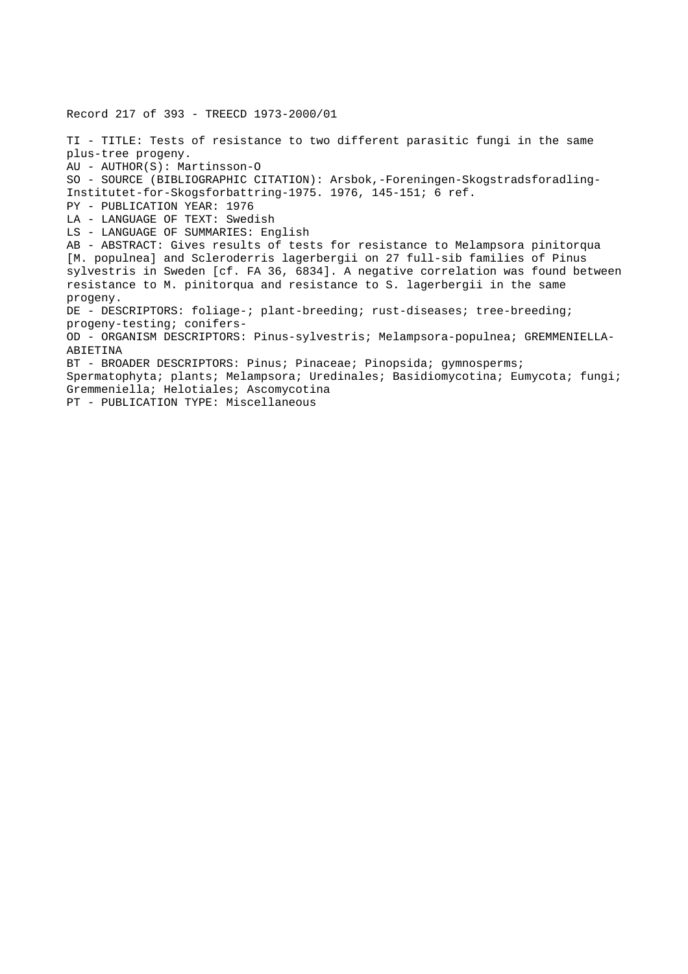Record 217 of 393 - TREECD 1973-2000/01 TI - TITLE: Tests of resistance to two different parasitic fungi in the same plus-tree progeny. AU - AUTHOR(S): Martinsson-O SO - SOURCE (BIBLIOGRAPHIC CITATION): Arsbok,-Foreningen-Skogstradsforadling-Institutet-for-Skogsforbattring-1975. 1976, 145-151; 6 ref. PY - PUBLICATION YEAR: 1976 LA - LANGUAGE OF TEXT: Swedish LS - LANGUAGE OF SUMMARIES: English AB - ABSTRACT: Gives results of tests for resistance to Melampsora pinitorqua [M. populnea] and Scleroderris lagerbergii on 27 full-sib families of Pinus sylvestris in Sweden [cf. FA 36, 6834]. A negative correlation was found between resistance to M. pinitorqua and resistance to S. lagerbergii in the same progeny. DE - DESCRIPTORS: foliage-; plant-breeding; rust-diseases; tree-breeding; progeny-testing; conifers-OD - ORGANISM DESCRIPTORS: Pinus-sylvestris; Melampsora-populnea; GREMMENIELLA-ABIETINA BT - BROADER DESCRIPTORS: Pinus; Pinaceae; Pinopsida; gymnosperms; Spermatophyta; plants; Melampsora; Uredinales; Basidiomycotina; Eumycota; fungi; Gremmeniella; Helotiales; Ascomycotina PT - PUBLICATION TYPE: Miscellaneous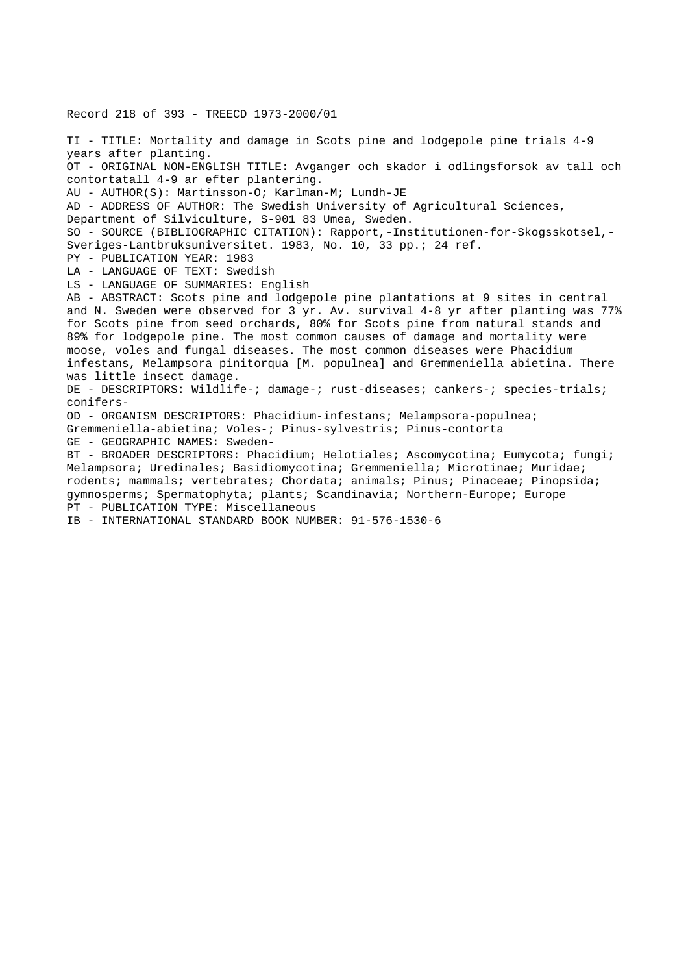Record 218 of 393 - TREECD 1973-2000/01 TI - TITLE: Mortality and damage in Scots pine and lodgepole pine trials 4-9 years after planting. OT - ORIGINAL NON-ENGLISH TITLE: Avganger och skador i odlingsforsok av tall och contortatall 4-9 ar efter plantering. AU - AUTHOR(S): Martinsson-O; Karlman-M; Lundh-JE AD - ADDRESS OF AUTHOR: The Swedish University of Agricultural Sciences, Department of Silviculture, S-901 83 Umea, Sweden. SO - SOURCE (BIBLIOGRAPHIC CITATION): Rapport,-Institutionen-for-Skogsskotsel,- Sveriges-Lantbruksuniversitet. 1983, No. 10, 33 pp.; 24 ref. PY - PUBLICATION YEAR: 1983 LA - LANGUAGE OF TEXT: Swedish LS - LANGUAGE OF SUMMARIES: English AB - ABSTRACT: Scots pine and lodgepole pine plantations at 9 sites in central and N. Sweden were observed for 3 yr. Av. survival 4-8 yr after planting was 77% for Scots pine from seed orchards, 80% for Scots pine from natural stands and 89% for lodgepole pine. The most common causes of damage and mortality were moose, voles and fungal diseases. The most common diseases were Phacidium infestans, Melampsora pinitorqua [M. populnea] and Gremmeniella abietina. There was little insect damage. DE - DESCRIPTORS: Wildlife-; damage-; rust-diseases; cankers-; species-trials; conifers-OD - ORGANISM DESCRIPTORS: Phacidium-infestans; Melampsora-populnea; Gremmeniella-abietina; Voles-; Pinus-sylvestris; Pinus-contorta GE - GEOGRAPHIC NAMES: Sweden-BT - BROADER DESCRIPTORS: Phacidium; Helotiales; Ascomycotina; Eumycota; fungi; Melampsora; Uredinales; Basidiomycotina; Gremmeniella; Microtinae; Muridae; rodents; mammals; vertebrates; Chordata; animals; Pinus; Pinaceae; Pinopsida; gymnosperms; Spermatophyta; plants; Scandinavia; Northern-Europe; Europe PT - PUBLICATION TYPE: Miscellaneous IB - INTERNATIONAL STANDARD BOOK NUMBER: 91-576-1530-6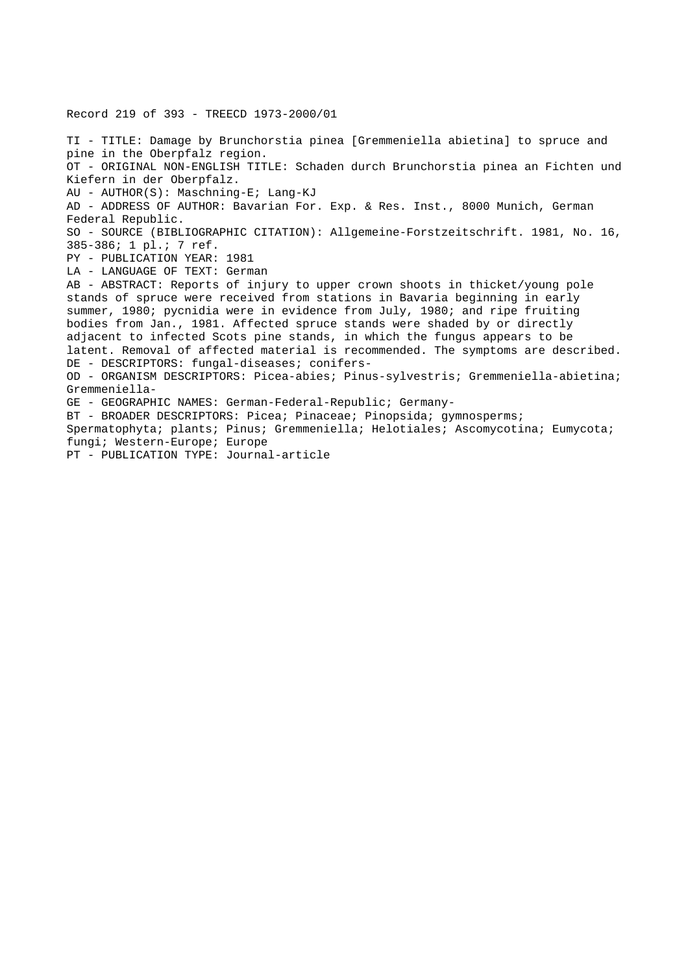Record 219 of 393 - TREECD 1973-2000/01 TI - TITLE: Damage by Brunchorstia pinea [Gremmeniella abietina] to spruce and pine in the Oberpfalz region. OT - ORIGINAL NON-ENGLISH TITLE: Schaden durch Brunchorstia pinea an Fichten und Kiefern in der Oberpfalz. AU - AUTHOR(S): Maschning-E; Lang-KJ AD - ADDRESS OF AUTHOR: Bavarian For. Exp. & Res. Inst., 8000 Munich, German Federal Republic. SO - SOURCE (BIBLIOGRAPHIC CITATION): Allgemeine-Forstzeitschrift. 1981, No. 16, 385-386; 1 pl.; 7 ref. PY - PUBLICATION YEAR: 1981 LA - LANGUAGE OF TEXT: German AB - ABSTRACT: Reports of injury to upper crown shoots in thicket/young pole stands of spruce were received from stations in Bavaria beginning in early summer, 1980; pycnidia were in evidence from July, 1980; and ripe fruiting bodies from Jan., 1981. Affected spruce stands were shaded by or directly adjacent to infected Scots pine stands, in which the fungus appears to be latent. Removal of affected material is recommended. The symptoms are described. DE - DESCRIPTORS: fungal-diseases; conifers-OD - ORGANISM DESCRIPTORS: Picea-abies; Pinus-sylvestris; Gremmeniella-abietina; Gremmeniella-GE - GEOGRAPHIC NAMES: German-Federal-Republic; Germany-BT - BROADER DESCRIPTORS: Picea; Pinaceae; Pinopsida; gymnosperms; Spermatophyta; plants; Pinus; Gremmeniella; Helotiales; Ascomycotina; Eumycota; fungi; Western-Europe; Europe PT - PUBLICATION TYPE: Journal-article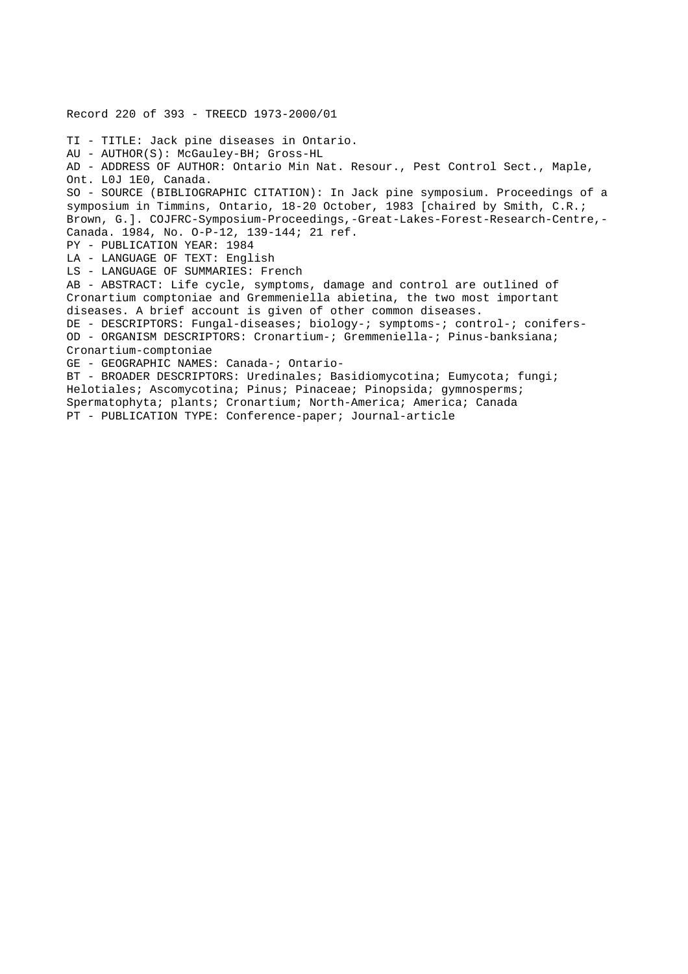Record 220 of 393 - TREECD 1973-2000/01 TI - TITLE: Jack pine diseases in Ontario. AU - AUTHOR(S): McGauley-BH; Gross-HL AD - ADDRESS OF AUTHOR: Ontario Min Nat. Resour., Pest Control Sect., Maple, Ont. L0J 1E0, Canada. SO - SOURCE (BIBLIOGRAPHIC CITATION): In Jack pine symposium. Proceedings of a symposium in Timmins, Ontario, 18-20 October, 1983 [chaired by Smith, C.R.; Brown, G.]. COJFRC-Symposium-Proceedings,-Great-Lakes-Forest-Research-Centre,- Canada. 1984, No. O-P-12, 139-144; 21 ref. PY - PUBLICATION YEAR: 1984 LA - LANGUAGE OF TEXT: English LS - LANGUAGE OF SUMMARIES: French AB - ABSTRACT: Life cycle, symptoms, damage and control are outlined of Cronartium comptoniae and Gremmeniella abietina, the two most important diseases. A brief account is given of other common diseases. DE - DESCRIPTORS: Fungal-diseases; biology-; symptoms-; control-; conifers-OD - ORGANISM DESCRIPTORS: Cronartium-; Gremmeniella-; Pinus-banksiana; Cronartium-comptoniae GE - GEOGRAPHIC NAMES: Canada-; Ontario-BT - BROADER DESCRIPTORS: Uredinales; Basidiomycotina; Eumycota; fungi; Helotiales; Ascomycotina; Pinus; Pinaceae; Pinopsida; gymnosperms; Spermatophyta; plants; Cronartium; North-America; America; Canada PT - PUBLICATION TYPE: Conference-paper; Journal-article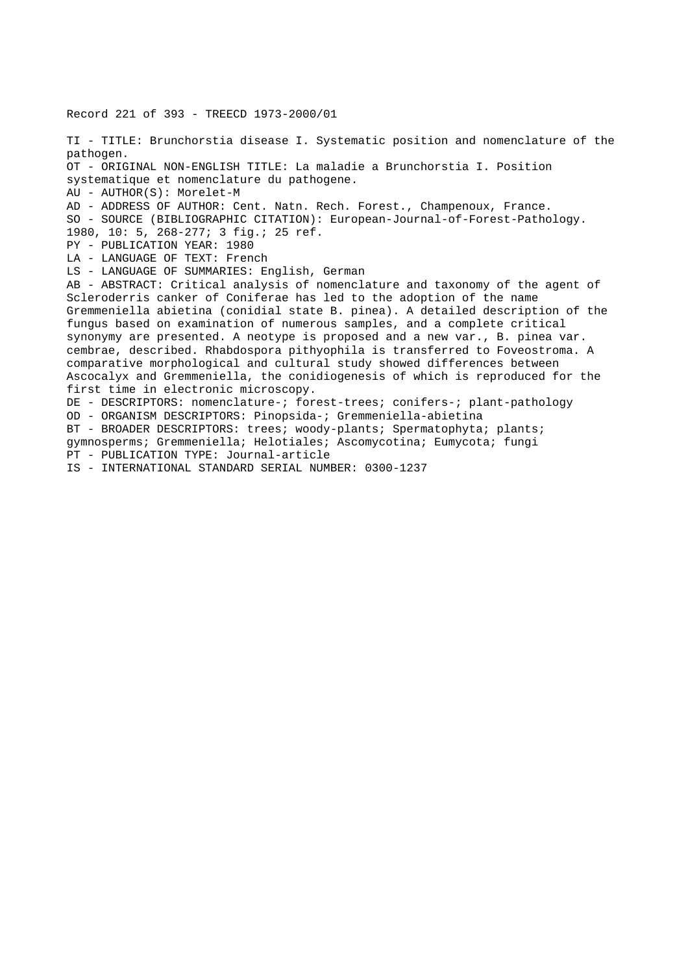Record 221 of 393 - TREECD 1973-2000/01 TI - TITLE: Brunchorstia disease I. Systematic position and nomenclature of the pathogen. OT - ORIGINAL NON-ENGLISH TITLE: La maladie a Brunchorstia I. Position systematique et nomenclature du pathogene. AU - AUTHOR(S): Morelet-M AD - ADDRESS OF AUTHOR: Cent. Natn. Rech. Forest., Champenoux, France. SO - SOURCE (BIBLIOGRAPHIC CITATION): European-Journal-of-Forest-Pathology. 1980, 10: 5, 268-277; 3 fig.; 25 ref. PY - PUBLICATION YEAR: 1980 LA - LANGUAGE OF TEXT: French LS - LANGUAGE OF SUMMARIES: English, German AB - ABSTRACT: Critical analysis of nomenclature and taxonomy of the agent of Scleroderris canker of Coniferae has led to the adoption of the name Gremmeniella abietina (conidial state B. pinea). A detailed description of the fungus based on examination of numerous samples, and a complete critical synonymy are presented. A neotype is proposed and a new var., B. pinea var. cembrae, described. Rhabdospora pithyophila is transferred to Foveostroma. A comparative morphological and cultural study showed differences between Ascocalyx and Gremmeniella, the conidiogenesis of which is reproduced for the first time in electronic microscopy. DE - DESCRIPTORS: nomenclature-; forest-trees; conifers-; plant-pathology OD - ORGANISM DESCRIPTORS: Pinopsida-; Gremmeniella-abietina BT - BROADER DESCRIPTORS: trees; woody-plants; Spermatophyta; plants; gymnosperms; Gremmeniella; Helotiales; Ascomycotina; Eumycota; fungi PT - PUBLICATION TYPE: Journal-article IS - INTERNATIONAL STANDARD SERIAL NUMBER: 0300-1237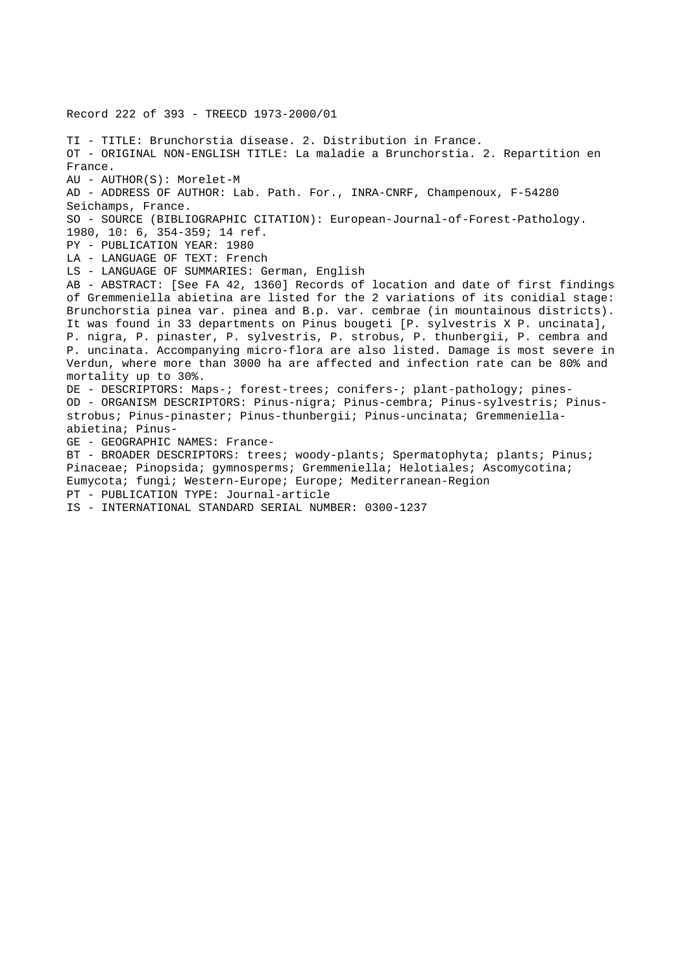Record 222 of 393 - TREECD 1973-2000/01 TI - TITLE: Brunchorstia disease. 2. Distribution in France. OT - ORIGINAL NON-ENGLISH TITLE: La maladie a Brunchorstia. 2. Repartition en France. AU - AUTHOR(S): Morelet-M AD - ADDRESS OF AUTHOR: Lab. Path. For., INRA-CNRF, Champenoux, F-54280 Seichamps, France. SO - SOURCE (BIBLIOGRAPHIC CITATION): European-Journal-of-Forest-Pathology. 1980, 10: 6, 354-359; 14 ref. PY - PUBLICATION YEAR: 1980 LA - LANGUAGE OF TEXT: French LS - LANGUAGE OF SUMMARIES: German, English AB - ABSTRACT: [See FA 42, 1360] Records of location and date of first findings of Gremmeniella abietina are listed for the 2 variations of its conidial stage: Brunchorstia pinea var. pinea and B.p. var. cembrae (in mountainous districts). It was found in 33 departments on Pinus bougeti [P. sylvestris X P. uncinata], P. nigra, P. pinaster, P. sylvestris, P. strobus, P. thunbergii, P. cembra and P. uncinata. Accompanying micro-flora are also listed. Damage is most severe in Verdun, where more than 3000 ha are affected and infection rate can be 80% and mortality up to 30%. DE - DESCRIPTORS: Maps-; forest-trees; conifers-; plant-pathology; pines-OD - ORGANISM DESCRIPTORS: Pinus-nigra; Pinus-cembra; Pinus-sylvestris; Pinusstrobus; Pinus-pinaster; Pinus-thunbergii; Pinus-uncinata; Gremmeniellaabietina; Pinus-GE - GEOGRAPHIC NAMES: France-BT - BROADER DESCRIPTORS: trees; woody-plants; Spermatophyta; plants; Pinus; Pinaceae; Pinopsida; gymnosperms; Gremmeniella; Helotiales; Ascomycotina; Eumycota; fungi; Western-Europe; Europe; Mediterranean-Region PT - PUBLICATION TYPE: Journal-article IS - INTERNATIONAL STANDARD SERIAL NUMBER: 0300-1237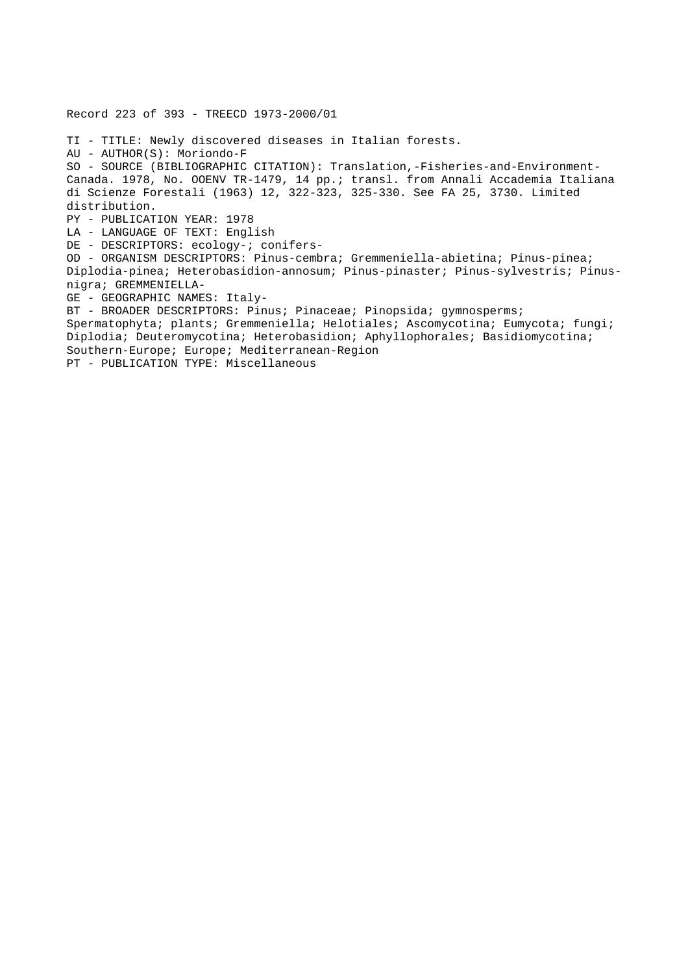Record 223 of 393 - TREECD 1973-2000/01

TI - TITLE: Newly discovered diseases in Italian forests. AU - AUTHOR(S): Moriondo-F SO - SOURCE (BIBLIOGRAPHIC CITATION): Translation,-Fisheries-and-Environment-Canada. 1978, No. OOENV TR-1479, 14 pp.; transl. from Annali Accademia Italiana di Scienze Forestali (1963) 12, 322-323, 325-330. See FA 25, 3730. Limited distribution. PY - PUBLICATION YEAR: 1978 LA - LANGUAGE OF TEXT: English DE - DESCRIPTORS: ecology-; conifers-OD - ORGANISM DESCRIPTORS: Pinus-cembra; Gremmeniella-abietina; Pinus-pinea; Diplodia-pinea; Heterobasidion-annosum; Pinus-pinaster; Pinus-sylvestris; Pinusnigra; GREMMENIELLA-GE - GEOGRAPHIC NAMES: Italy-BT - BROADER DESCRIPTORS: Pinus; Pinaceae; Pinopsida; gymnosperms; Spermatophyta; plants; Gremmeniella; Helotiales; Ascomycotina; Eumycota; fungi; Diplodia; Deuteromycotina; Heterobasidion; Aphyllophorales; Basidiomycotina; Southern-Europe; Europe; Mediterranean-Region PT - PUBLICATION TYPE: Miscellaneous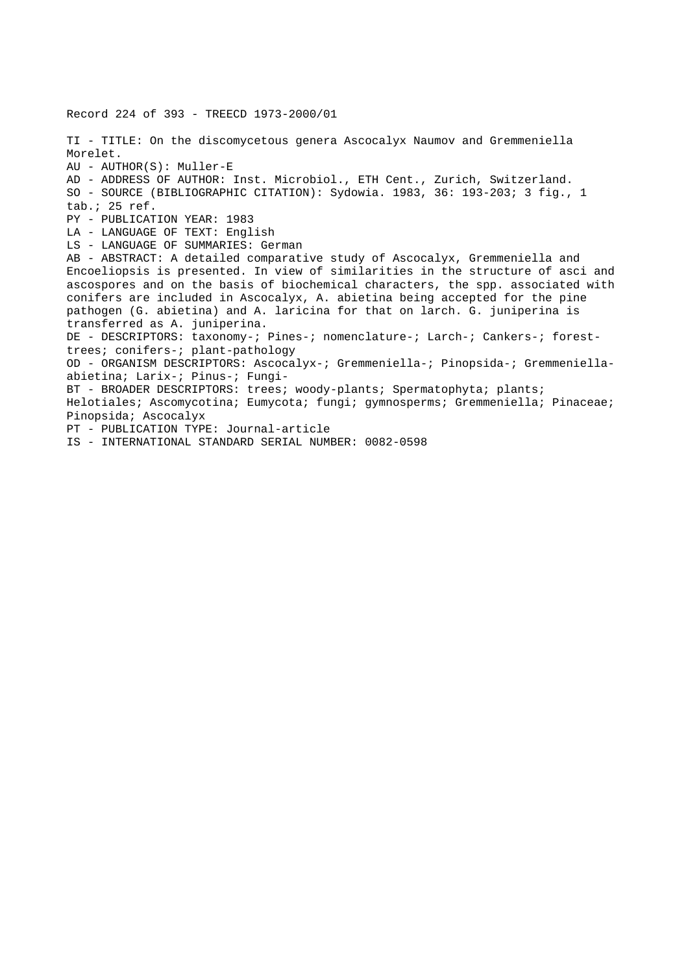Record 224 of 393 - TREECD 1973-2000/01 TI - TITLE: On the discomycetous genera Ascocalyx Naumov and Gremmeniella Morelet. AU - AUTHOR(S): Muller-E AD - ADDRESS OF AUTHOR: Inst. Microbiol., ETH Cent., Zurich, Switzerland. SO - SOURCE (BIBLIOGRAPHIC CITATION): Sydowia. 1983, 36: 193-203; 3 fig., 1 tab.; 25 ref. PY - PUBLICATION YEAR: 1983 LA - LANGUAGE OF TEXT: English LS - LANGUAGE OF SUMMARIES: German AB - ABSTRACT: A detailed comparative study of Ascocalyx, Gremmeniella and Encoeliopsis is presented. In view of similarities in the structure of asci and ascospores and on the basis of biochemical characters, the spp. associated with conifers are included in Ascocalyx, A. abietina being accepted for the pine pathogen (G. abietina) and A. laricina for that on larch. G. juniperina is transferred as A. juniperina. DE - DESCRIPTORS: taxonomy-; Pines-; nomenclature-; Larch-; Cankers-; foresttrees; conifers-; plant-pathology OD - ORGANISM DESCRIPTORS: Ascocalyx-; Gremmeniella-; Pinopsida-; Gremmeniellaabietina; Larix-; Pinus-; Fungi-BT - BROADER DESCRIPTORS: trees; woody-plants; Spermatophyta; plants; Helotiales; Ascomycotina; Eumycota; fungi; gymnosperms; Gremmeniella; Pinaceae; Pinopsida; Ascocalyx PT - PUBLICATION TYPE: Journal-article IS - INTERNATIONAL STANDARD SERIAL NUMBER: 0082-0598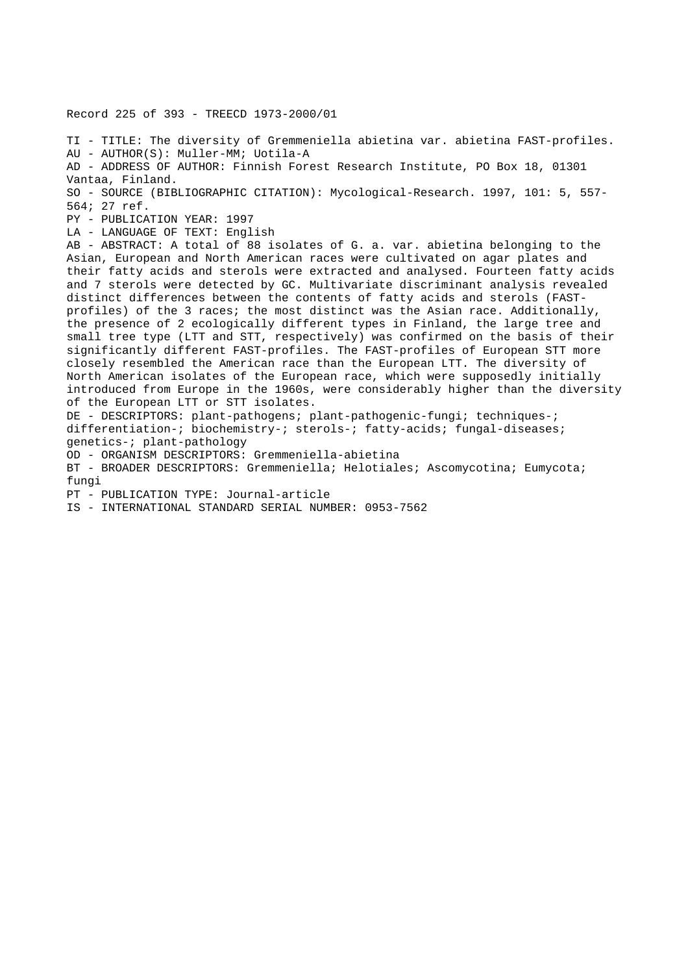Record 225 of 393 - TREECD 1973-2000/01 TI - TITLE: The diversity of Gremmeniella abietina var. abietina FAST-profiles. AU - AUTHOR(S): Muller-MM; Uotila-A

AD - ADDRESS OF AUTHOR: Finnish Forest Research Institute, PO Box 18, 01301 Vantaa, Finland. SO - SOURCE (BIBLIOGRAPHIC CITATION): Mycological-Research. 1997, 101: 5, 557-

564; 27 ref.

PY - PUBLICATION YEAR: 1997

LA - LANGUAGE OF TEXT: English

AB - ABSTRACT: A total of 88 isolates of G. a. var. abietina belonging to the Asian, European and North American races were cultivated on agar plates and their fatty acids and sterols were extracted and analysed. Fourteen fatty acids and 7 sterols were detected by GC. Multivariate discriminant analysis revealed distinct differences between the contents of fatty acids and sterols (FASTprofiles) of the 3 races; the most distinct was the Asian race. Additionally, the presence of 2 ecologically different types in Finland, the large tree and small tree type (LTT and STT, respectively) was confirmed on the basis of their significantly different FAST-profiles. The FAST-profiles of European STT more closely resembled the American race than the European LTT. The diversity of North American isolates of the European race, which were supposedly initially introduced from Europe in the 1960s, were considerably higher than the diversity of the European LTT or STT isolates.

DE - DESCRIPTORS: plant-pathogens; plant-pathogenic-fungi; techniques-; differentiation-; biochemistry-; sterols-; fatty-acids; fungal-diseases; genetics-; plant-pathology

OD - ORGANISM DESCRIPTORS: Gremmeniella-abietina

BT - BROADER DESCRIPTORS: Gremmeniella; Helotiales; Ascomycotina; Eumycota; fungi

PT - PUBLICATION TYPE: Journal-article

IS - INTERNATIONAL STANDARD SERIAL NUMBER: 0953-7562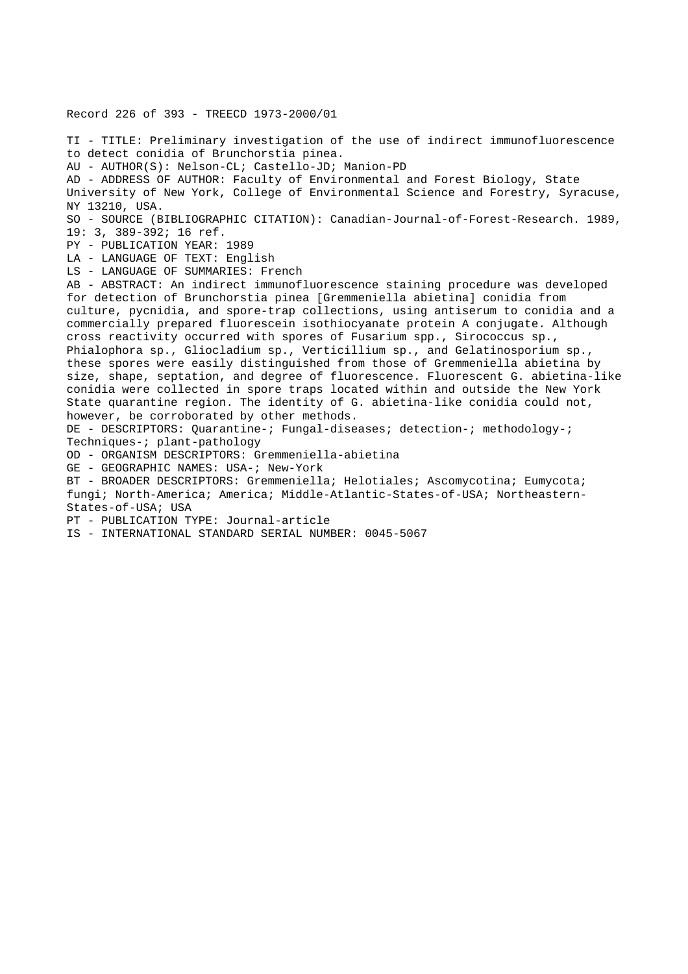Record 226 of 393 - TREECD 1973-2000/01

TI - TITLE: Preliminary investigation of the use of indirect immunofluorescence to detect conidia of Brunchorstia pinea. AU - AUTHOR(S): Nelson-CL; Castello-JD; Manion-PD AD - ADDRESS OF AUTHOR: Faculty of Environmental and Forest Biology, State University of New York, College of Environmental Science and Forestry, Syracuse, NY 13210, USA. SO - SOURCE (BIBLIOGRAPHIC CITATION): Canadian-Journal-of-Forest-Research. 1989, 19: 3, 389-392; 16 ref. PY - PUBLICATION YEAR: 1989 LA - LANGUAGE OF TEXT: English LS - LANGUAGE OF SUMMARIES: French AB - ABSTRACT: An indirect immunofluorescence staining procedure was developed for detection of Brunchorstia pinea [Gremmeniella abietina] conidia from culture, pycnidia, and spore-trap collections, using antiserum to conidia and a commercially prepared fluorescein isothiocyanate protein A conjugate. Although cross reactivity occurred with spores of Fusarium spp., Sirococcus sp., Phialophora sp., Gliocladium sp., Verticillium sp., and Gelatinosporium sp., these spores were easily distinguished from those of Gremmeniella abietina by size, shape, septation, and degree of fluorescence. Fluorescent G. abietina-like conidia were collected in spore traps located within and outside the New York State quarantine region. The identity of G. abietina-like conidia could not, however, be corroborated by other methods. DE - DESCRIPTORS: Quarantine-; Fungal-diseases; detection-; methodology-; Techniques-; plant-pathology OD - ORGANISM DESCRIPTORS: Gremmeniella-abietina GE - GEOGRAPHIC NAMES: USA-; New-York BT - BROADER DESCRIPTORS: Gremmeniella; Helotiales; Ascomycotina; Eumycota; fungi; North-America; America; Middle-Atlantic-States-of-USA; Northeastern-States-of-USA; USA PT - PUBLICATION TYPE: Journal-article

IS - INTERNATIONAL STANDARD SERIAL NUMBER: 0045-5067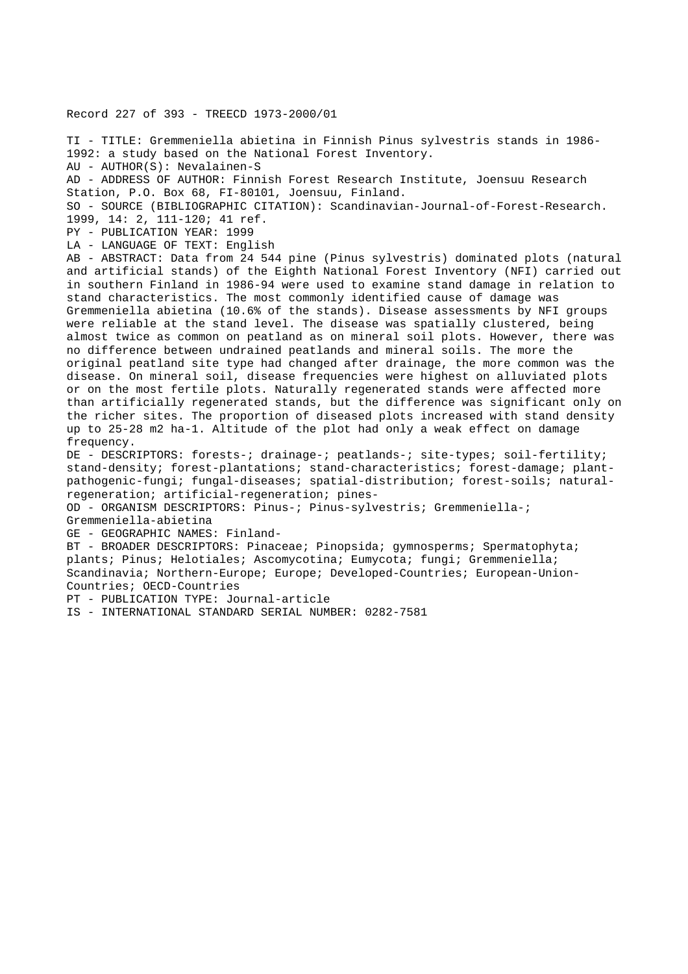Record 227 of 393 - TREECD 1973-2000/01

TI - TITLE: Gremmeniella abietina in Finnish Pinus sylvestris stands in 1986- 1992: a study based on the National Forest Inventory. AU - AUTHOR(S): Nevalainen-S AD - ADDRESS OF AUTHOR: Finnish Forest Research Institute, Joensuu Research Station, P.O. Box 68, FI-80101, Joensuu, Finland. SO - SOURCE (BIBLIOGRAPHIC CITATION): Scandinavian-Journal-of-Forest-Research. 1999, 14: 2, 111-120; 41 ref. PY - PUBLICATION YEAR: 1999 LA - LANGUAGE OF TEXT: English AB - ABSTRACT: Data from 24 544 pine (Pinus sylvestris) dominated plots (natural and artificial stands) of the Eighth National Forest Inventory (NFI) carried out in southern Finland in 1986-94 were used to examine stand damage in relation to stand characteristics. The most commonly identified cause of damage was Gremmeniella abietina (10.6% of the stands). Disease assessments by NFI groups were reliable at the stand level. The disease was spatially clustered, being almost twice as common on peatland as on mineral soil plots. However, there was no difference between undrained peatlands and mineral soils. The more the original peatland site type had changed after drainage, the more common was the disease. On mineral soil, disease frequencies were highest on alluviated plots or on the most fertile plots. Naturally regenerated stands were affected more than artificially regenerated stands, but the difference was significant only on the richer sites. The proportion of diseased plots increased with stand density up to 25-28 m2 ha-1. Altitude of the plot had only a weak effect on damage frequency. DE - DESCRIPTORS: forests-; drainage-; peatlands-; site-types; soil-fertility; stand-density; forest-plantations; stand-characteristics; forest-damage; plantpathogenic-fungi; fungal-diseases; spatial-distribution; forest-soils; naturalregeneration; artificial-regeneration; pines-OD - ORGANISM DESCRIPTORS: Pinus-; Pinus-sylvestris; Gremmeniella-; Gremmeniella-abietina GE - GEOGRAPHIC NAMES: Finland-BT - BROADER DESCRIPTORS: Pinaceae; Pinopsida; gymnosperms; Spermatophyta; plants; Pinus; Helotiales; Ascomycotina; Eumycota; fungi; Gremmeniella; Scandinavia; Northern-Europe; Europe; Developed-Countries; European-Union-Countries; OECD-Countries

PT - PUBLICATION TYPE: Journal-article

IS - INTERNATIONAL STANDARD SERIAL NUMBER: 0282-7581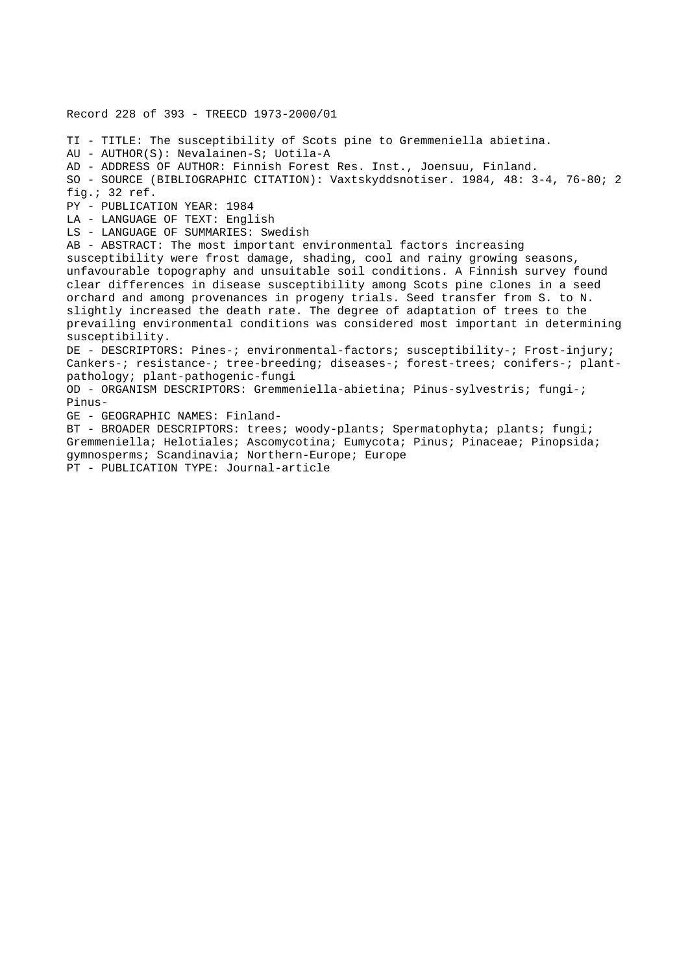Record 228 of 393 - TREECD 1973-2000/01 TI - TITLE: The susceptibility of Scots pine to Gremmeniella abietina. AU - AUTHOR(S): Nevalainen-S; Uotila-A AD - ADDRESS OF AUTHOR: Finnish Forest Res. Inst., Joensuu, Finland. SO - SOURCE (BIBLIOGRAPHIC CITATION): Vaxtskyddsnotiser. 1984, 48: 3-4, 76-80; 2 fig.; 32 ref. PY - PUBLICATION YEAR: 1984 LA - LANGUAGE OF TEXT: English LS - LANGUAGE OF SUMMARIES: Swedish AB - ABSTRACT: The most important environmental factors increasing susceptibility were frost damage, shading, cool and rainy growing seasons, unfavourable topography and unsuitable soil conditions. A Finnish survey found clear differences in disease susceptibility among Scots pine clones in a seed orchard and among provenances in progeny trials. Seed transfer from S. to N. slightly increased the death rate. The degree of adaptation of trees to the prevailing environmental conditions was considered most important in determining susceptibility. DE - DESCRIPTORS: Pines-; environmental-factors; susceptibility-; Frost-injury; Cankers-; resistance-; tree-breeding; diseases-; forest-trees; conifers-; plantpathology; plant-pathogenic-fungi OD - ORGANISM DESCRIPTORS: Gremmeniella-abietina; Pinus-sylvestris; fungi-; Pinus-GE - GEOGRAPHIC NAMES: Finland-BT - BROADER DESCRIPTORS: trees; woody-plants; Spermatophyta; plants; fungi; Gremmeniella; Helotiales; Ascomycotina; Eumycota; Pinus; Pinaceae; Pinopsida; gymnosperms; Scandinavia; Northern-Europe; Europe PT - PUBLICATION TYPE: Journal-article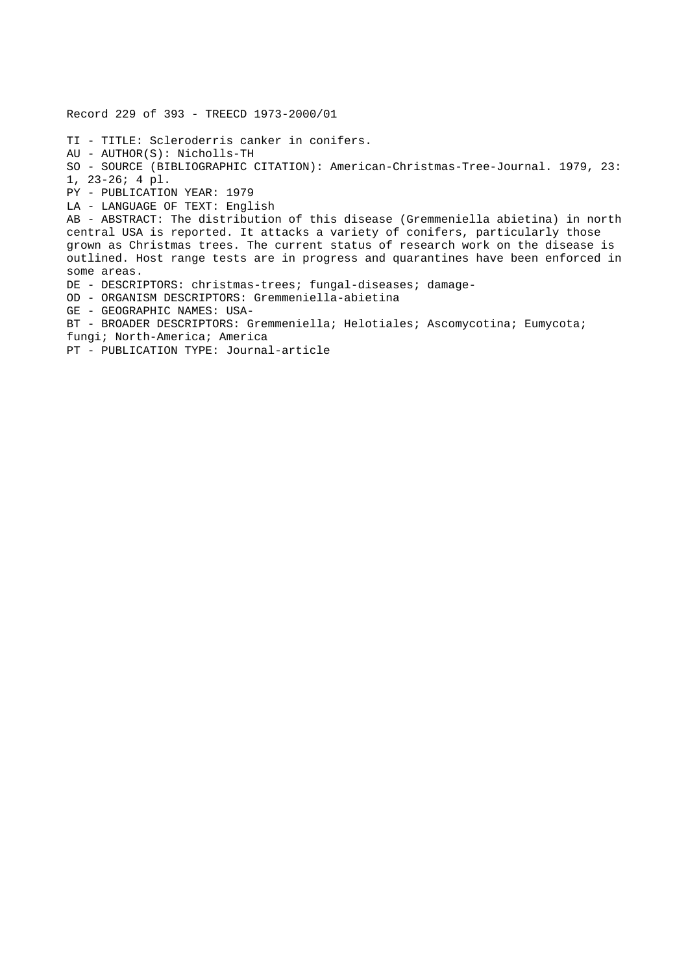Record 229 of 393 - TREECD 1973-2000/01 TI - TITLE: Scleroderris canker in conifers. AU - AUTHOR(S): Nicholls-TH SO - SOURCE (BIBLIOGRAPHIC CITATION): American-Christmas-Tree-Journal. 1979, 23: 1, 23-26; 4 pl. PY - PUBLICATION YEAR: 1979 LA - LANGUAGE OF TEXT: English AB - ABSTRACT: The distribution of this disease (Gremmeniella abietina) in north central USA is reported. It attacks a variety of conifers, particularly those grown as Christmas trees. The current status of research work on the disease is outlined. Host range tests are in progress and quarantines have been enforced in some areas. DE - DESCRIPTORS: christmas-trees; fungal-diseases; damage-OD - ORGANISM DESCRIPTORS: Gremmeniella-abietina GE - GEOGRAPHIC NAMES: USA-BT - BROADER DESCRIPTORS: Gremmeniella; Helotiales; Ascomycotina; Eumycota; fungi; North-America; America PT - PUBLICATION TYPE: Journal-article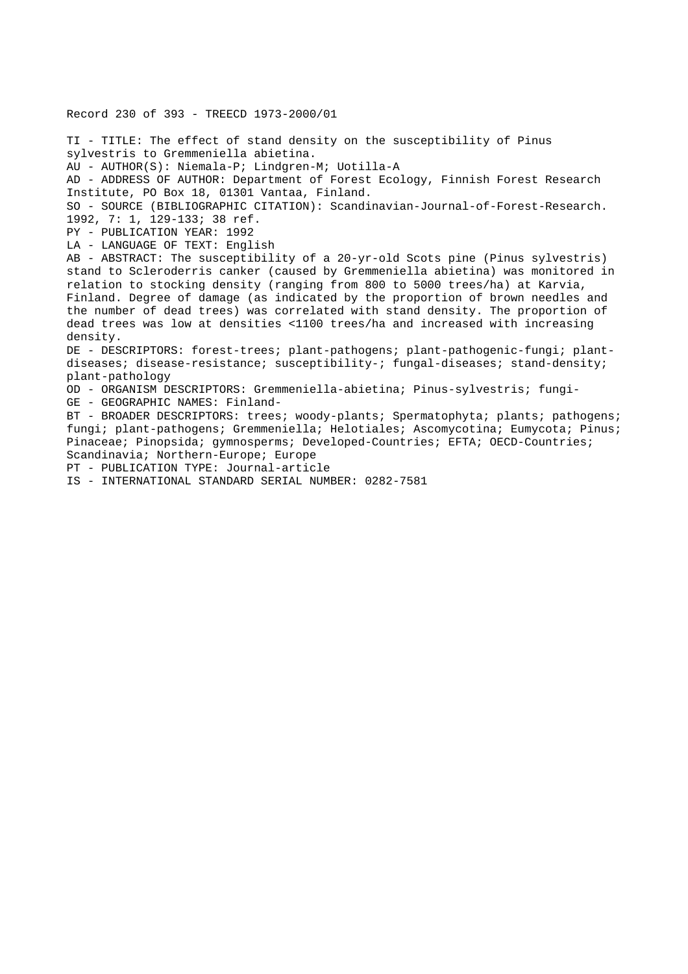Record 230 of 393 - TREECD 1973-2000/01 TI - TITLE: The effect of stand density on the susceptibility of Pinus sylvestris to Gremmeniella abietina. AU - AUTHOR(S): Niemala-P; Lindgren-M; Uotilla-A AD - ADDRESS OF AUTHOR: Department of Forest Ecology, Finnish Forest Research Institute, PO Box 18, 01301 Vantaa, Finland. SO - SOURCE (BIBLIOGRAPHIC CITATION): Scandinavian-Journal-of-Forest-Research. 1992, 7: 1, 129-133; 38 ref. PY - PUBLICATION YEAR: 1992 LA - LANGUAGE OF TEXT: English AB - ABSTRACT: The susceptibility of a 20-yr-old Scots pine (Pinus sylvestris) stand to Scleroderris canker (caused by Gremmeniella abietina) was monitored in relation to stocking density (ranging from 800 to 5000 trees/ha) at Karvia, Finland. Degree of damage (as indicated by the proportion of brown needles and the number of dead trees) was correlated with stand density. The proportion of dead trees was low at densities <1100 trees/ha and increased with increasing density. DE - DESCRIPTORS: forest-trees; plant-pathogens; plant-pathogenic-fungi; plantdiseases; disease-resistance; susceptibility-; fungal-diseases; stand-density; plant-pathology OD - ORGANISM DESCRIPTORS: Gremmeniella-abietina; Pinus-sylvestris; fungi-GE - GEOGRAPHIC NAMES: Finland-BT - BROADER DESCRIPTORS: trees; woody-plants; Spermatophyta; plants; pathogens; fungi; plant-pathogens; Gremmeniella; Helotiales; Ascomycotina; Eumycota; Pinus; Pinaceae; Pinopsida; gymnosperms; Developed-Countries; EFTA; OECD-Countries; Scandinavia; Northern-Europe; Europe PT - PUBLICATION TYPE: Journal-article IS - INTERNATIONAL STANDARD SERIAL NUMBER: 0282-7581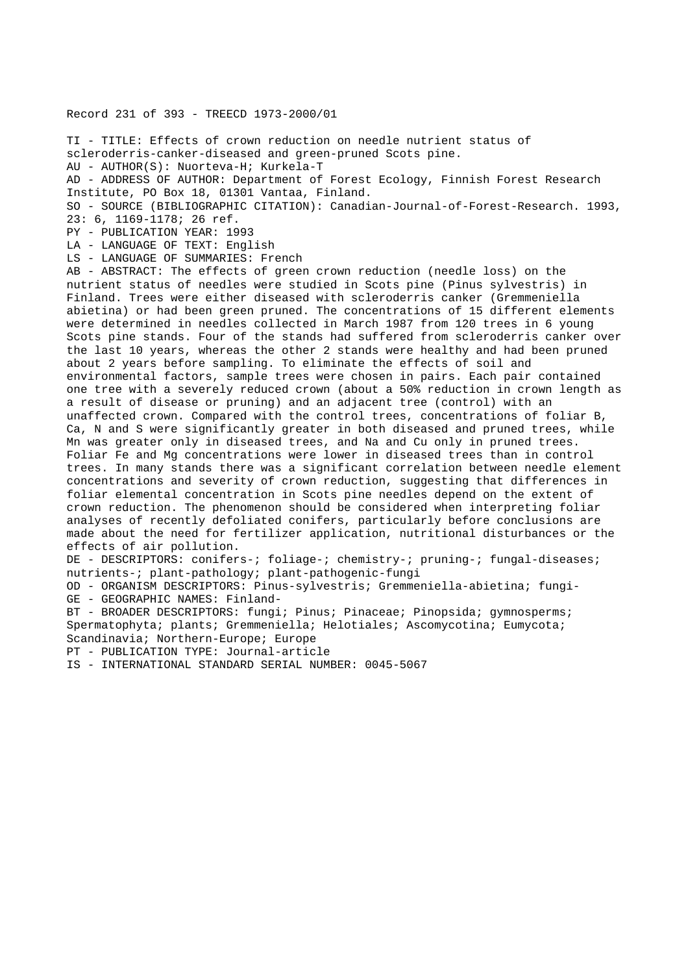## Record 231 of 393 - TREECD 1973-2000/01

TI - TITLE: Effects of crown reduction on needle nutrient status of scleroderris-canker-diseased and green-pruned Scots pine. AU - AUTHOR(S): Nuorteva-H; Kurkela-T AD - ADDRESS OF AUTHOR: Department of Forest Ecology, Finnish Forest Research Institute, PO Box 18, 01301 Vantaa, Finland. SO - SOURCE (BIBLIOGRAPHIC CITATION): Canadian-Journal-of-Forest-Research. 1993, 23: 6, 1169-1178; 26 ref. PY - PUBLICATION YEAR: 1993 LA - LANGUAGE OF TEXT: English LS - LANGUAGE OF SUMMARIES: French AB - ABSTRACT: The effects of green crown reduction (needle loss) on the nutrient status of needles were studied in Scots pine (Pinus sylvestris) in Finland. Trees were either diseased with scleroderris canker (Gremmeniella abietina) or had been green pruned. The concentrations of 15 different elements were determined in needles collected in March 1987 from 120 trees in 6 young Scots pine stands. Four of the stands had suffered from scleroderris canker over the last 10 years, whereas the other 2 stands were healthy and had been pruned about 2 years before sampling. To eliminate the effects of soil and environmental factors, sample trees were chosen in pairs. Each pair contained one tree with a severely reduced crown (about a 50% reduction in crown length as a result of disease or pruning) and an adjacent tree (control) with an unaffected crown. Compared with the control trees, concentrations of foliar B, Ca, N and S were significantly greater in both diseased and pruned trees, while Mn was greater only in diseased trees, and Na and Cu only in pruned trees. Foliar Fe and Mg concentrations were lower in diseased trees than in control trees. In many stands there was a significant correlation between needle element concentrations and severity of crown reduction, suggesting that differences in foliar elemental concentration in Scots pine needles depend on the extent of crown reduction. The phenomenon should be considered when interpreting foliar analyses of recently defoliated conifers, particularly before conclusions are made about the need for fertilizer application, nutritional disturbances or the effects of air pollution. DE - DESCRIPTORS: conifers-; foliage-; chemistry-; pruning-; fungal-diseases; nutrients-; plant-pathology; plant-pathogenic-fungi OD - ORGANISM DESCRIPTORS: Pinus-sylvestris; Gremmeniella-abietina; fungi-GE - GEOGRAPHIC NAMES: Finland-

BT - BROADER DESCRIPTORS: fungi; Pinus; Pinaceae; Pinopsida; gymnosperms; Spermatophyta; plants; Gremmeniella; Helotiales; Ascomycotina; Eumycota; Scandinavia; Northern-Europe; Europe

PT - PUBLICATION TYPE: Journal-article

IS - INTERNATIONAL STANDARD SERIAL NUMBER: 0045-5067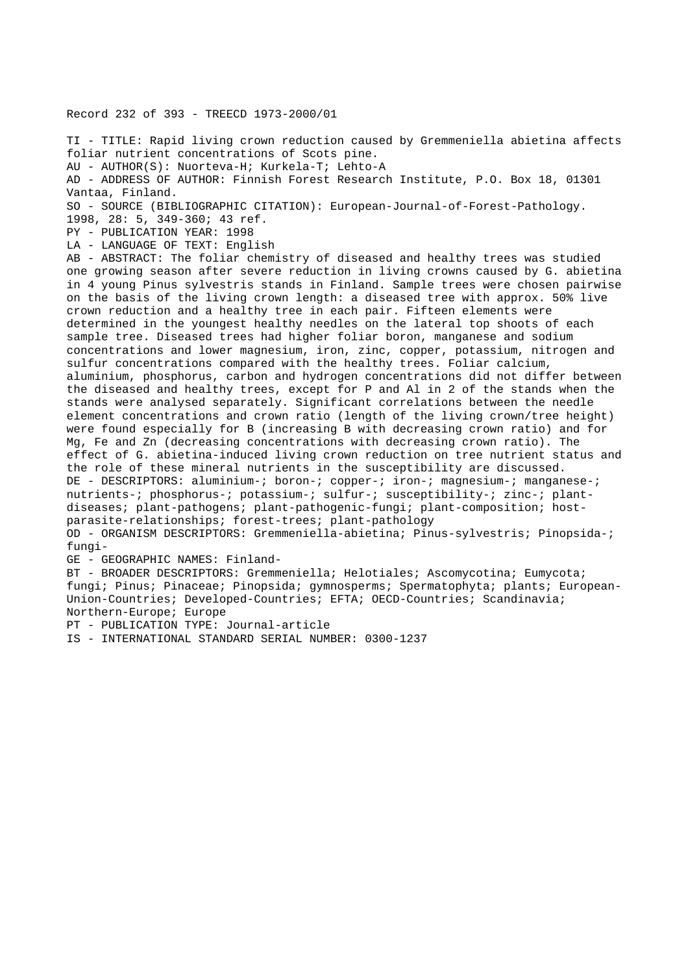Record 232 of 393 - TREECD 1973-2000/01

TI - TITLE: Rapid living crown reduction caused by Gremmeniella abietina affects foliar nutrient concentrations of Scots pine. AU - AUTHOR(S): Nuorteva-H; Kurkela-T; Lehto-A AD - ADDRESS OF AUTHOR: Finnish Forest Research Institute, P.O. Box 18, 01301 Vantaa, Finland. SO - SOURCE (BIBLIOGRAPHIC CITATION): European-Journal-of-Forest-Pathology. 1998, 28: 5, 349-360; 43 ref. PY - PUBLICATION YEAR: 1998 LA - LANGUAGE OF TEXT: English AB - ABSTRACT: The foliar chemistry of diseased and healthy trees was studied one growing season after severe reduction in living crowns caused by G. abietina in 4 young Pinus sylvestris stands in Finland. Sample trees were chosen pairwise on the basis of the living crown length: a diseased tree with approx. 50% live crown reduction and a healthy tree in each pair. Fifteen elements were determined in the youngest healthy needles on the lateral top shoots of each sample tree. Diseased trees had higher foliar boron, manganese and sodium concentrations and lower magnesium, iron, zinc, copper, potassium, nitrogen and sulfur concentrations compared with the healthy trees. Foliar calcium, aluminium, phosphorus, carbon and hydrogen concentrations did not differ between the diseased and healthy trees, except for P and Al in 2 of the stands when the stands were analysed separately. Significant correlations between the needle element concentrations and crown ratio (length of the living crown/tree height) were found especially for B (increasing B with decreasing crown ratio) and for Mg, Fe and Zn (decreasing concentrations with decreasing crown ratio). The effect of G. abietina-induced living crown reduction on tree nutrient status and the role of these mineral nutrients in the susceptibility are discussed. DE - DESCRIPTORS: aluminium-; boron-; copper-; iron-; magnesium-; manganese-; nutrients-; phosphorus-; potassium-; sulfur-; susceptibility-; zinc-; plantdiseases; plant-pathogens; plant-pathogenic-fungi; plant-composition; hostparasite-relationships; forest-trees; plant-pathology OD - ORGANISM DESCRIPTORS: Gremmeniella-abietina; Pinus-sylvestris; Pinopsida-; fungi-GE - GEOGRAPHIC NAMES: Finland-BT - BROADER DESCRIPTORS: Gremmeniella; Helotiales; Ascomycotina; Eumycota; fungi; Pinus; Pinaceae; Pinopsida; gymnosperms; Spermatophyta; plants; European-Union-Countries; Developed-Countries; EFTA; OECD-Countries; Scandinavia; Northern-Europe; Europe PT - PUBLICATION TYPE: Journal-article

IS - INTERNATIONAL STANDARD SERIAL NUMBER: 0300-1237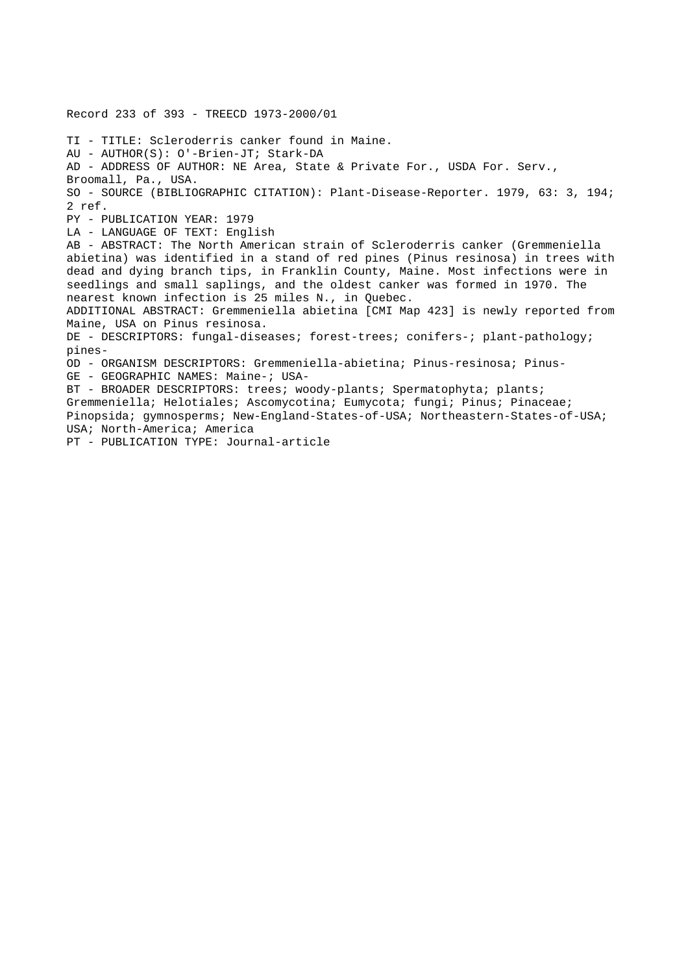Record 233 of 393 - TREECD 1973-2000/01 TI - TITLE: Scleroderris canker found in Maine. AU - AUTHOR(S): O'-Brien-JT; Stark-DA AD - ADDRESS OF AUTHOR: NE Area, State & Private For., USDA For. Serv., Broomall, Pa., USA. SO - SOURCE (BIBLIOGRAPHIC CITATION): Plant-Disease-Reporter. 1979, 63: 3, 194; 2 ref. PY - PUBLICATION YEAR: 1979 LA - LANGUAGE OF TEXT: English AB - ABSTRACT: The North American strain of Scleroderris canker (Gremmeniella abietina) was identified in a stand of red pines (Pinus resinosa) in trees with dead and dying branch tips, in Franklin County, Maine. Most infections were in seedlings and small saplings, and the oldest canker was formed in 1970. The nearest known infection is 25 miles N., in Quebec. ADDITIONAL ABSTRACT: Gremmeniella abietina [CMI Map 423] is newly reported from Maine, USA on Pinus resinosa. DE - DESCRIPTORS: fungal-diseases; forest-trees; conifers-; plant-pathology; pines-OD - ORGANISM DESCRIPTORS: Gremmeniella-abietina; Pinus-resinosa; Pinus-GE - GEOGRAPHIC NAMES: Maine-; USA-BT - BROADER DESCRIPTORS: trees; woody-plants; Spermatophyta; plants; Gremmeniella; Helotiales; Ascomycotina; Eumycota; fungi; Pinus; Pinaceae; Pinopsida; gymnosperms; New-England-States-of-USA; Northeastern-States-of-USA; USA; North-America; America PT - PUBLICATION TYPE: Journal-article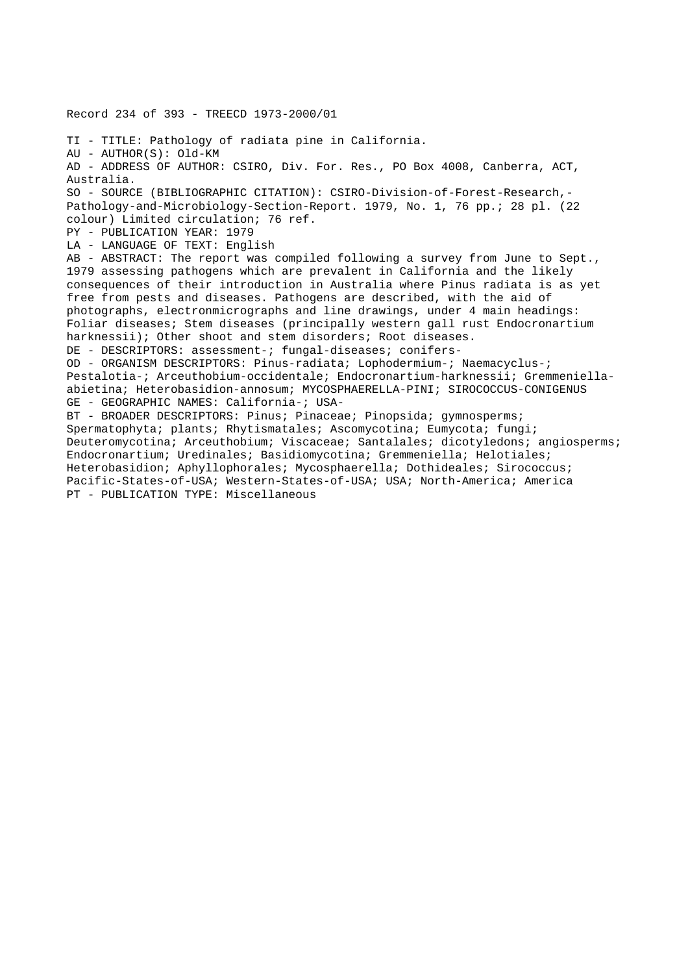Record 234 of 393 - TREECD 1973-2000/01

TI - TITLE: Pathology of radiata pine in California. AU - AUTHOR(S): Old-KM AD - ADDRESS OF AUTHOR: CSIRO, Div. For. Res., PO Box 4008, Canberra, ACT, Australia. SO - SOURCE (BIBLIOGRAPHIC CITATION): CSIRO-Division-of-Forest-Research,- Pathology-and-Microbiology-Section-Report. 1979, No. 1, 76 pp.; 28 pl. (22 colour) Limited circulation; 76 ref. PY - PUBLICATION YEAR: 1979 LA - LANGUAGE OF TEXT: English AB - ABSTRACT: The report was compiled following a survey from June to Sept., 1979 assessing pathogens which are prevalent in California and the likely consequences of their introduction in Australia where Pinus radiata is as yet free from pests and diseases. Pathogens are described, with the aid of photographs, electronmicrographs and line drawings, under 4 main headings: Foliar diseases; Stem diseases (principally western gall rust Endocronartium harknessii); Other shoot and stem disorders; Root diseases. DE - DESCRIPTORS: assessment-; fungal-diseases; conifers-OD - ORGANISM DESCRIPTORS: Pinus-radiata; Lophodermium-; Naemacyclus-; Pestalotia-; Arceuthobium-occidentale; Endocronartium-harknessii; Gremmeniellaabietina; Heterobasidion-annosum; MYCOSPHAERELLA-PINI; SIROCOCCUS-CONIGENUS GE - GEOGRAPHIC NAMES: California-; USA-BT - BROADER DESCRIPTORS: Pinus; Pinaceae; Pinopsida; gymnosperms; Spermatophyta; plants; Rhytismatales; Ascomycotina; Eumycota; fungi; Deuteromycotina; Arceuthobium; Viscaceae; Santalales; dicotyledons; angiosperms; Endocronartium; Uredinales; Basidiomycotina; Gremmeniella; Helotiales; Heterobasidion; Aphyllophorales; Mycosphaerella; Dothideales; Sirococcus; Pacific-States-of-USA; Western-States-of-USA; USA; North-America; America PT - PUBLICATION TYPE: Miscellaneous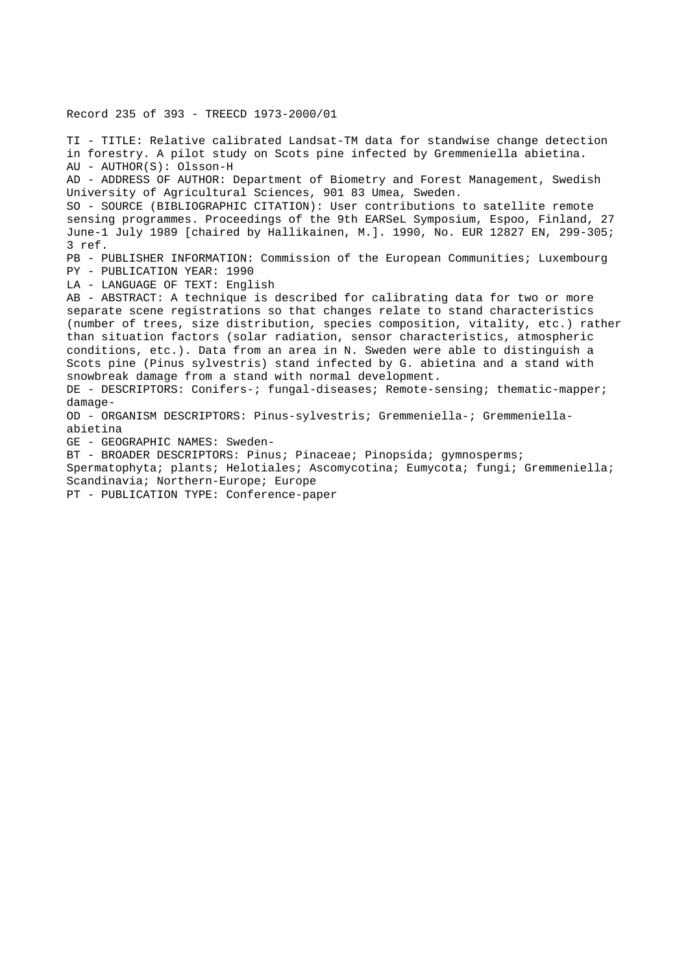Record 235 of 393 - TREECD 1973-2000/01

TI - TITLE: Relative calibrated Landsat-TM data for standwise change detection in forestry. A pilot study on Scots pine infected by Gremmeniella abietina. AU - AUTHOR(S): Olsson-H AD - ADDRESS OF AUTHOR: Department of Biometry and Forest Management, Swedish University of Agricultural Sciences, 901 83 Umea, Sweden. SO - SOURCE (BIBLIOGRAPHIC CITATION): User contributions to satellite remote sensing programmes. Proceedings of the 9th EARSeL Symposium, Espoo, Finland, 27 June-1 July 1989 [chaired by Hallikainen, M.]. 1990, No. EUR 12827 EN, 299-305; 3 ref. PB - PUBLISHER INFORMATION: Commission of the European Communities; Luxembourg PY - PUBLICATION YEAR: 1990 LA - LANGUAGE OF TEXT: English AB - ABSTRACT: A technique is described for calibrating data for two or more separate scene registrations so that changes relate to stand characteristics (number of trees, size distribution, species composition, vitality, etc.) rather than situation factors (solar radiation, sensor characteristics, atmospheric conditions, etc.). Data from an area in N. Sweden were able to distinguish a Scots pine (Pinus sylvestris) stand infected by G. abietina and a stand with snowbreak damage from a stand with normal development. DE - DESCRIPTORS: Conifers-; fungal-diseases; Remote-sensing; thematic-mapper; damage-OD - ORGANISM DESCRIPTORS: Pinus-sylvestris; Gremmeniella-; Gremmeniellaabietina GE - GEOGRAPHIC NAMES: Sweden-BT - BROADER DESCRIPTORS: Pinus; Pinaceae; Pinopsida; gymnosperms; Spermatophyta; plants; Helotiales; Ascomycotina; Eumycota; fungi; Gremmeniella; Scandinavia; Northern-Europe; Europe PT - PUBLICATION TYPE: Conference-paper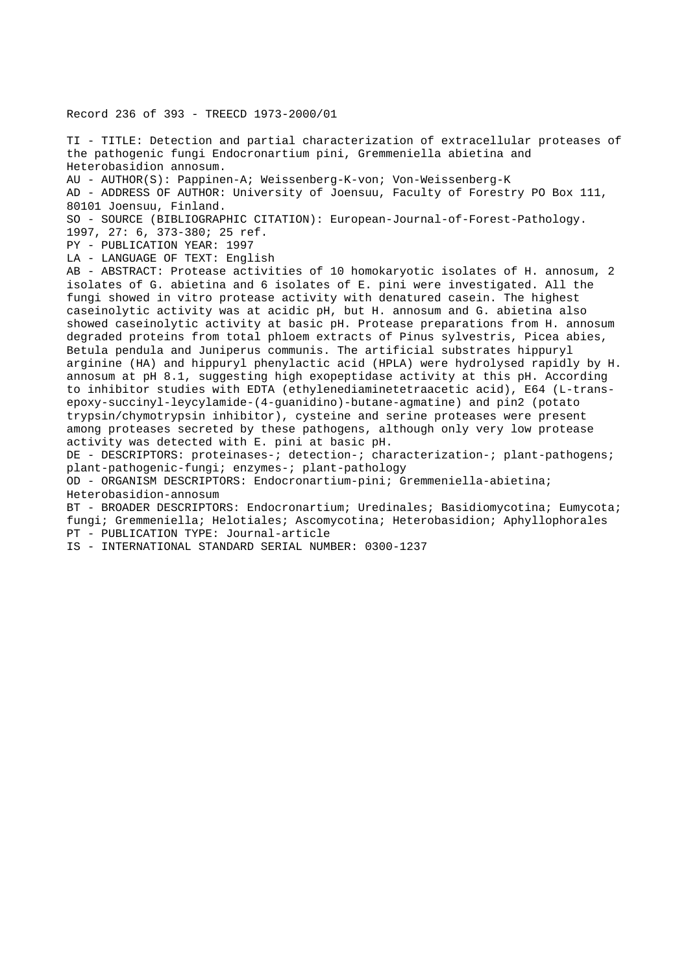Record 236 of 393 - TREECD 1973-2000/01

TI - TITLE: Detection and partial characterization of extracellular proteases of the pathogenic fungi Endocronartium pini, Gremmeniella abietina and Heterobasidion annosum.

AU - AUTHOR(S): Pappinen-A; Weissenberg-K-von; Von-Weissenberg-K

AD - ADDRESS OF AUTHOR: University of Joensuu, Faculty of Forestry PO Box 111, 80101 Joensuu, Finland.

SO - SOURCE (BIBLIOGRAPHIC CITATION): European-Journal-of-Forest-Pathology.

1997, 27: 6, 373-380; 25 ref.

PY - PUBLICATION YEAR: 1997

LA - LANGUAGE OF TEXT: English

AB - ABSTRACT: Protease activities of 10 homokaryotic isolates of H. annosum, 2 isolates of G. abietina and 6 isolates of E. pini were investigated. All the fungi showed in vitro protease activity with denatured casein. The highest caseinolytic activity was at acidic pH, but H. annosum and G. abietina also showed caseinolytic activity at basic pH. Protease preparations from H. annosum degraded proteins from total phloem extracts of Pinus sylvestris, Picea abies, Betula pendula and Juniperus communis. The artificial substrates hippuryl arginine (HA) and hippuryl phenylactic acid (HPLA) were hydrolysed rapidly by H. annosum at pH 8.1, suggesting high exopeptidase activity at this pH. According to inhibitor studies with EDTA (ethylenediaminetetraacetic acid), E64 (L-transepoxy-succinyl-leycylamide-(4-guanidino)-butane-agmatine) and pin2 (potato trypsin/chymotrypsin inhibitor), cysteine and serine proteases were present among proteases secreted by these pathogens, although only very low protease activity was detected with E. pini at basic pH.

DE - DESCRIPTORS: proteinases-; detection-; characterization-; plant-pathogens; plant-pathogenic-fungi; enzymes-; plant-pathology

OD - ORGANISM DESCRIPTORS: Endocronartium-pini; Gremmeniella-abietina; Heterobasidion-annosum

BT - BROADER DESCRIPTORS: Endocronartium; Uredinales; Basidiomycotina; Eumycota; fungi; Gremmeniella; Helotiales; Ascomycotina; Heterobasidion; Aphyllophorales PT - PUBLICATION TYPE: Journal-article

IS - INTERNATIONAL STANDARD SERIAL NUMBER: 0300-1237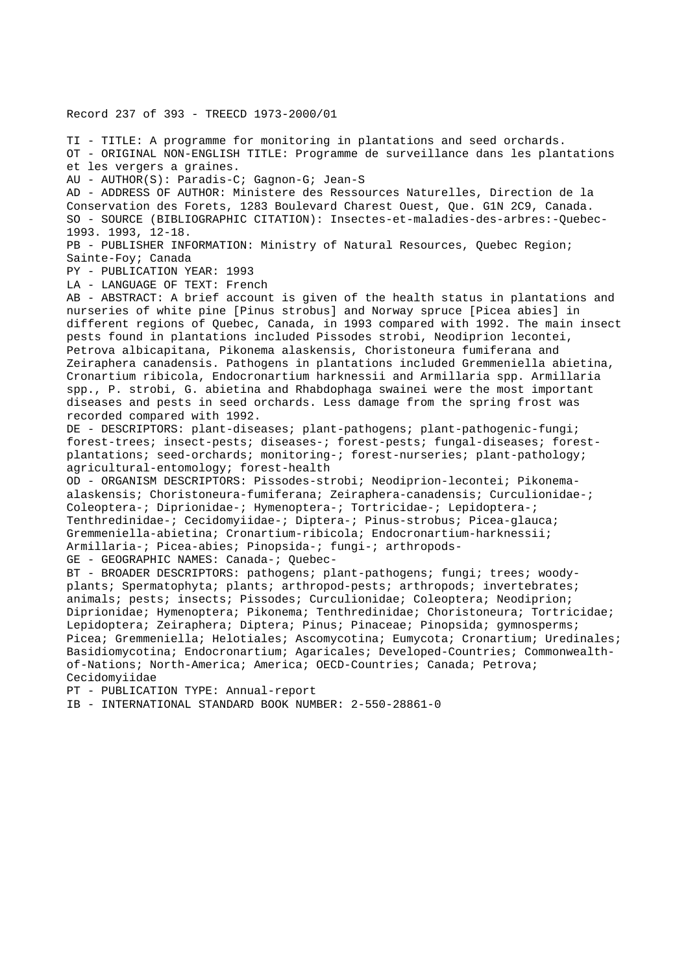Record 237 of 393 - TREECD 1973-2000/01

TI - TITLE: A programme for monitoring in plantations and seed orchards. OT - ORIGINAL NON-ENGLISH TITLE: Programme de surveillance dans les plantations et les vergers a graines. AU - AUTHOR(S): Paradis-C; Gagnon-G; Jean-S AD - ADDRESS OF AUTHOR: Ministere des Ressources Naturelles, Direction de la Conservation des Forets, 1283 Boulevard Charest Ouest, Que. G1N 2C9, Canada. SO - SOURCE (BIBLIOGRAPHIC CITATION): Insectes-et-maladies-des-arbres:-Quebec-1993. 1993, 12-18. PB - PUBLISHER INFORMATION: Ministry of Natural Resources, Quebec Region; Sainte-Foy; Canada PY - PUBLICATION YEAR: 1993 LA - LANGUAGE OF TEXT: French AB - ABSTRACT: A brief account is given of the health status in plantations and nurseries of white pine [Pinus strobus] and Norway spruce [Picea abies] in different regions of Quebec, Canada, in 1993 compared with 1992. The main insect pests found in plantations included Pissodes strobi, Neodiprion lecontei, Petrova albicapitana, Pikonema alaskensis, Choristoneura fumiferana and Zeiraphera canadensis. Pathogens in plantations included Gremmeniella abietina, Cronartium ribicola, Endocronartium harknessii and Armillaria spp. Armillaria spp., P. strobi, G. abietina and Rhabdophaga swainei were the most important diseases and pests in seed orchards. Less damage from the spring frost was recorded compared with 1992. DE - DESCRIPTORS: plant-diseases; plant-pathogens; plant-pathogenic-fungi; forest-trees; insect-pests; diseases-; forest-pests; fungal-diseases; forestplantations; seed-orchards; monitoring-; forest-nurseries; plant-pathology; agricultural-entomology; forest-health OD - ORGANISM DESCRIPTORS: Pissodes-strobi; Neodiprion-lecontei; Pikonemaalaskensis; Choristoneura-fumiferana; Zeiraphera-canadensis; Curculionidae-; Coleoptera-; Diprionidae-; Hymenoptera-; Tortricidae-; Lepidoptera-; Tenthredinidae-; Cecidomyiidae-; Diptera-; Pinus-strobus; Picea-glauca; Gremmeniella-abietina; Cronartium-ribicola; Endocronartium-harknessii; Armillaria-; Picea-abies; Pinopsida-; fungi-; arthropods-GE - GEOGRAPHIC NAMES: Canada-; Quebec-BT - BROADER DESCRIPTORS: pathogens; plant-pathogens; fungi; trees; woodyplants; Spermatophyta; plants; arthropod-pests; arthropods; invertebrates; animals; pests; insects; Pissodes; Curculionidae; Coleoptera; Neodiprion; Diprionidae; Hymenoptera; Pikonema; Tenthredinidae; Choristoneura; Tortricidae; Lepidoptera; Zeiraphera; Diptera; Pinus; Pinaceae; Pinopsida; gymnosperms;

Picea; Gremmeniella; Helotiales; Ascomycotina; Eumycota; Cronartium; Uredinales; Basidiomycotina; Endocronartium; Agaricales; Developed-Countries; Commonwealthof-Nations; North-America; America; OECD-Countries; Canada; Petrova; Cecidomyiidae

PT - PUBLICATION TYPE: Annual-report

IB - INTERNATIONAL STANDARD BOOK NUMBER: 2-550-28861-0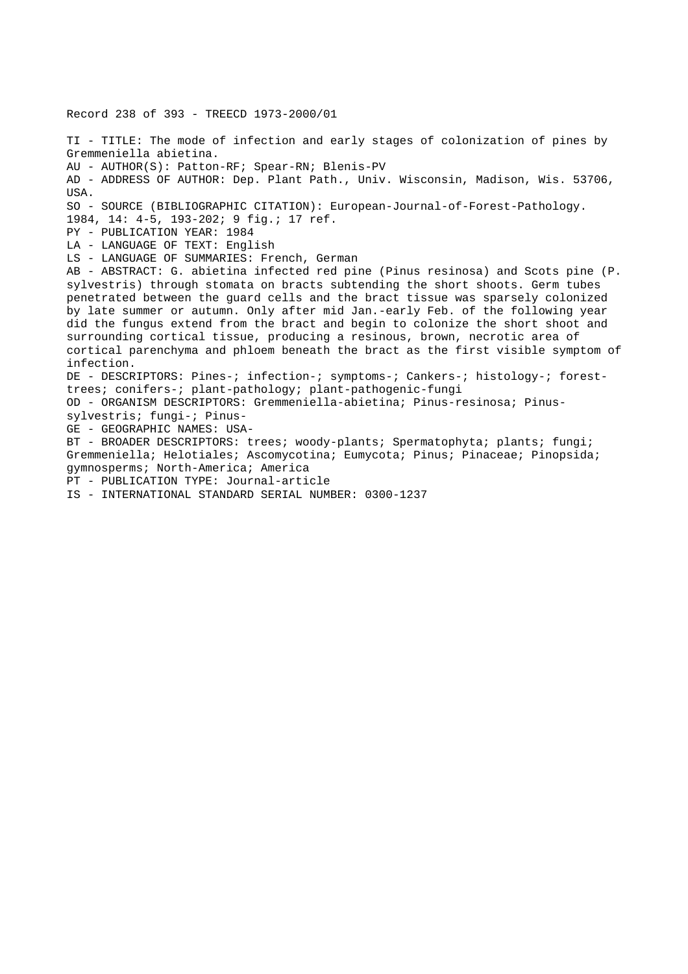Record 238 of 393 - TREECD 1973-2000/01

TI - TITLE: The mode of infection and early stages of colonization of pines by Gremmeniella abietina. AU - AUTHOR(S): Patton-RF; Spear-RN; Blenis-PV AD - ADDRESS OF AUTHOR: Dep. Plant Path., Univ. Wisconsin, Madison, Wis. 53706, USA. SO - SOURCE (BIBLIOGRAPHIC CITATION): European-Journal-of-Forest-Pathology. 1984, 14: 4-5, 193-202; 9 fig.; 17 ref. PY - PUBLICATION YEAR: 1984 LA - LANGUAGE OF TEXT: English LS - LANGUAGE OF SUMMARIES: French, German AB - ABSTRACT: G. abietina infected red pine (Pinus resinosa) and Scots pine (P. sylvestris) through stomata on bracts subtending the short shoots. Germ tubes penetrated between the guard cells and the bract tissue was sparsely colonized by late summer or autumn. Only after mid Jan.-early Feb. of the following year did the fungus extend from the bract and begin to colonize the short shoot and surrounding cortical tissue, producing a resinous, brown, necrotic area of cortical parenchyma and phloem beneath the bract as the first visible symptom of infection. DE - DESCRIPTORS: Pines-; infection-; symptoms-; Cankers-; histology-; foresttrees; conifers-; plant-pathology; plant-pathogenic-fungi OD - ORGANISM DESCRIPTORS: Gremmeniella-abietina; Pinus-resinosa; Pinussylvestris; fungi-; Pinus-GE - GEOGRAPHIC NAMES: USA-BT - BROADER DESCRIPTORS: trees; woody-plants; Spermatophyta; plants; fungi; Gremmeniella; Helotiales; Ascomycotina; Eumycota; Pinus; Pinaceae; Pinopsida; gymnosperms; North-America; America PT - PUBLICATION TYPE: Journal-article IS - INTERNATIONAL STANDARD SERIAL NUMBER: 0300-1237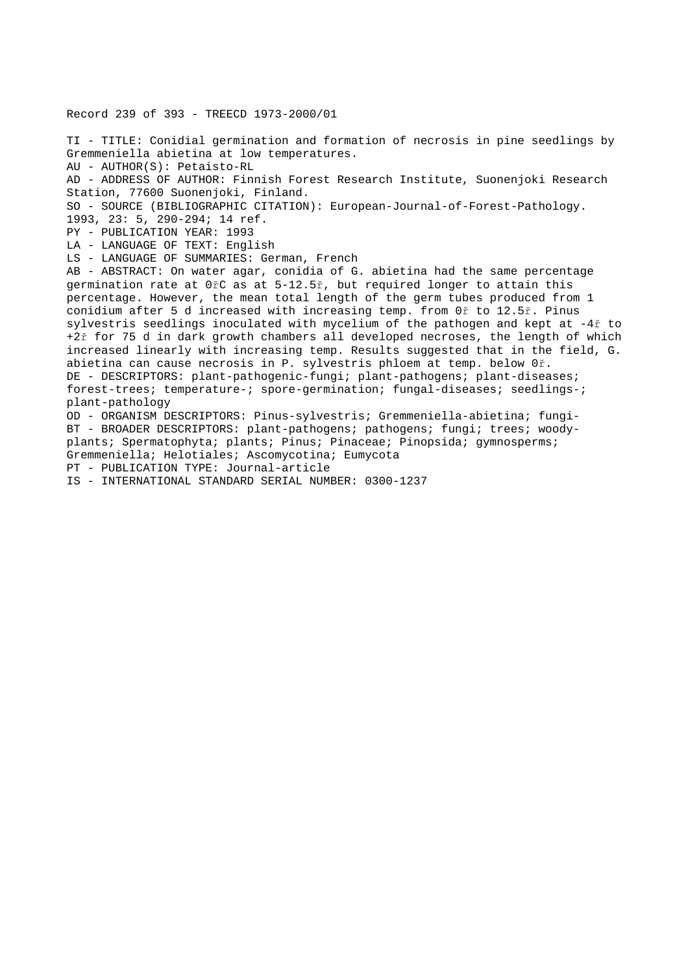Record 239 of 393 - TREECD 1973-2000/01

TI - TITLE: Conidial germination and formation of necrosis in pine seedlings by Gremmeniella abietina at low temperatures. AU - AUTHOR(S): Petaisto-RL AD - ADDRESS OF AUTHOR: Finnish Forest Research Institute, Suonenjoki Research Station, 77600 Suonenjoki, Finland. SO - SOURCE (BIBLIOGRAPHIC CITATION): European-Journal-of-Forest-Pathology. 1993, 23: 5, 290-294; 14 ref. PY - PUBLICATION YEAR: 1993 LA - LANGUAGE OF TEXT: English LS - LANGUAGE OF SUMMARIES: German, French AB - ABSTRACT: On water agar, conidia of G. abietina had the same percentage germination rate at 0řC as at 5-12.5ř, but required longer to attain this percentage. However, the mean total length of the germ tubes produced from 1 conidium after 5 d increased with increasing temp. from 0ř to 12.5ř. Pinus sylvestris seedlings inoculated with mycelium of the pathogen and kept at -4ř to +2ř for 75 d in dark growth chambers all developed necroses, the length of which increased linearly with increasing temp. Results suggested that in the field, G. abietina can cause necrosis in P. sylvestris phloem at temp. below 0ř. DE - DESCRIPTORS: plant-pathogenic-fungi; plant-pathogens; plant-diseases; forest-trees; temperature-; spore-germination; fungal-diseases; seedlings-; plant-pathology OD - ORGANISM DESCRIPTORS: Pinus-sylvestris; Gremmeniella-abietina; fungi-BT - BROADER DESCRIPTORS: plant-pathogens; pathogens; fungi; trees; woodyplants; Spermatophyta; plants; Pinus; Pinaceae; Pinopsida; gymnosperms; Gremmeniella; Helotiales; Ascomycotina; Eumycota PT - PUBLICATION TYPE: Journal-article

IS - INTERNATIONAL STANDARD SERIAL NUMBER: 0300-1237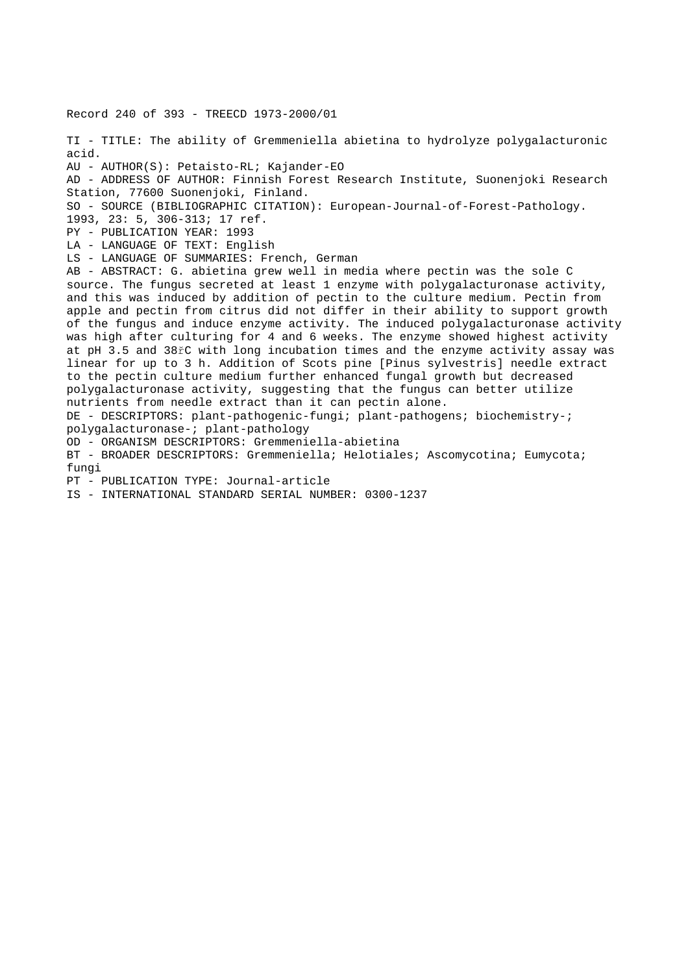Record 240 of 393 - TREECD 1973-2000/01 TI - TITLE: The ability of Gremmeniella abietina to hydrolyze polygalacturonic acid. AU - AUTHOR(S): Petaisto-RL; Kajander-EO AD - ADDRESS OF AUTHOR: Finnish Forest Research Institute, Suonenjoki Research Station, 77600 Suonenjoki, Finland. SO - SOURCE (BIBLIOGRAPHIC CITATION): European-Journal-of-Forest-Pathology. 1993, 23: 5, 306-313; 17 ref. PY - PUBLICATION YEAR: 1993 LA - LANGUAGE OF TEXT: English LS - LANGUAGE OF SUMMARIES: French, German AB - ABSTRACT: G. abietina grew well in media where pectin was the sole C source. The fungus secreted at least 1 enzyme with polygalacturonase activity, and this was induced by addition of pectin to the culture medium. Pectin from apple and pectin from citrus did not differ in their ability to support growth of the fungus and induce enzyme activity. The induced polygalacturonase activity was high after culturing for 4 and 6 weeks. The enzyme showed highest activity at pH 3.5 and 38řC with long incubation times and the enzyme activity assay was linear for up to 3 h. Addition of Scots pine [Pinus sylvestris] needle extract to the pectin culture medium further enhanced fungal growth but decreased polygalacturonase activity, suggesting that the fungus can better utilize nutrients from needle extract than it can pectin alone. DE - DESCRIPTORS: plant-pathogenic-fungi; plant-pathogens; biochemistry-; polygalacturonase-; plant-pathology OD - ORGANISM DESCRIPTORS: Gremmeniella-abietina BT - BROADER DESCRIPTORS: Gremmeniella; Helotiales; Ascomycotina; Eumycota; fungi PT - PUBLICATION TYPE: Journal-article IS - INTERNATIONAL STANDARD SERIAL NUMBER: 0300-1237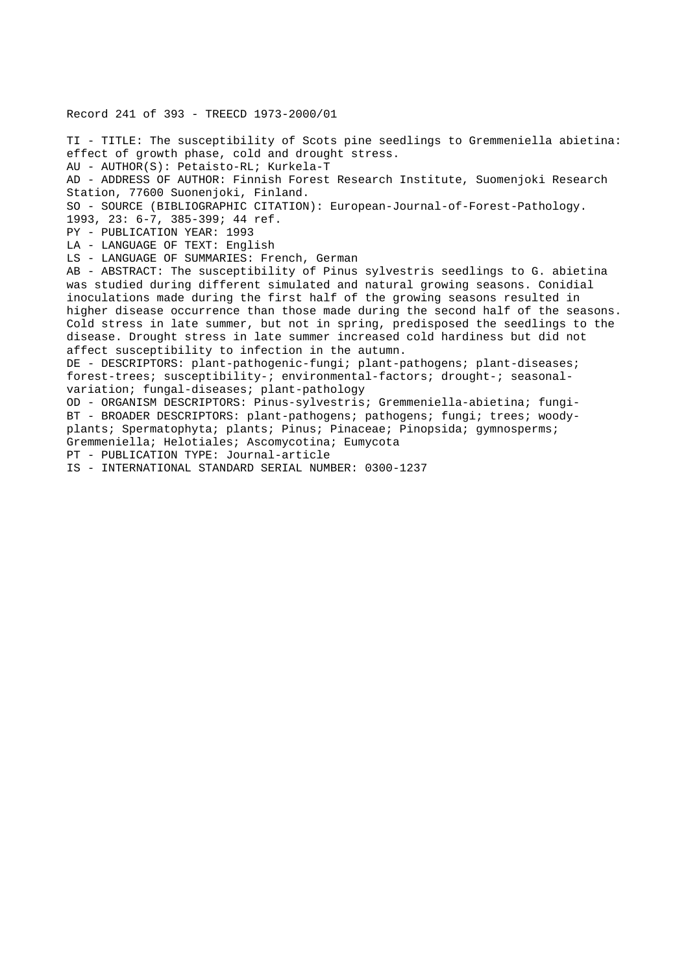Record 241 of 393 - TREECD 1973-2000/01

TI - TITLE: The susceptibility of Scots pine seedlings to Gremmeniella abietina: effect of growth phase, cold and drought stress. AU - AUTHOR(S): Petaisto-RL; Kurkela-T AD - ADDRESS OF AUTHOR: Finnish Forest Research Institute, Suomenjoki Research Station, 77600 Suonenjoki, Finland. SO - SOURCE (BIBLIOGRAPHIC CITATION): European-Journal-of-Forest-Pathology. 1993, 23: 6-7, 385-399; 44 ref. PY - PUBLICATION YEAR: 1993 LA - LANGUAGE OF TEXT: English LS - LANGUAGE OF SUMMARIES: French, German AB - ABSTRACT: The susceptibility of Pinus sylvestris seedlings to G. abietina was studied during different simulated and natural growing seasons. Conidial inoculations made during the first half of the growing seasons resulted in higher disease occurrence than those made during the second half of the seasons. Cold stress in late summer, but not in spring, predisposed the seedlings to the disease. Drought stress in late summer increased cold hardiness but did not affect susceptibility to infection in the autumn. DE - DESCRIPTORS: plant-pathogenic-fungi; plant-pathogens; plant-diseases; forest-trees; susceptibility-; environmental-factors; drought-; seasonalvariation; fungal-diseases; plant-pathology OD - ORGANISM DESCRIPTORS: Pinus-sylvestris; Gremmeniella-abietina; fungi-BT - BROADER DESCRIPTORS: plant-pathogens; pathogens; fungi; trees; woodyplants; Spermatophyta; plants; Pinus; Pinaceae; Pinopsida; gymnosperms; Gremmeniella; Helotiales; Ascomycotina; Eumycota PT - PUBLICATION TYPE: Journal-article IS - INTERNATIONAL STANDARD SERIAL NUMBER: 0300-1237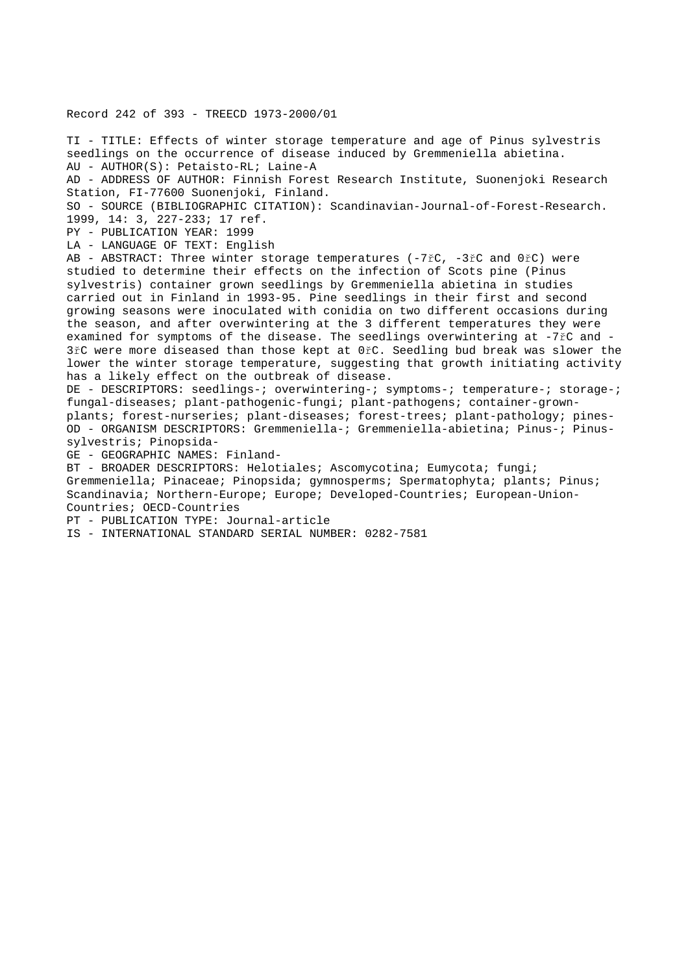## Record 242 of 393 - TREECD 1973-2000/01

TI - TITLE: Effects of winter storage temperature and age of Pinus sylvestris seedlings on the occurrence of disease induced by Gremmeniella abietina. AU - AUTHOR(S): Petaisto-RL; Laine-A AD - ADDRESS OF AUTHOR: Finnish Forest Research Institute, Suonenjoki Research Station, FI-77600 Suonenjoki, Finland. SO - SOURCE (BIBLIOGRAPHIC CITATION): Scandinavian-Journal-of-Forest-Research. 1999, 14: 3, 227-233; 17 ref. PY - PUBLICATION YEAR: 1999 LA - LANGUAGE OF TEXT: English AB - ABSTRACT: Three winter storage temperatures (-7řC, -3řC and 0řC) were studied to determine their effects on the infection of Scots pine (Pinus sylvestris) container grown seedlings by Gremmeniella abietina in studies carried out in Finland in 1993-95. Pine seedlings in their first and second growing seasons were inoculated with conidia on two different occasions during the season, and after overwintering at the 3 different temperatures they were examined for symptoms of the disease. The seedlings overwintering at -7rc and 3řC were more diseased than those kept at 0řC. Seedling bud break was slower the lower the winter storage temperature, suggesting that growth initiating activity has a likely effect on the outbreak of disease. DE - DESCRIPTORS: seedlings-; overwintering-; symptoms-; temperature-; storage-; fungal-diseases; plant-pathogenic-fungi; plant-pathogens; container-grownplants; forest-nurseries; plant-diseases; forest-trees; plant-pathology; pines-

OD - ORGANISM DESCRIPTORS: Gremmeniella-; Gremmeniella-abietina; Pinus-; Pinussylvestris; Pinopsida-

GE - GEOGRAPHIC NAMES: Finland-

BT - BROADER DESCRIPTORS: Helotiales; Ascomycotina; Eumycota; fungi; Gremmeniella; Pinaceae; Pinopsida; gymnosperms; Spermatophyta; plants; Pinus; Scandinavia; Northern-Europe; Europe; Developed-Countries; European-Union-Countries; OECD-Countries

PT - PUBLICATION TYPE: Journal-article

IS - INTERNATIONAL STANDARD SERIAL NUMBER: 0282-7581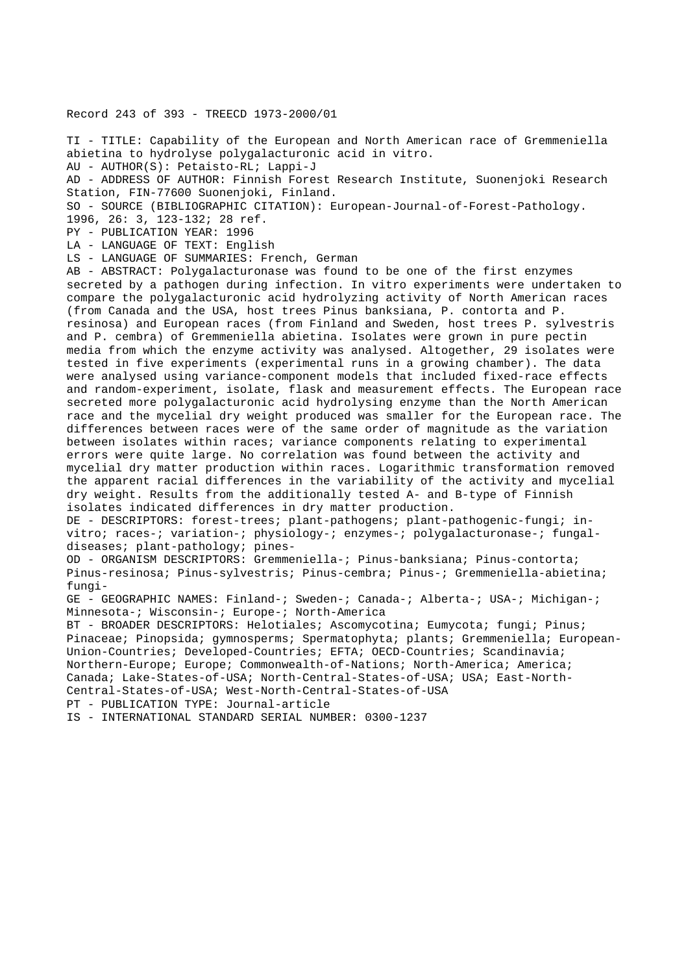## Record 243 of 393 - TREECD 1973-2000/01

TI - TITLE: Capability of the European and North American race of Gremmeniella abietina to hydrolyse polygalacturonic acid in vitro.

AU - AUTHOR(S): Petaisto-RL; Lappi-J

AD - ADDRESS OF AUTHOR: Finnish Forest Research Institute, Suonenjoki Research Station, FIN-77600 Suonenjoki, Finland.

SO - SOURCE (BIBLIOGRAPHIC CITATION): European-Journal-of-Forest-Pathology.

1996, 26: 3, 123-132; 28 ref.

PY - PUBLICATION YEAR: 1996

LA - LANGUAGE OF TEXT: English

LS - LANGUAGE OF SUMMARIES: French, German

AB - ABSTRACT: Polygalacturonase was found to be one of the first enzymes secreted by a pathogen during infection. In vitro experiments were undertaken to compare the polygalacturonic acid hydrolyzing activity of North American races (from Canada and the USA, host trees Pinus banksiana, P. contorta and P. resinosa) and European races (from Finland and Sweden, host trees P. sylvestris and P. cembra) of Gremmeniella abietina. Isolates were grown in pure pectin media from which the enzyme activity was analysed. Altogether, 29 isolates were tested in five experiments (experimental runs in a growing chamber). The data were analysed using variance-component models that included fixed-race effects and random-experiment, isolate, flask and measurement effects. The European race secreted more polygalacturonic acid hydrolysing enzyme than the North American race and the mycelial dry weight produced was smaller for the European race. The differences between races were of the same order of magnitude as the variation between isolates within races; variance components relating to experimental errors were quite large. No correlation was found between the activity and mycelial dry matter production within races. Logarithmic transformation removed the apparent racial differences in the variability of the activity and mycelial dry weight. Results from the additionally tested A- and B-type of Finnish isolates indicated differences in dry matter production.

DE - DESCRIPTORS: forest-trees; plant-pathogens; plant-pathogenic-fungi; invitro; races-; variation-; physiology-; enzymes-; polygalacturonase-; fungaldiseases; plant-pathology; pines-

OD - ORGANISM DESCRIPTORS: Gremmeniella-; Pinus-banksiana; Pinus-contorta; Pinus-resinosa; Pinus-sylvestris; Pinus-cembra; Pinus-; Gremmeniella-abietina; fungi-

GE - GEOGRAPHIC NAMES: Finland-; Sweden-; Canada-; Alberta-; USA-; Michigan-; Minnesota-; Wisconsin-; Europe-; North-America

BT - BROADER DESCRIPTORS: Helotiales; Ascomycotina; Eumycota; fungi; Pinus; Pinaceae; Pinopsida; gymnosperms; Spermatophyta; plants; Gremmeniella; European-Union-Countries; Developed-Countries; EFTA; OECD-Countries; Scandinavia; Northern-Europe; Europe; Commonwealth-of-Nations; North-America; America; Canada; Lake-States-of-USA; North-Central-States-of-USA; USA; East-North-Central-States-of-USA; West-North-Central-States-of-USA PT - PUBLICATION TYPE: Journal-article

IS - INTERNATIONAL STANDARD SERIAL NUMBER: 0300-1237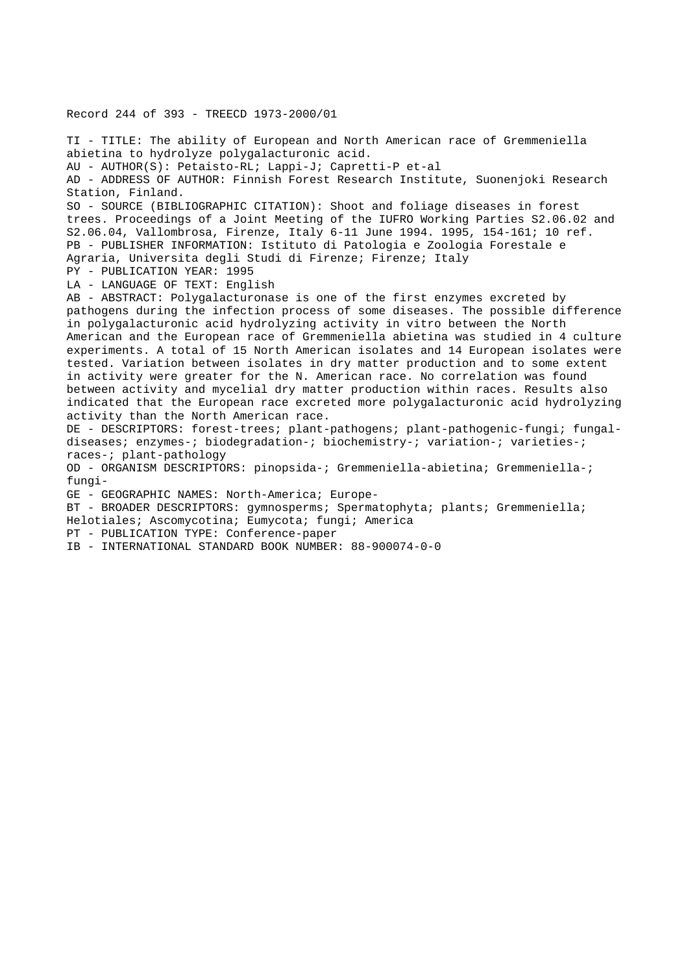TI - TITLE: The ability of European and North American race of Gremmeniella abietina to hydrolyze polygalacturonic acid. AU - AUTHOR(S): Petaisto-RL; Lappi-J; Capretti-P et-al AD - ADDRESS OF AUTHOR: Finnish Forest Research Institute, Suonenjoki Research Station, Finland. SO - SOURCE (BIBLIOGRAPHIC CITATION): Shoot and foliage diseases in forest trees. Proceedings of a Joint Meeting of the IUFRO Working Parties S2.06.02 and S2.06.04, Vallombrosa, Firenze, Italy 6-11 June 1994. 1995, 154-161; 10 ref. PB - PUBLISHER INFORMATION: Istituto di Patologia e Zoologia Forestale e Agraria, Universita degli Studi di Firenze; Firenze; Italy PY - PUBLICATION YEAR: 1995 LA - LANGUAGE OF TEXT: English AB - ABSTRACT: Polygalacturonase is one of the first enzymes excreted by pathogens during the infection process of some diseases. The possible difference in polygalacturonic acid hydrolyzing activity in vitro between the North American and the European race of Gremmeniella abietina was studied in 4 culture experiments. A total of 15 North American isolates and 14 European isolates were tested. Variation between isolates in dry matter production and to some extent in activity were greater for the N. American race. No correlation was found between activity and mycelial dry matter production within races. Results also indicated that the European race excreted more polygalacturonic acid hydrolyzing activity than the North American race. DE - DESCRIPTORS: forest-trees; plant-pathogens; plant-pathogenic-fungi; fungaldiseases; enzymes-; biodegradation-; biochemistry-; variation-; varieties-; races-; plant-pathology OD - ORGANISM DESCRIPTORS: pinopsida-; Gremmeniella-abietina; Gremmeniella-; fungi-GE - GEOGRAPHIC NAMES: North-America; Europe-BT - BROADER DESCRIPTORS: gymnosperms; Spermatophyta; plants; Gremmeniella; Helotiales; Ascomycotina; Eumycota; fungi; America PT - PUBLICATION TYPE: Conference-paper IB - INTERNATIONAL STANDARD BOOK NUMBER: 88-900074-0-0

Record 244 of 393 - TREECD 1973-2000/01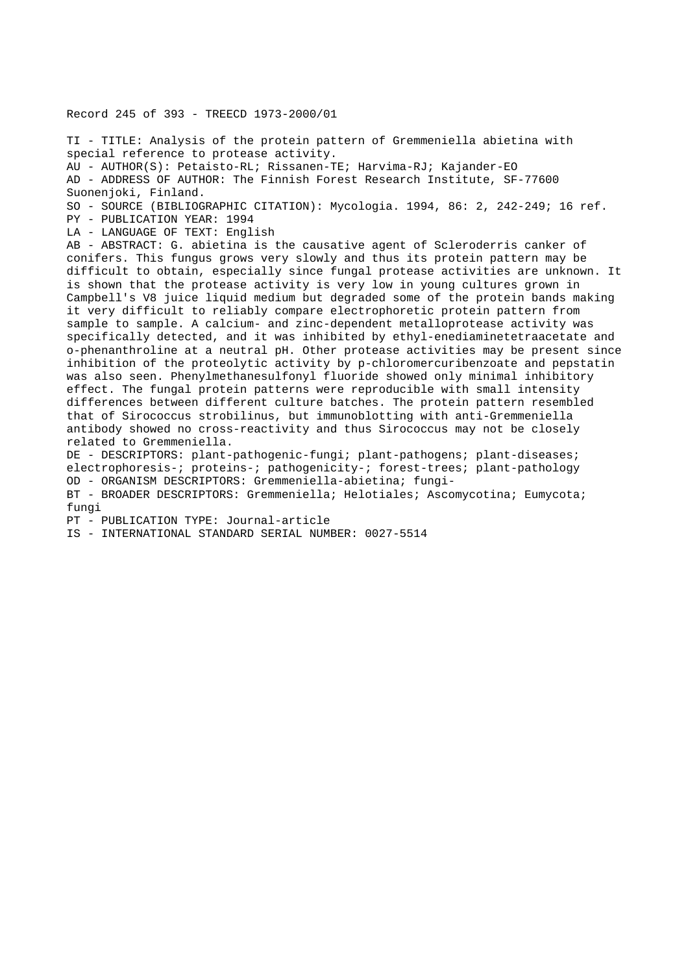## Record 245 of 393 - TREECD 1973-2000/01

TI - TITLE: Analysis of the protein pattern of Gremmeniella abietina with special reference to protease activity. AU - AUTHOR(S): Petaisto-RL; Rissanen-TE; Harvima-RJ; Kajander-EO AD - ADDRESS OF AUTHOR: The Finnish Forest Research Institute, SF-77600 Suonenjoki, Finland. SO - SOURCE (BIBLIOGRAPHIC CITATION): Mycologia. 1994, 86: 2, 242-249; 16 ref. PY - PUBLICATION YEAR: 1994 LA - LANGUAGE OF TEXT: English AB - ABSTRACT: G. abietina is the causative agent of Scleroderris canker of conifers. This fungus grows very slowly and thus its protein pattern may be difficult to obtain, especially since fungal protease activities are unknown. It is shown that the protease activity is very low in young cultures grown in Campbell's V8 juice liquid medium but degraded some of the protein bands making it very difficult to reliably compare electrophoretic protein pattern from sample to sample. A calcium- and zinc-dependent metalloprotease activity was specifically detected, and it was inhibited by ethyl-enediaminetetraacetate and o-phenanthroline at a neutral pH. Other protease activities may be present since inhibition of the proteolytic activity by p-chloromercuribenzoate and pepstatin was also seen. Phenylmethanesulfonyl fluoride showed only minimal inhibitory effect. The fungal protein patterns were reproducible with small intensity differences between different culture batches. The protein pattern resembled that of Sirococcus strobilinus, but immunoblotting with anti-Gremmeniella antibody showed no cross-reactivity and thus Sirococcus may not be closely related to Gremmeniella. DE - DESCRIPTORS: plant-pathogenic-fungi; plant-pathogens; plant-diseases; electrophoresis-; proteins-; pathogenicity-; forest-trees; plant-pathology OD - ORGANISM DESCRIPTORS: Gremmeniella-abietina; fungi-BT - BROADER DESCRIPTORS: Gremmeniella; Helotiales; Ascomycotina; Eumycota;  $f$ ungi PT - PUBLICATION TYPE: Journal-article IS - INTERNATIONAL STANDARD SERIAL NUMBER: 0027-5514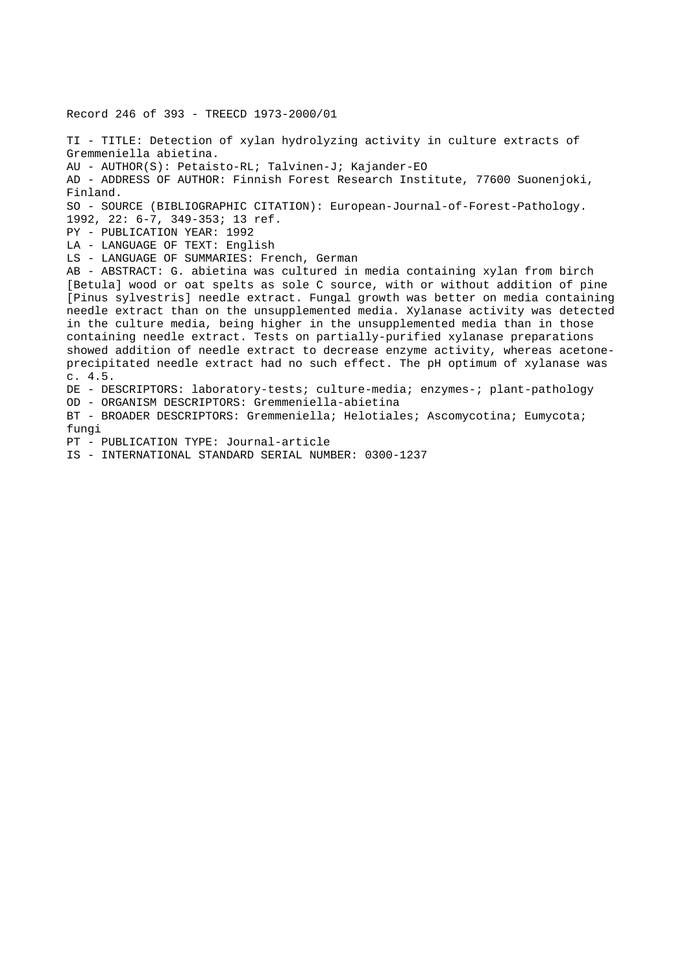Record 246 of 393 - TREECD 1973-2000/01

TI - TITLE: Detection of xylan hydrolyzing activity in culture extracts of Gremmeniella abietina. AU - AUTHOR(S): Petaisto-RL; Talvinen-J; Kajander-EO AD - ADDRESS OF AUTHOR: Finnish Forest Research Institute, 77600 Suonenjoki, Finland. SO - SOURCE (BIBLIOGRAPHIC CITATION): European-Journal-of-Forest-Pathology. 1992, 22: 6-7, 349-353; 13 ref. PY - PUBLICATION YEAR: 1992 LA - LANGUAGE OF TEXT: English LS - LANGUAGE OF SUMMARIES: French, German AB - ABSTRACT: G. abietina was cultured in media containing xylan from birch [Betula] wood or oat spelts as sole C source, with or without addition of pine [Pinus sylvestris] needle extract. Fungal growth was better on media containing needle extract than on the unsupplemented media. Xylanase activity was detected in the culture media, being higher in the unsupplemented media than in those containing needle extract. Tests on partially-purified xylanase preparations showed addition of needle extract to decrease enzyme activity, whereas acetoneprecipitated needle extract had no such effect. The pH optimum of xylanase was c. 4.5. DE - DESCRIPTORS: laboratory-tests; culture-media; enzymes-; plant-pathology OD - ORGANISM DESCRIPTORS: Gremmeniella-abietina BT - BROADER DESCRIPTORS: Gremmeniella; Helotiales; Ascomycotina; Eumycota; fungi PT - PUBLICATION TYPE: Journal-article

IS - INTERNATIONAL STANDARD SERIAL NUMBER: 0300-1237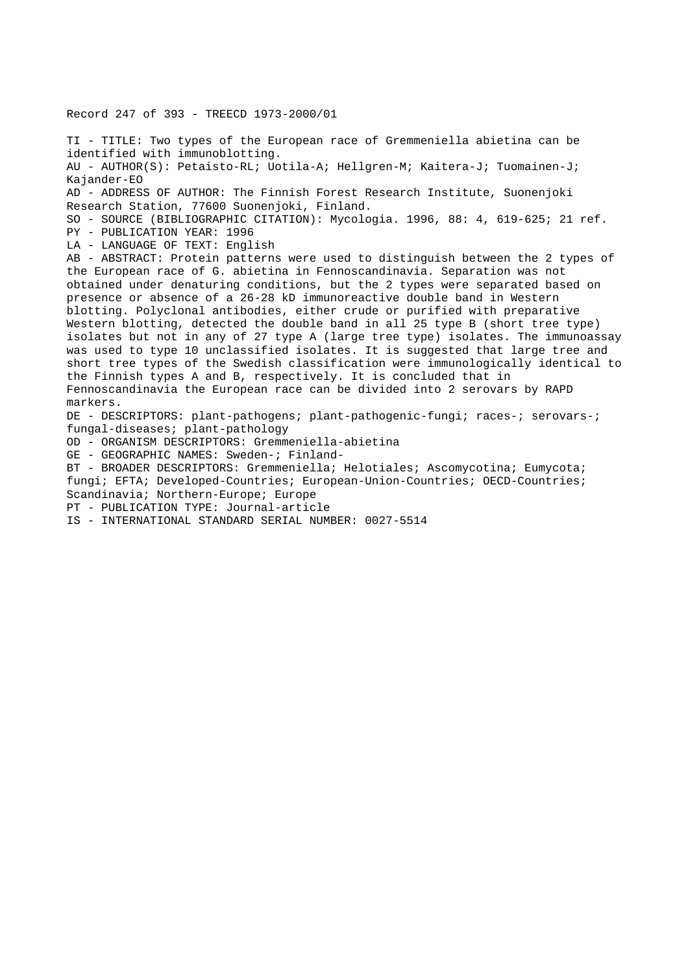Record 247 of 393 - TREECD 1973-2000/01

TI - TITLE: Two types of the European race of Gremmeniella abietina can be identified with immunoblotting. AU - AUTHOR(S): Petaisto-RL; Uotila-A; Hellgren-M; Kaitera-J; Tuomainen-J; Kajander-EO AD - ADDRESS OF AUTHOR: The Finnish Forest Research Institute, Suonenjoki Research Station, 77600 Suonenjoki, Finland. SO - SOURCE (BIBLIOGRAPHIC CITATION): Mycologia. 1996, 88: 4, 619-625; 21 ref. PY - PUBLICATION YEAR: 1996 LA - LANGUAGE OF TEXT: English AB - ABSTRACT: Protein patterns were used to distinguish between the 2 types of the European race of G. abietina in Fennoscandinavia. Separation was not obtained under denaturing conditions, but the 2 types were separated based on presence or absence of a 26-28 kD immunoreactive double band in Western blotting. Polyclonal antibodies, either crude or purified with preparative Western blotting, detected the double band in all 25 type B (short tree type) isolates but not in any of 27 type A (large tree type) isolates. The immunoassay was used to type 10 unclassified isolates. It is suggested that large tree and short tree types of the Swedish classification were immunologically identical to the Finnish types A and B, respectively. It is concluded that in Fennoscandinavia the European race can be divided into 2 serovars by RAPD markers. DE - DESCRIPTORS: plant-pathogens; plant-pathogenic-fungi; races-; serovars-; fungal-diseases; plant-pathology OD - ORGANISM DESCRIPTORS: Gremmeniella-abietina GE - GEOGRAPHIC NAMES: Sweden-; Finland-BT - BROADER DESCRIPTORS: Gremmeniella; Helotiales; Ascomycotina; Eumycota; fungi; EFTA; Developed-Countries; European-Union-Countries; OECD-Countries; Scandinavia; Northern-Europe; Europe

PT - PUBLICATION TYPE: Journal-article

IS - INTERNATIONAL STANDARD SERIAL NUMBER: 0027-5514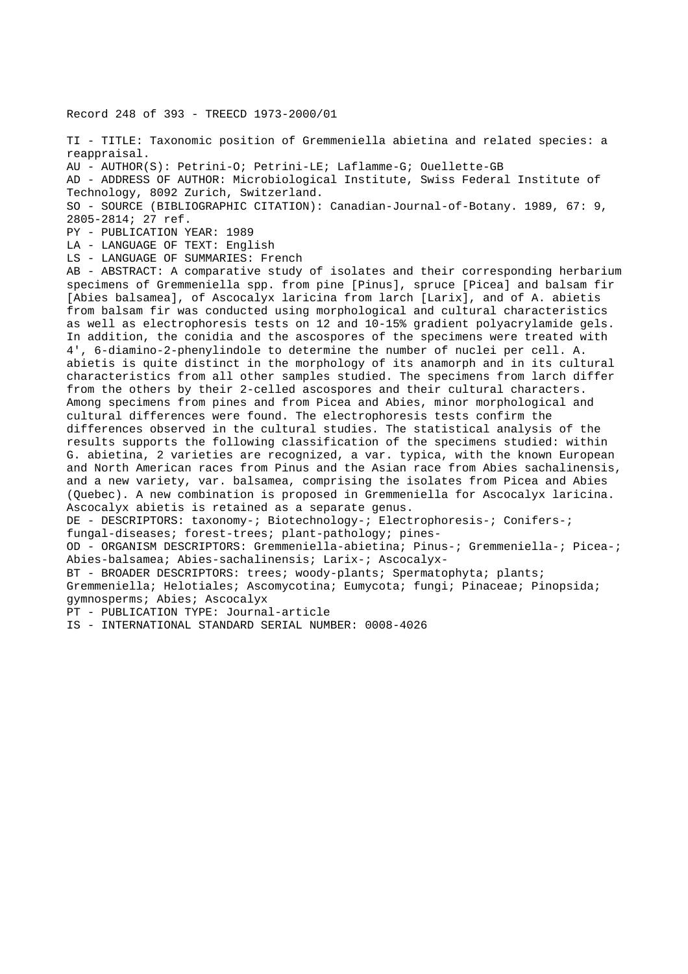Record 248 of 393 - TREECD 1973-2000/01

TI - TITLE: Taxonomic position of Gremmeniella abietina and related species: a reappraisal.

AU - AUTHOR(S): Petrini-O; Petrini-LE; Laflamme-G; Ouellette-GB

AD - ADDRESS OF AUTHOR: Microbiological Institute, Swiss Federal Institute of Technology, 8092 Zurich, Switzerland.

SO - SOURCE (BIBLIOGRAPHIC CITATION): Canadian-Journal-of-Botany. 1989, 67: 9, 2805-2814; 27 ref.

PY - PUBLICATION YEAR: 1989

LA - LANGUAGE OF TEXT: English

LS - LANGUAGE OF SUMMARIES: French

AB - ABSTRACT: A comparative study of isolates and their corresponding herbarium specimens of Gremmeniella spp. from pine [Pinus], spruce [Picea] and balsam fir [Abies balsamea], of Ascocalyx laricina from larch [Larix], and of A. abietis from balsam fir was conducted using morphological and cultural characteristics as well as electrophoresis tests on 12 and 10-15% gradient polyacrylamide gels. In addition, the conidia and the ascospores of the specimens were treated with 4', 6-diamino-2-phenylindole to determine the number of nuclei per cell. A. abietis is quite distinct in the morphology of its anamorph and in its cultural characteristics from all other samples studied. The specimens from larch differ from the others by their 2-celled ascospores and their cultural characters. Among specimens from pines and from Picea and Abies, minor morphological and cultural differences were found. The electrophoresis tests confirm the differences observed in the cultural studies. The statistical analysis of the results supports the following classification of the specimens studied: within G. abietina, 2 varieties are recognized, a var. typica, with the known European and North American races from Pinus and the Asian race from Abies sachalinensis, and a new variety, var. balsamea, comprising the isolates from Picea and Abies (Quebec). A new combination is proposed in Gremmeniella for Ascocalyx laricina. Ascocalyx abietis is retained as a separate genus. DE - DESCRIPTORS: taxonomy-; Biotechnology-; Electrophoresis-; Conifers-; fungal-diseases; forest-trees; plant-pathology; pines-OD - ORGANISM DESCRIPTORS: Gremmeniella-abietina; Pinus-; Gremmeniella-; Picea-; Abies-balsamea; Abies-sachalinensis; Larix-; Ascocalyx-BT - BROADER DESCRIPTORS: trees; woody-plants; Spermatophyta; plants; Gremmeniella; Helotiales; Ascomycotina; Eumycota; fungi; Pinaceae; Pinopsida; gymnosperms; Abies; Ascocalyx

PT - PUBLICATION TYPE: Journal-article

IS - INTERNATIONAL STANDARD SERIAL NUMBER: 0008-4026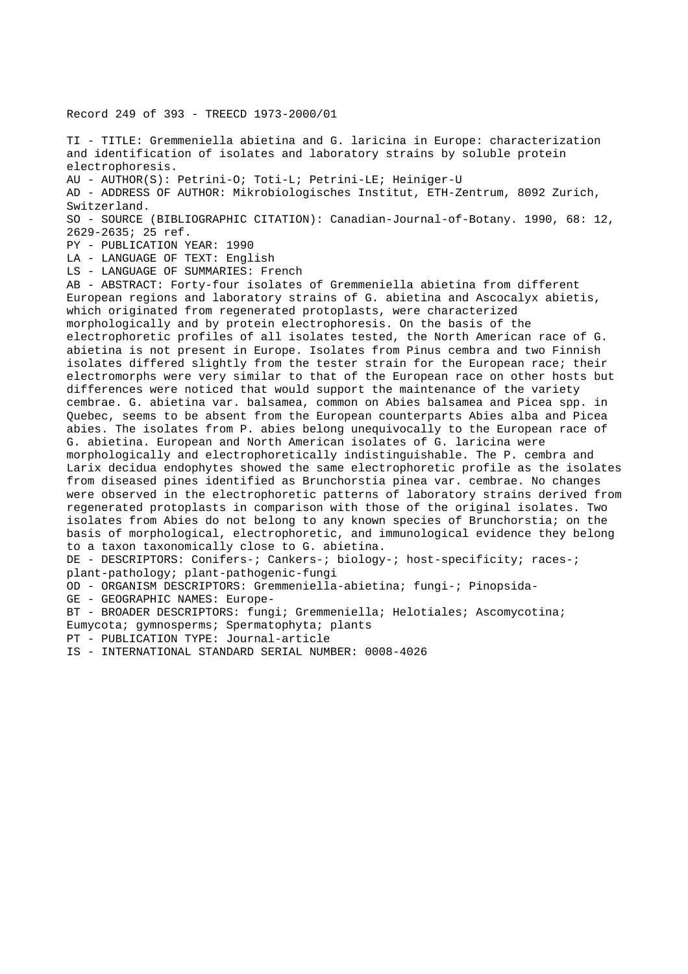Record 249 of 393 - TREECD 1973-2000/01

TI - TITLE: Gremmeniella abietina and G. laricina in Europe: characterization and identification of isolates and laboratory strains by soluble protein electrophoresis.

AU - AUTHOR(S): Petrini-O; Toti-L; Petrini-LE; Heiniger-U

AD - ADDRESS OF AUTHOR: Mikrobiologisches Institut, ETH-Zentrum, 8092 Zurich, Switzerland.

SO - SOURCE (BIBLIOGRAPHIC CITATION): Canadian-Journal-of-Botany. 1990, 68: 12, 2629-2635; 25 ref.

PY - PUBLICATION YEAR: 1990

LA - LANGUAGE OF TEXT: English

LS - LANGUAGE OF SUMMARIES: French

AB - ABSTRACT: Forty-four isolates of Gremmeniella abietina from different European regions and laboratory strains of G. abietina and Ascocalyx abietis, which originated from regenerated protoplasts, were characterized morphologically and by protein electrophoresis. On the basis of the electrophoretic profiles of all isolates tested, the North American race of G. abietina is not present in Europe. Isolates from Pinus cembra and two Finnish isolates differed slightly from the tester strain for the European race; their electromorphs were very similar to that of the European race on other hosts but differences were noticed that would support the maintenance of the variety cembrae. G. abietina var. balsamea, common on Abies balsamea and Picea spp. in Quebec, seems to be absent from the European counterparts Abies alba and Picea abies. The isolates from P. abies belong unequivocally to the European race of G. abietina. European and North American isolates of G. laricina were morphologically and electrophoretically indistinguishable. The P. cembra and Larix decidua endophytes showed the same electrophoretic profile as the isolates from diseased pines identified as Brunchorstia pinea var. cembrae. No changes were observed in the electrophoretic patterns of laboratory strains derived from regenerated protoplasts in comparison with those of the original isolates. Two isolates from Abies do not belong to any known species of Brunchorstia; on the basis of morphological, electrophoretic, and immunological evidence they belong to a taxon taxonomically close to G. abietina. DE - DESCRIPTORS: Conifers-; Cankers-; biology-; host-specificity; races-; plant-pathology; plant-pathogenic-fungi OD - ORGANISM DESCRIPTORS: Gremmeniella-abietina; fungi-; Pinopsida-GE - GEOGRAPHIC NAMES: Europe-

BT - BROADER DESCRIPTORS: fungi; Gremmeniella; Helotiales; Ascomycotina;

Eumycota; gymnosperms; Spermatophyta; plants

PT - PUBLICATION TYPE: Journal-article

IS - INTERNATIONAL STANDARD SERIAL NUMBER: 0008-4026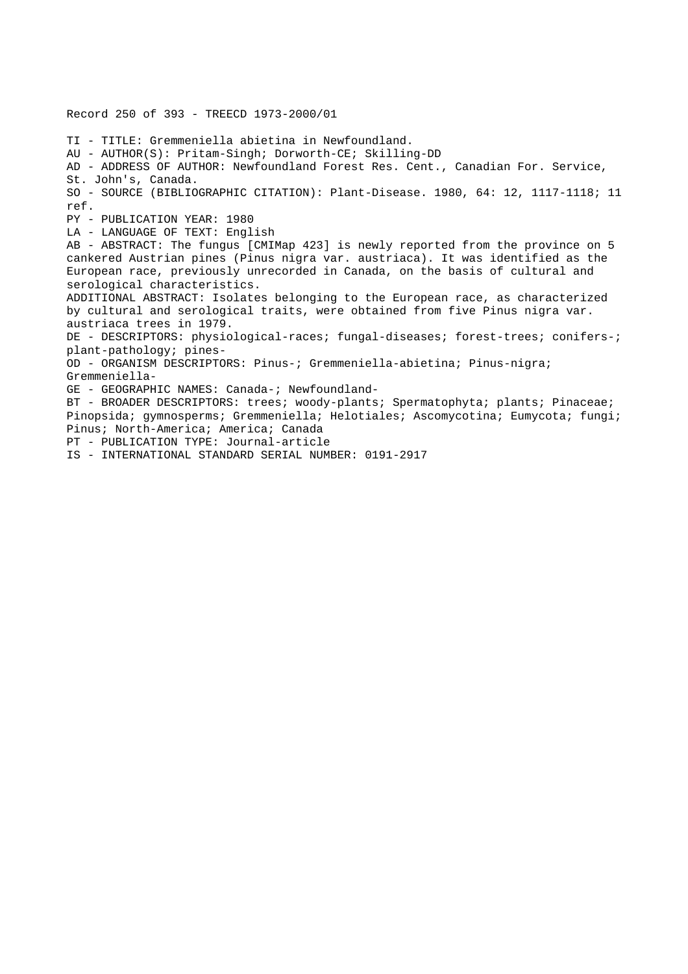Record 250 of 393 - TREECD 1973-2000/01 TI - TITLE: Gremmeniella abietina in Newfoundland. AU - AUTHOR(S): Pritam-Singh; Dorworth-CE; Skilling-DD AD - ADDRESS OF AUTHOR: Newfoundland Forest Res. Cent., Canadian For. Service, St. John's, Canada. SO - SOURCE (BIBLIOGRAPHIC CITATION): Plant-Disease. 1980, 64: 12, 1117-1118; 11 ref. PY - PUBLICATION YEAR: 1980 LA - LANGUAGE OF TEXT: English AB - ABSTRACT: The fungus [CMIMap 423] is newly reported from the province on 5 cankered Austrian pines (Pinus nigra var. austriaca). It was identified as the European race, previously unrecorded in Canada, on the basis of cultural and serological characteristics. ADDITIONAL ABSTRACT: Isolates belonging to the European race, as characterized by cultural and serological traits, were obtained from five Pinus nigra var. austriaca trees in 1979. DE - DESCRIPTORS: physiological-races; fungal-diseases; forest-trees; conifers-; plant-pathology; pines-OD - ORGANISM DESCRIPTORS: Pinus-; Gremmeniella-abietina; Pinus-nigra; Gremmeniella-GE - GEOGRAPHIC NAMES: Canada-; Newfoundland-BT - BROADER DESCRIPTORS: trees; woody-plants; Spermatophyta; plants; Pinaceae; Pinopsida; gymnosperms; Gremmeniella; Helotiales; Ascomycotina; Eumycota; fungi; Pinus; North-America; America; Canada PT - PUBLICATION TYPE: Journal-article IS - INTERNATIONAL STANDARD SERIAL NUMBER: 0191-2917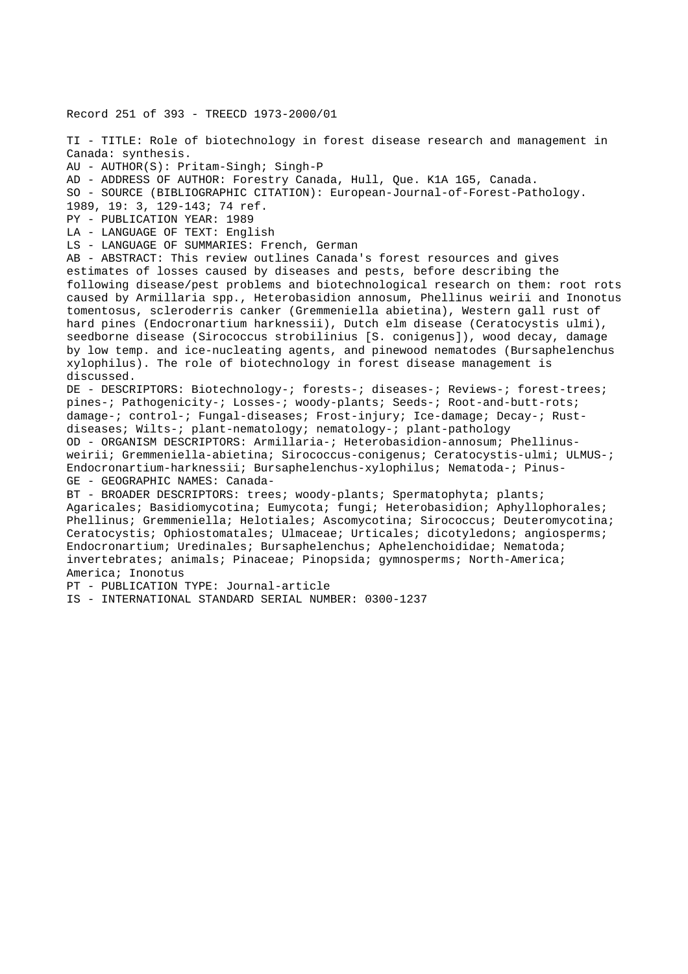Record 251 of 393 - TREECD 1973-2000/01 TI - TITLE: Role of biotechnology in forest disease research and management in Canada: synthesis. AU - AUTHOR(S): Pritam-Singh; Singh-P AD - ADDRESS OF AUTHOR: Forestry Canada, Hull, Que. K1A 1G5, Canada. SO - SOURCE (BIBLIOGRAPHIC CITATION): European-Journal-of-Forest-Pathology. 1989, 19: 3, 129-143; 74 ref. PY - PUBLICATION YEAR: 1989 LA - LANGUAGE OF TEXT: English LS - LANGUAGE OF SUMMARIES: French, German AB - ABSTRACT: This review outlines Canada's forest resources and gives estimates of losses caused by diseases and pests, before describing the following disease/pest problems and biotechnological research on them: root rots caused by Armillaria spp., Heterobasidion annosum, Phellinus weirii and Inonotus tomentosus, scleroderris canker (Gremmeniella abietina), Western gall rust of hard pines (Endocronartium harknessii), Dutch elm disease (Ceratocystis ulmi), seedborne disease (Sirococcus strobilinius [S. conigenus]), wood decay, damage by low temp. and ice-nucleating agents, and pinewood nematodes (Bursaphelenchus xylophilus). The role of biotechnology in forest disease management is discussed. DE - DESCRIPTORS: Biotechnology-; forests-; diseases-; Reviews-; forest-trees; pines-; Pathogenicity-; Losses-; woody-plants; Seeds-; Root-and-butt-rots; damage-; control-; Fungal-diseases; Frost-injury; Ice-damage; Decay-; Rustdiseases; Wilts-; plant-nematology; nematology-; plant-pathology OD - ORGANISM DESCRIPTORS: Armillaria-; Heterobasidion-annosum; Phellinusweirii; Gremmeniella-abietina; Sirococcus-conigenus; Ceratocystis-ulmi; ULMUS-; Endocronartium-harknessii; Bursaphelenchus-xylophilus; Nematoda-; Pinus-GE - GEOGRAPHIC NAMES: Canada-BT - BROADER DESCRIPTORS: trees; woody-plants; Spermatophyta; plants; Agaricales; Basidiomycotina; Eumycota; fungi; Heterobasidion; Aphyllophorales; Phellinus; Gremmeniella; Helotiales; Ascomycotina; Sirococcus; Deuteromycotina; Ceratocystis; Ophiostomatales; Ulmaceae; Urticales; dicotyledons; angiosperms; Endocronartium; Uredinales; Bursaphelenchus; Aphelenchoididae; Nematoda; invertebrates; animals; Pinaceae; Pinopsida; gymnosperms; North-America; America; Inonotus PT - PUBLICATION TYPE: Journal-article IS - INTERNATIONAL STANDARD SERIAL NUMBER: 0300-1237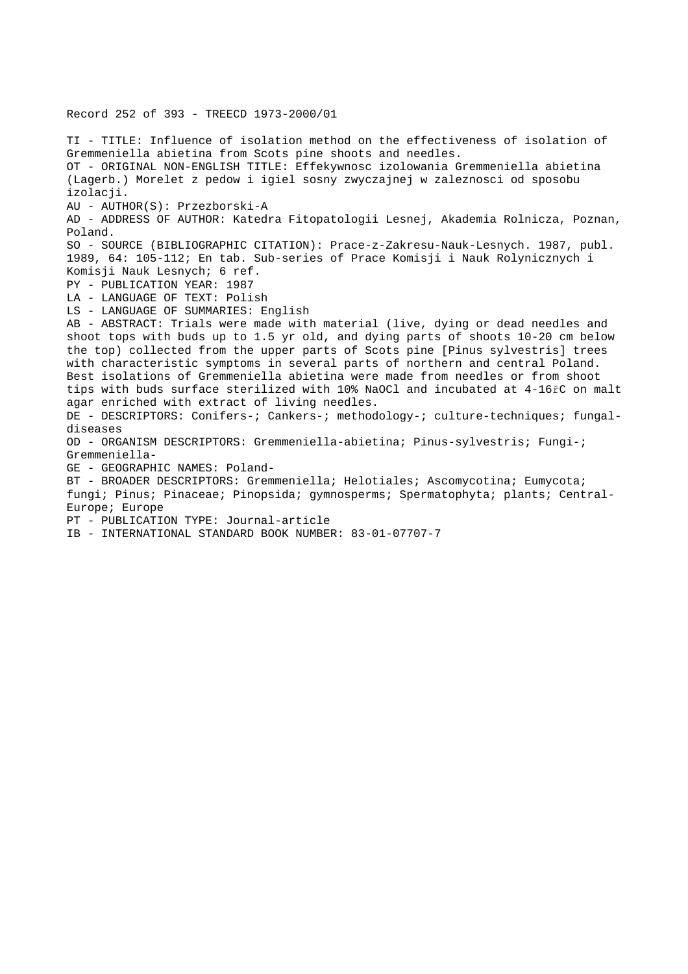TI - TITLE: Influence of isolation method on the effectiveness of isolation of Gremmeniella abietina from Scots pine shoots and needles. OT - ORIGINAL NON-ENGLISH TITLE: Effekywnosc izolowania Gremmeniella abietina (Lagerb.) Morelet z pedow i igiel sosny zwyczajnej w zaleznosci od sposobu izolacji. AU - AUTHOR(S): Przezborski-A AD - ADDRESS OF AUTHOR: Katedra Fitopatologii Lesnej, Akademia Rolnicza, Poznan, Poland. SO - SOURCE (BIBLIOGRAPHIC CITATION): Prace-z-Zakresu-Nauk-Lesnych. 1987, publ. 1989, 64: 105-112; En tab. Sub-series of Prace Komisji i Nauk Rolynicznych i Komisji Nauk Lesnych; 6 ref. PY - PUBLICATION YEAR: 1987 LA - LANGUAGE OF TEXT: Polish LS - LANGUAGE OF SUMMARIES: English AB - ABSTRACT: Trials were made with material (live, dying or dead needles and shoot tops with buds up to 1.5 yr old, and dying parts of shoots 10-20 cm below the top) collected from the upper parts of Scots pine [Pinus sylvestris] trees with characteristic symptoms in several parts of northern and central Poland. Best isolations of Gremmeniella abietina were made from needles or from shoot tips with buds surface sterilized with 10% NaOCl and incubated at 4-16řC on malt agar enriched with extract of living needles. DE - DESCRIPTORS: Conifers-; Cankers-; methodology-; culture-techniques; fungaldiseases OD - ORGANISM DESCRIPTORS: Gremmeniella-abietina; Pinus-sylvestris; Fungi-; Gremmeniella-GE - GEOGRAPHIC NAMES: Poland-BT - BROADER DESCRIPTORS: Gremmeniella; Helotiales; Ascomycotina; Eumycota; fungi; Pinus; Pinaceae; Pinopsida; gymnosperms; Spermatophyta; plants; Central-Europe; Europe PT - PUBLICATION TYPE: Journal-article IB - INTERNATIONAL STANDARD BOOK NUMBER: 83-01-07707-7

Record 252 of 393 - TREECD 1973-2000/01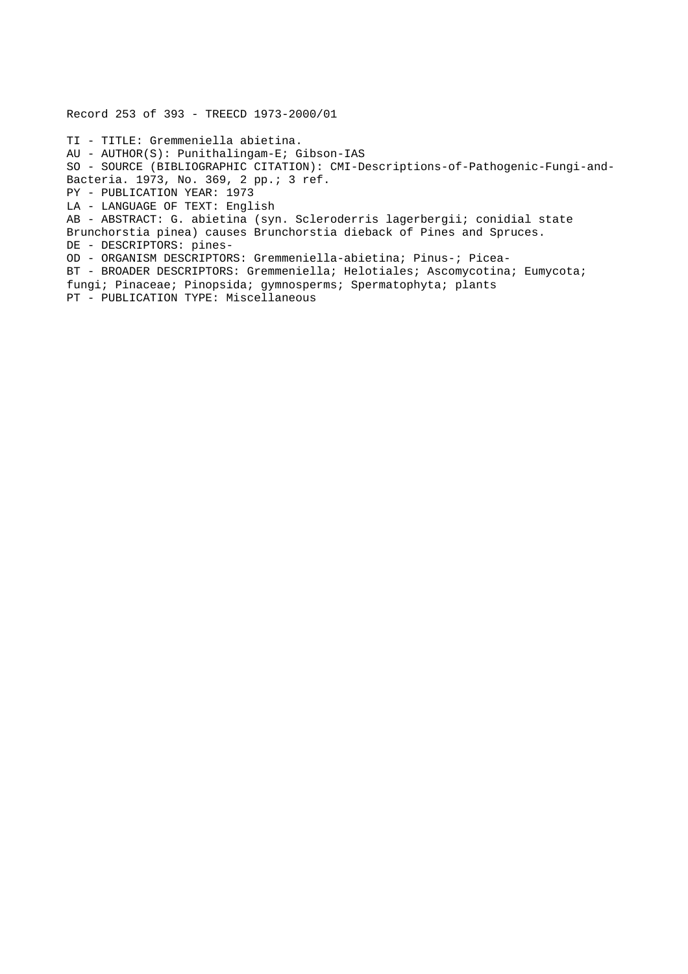Record 253 of 393 - TREECD 1973-2000/01 TI - TITLE: Gremmeniella abietina. AU - AUTHOR(S): Punithalingam-E; Gibson-IAS SO - SOURCE (BIBLIOGRAPHIC CITATION): CMI-Descriptions-of-Pathogenic-Fungi-and-Bacteria. 1973, No. 369, 2 pp.; 3 ref. PY - PUBLICATION YEAR: 1973 LA - LANGUAGE OF TEXT: English AB - ABSTRACT: G. abietina (syn. Scleroderris lagerbergii; conidial state Brunchorstia pinea) causes Brunchorstia dieback of Pines and Spruces. DE - DESCRIPTORS: pines-OD - ORGANISM DESCRIPTORS: Gremmeniella-abietina; Pinus-; Picea-BT - BROADER DESCRIPTORS: Gremmeniella; Helotiales; Ascomycotina; Eumycota; fungi; Pinaceae; Pinopsida; gymnosperms; Spermatophyta; plants PT - PUBLICATION TYPE: Miscellaneous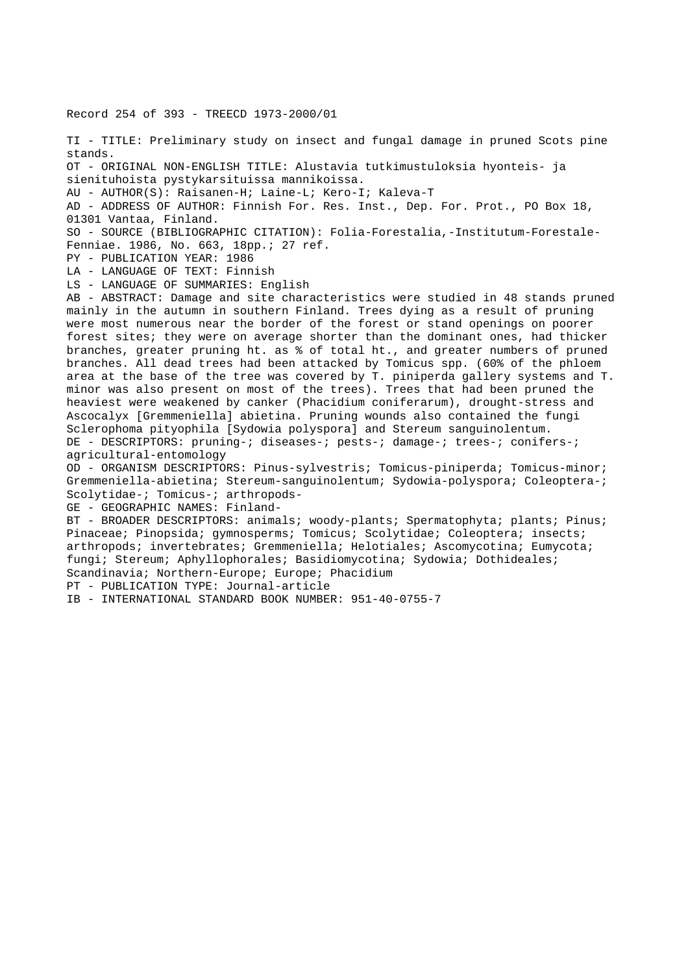Record 254 of 393 - TREECD 1973-2000/01 TI - TITLE: Preliminary study on insect and fungal damage in pruned Scots pine stands. OT - ORIGINAL NON-ENGLISH TITLE: Alustavia tutkimustuloksia hyonteis- ja sienituhoista pystykarsituissa mannikoissa. AU - AUTHOR(S): Raisanen-H; Laine-L; Kero-I; Kaleva-T AD - ADDRESS OF AUTHOR: Finnish For. Res. Inst., Dep. For. Prot., PO Box 18, 01301 Vantaa, Finland. SO - SOURCE (BIBLIOGRAPHIC CITATION): Folia-Forestalia,-Institutum-Forestale-Fenniae. 1986, No. 663, 18pp.; 27 ref. PY - PUBLICATION YEAR: 1986 LA - LANGUAGE OF TEXT: Finnish LS - LANGUAGE OF SUMMARIES: English AB - ABSTRACT: Damage and site characteristics were studied in 48 stands pruned mainly in the autumn in southern Finland. Trees dying as a result of pruning were most numerous near the border of the forest or stand openings on poorer forest sites; they were on average shorter than the dominant ones, had thicker branches, greater pruning ht. as % of total ht., and greater numbers of pruned branches. All dead trees had been attacked by Tomicus spp. (60% of the phloem area at the base of the tree was covered by T. piniperda gallery systems and T. minor was also present on most of the trees). Trees that had been pruned the heaviest were weakened by canker (Phacidium coniferarum), drought-stress and Ascocalyx [Gremmeniella] abietina. Pruning wounds also contained the fungi Sclerophoma pityophila [Sydowia polyspora] and Stereum sanguinolentum. DE - DESCRIPTORS: pruning-; diseases-; pests-; damage-; trees-; conifers-; agricultural-entomology OD - ORGANISM DESCRIPTORS: Pinus-sylvestris; Tomicus-piniperda; Tomicus-minor; Gremmeniella-abietina; Stereum-sanguinolentum; Sydowia-polyspora; Coleoptera-; Scolytidae-; Tomicus-; arthropods-GE - GEOGRAPHIC NAMES: Finland-BT - BROADER DESCRIPTORS: animals; woody-plants; Spermatophyta; plants; Pinus; Pinaceae; Pinopsida; gymnosperms; Tomicus; Scolytidae; Coleoptera; insects; arthropods; invertebrates; Gremmeniella; Helotiales; Ascomycotina; Eumycota; fungi; Stereum; Aphyllophorales; Basidiomycotina; Sydowia; Dothideales; Scandinavia; Northern-Europe; Europe; Phacidium PT - PUBLICATION TYPE: Journal-article

IB - INTERNATIONAL STANDARD BOOK NUMBER: 951-40-0755-7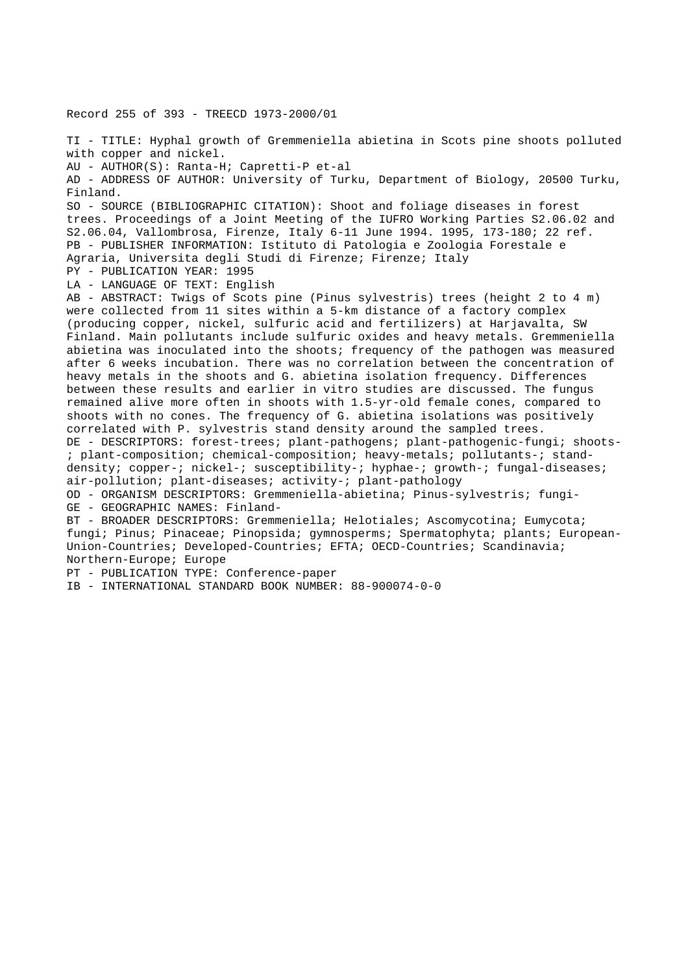Record 255 of 393 - TREECD 1973-2000/01 TI - TITLE: Hyphal growth of Gremmeniella abietina in Scots pine shoots polluted with copper and nickel. AU - AUTHOR(S): Ranta-H; Capretti-P et-al AD - ADDRESS OF AUTHOR: University of Turku, Department of Biology, 20500 Turku, Finland. SO - SOURCE (BIBLIOGRAPHIC CITATION): Shoot and foliage diseases in forest trees. Proceedings of a Joint Meeting of the IUFRO Working Parties S2.06.02 and S2.06.04, Vallombrosa, Firenze, Italy 6-11 June 1994. 1995, 173-180; 22 ref. PB - PUBLISHER INFORMATION: Istituto di Patologia e Zoologia Forestale e Agraria, Universita degli Studi di Firenze; Firenze; Italy PY - PUBLICATION YEAR: 1995 LA - LANGUAGE OF TEXT: English AB - ABSTRACT: Twigs of Scots pine (Pinus sylvestris) trees (height 2 to 4 m) were collected from 11 sites within a 5-km distance of a factory complex (producing copper, nickel, sulfuric acid and fertilizers) at Harjavalta, SW Finland. Main pollutants include sulfuric oxides and heavy metals. Gremmeniella abietina was inoculated into the shoots; frequency of the pathogen was measured after 6 weeks incubation. There was no correlation between the concentration of heavy metals in the shoots and G. abietina isolation frequency. Differences between these results and earlier in vitro studies are discussed. The fungus remained alive more often in shoots with 1.5-yr-old female cones, compared to shoots with no cones. The frequency of G. abietina isolations was positively correlated with P. sylvestris stand density around the sampled trees. DE - DESCRIPTORS: forest-trees; plant-pathogens; plant-pathogenic-fungi; shoots- ; plant-composition; chemical-composition; heavy-metals; pollutants-; standdensity; copper-; nickel-; susceptibility-; hyphae-; growth-; fungal-diseases; air-pollution; plant-diseases; activity-; plant-pathology OD - ORGANISM DESCRIPTORS: Gremmeniella-abietina; Pinus-sylvestris; fungi-GE - GEOGRAPHIC NAMES: Finland-BT - BROADER DESCRIPTORS: Gremmeniella; Helotiales; Ascomycotina; Eumycota; fungi; Pinus; Pinaceae; Pinopsida; gymnosperms; Spermatophyta; plants; European-Union-Countries; Developed-Countries; EFTA; OECD-Countries; Scandinavia; Northern-Europe; Europe PT - PUBLICATION TYPE: Conference-paper

IB - INTERNATIONAL STANDARD BOOK NUMBER: 88-900074-0-0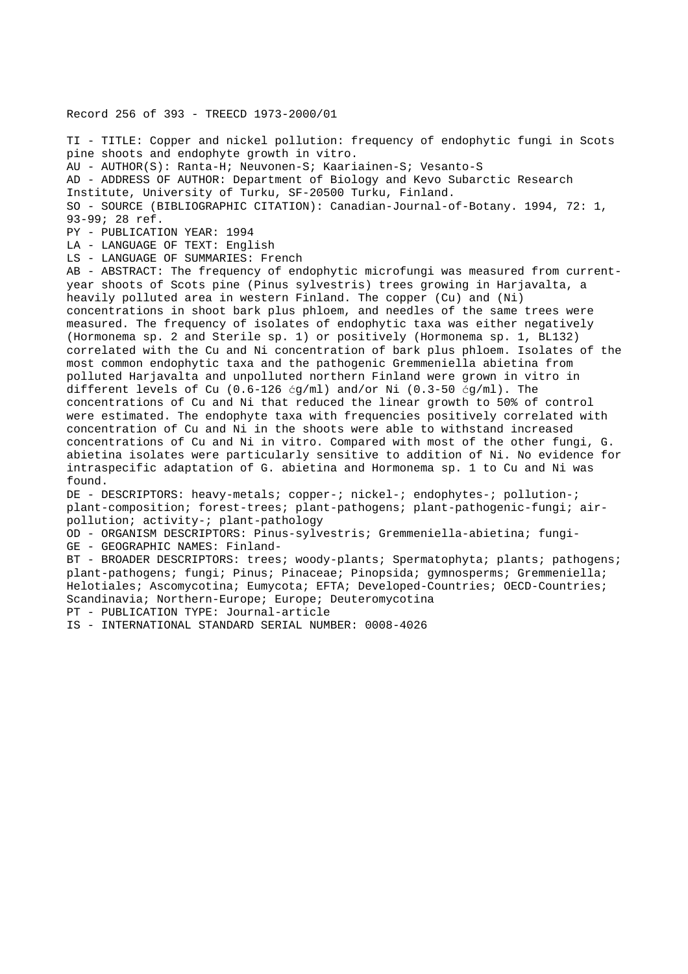## Record 256 of 393 - TREECD 1973-2000/01

TI - TITLE: Copper and nickel pollution: frequency of endophytic fungi in Scots pine shoots and endophyte growth in vitro. AU - AUTHOR(S): Ranta-H; Neuvonen-S; Kaariainen-S; Vesanto-S AD - ADDRESS OF AUTHOR: Department of Biology and Kevo Subarctic Research Institute, University of Turku, SF-20500 Turku, Finland. SO - SOURCE (BIBLIOGRAPHIC CITATION): Canadian-Journal-of-Botany. 1994, 72: 1, 93-99; 28 ref. PY - PUBLICATION YEAR: 1994 LA - LANGUAGE OF TEXT: English LS - LANGUAGE OF SUMMARIES: French AB - ABSTRACT: The frequency of endophytic microfungi was measured from currentyear shoots of Scots pine (Pinus sylvestris) trees growing in Harjavalta, a heavily polluted area in western Finland. The copper (Cu) and (Ni) concentrations in shoot bark plus phloem, and needles of the same trees were measured. The frequency of isolates of endophytic taxa was either negatively (Hormonema sp. 2 and Sterile sp. 1) or positively (Hormonema sp. 1, BL132) correlated with the Cu and Ni concentration of bark plus phloem. Isolates of the most common endophytic taxa and the pathogenic Gremmeniella abietina from polluted Harjavalta and unpolluted northern Finland were grown in vitro in different levels of Cu  $(0.6-126 \text{ (cm)}$ ) and/or Ni  $(0.3-50 \text{ (cm)})$ . The concentrations of Cu and Ni that reduced the linear growth to 50% of control were estimated. The endophyte taxa with frequencies positively correlated with concentration of Cu and Ni in the shoots were able to withstand increased concentrations of Cu and Ni in vitro. Compared with most of the other fungi, G. abietina isolates were particularly sensitive to addition of Ni. No evidence for intraspecific adaptation of G. abietina and Hormonema sp. 1 to Cu and Ni was found. DE - DESCRIPTORS: heavy-metals; copper-; nickel-; endophytes-; pollution-; plant-composition; forest-trees; plant-pathogens; plant-pathogenic-fungi; airpollution; activity-; plant-pathology OD - ORGANISM DESCRIPTORS: Pinus-sylvestris; Gremmeniella-abietina; fungi-GE - GEOGRAPHIC NAMES: Finland-BT - BROADER DESCRIPTORS: trees; woody-plants; Spermatophyta; plants; pathogens; plant-pathogens; fungi; Pinus; Pinaceae; Pinopsida; gymnosperms; Gremmeniella; Helotiales; Ascomycotina; Eumycota; EFTA; Developed-Countries; OECD-Countries;

Scandinavia; Northern-Europe; Europe; Deuteromycotina

PT - PUBLICATION TYPE: Journal-article

IS - INTERNATIONAL STANDARD SERIAL NUMBER: 0008-4026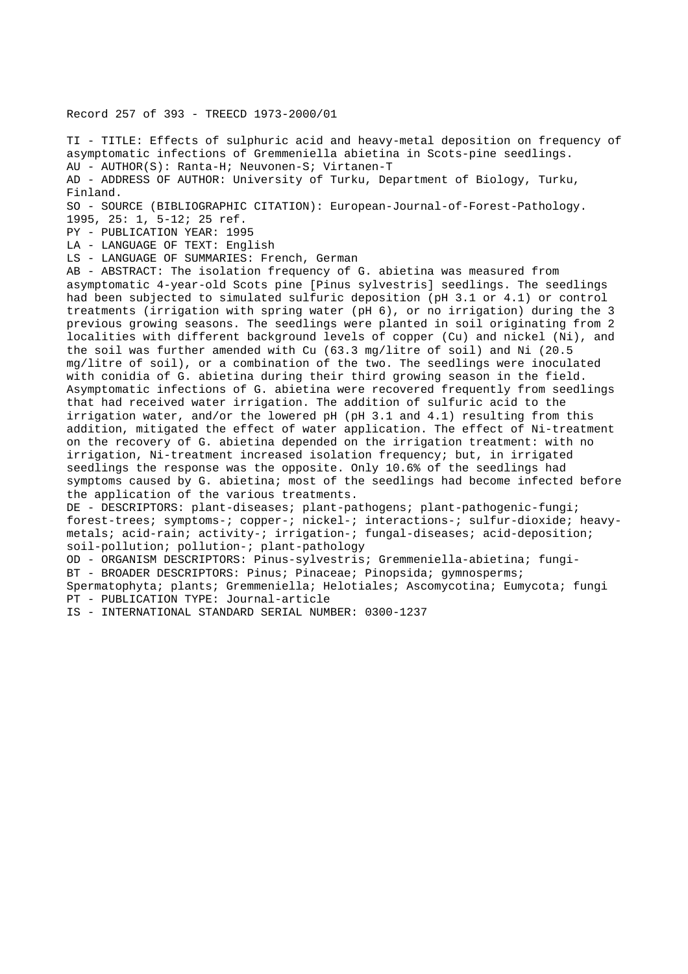Record 257 of 393 - TREECD 1973-2000/01

TI - TITLE: Effects of sulphuric acid and heavy-metal deposition on frequency of asymptomatic infections of Gremmeniella abietina in Scots-pine seedlings. AU - AUTHOR(S): Ranta-H; Neuvonen-S; Virtanen-T AD - ADDRESS OF AUTHOR: University of Turku, Department of Biology, Turku, Finland.

SO - SOURCE (BIBLIOGRAPHIC CITATION): European-Journal-of-Forest-Pathology.

1995, 25: 1, 5-12; 25 ref.

PY - PUBLICATION YEAR: 1995

LA - LANGUAGE OF TEXT: English

LS - LANGUAGE OF SUMMARIES: French, German

AB - ABSTRACT: The isolation frequency of G. abietina was measured from asymptomatic 4-year-old Scots pine [Pinus sylvestris] seedlings. The seedlings had been subjected to simulated sulfuric deposition (pH 3.1 or 4.1) or control treatments (irrigation with spring water (pH 6), or no irrigation) during the 3 previous growing seasons. The seedlings were planted in soil originating from 2 localities with different background levels of copper (Cu) and nickel (Ni), and the soil was further amended with Cu (63.3 mg/litre of soil) and Ni (20.5 mg/litre of soil), or a combination of the two. The seedlings were inoculated with conidia of G. abietina during their third growing season in the field. Asymptomatic infections of G. abietina were recovered frequently from seedlings that had received water irrigation. The addition of sulfuric acid to the irrigation water, and/or the lowered pH (pH 3.1 and 4.1) resulting from this addition, mitigated the effect of water application. The effect of Ni-treatment on the recovery of G. abietina depended on the irrigation treatment: with no irrigation, Ni-treatment increased isolation frequency; but, in irrigated seedlings the response was the opposite. Only 10.6% of the seedlings had symptoms caused by G. abietina; most of the seedlings had become infected before the application of the various treatments.

DE - DESCRIPTORS: plant-diseases; plant-pathogens; plant-pathogenic-fungi; forest-trees; symptoms-; copper-; nickel-; interactions-; sulfur-dioxide; heavymetals; acid-rain; activity-; irrigation-; fungal-diseases; acid-deposition; soil-pollution; pollution-; plant-pathology

OD - ORGANISM DESCRIPTORS: Pinus-sylvestris; Gremmeniella-abietina; fungi-BT - BROADER DESCRIPTORS: Pinus; Pinaceae; Pinopsida; gymnosperms; Spermatophyta; plants; Gremmeniella; Helotiales; Ascomycotina; Eumycota; fungi PT - PUBLICATION TYPE: Journal-article

IS - INTERNATIONAL STANDARD SERIAL NUMBER: 0300-1237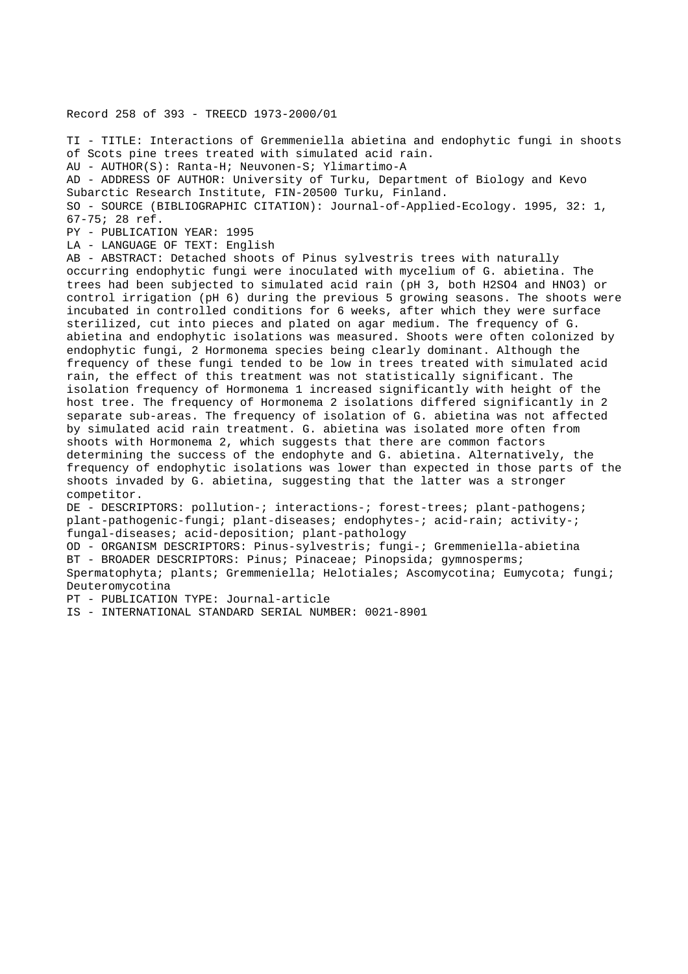Record 258 of 393 - TREECD 1973-2000/01

TI - TITLE: Interactions of Gremmeniella abietina and endophytic fungi in shoots of Scots pine trees treated with simulated acid rain.

AU - AUTHOR(S): Ranta-H; Neuvonen-S; Ylimartimo-A

AD - ADDRESS OF AUTHOR: University of Turku, Department of Biology and Kevo Subarctic Research Institute, FIN-20500 Turku, Finland.

SO - SOURCE (BIBLIOGRAPHIC CITATION): Journal-of-Applied-Ecology. 1995, 32: 1, 67-75; 28 ref.

PY - PUBLICATION YEAR: 1995

LA - LANGUAGE OF TEXT: English

AB - ABSTRACT: Detached shoots of Pinus sylvestris trees with naturally occurring endophytic fungi were inoculated with mycelium of G. abietina. The trees had been subjected to simulated acid rain (pH 3, both H2SO4 and HNO3) or control irrigation (pH 6) during the previous 5 growing seasons. The shoots were incubated in controlled conditions for 6 weeks, after which they were surface sterilized, cut into pieces and plated on agar medium. The frequency of G. abietina and endophytic isolations was measured. Shoots were often colonized by endophytic fungi, 2 Hormonema species being clearly dominant. Although the frequency of these fungi tended to be low in trees treated with simulated acid rain, the effect of this treatment was not statistically significant. The isolation frequency of Hormonema 1 increased significantly with height of the host tree. The frequency of Hormonema 2 isolations differed significantly in 2 separate sub-areas. The frequency of isolation of G. abietina was not affected by simulated acid rain treatment. G. abietina was isolated more often from shoots with Hormonema 2, which suggests that there are common factors determining the success of the endophyte and G. abietina. Alternatively, the frequency of endophytic isolations was lower than expected in those parts of the shoots invaded by G. abietina, suggesting that the latter was a stronger competitor.

DE - DESCRIPTORS: pollution-; interactions-; forest-trees; plant-pathogens; plant-pathogenic-fungi; plant-diseases; endophytes-; acid-rain; activity-; fungal-diseases; acid-deposition; plant-pathology

OD - ORGANISM DESCRIPTORS: Pinus-sylvestris; fungi-; Gremmeniella-abietina

BT - BROADER DESCRIPTORS: Pinus; Pinaceae; Pinopsida; gymnosperms;

Spermatophyta; plants; Gremmeniella; Helotiales; Ascomycotina; Eumycota; fungi; Deuteromycotina

PT - PUBLICATION TYPE: Journal-article

IS - INTERNATIONAL STANDARD SERIAL NUMBER: 0021-8901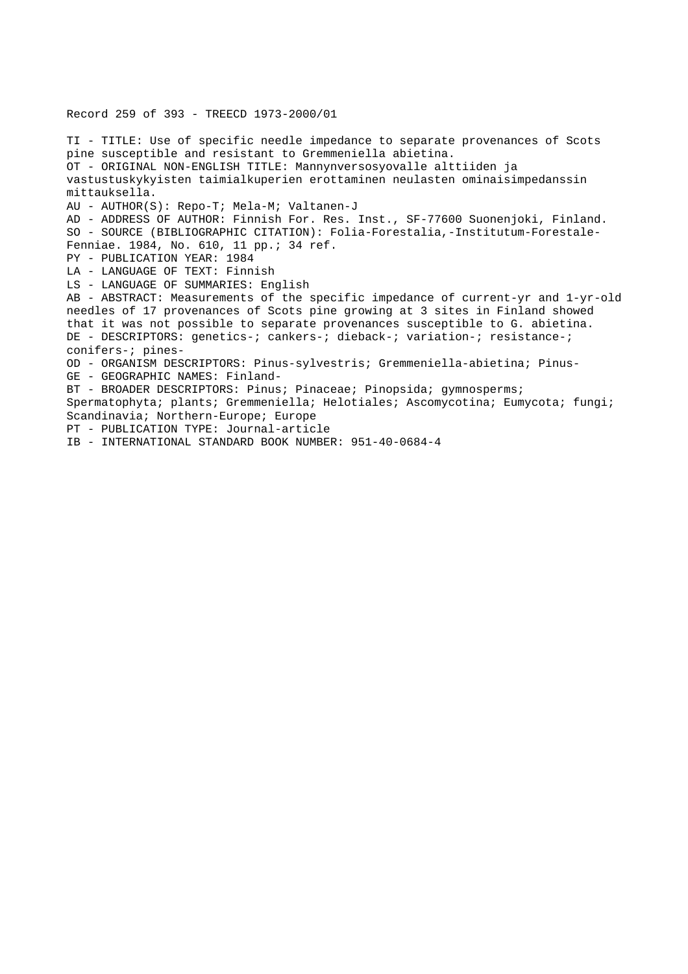Record 259 of 393 - TREECD 1973-2000/01

TI - TITLE: Use of specific needle impedance to separate provenances of Scots pine susceptible and resistant to Gremmeniella abietina. OT - ORIGINAL NON-ENGLISH TITLE: Mannynversosyovalle alttiiden ja vastustuskykyisten taimialkuperien erottaminen neulasten ominaisimpedanssin mittauksella. AU - AUTHOR(S): Repo-T; Mela-M; Valtanen-J AD - ADDRESS OF AUTHOR: Finnish For. Res. Inst., SF-77600 Suonenjoki, Finland. SO - SOURCE (BIBLIOGRAPHIC CITATION): Folia-Forestalia,-Institutum-Forestale-Fenniae. 1984, No. 610, 11 pp.; 34 ref. PY - PUBLICATION YEAR: 1984 LA - LANGUAGE OF TEXT: Finnish LS - LANGUAGE OF SUMMARIES: English AB - ABSTRACT: Measurements of the specific impedance of current-yr and 1-yr-old needles of 17 provenances of Scots pine growing at 3 sites in Finland showed that it was not possible to separate provenances susceptible to G. abietina. DE - DESCRIPTORS: genetics-; cankers-; dieback-; variation-; resistance-; conifers-; pines-OD - ORGANISM DESCRIPTORS: Pinus-sylvestris; Gremmeniella-abietina; Pinus-GE - GEOGRAPHIC NAMES: Finland-BT - BROADER DESCRIPTORS: Pinus; Pinaceae; Pinopsida; gymnosperms; Spermatophyta; plants; Gremmeniella; Helotiales; Ascomycotina; Eumycota; fungi; Scandinavia; Northern-Europe; Europe PT - PUBLICATION TYPE: Journal-article IB - INTERNATIONAL STANDARD BOOK NUMBER: 951-40-0684-4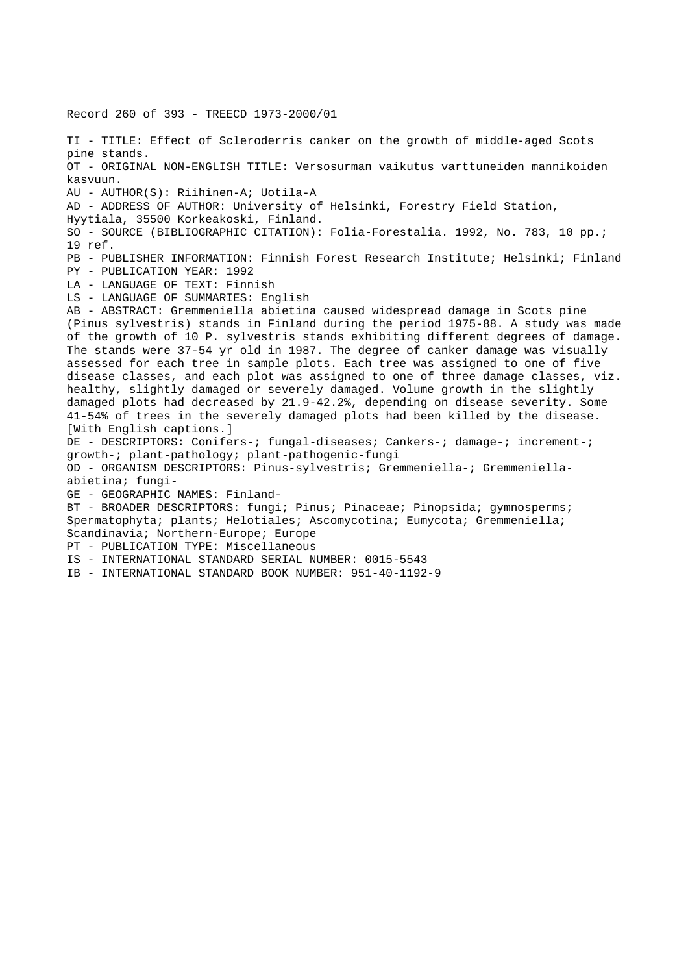Record 260 of 393 - TREECD 1973-2000/01 TI - TITLE: Effect of Scleroderris canker on the growth of middle-aged Scots pine stands. OT - ORIGINAL NON-ENGLISH TITLE: Versosurman vaikutus varttuneiden mannikoiden kasvuun. AU - AUTHOR(S): Riihinen-A; Uotila-A AD - ADDRESS OF AUTHOR: University of Helsinki, Forestry Field Station, Hyytiala, 35500 Korkeakoski, Finland. SO - SOURCE (BIBLIOGRAPHIC CITATION): Folia-Forestalia. 1992, No. 783, 10 pp.; 19 ref. PB - PUBLISHER INFORMATION: Finnish Forest Research Institute; Helsinki; Finland PY - PUBLICATION YEAR: 1992 LA - LANGUAGE OF TEXT: Finnish LS - LANGUAGE OF SUMMARIES: English AB - ABSTRACT: Gremmeniella abietina caused widespread damage in Scots pine (Pinus sylvestris) stands in Finland during the period 1975-88. A study was made of the growth of 10 P. sylvestris stands exhibiting different degrees of damage. The stands were 37-54 yr old in 1987. The degree of canker damage was visually assessed for each tree in sample plots. Each tree was assigned to one of five disease classes, and each plot was assigned to one of three damage classes, viz. healthy, slightly damaged or severely damaged. Volume growth in the slightly damaged plots had decreased by 21.9-42.2%, depending on disease severity. Some 41-54% of trees in the severely damaged plots had been killed by the disease. [With English captions.] DE - DESCRIPTORS: Conifers-; fungal-diseases; Cankers-; damage-; increment-; growth-; plant-pathology; plant-pathogenic-fungi OD - ORGANISM DESCRIPTORS: Pinus-sylvestris; Gremmeniella-; Gremmeniellaabietina; fungi-GE - GEOGRAPHIC NAMES: Finland-BT - BROADER DESCRIPTORS: fungi; Pinus; Pinaceae; Pinopsida; gymnosperms; Spermatophyta; plants; Helotiales; Ascomycotina; Eumycota; Gremmeniella; Scandinavia; Northern-Europe; Europe PT - PUBLICATION TYPE: Miscellaneous IS - INTERNATIONAL STANDARD SERIAL NUMBER: 0015-5543 IB - INTERNATIONAL STANDARD BOOK NUMBER: 951-40-1192-9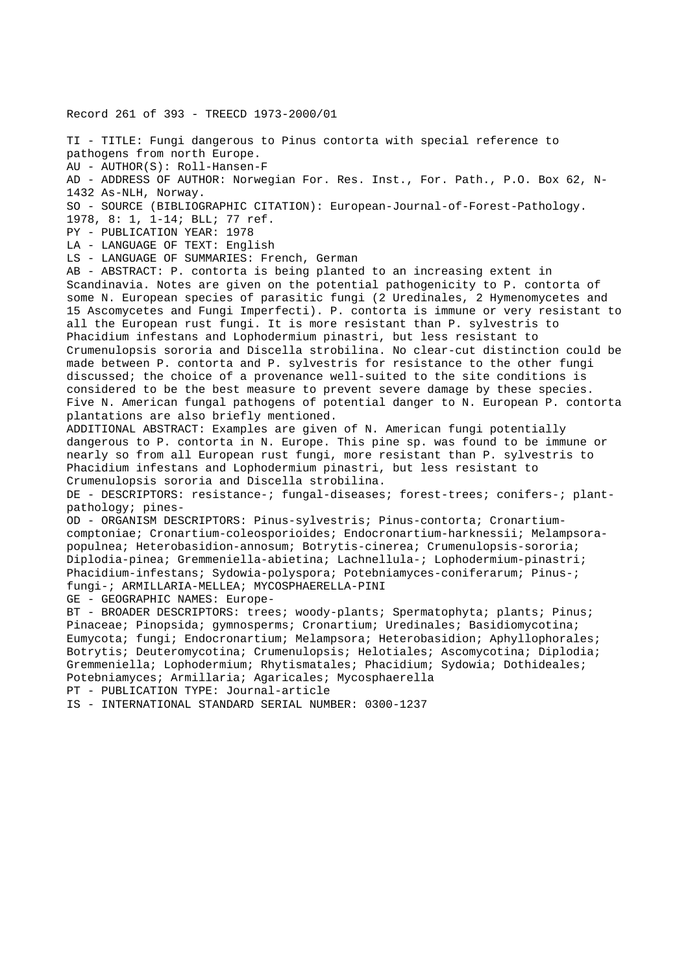Record 261 of 393 - TREECD 1973-2000/01

TI - TITLE: Fungi dangerous to Pinus contorta with special reference to pathogens from north Europe. AU - AUTHOR(S): Roll-Hansen-F AD - ADDRESS OF AUTHOR: Norwegian For. Res. Inst., For. Path., P.O. Box 62, N-1432 As-NLH, Norway. SO - SOURCE (BIBLIOGRAPHIC CITATION): European-Journal-of-Forest-Pathology. 1978, 8: 1, 1-14; BLL; 77 ref. PY - PUBLICATION YEAR: 1978 LA - LANGUAGE OF TEXT: English LS - LANGUAGE OF SUMMARIES: French, German AB - ABSTRACT: P. contorta is being planted to an increasing extent in Scandinavia. Notes are given on the potential pathogenicity to P. contorta of some N. European species of parasitic fungi (2 Uredinales, 2 Hymenomycetes and 15 Ascomycetes and Fungi Imperfecti). P. contorta is immune or very resistant to all the European rust fungi. It is more resistant than P. sylvestris to Phacidium infestans and Lophodermium pinastri, but less resistant to Crumenulopsis sororia and Discella strobilina. No clear-cut distinction could be made between P. contorta and P. sylvestris for resistance to the other fungi discussed; the choice of a provenance well-suited to the site conditions is considered to be the best measure to prevent severe damage by these species. Five N. American fungal pathogens of potential danger to N. European P. contorta plantations are also briefly mentioned. ADDITIONAL ABSTRACT: Examples are given of N. American fungi potentially dangerous to P. contorta in N. Europe. This pine sp. was found to be immune or nearly so from all European rust fungi, more resistant than P. sylvestris to Phacidium infestans and Lophodermium pinastri, but less resistant to Crumenulopsis sororia and Discella strobilina. DE - DESCRIPTORS: resistance-; fungal-diseases; forest-trees; conifers-; plantpathology; pines-OD - ORGANISM DESCRIPTORS: Pinus-sylvestris; Pinus-contorta; Cronartiumcomptoniae; Cronartium-coleosporioides; Endocronartium-harknessii; Melampsorapopulnea; Heterobasidion-annosum; Botrytis-cinerea; Crumenulopsis-sororia; Diplodia-pinea; Gremmeniella-abietina; Lachnellula-; Lophodermium-pinastri; Phacidium-infestans; Sydowia-polyspora; Potebniamyces-coniferarum; Pinus-; fungi-; ARMILLARIA-MELLEA; MYCOSPHAERELLA-PINI GE - GEOGRAPHIC NAMES: Europe-BT - BROADER DESCRIPTORS: trees; woody-plants; Spermatophyta; plants; Pinus; Pinaceae; Pinopsida; gymnosperms; Cronartium; Uredinales; Basidiomycotina; Eumycota; fungi; Endocronartium; Melampsora; Heterobasidion; Aphyllophorales; Botrytis; Deuteromycotina; Crumenulopsis; Helotiales; Ascomycotina; Diplodia;

Gremmeniella; Lophodermium; Rhytismatales; Phacidium; Sydowia; Dothideales; Potebniamyces; Armillaria; Agaricales; Mycosphaerella

PT - PUBLICATION TYPE: Journal-article

IS - INTERNATIONAL STANDARD SERIAL NUMBER: 0300-1237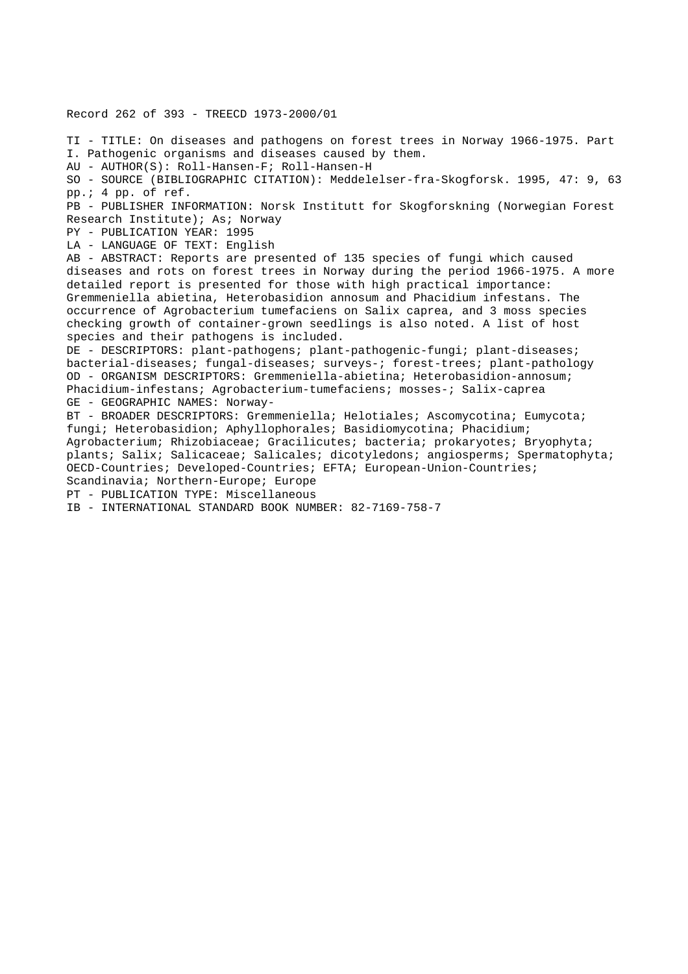Record 262 of 393 - TREECD 1973-2000/01

TI - TITLE: On diseases and pathogens on forest trees in Norway 1966-1975. Part I. Pathogenic organisms and diseases caused by them. AU - AUTHOR(S): Roll-Hansen-F; Roll-Hansen-H SO - SOURCE (BIBLIOGRAPHIC CITATION): Meddelelser-fra-Skogforsk. 1995, 47: 9, 63 pp.; 4 pp. of ref. PB - PUBLISHER INFORMATION: Norsk Institutt for Skogforskning (Norwegian Forest Research Institute); As; Norway PY - PUBLICATION YEAR: 1995 LA - LANGUAGE OF TEXT: English AB - ABSTRACT: Reports are presented of 135 species of fungi which caused diseases and rots on forest trees in Norway during the period 1966-1975. A more detailed report is presented for those with high practical importance: Gremmeniella abietina, Heterobasidion annosum and Phacidium infestans. The occurrence of Agrobacterium tumefaciens on Salix caprea, and 3 moss species checking growth of container-grown seedlings is also noted. A list of host species and their pathogens is included. DE - DESCRIPTORS: plant-pathogens; plant-pathogenic-fungi; plant-diseases; bacterial-diseases; fungal-diseases; surveys-; forest-trees; plant-pathology OD - ORGANISM DESCRIPTORS: Gremmeniella-abietina; Heterobasidion-annosum; Phacidium-infestans; Agrobacterium-tumefaciens; mosses-; Salix-caprea GE - GEOGRAPHIC NAMES: Norway-BT - BROADER DESCRIPTORS: Gremmeniella; Helotiales; Ascomycotina; Eumycota; fungi; Heterobasidion; Aphyllophorales; Basidiomycotina; Phacidium; Agrobacterium; Rhizobiaceae; Gracilicutes; bacteria; prokaryotes; Bryophyta; plants; Salix; Salicaceae; Salicales; dicotyledons; angiosperms; Spermatophyta; OECD-Countries; Developed-Countries; EFTA; European-Union-Countries; Scandinavia; Northern-Europe; Europe

PT - PUBLICATION TYPE: Miscellaneous

IB - INTERNATIONAL STANDARD BOOK NUMBER: 82-7169-758-7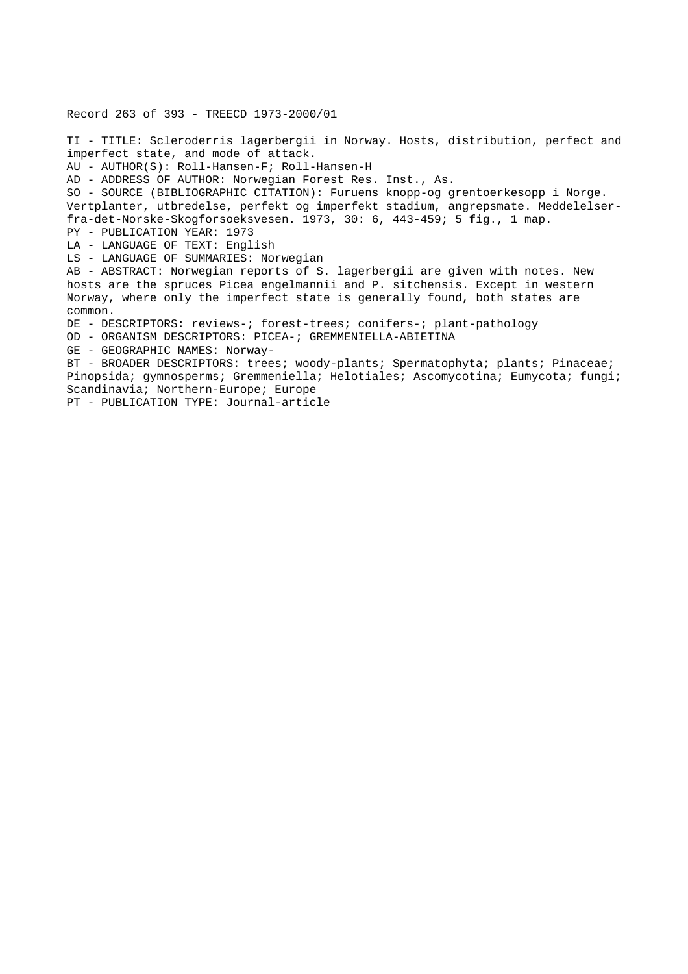Record 263 of 393 - TREECD 1973-2000/01 TI - TITLE: Scleroderris lagerbergii in Norway. Hosts, distribution, perfect and imperfect state, and mode of attack. AU - AUTHOR(S): Roll-Hansen-F; Roll-Hansen-H AD - ADDRESS OF AUTHOR: Norwegian Forest Res. Inst., As. SO - SOURCE (BIBLIOGRAPHIC CITATION): Furuens knopp-og grentoerkesopp i Norge. Vertplanter, utbredelse, perfekt og imperfekt stadium, angrepsmate. Meddelelserfra-det-Norske-Skogforsoeksvesen. 1973, 30: 6, 443-459; 5 fig., 1 map. PY - PUBLICATION YEAR: 1973 LA - LANGUAGE OF TEXT: English LS - LANGUAGE OF SUMMARIES: Norwegian AB - ABSTRACT: Norwegian reports of S. lagerbergii are given with notes. New hosts are the spruces Picea engelmannii and P. sitchensis. Except in western Norway, where only the imperfect state is generally found, both states are common. DE - DESCRIPTORS: reviews-; forest-trees; conifers-; plant-pathology OD - ORGANISM DESCRIPTORS: PICEA-; GREMMENIELLA-ABIETINA GE - GEOGRAPHIC NAMES: Norway-BT - BROADER DESCRIPTORS: trees; woody-plants; Spermatophyta; plants; Pinaceae; Pinopsida; gymnosperms; Gremmeniella; Helotiales; Ascomycotina; Eumycota; fungi; Scandinavia; Northern-Europe; Europe PT - PUBLICATION TYPE: Journal-article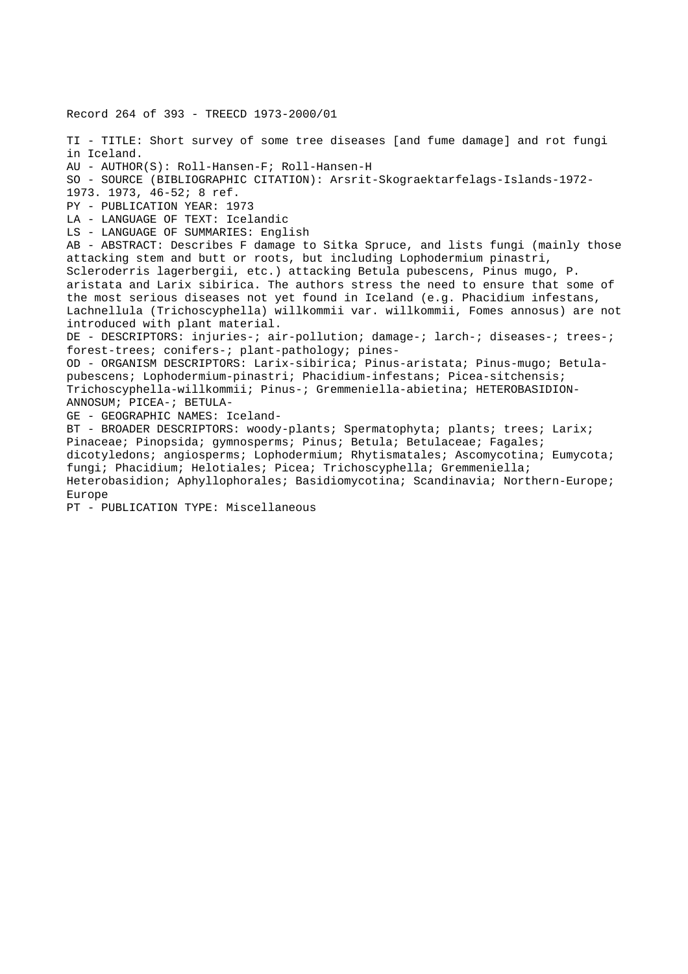Record 264 of 393 - TREECD 1973-2000/01 TI - TITLE: Short survey of some tree diseases [and fume damage] and rot fungi in Iceland. AU - AUTHOR(S): Roll-Hansen-F; Roll-Hansen-H SO - SOURCE (BIBLIOGRAPHIC CITATION): Arsrit-Skograektarfelags-Islands-1972- 1973. 1973, 46-52; 8 ref. PY - PUBLICATION YEAR: 1973 LA - LANGUAGE OF TEXT: Icelandic LS - LANGUAGE OF SUMMARIES: English AB - ABSTRACT: Describes F damage to Sitka Spruce, and lists fungi (mainly those attacking stem and butt or roots, but including Lophodermium pinastri, Scleroderris lagerbergii, etc.) attacking Betula pubescens, Pinus mugo, P. aristata and Larix sibirica. The authors stress the need to ensure that some of the most serious diseases not yet found in Iceland (e.g. Phacidium infestans, Lachnellula (Trichoscyphella) willkommii var. willkommii, Fomes annosus) are not introduced with plant material. DE - DESCRIPTORS: injuries-; air-pollution; damage-; larch-; diseases-; trees-; forest-trees; conifers-; plant-pathology; pines-OD - ORGANISM DESCRIPTORS: Larix-sibirica; Pinus-aristata; Pinus-mugo; Betulapubescens; Lophodermium-pinastri; Phacidium-infestans; Picea-sitchensis; Trichoscyphella-willkommii; Pinus-; Gremmeniella-abietina; HETEROBASIDION-ANNOSUM; PICEA-; BETULA-GE - GEOGRAPHIC NAMES: Iceland-BT - BROADER DESCRIPTORS: woody-plants; Spermatophyta; plants; trees; Larix; Pinaceae; Pinopsida; gymnosperms; Pinus; Betula; Betulaceae; Fagales; dicotyledons; angiosperms; Lophodermium; Rhytismatales; Ascomycotina; Eumycota; fungi; Phacidium; Helotiales; Picea; Trichoscyphella; Gremmeniella; Heterobasidion; Aphyllophorales; Basidiomycotina; Scandinavia; Northern-Europe; Europe

PT - PUBLICATION TYPE: Miscellaneous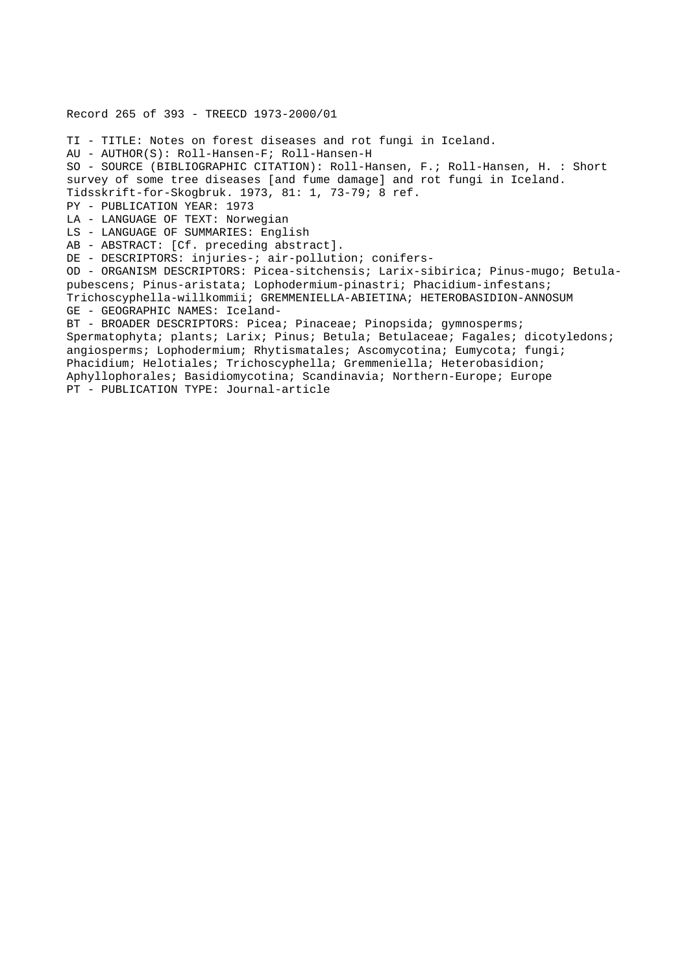Record 265 of 393 - TREECD 1973-2000/01 TI - TITLE: Notes on forest diseases and rot fungi in Iceland. AU - AUTHOR(S): Roll-Hansen-F; Roll-Hansen-H SO - SOURCE (BIBLIOGRAPHIC CITATION): Roll-Hansen, F.; Roll-Hansen, H. : Short survey of some tree diseases [and fume damage] and rot fungi in Iceland. Tidsskrift-for-Skogbruk. 1973, 81: 1, 73-79; 8 ref. PY - PUBLICATION YEAR: 1973 LA - LANGUAGE OF TEXT: Norwegian LS - LANGUAGE OF SUMMARIES: English AB - ABSTRACT: [Cf. preceding abstract]. DE - DESCRIPTORS: injuries-; air-pollution; conifers-OD - ORGANISM DESCRIPTORS: Picea-sitchensis; Larix-sibirica; Pinus-mugo; Betulapubescens; Pinus-aristata; Lophodermium-pinastri; Phacidium-infestans; Trichoscyphella-willkommii; GREMMENIELLA-ABIETINA; HETEROBASIDION-ANNOSUM GE - GEOGRAPHIC NAMES: Iceland-BT - BROADER DESCRIPTORS: Picea; Pinaceae; Pinopsida; gymnosperms; Spermatophyta; plants; Larix; Pinus; Betula; Betulaceae; Fagales; dicotyledons; angiosperms; Lophodermium; Rhytismatales; Ascomycotina; Eumycota; fungi; Phacidium; Helotiales; Trichoscyphella; Gremmeniella; Heterobasidion; Aphyllophorales; Basidiomycotina; Scandinavia; Northern-Europe; Europe PT - PUBLICATION TYPE: Journal-article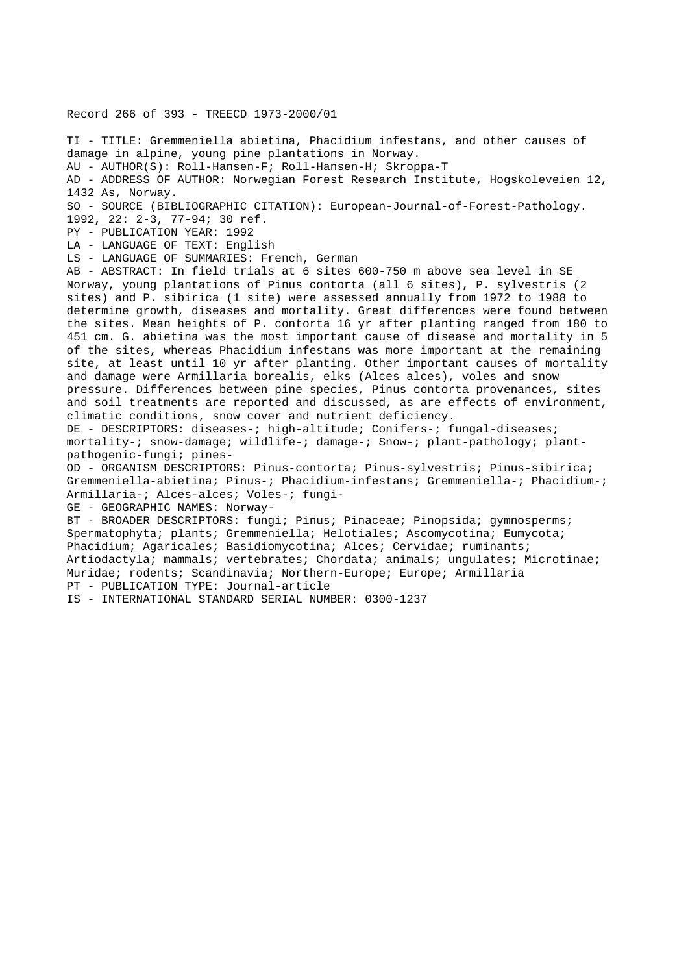Record 266 of 393 - TREECD 1973-2000/01

TI - TITLE: Gremmeniella abietina, Phacidium infestans, and other causes of damage in alpine, young pine plantations in Norway. AU - AUTHOR(S): Roll-Hansen-F; Roll-Hansen-H; Skroppa-T AD - ADDRESS OF AUTHOR: Norwegian Forest Research Institute, Hogskoleveien 12, 1432 As, Norway. SO - SOURCE (BIBLIOGRAPHIC CITATION): European-Journal-of-Forest-Pathology. 1992, 22: 2-3, 77-94; 30 ref. PY - PUBLICATION YEAR: 1992 LA - LANGUAGE OF TEXT: English LS - LANGUAGE OF SUMMARIES: French, German AB - ABSTRACT: In field trials at 6 sites 600-750 m above sea level in SE Norway, young plantations of Pinus contorta (all 6 sites), P. sylvestris (2 sites) and P. sibirica (1 site) were assessed annually from 1972 to 1988 to determine growth, diseases and mortality. Great differences were found between the sites. Mean heights of P. contorta 16 yr after planting ranged from 180 to 451 cm. G. abietina was the most important cause of disease and mortality in 5 of the sites, whereas Phacidium infestans was more important at the remaining site, at least until 10 yr after planting. Other important causes of mortality and damage were Armillaria borealis, elks (Alces alces), voles and snow pressure. Differences between pine species, Pinus contorta provenances, sites and soil treatments are reported and discussed, as are effects of environment, climatic conditions, snow cover and nutrient deficiency. DE - DESCRIPTORS: diseases-; high-altitude; Conifers-; fungal-diseases; mortality-; snow-damage; wildlife-; damage-; Snow-; plant-pathology; plantpathogenic-fungi; pines-OD - ORGANISM DESCRIPTORS: Pinus-contorta; Pinus-sylvestris; Pinus-sibirica; Gremmeniella-abietina; Pinus-; Phacidium-infestans; Gremmeniella-; Phacidium-; Armillaria-; Alces-alces; Voles-; fungi-GE - GEOGRAPHIC NAMES: Norway-BT - BROADER DESCRIPTORS: fungi; Pinus; Pinaceae; Pinopsida; gymnosperms; Spermatophyta; plants; Gremmeniella; Helotiales; Ascomycotina; Eumycota; Phacidium; Agaricales; Basidiomycotina; Alces; Cervidae; ruminants; Artiodactyla; mammals; vertebrates; Chordata; animals; ungulates; Microtinae; Muridae; rodents; Scandinavia; Northern-Europe; Europe; Armillaria PT - PUBLICATION TYPE: Journal-article IS - INTERNATIONAL STANDARD SERIAL NUMBER: 0300-1237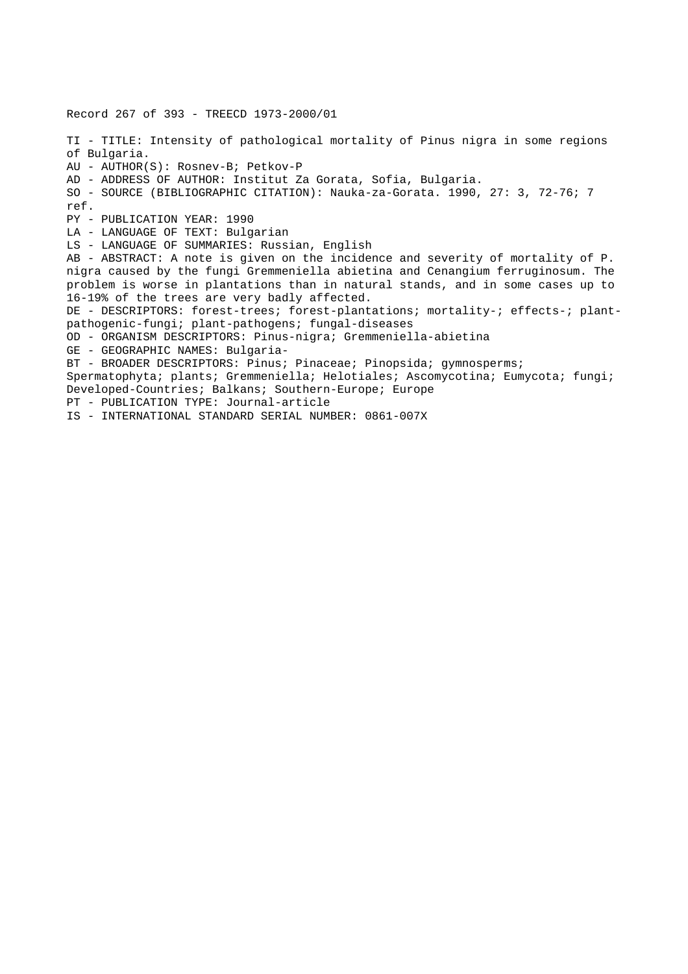Record 267 of 393 - TREECD 1973-2000/01 TI - TITLE: Intensity of pathological mortality of Pinus nigra in some regions of Bulgaria. AU - AUTHOR(S): Rosnev-B; Petkov-P AD - ADDRESS OF AUTHOR: Institut Za Gorata, Sofia, Bulgaria. SO - SOURCE (BIBLIOGRAPHIC CITATION): Nauka-za-Gorata. 1990, 27: 3, 72-76; 7 ref. PY - PUBLICATION YEAR: 1990 LA - LANGUAGE OF TEXT: Bulgarian LS - LANGUAGE OF SUMMARIES: Russian, English AB - ABSTRACT: A note is given on the incidence and severity of mortality of P. nigra caused by the fungi Gremmeniella abietina and Cenangium ferruginosum. The problem is worse in plantations than in natural stands, and in some cases up to 16-19% of the trees are very badly affected. DE - DESCRIPTORS: forest-trees; forest-plantations; mortality-; effects-; plantpathogenic-fungi; plant-pathogens; fungal-diseases OD - ORGANISM DESCRIPTORS: Pinus-nigra; Gremmeniella-abietina GE - GEOGRAPHIC NAMES: Bulgaria-BT - BROADER DESCRIPTORS: Pinus; Pinaceae; Pinopsida; gymnosperms; Spermatophyta; plants; Gremmeniella; Helotiales; Ascomycotina; Eumycota; fungi; Developed-Countries; Balkans; Southern-Europe; Europe PT - PUBLICATION TYPE: Journal-article IS - INTERNATIONAL STANDARD SERIAL NUMBER: 0861-007X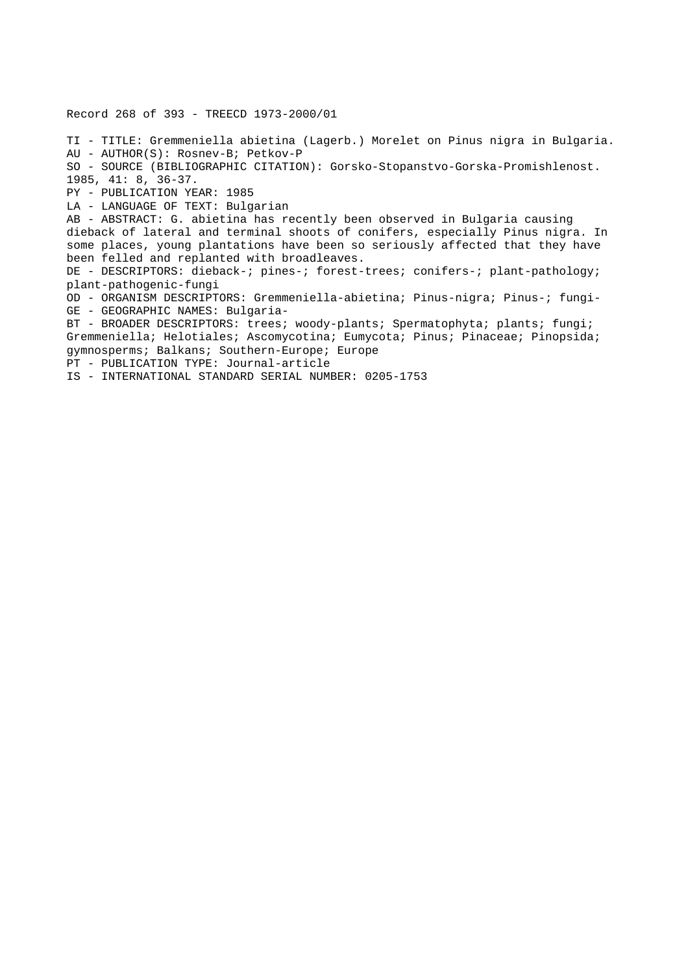Record 268 of 393 - TREECD 1973-2000/01 TI - TITLE: Gremmeniella abietina (Lagerb.) Morelet on Pinus nigra in Bulgaria. AU - AUTHOR(S): Rosnev-B; Petkov-P SO - SOURCE (BIBLIOGRAPHIC CITATION): Gorsko-Stopanstvo-Gorska-Promishlenost. 1985, 41: 8, 36-37. PY - PUBLICATION YEAR: 1985 LA - LANGUAGE OF TEXT: Bulgarian AB - ABSTRACT: G. abietina has recently been observed in Bulgaria causing dieback of lateral and terminal shoots of conifers, especially Pinus nigra. In some places, young plantations have been so seriously affected that they have been felled and replanted with broadleaves. DE - DESCRIPTORS: dieback-; pines-; forest-trees; conifers-; plant-pathology; plant-pathogenic-fungi OD - ORGANISM DESCRIPTORS: Gremmeniella-abietina; Pinus-nigra; Pinus-; fungi-GE - GEOGRAPHIC NAMES: Bulgaria-BT - BROADER DESCRIPTORS: trees; woody-plants; Spermatophyta; plants; fungi; Gremmeniella; Helotiales; Ascomycotina; Eumycota; Pinus; Pinaceae; Pinopsida; gymnosperms; Balkans; Southern-Europe; Europe PT - PUBLICATION TYPE: Journal-article IS - INTERNATIONAL STANDARD SERIAL NUMBER: 0205-1753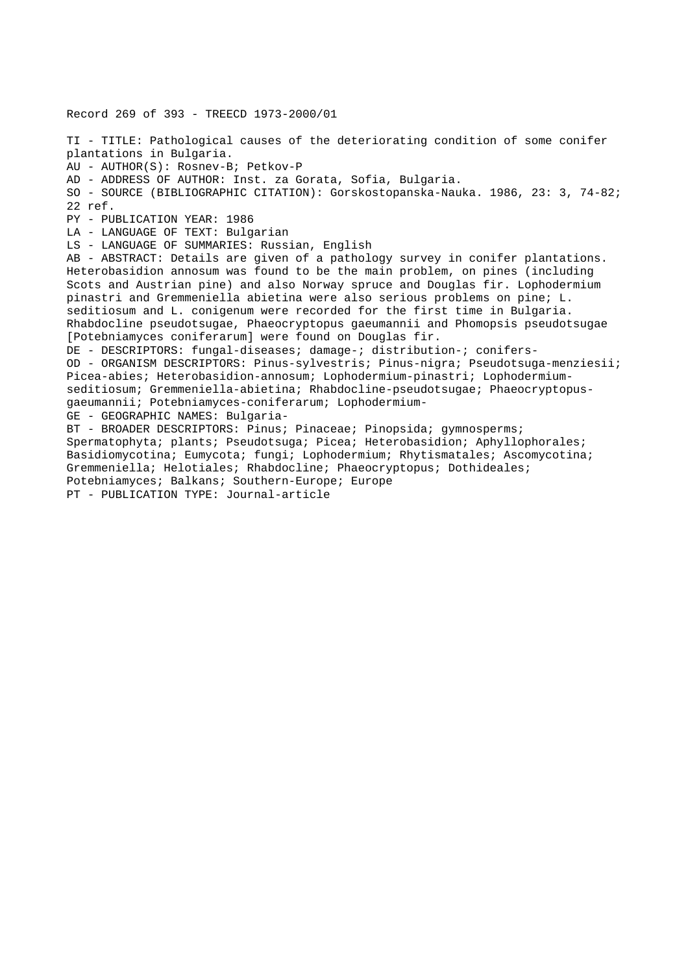Record 269 of 393 - TREECD 1973-2000/01 TI - TITLE: Pathological causes of the deteriorating condition of some conifer plantations in Bulgaria. AU - AUTHOR(S): Rosnev-B; Petkov-P AD - ADDRESS OF AUTHOR: Inst. za Gorata, Sofia, Bulgaria. SO - SOURCE (BIBLIOGRAPHIC CITATION): Gorskostopanska-Nauka. 1986, 23: 3, 74-82; 22 ref. PY - PUBLICATION YEAR: 1986 LA - LANGUAGE OF TEXT: Bulgarian LS - LANGUAGE OF SUMMARIES: Russian, English AB - ABSTRACT: Details are given of a pathology survey in conifer plantations. Heterobasidion annosum was found to be the main problem, on pines (including Scots and Austrian pine) and also Norway spruce and Douglas fir. Lophodermium pinastri and Gremmeniella abietina were also serious problems on pine; L. seditiosum and L. conigenum were recorded for the first time in Bulgaria. Rhabdocline pseudotsugae, Phaeocryptopus gaeumannii and Phomopsis pseudotsugae [Potebniamyces coniferarum] were found on Douglas fir. DE - DESCRIPTORS: fungal-diseases; damage-; distribution-; conifers-OD - ORGANISM DESCRIPTORS: Pinus-sylvestris; Pinus-nigra; Pseudotsuga-menziesii; Picea-abies; Heterobasidion-annosum; Lophodermium-pinastri; Lophodermiumseditiosum; Gremmeniella-abietina; Rhabdocline-pseudotsugae; Phaeocryptopusgaeumannii; Potebniamyces-coniferarum; Lophodermium-GE - GEOGRAPHIC NAMES: Bulgaria-BT - BROADER DESCRIPTORS: Pinus; Pinaceae; Pinopsida; gymnosperms; Spermatophyta; plants; Pseudotsuga; Picea; Heterobasidion; Aphyllophorales; Basidiomycotina; Eumycota; fungi; Lophodermium; Rhytismatales; Ascomycotina; Gremmeniella; Helotiales; Rhabdocline; Phaeocryptopus; Dothideales; Potebniamyces; Balkans; Southern-Europe; Europe PT - PUBLICATION TYPE: Journal-article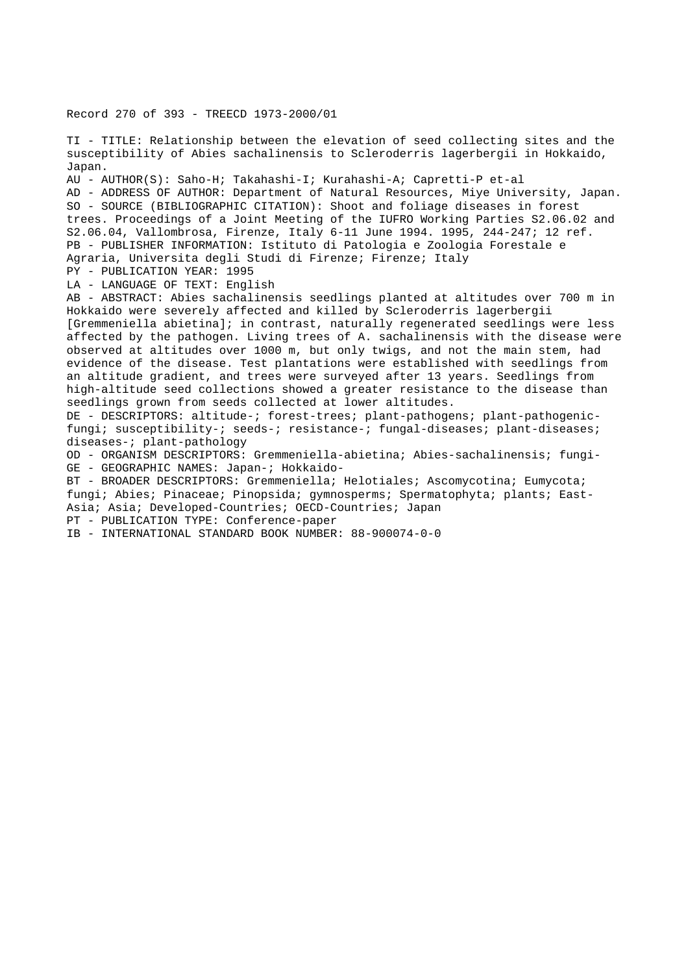Record 270 of 393 - TREECD 1973-2000/01

TI - TITLE: Relationship between the elevation of seed collecting sites and the susceptibility of Abies sachalinensis to Scleroderris lagerbergii in Hokkaido, Japan. AU - AUTHOR(S): Saho-H; Takahashi-I; Kurahashi-A; Capretti-P et-al AD - ADDRESS OF AUTHOR: Department of Natural Resources, Miye University, Japan. SO - SOURCE (BIBLIOGRAPHIC CITATION): Shoot and foliage diseases in forest trees. Proceedings of a Joint Meeting of the IUFRO Working Parties S2.06.02 and S2.06.04, Vallombrosa, Firenze, Italy 6-11 June 1994. 1995, 244-247; 12 ref. PB - PUBLISHER INFORMATION: Istituto di Patologia e Zoologia Forestale e Agraria, Universita degli Studi di Firenze; Firenze; Italy PY - PUBLICATION YEAR: 1995 LA - LANGUAGE OF TEXT: English AB - ABSTRACT: Abies sachalinensis seedlings planted at altitudes over 700 m in Hokkaido were severely affected and killed by Scleroderris lagerbergii [Gremmeniella abietina]; in contrast, naturally regenerated seedlings were less affected by the pathogen. Living trees of A. sachalinensis with the disease were observed at altitudes over 1000 m, but only twigs, and not the main stem, had evidence of the disease. Test plantations were established with seedlings from an altitude gradient, and trees were surveyed after 13 years. Seedlings from high-altitude seed collections showed a greater resistance to the disease than seedlings grown from seeds collected at lower altitudes. DE - DESCRIPTORS: altitude-; forest-trees; plant-pathogens; plant-pathogenicfungi; susceptibility-; seeds-; resistance-; fungal-diseases; plant-diseases; diseases-; plant-pathology OD - ORGANISM DESCRIPTORS: Gremmeniella-abietina; Abies-sachalinensis; fungi-GE - GEOGRAPHIC NAMES: Japan-; Hokkaido-BT - BROADER DESCRIPTORS: Gremmeniella; Helotiales; Ascomycotina; Eumycota; fungi; Abies; Pinaceae; Pinopsida; gymnosperms; Spermatophyta; plants; East-Asia; Asia; Developed-Countries; OECD-Countries; Japan PT - PUBLICATION TYPE: Conference-paper

IB - INTERNATIONAL STANDARD BOOK NUMBER: 88-900074-0-0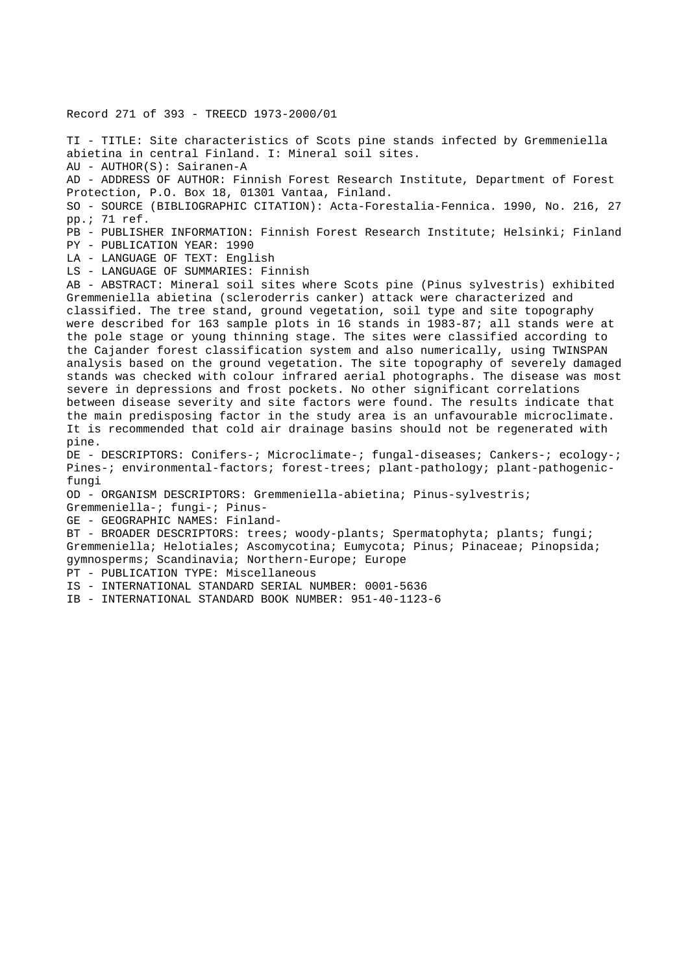Record 271 of 393 - TREECD 1973-2000/01 TI - TITLE: Site characteristics of Scots pine stands infected by Gremmeniella abietina in central Finland. I: Mineral soil sites. AU - AUTHOR(S): Sairanen-A AD - ADDRESS OF AUTHOR: Finnish Forest Research Institute, Department of Forest Protection, P.O. Box 18, 01301 Vantaa, Finland. SO - SOURCE (BIBLIOGRAPHIC CITATION): Acta-Forestalia-Fennica. 1990, No. 216, 27 pp.; 71 ref. PB - PUBLISHER INFORMATION: Finnish Forest Research Institute; Helsinki; Finland PY - PUBLICATION YEAR: 1990 LA - LANGUAGE OF TEXT: English LS - LANGUAGE OF SUMMARIES: Finnish AB - ABSTRACT: Mineral soil sites where Scots pine (Pinus sylvestris) exhibited Gremmeniella abietina (scleroderris canker) attack were characterized and classified. The tree stand, ground vegetation, soil type and site topography were described for 163 sample plots in 16 stands in 1983-87; all stands were at the pole stage or young thinning stage. The sites were classified according to the Cajander forest classification system and also numerically, using TWINSPAN analysis based on the ground vegetation. The site topography of severely damaged stands was checked with colour infrared aerial photographs. The disease was most severe in depressions and frost pockets. No other significant correlations between disease severity and site factors were found. The results indicate that the main predisposing factor in the study area is an unfavourable microclimate. It is recommended that cold air drainage basins should not be regenerated with pine. DE - DESCRIPTORS: Conifers-; Microclimate-; fungal-diseases; Cankers-; ecology-; Pines-; environmental-factors; forest-trees; plant-pathology; plant-pathogenicfungi OD - ORGANISM DESCRIPTORS: Gremmeniella-abietina; Pinus-sylvestris; Gremmeniella-; fungi-; Pinus-GE - GEOGRAPHIC NAMES: Finland-BT - BROADER DESCRIPTORS: trees; woody-plants; Spermatophyta; plants; fungi; Gremmeniella; Helotiales; Ascomycotina; Eumycota; Pinus; Pinaceae; Pinopsida; gymnosperms; Scandinavia; Northern-Europe; Europe PT - PUBLICATION TYPE: Miscellaneous IS - INTERNATIONAL STANDARD SERIAL NUMBER: 0001-5636 IB - INTERNATIONAL STANDARD BOOK NUMBER: 951-40-1123-6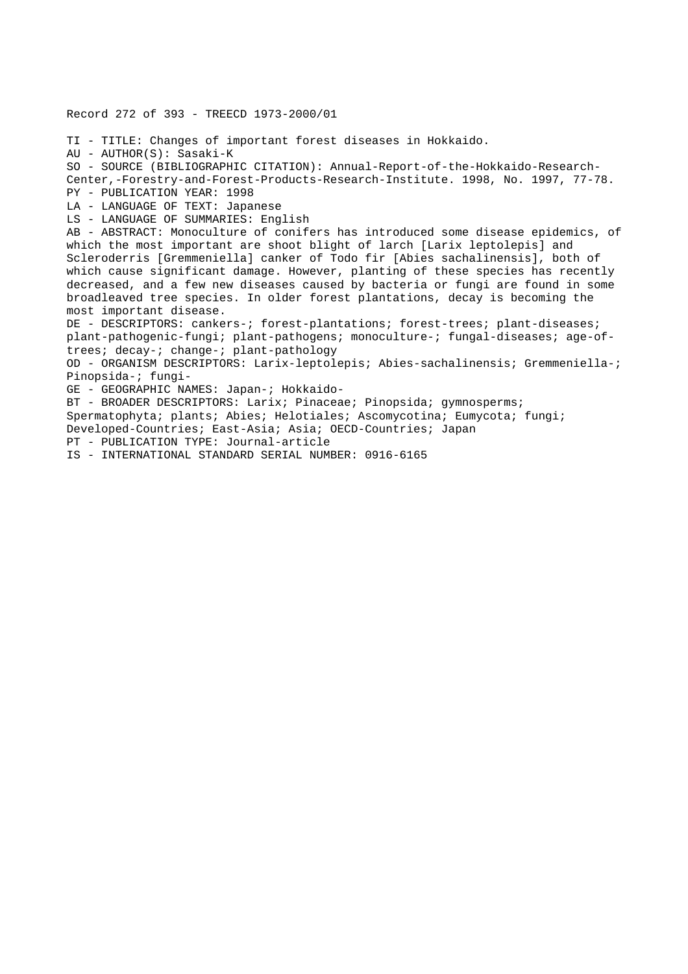Record 272 of 393 - TREECD 1973-2000/01 TI - TITLE: Changes of important forest diseases in Hokkaido. AU - AUTHOR(S): Sasaki-K SO - SOURCE (BIBLIOGRAPHIC CITATION): Annual-Report-of-the-Hokkaido-Research-Center,-Forestry-and-Forest-Products-Research-Institute. 1998, No. 1997, 77-78. PY - PUBLICATION YEAR: 1998 LA - LANGUAGE OF TEXT: Japanese LS - LANGUAGE OF SUMMARIES: English AB - ABSTRACT: Monoculture of conifers has introduced some disease epidemics, of which the most important are shoot blight of larch [Larix leptolepis] and Scleroderris [Gremmeniella] canker of Todo fir [Abies sachalinensis], both of which cause significant damage. However, planting of these species has recently decreased, and a few new diseases caused by bacteria or fungi are found in some broadleaved tree species. In older forest plantations, decay is becoming the most important disease. DE - DESCRIPTORS: cankers-; forest-plantations; forest-trees; plant-diseases; plant-pathogenic-fungi; plant-pathogens; monoculture-; fungal-diseases; age-oftrees; decay-; change-; plant-pathology OD - ORGANISM DESCRIPTORS: Larix-leptolepis; Abies-sachalinensis; Gremmeniella-; Pinopsida-; fungi-GE - GEOGRAPHIC NAMES: Japan-; Hokkaido-BT - BROADER DESCRIPTORS: Larix; Pinaceae; Pinopsida; gymnosperms; Spermatophyta; plants; Abies; Helotiales; Ascomycotina; Eumycota; fungi; Developed-Countries; East-Asia; Asia; OECD-Countries; Japan PT - PUBLICATION TYPE: Journal-article IS - INTERNATIONAL STANDARD SERIAL NUMBER: 0916-6165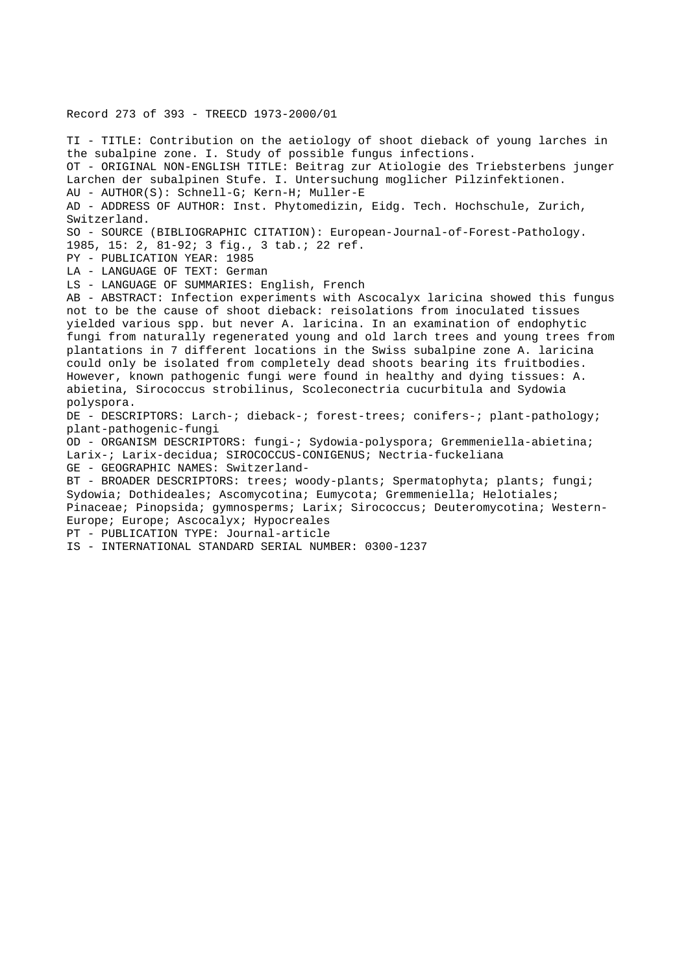## Record 273 of 393 - TREECD 1973-2000/01

TI - TITLE: Contribution on the aetiology of shoot dieback of young larches in the subalpine zone. I. Study of possible fungus infections. OT - ORIGINAL NON-ENGLISH TITLE: Beitrag zur Atiologie des Triebsterbens junger Larchen der subalpinen Stufe. I. Untersuchung moglicher Pilzinfektionen. AU - AUTHOR(S): Schnell-G; Kern-H; Muller-E AD - ADDRESS OF AUTHOR: Inst. Phytomedizin, Eidg. Tech. Hochschule, Zurich, Switzerland. SO - SOURCE (BIBLIOGRAPHIC CITATION): European-Journal-of-Forest-Pathology. 1985, 15: 2, 81-92; 3 fig., 3 tab.; 22 ref. PY - PUBLICATION YEAR: 1985 LA - LANGUAGE OF TEXT: German LS - LANGUAGE OF SUMMARIES: English, French AB - ABSTRACT: Infection experiments with Ascocalyx laricina showed this fungus not to be the cause of shoot dieback: reisolations from inoculated tissues yielded various spp. but never A. laricina. In an examination of endophytic fungi from naturally regenerated young and old larch trees and young trees from plantations in 7 different locations in the Swiss subalpine zone A. laricina could only be isolated from completely dead shoots bearing its fruitbodies. However, known pathogenic fungi were found in healthy and dying tissues: A. abietina, Sirococcus strobilinus, Scoleconectria cucurbitula and Sydowia polyspora. DE - DESCRIPTORS: Larch-; dieback-; forest-trees; conifers-; plant-pathology; plant-pathogenic-fungi OD - ORGANISM DESCRIPTORS: fungi-; Sydowia-polyspora; Gremmeniella-abietina; Larix-; Larix-decidua; SIROCOCCUS-CONIGENUS; Nectria-fuckeliana GE - GEOGRAPHIC NAMES: Switzerland-BT - BROADER DESCRIPTORS: trees; woody-plants; Spermatophyta; plants; fungi; Sydowia; Dothideales; Ascomycotina; Eumycota; Gremmeniella; Helotiales; Pinaceae; Pinopsida; gymnosperms; Larix; Sirococcus; Deuteromycotina; Western-Europe; Europe; Ascocalyx; Hypocreales PT - PUBLICATION TYPE: Journal-article

IS - INTERNATIONAL STANDARD SERIAL NUMBER: 0300-1237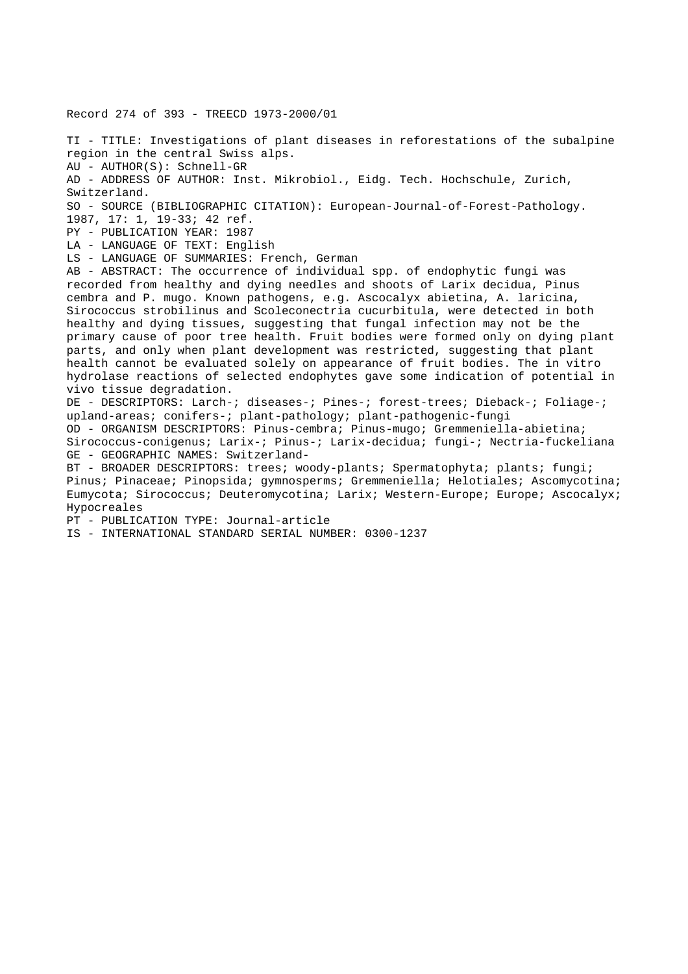Record 274 of 393 - TREECD 1973-2000/01

TI - TITLE: Investigations of plant diseases in reforestations of the subalpine region in the central Swiss alps. AU - AUTHOR(S): Schnell-GR AD - ADDRESS OF AUTHOR: Inst. Mikrobiol., Eidg. Tech. Hochschule, Zurich, Switzerland. SO - SOURCE (BIBLIOGRAPHIC CITATION): European-Journal-of-Forest-Pathology. 1987, 17: 1, 19-33; 42 ref. PY - PUBLICATION YEAR: 1987 LA - LANGUAGE OF TEXT: English LS - LANGUAGE OF SUMMARIES: French, German AB - ABSTRACT: The occurrence of individual spp. of endophytic fungi was recorded from healthy and dying needles and shoots of Larix decidua, Pinus cembra and P. mugo. Known pathogens, e.g. Ascocalyx abietina, A. laricina, Sirococcus strobilinus and Scoleconectria cucurbitula, were detected in both healthy and dying tissues, suggesting that fungal infection may not be the primary cause of poor tree health. Fruit bodies were formed only on dying plant parts, and only when plant development was restricted, suggesting that plant health cannot be evaluated solely on appearance of fruit bodies. The in vitro hydrolase reactions of selected endophytes gave some indication of potential in vivo tissue degradation. DE - DESCRIPTORS: Larch-; diseases-; Pines-; forest-trees; Dieback-; Foliage-; upland-areas; conifers-; plant-pathology; plant-pathogenic-fungi OD - ORGANISM DESCRIPTORS: Pinus-cembra; Pinus-mugo; Gremmeniella-abietina; Sirococcus-conigenus; Larix-; Pinus-; Larix-decidua; fungi-; Nectria-fuckeliana GE - GEOGRAPHIC NAMES: Switzerland-BT - BROADER DESCRIPTORS: trees; woody-plants; Spermatophyta; plants; fungi; Pinus; Pinaceae; Pinopsida; gymnosperms; Gremmeniella; Helotiales; Ascomycotina; Eumycota; Sirococcus; Deuteromycotina; Larix; Western-Europe; Europe; Ascocalyx; Hypocreales PT - PUBLICATION TYPE: Journal-article IS - INTERNATIONAL STANDARD SERIAL NUMBER: 0300-1237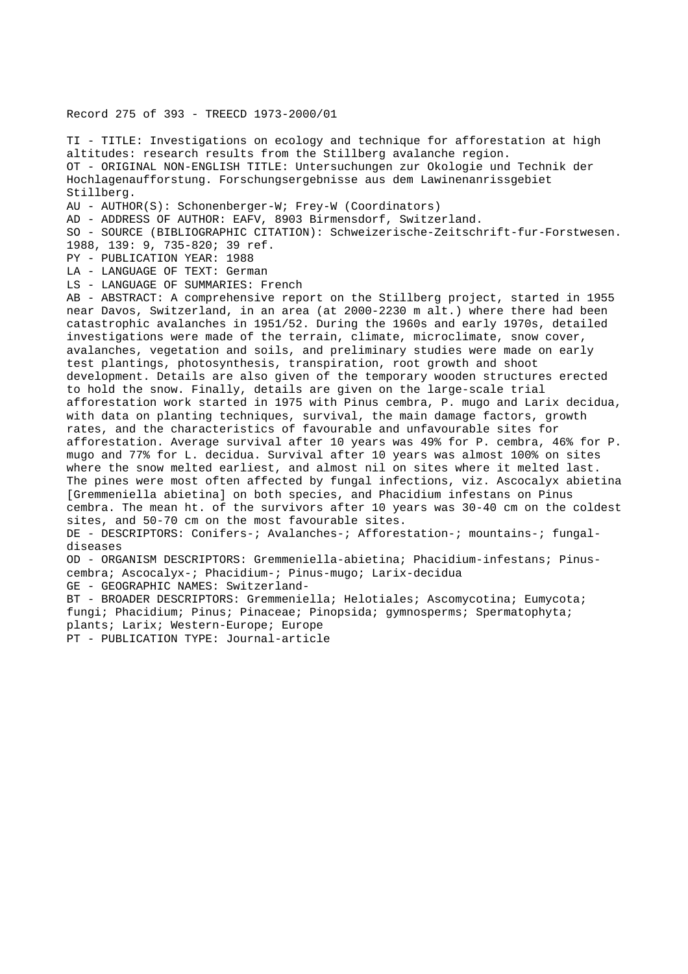## Record 275 of 393 - TREECD 1973-2000/01

TI - TITLE: Investigations on ecology and technique for afforestation at high altitudes: research results from the Stillberg avalanche region. OT - ORIGINAL NON-ENGLISH TITLE: Untersuchungen zur Okologie und Technik der Hochlagenaufforstung. Forschungsergebnisse aus dem Lawinenanrissgebiet Stillberg. AU - AUTHOR(S): Schonenberger-W; Frey-W (Coordinators) AD - ADDRESS OF AUTHOR: EAFV, 8903 Birmensdorf, Switzerland. SO - SOURCE (BIBLIOGRAPHIC CITATION): Schweizerische-Zeitschrift-fur-Forstwesen. 1988, 139: 9, 735-820; 39 ref. PY - PUBLICATION YEAR: 1988 LA - LANGUAGE OF TEXT: German LS - LANGUAGE OF SUMMARIES: French AB - ABSTRACT: A comprehensive report on the Stillberg project, started in 1955 near Davos, Switzerland, in an area (at 2000-2230 m alt.) where there had been catastrophic avalanches in 1951/52. During the 1960s and early 1970s, detailed investigations were made of the terrain, climate, microclimate, snow cover, avalanches, vegetation and soils, and preliminary studies were made on early test plantings, photosynthesis, transpiration, root growth and shoot development. Details are also given of the temporary wooden structures erected to hold the snow. Finally, details are given on the large-scale trial afforestation work started in 1975 with Pinus cembra, P. mugo and Larix decidua, with data on planting techniques, survival, the main damage factors, growth rates, and the characteristics of favourable and unfavourable sites for afforestation. Average survival after 10 years was 49% for P. cembra, 46% for P. mugo and 77% for L. decidua. Survival after 10 years was almost 100% on sites where the snow melted earliest, and almost nil on sites where it melted last. The pines were most often affected by fungal infections, viz. Ascocalyx abietina [Gremmeniella abietina] on both species, and Phacidium infestans on Pinus cembra. The mean ht. of the survivors after 10 years was 30-40 cm on the coldest sites, and 50-70 cm on the most favourable sites. DE - DESCRIPTORS: Conifers-; Avalanches-; Afforestation-; mountains-; fungaldiseases OD - ORGANISM DESCRIPTORS: Gremmeniella-abietina; Phacidium-infestans; Pinuscembra; Ascocalyx-; Phacidium-; Pinus-mugo; Larix-decidua GE - GEOGRAPHIC NAMES: Switzerland-BT - BROADER DESCRIPTORS: Gremmeniella; Helotiales; Ascomycotina; Eumycota; fungi; Phacidium; Pinus; Pinaceae; Pinopsida; gymnosperms; Spermatophyta; plants; Larix; Western-Europe; Europe PT - PUBLICATION TYPE: Journal-article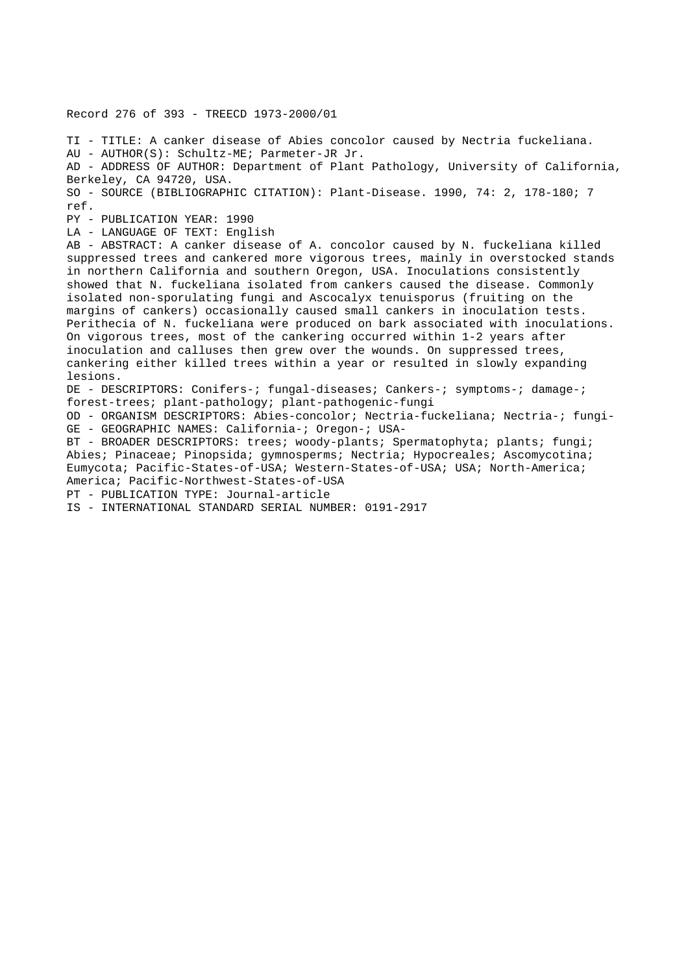Record 276 of 393 - TREECD 1973-2000/01 TI - TITLE: A canker disease of Abies concolor caused by Nectria fuckeliana. AU - AUTHOR(S): Schultz-ME; Parmeter-JR Jr. AD - ADDRESS OF AUTHOR: Department of Plant Pathology, University of California, Berkeley, CA 94720, USA. SO - SOURCE (BIBLIOGRAPHIC CITATION): Plant-Disease. 1990, 74: 2, 178-180; 7 ref. PY - PUBLICATION YEAR: 1990 LA - LANGUAGE OF TEXT: English AB - ABSTRACT: A canker disease of A. concolor caused by N. fuckeliana killed suppressed trees and cankered more vigorous trees, mainly in overstocked stands in northern California and southern Oregon, USA. Inoculations consistently showed that N. fuckeliana isolated from cankers caused the disease. Commonly isolated non-sporulating fungi and Ascocalyx tenuisporus (fruiting on the margins of cankers) occasionally caused small cankers in inoculation tests. Perithecia of N. fuckeliana were produced on bark associated with inoculations. On vigorous trees, most of the cankering occurred within 1-2 years after inoculation and calluses then grew over the wounds. On suppressed trees, cankering either killed trees within a year or resulted in slowly expanding lesions. DE - DESCRIPTORS: Conifers-; fungal-diseases; Cankers-; symptoms-; damage-; forest-trees; plant-pathology; plant-pathogenic-fungi OD - ORGANISM DESCRIPTORS: Abies-concolor; Nectria-fuckeliana; Nectria-; fungi-GE - GEOGRAPHIC NAMES: California-; Oregon-; USA-BT - BROADER DESCRIPTORS: trees; woody-plants; Spermatophyta; plants; fungi; Abies; Pinaceae; Pinopsida; gymnosperms; Nectria; Hypocreales; Ascomycotina; Eumycota; Pacific-States-of-USA; Western-States-of-USA; USA; North-America; America; Pacific-Northwest-States-of-USA PT - PUBLICATION TYPE: Journal-article IS - INTERNATIONAL STANDARD SERIAL NUMBER: 0191-2917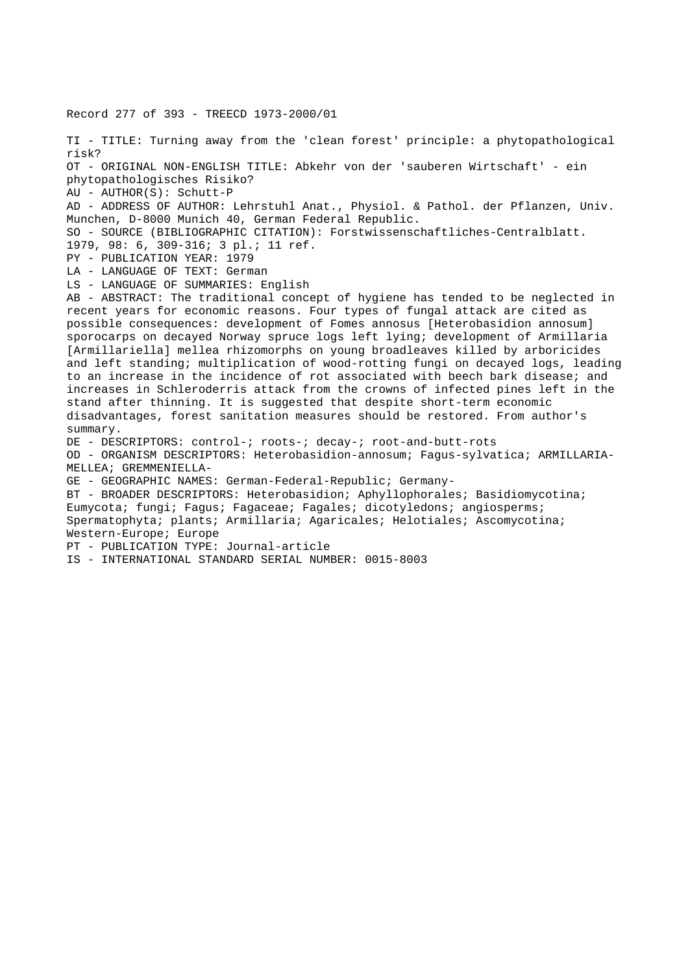Record 277 of 393 - TREECD 1973-2000/01 TI - TITLE: Turning away from the 'clean forest' principle: a phytopathological risk? OT - ORIGINAL NON-ENGLISH TITLE: Abkehr von der 'sauberen Wirtschaft' - ein phytopathologisches Risiko? AU - AUTHOR(S): Schutt-P AD - ADDRESS OF AUTHOR: Lehrstuhl Anat., Physiol. & Pathol. der Pflanzen, Univ. Munchen, D-8000 Munich 40, German Federal Republic. SO - SOURCE (BIBLIOGRAPHIC CITATION): Forstwissenschaftliches-Centralblatt. 1979, 98: 6, 309-316; 3 pl.; 11 ref. PY - PUBLICATION YEAR: 1979 LA - LANGUAGE OF TEXT: German LS - LANGUAGE OF SUMMARIES: English AB - ABSTRACT: The traditional concept of hygiene has tended to be neglected in recent years for economic reasons. Four types of fungal attack are cited as possible consequences: development of Fomes annosus [Heterobasidion annosum] sporocarps on decayed Norway spruce logs left lying; development of Armillaria [Armillariella] mellea rhizomorphs on young broadleaves killed by arboricides and left standing; multiplication of wood-rotting fungi on decayed logs, leading to an increase in the incidence of rot associated with beech bark disease; and increases in Schleroderris attack from the crowns of infected pines left in the stand after thinning. It is suggested that despite short-term economic disadvantages, forest sanitation measures should be restored. From author's summary. DE - DESCRIPTORS: control-; roots-; decay-; root-and-butt-rots OD - ORGANISM DESCRIPTORS: Heterobasidion-annosum; Fagus-sylvatica; ARMILLARIA-MELLEA; GREMMENIELLA-GE - GEOGRAPHIC NAMES: German-Federal-Republic; Germany-BT - BROADER DESCRIPTORS: Heterobasidion; Aphyllophorales; Basidiomycotina; Eumycota; fungi; Fagus; Fagaceae; Fagales; dicotyledons; angiosperms; Spermatophyta; plants; Armillaria; Agaricales; Helotiales; Ascomycotina; Western-Europe; Europe PT - PUBLICATION TYPE: Journal-article IS - INTERNATIONAL STANDARD SERIAL NUMBER: 0015-8003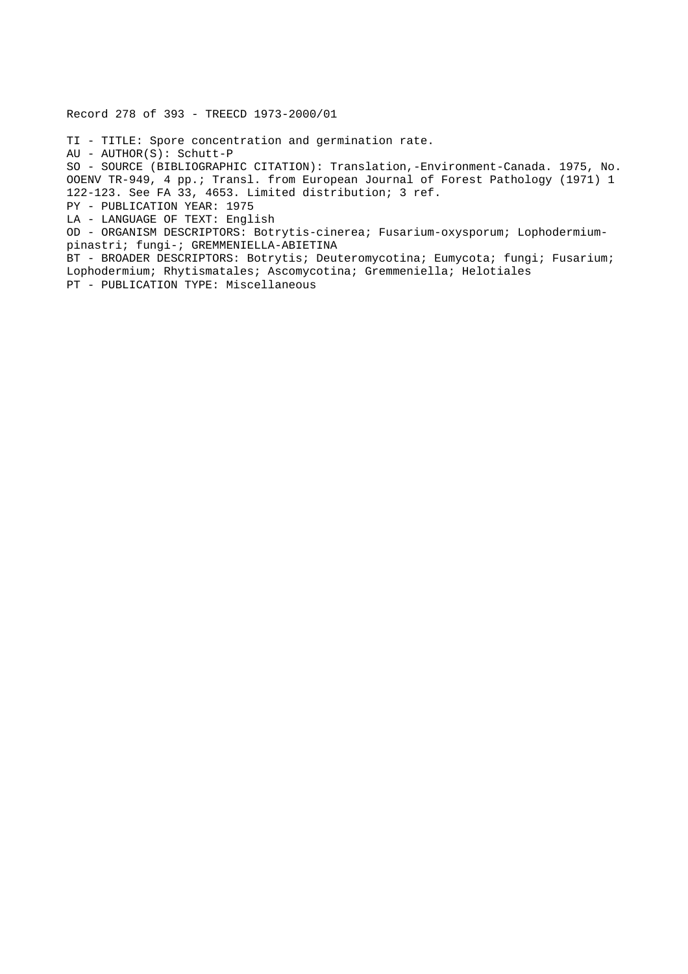Record 278 of 393 - TREECD 1973-2000/01

TI - TITLE: Spore concentration and germination rate. AU - AUTHOR(S): Schutt-P SO - SOURCE (BIBLIOGRAPHIC CITATION): Translation,-Environment-Canada. 1975, No. OOENV TR-949, 4 pp.; Transl. from European Journal of Forest Pathology (1971) 1 122-123. See FA 33, 4653. Limited distribution; 3 ref. PY - PUBLICATION YEAR: 1975 LA - LANGUAGE OF TEXT: English OD - ORGANISM DESCRIPTORS: Botrytis-cinerea; Fusarium-oxysporum; Lophodermiumpinastri; fungi-; GREMMENIELLA-ABIETINA BT - BROADER DESCRIPTORS: Botrytis; Deuteromycotina; Eumycota; fungi; Fusarium; Lophodermium; Rhytismatales; Ascomycotina; Gremmeniella; Helotiales PT - PUBLICATION TYPE: Miscellaneous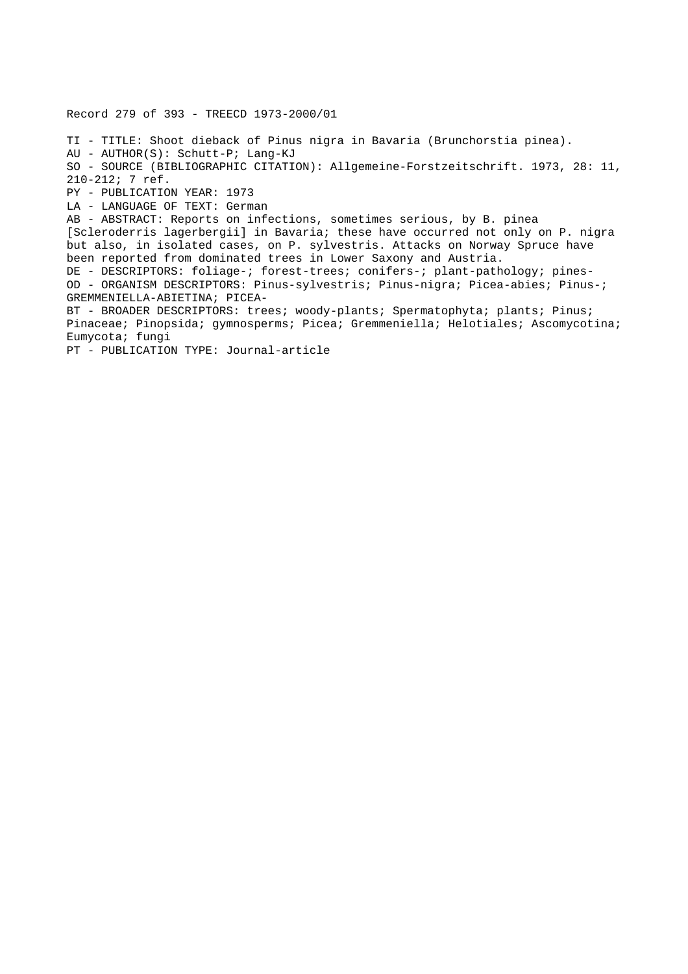Record 279 of 393 - TREECD 1973-2000/01 TI - TITLE: Shoot dieback of Pinus nigra in Bavaria (Brunchorstia pinea). AU - AUTHOR(S): Schutt-P; Lang-KJ SO - SOURCE (BIBLIOGRAPHIC CITATION): Allgemeine-Forstzeitschrift. 1973, 28: 11, 210-212; 7 ref. PY - PUBLICATION YEAR: 1973 LA - LANGUAGE OF TEXT: German AB - ABSTRACT: Reports on infections, sometimes serious, by B. pinea [Scleroderris lagerbergii] in Bavaria; these have occurred not only on P. nigra but also, in isolated cases, on P. sylvestris. Attacks on Norway Spruce have been reported from dominated trees in Lower Saxony and Austria. DE - DESCRIPTORS: foliage-; forest-trees; conifers-; plant-pathology; pines-OD - ORGANISM DESCRIPTORS: Pinus-sylvestris; Pinus-nigra; Picea-abies; Pinus-; GREMMENIELLA-ABIETINA; PICEA-BT - BROADER DESCRIPTORS: trees; woody-plants; Spermatophyta; plants; Pinus; Pinaceae; Pinopsida; gymnosperms; Picea; Gremmeniella; Helotiales; Ascomycotina; Eumycota; fungi PT - PUBLICATION TYPE: Journal-article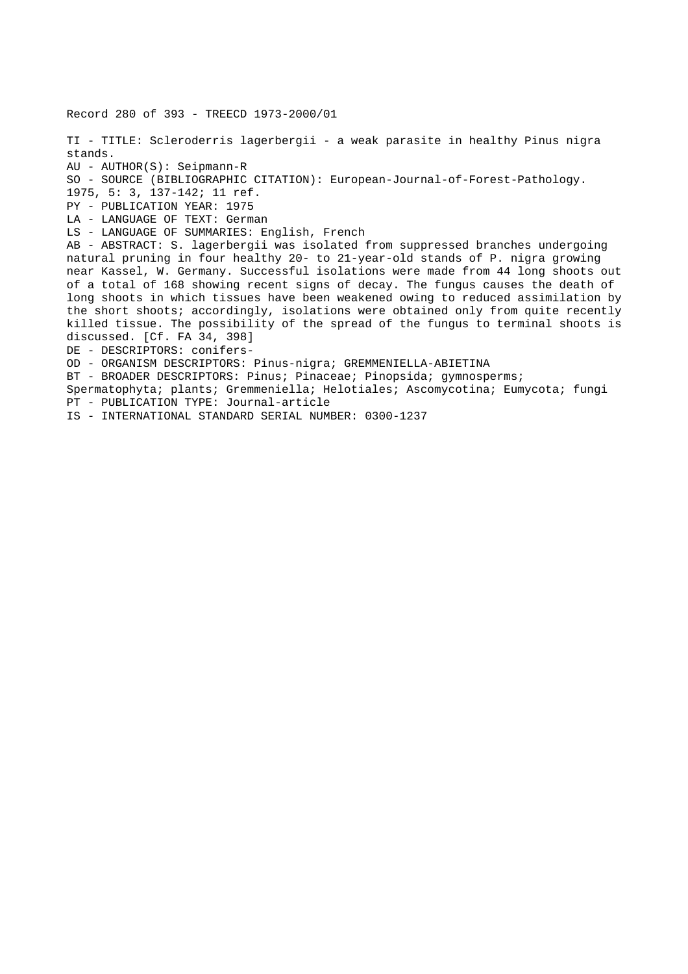Record 280 of 393 - TREECD 1973-2000/01 TI - TITLE: Scleroderris lagerbergii - a weak parasite in healthy Pinus nigra stands. AU - AUTHOR(S): Seipmann-R SO - SOURCE (BIBLIOGRAPHIC CITATION): European-Journal-of-Forest-Pathology. 1975, 5: 3, 137-142; 11 ref. PY - PUBLICATION YEAR: 1975 LA - LANGUAGE OF TEXT: German LS - LANGUAGE OF SUMMARIES: English, French AB - ABSTRACT: S. lagerbergii was isolated from suppressed branches undergoing natural pruning in four healthy 20- to 21-year-old stands of P. nigra growing near Kassel, W. Germany. Successful isolations were made from 44 long shoots out of a total of 168 showing recent signs of decay. The fungus causes the death of long shoots in which tissues have been weakened owing to reduced assimilation by the short shoots; accordingly, isolations were obtained only from quite recently killed tissue. The possibility of the spread of the fungus to terminal shoots is discussed. [Cf. FA 34, 398] DE - DESCRIPTORS: conifers-OD - ORGANISM DESCRIPTORS: Pinus-nigra; GREMMENIELLA-ABIETINA BT - BROADER DESCRIPTORS: Pinus; Pinaceae; Pinopsida; gymnosperms; Spermatophyta; plants; Gremmeniella; Helotiales; Ascomycotina; Eumycota; fungi PT - PUBLICATION TYPE: Journal-article

IS - INTERNATIONAL STANDARD SERIAL NUMBER: 0300-1237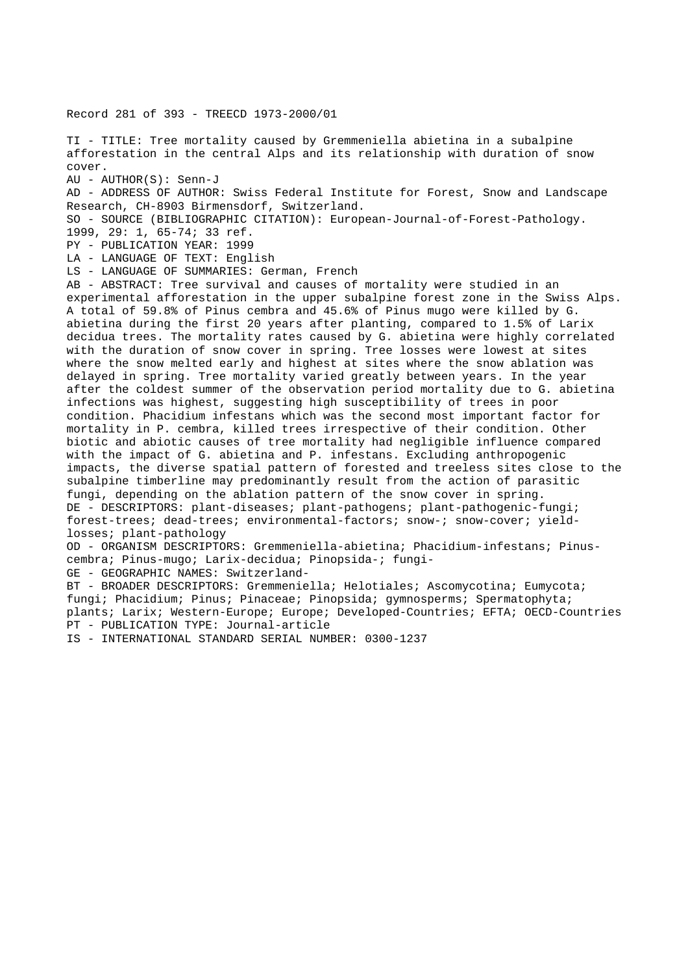Record 281 of 393 - TREECD 1973-2000/01

TI - TITLE: Tree mortality caused by Gremmeniella abietina in a subalpine afforestation in the central Alps and its relationship with duration of snow cover. AU - AUTHOR(S): Senn-J AD - ADDRESS OF AUTHOR: Swiss Federal Institute for Forest, Snow and Landscape Research, CH-8903 Birmensdorf, Switzerland. SO - SOURCE (BIBLIOGRAPHIC CITATION): European-Journal-of-Forest-Pathology. 1999, 29: 1, 65-74; 33 ref. PY - PUBLICATION YEAR: 1999 LA - LANGUAGE OF TEXT: English LS - LANGUAGE OF SUMMARIES: German, French AB - ABSTRACT: Tree survival and causes of mortality were studied in an experimental afforestation in the upper subalpine forest zone in the Swiss Alps. A total of 59.8% of Pinus cembra and 45.6% of Pinus mugo were killed by G. abietina during the first 20 years after planting, compared to 1.5% of Larix decidua trees. The mortality rates caused by G. abietina were highly correlated with the duration of snow cover in spring. Tree losses were lowest at sites where the snow melted early and highest at sites where the snow ablation was delayed in spring. Tree mortality varied greatly between years. In the year after the coldest summer of the observation period mortality due to G. abietina infections was highest, suggesting high susceptibility of trees in poor condition. Phacidium infestans which was the second most important factor for mortality in P. cembra, killed trees irrespective of their condition. Other biotic and abiotic causes of tree mortality had negligible influence compared with the impact of G. abietina and P. infestans. Excluding anthropogenic impacts, the diverse spatial pattern of forested and treeless sites close to the subalpine timberline may predominantly result from the action of parasitic fungi, depending on the ablation pattern of the snow cover in spring. DE - DESCRIPTORS: plant-diseases; plant-pathogens; plant-pathogenic-fungi; forest-trees; dead-trees; environmental-factors; snow-; snow-cover; yieldlosses; plant-pathology OD - ORGANISM DESCRIPTORS: Gremmeniella-abietina; Phacidium-infestans; Pinuscembra; Pinus-mugo; Larix-decidua; Pinopsida-; fungi-GE - GEOGRAPHIC NAMES: Switzerland-BT - BROADER DESCRIPTORS: Gremmeniella; Helotiales; Ascomycotina; Eumycota; fungi; Phacidium; Pinus; Pinaceae; Pinopsida; gymnosperms; Spermatophyta; plants; Larix; Western-Europe; Europe; Developed-Countries; EFTA; OECD-Countries

PT - PUBLICATION TYPE: Journal-article

IS - INTERNATIONAL STANDARD SERIAL NUMBER: 0300-1237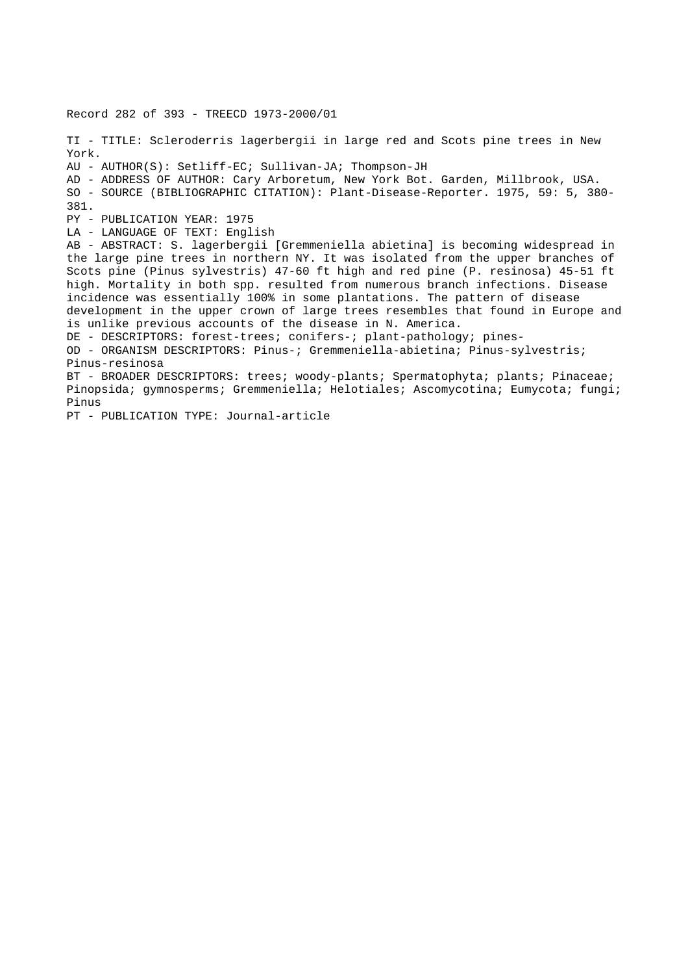Record 282 of 393 - TREECD 1973-2000/01 TI - TITLE: Scleroderris lagerbergii in large red and Scots pine trees in New York. AU - AUTHOR(S): Setliff-EC; Sullivan-JA; Thompson-JH AD - ADDRESS OF AUTHOR: Cary Arboretum, New York Bot. Garden, Millbrook, USA. SO - SOURCE (BIBLIOGRAPHIC CITATION): Plant-Disease-Reporter. 1975, 59: 5, 380- 381. PY - PUBLICATION YEAR: 1975 LA - LANGUAGE OF TEXT: English AB - ABSTRACT: S. lagerbergii [Gremmeniella abietina] is becoming widespread in the large pine trees in northern NY. It was isolated from the upper branches of Scots pine (Pinus sylvestris) 47-60 ft high and red pine (P. resinosa) 45-51 ft high. Mortality in both spp. resulted from numerous branch infections. Disease incidence was essentially 100% in some plantations. The pattern of disease development in the upper crown of large trees resembles that found in Europe and is unlike previous accounts of the disease in N. America. DE - DESCRIPTORS: forest-trees; conifers-; plant-pathology; pines-OD - ORGANISM DESCRIPTORS: Pinus-; Gremmeniella-abietina; Pinus-sylvestris; Pinus-resinosa BT - BROADER DESCRIPTORS: trees; woody-plants; Spermatophyta; plants; Pinaceae; Pinopsida; gymnosperms; Gremmeniella; Helotiales; Ascomycotina; Eumycota; fungi; Pinus

PT - PUBLICATION TYPE: Journal-article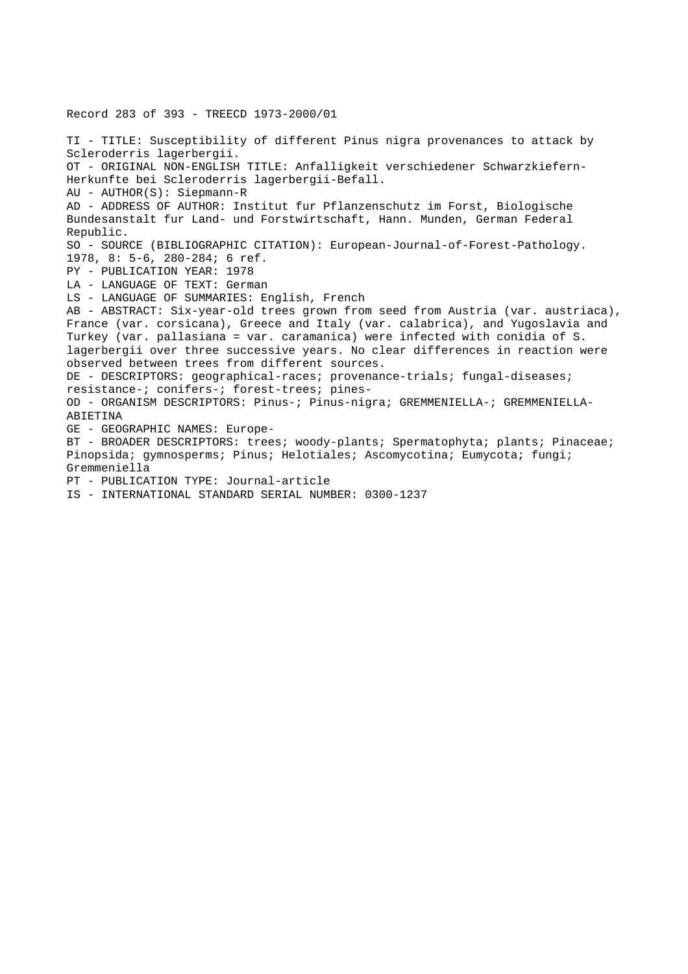Record 283 of 393 - TREECD 1973-2000/01 TI - TITLE: Susceptibility of different Pinus nigra provenances to attack by Scleroderris lagerbergii. OT - ORIGINAL NON-ENGLISH TITLE: Anfalligkeit verschiedener Schwarzkiefern-Herkunfte bei Scleroderris lagerbergii-Befall. AU - AUTHOR(S): Siepmann-R AD - ADDRESS OF AUTHOR: Institut fur Pflanzenschutz im Forst, Biologische Bundesanstalt fur Land- und Forstwirtschaft, Hann. Munden, German Federal Republic. SO - SOURCE (BIBLIOGRAPHIC CITATION): European-Journal-of-Forest-Pathology. 1978, 8: 5-6, 280-284; 6 ref. PY - PUBLICATION YEAR: 1978 LA - LANGUAGE OF TEXT: German LS - LANGUAGE OF SUMMARIES: English, French AB - ABSTRACT: Six-year-old trees grown from seed from Austria (var. austriaca), France (var. corsicana), Greece and Italy (var. calabrica), and Yugoslavia and Turkey (var. pallasiana = var. caramanica) were infected with conidia of S. lagerbergii over three successive years. No clear differences in reaction were observed between trees from different sources. DE - DESCRIPTORS: geographical-races; provenance-trials; fungal-diseases; resistance-; conifers-; forest-trees; pines-OD - ORGANISM DESCRIPTORS: Pinus-; Pinus-nigra; GREMMENIELLA-; GREMMENIELLA-ABIETINA GE - GEOGRAPHIC NAMES: Europe-BT - BROADER DESCRIPTORS: trees; woody-plants; Spermatophyta; plants; Pinaceae; Pinopsida; gymnosperms; Pinus; Helotiales; Ascomycotina; Eumycota; fungi; Gremmeniella PT - PUBLICATION TYPE: Journal-article IS - INTERNATIONAL STANDARD SERIAL NUMBER: 0300-1237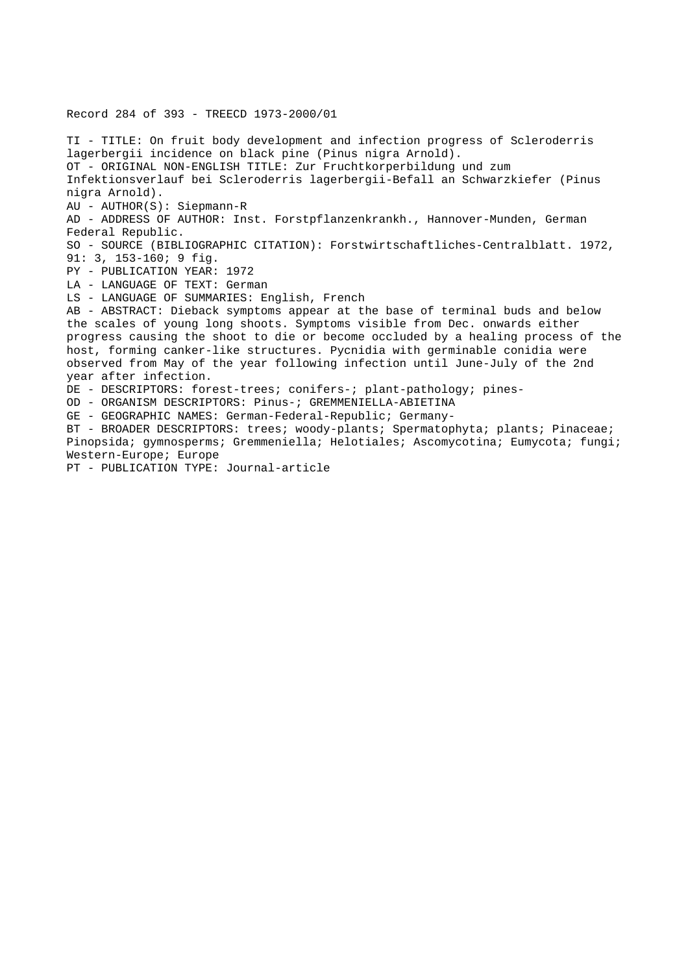Record 284 of 393 - TREECD 1973-2000/01 TI - TITLE: On fruit body development and infection progress of Scleroderris lagerbergii incidence on black pine (Pinus nigra Arnold). OT - ORIGINAL NON-ENGLISH TITLE: Zur Fruchtkorperbildung und zum Infektionsverlauf bei Scleroderris lagerbergii-Befall an Schwarzkiefer (Pinus nigra Arnold). AU - AUTHOR(S): Siepmann-R AD - ADDRESS OF AUTHOR: Inst. Forstpflanzenkrankh., Hannover-Munden, German Federal Republic. SO - SOURCE (BIBLIOGRAPHIC CITATION): Forstwirtschaftliches-Centralblatt. 1972, 91: 3, 153-160; 9 fig. PY - PUBLICATION YEAR: 1972 LA - LANGUAGE OF TEXT: German LS - LANGUAGE OF SUMMARIES: English, French AB - ABSTRACT: Dieback symptoms appear at the base of terminal buds and below the scales of young long shoots. Symptoms visible from Dec. onwards either progress causing the shoot to die or become occluded by a healing process of the host, forming canker-like structures. Pycnidia with germinable conidia were observed from May of the year following infection until June-July of the 2nd year after infection. DE - DESCRIPTORS: forest-trees; conifers-; plant-pathology; pines-OD - ORGANISM DESCRIPTORS: Pinus-; GREMMENIELLA-ABIETINA GE - GEOGRAPHIC NAMES: German-Federal-Republic; Germany-BT - BROADER DESCRIPTORS: trees; woody-plants; Spermatophyta; plants; Pinaceae; Pinopsida; gymnosperms; Gremmeniella; Helotiales; Ascomycotina; Eumycota; fungi; Western-Europe; Europe PT - PUBLICATION TYPE: Journal-article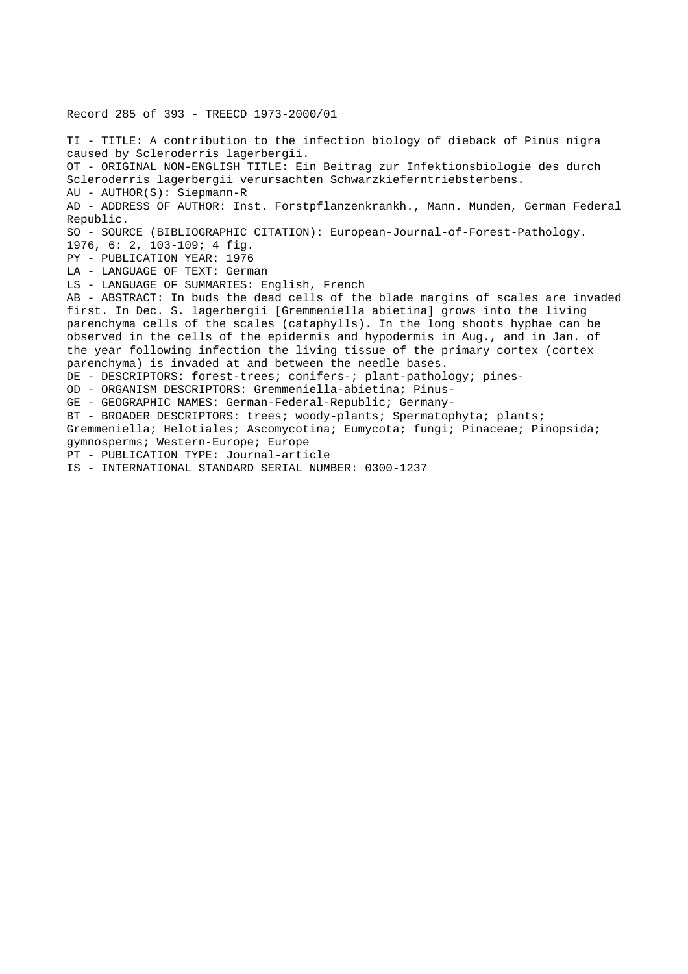Record 285 of 393 - TREECD 1973-2000/01 TI - TITLE: A contribution to the infection biology of dieback of Pinus nigra caused by Scleroderris lagerbergii. OT - ORIGINAL NON-ENGLISH TITLE: Ein Beitrag zur Infektionsbiologie des durch Scleroderris lagerbergii verursachten Schwarzkieferntriebsterbens. AU - AUTHOR(S): Siepmann-R AD - ADDRESS OF AUTHOR: Inst. Forstpflanzenkrankh., Mann. Munden, German Federal Republic. SO - SOURCE (BIBLIOGRAPHIC CITATION): European-Journal-of-Forest-Pathology. 1976, 6: 2, 103-109; 4 fig. PY - PUBLICATION YEAR: 1976 LA - LANGUAGE OF TEXT: German LS - LANGUAGE OF SUMMARIES: English, French AB - ABSTRACT: In buds the dead cells of the blade margins of scales are invaded first. In Dec. S. lagerbergii [Gremmeniella abietina] grows into the living parenchyma cells of the scales (cataphylls). In the long shoots hyphae can be observed in the cells of the epidermis and hypodermis in Aug., and in Jan. of the year following infection the living tissue of the primary cortex (cortex parenchyma) is invaded at and between the needle bases. DE - DESCRIPTORS: forest-trees; conifers-; plant-pathology; pines-OD - ORGANISM DESCRIPTORS: Gremmeniella-abietina; Pinus-GE - GEOGRAPHIC NAMES: German-Federal-Republic; Germany-BT - BROADER DESCRIPTORS: trees; woody-plants; Spermatophyta; plants; Gremmeniella; Helotiales; Ascomycotina; Eumycota; fungi; Pinaceae; Pinopsida; gymnosperms; Western-Europe; Europe PT - PUBLICATION TYPE: Journal-article IS - INTERNATIONAL STANDARD SERIAL NUMBER: 0300-1237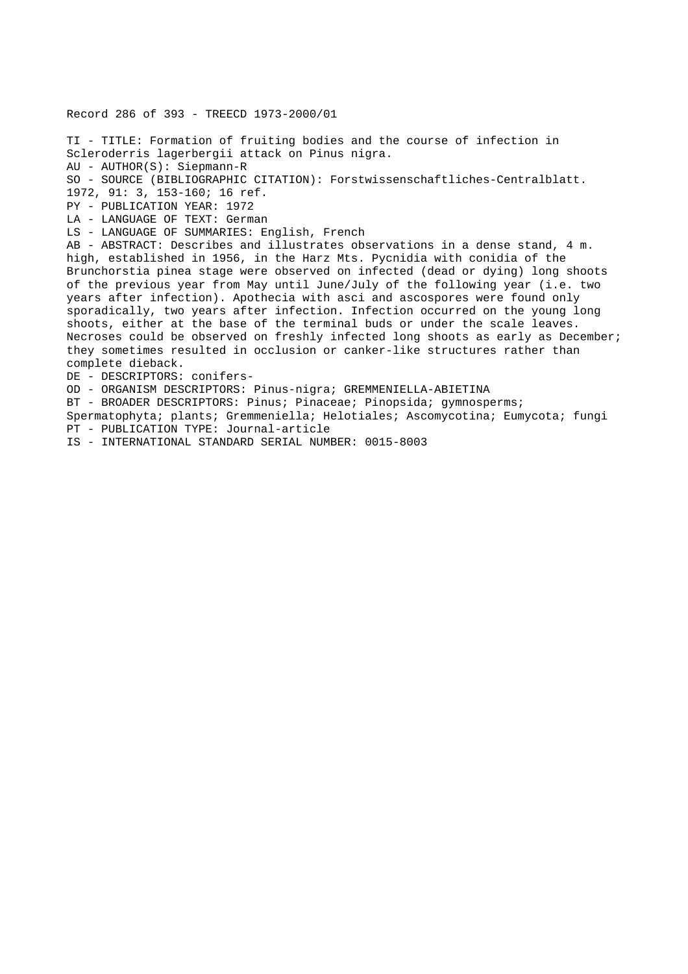Record 286 of 393 - TREECD 1973-2000/01 TI - TITLE: Formation of fruiting bodies and the course of infection in Scleroderris lagerbergii attack on Pinus nigra. AU - AUTHOR(S): Siepmann-R SO - SOURCE (BIBLIOGRAPHIC CITATION): Forstwissenschaftliches-Centralblatt. 1972, 91: 3, 153-160; 16 ref. PY - PUBLICATION YEAR: 1972 LA - LANGUAGE OF TEXT: German LS - LANGUAGE OF SUMMARIES: English, French AB - ABSTRACT: Describes and illustrates observations in a dense stand, 4 m. high, established in 1956, in the Harz Mts. Pycnidia with conidia of the Brunchorstia pinea stage were observed on infected (dead or dying) long shoots of the previous year from May until June/July of the following year (i.e. two years after infection). Apothecia with asci and ascospores were found only sporadically, two years after infection. Infection occurred on the young long shoots, either at the base of the terminal buds or under the scale leaves. Necroses could be observed on freshly infected long shoots as early as December; they sometimes resulted in occlusion or canker-like structures rather than complete dieback. DE - DESCRIPTORS: conifers-OD - ORGANISM DESCRIPTORS: Pinus-nigra; GREMMENIELLA-ABIETINA BT - BROADER DESCRIPTORS: Pinus; Pinaceae; Pinopsida; gymnosperms; Spermatophyta; plants; Gremmeniella; Helotiales; Ascomycotina; Eumycota; fungi PT - PUBLICATION TYPE: Journal-article

IS - INTERNATIONAL STANDARD SERIAL NUMBER: 0015-8003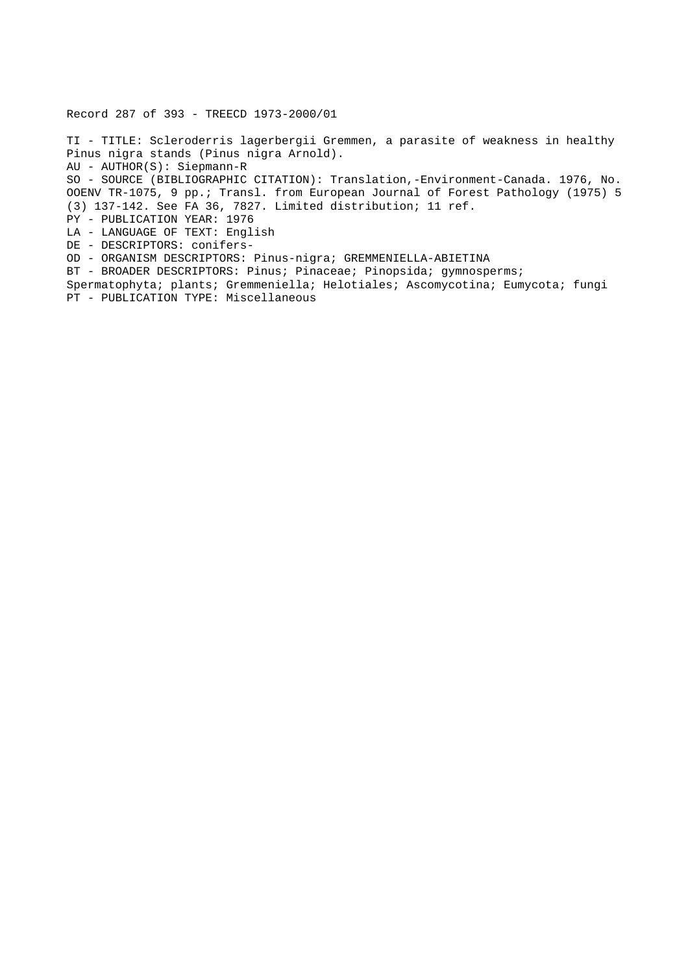Record 287 of 393 - TREECD 1973-2000/01

TI - TITLE: Scleroderris lagerbergii Gremmen, a parasite of weakness in healthy Pinus nigra stands (Pinus nigra Arnold). AU - AUTHOR(S): Siepmann-R SO - SOURCE (BIBLIOGRAPHIC CITATION): Translation,-Environment-Canada. 1976, No. OOENV TR-1075, 9 pp.; Transl. from European Journal of Forest Pathology (1975) 5 (3) 137-142. See FA 36, 7827. Limited distribution; 11 ref. PY - PUBLICATION YEAR: 1976 LA - LANGUAGE OF TEXT: English DE - DESCRIPTORS: conifers-OD - ORGANISM DESCRIPTORS: Pinus-nigra; GREMMENIELLA-ABIETINA BT - BROADER DESCRIPTORS: Pinus; Pinaceae; Pinopsida; gymnosperms; Spermatophyta; plants; Gremmeniella; Helotiales; Ascomycotina; Eumycota; fungi PT - PUBLICATION TYPE: Miscellaneous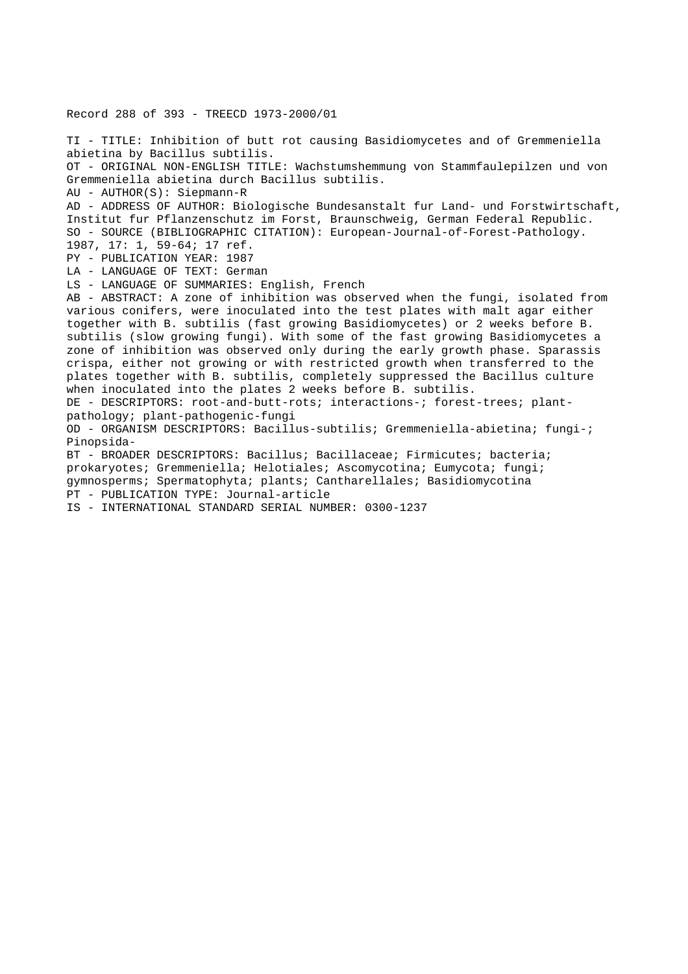Record 288 of 393 - TREECD 1973-2000/01 TI - TITLE: Inhibition of butt rot causing Basidiomycetes and of Gremmeniella abietina by Bacillus subtilis. OT - ORIGINAL NON-ENGLISH TITLE: Wachstumshemmung von Stammfaulepilzen und von Gremmeniella abietina durch Bacillus subtilis. AU - AUTHOR(S): Siepmann-R AD - ADDRESS OF AUTHOR: Biologische Bundesanstalt fur Land- und Forstwirtschaft, Institut fur Pflanzenschutz im Forst, Braunschweig, German Federal Republic. SO - SOURCE (BIBLIOGRAPHIC CITATION): European-Journal-of-Forest-Pathology. 1987, 17: 1, 59-64; 17 ref. PY - PUBLICATION YEAR: 1987 LA - LANGUAGE OF TEXT: German LS - LANGUAGE OF SUMMARIES: English, French AB - ABSTRACT: A zone of inhibition was observed when the fungi, isolated from various conifers, were inoculated into the test plates with malt agar either together with B. subtilis (fast growing Basidiomycetes) or 2 weeks before B. subtilis (slow growing fungi). With some of the fast growing Basidiomycetes a zone of inhibition was observed only during the early growth phase. Sparassis crispa, either not growing or with restricted growth when transferred to the plates together with B. subtilis, completely suppressed the Bacillus culture when inoculated into the plates 2 weeks before B. subtilis. DE - DESCRIPTORS: root-and-butt-rots; interactions-; forest-trees; plantpathology; plant-pathogenic-fungi OD - ORGANISM DESCRIPTORS: Bacillus-subtilis; Gremmeniella-abietina; fungi-; Pinopsida-BT - BROADER DESCRIPTORS: Bacillus; Bacillaceae; Firmicutes; bacteria; prokaryotes; Gremmeniella; Helotiales; Ascomycotina; Eumycota; fungi; gymnosperms; Spermatophyta; plants; Cantharellales; Basidiomycotina PT - PUBLICATION TYPE: Journal-article IS - INTERNATIONAL STANDARD SERIAL NUMBER: 0300-1237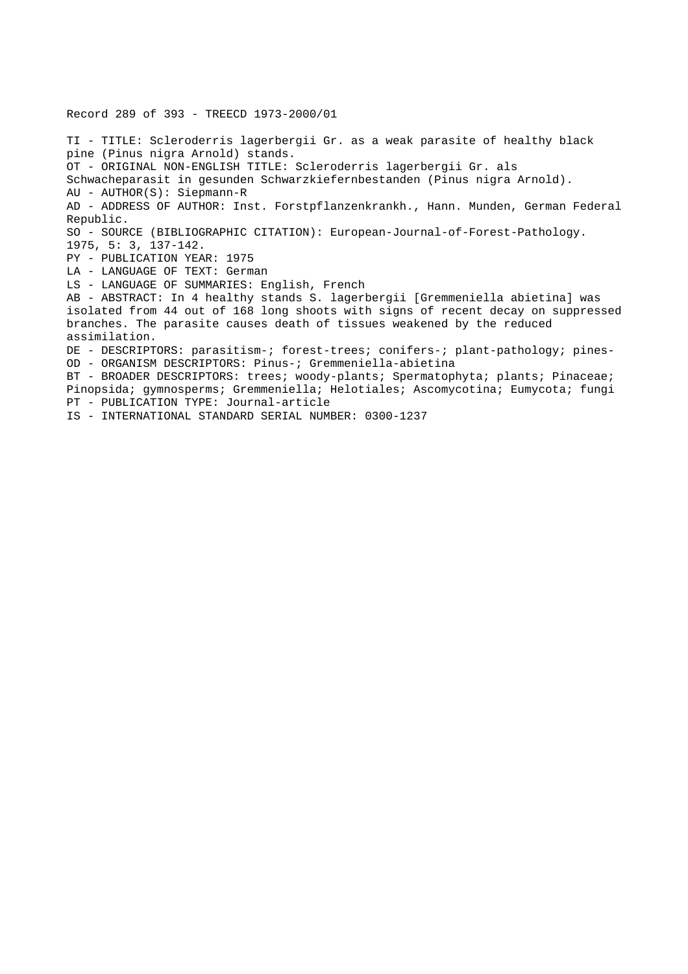Record 289 of 393 - TREECD 1973-2000/01 TI - TITLE: Scleroderris lagerbergii Gr. as a weak parasite of healthy black pine (Pinus nigra Arnold) stands. OT - ORIGINAL NON-ENGLISH TITLE: Scleroderris lagerbergii Gr. als Schwacheparasit in gesunden Schwarzkiefernbestanden (Pinus nigra Arnold). AU - AUTHOR(S): Siepmann-R AD - ADDRESS OF AUTHOR: Inst. Forstpflanzenkrankh., Hann. Munden, German Federal Republic. SO - SOURCE (BIBLIOGRAPHIC CITATION): European-Journal-of-Forest-Pathology. 1975, 5: 3, 137-142. PY - PUBLICATION YEAR: 1975 LA - LANGUAGE OF TEXT: German LS - LANGUAGE OF SUMMARIES: English, French AB - ABSTRACT: In 4 healthy stands S. lagerbergii [Gremmeniella abietina] was isolated from 44 out of 168 long shoots with signs of recent decay on suppressed branches. The parasite causes death of tissues weakened by the reduced assimilation. DE - DESCRIPTORS: parasitism-; forest-trees; conifers-; plant-pathology; pines-OD - ORGANISM DESCRIPTORS: Pinus-; Gremmeniella-abietina BT - BROADER DESCRIPTORS: trees; woody-plants; Spermatophyta; plants; Pinaceae; Pinopsida; gymnosperms; Gremmeniella; Helotiales; Ascomycotina; Eumycota; fungi PT - PUBLICATION TYPE: Journal-article IS - INTERNATIONAL STANDARD SERIAL NUMBER: 0300-1237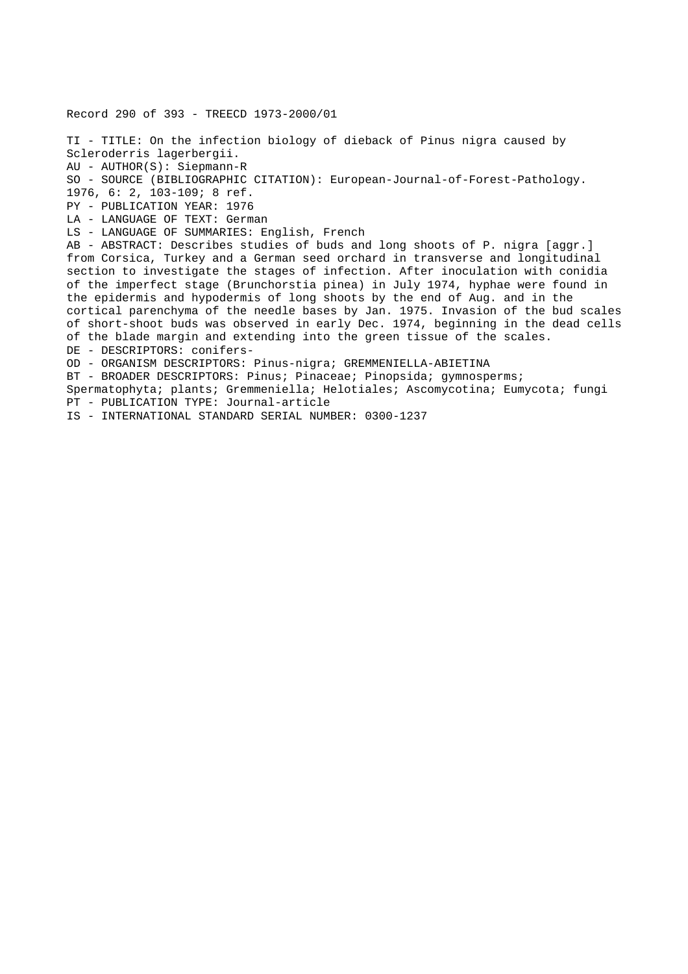Record 290 of 393 - TREECD 1973-2000/01 TI - TITLE: On the infection biology of dieback of Pinus nigra caused by Scleroderris lagerbergii. AU - AUTHOR(S): Siepmann-R SO - SOURCE (BIBLIOGRAPHIC CITATION): European-Journal-of-Forest-Pathology. 1976, 6: 2, 103-109; 8 ref. PY - PUBLICATION YEAR: 1976 LA - LANGUAGE OF TEXT: German LS - LANGUAGE OF SUMMARIES: English, French AB - ABSTRACT: Describes studies of buds and long shoots of P. nigra [aggr.] from Corsica, Turkey and a German seed orchard in transverse and longitudinal section to investigate the stages of infection. After inoculation with conidia of the imperfect stage (Brunchorstia pinea) in July 1974, hyphae were found in the epidermis and hypodermis of long shoots by the end of Aug. and in the cortical parenchyma of the needle bases by Jan. 1975. Invasion of the bud scales of short-shoot buds was observed in early Dec. 1974, beginning in the dead cells of the blade margin and extending into the green tissue of the scales. DE - DESCRIPTORS: conifers-OD - ORGANISM DESCRIPTORS: Pinus-nigra; GREMMENIELLA-ABIETINA BT - BROADER DESCRIPTORS: Pinus; Pinaceae; Pinopsida; gymnosperms; Spermatophyta; plants; Gremmeniella; Helotiales; Ascomycotina; Eumycota; fungi PT - PUBLICATION TYPE: Journal-article

IS - INTERNATIONAL STANDARD SERIAL NUMBER: 0300-1237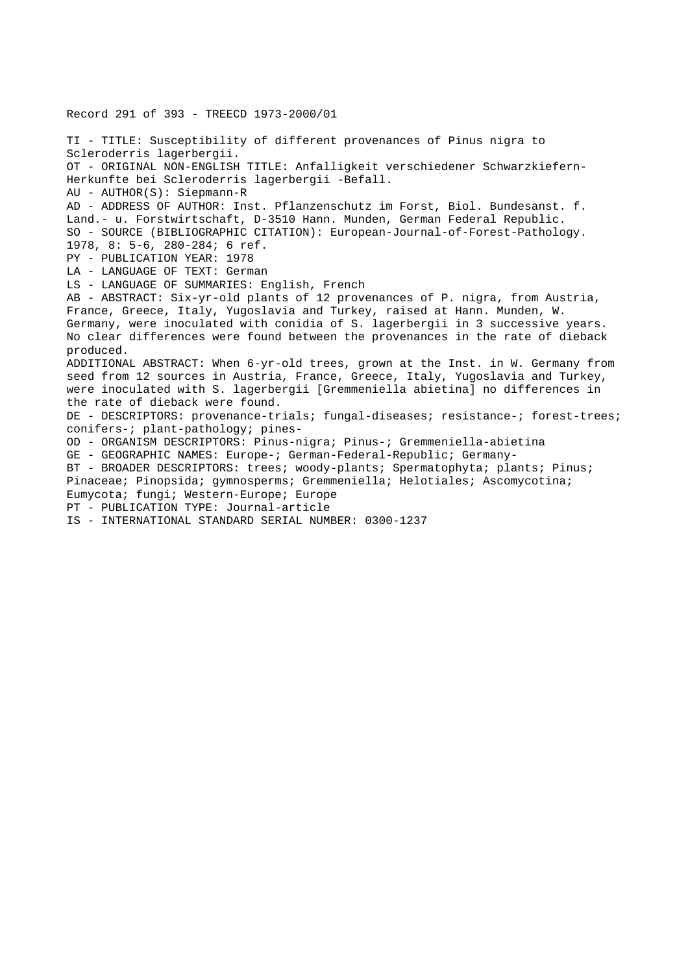Record 291 of 393 - TREECD 1973-2000/01 TI - TITLE: Susceptibility of different provenances of Pinus nigra to Scleroderris lagerbergii. OT - ORIGINAL NON-ENGLISH TITLE: Anfalligkeit verschiedener Schwarzkiefern-Herkunfte bei Scleroderris lagerbergii -Befall. AU - AUTHOR(S): Siepmann-R AD - ADDRESS OF AUTHOR: Inst. Pflanzenschutz im Forst, Biol. Bundesanst. f. Land.- u. Forstwirtschaft, D-3510 Hann. Munden, German Federal Republic. SO - SOURCE (BIBLIOGRAPHIC CITATION): European-Journal-of-Forest-Pathology. 1978, 8: 5-6, 280-284; 6 ref. PY - PUBLICATION YEAR: 1978 LA - LANGUAGE OF TEXT: German LS - LANGUAGE OF SUMMARIES: English, French AB - ABSTRACT: Six-yr-old plants of 12 provenances of P. nigra, from Austria, France, Greece, Italy, Yugoslavia and Turkey, raised at Hann. Munden, W. Germany, were inoculated with conidia of S. lagerbergii in 3 successive years. No clear differences were found between the provenances in the rate of dieback produced. ADDITIONAL ABSTRACT: When 6-yr-old trees, grown at the Inst. in W. Germany from seed from 12 sources in Austria, France, Greece, Italy, Yugoslavia and Turkey, were inoculated with S. lagerbergii [Gremmeniella abietina] no differences in the rate of dieback were found. DE - DESCRIPTORS: provenance-trials; fungal-diseases; resistance-; forest-trees; conifers-; plant-pathology; pines-OD - ORGANISM DESCRIPTORS: Pinus-nigra; Pinus-; Gremmeniella-abietina GE - GEOGRAPHIC NAMES: Europe-; German-Federal-Republic; Germany-BT - BROADER DESCRIPTORS: trees; woody-plants; Spermatophyta; plants; Pinus; Pinaceae; Pinopsida; gymnosperms; Gremmeniella; Helotiales; Ascomycotina; Eumycota; fungi; Western-Europe; Europe PT - PUBLICATION TYPE: Journal-article IS - INTERNATIONAL STANDARD SERIAL NUMBER: 0300-1237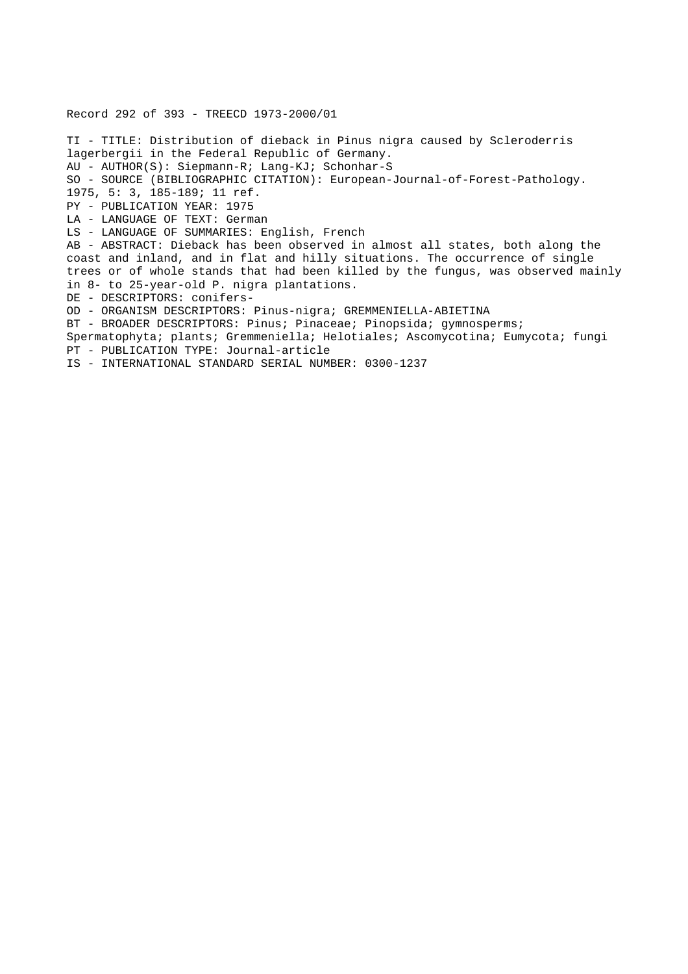Record 292 of 393 - TREECD 1973-2000/01 TI - TITLE: Distribution of dieback in Pinus nigra caused by Scleroderris lagerbergii in the Federal Republic of Germany. AU - AUTHOR(S): Siepmann-R; Lang-KJ; Schonhar-S SO - SOURCE (BIBLIOGRAPHIC CITATION): European-Journal-of-Forest-Pathology. 1975, 5: 3, 185-189; 11 ref. PY - PUBLICATION YEAR: 1975 LA - LANGUAGE OF TEXT: German LS - LANGUAGE OF SUMMARIES: English, French AB - ABSTRACT: Dieback has been observed in almost all states, both along the coast and inland, and in flat and hilly situations. The occurrence of single trees or of whole stands that had been killed by the fungus, was observed mainly in 8- to 25-year-old P. nigra plantations. DE - DESCRIPTORS: conifers-OD - ORGANISM DESCRIPTORS: Pinus-nigra; GREMMENIELLA-ABIETINA BT - BROADER DESCRIPTORS: Pinus; Pinaceae; Pinopsida; gymnosperms; Spermatophyta; plants; Gremmeniella; Helotiales; Ascomycotina; Eumycota; fungi PT - PUBLICATION TYPE: Journal-article IS - INTERNATIONAL STANDARD SERIAL NUMBER: 0300-1237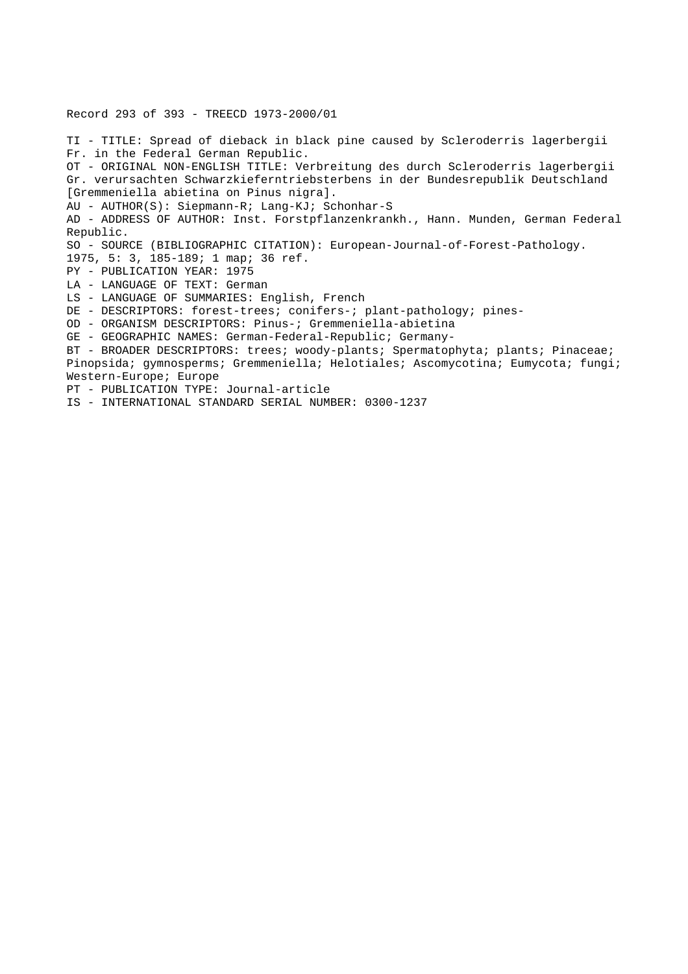Record 293 of 393 - TREECD 1973-2000/01 TI - TITLE: Spread of dieback in black pine caused by Scleroderris lagerbergii Fr. in the Federal German Republic. OT - ORIGINAL NON-ENGLISH TITLE: Verbreitung des durch Scleroderris lagerbergii Gr. verursachten Schwarzkieferntriebsterbens in der Bundesrepublik Deutschland [Gremmeniella abietina on Pinus nigra]. AU - AUTHOR(S): Siepmann-R; Lang-KJ; Schonhar-S AD - ADDRESS OF AUTHOR: Inst. Forstpflanzenkrankh., Hann. Munden, German Federal Republic. SO - SOURCE (BIBLIOGRAPHIC CITATION): European-Journal-of-Forest-Pathology. 1975, 5: 3, 185-189; 1 map; 36 ref. PY - PUBLICATION YEAR: 1975 LA - LANGUAGE OF TEXT: German LS - LANGUAGE OF SUMMARIES: English, French DE - DESCRIPTORS: forest-trees; conifers-; plant-pathology; pines-OD - ORGANISM DESCRIPTORS: Pinus-; Gremmeniella-abietina GE - GEOGRAPHIC NAMES: German-Federal-Republic; Germany-BT - BROADER DESCRIPTORS: trees; woody-plants; Spermatophyta; plants; Pinaceae; Pinopsida; gymnosperms; Gremmeniella; Helotiales; Ascomycotina; Eumycota; fungi; Western-Europe; Europe PT - PUBLICATION TYPE: Journal-article

IS - INTERNATIONAL STANDARD SERIAL NUMBER: 0300-1237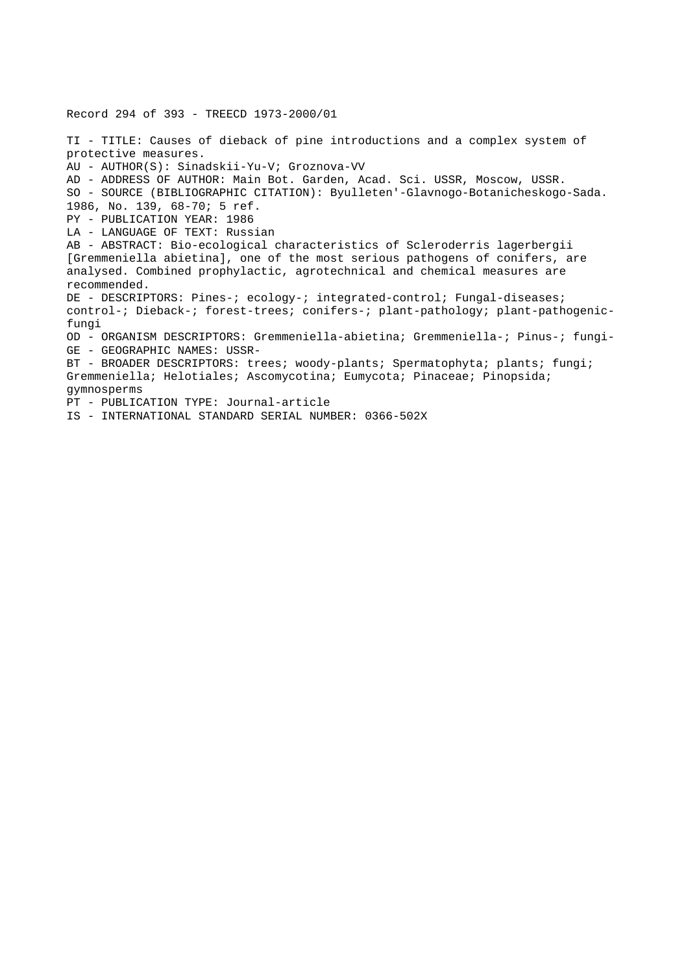Record 294 of 393 - TREECD 1973-2000/01 TI - TITLE: Causes of dieback of pine introductions and a complex system of protective measures. AU - AUTHOR(S): Sinadskii-Yu-V; Groznova-VV AD - ADDRESS OF AUTHOR: Main Bot. Garden, Acad. Sci. USSR, Moscow, USSR. SO - SOURCE (BIBLIOGRAPHIC CITATION): Byulleten'-Glavnogo-Botanicheskogo-Sada. 1986, No. 139, 68-70; 5 ref. PY - PUBLICATION YEAR: 1986 LA - LANGUAGE OF TEXT: Russian AB - ABSTRACT: Bio-ecological characteristics of Scleroderris lagerbergii [Gremmeniella abietina], one of the most serious pathogens of conifers, are analysed. Combined prophylactic, agrotechnical and chemical measures are recommended. DE - DESCRIPTORS: Pines-; ecology-; integrated-control; Fungal-diseases; control-; Dieback-; forest-trees; conifers-; plant-pathology; plant-pathogenicfungi OD - ORGANISM DESCRIPTORS: Gremmeniella-abietina; Gremmeniella-; Pinus-; fungi-GE - GEOGRAPHIC NAMES: USSR-BT - BROADER DESCRIPTORS: trees; woody-plants; Spermatophyta; plants; fungi; Gremmeniella; Helotiales; Ascomycotina; Eumycota; Pinaceae; Pinopsida; gymnosperms PT - PUBLICATION TYPE: Journal-article IS - INTERNATIONAL STANDARD SERIAL NUMBER: 0366-502X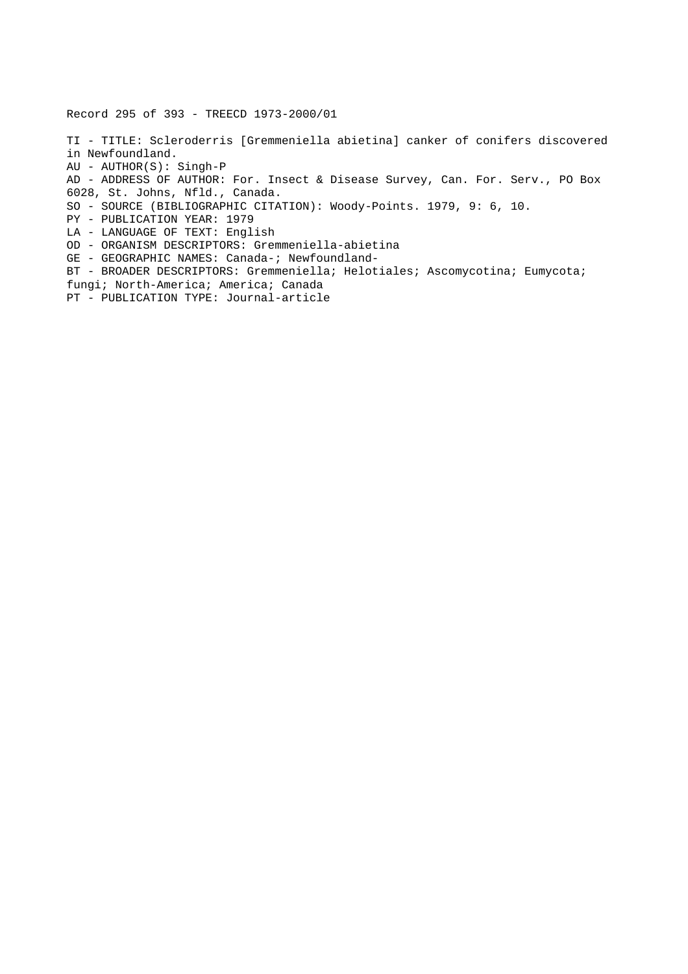Record 295 of 393 - TREECD 1973-2000/01

TI - TITLE: Scleroderris [Gremmeniella abietina] canker of conifers discovered in Newfoundland. AU - AUTHOR(S): Singh-P AD - ADDRESS OF AUTHOR: For. Insect & Disease Survey, Can. For. Serv., PO Box 6028, St. Johns, Nfld., Canada. SO - SOURCE (BIBLIOGRAPHIC CITATION): Woody-Points. 1979, 9: 6, 10. PY - PUBLICATION YEAR: 1979 LA - LANGUAGE OF TEXT: English OD - ORGANISM DESCRIPTORS: Gremmeniella-abietina GE - GEOGRAPHIC NAMES: Canada-; Newfoundland-BT - BROADER DESCRIPTORS: Gremmeniella; Helotiales; Ascomycotina; Eumycota; fungi; North-America; America; Canada PT - PUBLICATION TYPE: Journal-article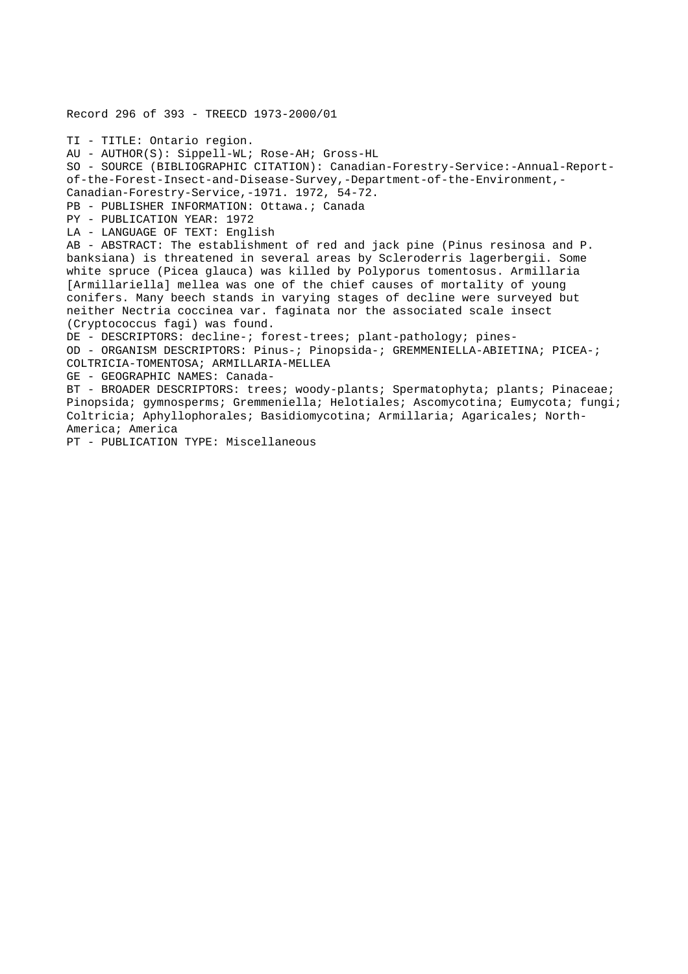Record 296 of 393 - TREECD 1973-2000/01 TI - TITLE: Ontario region. AU - AUTHOR(S): Sippell-WL; Rose-AH; Gross-HL SO - SOURCE (BIBLIOGRAPHIC CITATION): Canadian-Forestry-Service:-Annual-Reportof-the-Forest-Insect-and-Disease-Survey,-Department-of-the-Environment,- Canadian-Forestry-Service,-1971. 1972, 54-72. PB - PUBLISHER INFORMATION: Ottawa.; Canada PY - PUBLICATION YEAR: 1972 LA - LANGUAGE OF TEXT: English AB - ABSTRACT: The establishment of red and jack pine (Pinus resinosa and P. banksiana) is threatened in several areas by Scleroderris lagerbergii. Some white spruce (Picea glauca) was killed by Polyporus tomentosus. Armillaria [Armillariella] mellea was one of the chief causes of mortality of young conifers. Many beech stands in varying stages of decline were surveyed but neither Nectria coccinea var. faginata nor the associated scale insect (Cryptococcus fagi) was found. DE - DESCRIPTORS: decline-; forest-trees; plant-pathology; pines-OD - ORGANISM DESCRIPTORS: Pinus-; Pinopsida-; GREMMENIELLA-ABIETINA; PICEA-; COLTRICIA-TOMENTOSA; ARMILLARIA-MELLEA GE - GEOGRAPHIC NAMES: Canada-BT - BROADER DESCRIPTORS: trees; woody-plants; Spermatophyta; plants; Pinaceae; Pinopsida; gymnosperms; Gremmeniella; Helotiales; Ascomycotina; Eumycota; fungi; Coltricia; Aphyllophorales; Basidiomycotina; Armillaria; Agaricales; North-America; America

PT - PUBLICATION TYPE: Miscellaneous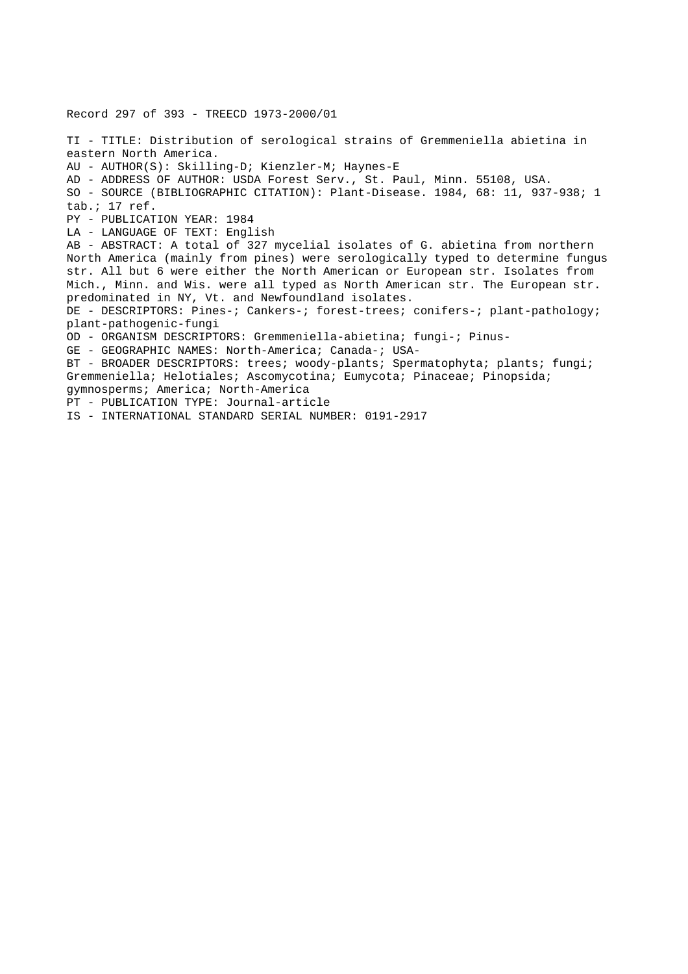Record 297 of 393 - TREECD 1973-2000/01 TI - TITLE: Distribution of serological strains of Gremmeniella abietina in eastern North America. AU - AUTHOR(S): Skilling-D; Kienzler-M; Haynes-E AD - ADDRESS OF AUTHOR: USDA Forest Serv., St. Paul, Minn. 55108, USA. SO - SOURCE (BIBLIOGRAPHIC CITATION): Plant-Disease. 1984, 68: 11, 937-938; 1 tab.; 17 ref. PY - PUBLICATION YEAR: 1984 LA - LANGUAGE OF TEXT: English AB - ABSTRACT: A total of 327 mycelial isolates of G. abietina from northern North America (mainly from pines) were serologically typed to determine fungus str. All but 6 were either the North American or European str. Isolates from Mich., Minn. and Wis. were all typed as North American str. The European str. predominated in NY, Vt. and Newfoundland isolates. DE - DESCRIPTORS: Pines-; Cankers-; forest-trees; conifers-; plant-pathology; plant-pathogenic-fungi OD - ORGANISM DESCRIPTORS: Gremmeniella-abietina; fungi-; Pinus-GE - GEOGRAPHIC NAMES: North-America; Canada-; USA-BT - BROADER DESCRIPTORS: trees; woody-plants; Spermatophyta; plants; fungi; Gremmeniella; Helotiales; Ascomycotina; Eumycota; Pinaceae; Pinopsida; gymnosperms; America; North-America PT - PUBLICATION TYPE: Journal-article IS - INTERNATIONAL STANDARD SERIAL NUMBER: 0191-2917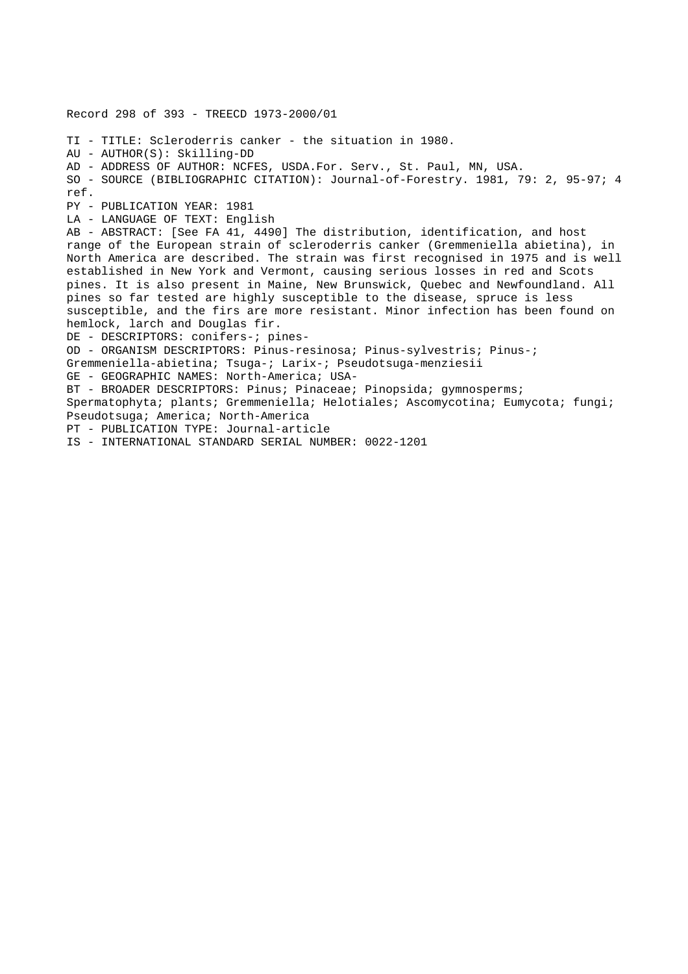Record 298 of 393 - TREECD 1973-2000/01 TI - TITLE: Scleroderris canker - the situation in 1980. AU - AUTHOR(S): Skilling-DD AD - ADDRESS OF AUTHOR: NCFES, USDA.For. Serv., St. Paul, MN, USA. SO - SOURCE (BIBLIOGRAPHIC CITATION): Journal-of-Forestry. 1981, 79: 2, 95-97; 4 ref. PY - PUBLICATION YEAR: 1981 LA - LANGUAGE OF TEXT: English AB - ABSTRACT: [See FA 41, 4490] The distribution, identification, and host range of the European strain of scleroderris canker (Gremmeniella abietina), in North America are described. The strain was first recognised in 1975 and is well established in New York and Vermont, causing serious losses in red and Scots pines. It is also present in Maine, New Brunswick, Quebec and Newfoundland. All pines so far tested are highly susceptible to the disease, spruce is less susceptible, and the firs are more resistant. Minor infection has been found on hemlock, larch and Douglas fir. DE - DESCRIPTORS: conifers-; pines-OD - ORGANISM DESCRIPTORS: Pinus-resinosa; Pinus-sylvestris; Pinus-; Gremmeniella-abietina; Tsuga-; Larix-; Pseudotsuga-menziesii GE - GEOGRAPHIC NAMES: North-America; USA-BT - BROADER DESCRIPTORS: Pinus; Pinaceae; Pinopsida; gymnosperms; Spermatophyta; plants; Gremmeniella; Helotiales; Ascomycotina; Eumycota; fungi; Pseudotsuga; America; North-America PT - PUBLICATION TYPE: Journal-article IS - INTERNATIONAL STANDARD SERIAL NUMBER: 0022-1201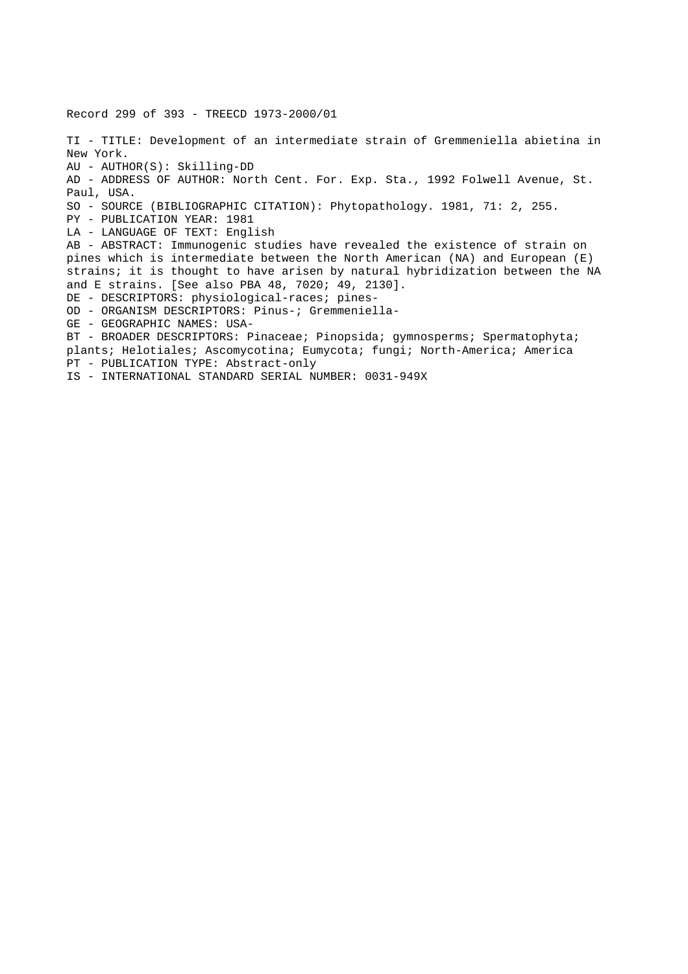Record 299 of 393 - TREECD 1973-2000/01 TI - TITLE: Development of an intermediate strain of Gremmeniella abietina in New York. AU - AUTHOR(S): Skilling-DD AD - ADDRESS OF AUTHOR: North Cent. For. Exp. Sta., 1992 Folwell Avenue, St. Paul, USA. SO - SOURCE (BIBLIOGRAPHIC CITATION): Phytopathology. 1981, 71: 2, 255. PY - PUBLICATION YEAR: 1981 LA - LANGUAGE OF TEXT: English AB - ABSTRACT: Immunogenic studies have revealed the existence of strain on pines which is intermediate between the North American (NA) and European (E) strains; it is thought to have arisen by natural hybridization between the NA and E strains. [See also PBA 48, 7020; 49, 2130]. DE - DESCRIPTORS: physiological-races; pines-OD - ORGANISM DESCRIPTORS: Pinus-; Gremmeniella-GE - GEOGRAPHIC NAMES: USA-BT - BROADER DESCRIPTORS: Pinaceae; Pinopsida; gymnosperms; Spermatophyta; plants; Helotiales; Ascomycotina; Eumycota; fungi; North-America; America PT - PUBLICATION TYPE: Abstract-only IS - INTERNATIONAL STANDARD SERIAL NUMBER: 0031-949X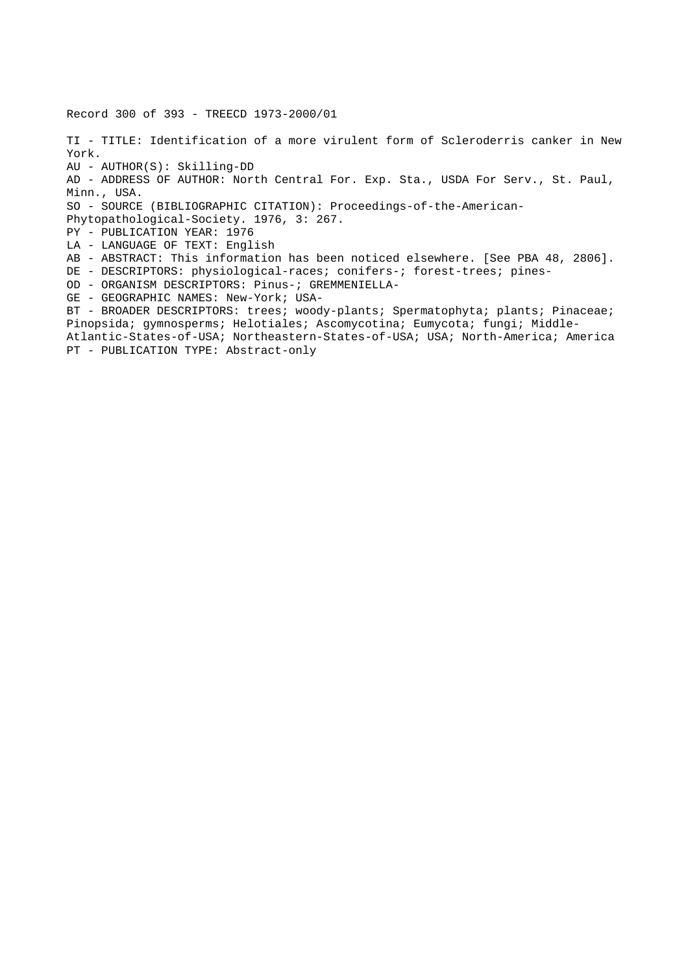Record 300 of 393 - TREECD 1973-2000/01 TI - TITLE: Identification of a more virulent form of Scleroderris canker in New York. AU - AUTHOR(S): Skilling-DD AD - ADDRESS OF AUTHOR: North Central For. Exp. Sta., USDA For Serv., St. Paul, Minn., USA. SO - SOURCE (BIBLIOGRAPHIC CITATION): Proceedings-of-the-American-Phytopathological-Society. 1976, 3: 267. PY - PUBLICATION YEAR: 1976 LA - LANGUAGE OF TEXT: English AB - ABSTRACT: This information has been noticed elsewhere. [See PBA 48, 2806]. DE - DESCRIPTORS: physiological-races; conifers-; forest-trees; pines-OD - ORGANISM DESCRIPTORS: Pinus-; GREMMENIELLA-GE - GEOGRAPHIC NAMES: New-York; USA-BT - BROADER DESCRIPTORS: trees; woody-plants; Spermatophyta; plants; Pinaceae; Pinopsida; gymnosperms; Helotiales; Ascomycotina; Eumycota; fungi; Middle-Atlantic-States-of-USA; Northeastern-States-of-USA; USA; North-America; America PT - PUBLICATION TYPE: Abstract-only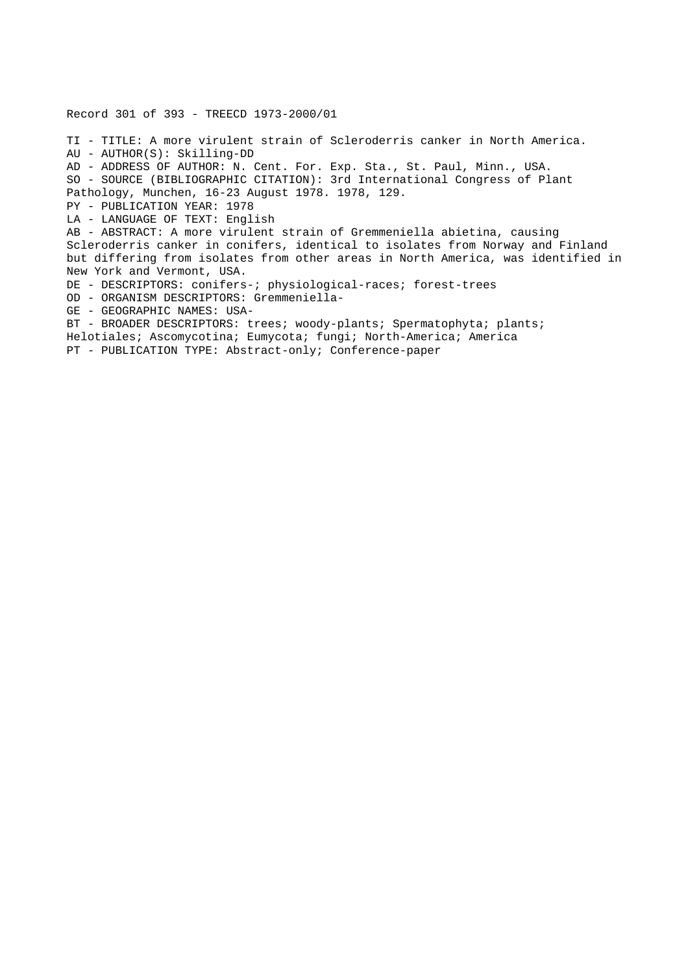Record 301 of 393 - TREECD 1973-2000/01 TI - TITLE: A more virulent strain of Scleroderris canker in North America. AU - AUTHOR(S): Skilling-DD AD - ADDRESS OF AUTHOR: N. Cent. For. Exp. Sta., St. Paul, Minn., USA. SO - SOURCE (BIBLIOGRAPHIC CITATION): 3rd International Congress of Plant Pathology, Munchen, 16-23 August 1978. 1978, 129. PY - PUBLICATION YEAR: 1978 LA - LANGUAGE OF TEXT: English AB - ABSTRACT: A more virulent strain of Gremmeniella abietina, causing Scleroderris canker in conifers, identical to isolates from Norway and Finland but differing from isolates from other areas in North America, was identified in New York and Vermont, USA. DE - DESCRIPTORS: conifers-; physiological-races; forest-trees OD - ORGANISM DESCRIPTORS: Gremmeniella-GE - GEOGRAPHIC NAMES: USA-BT - BROADER DESCRIPTORS: trees; woody-plants; Spermatophyta; plants; Helotiales; Ascomycotina; Eumycota; fungi; North-America; America PT - PUBLICATION TYPE: Abstract-only; Conference-paper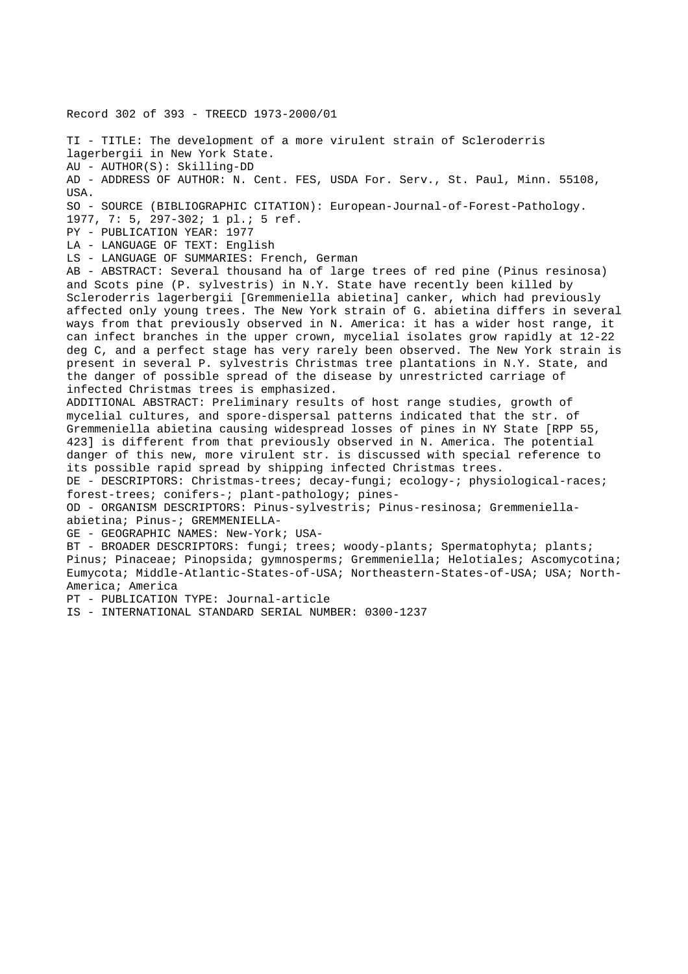Record 302 of 393 - TREECD 1973-2000/01

TI - TITLE: The development of a more virulent strain of Scleroderris lagerbergii in New York State. AU - AUTHOR(S): Skilling-DD AD - ADDRESS OF AUTHOR: N. Cent. FES, USDA For. Serv., St. Paul, Minn. 55108, USA. SO - SOURCE (BIBLIOGRAPHIC CITATION): European-Journal-of-Forest-Pathology. 1977, 7: 5, 297-302; 1 pl.; 5 ref. PY - PUBLICATION YEAR: 1977 LA - LANGUAGE OF TEXT: English LS - LANGUAGE OF SUMMARIES: French, German AB - ABSTRACT: Several thousand ha of large trees of red pine (Pinus resinosa) and Scots pine (P. sylvestris) in N.Y. State have recently been killed by Scleroderris lagerbergii [Gremmeniella abietina] canker, which had previously

affected only young trees. The New York strain of G. abietina differs in several ways from that previously observed in N. America: it has a wider host range, it can infect branches in the upper crown, mycelial isolates grow rapidly at 12-22 deg C, and a perfect stage has very rarely been observed. The New York strain is present in several P. sylvestris Christmas tree plantations in N.Y. State, and the danger of possible spread of the disease by unrestricted carriage of infected Christmas trees is emphasized.

ADDITIONAL ABSTRACT: Preliminary results of host range studies, growth of mycelial cultures, and spore-dispersal patterns indicated that the str. of Gremmeniella abietina causing widespread losses of pines in NY State [RPP 55, 423] is different from that previously observed in N. America. The potential danger of this new, more virulent str. is discussed with special reference to its possible rapid spread by shipping infected Christmas trees.

DE - DESCRIPTORS: Christmas-trees; decay-fungi; ecology-; physiological-races; forest-trees; conifers-; plant-pathology; pines-

OD - ORGANISM DESCRIPTORS: Pinus-sylvestris; Pinus-resinosa; Gremmeniellaabietina; Pinus-; GREMMENIELLA-

GE - GEOGRAPHIC NAMES: New-York; USA-

BT - BROADER DESCRIPTORS: fungi; trees; woody-plants; Spermatophyta; plants; Pinus; Pinaceae; Pinopsida; gymnosperms; Gremmeniella; Helotiales; Ascomycotina; Eumycota; Middle-Atlantic-States-of-USA; Northeastern-States-of-USA; USA; North-America; America

PT - PUBLICATION TYPE: Journal-article

IS - INTERNATIONAL STANDARD SERIAL NUMBER: 0300-1237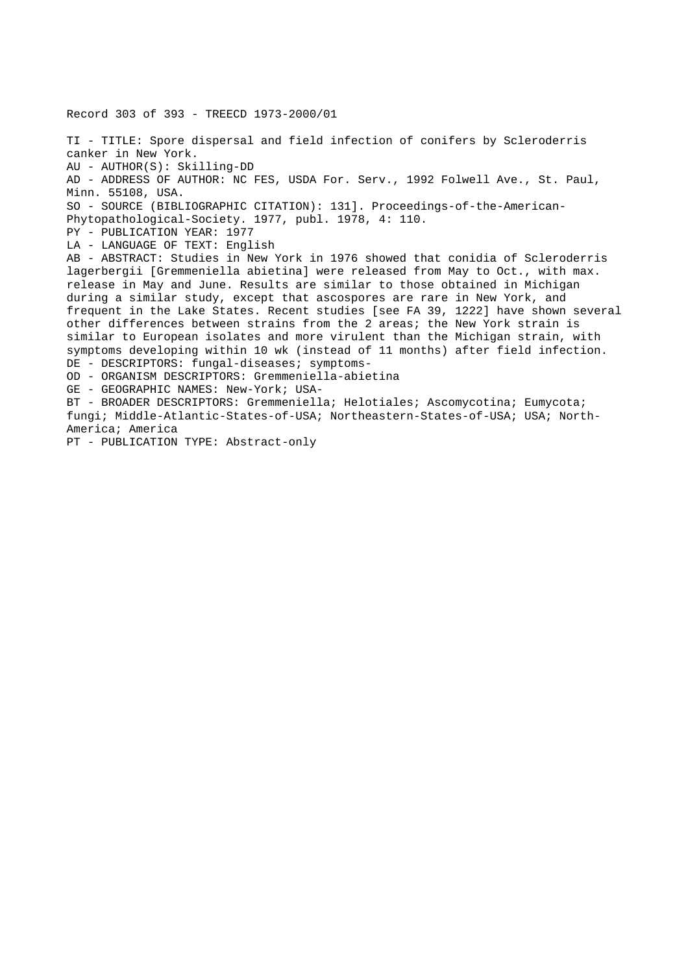TI - TITLE: Spore dispersal and field infection of conifers by Scleroderris canker in New York. AU - AUTHOR(S): Skilling-DD AD - ADDRESS OF AUTHOR: NC FES, USDA For. Serv., 1992 Folwell Ave., St. Paul, Minn. 55108, USA. SO - SOURCE (BIBLIOGRAPHIC CITATION): 131]. Proceedings-of-the-American-Phytopathological-Society. 1977, publ. 1978, 4: 110. PY - PUBLICATION YEAR: 1977 LA - LANGUAGE OF TEXT: English AB - ABSTRACT: Studies in New York in 1976 showed that conidia of Scleroderris lagerbergii [Gremmeniella abietina] were released from May to Oct., with max. release in May and June. Results are similar to those obtained in Michigan during a similar study, except that ascospores are rare in New York, and frequent in the Lake States. Recent studies [see FA 39, 1222] have shown several other differences between strains from the 2 areas; the New York strain is similar to European isolates and more virulent than the Michigan strain, with symptoms developing within 10 wk (instead of 11 months) after field infection. DE - DESCRIPTORS: fungal-diseases; symptoms-OD - ORGANISM DESCRIPTORS: Gremmeniella-abietina GE - GEOGRAPHIC NAMES: New-York; USA-BT - BROADER DESCRIPTORS: Gremmeniella; Helotiales; Ascomycotina; Eumycota; fungi; Middle-Atlantic-States-of-USA; Northeastern-States-of-USA; USA; North-America; America PT - PUBLICATION TYPE: Abstract-only

Record 303 of 393 - TREECD 1973-2000/01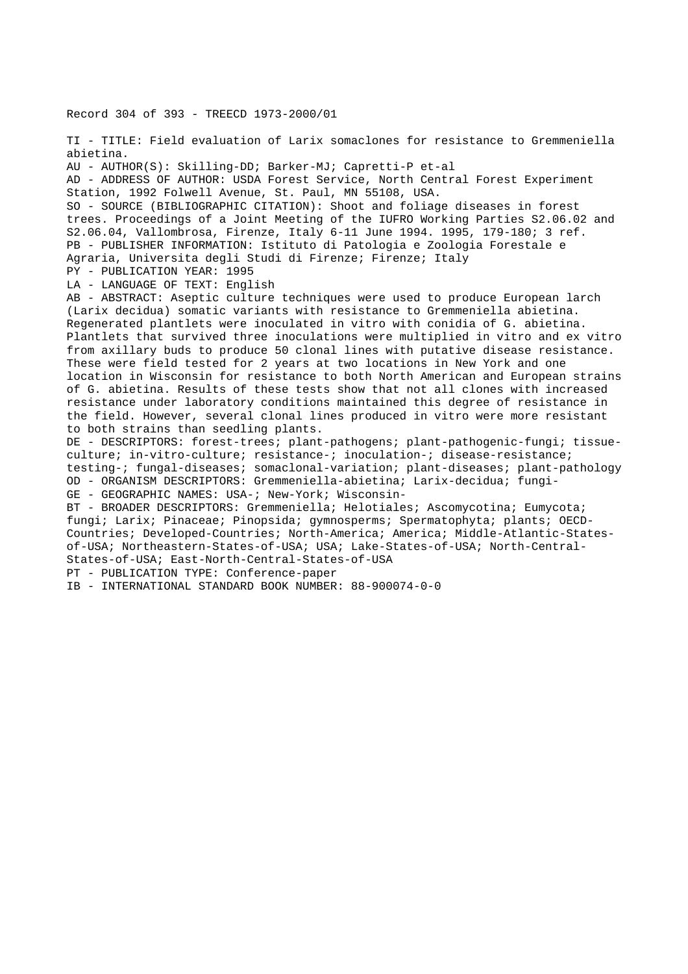Record 304 of 393 - TREECD 1973-2000/01

TI - TITLE: Field evaluation of Larix somaclones for resistance to Gremmeniella abietina. AU - AUTHOR(S): Skilling-DD; Barker-MJ; Capretti-P et-al AD - ADDRESS OF AUTHOR: USDA Forest Service, North Central Forest Experiment Station, 1992 Folwell Avenue, St. Paul, MN 55108, USA. SO - SOURCE (BIBLIOGRAPHIC CITATION): Shoot and foliage diseases in forest trees. Proceedings of a Joint Meeting of the IUFRO Working Parties S2.06.02 and S2.06.04, Vallombrosa, Firenze, Italy 6-11 June 1994. 1995, 179-180; 3 ref. PB - PUBLISHER INFORMATION: Istituto di Patologia e Zoologia Forestale e Agraria, Universita degli Studi di Firenze; Firenze; Italy PY - PUBLICATION YEAR: 1995 LA - LANGUAGE OF TEXT: English AB - ABSTRACT: Aseptic culture techniques were used to produce European larch (Larix decidua) somatic variants with resistance to Gremmeniella abietina. Regenerated plantlets were inoculated in vitro with conidia of G. abietina. Plantlets that survived three inoculations were multiplied in vitro and ex vitro from axillary buds to produce 50 clonal lines with putative disease resistance. These were field tested for 2 years at two locations in New York and one location in Wisconsin for resistance to both North American and European strains of G. abietina. Results of these tests show that not all clones with increased resistance under laboratory conditions maintained this degree of resistance in the field. However, several clonal lines produced in vitro were more resistant to both strains than seedling plants. DE - DESCRIPTORS: forest-trees; plant-pathogens; plant-pathogenic-fungi; tissueculture; in-vitro-culture; resistance-; inoculation-; disease-resistance; testing-; fungal-diseases; somaclonal-variation; plant-diseases; plant-pathology OD - ORGANISM DESCRIPTORS: Gremmeniella-abietina; Larix-decidua; fungi-GE - GEOGRAPHIC NAMES: USA-; New-York; Wisconsin-BT - BROADER DESCRIPTORS: Gremmeniella; Helotiales; Ascomycotina; Eumycota; fungi; Larix; Pinaceae; Pinopsida; gymnosperms; Spermatophyta; plants; OECD-Countries; Developed-Countries; North-America; America; Middle-Atlantic-Statesof-USA; Northeastern-States-of-USA; USA; Lake-States-of-USA; North-Central-States-of-USA; East-North-Central-States-of-USA PT - PUBLICATION TYPE: Conference-paper IB - INTERNATIONAL STANDARD BOOK NUMBER: 88-900074-0-0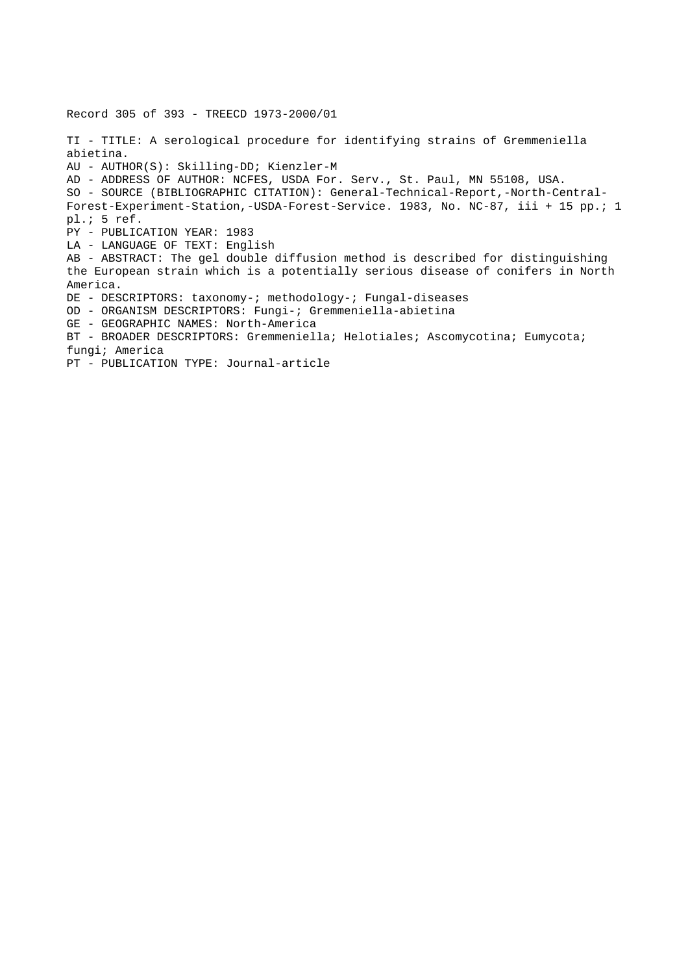Record 305 of 393 - TREECD 1973-2000/01 TI - TITLE: A serological procedure for identifying strains of Gremmeniella abietina. AU - AUTHOR(S): Skilling-DD; Kienzler-M AD - ADDRESS OF AUTHOR: NCFES, USDA For. Serv., St. Paul, MN 55108, USA. SO - SOURCE (BIBLIOGRAPHIC CITATION): General-Technical-Report,-North-Central-Forest-Experiment-Station,-USDA-Forest-Service. 1983, No. NC-87, iii + 15 pp.; 1 pl.; 5 ref. PY - PUBLICATION YEAR: 1983 LA - LANGUAGE OF TEXT: English AB - ABSTRACT: The gel double diffusion method is described for distinguishing the European strain which is a potentially serious disease of conifers in North America. DE - DESCRIPTORS: taxonomy-; methodology-; Fungal-diseases OD - ORGANISM DESCRIPTORS: Fungi-; Gremmeniella-abietina GE - GEOGRAPHIC NAMES: North-America BT - BROADER DESCRIPTORS: Gremmeniella; Helotiales; Ascomycotina; Eumycota; fungi; America PT - PUBLICATION TYPE: Journal-article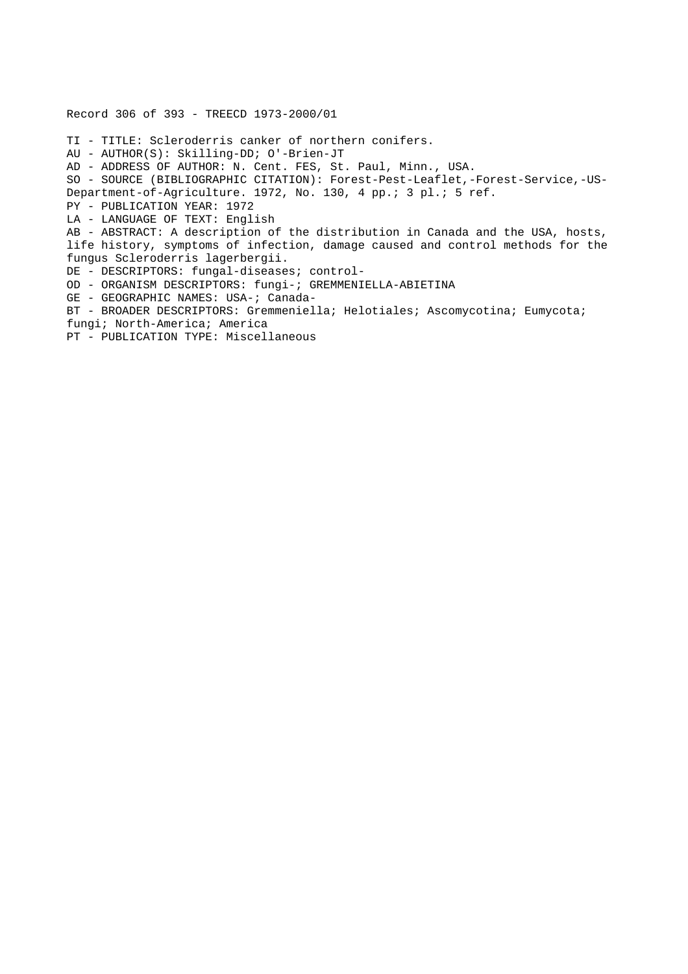Record 306 of 393 - TREECD 1973-2000/01 TI - TITLE: Scleroderris canker of northern conifers. AU - AUTHOR(S): Skilling-DD; O'-Brien-JT AD - ADDRESS OF AUTHOR: N. Cent. FES, St. Paul, Minn., USA. SO - SOURCE (BIBLIOGRAPHIC CITATION): Forest-Pest-Leaflet,-Forest-Service,-US-Department-of-Agriculture. 1972, No. 130, 4 pp.; 3 pl.; 5 ref. PY - PUBLICATION YEAR: 1972 LA - LANGUAGE OF TEXT: English AB - ABSTRACT: A description of the distribution in Canada and the USA, hosts, life history, symptoms of infection, damage caused and control methods for the fungus Scleroderris lagerbergii. DE - DESCRIPTORS: fungal-diseases; control-OD - ORGANISM DESCRIPTORS: fungi-; GREMMENIELLA-ABIETINA GE - GEOGRAPHIC NAMES: USA-; Canada-BT - BROADER DESCRIPTORS: Gremmeniella; Helotiales; Ascomycotina; Eumycota; fungi; North-America; America PT - PUBLICATION TYPE: Miscellaneous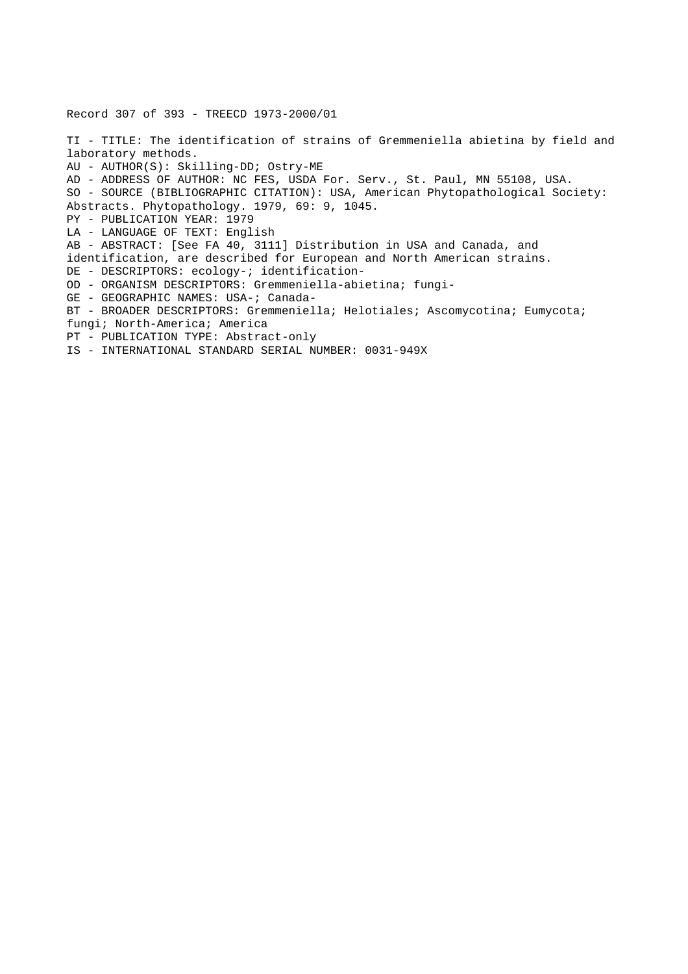Record 307 of 393 - TREECD 1973-2000/01

TI - TITLE: The identification of strains of Gremmeniella abietina by field and laboratory methods. AU - AUTHOR(S): Skilling-DD; Ostry-ME AD - ADDRESS OF AUTHOR: NC FES, USDA For. Serv., St. Paul, MN 55108, USA. SO - SOURCE (BIBLIOGRAPHIC CITATION): USA, American Phytopathological Society: Abstracts. Phytopathology. 1979, 69: 9, 1045. PY - PUBLICATION YEAR: 1979 LA - LANGUAGE OF TEXT: English AB - ABSTRACT: [See FA 40, 3111] Distribution in USA and Canada, and identification, are described for European and North American strains. DE - DESCRIPTORS: ecology-; identification-OD - ORGANISM DESCRIPTORS: Gremmeniella-abietina; fungi-GE - GEOGRAPHIC NAMES: USA-; Canada-BT - BROADER DESCRIPTORS: Gremmeniella; Helotiales; Ascomycotina; Eumycota; fungi; North-America; America PT - PUBLICATION TYPE: Abstract-only IS - INTERNATIONAL STANDARD SERIAL NUMBER: 0031-949X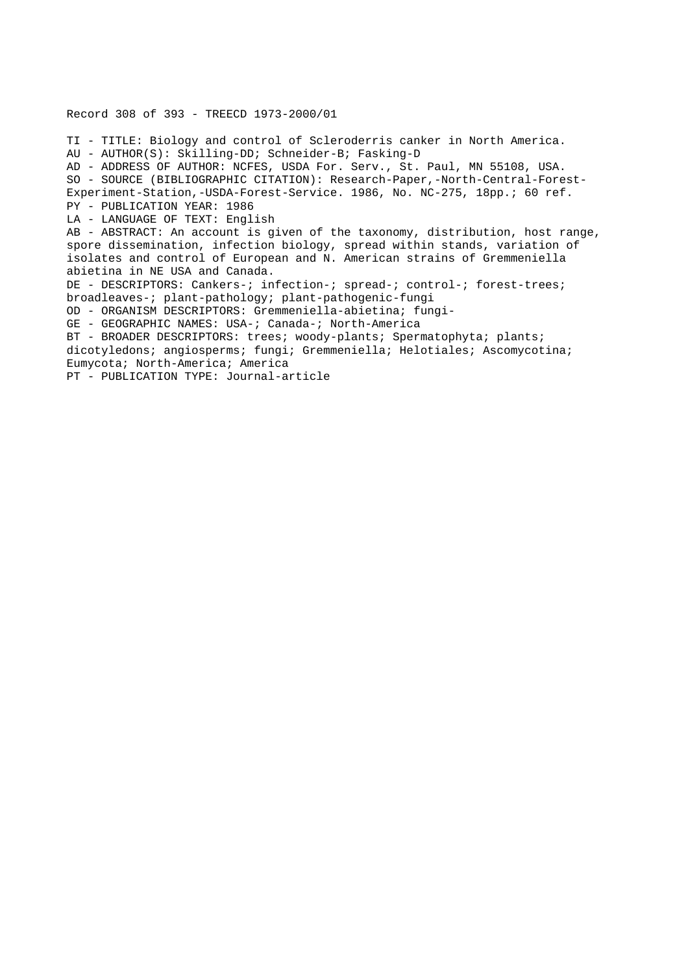Record 308 of 393 - TREECD 1973-2000/01 TI - TITLE: Biology and control of Scleroderris canker in North America. AU - AUTHOR(S): Skilling-DD; Schneider-B; Fasking-D AD - ADDRESS OF AUTHOR: NCFES, USDA For. Serv., St. Paul, MN 55108, USA. SO - SOURCE (BIBLIOGRAPHIC CITATION): Research-Paper,-North-Central-Forest-Experiment-Station,-USDA-Forest-Service. 1986, No. NC-275, 18pp.; 60 ref. PY - PUBLICATION YEAR: 1986 LA - LANGUAGE OF TEXT: English AB - ABSTRACT: An account is given of the taxonomy, distribution, host range, spore dissemination, infection biology, spread within stands, variation of isolates and control of European and N. American strains of Gremmeniella abietina in NE USA and Canada. DE - DESCRIPTORS: Cankers-; infection-; spread-; control-; forest-trees; broadleaves-; plant-pathology; plant-pathogenic-fungi OD - ORGANISM DESCRIPTORS: Gremmeniella-abietina; fungi-GE - GEOGRAPHIC NAMES: USA-; Canada-; North-America BT - BROADER DESCRIPTORS: trees; woody-plants; Spermatophyta; plants; dicotyledons; angiosperms; fungi; Gremmeniella; Helotiales; Ascomycotina; Eumycota; North-America; America PT - PUBLICATION TYPE: Journal-article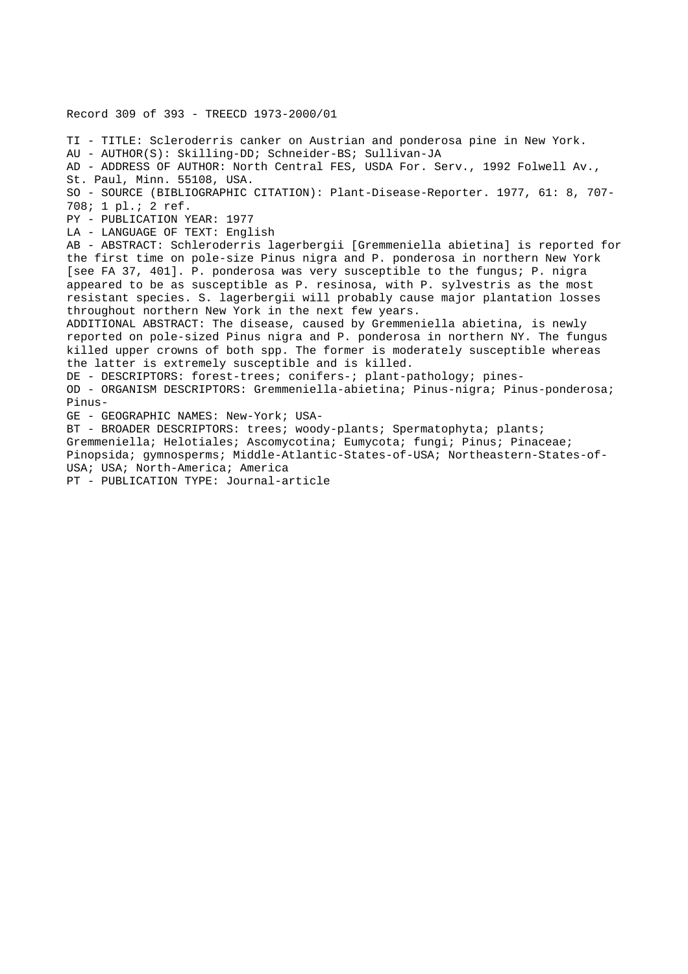Record 309 of 393 - TREECD 1973-2000/01 TI - TITLE: Scleroderris canker on Austrian and ponderosa pine in New York. AU - AUTHOR(S): Skilling-DD; Schneider-BS; Sullivan-JA AD - ADDRESS OF AUTHOR: North Central FES, USDA For. Serv., 1992 Folwell Av., St. Paul, Minn. 55108, USA. SO - SOURCE (BIBLIOGRAPHIC CITATION): Plant-Disease-Reporter. 1977, 61: 8, 707- 708; 1 pl.; 2 ref. PY - PUBLICATION YEAR: 1977 LA - LANGUAGE OF TEXT: English AB - ABSTRACT: Schleroderris lagerbergii [Gremmeniella abietina] is reported for the first time on pole-size Pinus nigra and P. ponderosa in northern New York [see FA 37, 401]. P. ponderosa was very susceptible to the fungus; P. nigra appeared to be as susceptible as P. resinosa, with P. sylvestris as the most resistant species. S. lagerbergii will probably cause major plantation losses throughout northern New York in the next few years. ADDITIONAL ABSTRACT: The disease, caused by Gremmeniella abietina, is newly reported on pole-sized Pinus nigra and P. ponderosa in northern NY. The fungus killed upper crowns of both spp. The former is moderately susceptible whereas the latter is extremely susceptible and is killed. DE - DESCRIPTORS: forest-trees; conifers-; plant-pathology; pines-OD - ORGANISM DESCRIPTORS: Gremmeniella-abietina; Pinus-nigra; Pinus-ponderosa; Pinus-GE - GEOGRAPHIC NAMES: New-York; USA-BT - BROADER DESCRIPTORS: trees; woody-plants; Spermatophyta; plants; Gremmeniella; Helotiales; Ascomycotina; Eumycota; fungi; Pinus; Pinaceae; Pinopsida; gymnosperms; Middle-Atlantic-States-of-USA; Northeastern-States-of-USA; USA; North-America; America PT - PUBLICATION TYPE: Journal-article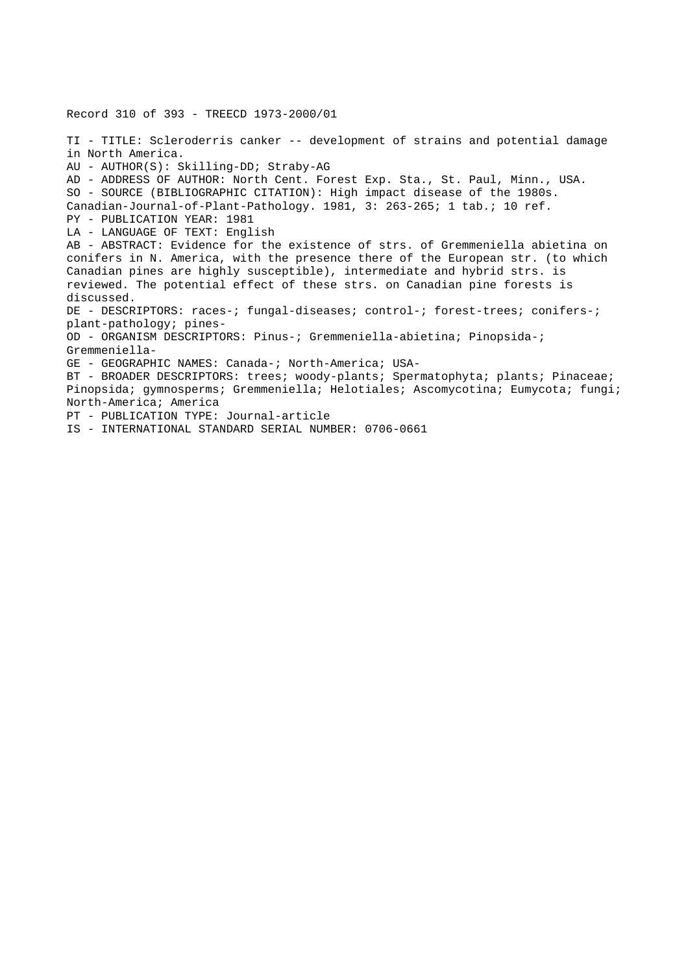TI - TITLE: Scleroderris canker -- development of strains and potential damage in North America. AU - AUTHOR(S): Skilling-DD; Straby-AG AD - ADDRESS OF AUTHOR: North Cent. Forest Exp. Sta., St. Paul, Minn., USA. SO - SOURCE (BIBLIOGRAPHIC CITATION): High impact disease of the 1980s. Canadian-Journal-of-Plant-Pathology. 1981, 3: 263-265; 1 tab.; 10 ref. PY - PUBLICATION YEAR: 1981 LA - LANGUAGE OF TEXT: English AB - ABSTRACT: Evidence for the existence of strs. of Gremmeniella abietina on conifers in N. America, with the presence there of the European str. (to which Canadian pines are highly susceptible), intermediate and hybrid strs. is reviewed. The potential effect of these strs. on Canadian pine forests is discussed. DE - DESCRIPTORS: races-; fungal-diseases; control-; forest-trees; conifers-; plant-pathology; pines-OD - ORGANISM DESCRIPTORS: Pinus-; Gremmeniella-abietina; Pinopsida-; Gremmeniella-GE - GEOGRAPHIC NAMES: Canada-; North-America; USA-BT - BROADER DESCRIPTORS: trees; woody-plants; Spermatophyta; plants; Pinaceae; Pinopsida; gymnosperms; Gremmeniella; Helotiales; Ascomycotina; Eumycota; fungi; North-America; America PT - PUBLICATION TYPE: Journal-article IS - INTERNATIONAL STANDARD SERIAL NUMBER: 0706-0661

Record 310 of 393 - TREECD 1973-2000/01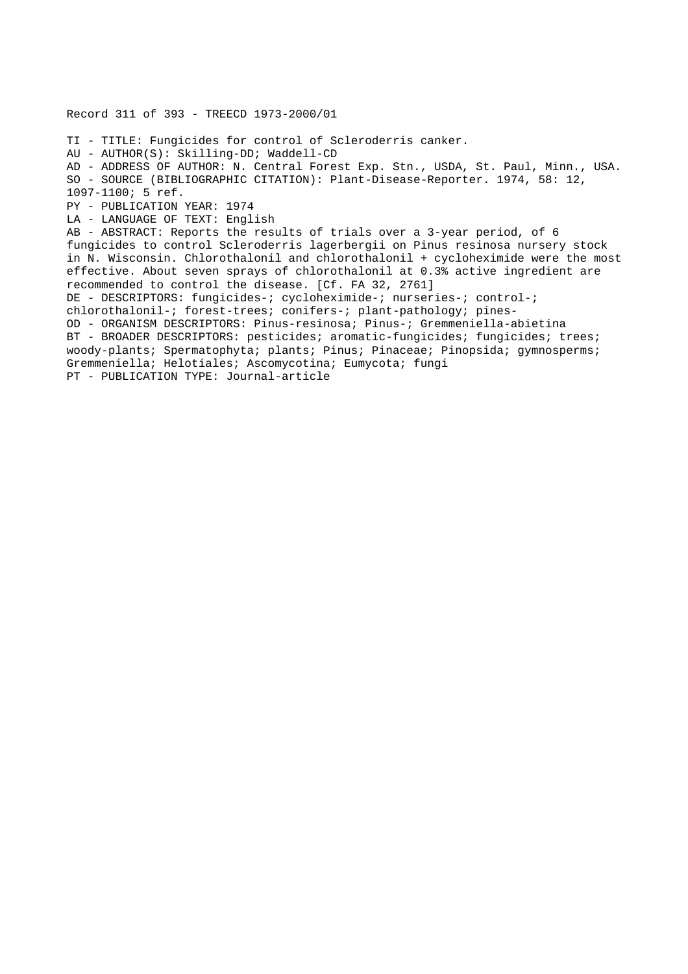Record 311 of 393 - TREECD 1973-2000/01 TI - TITLE: Fungicides for control of Scleroderris canker. AU - AUTHOR(S): Skilling-DD; Waddell-CD AD - ADDRESS OF AUTHOR: N. Central Forest Exp. Stn., USDA, St. Paul, Minn., USA. SO - SOURCE (BIBLIOGRAPHIC CITATION): Plant-Disease-Reporter. 1974, 58: 12, 1097-1100; 5 ref. PY - PUBLICATION YEAR: 1974 LA - LANGUAGE OF TEXT: English AB - ABSTRACT: Reports the results of trials over a 3-year period, of 6 fungicides to control Scleroderris lagerbergii on Pinus resinosa nursery stock in N. Wisconsin. Chlorothalonil and chlorothalonil + cycloheximide were the most effective. About seven sprays of chlorothalonil at 0.3% active ingredient are recommended to control the disease. [Cf. FA 32, 2761] DE - DESCRIPTORS: fungicides-; cycloheximide-; nurseries-; control-; chlorothalonil-; forest-trees; conifers-; plant-pathology; pines-OD - ORGANISM DESCRIPTORS: Pinus-resinosa; Pinus-; Gremmeniella-abietina BT - BROADER DESCRIPTORS: pesticides; aromatic-fungicides; fungicides; trees; woody-plants; Spermatophyta; plants; Pinus; Pinaceae; Pinopsida; gymnosperms; Gremmeniella; Helotiales; Ascomycotina; Eumycota; fungi PT - PUBLICATION TYPE: Journal-article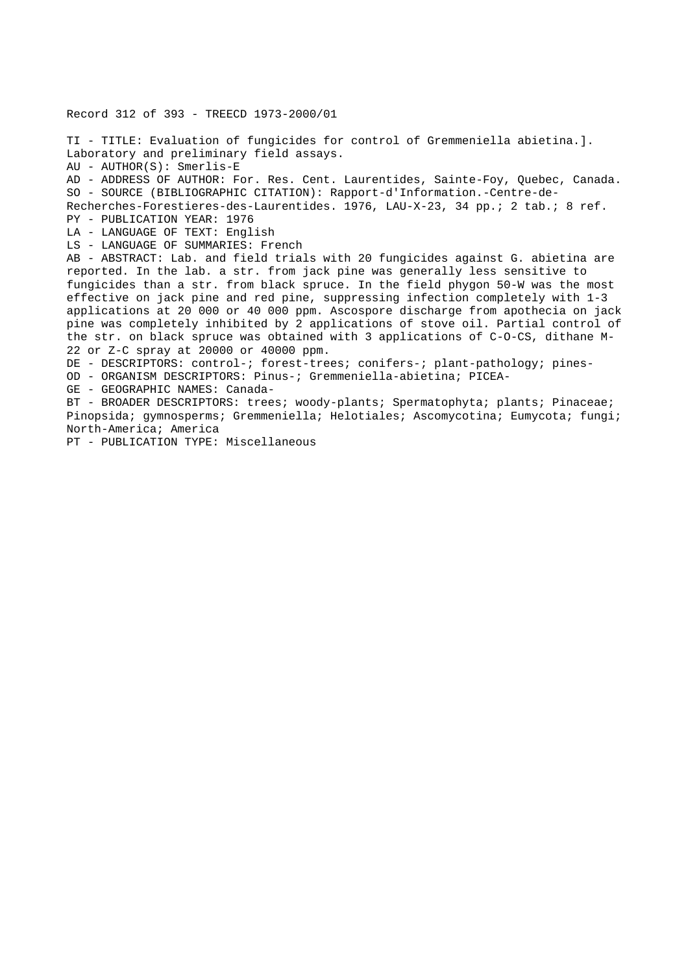Record 312 of 393 - TREECD 1973-2000/01

TI - TITLE: Evaluation of fungicides for control of Gremmeniella abietina.]. Laboratory and preliminary field assays. AU - AUTHOR(S): Smerlis-E AD - ADDRESS OF AUTHOR: For. Res. Cent. Laurentides, Sainte-Foy, Quebec, Canada. SO - SOURCE (BIBLIOGRAPHIC CITATION): Rapport-d'Information.-Centre-de-Recherches-Forestieres-des-Laurentides. 1976, LAU-X-23, 34 pp.; 2 tab.; 8 ref. PY - PUBLICATION YEAR: 1976 LA - LANGUAGE OF TEXT: English LS - LANGUAGE OF SUMMARIES: French AB - ABSTRACT: Lab. and field trials with 20 fungicides against G. abietina are reported. In the lab. a str. from jack pine was generally less sensitive to fungicides than a str. from black spruce. In the field phygon 50-W was the most effective on jack pine and red pine, suppressing infection completely with 1-3 applications at 20 000 or 40 000 ppm. Ascospore discharge from apothecia on jack pine was completely inhibited by 2 applications of stove oil. Partial control of the str. on black spruce was obtained with 3 applications of C-O-CS, dithane M-22 or Z-C spray at 20000 or 40000 ppm. DE - DESCRIPTORS: control-; forest-trees; conifers-; plant-pathology; pines-OD - ORGANISM DESCRIPTORS: Pinus-; Gremmeniella-abietina; PICEA-GE - GEOGRAPHIC NAMES: Canada-BT - BROADER DESCRIPTORS: trees; woody-plants; Spermatophyta; plants; Pinaceae; Pinopsida; gymnosperms; Gremmeniella; Helotiales; Ascomycotina; Eumycota; fungi; North-America; America

PT - PUBLICATION TYPE: Miscellaneous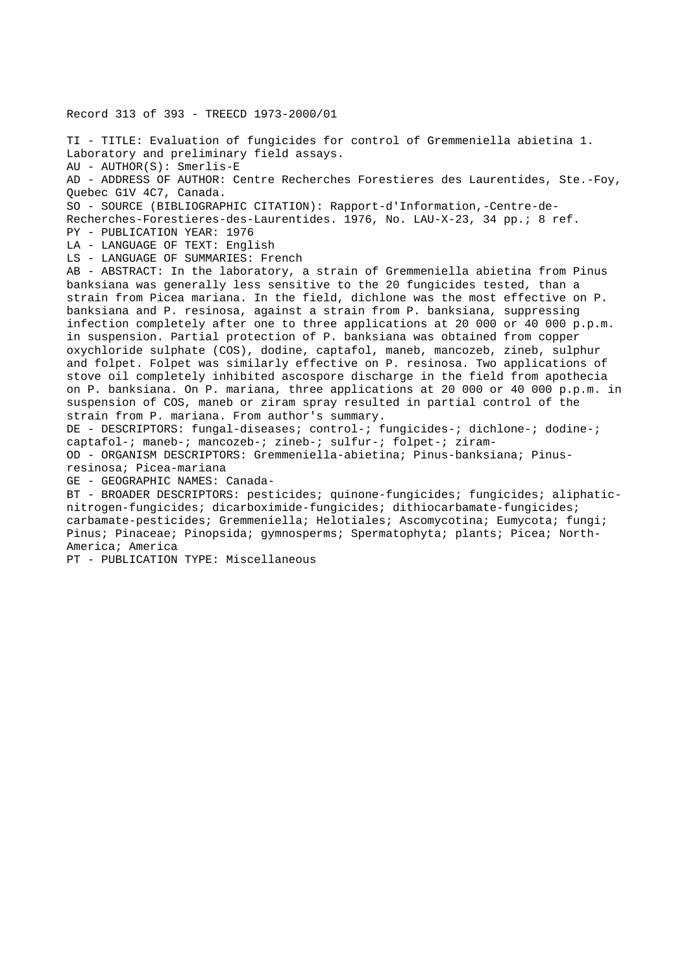Record 313 of 393 - TREECD 1973-2000/01

TI - TITLE: Evaluation of fungicides for control of Gremmeniella abietina 1. Laboratory and preliminary field assays. AU - AUTHOR(S): Smerlis-E AD - ADDRESS OF AUTHOR: Centre Recherches Forestieres des Laurentides, Ste.-Foy, Quebec G1V 4C7, Canada. SO - SOURCE (BIBLIOGRAPHIC CITATION): Rapport-d'Information,-Centre-de-Recherches-Forestieres-des-Laurentides. 1976, No. LAU-X-23, 34 pp.; 8 ref. PY - PUBLICATION YEAR: 1976 LA - LANGUAGE OF TEXT: English LS - LANGUAGE OF SUMMARIES: French AB - ABSTRACT: In the laboratory, a strain of Gremmeniella abietina from Pinus banksiana was generally less sensitive to the 20 fungicides tested, than a strain from Picea mariana. In the field, dichlone was the most effective on P. banksiana and P. resinosa, against a strain from P. banksiana, suppressing infection completely after one to three applications at 20 000 or 40 000 p.p.m. in suspension. Partial protection of P. banksiana was obtained from copper oxychloride sulphate (COS), dodine, captafol, maneb, mancozeb, zineb, sulphur and folpet. Folpet was similarly effective on P. resinosa. Two applications of stove oil completely inhibited ascospore discharge in the field from apothecia on P. banksiana. On P. mariana, three applications at 20 000 or 40 000 p.p.m. in suspension of COS, maneb or ziram spray resulted in partial control of the strain from P. mariana. From author's summary. DE - DESCRIPTORS: fungal-diseases; control-; fungicides-; dichlone-; dodine-; captafol-; maneb-; mancozeb-; zineb-; sulfur-; folpet-; ziram-OD - ORGANISM DESCRIPTORS: Gremmeniella-abietina; Pinus-banksiana; Pinusresinosa; Picea-mariana GE - GEOGRAPHIC NAMES: Canada-BT - BROADER DESCRIPTORS: pesticides; quinone-fungicides; fungicides; aliphaticnitrogen-fungicides; dicarboximide-fungicides; dithiocarbamate-fungicides; carbamate-pesticides; Gremmeniella; Helotiales; Ascomycotina; Eumycota; fungi; Pinus; Pinaceae; Pinopsida; gymnosperms; Spermatophyta; plants; Picea; North-America; America

PT - PUBLICATION TYPE: Miscellaneous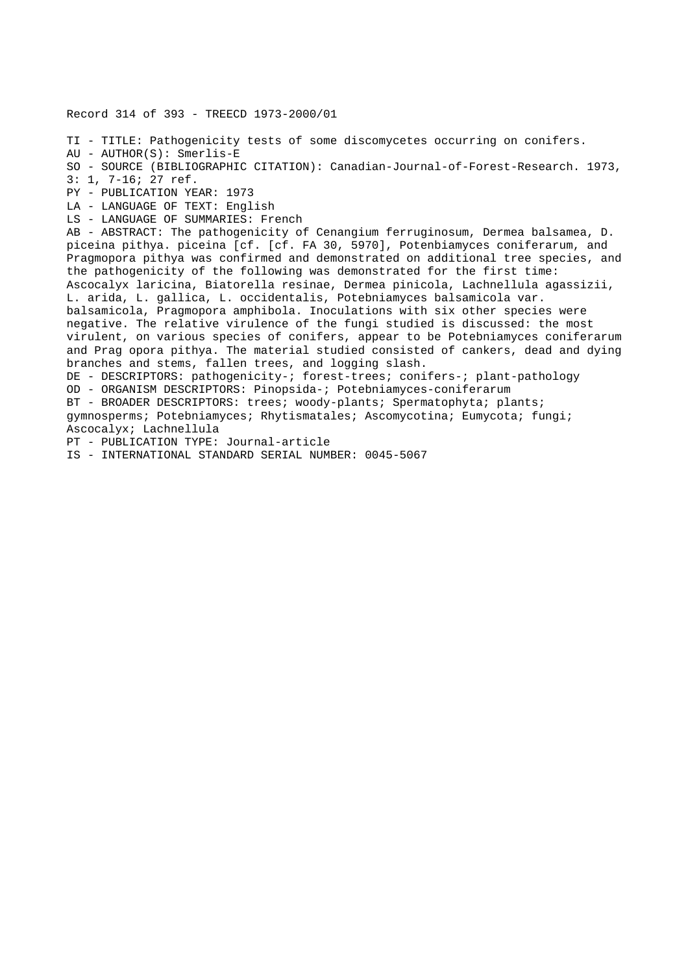Record 314 of 393 - TREECD 1973-2000/01 TI - TITLE: Pathogenicity tests of some discomycetes occurring on conifers. AU - AUTHOR(S): Smerlis-E SO - SOURCE (BIBLIOGRAPHIC CITATION): Canadian-Journal-of-Forest-Research. 1973, 3: 1, 7-16; 27 ref. PY - PUBLICATION YEAR: 1973 LA - LANGUAGE OF TEXT: English LS - LANGUAGE OF SUMMARIES: French AB - ABSTRACT: The pathogenicity of Cenangium ferruginosum, Dermea balsamea, D. piceina pithya. piceina [cf. [cf. FA 30, 5970], Potenbiamyces coniferarum, and Pragmopora pithya was confirmed and demonstrated on additional tree species, and the pathogenicity of the following was demonstrated for the first time: Ascocalyx laricina, Biatorella resinae, Dermea pinicola, Lachnellula agassizii, L. arida, L. gallica, L. occidentalis, Potebniamyces balsamicola var. balsamicola, Pragmopora amphibola. Inoculations with six other species were negative. The relative virulence of the fungi studied is discussed: the most virulent, on various species of conifers, appear to be Potebniamyces coniferarum and Prag opora pithya. The material studied consisted of cankers, dead and dying branches and stems, fallen trees, and logging slash. DE - DESCRIPTORS: pathogenicity-; forest-trees; conifers-; plant-pathology OD - ORGANISM DESCRIPTORS: Pinopsida-; Potebniamyces-coniferarum BT - BROADER DESCRIPTORS: trees; woody-plants; Spermatophyta; plants; gymnosperms; Potebniamyces; Rhytismatales; Ascomycotina; Eumycota; fungi; Ascocalyx; Lachnellula PT - PUBLICATION TYPE: Journal-article IS - INTERNATIONAL STANDARD SERIAL NUMBER: 0045-5067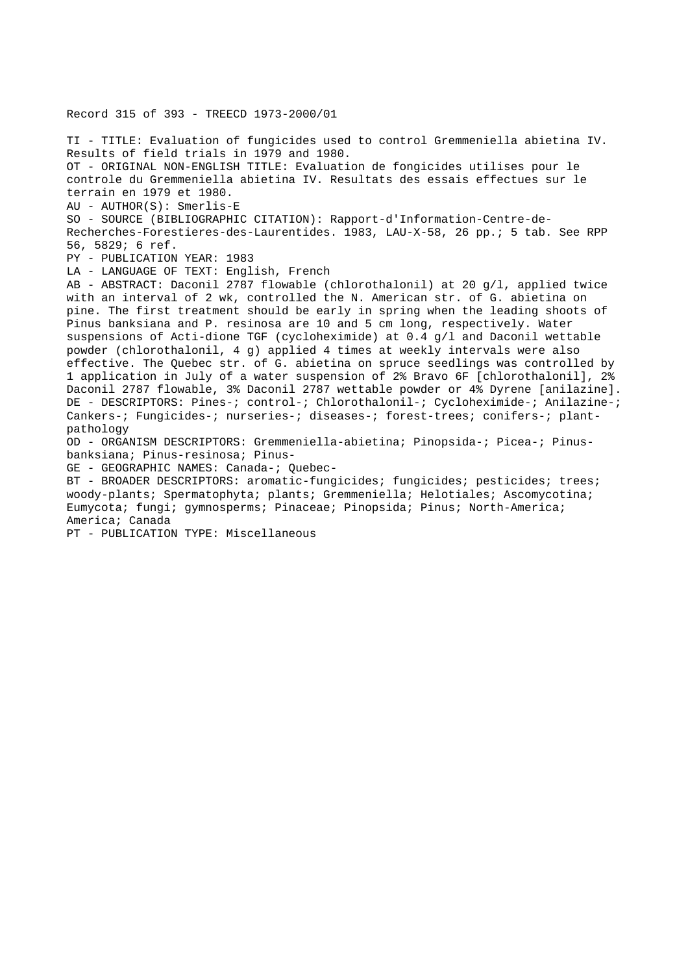Record 315 of 393 - TREECD 1973-2000/01 TI - TITLE: Evaluation of fungicides used to control Gremmeniella abietina IV. Results of field trials in 1979 and 1980. OT - ORIGINAL NON-ENGLISH TITLE: Evaluation de fongicides utilises pour le controle du Gremmeniella abietina IV. Resultats des essais effectues sur le terrain en 1979 et 1980. AU - AUTHOR(S): Smerlis-E SO - SOURCE (BIBLIOGRAPHIC CITATION): Rapport-d'Information-Centre-de-Recherches-Forestieres-des-Laurentides. 1983, LAU-X-58, 26 pp.; 5 tab. See RPP 56, 5829; 6 ref. PY - PUBLICATION YEAR: 1983 LA - LANGUAGE OF TEXT: English, French AB - ABSTRACT: Daconil 2787 flowable (chlorothalonil) at 20 g/l, applied twice with an interval of 2 wk, controlled the N. American str. of G. abietina on pine. The first treatment should be early in spring when the leading shoots of Pinus banksiana and P. resinosa are 10 and 5 cm long, respectively. Water suspensions of Acti-dione TGF (cycloheximide) at 0.4 g/l and Daconil wettable powder (chlorothalonil, 4 g) applied 4 times at weekly intervals were also effective. The Quebec str. of G. abietina on spruce seedlings was controlled by 1 application in July of a water suspension of 2% Bravo 6F [chlorothalonil], 2% Daconil 2787 flowable, 3% Daconil 2787 wettable powder or 4% Dyrene [anilazine]. DE - DESCRIPTORS: Pines-; control-; Chlorothalonil-; Cycloheximide-; Anilazine-; Cankers-; Fungicides-; nurseries-; diseases-; forest-trees; conifers-; plantpathology OD - ORGANISM DESCRIPTORS: Gremmeniella-abietina; Pinopsida-; Picea-; Pinusbanksiana; Pinus-resinosa; Pinus-GE - GEOGRAPHIC NAMES: Canada-; Quebec-BT - BROADER DESCRIPTORS: aromatic-fungicides; fungicides; pesticides; trees; woody-plants; Spermatophyta; plants; Gremmeniella; Helotiales; Ascomycotina; Eumycota; fungi; gymnosperms; Pinaceae; Pinopsida; Pinus; North-America; America; Canada PT - PUBLICATION TYPE: Miscellaneous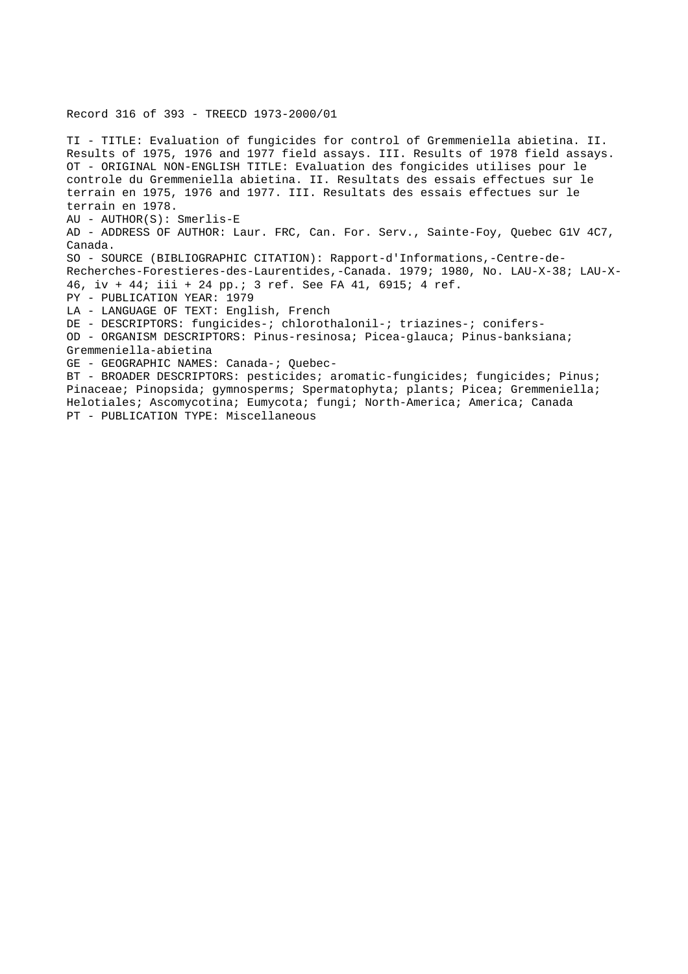Record 316 of 393 - TREECD 1973-2000/01

TI - TITLE: Evaluation of fungicides for control of Gremmeniella abietina. II. Results of 1975, 1976 and 1977 field assays. III. Results of 1978 field assays. OT - ORIGINAL NON-ENGLISH TITLE: Evaluation des fongicides utilises pour le controle du Gremmeniella abietina. II. Resultats des essais effectues sur le terrain en 1975, 1976 and 1977. III. Resultats des essais effectues sur le terrain en 1978. AU - AUTHOR(S): Smerlis-E AD - ADDRESS OF AUTHOR: Laur. FRC, Can. For. Serv., Sainte-Foy, Quebec G1V 4C7, Canada. SO - SOURCE (BIBLIOGRAPHIC CITATION): Rapport-d'Informations,-Centre-de-Recherches-Forestieres-des-Laurentides,-Canada. 1979; 1980, No. LAU-X-38; LAU-X-46, iv + 44; iii + 24 pp.; 3 ref. See FA 41, 6915; 4 ref. PY - PUBLICATION YEAR: 1979 LA - LANGUAGE OF TEXT: English, French DE - DESCRIPTORS: fungicides-; chlorothalonil-; triazines-; conifers-OD - ORGANISM DESCRIPTORS: Pinus-resinosa; Picea-glauca; Pinus-banksiana; Gremmeniella-abietina GE - GEOGRAPHIC NAMES: Canada-; Quebec-BT - BROADER DESCRIPTORS: pesticides; aromatic-fungicides; fungicides; Pinus; Pinaceae; Pinopsida; gymnosperms; Spermatophyta; plants; Picea; Gremmeniella; Helotiales; Ascomycotina; Eumycota; fungi; North-America; America; Canada

PT - PUBLICATION TYPE: Miscellaneous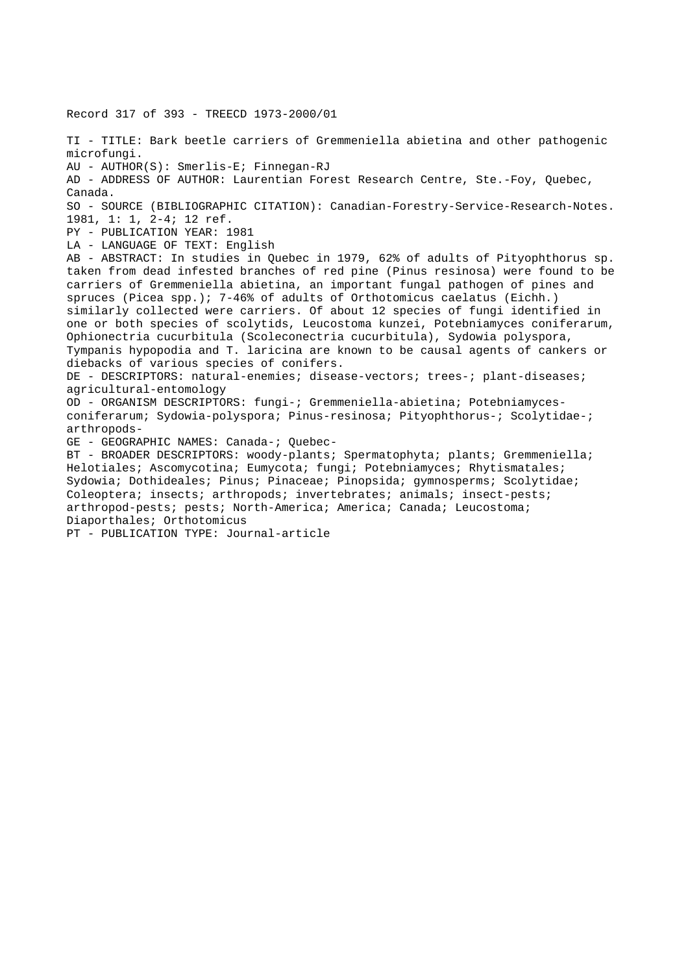Record 317 of 393 - TREECD 1973-2000/01 TI - TITLE: Bark beetle carriers of Gremmeniella abietina and other pathogenic microfungi. AU - AUTHOR(S): Smerlis-E; Finnegan-RJ AD - ADDRESS OF AUTHOR: Laurentian Forest Research Centre, Ste.-Foy, Quebec, Canada. SO - SOURCE (BIBLIOGRAPHIC CITATION): Canadian-Forestry-Service-Research-Notes. 1981, 1: 1, 2-4; 12 ref. PY - PUBLICATION YEAR: 1981 LA - LANGUAGE OF TEXT: English AB - ABSTRACT: In studies in Quebec in 1979, 62% of adults of Pityophthorus sp. taken from dead infested branches of red pine (Pinus resinosa) were found to be carriers of Gremmeniella abietina, an important fungal pathogen of pines and spruces (Picea spp.); 7-46% of adults of Orthotomicus caelatus (Eichh.) similarly collected were carriers. Of about 12 species of fungi identified in one or both species of scolytids, Leucostoma kunzei, Potebniamyces coniferarum, Ophionectria cucurbitula (Scoleconectria cucurbitula), Sydowia polyspora, Tympanis hypopodia and T. laricina are known to be causal agents of cankers or diebacks of various species of conifers. DE - DESCRIPTORS: natural-enemies; disease-vectors; trees-; plant-diseases; agricultural-entomology OD - ORGANISM DESCRIPTORS: fungi-; Gremmeniella-abietina; Potebniamycesconiferarum; Sydowia-polyspora; Pinus-resinosa; Pityophthorus-; Scolytidae-; arthropods-GE - GEOGRAPHIC NAMES: Canada-; Quebec-BT - BROADER DESCRIPTORS: woody-plants; Spermatophyta; plants; Gremmeniella; Helotiales; Ascomycotina; Eumycota; fungi; Potebniamyces; Rhytismatales; Sydowia; Dothideales; Pinus; Pinaceae; Pinopsida; gymnosperms; Scolytidae; Coleoptera; insects; arthropods; invertebrates; animals; insect-pests; arthropod-pests; pests; North-America; America; Canada; Leucostoma; Diaporthales; Orthotomicus PT - PUBLICATION TYPE: Journal-article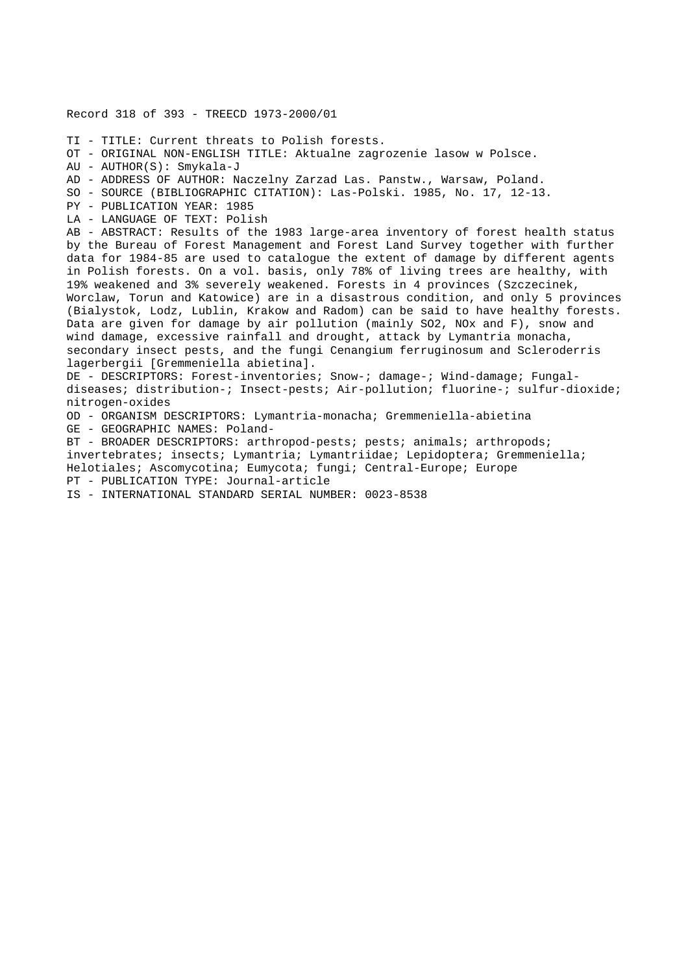Record 318 of 393 - TREECD 1973-2000/01 TI - TITLE: Current threats to Polish forests. OT - ORIGINAL NON-ENGLISH TITLE: Aktualne zagrozenie lasow w Polsce. AU - AUTHOR(S): Smykala-J AD - ADDRESS OF AUTHOR: Naczelny Zarzad Las. Panstw., Warsaw, Poland. SO - SOURCE (BIBLIOGRAPHIC CITATION): Las-Polski. 1985, No. 17, 12-13. PY - PUBLICATION YEAR: 1985 LA - LANGUAGE OF TEXT: Polish AB - ABSTRACT: Results of the 1983 large-area inventory of forest health status by the Bureau of Forest Management and Forest Land Survey together with further data for 1984-85 are used to catalogue the extent of damage by different agents in Polish forests. On a vol. basis, only 78% of living trees are healthy, with 19% weakened and 3% severely weakened. Forests in 4 provinces (Szczecinek, Worclaw, Torun and Katowice) are in a disastrous condition, and only 5 provinces (Bialystok, Lodz, Lublin, Krakow and Radom) can be said to have healthy forests. Data are given for damage by air pollution (mainly SO2, NOx and F), snow and wind damage, excessive rainfall and drought, attack by Lymantria monacha, secondary insect pests, and the fungi Cenangium ferruginosum and Scleroderris lagerbergii [Gremmeniella abietina]. DE - DESCRIPTORS: Forest-inventories; Snow-; damage-; Wind-damage; Fungaldiseases; distribution-; Insect-pests; Air-pollution; fluorine-; sulfur-dioxide; nitrogen-oxides OD - ORGANISM DESCRIPTORS: Lymantria-monacha; Gremmeniella-abietina GE - GEOGRAPHIC NAMES: Poland-BT - BROADER DESCRIPTORS: arthropod-pests; pests; animals; arthropods; invertebrates; insects; Lymantria; Lymantriidae; Lepidoptera; Gremmeniella; Helotiales; Ascomycotina; Eumycota; fungi; Central-Europe; Europe PT - PUBLICATION TYPE: Journal-article

IS - INTERNATIONAL STANDARD SERIAL NUMBER: 0023-8538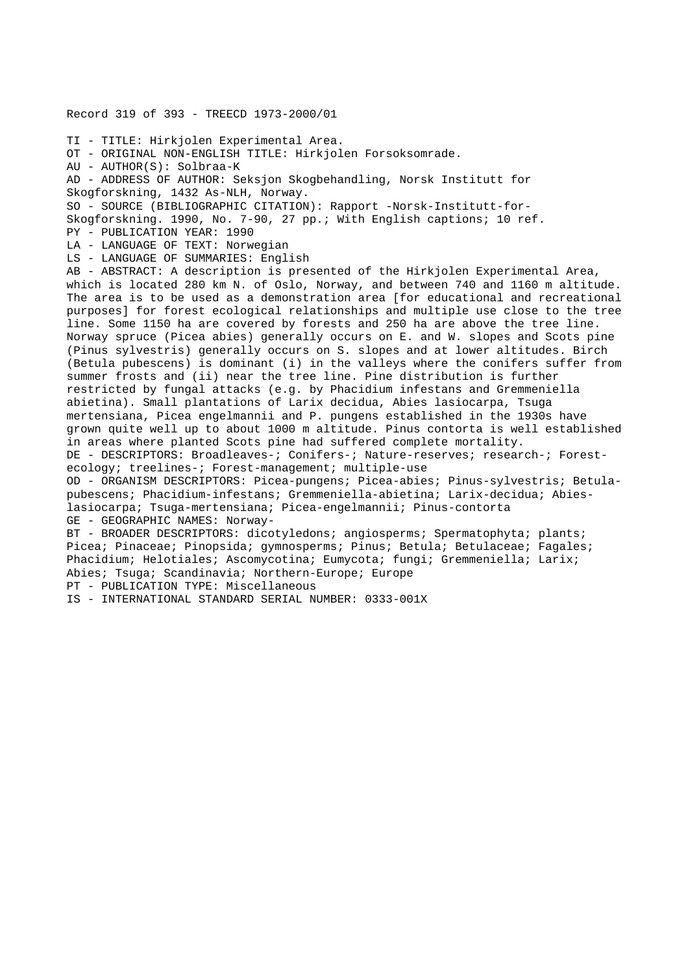Record 319 of 393 - TREECD 1973-2000/01 TI - TITLE: Hirkjolen Experimental Area. OT - ORIGINAL NON-ENGLISH TITLE: Hirkjolen Forsoksomrade. AU - AUTHOR(S): Solbraa-K AD - ADDRESS OF AUTHOR: Seksjon Skogbehandling, Norsk Institutt for Skogforskning, 1432 As-NLH, Norway. SO - SOURCE (BIBLIOGRAPHIC CITATION): Rapport -Norsk-Institutt-for-Skogforskning. 1990, No. 7-90, 27 pp.; With English captions; 10 ref. PY - PUBLICATION YEAR: 1990 LA - LANGUAGE OF TEXT: Norwegian LS - LANGUAGE OF SUMMARIES: English AB - ABSTRACT: A description is presented of the Hirkjolen Experimental Area, which is located 280 km N. of Oslo, Norway, and between 740 and 1160 m altitude. The area is to be used as a demonstration area [for educational and recreational purposes] for forest ecological relationships and multiple use close to the tree line. Some 1150 ha are covered by forests and 250 ha are above the tree line. Norway spruce (Picea abies) generally occurs on E. and W. slopes and Scots pine (Pinus sylvestris) generally occurs on S. slopes and at lower altitudes. Birch (Betula pubescens) is dominant (i) in the valleys where the conifers suffer from summer frosts and (ii) near the tree line. Pine distribution is further restricted by fungal attacks (e.g. by Phacidium infestans and Gremmeniella abietina). Small plantations of Larix decidua, Abies lasiocarpa, Tsuga mertensiana, Picea engelmannii and P. pungens established in the 1930s have grown quite well up to about 1000 m altitude. Pinus contorta is well established in areas where planted Scots pine had suffered complete mortality. DE - DESCRIPTORS: Broadleaves-; Conifers-; Nature-reserves; research-; Forestecology; treelines-; Forest-management; multiple-use OD - ORGANISM DESCRIPTORS: Picea-pungens; Picea-abies; Pinus-sylvestris; Betulapubescens; Phacidium-infestans; Gremmeniella-abietina; Larix-decidua; Abieslasiocarpa; Tsuga-mertensiana; Picea-engelmannii; Pinus-contorta GE - GEOGRAPHIC NAMES: Norway-BT - BROADER DESCRIPTORS: dicotyledons; angiosperms; Spermatophyta; plants; Picea; Pinaceae; Pinopsida; gymnosperms; Pinus; Betula; Betulaceae; Fagales; Phacidium; Helotiales; Ascomycotina; Eumycota; fungi; Gremmeniella; Larix; Abies; Tsuga; Scandinavia; Northern-Europe; Europe PT - PUBLICATION TYPE: Miscellaneous IS - INTERNATIONAL STANDARD SERIAL NUMBER: 0333-001X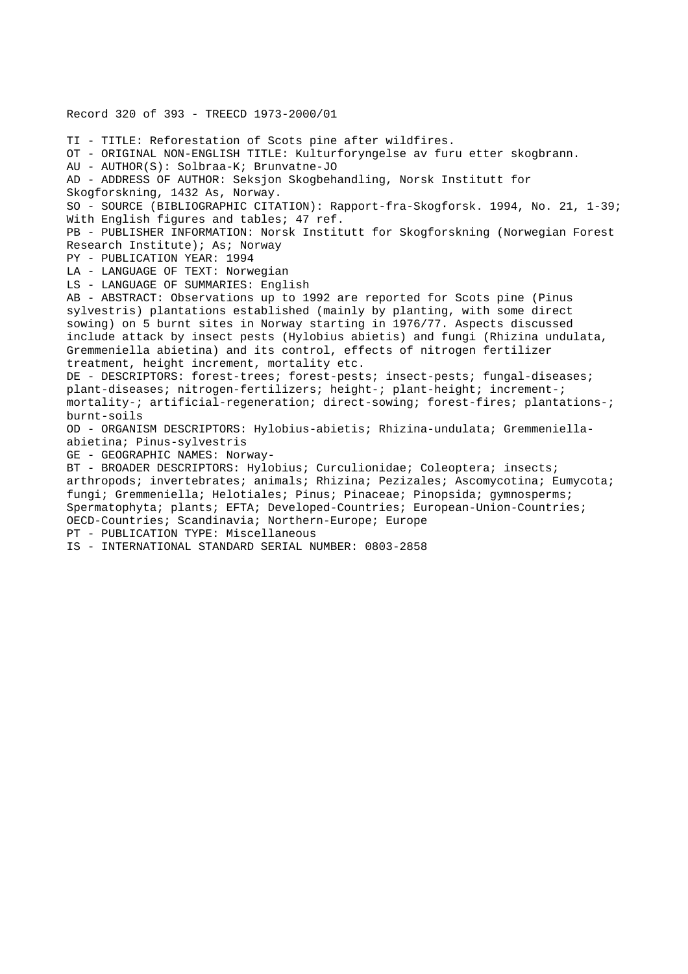Record 320 of 393 - TREECD 1973-2000/01 TI - TITLE: Reforestation of Scots pine after wildfires. OT - ORIGINAL NON-ENGLISH TITLE: Kulturforyngelse av furu etter skogbrann. AU - AUTHOR(S): Solbraa-K; Brunvatne-JO AD - ADDRESS OF AUTHOR: Seksjon Skogbehandling, Norsk Institutt for Skogforskning, 1432 As, Norway. SO - SOURCE (BIBLIOGRAPHIC CITATION): Rapport-fra-Skogforsk. 1994, No. 21, 1-39; With English figures and tables; 47 ref. PB - PUBLISHER INFORMATION: Norsk Institutt for Skogforskning (Norwegian Forest Research Institute); As; Norway PY - PUBLICATION YEAR: 1994 LA - LANGUAGE OF TEXT: Norwegian LS - LANGUAGE OF SUMMARIES: English AB - ABSTRACT: Observations up to 1992 are reported for Scots pine (Pinus sylvestris) plantations established (mainly by planting, with some direct sowing) on 5 burnt sites in Norway starting in 1976/77. Aspects discussed include attack by insect pests (Hylobius abietis) and fungi (Rhizina undulata, Gremmeniella abietina) and its control, effects of nitrogen fertilizer treatment, height increment, mortality etc. DE - DESCRIPTORS: forest-trees; forest-pests; insect-pests; fungal-diseases; plant-diseases; nitrogen-fertilizers; height-; plant-height; increment-; mortality-; artificial-regeneration; direct-sowing; forest-fires; plantations-; burnt-soils OD - ORGANISM DESCRIPTORS: Hylobius-abietis; Rhizina-undulata; Gremmeniellaabietina; Pinus-sylvestris GE - GEOGRAPHIC NAMES: Norway-BT - BROADER DESCRIPTORS: Hylobius; Curculionidae; Coleoptera; insects; arthropods; invertebrates; animals; Rhizina; Pezizales; Ascomycotina; Eumycota; fungi; Gremmeniella; Helotiales; Pinus; Pinaceae; Pinopsida; gymnosperms; Spermatophyta; plants; EFTA; Developed-Countries; European-Union-Countries; OECD-Countries; Scandinavia; Northern-Europe; Europe PT - PUBLICATION TYPE: Miscellaneous

IS - INTERNATIONAL STANDARD SERIAL NUMBER: 0803-2858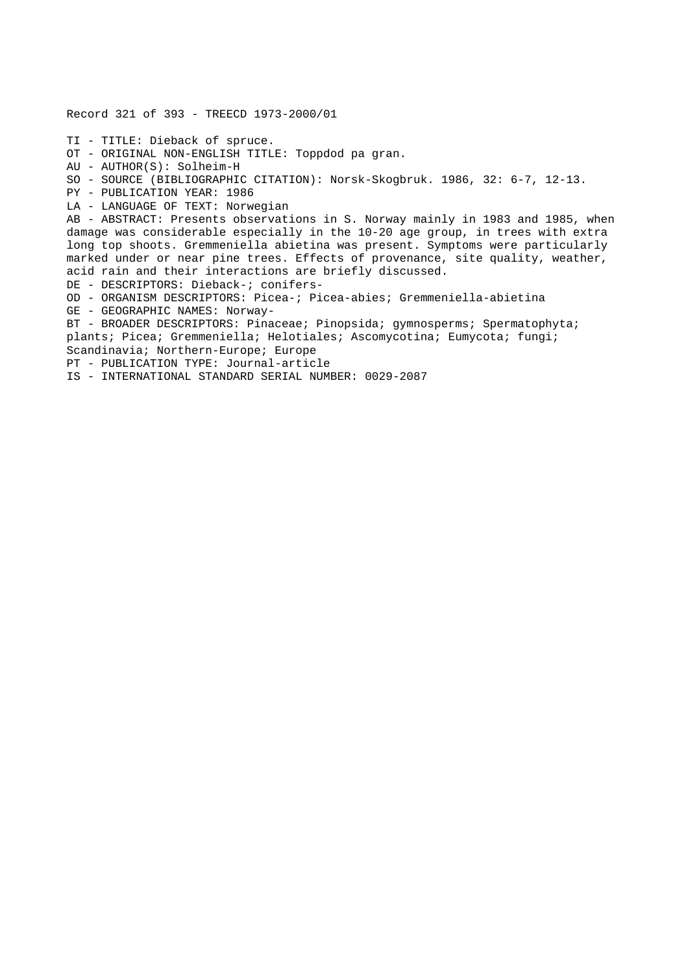Record 321 of 393 - TREECD 1973-2000/01 TI - TITLE: Dieback of spruce. OT - ORIGINAL NON-ENGLISH TITLE: Toppdod pa gran. AU - AUTHOR(S): Solheim-H SO - SOURCE (BIBLIOGRAPHIC CITATION): Norsk-Skogbruk. 1986, 32: 6-7, 12-13. PY - PUBLICATION YEAR: 1986 LA - LANGUAGE OF TEXT: Norwegian AB - ABSTRACT: Presents observations in S. Norway mainly in 1983 and 1985, when damage was considerable especially in the 10-20 age group, in trees with extra long top shoots. Gremmeniella abietina was present. Symptoms were particularly marked under or near pine trees. Effects of provenance, site quality, weather, acid rain and their interactions are briefly discussed. DE - DESCRIPTORS: Dieback-; conifers-OD - ORGANISM DESCRIPTORS: Picea-; Picea-abies; Gremmeniella-abietina GE - GEOGRAPHIC NAMES: Norway-BT - BROADER DESCRIPTORS: Pinaceae; Pinopsida; gymnosperms; Spermatophyta; plants; Picea; Gremmeniella; Helotiales; Ascomycotina; Eumycota; fungi; Scandinavia; Northern-Europe; Europe PT - PUBLICATION TYPE: Journal-article IS - INTERNATIONAL STANDARD SERIAL NUMBER: 0029-2087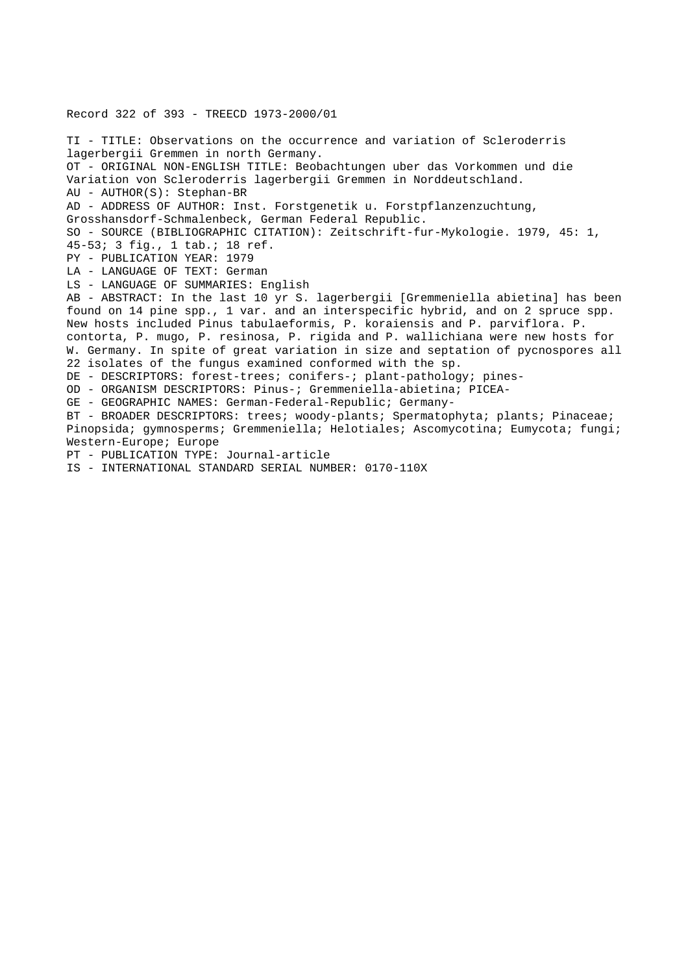Record 322 of 393 - TREECD 1973-2000/01 TI - TITLE: Observations on the occurrence and variation of Scleroderris lagerbergii Gremmen in north Germany. OT - ORIGINAL NON-ENGLISH TITLE: Beobachtungen uber das Vorkommen und die Variation von Scleroderris lagerbergii Gremmen in Norddeutschland. AU - AUTHOR(S): Stephan-BR AD - ADDRESS OF AUTHOR: Inst. Forstgenetik u. Forstpflanzenzuchtung, Grosshansdorf-Schmalenbeck, German Federal Republic. SO - SOURCE (BIBLIOGRAPHIC CITATION): Zeitschrift-fur-Mykologie. 1979, 45: 1, 45-53; 3 fig., 1 tab.; 18 ref. PY - PUBLICATION YEAR: 1979 LA - LANGUAGE OF TEXT: German LS - LANGUAGE OF SUMMARIES: English AB - ABSTRACT: In the last 10 yr S. lagerbergii [Gremmeniella abietina] has been found on 14 pine spp., 1 var. and an interspecific hybrid, and on 2 spruce spp. New hosts included Pinus tabulaeformis, P. koraiensis and P. parviflora. P. contorta, P. mugo, P. resinosa, P. rigida and P. wallichiana were new hosts for W. Germany. In spite of great variation in size and septation of pycnospores all 22 isolates of the fungus examined conformed with the sp. DE - DESCRIPTORS: forest-trees; conifers-; plant-pathology; pines-OD - ORGANISM DESCRIPTORS: Pinus-; Gremmeniella-abietina; PICEA-GE - GEOGRAPHIC NAMES: German-Federal-Republic; Germany-BT - BROADER DESCRIPTORS: trees; woody-plants; Spermatophyta; plants; Pinaceae; Pinopsida; gymnosperms; Gremmeniella; Helotiales; Ascomycotina; Eumycota; fungi; Western-Europe; Europe PT - PUBLICATION TYPE: Journal-article IS - INTERNATIONAL STANDARD SERIAL NUMBER: 0170-110X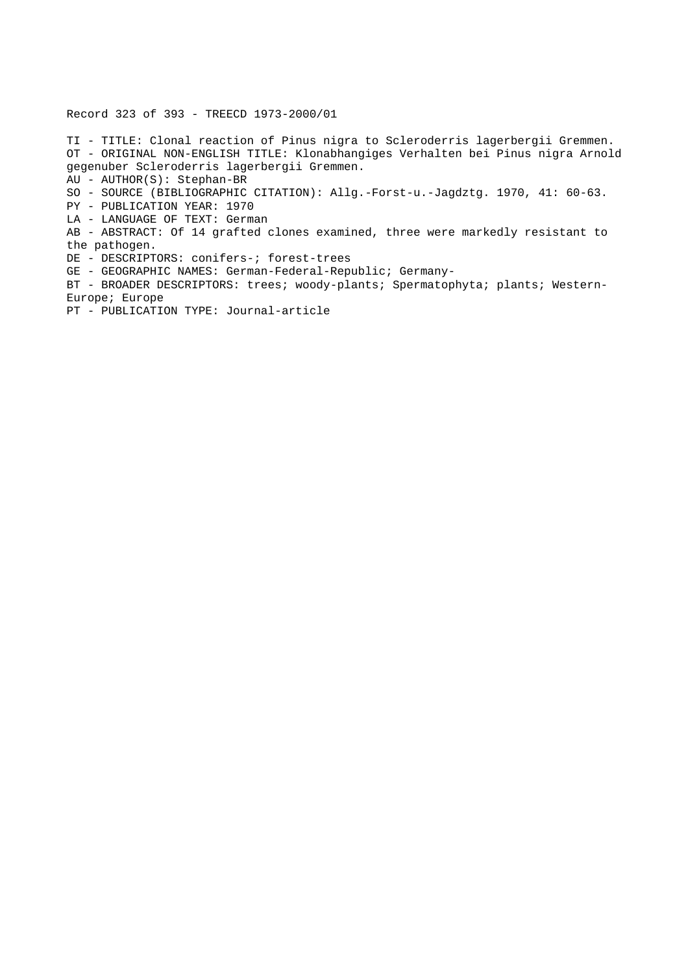Record 323 of 393 - TREECD 1973-2000/01

TI - TITLE: Clonal reaction of Pinus nigra to Scleroderris lagerbergii Gremmen. OT - ORIGINAL NON-ENGLISH TITLE: Klonabhangiges Verhalten bei Pinus nigra Arnold gegenuber Scleroderris lagerbergii Gremmen.

AU - AUTHOR(S): Stephan-BR

SO - SOURCE (BIBLIOGRAPHIC CITATION): Allg.-Forst-u.-Jagdztg. 1970, 41: 60-63.

PY - PUBLICATION YEAR: 1970

LA - LANGUAGE OF TEXT: German

AB - ABSTRACT: Of 14 grafted clones examined, three were markedly resistant to the pathogen.

DE - DESCRIPTORS: conifers-; forest-trees

GE - GEOGRAPHIC NAMES: German-Federal-Republic; Germany-

BT - BROADER DESCRIPTORS: trees; woody-plants; Spermatophyta; plants; Western-Europe; Europe

PT - PUBLICATION TYPE: Journal-article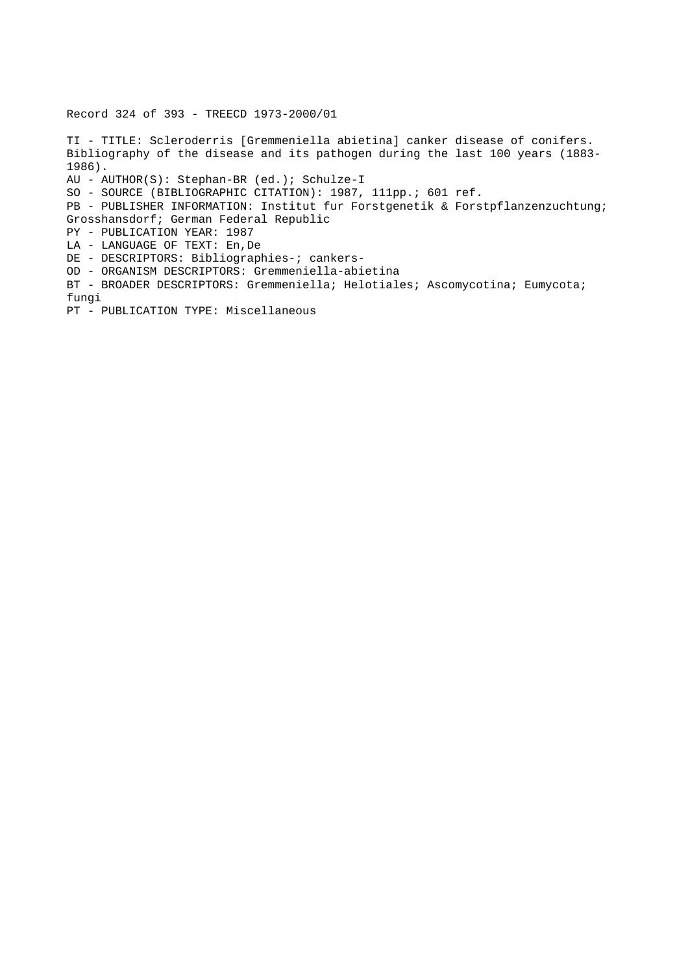Record 324 of 393 - TREECD 1973-2000/01

TI - TITLE: Scleroderris [Gremmeniella abietina] canker disease of conifers. Bibliography of the disease and its pathogen during the last 100 years (1883- 1986). AU - AUTHOR(S): Stephan-BR (ed.); Schulze-I SO - SOURCE (BIBLIOGRAPHIC CITATION): 1987, 111pp.; 601 ref. PB - PUBLISHER INFORMATION: Institut fur Forstgenetik & Forstpflanzenzuchtung; Grosshansdorf; German Federal Republic PY - PUBLICATION YEAR: 1987 LA - LANGUAGE OF TEXT: En,De DE - DESCRIPTORS: Bibliographies-; cankers-OD - ORGANISM DESCRIPTORS: Gremmeniella-abietina BT - BROADER DESCRIPTORS: Gremmeniella; Helotiales; Ascomycotina; Eumycota; fungi PT - PUBLICATION TYPE: Miscellaneous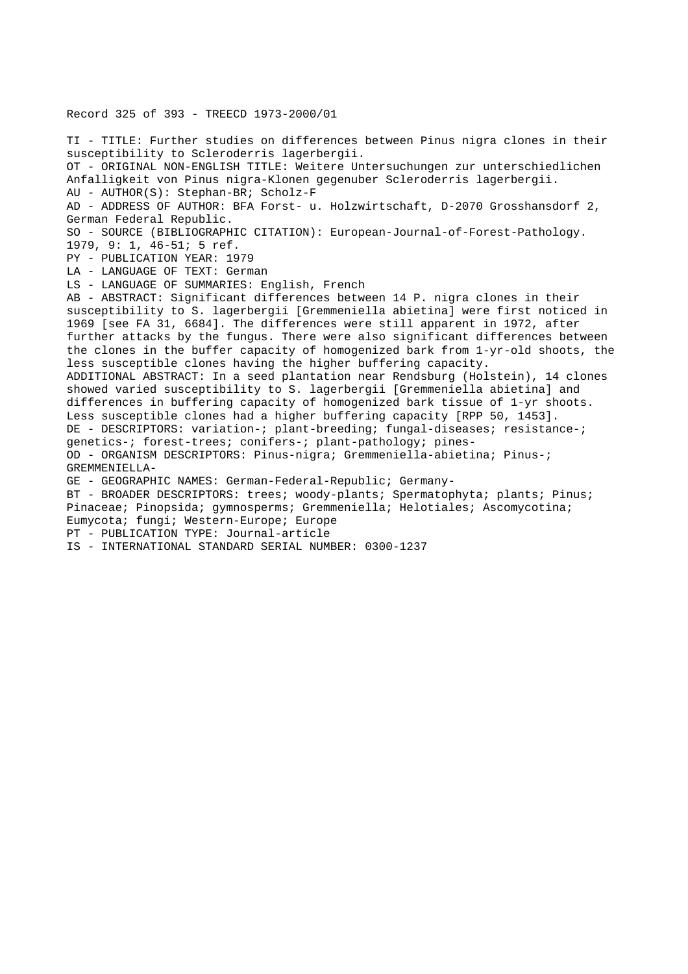Record 325 of 393 - TREECD 1973-2000/01 TI - TITLE: Further studies on differences between Pinus nigra clones in their susceptibility to Scleroderris lagerbergii. OT - ORIGINAL NON-ENGLISH TITLE: Weitere Untersuchungen zur unterschiedlichen Anfalligkeit von Pinus nigra-Klonen gegenuber Scleroderris lagerbergii. AU - AUTHOR(S): Stephan-BR; Scholz-F AD - ADDRESS OF AUTHOR: BFA Forst- u. Holzwirtschaft, D-2070 Grosshansdorf 2, German Federal Republic. SO - SOURCE (BIBLIOGRAPHIC CITATION): European-Journal-of-Forest-Pathology. 1979, 9: 1, 46-51; 5 ref. PY - PUBLICATION YEAR: 1979 LA - LANGUAGE OF TEXT: German LS - LANGUAGE OF SUMMARIES: English, French AB - ABSTRACT: Significant differences between 14 P. nigra clones in their susceptibility to S. lagerbergii [Gremmeniella abietina] were first noticed in 1969 [see FA 31, 6684]. The differences were still apparent in 1972, after further attacks by the fungus. There were also significant differences between the clones in the buffer capacity of homogenized bark from 1-yr-old shoots, the less susceptible clones having the higher buffering capacity. ADDITIONAL ABSTRACT: In a seed plantation near Rendsburg (Holstein), 14 clones showed varied susceptibility to S. lagerbergii [Gremmeniella abietina] and differences in buffering capacity of homogenized bark tissue of 1-yr shoots. Less susceptible clones had a higher buffering capacity [RPP 50, 1453]. DE - DESCRIPTORS: variation-; plant-breeding; fungal-diseases; resistance-; genetics-; forest-trees; conifers-; plant-pathology; pines-OD - ORGANISM DESCRIPTORS: Pinus-nigra; Gremmeniella-abietina; Pinus-; GREMMENIELLA-GE - GEOGRAPHIC NAMES: German-Federal-Republic; Germany-BT - BROADER DESCRIPTORS: trees; woody-plants; Spermatophyta; plants; Pinus; Pinaceae; Pinopsida; gymnosperms; Gremmeniella; Helotiales; Ascomycotina; Eumycota; fungi; Western-Europe; Europe PT - PUBLICATION TYPE: Journal-article IS - INTERNATIONAL STANDARD SERIAL NUMBER: 0300-1237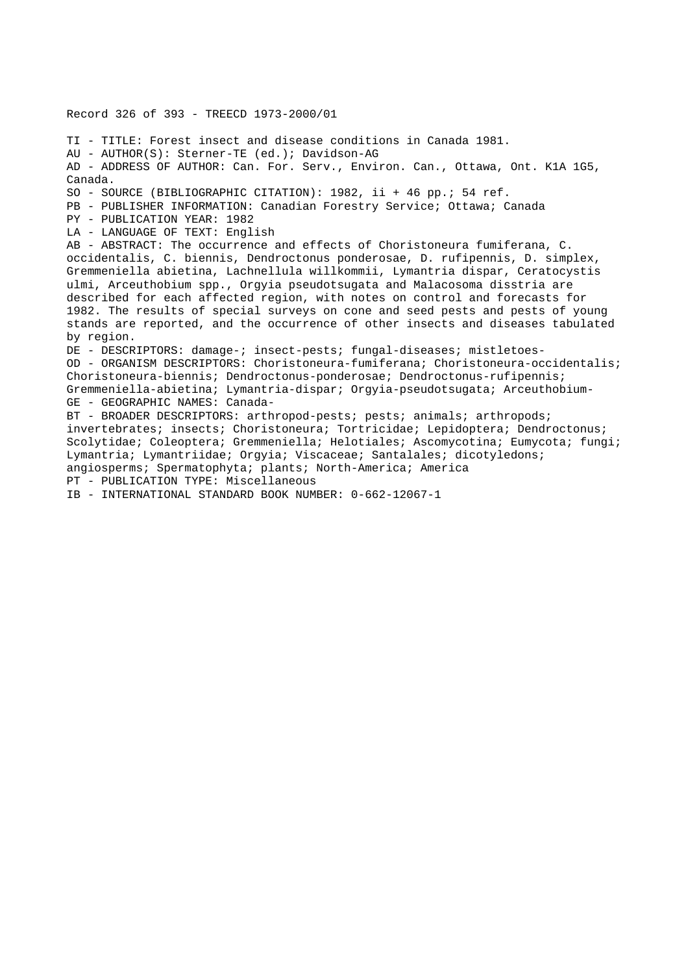Record 326 of 393 - TREECD 1973-2000/01 TI - TITLE: Forest insect and disease conditions in Canada 1981. AU - AUTHOR(S): Sterner-TE (ed.); Davidson-AG AD - ADDRESS OF AUTHOR: Can. For. Serv., Environ. Can., Ottawa, Ont. K1A 1G5, Canada. SO - SOURCE (BIBLIOGRAPHIC CITATION): 1982, ii + 46 pp.; 54 ref. PB - PUBLISHER INFORMATION: Canadian Forestry Service; Ottawa; Canada PY - PUBLICATION YEAR: 1982 LA - LANGUAGE OF TEXT: English AB - ABSTRACT: The occurrence and effects of Choristoneura fumiferana, C. occidentalis, C. biennis, Dendroctonus ponderosae, D. rufipennis, D. simplex, Gremmeniella abietina, Lachnellula willkommii, Lymantria dispar, Ceratocystis ulmi, Arceuthobium spp., Orgyia pseudotsugata and Malacosoma disstria are described for each affected region, with notes on control and forecasts for 1982. The results of special surveys on cone and seed pests and pests of young stands are reported, and the occurrence of other insects and diseases tabulated by region. DE - DESCRIPTORS: damage-; insect-pests; fungal-diseases; mistletoes-OD - ORGANISM DESCRIPTORS: Choristoneura-fumiferana; Choristoneura-occidentalis; Choristoneura-biennis; Dendroctonus-ponderosae; Dendroctonus-rufipennis; Gremmeniella-abietina; Lymantria-dispar; Orgyia-pseudotsugata; Arceuthobium-GE - GEOGRAPHIC NAMES: Canada-BT - BROADER DESCRIPTORS: arthropod-pests; pests; animals; arthropods; invertebrates; insects; Choristoneura; Tortricidae; Lepidoptera; Dendroctonus; Scolytidae; Coleoptera; Gremmeniella; Helotiales; Ascomycotina; Eumycota; fungi; Lymantria; Lymantriidae; Orgyia; Viscaceae; Santalales; dicotyledons; angiosperms; Spermatophyta; plants; North-America; America PT - PUBLICATION TYPE: Miscellaneous IB - INTERNATIONAL STANDARD BOOK NUMBER: 0-662-12067-1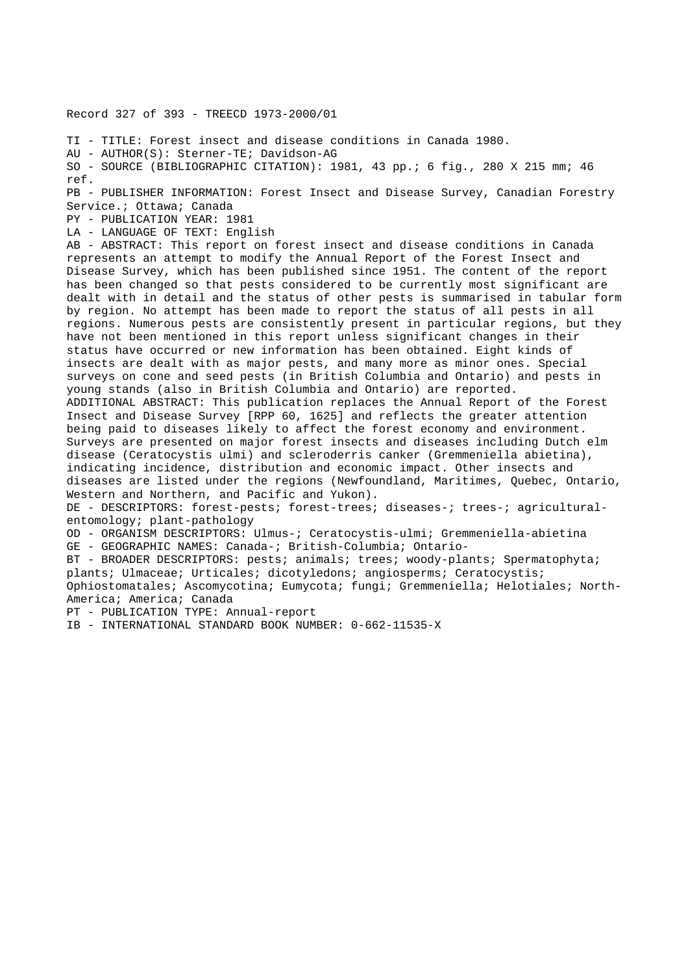Record 327 of 393 - TREECD 1973-2000/01

TI - TITLE: Forest insect and disease conditions in Canada 1980.

AU - AUTHOR(S): Sterner-TE; Davidson-AG

SO - SOURCE (BIBLIOGRAPHIC CITATION): 1981, 43 pp.; 6 fig., 280 X 215 mm; 46 ref.

PB - PUBLISHER INFORMATION: Forest Insect and Disease Survey, Canadian Forestry Service.; Ottawa; Canada

PY - PUBLICATION YEAR: 1981

LA - LANGUAGE OF TEXT: English

AB - ABSTRACT: This report on forest insect and disease conditions in Canada represents an attempt to modify the Annual Report of the Forest Insect and Disease Survey, which has been published since 1951. The content of the report has been changed so that pests considered to be currently most significant are dealt with in detail and the status of other pests is summarised in tabular form by region. No attempt has been made to report the status of all pests in all regions. Numerous pests are consistently present in particular regions, but they have not been mentioned in this report unless significant changes in their status have occurred or new information has been obtained. Eight kinds of insects are dealt with as major pests, and many more as minor ones. Special surveys on cone and seed pests (in British Columbia and Ontario) and pests in young stands (also in British Columbia and Ontario) are reported. ADDITIONAL ABSTRACT: This publication replaces the Annual Report of the Forest Insect and Disease Survey [RPP 60, 1625] and reflects the greater attention being paid to diseases likely to affect the forest economy and environment. Surveys are presented on major forest insects and diseases including Dutch elm disease (Ceratocystis ulmi) and scleroderris canker (Gremmeniella abietina), indicating incidence, distribution and economic impact. Other insects and diseases are listed under the regions (Newfoundland, Maritimes, Quebec, Ontario,

Western and Northern, and Pacific and Yukon).

DE - DESCRIPTORS: forest-pests; forest-trees; diseases-; trees-; agriculturalentomology; plant-pathology

OD - ORGANISM DESCRIPTORS: Ulmus-; Ceratocystis-ulmi; Gremmeniella-abietina GE - GEOGRAPHIC NAMES: Canada-; British-Columbia; Ontario-

BT - BROADER DESCRIPTORS: pests; animals; trees; woody-plants; Spermatophyta; plants; Ulmaceae; Urticales; dicotyledons; angiosperms; Ceratocystis; Ophiostomatales; Ascomycotina; Eumycota; fungi; Gremmeniella; Helotiales; North-America; America; Canada

PT - PUBLICATION TYPE: Annual-report

IB - INTERNATIONAL STANDARD BOOK NUMBER: 0-662-11535-X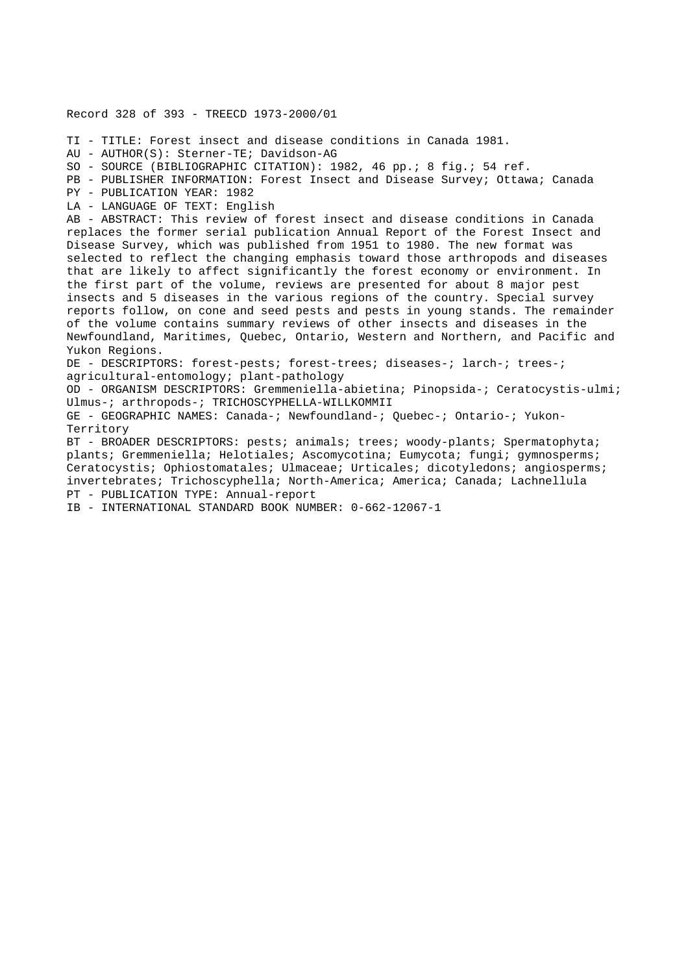Record 328 of 393 - TREECD 1973-2000/01 TI - TITLE: Forest insect and disease conditions in Canada 1981. AU - AUTHOR(S): Sterner-TE; Davidson-AG SO - SOURCE (BIBLIOGRAPHIC CITATION): 1982, 46 pp.; 8 fig.; 54 ref. PB - PUBLISHER INFORMATION: Forest Insect and Disease Survey; Ottawa; Canada PY - PUBLICATION YEAR: 1982 LA - LANGUAGE OF TEXT: English AB - ABSTRACT: This review of forest insect and disease conditions in Canada replaces the former serial publication Annual Report of the Forest Insect and Disease Survey, which was published from 1951 to 1980. The new format was selected to reflect the changing emphasis toward those arthropods and diseases that are likely to affect significantly the forest economy or environment. In the first part of the volume, reviews are presented for about 8 major pest insects and 5 diseases in the various regions of the country. Special survey reports follow, on cone and seed pests and pests in young stands. The remainder of the volume contains summary reviews of other insects and diseases in the Newfoundland, Maritimes, Quebec, Ontario, Western and Northern, and Pacific and Yukon Regions. DE - DESCRIPTORS: forest-pests; forest-trees; diseases-; larch-; trees-; agricultural-entomology; plant-pathology OD - ORGANISM DESCRIPTORS: Gremmeniella-abietina; Pinopsida-; Ceratocystis-ulmi; Ulmus-; arthropods-; TRICHOSCYPHELLA-WILLKOMMII GE - GEOGRAPHIC NAMES: Canada-; Newfoundland-; Quebec-; Ontario-; Yukon-Territory BT - BROADER DESCRIPTORS: pests; animals; trees; woody-plants; Spermatophyta; plants; Gremmeniella; Helotiales; Ascomycotina; Eumycota; fungi; gymnosperms;

Ceratocystis; Ophiostomatales; Ulmaceae; Urticales; dicotyledons; angiosperms; invertebrates; Trichoscyphella; North-America; America; Canada; Lachnellula PT - PUBLICATION TYPE: Annual-report

IB - INTERNATIONAL STANDARD BOOK NUMBER: 0-662-12067-1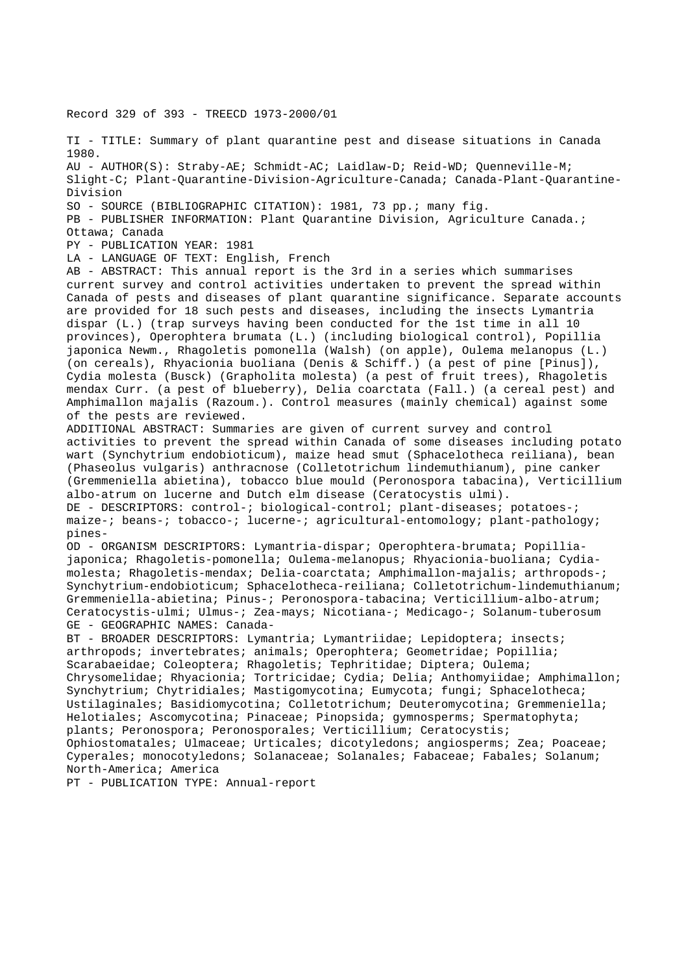Record 329 of 393 - TREECD 1973-2000/01

TI - TITLE: Summary of plant quarantine pest and disease situations in Canada 1980. AU - AUTHOR(S): Straby-AE; Schmidt-AC; Laidlaw-D; Reid-WD; Quenneville-M; Slight-C; Plant-Quarantine-Division-Agriculture-Canada; Canada-Plant-Quarantine-Division SO - SOURCE (BIBLIOGRAPHIC CITATION): 1981, 73 pp.; many fig. PB - PUBLISHER INFORMATION: Plant Quarantine Division, Agriculture Canada.; Ottawa; Canada PY - PUBLICATION YEAR: 1981 LA - LANGUAGE OF TEXT: English, French AB - ABSTRACT: This annual report is the 3rd in a series which summarises current survey and control activities undertaken to prevent the spread within Canada of pests and diseases of plant quarantine significance. Separate accounts are provided for 18 such pests and diseases, including the insects Lymantria dispar (L.) (trap surveys having been conducted for the 1st time in all 10 provinces), Operophtera brumata (L.) (including biological control), Popillia japonica Newm., Rhagoletis pomonella (Walsh) (on apple), Oulema melanopus (L.) (on cereals), Rhyacionia buoliana (Denis & Schiff.) (a pest of pine [Pinus]), Cydia molesta (Busck) (Grapholita molesta) (a pest of fruit trees), Rhagoletis mendax Curr. (a pest of blueberry), Delia coarctata (Fall.) (a cereal pest) and Amphimallon majalis (Razoum.). Control measures (mainly chemical) against some of the pests are reviewed. ADDITIONAL ABSTRACT: Summaries are given of current survey and control activities to prevent the spread within Canada of some diseases including potato wart (Synchytrium endobioticum), maize head smut (Sphacelotheca reiliana), bean (Phaseolus vulgaris) anthracnose (Colletotrichum lindemuthianum), pine canker (Gremmeniella abietina), tobacco blue mould (Peronospora tabacina), Verticillium albo-atrum on lucerne and Dutch elm disease (Ceratocystis ulmi). DE - DESCRIPTORS: control-; biological-control; plant-diseases; potatoes-; maize-; beans-; tobacco-; lucerne-; agricultural-entomology; plant-pathology; pines-OD - ORGANISM DESCRIPTORS: Lymantria-dispar; Operophtera-brumata; Popilliajaponica; Rhagoletis-pomonella; Oulema-melanopus; Rhyacionia-buoliana; Cydiamolesta; Rhagoletis-mendax; Delia-coarctata; Amphimallon-majalis; arthropods-; Synchytrium-endobioticum; Sphacelotheca-reiliana; Colletotrichum-lindemuthianum; Gremmeniella-abietina; Pinus-; Peronospora-tabacina; Verticillium-albo-atrum; Ceratocystis-ulmi; Ulmus-; Zea-mays; Nicotiana-; Medicago-; Solanum-tuberosum GE - GEOGRAPHIC NAMES: Canada-BT - BROADER DESCRIPTORS: Lymantria; Lymantriidae; Lepidoptera; insects; arthropods; invertebrates; animals; Operophtera; Geometridae; Popillia; Scarabaeidae; Coleoptera; Rhagoletis; Tephritidae; Diptera; Oulema; Chrysomelidae; Rhyacionia; Tortricidae; Cydia; Delia; Anthomyiidae; Amphimallon; Synchytrium; Chytridiales; Mastigomycotina; Eumycota; fungi; Sphacelotheca; Ustilaginales; Basidiomycotina; Colletotrichum; Deuteromycotina; Gremmeniella; Helotiales; Ascomycotina; Pinaceae; Pinopsida; gymnosperms; Spermatophyta; plants; Peronospora; Peronosporales; Verticillium; Ceratocystis; Ophiostomatales; Ulmaceae; Urticales; dicotyledons; angiosperms; Zea; Poaceae; Cyperales; monocotyledons; Solanaceae; Solanales; Fabaceae; Fabales; Solanum; North-America; America PT - PUBLICATION TYPE: Annual-report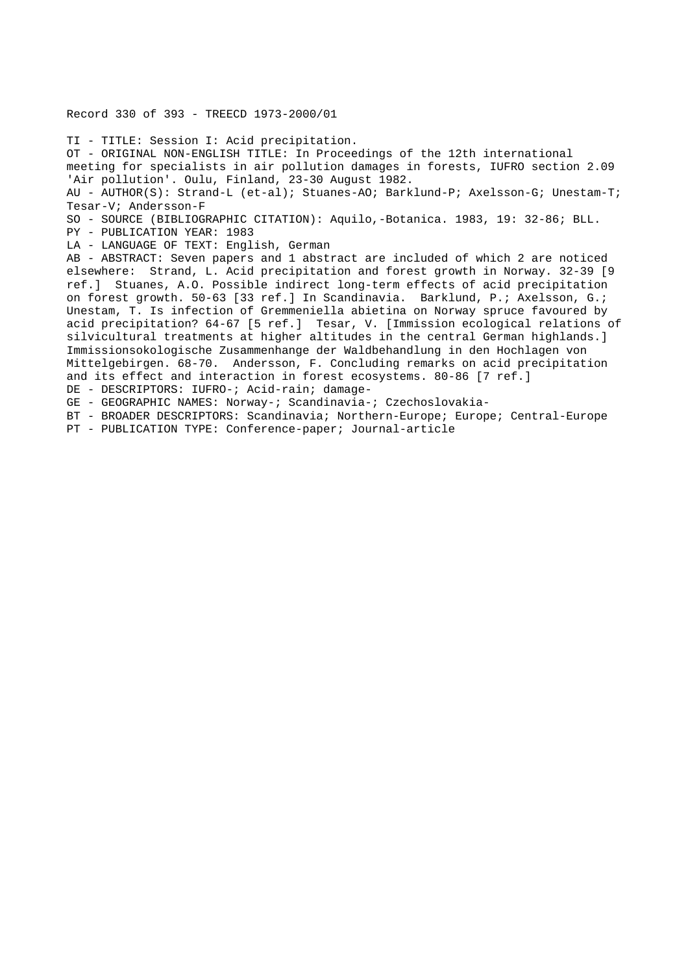### Record 330 of 393 - TREECD 1973-2000/01

TI - TITLE: Session I: Acid precipitation. OT - ORIGINAL NON-ENGLISH TITLE: In Proceedings of the 12th international meeting for specialists in air pollution damages in forests, IUFRO section 2.09 'Air pollution'. Oulu, Finland, 23-30 August 1982. AU - AUTHOR(S): Strand-L (et-al); Stuanes-AO; Barklund-P; Axelsson-G; Unestam-T; Tesar-V; Andersson-F SO - SOURCE (BIBLIOGRAPHIC CITATION): Aquilo,-Botanica. 1983, 19: 32-86; BLL. PY - PUBLICATION YEAR: 1983 LA - LANGUAGE OF TEXT: English, German AB - ABSTRACT: Seven papers and 1 abstract are included of which 2 are noticed elsewhere: Strand, L. Acid precipitation and forest growth in Norway. 32-39 [9 ref.] Stuanes, A.O. Possible indirect long-term effects of acid precipitation on forest growth. 50-63 [33 ref.] In Scandinavia. Barklund, P.; Axelsson, G.; Unestam, T. Is infection of Gremmeniella abietina on Norway spruce favoured by acid precipitation? 64-67 [5 ref.] Tesar, V. [Immission ecological relations of silvicultural treatments at higher altitudes in the central German highlands.] Immissionsokologische Zusammenhange der Waldbehandlung in den Hochlagen von Mittelgebirgen. 68-70. Andersson, F. Concluding remarks on acid precipitation and its effect and interaction in forest ecosystems. 80-86 [7 ref.] DE - DESCRIPTORS: IUFRO-; Acid-rain; damage-GE - GEOGRAPHIC NAMES: Norway-; Scandinavia-; Czechoslovakia-BT - BROADER DESCRIPTORS: Scandinavia; Northern-Europe; Europe; Central-Europe

PT - PUBLICATION TYPE: Conference-paper; Journal-article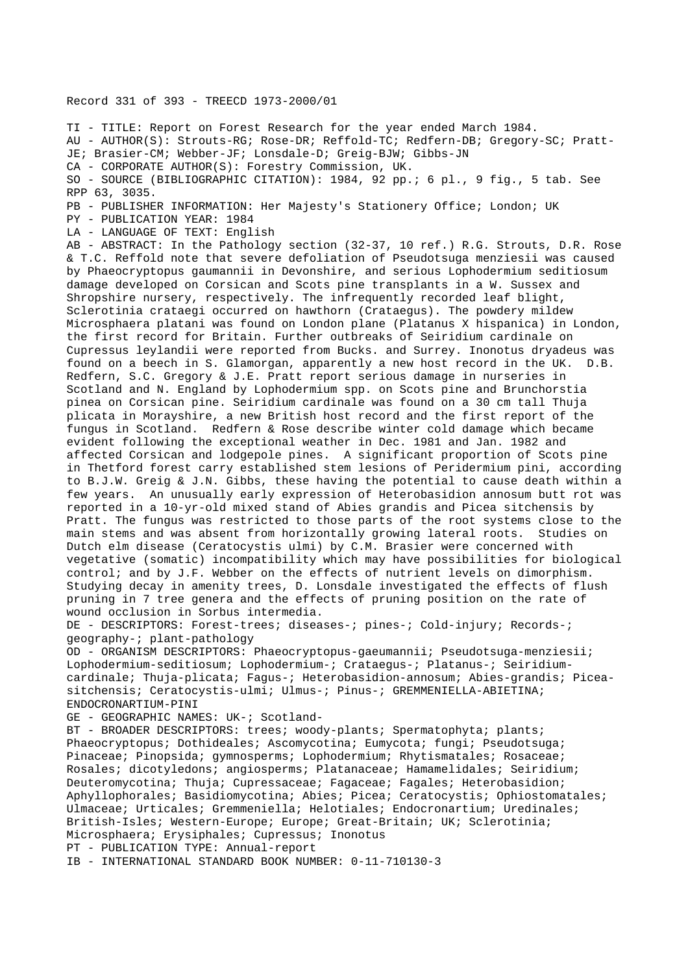Record 331 of 393 - TREECD 1973-2000/01

TI - TITLE: Report on Forest Research for the year ended March 1984.

AU - AUTHOR(S): Strouts-RG; Rose-DR; Reffold-TC; Redfern-DB; Gregory-SC; Pratt-JE; Brasier-CM; Webber-JF; Lonsdale-D; Greig-BJW; Gibbs-JN

CA - CORPORATE AUTHOR(S): Forestry Commission, UK.

SO - SOURCE (BIBLIOGRAPHIC CITATION): 1984, 92 pp.; 6 pl., 9 fig., 5 tab. See RPP 63, 3035.

PB - PUBLISHER INFORMATION: Her Majesty's Stationery Office; London; UK

PY - PUBLICATION YEAR: 1984

LA - LANGUAGE OF TEXT: English

AB - ABSTRACT: In the Pathology section (32-37, 10 ref.) R.G. Strouts, D.R. Rose & T.C. Reffold note that severe defoliation of Pseudotsuga menziesii was caused by Phaeocryptopus gaumannii in Devonshire, and serious Lophodermium seditiosum damage developed on Corsican and Scots pine transplants in a W. Sussex and Shropshire nursery, respectively. The infrequently recorded leaf blight, Sclerotinia crataegi occurred on hawthorn (Crataegus). The powdery mildew Microsphaera platani was found on London plane (Platanus X hispanica) in London, the first record for Britain. Further outbreaks of Seiridium cardinale on Cupressus leylandii were reported from Bucks. and Surrey. Inonotus dryadeus was found on a beech in S. Glamorgan, apparently a new host record in the UK. D.B. Redfern, S.C. Gregory & J.E. Pratt report serious damage in nurseries in Scotland and N. England by Lophodermium spp. on Scots pine and Brunchorstia pinea on Corsican pine. Seiridium cardinale was found on a 30 cm tall Thuja plicata in Morayshire, a new British host record and the first report of the fungus in Scotland. Redfern & Rose describe winter cold damage which became evident following the exceptional weather in Dec. 1981 and Jan. 1982 and affected Corsican and lodgepole pines. A significant proportion of Scots pine in Thetford forest carry established stem lesions of Peridermium pini, according to B.J.W. Greig & J.N. Gibbs, these having the potential to cause death within a few years. An unusually early expression of Heterobasidion annosum butt rot was reported in a 10-yr-old mixed stand of Abies grandis and Picea sitchensis by Pratt. The fungus was restricted to those parts of the root systems close to the main stems and was absent from horizontally growing lateral roots. Studies on Dutch elm disease (Ceratocystis ulmi) by C.M. Brasier were concerned with vegetative (somatic) incompatibility which may have possibilities for biological control; and by J.F. Webber on the effects of nutrient levels on dimorphism. Studying decay in amenity trees, D. Lonsdale investigated the effects of flush pruning in 7 tree genera and the effects of pruning position on the rate of wound occlusion in Sorbus intermedia.

DE - DESCRIPTORS: Forest-trees; diseases-; pines-; Cold-injury; Records-; geography-; plant-pathology

OD - ORGANISM DESCRIPTORS: Phaeocryptopus-gaeumannii; Pseudotsuga-menziesii; Lophodermium-seditiosum; Lophodermium-; Crataegus-; Platanus-; Seiridiumcardinale; Thuja-plicata; Fagus-; Heterobasidion-annosum; Abies-grandis; Piceasitchensis; Ceratocystis-ulmi; Ulmus-; Pinus-; GREMMENIELLA-ABIETINA; ENDOCRONARTIUM-PINI

GE - GEOGRAPHIC NAMES: UK-; Scotland-

BT - BROADER DESCRIPTORS: trees; woody-plants; Spermatophyta; plants; Phaeocryptopus; Dothideales; Ascomycotina; Eumycota; fungi; Pseudotsuga; Pinaceae; Pinopsida; gymnosperms; Lophodermium; Rhytismatales; Rosaceae; Rosales; dicotyledons; angiosperms; Platanaceae; Hamamelidales; Seiridium; Deuteromycotina; Thuja; Cupressaceae; Fagaceae; Fagales; Heterobasidion; Aphyllophorales; Basidiomycotina; Abies; Picea; Ceratocystis; Ophiostomatales; Ulmaceae; Urticales; Gremmeniella; Helotiales; Endocronartium; Uredinales; British-Isles; Western-Europe; Europe; Great-Britain; UK; Sclerotinia; Microsphaera; Erysiphales; Cupressus; Inonotus PT - PUBLICATION TYPE: Annual-report

IB - INTERNATIONAL STANDARD BOOK NUMBER: 0-11-710130-3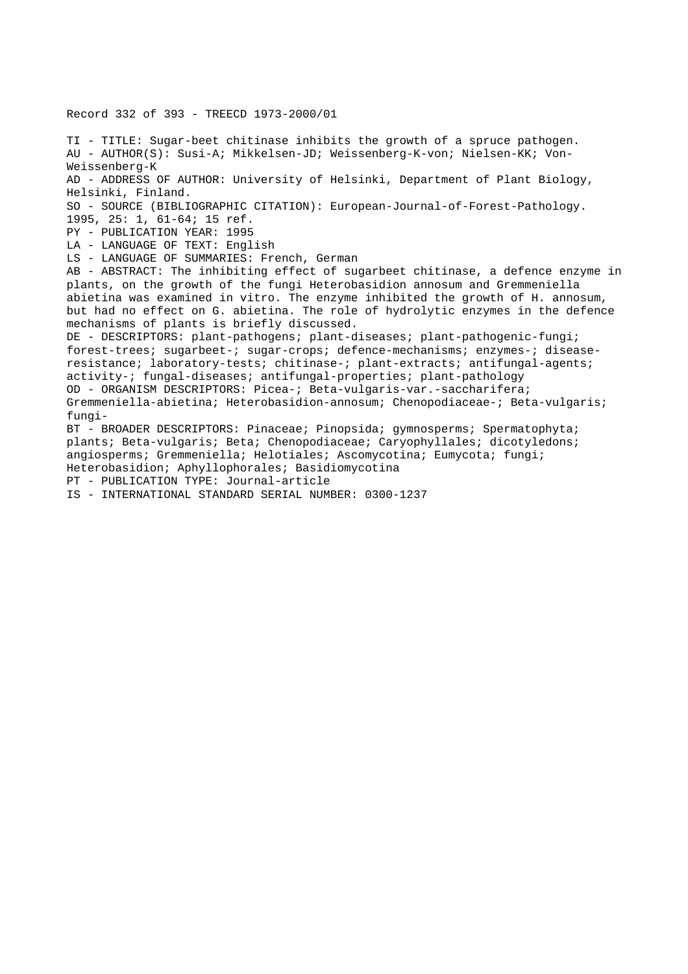Record 332 of 393 - TREECD 1973-2000/01

TI - TITLE: Sugar-beet chitinase inhibits the growth of a spruce pathogen. AU - AUTHOR(S): Susi-A; Mikkelsen-JD; Weissenberg-K-von; Nielsen-KK; Von-Weissenberg-K AD - ADDRESS OF AUTHOR: University of Helsinki, Department of Plant Biology, Helsinki, Finland. SO - SOURCE (BIBLIOGRAPHIC CITATION): European-Journal-of-Forest-Pathology. 1995, 25: 1, 61-64; 15 ref. PY - PUBLICATION YEAR: 1995 LA - LANGUAGE OF TEXT: English LS - LANGUAGE OF SUMMARIES: French, German AB - ABSTRACT: The inhibiting effect of sugarbeet chitinase, a defence enzyme in plants, on the growth of the fungi Heterobasidion annosum and Gremmeniella abietina was examined in vitro. The enzyme inhibited the growth of H. annosum, but had no effect on G. abietina. The role of hydrolytic enzymes in the defence mechanisms of plants is briefly discussed. DE - DESCRIPTORS: plant-pathogens; plant-diseases; plant-pathogenic-fungi; forest-trees; sugarbeet-; sugar-crops; defence-mechanisms; enzymes-; diseaseresistance; laboratory-tests; chitinase-; plant-extracts; antifungal-agents; activity-; fungal-diseases; antifungal-properties; plant-pathology OD - ORGANISM DESCRIPTORS: Picea-; Beta-vulgaris-var.-saccharifera; Gremmeniella-abietina; Heterobasidion-annosum; Chenopodiaceae-; Beta-vulgaris; fungi-BT - BROADER DESCRIPTORS: Pinaceae; Pinopsida; gymnosperms; Spermatophyta; plants; Beta-vulgaris; Beta; Chenopodiaceae; Caryophyllales; dicotyledons; angiosperms; Gremmeniella; Helotiales; Ascomycotina; Eumycota; fungi; Heterobasidion; Aphyllophorales; Basidiomycotina PT - PUBLICATION TYPE: Journal-article

IS - INTERNATIONAL STANDARD SERIAL NUMBER: 0300-1237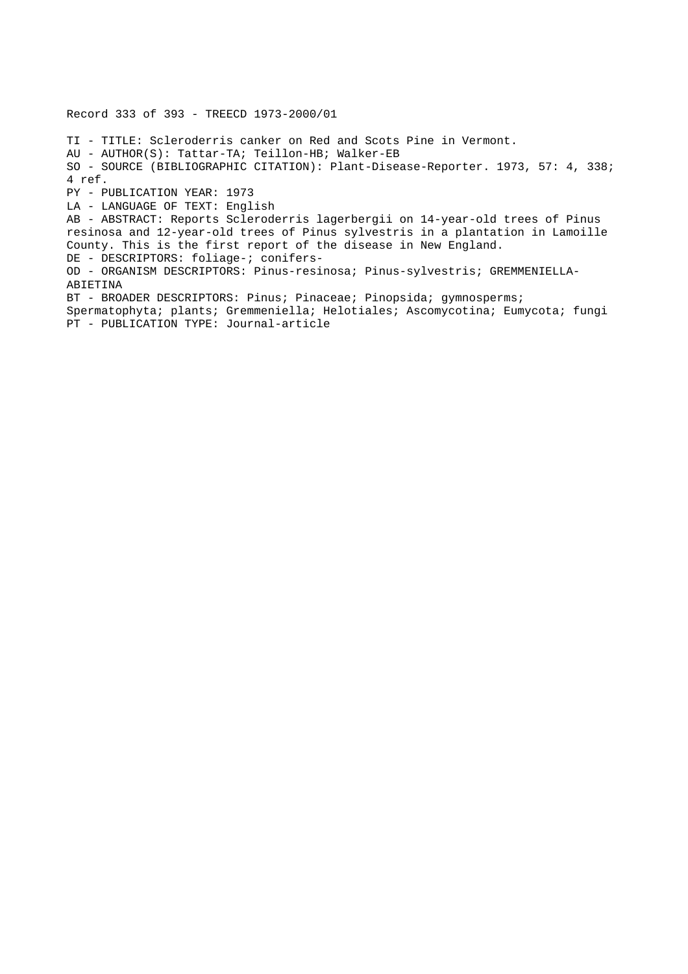Record 333 of 393 - TREECD 1973-2000/01 TI - TITLE: Scleroderris canker on Red and Scots Pine in Vermont. AU - AUTHOR(S): Tattar-TA; Teillon-HB; Walker-EB SO - SOURCE (BIBLIOGRAPHIC CITATION): Plant-Disease-Reporter. 1973, 57: 4, 338; 4 ref. PY - PUBLICATION YEAR: 1973 LA - LANGUAGE OF TEXT: English AB - ABSTRACT: Reports Scleroderris lagerbergii on 14-year-old trees of Pinus resinosa and 12-year-old trees of Pinus sylvestris in a plantation in Lamoille County. This is the first report of the disease in New England. DE - DESCRIPTORS: foliage-; conifers-OD - ORGANISM DESCRIPTORS: Pinus-resinosa; Pinus-sylvestris; GREMMENIELLA-ABIETINA BT - BROADER DESCRIPTORS: Pinus; Pinaceae; Pinopsida; gymnosperms; Spermatophyta; plants; Gremmeniella; Helotiales; Ascomycotina; Eumycota; fungi PT - PUBLICATION TYPE: Journal-article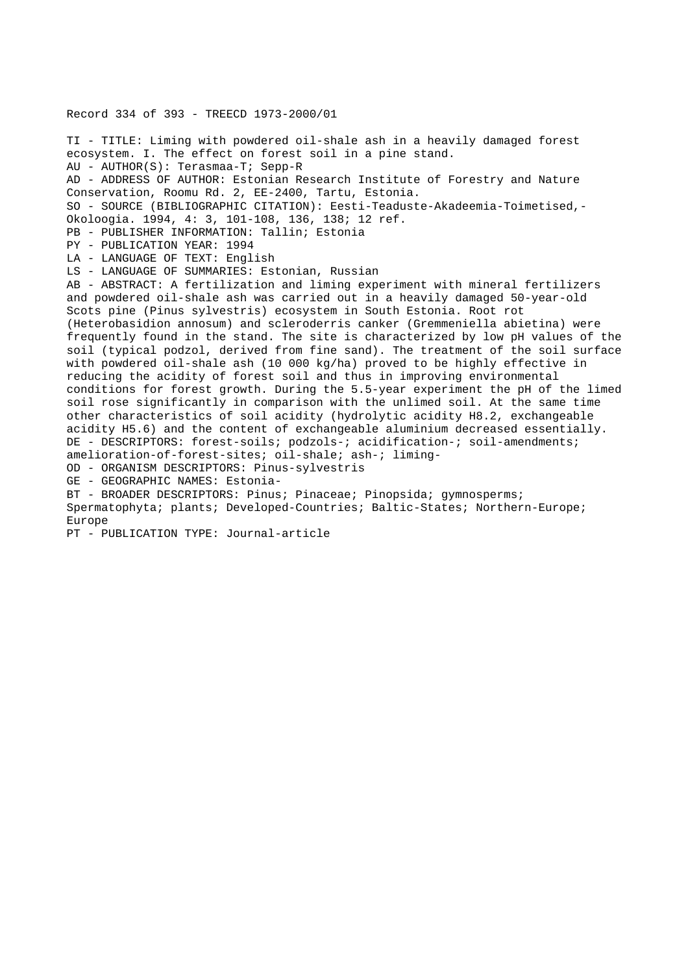Record 334 of 393 - TREECD 1973-2000/01 TI - TITLE: Liming with powdered oil-shale ash in a heavily damaged forest ecosystem. I. The effect on forest soil in a pine stand. AU - AUTHOR(S): Terasmaa-T; Sepp-R AD - ADDRESS OF AUTHOR: Estonian Research Institute of Forestry and Nature Conservation, Roomu Rd. 2, EE-2400, Tartu, Estonia. SO - SOURCE (BIBLIOGRAPHIC CITATION): Eesti-Teaduste-Akadeemia-Toimetised,- Okoloogia. 1994, 4: 3, 101-108, 136, 138; 12 ref. PB - PUBLISHER INFORMATION: Tallin; Estonia PY - PUBLICATION YEAR: 1994 LA - LANGUAGE OF TEXT: English LS - LANGUAGE OF SUMMARIES: Estonian, Russian AB - ABSTRACT: A fertilization and liming experiment with mineral fertilizers and powdered oil-shale ash was carried out in a heavily damaged 50-year-old Scots pine (Pinus sylvestris) ecosystem in South Estonia. Root rot (Heterobasidion annosum) and scleroderris canker (Gremmeniella abietina) were frequently found in the stand. The site is characterized by low pH values of the soil (typical podzol, derived from fine sand). The treatment of the soil surface with powdered oil-shale ash (10 000 kg/ha) proved to be highly effective in reducing the acidity of forest soil and thus in improving environmental conditions for forest growth. During the 5.5-year experiment the pH of the limed soil rose significantly in comparison with the unlimed soil. At the same time other characteristics of soil acidity (hydrolytic acidity H8.2, exchangeable acidity H5.6) and the content of exchangeable aluminium decreased essentially. DE - DESCRIPTORS: forest-soils; podzols-; acidification-; soil-amendments; amelioration-of-forest-sites; oil-shale; ash-; liming-OD - ORGANISM DESCRIPTORS: Pinus-sylvestris GE - GEOGRAPHIC NAMES: Estonia-BT - BROADER DESCRIPTORS: Pinus; Pinaceae; Pinopsida; gymnosperms; Spermatophyta; plants; Developed-Countries; Baltic-States; Northern-Europe; Europe

PT - PUBLICATION TYPE: Journal-article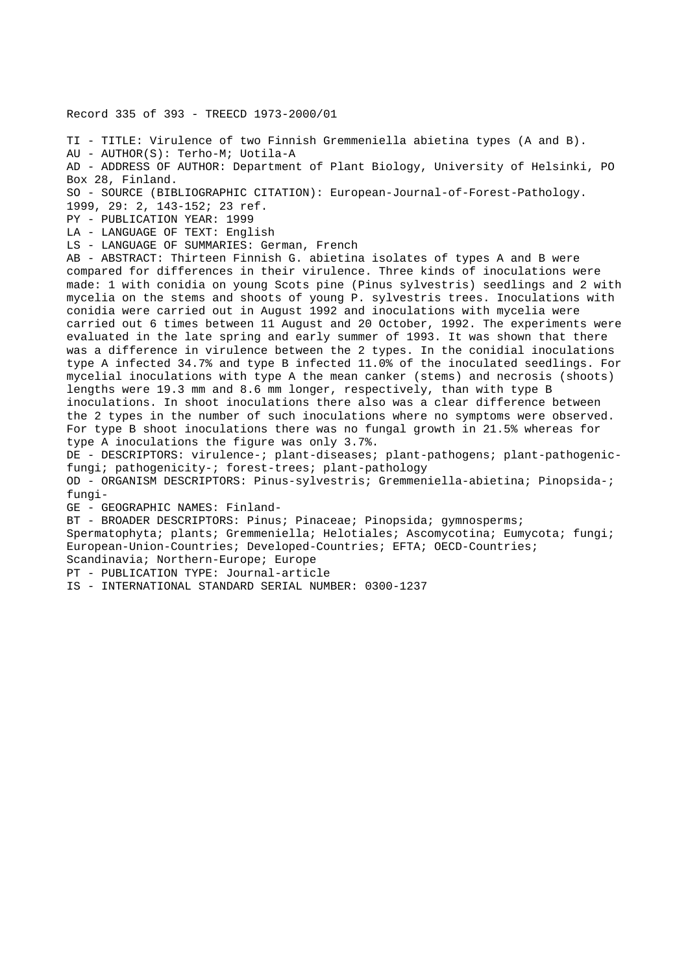Record 335 of 393 - TREECD 1973-2000/01

TI - TITLE: Virulence of two Finnish Gremmeniella abietina types (A and B). AU - AUTHOR(S): Terho-M; Uotila-A AD - ADDRESS OF AUTHOR: Department of Plant Biology, University of Helsinki, PO Box 28, Finland. SO - SOURCE (BIBLIOGRAPHIC CITATION): European-Journal-of-Forest-Pathology. 1999, 29: 2, 143-152; 23 ref. PY - PUBLICATION YEAR: 1999 LA - LANGUAGE OF TEXT: English LS - LANGUAGE OF SUMMARIES: German, French AB - ABSTRACT: Thirteen Finnish G. abietina isolates of types A and B were compared for differences in their virulence. Three kinds of inoculations were made: 1 with conidia on young Scots pine (Pinus sylvestris) seedlings and 2 with mycelia on the stems and shoots of young P. sylvestris trees. Inoculations with conidia were carried out in August 1992 and inoculations with mycelia were carried out 6 times between 11 August and 20 October, 1992. The experiments were evaluated in the late spring and early summer of 1993. It was shown that there was a difference in virulence between the 2 types. In the conidial inoculations type A infected 34.7% and type B infected 11.0% of the inoculated seedlings. For mycelial inoculations with type A the mean canker (stems) and necrosis (shoots) lengths were 19.3 mm and 8.6 mm longer, respectively, than with type B inoculations. In shoot inoculations there also was a clear difference between the 2 types in the number of such inoculations where no symptoms were observed. For type B shoot inoculations there was no fungal growth in 21.5% whereas for type A inoculations the figure was only 3.7%. DE - DESCRIPTORS: virulence-; plant-diseases; plant-pathogens; plant-pathogenicfungi; pathogenicity-; forest-trees; plant-pathology OD - ORGANISM DESCRIPTORS: Pinus-sylvestris; Gremmeniella-abietina; Pinopsida-; fungi-GE - GEOGRAPHIC NAMES: Finland-BT - BROADER DESCRIPTORS: Pinus; Pinaceae; Pinopsida; gymnosperms; Spermatophyta; plants; Gremmeniella; Helotiales; Ascomycotina; Eumycota; fungi; European-Union-Countries; Developed-Countries; EFTA; OECD-Countries; Scandinavia; Northern-Europe; Europe PT - PUBLICATION TYPE: Journal-article

IS - INTERNATIONAL STANDARD SERIAL NUMBER: 0300-1237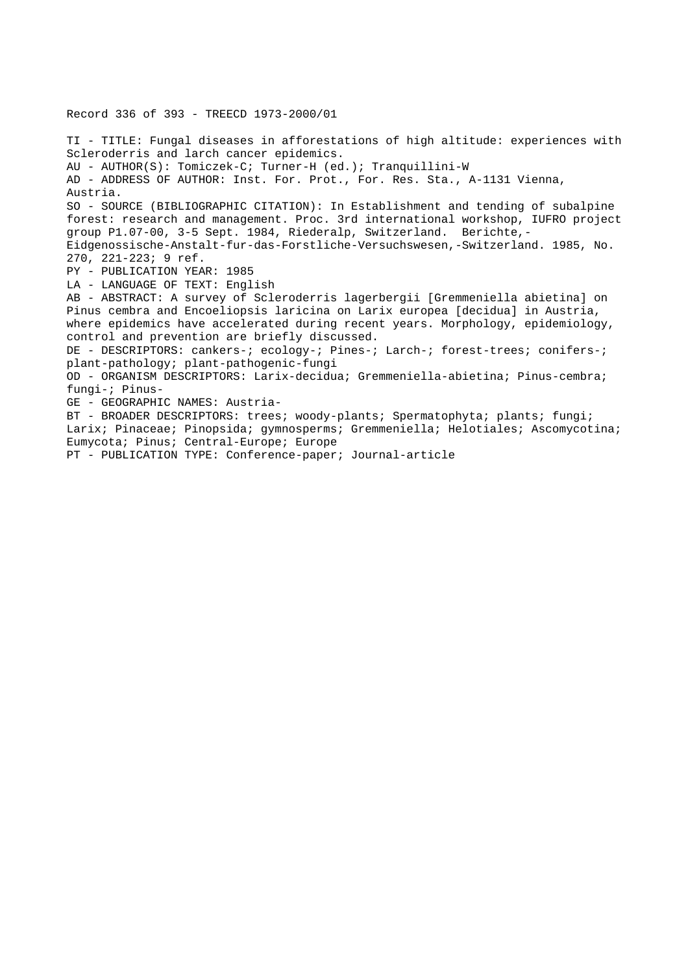TI - TITLE: Fungal diseases in afforestations of high altitude: experiences with Scleroderris and larch cancer epidemics. AU - AUTHOR(S): Tomiczek-C; Turner-H (ed.); Tranquillini-W AD - ADDRESS OF AUTHOR: Inst. For. Prot., For. Res. Sta., A-1131 Vienna, Austria. SO - SOURCE (BIBLIOGRAPHIC CITATION): In Establishment and tending of subalpine forest: research and management. Proc. 3rd international workshop, IUFRO project group P1.07-00, 3-5 Sept. 1984, Riederalp, Switzerland. Berichte,- Eidgenossische-Anstalt-fur-das-Forstliche-Versuchswesen,-Switzerland. 1985, No. 270, 221-223; 9 ref. PY - PUBLICATION YEAR: 1985 LA - LANGUAGE OF TEXT: English AB - ABSTRACT: A survey of Scleroderris lagerbergii [Gremmeniella abietina] on Pinus cembra and Encoeliopsis laricina on Larix europea [decidua] in Austria, where epidemics have accelerated during recent years. Morphology, epidemiology, control and prevention are briefly discussed. DE - DESCRIPTORS: cankers-; ecology-; Pines-; Larch-; forest-trees; conifers-; plant-pathology; plant-pathogenic-fungi OD - ORGANISM DESCRIPTORS: Larix-decidua; Gremmeniella-abietina; Pinus-cembra; fungi-; Pinus-GE - GEOGRAPHIC NAMES: Austria-BT - BROADER DESCRIPTORS: trees; woody-plants; Spermatophyta; plants; fungi; Larix; Pinaceae; Pinopsida; gymnosperms; Gremmeniella; Helotiales; Ascomycotina; Eumycota; Pinus; Central-Europe; Europe PT - PUBLICATION TYPE: Conference-paper; Journal-article

Record 336 of 393 - TREECD 1973-2000/01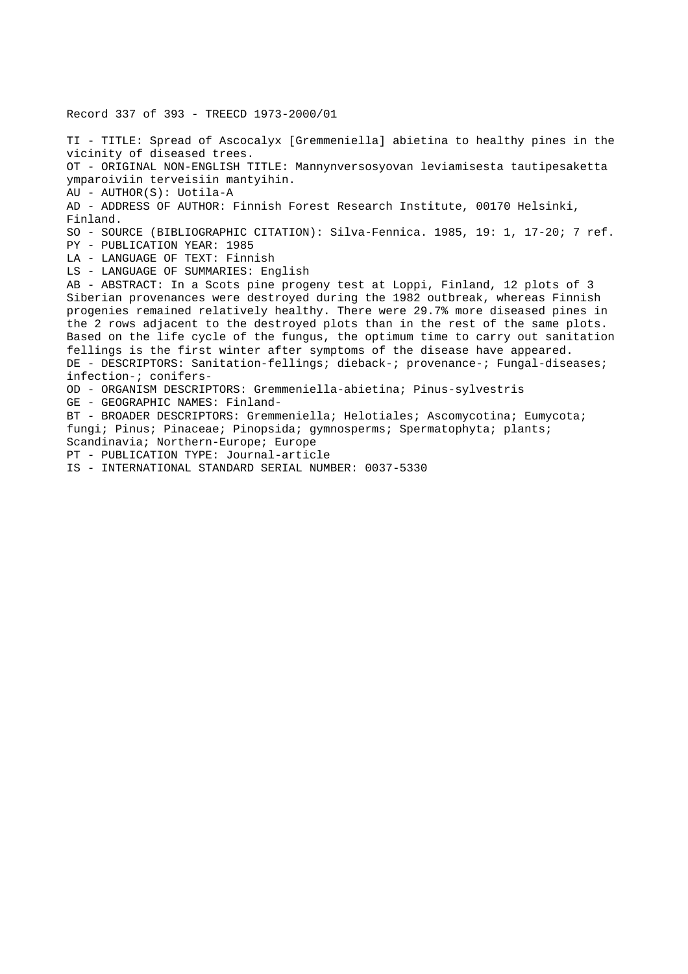Record 337 of 393 - TREECD 1973-2000/01 TI - TITLE: Spread of Ascocalyx [Gremmeniella] abietina to healthy pines in the vicinity of diseased trees. OT - ORIGINAL NON-ENGLISH TITLE: Mannynversosyovan leviamisesta tautipesaketta ymparoiviin terveisiin mantyihin. AU - AUTHOR(S): Uotila-A AD - ADDRESS OF AUTHOR: Finnish Forest Research Institute, 00170 Helsinki, Finland. SO - SOURCE (BIBLIOGRAPHIC CITATION): Silva-Fennica. 1985, 19: 1, 17-20; 7 ref. PY - PUBLICATION YEAR: 1985 LA - LANGUAGE OF TEXT: Finnish LS - LANGUAGE OF SUMMARIES: English AB - ABSTRACT: In a Scots pine progeny test at Loppi, Finland, 12 plots of 3 Siberian provenances were destroyed during the 1982 outbreak, whereas Finnish progenies remained relatively healthy. There were 29.7% more diseased pines in the 2 rows adjacent to the destroyed plots than in the rest of the same plots. Based on the life cycle of the fungus, the optimum time to carry out sanitation fellings is the first winter after symptoms of the disease have appeared. DE - DESCRIPTORS: Sanitation-fellings; dieback-; provenance-; Fungal-diseases; infection-; conifers-OD - ORGANISM DESCRIPTORS: Gremmeniella-abietina; Pinus-sylvestris GE - GEOGRAPHIC NAMES: Finland-BT - BROADER DESCRIPTORS: Gremmeniella; Helotiales; Ascomycotina; Eumycota; fungi; Pinus; Pinaceae; Pinopsida; gymnosperms; Spermatophyta; plants; Scandinavia; Northern-Europe; Europe PT - PUBLICATION TYPE: Journal-article IS - INTERNATIONAL STANDARD SERIAL NUMBER: 0037-5330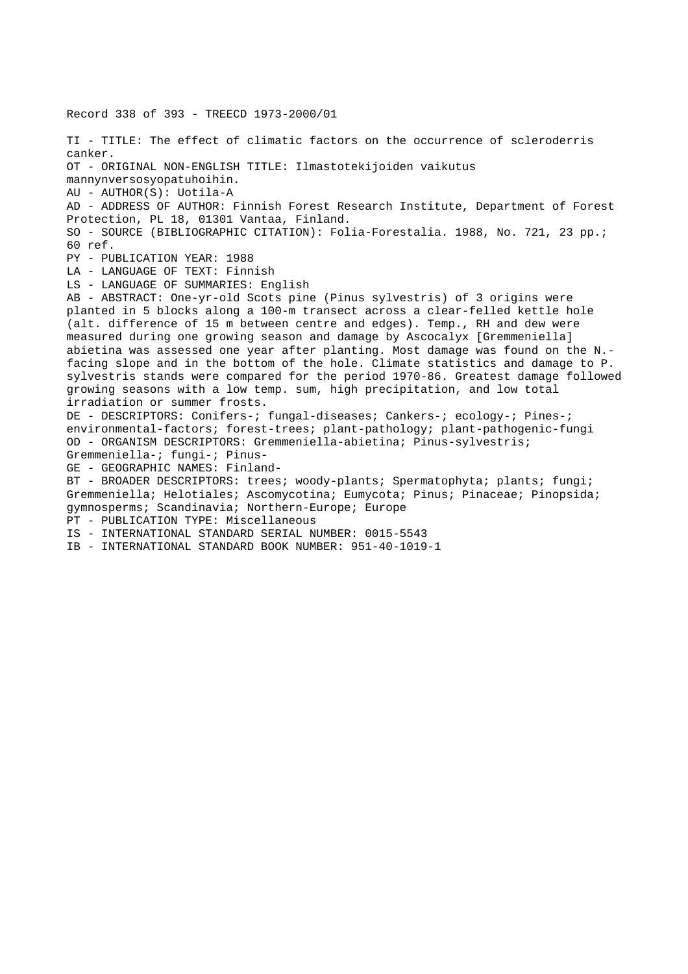Record 338 of 393 - TREECD 1973-2000/01 TI - TITLE: The effect of climatic factors on the occurrence of scleroderris canker. OT - ORIGINAL NON-ENGLISH TITLE: Ilmastotekijoiden vaikutus mannynversosyopatuhoihin. AU - AUTHOR(S): Uotila-A AD - ADDRESS OF AUTHOR: Finnish Forest Research Institute, Department of Forest Protection, PL 18, 01301 Vantaa, Finland. SO - SOURCE (BIBLIOGRAPHIC CITATION): Folia-Forestalia. 1988, No. 721, 23 pp.; 60 ref. PY - PUBLICATION YEAR: 1988 LA - LANGUAGE OF TEXT: Finnish LS - LANGUAGE OF SUMMARIES: English AB - ABSTRACT: One-yr-old Scots pine (Pinus sylvestris) of 3 origins were planted in 5 blocks along a 100-m transect across a clear-felled kettle hole (alt. difference of 15 m between centre and edges). Temp., RH and dew were measured during one growing season and damage by Ascocalyx [Gremmeniella] abietina was assessed one year after planting. Most damage was found on the N. facing slope and in the bottom of the hole. Climate statistics and damage to P. sylvestris stands were compared for the period 1970-86. Greatest damage followed growing seasons with a low temp. sum, high precipitation, and low total irradiation or summer frosts. DE - DESCRIPTORS: Conifers-; fungal-diseases; Cankers-; ecology-; Pines-; environmental-factors; forest-trees; plant-pathology; plant-pathogenic-fungi OD - ORGANISM DESCRIPTORS: Gremmeniella-abietina; Pinus-sylvestris; Gremmeniella-; fungi-; Pinus-GE - GEOGRAPHIC NAMES: Finland-BT - BROADER DESCRIPTORS: trees; woody-plants; Spermatophyta; plants; fungi; Gremmeniella; Helotiales; Ascomycotina; Eumycota; Pinus; Pinaceae; Pinopsida; gymnosperms; Scandinavia; Northern-Europe; Europe PT - PUBLICATION TYPE: Miscellaneous IS - INTERNATIONAL STANDARD SERIAL NUMBER: 0015-5543 IB - INTERNATIONAL STANDARD BOOK NUMBER: 951-40-1019-1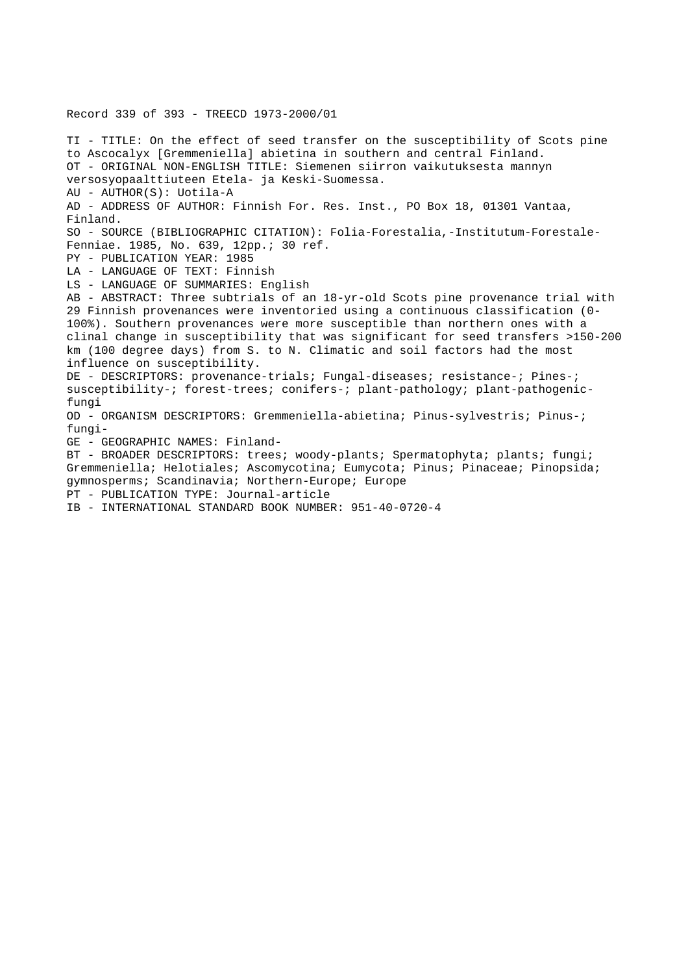Record 339 of 393 - TREECD 1973-2000/01 TI - TITLE: On the effect of seed transfer on the susceptibility of Scots pine to Ascocalyx [Gremmeniella] abietina in southern and central Finland. OT - ORIGINAL NON-ENGLISH TITLE: Siemenen siirron vaikutuksesta mannyn versosyopaalttiuteen Etela- ja Keski-Suomessa. AU - AUTHOR(S): Uotila-A AD - ADDRESS OF AUTHOR: Finnish For. Res. Inst., PO Box 18, 01301 Vantaa, Finland. SO - SOURCE (BIBLIOGRAPHIC CITATION): Folia-Forestalia,-Institutum-Forestale-Fenniae. 1985, No. 639, 12pp.; 30 ref. PY - PUBLICATION YEAR: 1985 LA - LANGUAGE OF TEXT: Finnish LS - LANGUAGE OF SUMMARIES: English AB - ABSTRACT: Three subtrials of an 18-yr-old Scots pine provenance trial with 29 Finnish provenances were inventoried using a continuous classification (0- 100%). Southern provenances were more susceptible than northern ones with a clinal change in susceptibility that was significant for seed transfers >150-200 km (100 degree days) from S. to N. Climatic and soil factors had the most influence on susceptibility. DE - DESCRIPTORS: provenance-trials; Fungal-diseases; resistance-; Pines-; susceptibility-; forest-trees; conifers-; plant-pathology; plant-pathogenicfungi OD - ORGANISM DESCRIPTORS: Gremmeniella-abietina; Pinus-sylvestris; Pinus-; fungi-GE - GEOGRAPHIC NAMES: Finland-BT - BROADER DESCRIPTORS: trees; woody-plants; Spermatophyta; plants; fungi; Gremmeniella; Helotiales; Ascomycotina; Eumycota; Pinus; Pinaceae; Pinopsida; gymnosperms; Scandinavia; Northern-Europe; Europe PT - PUBLICATION TYPE: Journal-article IB - INTERNATIONAL STANDARD BOOK NUMBER: 951-40-0720-4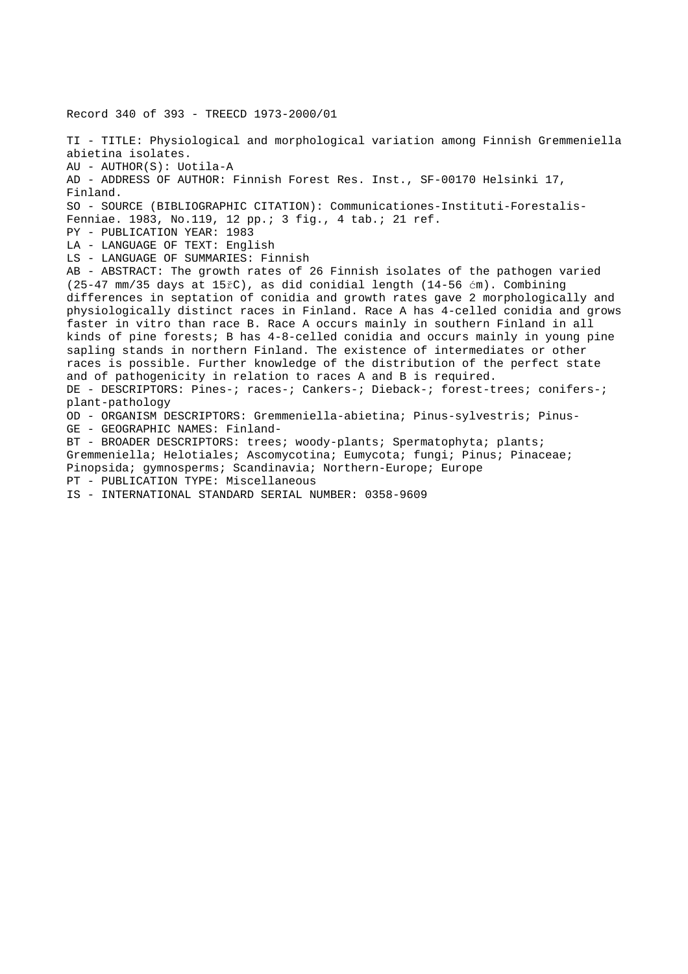Record 340 of 393 - TREECD 1973-2000/01

TI - TITLE: Physiological and morphological variation among Finnish Gremmeniella abietina isolates. AU - AUTHOR(S): Uotila-A AD - ADDRESS OF AUTHOR: Finnish Forest Res. Inst., SF-00170 Helsinki 17, Finland. SO - SOURCE (BIBLIOGRAPHIC CITATION): Communicationes-Instituti-Forestalis-Fenniae. 1983, No.119, 12 pp.; 3 fig., 4 tab.; 21 ref. PY - PUBLICATION YEAR: 1983 LA - LANGUAGE OF TEXT: English LS - LANGUAGE OF SUMMARIES: Finnish AB - ABSTRACT: The growth rates of 26 Finnish isolates of the pathogen varied (25-47 mm/35 days at 15řC), as did conidial length (14-56 ćm). Combining differences in septation of conidia and growth rates gave 2 morphologically and physiologically distinct races in Finland. Race A has 4-celled conidia and grows faster in vitro than race B. Race A occurs mainly in southern Finland in all kinds of pine forests; B has 4-8-celled conidia and occurs mainly in young pine sapling stands in northern Finland. The existence of intermediates or other races is possible. Further knowledge of the distribution of the perfect state and of pathogenicity in relation to races A and B is required. DE - DESCRIPTORS: Pines-; races-; Cankers-; Dieback-; forest-trees; conifers-; plant-pathology OD - ORGANISM DESCRIPTORS: Gremmeniella-abietina; Pinus-sylvestris; Pinus-GE - GEOGRAPHIC NAMES: Finland-BT - BROADER DESCRIPTORS: trees; woody-plants; Spermatophyta; plants; Gremmeniella; Helotiales; Ascomycotina; Eumycota; fungi; Pinus; Pinaceae; Pinopsida; gymnosperms; Scandinavia; Northern-Europe; Europe PT - PUBLICATION TYPE: Miscellaneous IS - INTERNATIONAL STANDARD SERIAL NUMBER: 0358-9609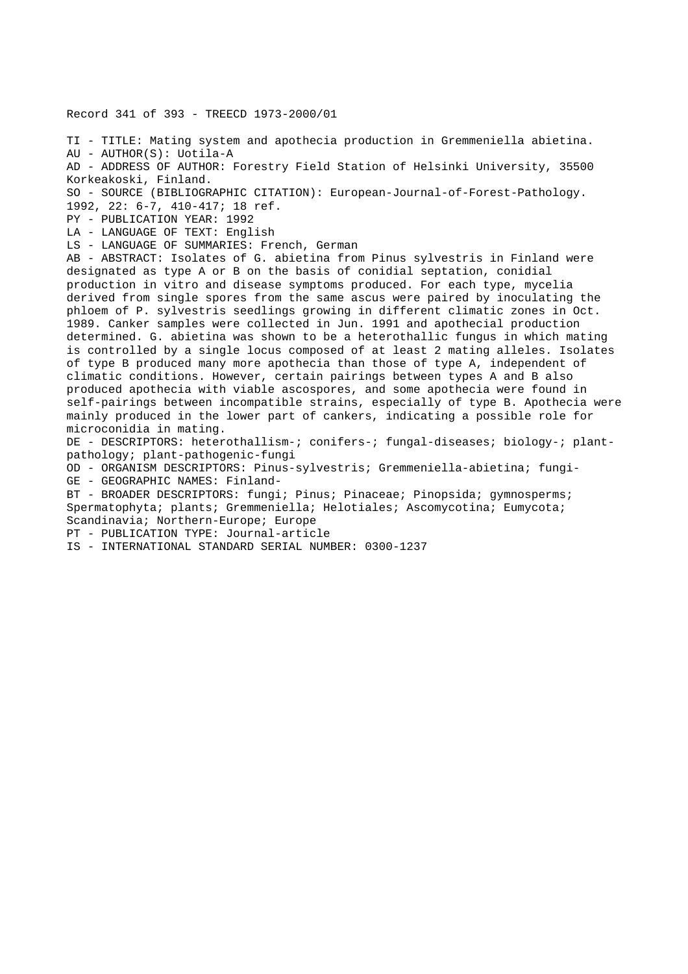Record 341 of 393 - TREECD 1973-2000/01

TI - TITLE: Mating system and apothecia production in Gremmeniella abietina. AU - AUTHOR(S): Uotila-A AD - ADDRESS OF AUTHOR: Forestry Field Station of Helsinki University, 35500 Korkeakoski, Finland. SO - SOURCE (BIBLIOGRAPHIC CITATION): European-Journal-of-Forest-Pathology. 1992, 22: 6-7, 410-417; 18 ref. PY - PUBLICATION YEAR: 1992 LA - LANGUAGE OF TEXT: English LS - LANGUAGE OF SUMMARIES: French, German AB - ABSTRACT: Isolates of G. abietina from Pinus sylvestris in Finland were designated as type A or B on the basis of conidial septation, conidial production in vitro and disease symptoms produced. For each type, mycelia derived from single spores from the same ascus were paired by inoculating the phloem of P. sylvestris seedlings growing in different climatic zones in Oct. 1989. Canker samples were collected in Jun. 1991 and apothecial production determined. G. abietina was shown to be a heterothallic fungus in which mating is controlled by a single locus composed of at least 2 mating alleles. Isolates of type B produced many more apothecia than those of type A, independent of climatic conditions. However, certain pairings between types A and B also produced apothecia with viable ascospores, and some apothecia were found in self-pairings between incompatible strains, especially of type B. Apothecia were mainly produced in the lower part of cankers, indicating a possible role for microconidia in mating. DE - DESCRIPTORS: heterothallism-; conifers-; fungal-diseases; biology-; plantpathology; plant-pathogenic-fungi OD - ORGANISM DESCRIPTORS: Pinus-sylvestris; Gremmeniella-abietina; fungi-GE - GEOGRAPHIC NAMES: Finland-BT - BROADER DESCRIPTORS: fungi; Pinus; Pinaceae; Pinopsida; gymnosperms; Spermatophyta; plants; Gremmeniella; Helotiales; Ascomycotina; Eumycota; Scandinavia; Northern-Europe; Europe PT - PUBLICATION TYPE: Journal-article IS - INTERNATIONAL STANDARD SERIAL NUMBER: 0300-1237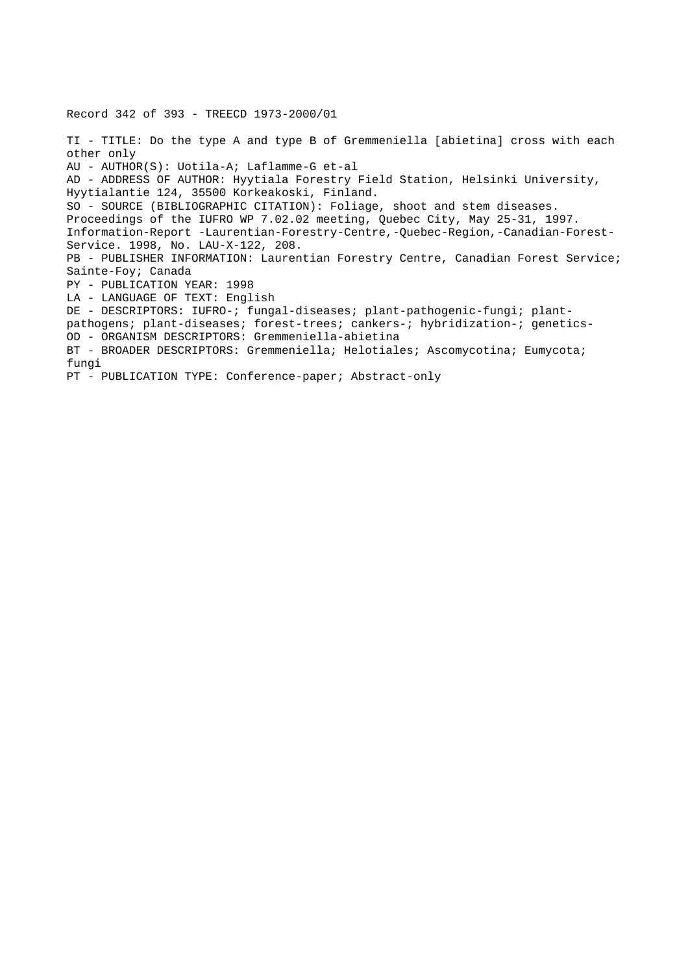Record 342 of 393 - TREECD 1973-2000/01 TI - TITLE: Do the type A and type B of Gremmeniella [abietina] cross with each other only AU - AUTHOR(S): Uotila-A; Laflamme-G et-al AD - ADDRESS OF AUTHOR: Hyytiala Forestry Field Station, Helsinki University, Hyytialantie 124, 35500 Korkeakoski, Finland. SO - SOURCE (BIBLIOGRAPHIC CITATION): Foliage, shoot and stem diseases. Proceedings of the IUFRO WP 7.02.02 meeting, Quebec City, May 25-31, 1997. Information-Report -Laurentian-Forestry-Centre,-Quebec-Region,-Canadian-Forest-Service. 1998, No. LAU-X-122, 208. PB - PUBLISHER INFORMATION: Laurentian Forestry Centre, Canadian Forest Service; Sainte-Foy; Canada PY - PUBLICATION YEAR: 1998 LA - LANGUAGE OF TEXT: English DE - DESCRIPTORS: IUFRO-; fungal-diseases; plant-pathogenic-fungi; plantpathogens; plant-diseases; forest-trees; cankers-; hybridization-; genetics-OD - ORGANISM DESCRIPTORS: Gremmeniella-abietina BT - BROADER DESCRIPTORS: Gremmeniella; Helotiales; Ascomycotina; Eumycota; fungi PT - PUBLICATION TYPE: Conference-paper; Abstract-only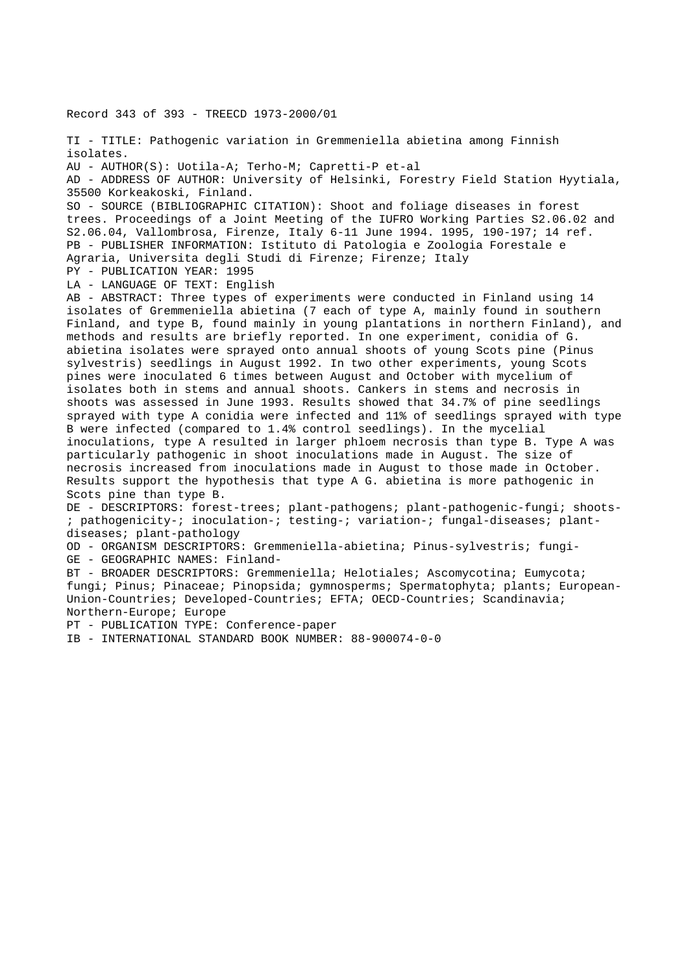Record 343 of 393 - TREECD 1973-2000/01

TI - TITLE: Pathogenic variation in Gremmeniella abietina among Finnish isolates. AU - AUTHOR(S): Uotila-A; Terho-M; Capretti-P et-al AD - ADDRESS OF AUTHOR: University of Helsinki, Forestry Field Station Hyytiala, 35500 Korkeakoski, Finland. SO - SOURCE (BIBLIOGRAPHIC CITATION): Shoot and foliage diseases in forest trees. Proceedings of a Joint Meeting of the IUFRO Working Parties S2.06.02 and S2.06.04, Vallombrosa, Firenze, Italy 6-11 June 1994. 1995, 190-197; 14 ref. PB - PUBLISHER INFORMATION: Istituto di Patologia e Zoologia Forestale e Agraria, Universita degli Studi di Firenze; Firenze; Italy PY - PUBLICATION YEAR: 1995 LA - LANGUAGE OF TEXT: English AB - ABSTRACT: Three types of experiments were conducted in Finland using 14 isolates of Gremmeniella abietina (7 each of type A, mainly found in southern Finland, and type B, found mainly in young plantations in northern Finland), and methods and results are briefly reported. In one experiment, conidia of G. abietina isolates were sprayed onto annual shoots of young Scots pine (Pinus sylvestris) seedlings in August 1992. In two other experiments, young Scots pines were inoculated 6 times between August and October with mycelium of isolates both in stems and annual shoots. Cankers in stems and necrosis in shoots was assessed in June 1993. Results showed that 34.7% of pine seedlings sprayed with type A conidia were infected and 11% of seedlings sprayed with type B were infected (compared to 1.4% control seedlings). In the mycelial inoculations, type A resulted in larger phloem necrosis than type B. Type A was particularly pathogenic in shoot inoculations made in August. The size of necrosis increased from inoculations made in August to those made in October. Results support the hypothesis that type A G. abietina is more pathogenic in Scots pine than type B. DE - DESCRIPTORS: forest-trees; plant-pathogens; plant-pathogenic-fungi; shoots- ; pathogenicity-; inoculation-; testing-; variation-; fungal-diseases; plantdiseases; plant-pathology OD - ORGANISM DESCRIPTORS: Gremmeniella-abietina; Pinus-sylvestris; fungi-GE - GEOGRAPHIC NAMES: Finland-BT - BROADER DESCRIPTORS: Gremmeniella; Helotiales; Ascomycotina; Eumycota; fungi; Pinus; Pinaceae; Pinopsida; gymnosperms; Spermatophyta; plants; European-Union-Countries; Developed-Countries; EFTA; OECD-Countries; Scandinavia; Northern-Europe; Europe PT - PUBLICATION TYPE: Conference-paper IB - INTERNATIONAL STANDARD BOOK NUMBER: 88-900074-0-0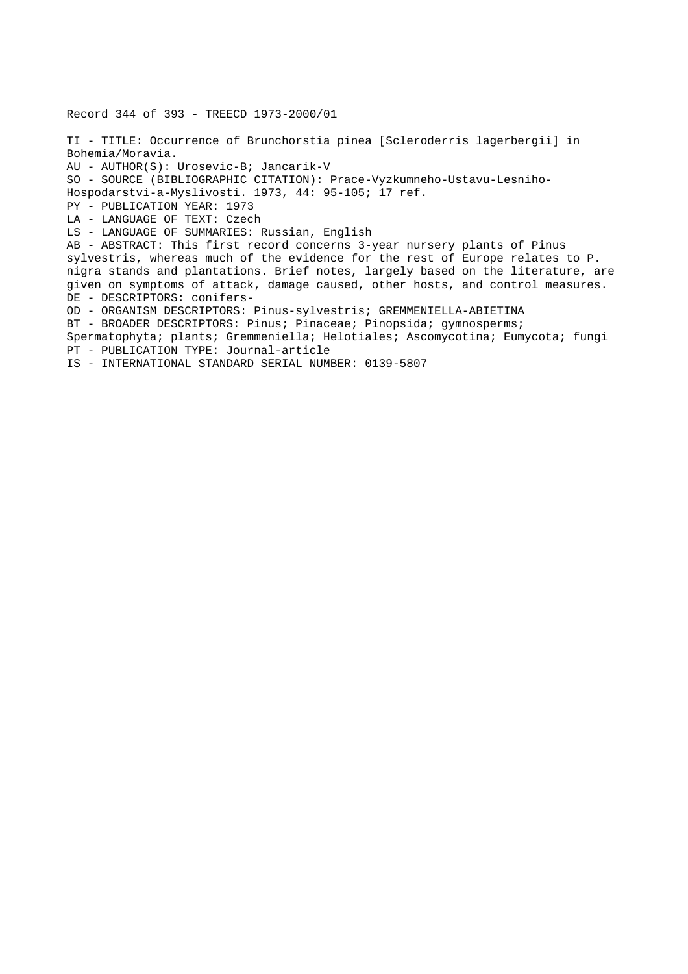Record 344 of 393 - TREECD 1973-2000/01 TI - TITLE: Occurrence of Brunchorstia pinea [Scleroderris lagerbergii] in Bohemia/Moravia. AU - AUTHOR(S): Urosevic-B; Jancarik-V SO - SOURCE (BIBLIOGRAPHIC CITATION): Prace-Vyzkumneho-Ustavu-Lesniho-Hospodarstvi-a-Myslivosti. 1973, 44: 95-105; 17 ref. PY - PUBLICATION YEAR: 1973 LA - LANGUAGE OF TEXT: Czech LS - LANGUAGE OF SUMMARIES: Russian, English AB - ABSTRACT: This first record concerns 3-year nursery plants of Pinus sylvestris, whereas much of the evidence for the rest of Europe relates to P. nigra stands and plantations. Brief notes, largely based on the literature, are given on symptoms of attack, damage caused, other hosts, and control measures. DE - DESCRIPTORS: conifers-OD - ORGANISM DESCRIPTORS: Pinus-sylvestris; GREMMENIELLA-ABIETINA BT - BROADER DESCRIPTORS: Pinus; Pinaceae; Pinopsida; gymnosperms; Spermatophyta; plants; Gremmeniella; Helotiales; Ascomycotina; Eumycota; fungi PT - PUBLICATION TYPE: Journal-article IS - INTERNATIONAL STANDARD SERIAL NUMBER: 0139-5807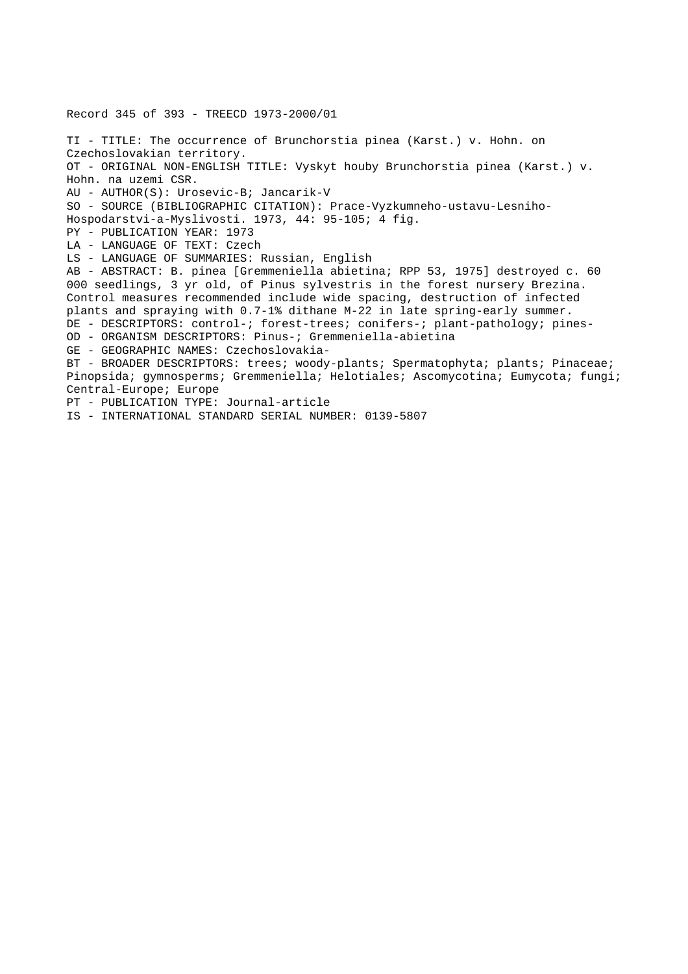Record 345 of 393 - TREECD 1973-2000/01 TI - TITLE: The occurrence of Brunchorstia pinea (Karst.) v. Hohn. on Czechoslovakian territory. OT - ORIGINAL NON-ENGLISH TITLE: Vyskyt houby Brunchorstia pinea (Karst.) v. Hohn. na uzemi CSR. AU - AUTHOR(S): Urosevic-B; Jancarik-V SO - SOURCE (BIBLIOGRAPHIC CITATION): Prace-Vyzkumneho-ustavu-Lesniho-Hospodarstvi-a-Myslivosti. 1973, 44: 95-105; 4 fig. PY - PUBLICATION YEAR: 1973 LA - LANGUAGE OF TEXT: Czech LS - LANGUAGE OF SUMMARIES: Russian, English AB - ABSTRACT: B. pinea [Gremmeniella abietina; RPP 53, 1975] destroyed c. 60 000 seedlings, 3 yr old, of Pinus sylvestris in the forest nursery Brezina. Control measures recommended include wide spacing, destruction of infected plants and spraying with 0.7-1% dithane M-22 in late spring-early summer. DE - DESCRIPTORS: control-; forest-trees; conifers-; plant-pathology; pines-OD - ORGANISM DESCRIPTORS: Pinus-; Gremmeniella-abietina GE - GEOGRAPHIC NAMES: Czechoslovakia-BT - BROADER DESCRIPTORS: trees; woody-plants; Spermatophyta; plants; Pinaceae; Pinopsida; gymnosperms; Gremmeniella; Helotiales; Ascomycotina; Eumycota; fungi; Central-Europe; Europe PT - PUBLICATION TYPE: Journal-article IS - INTERNATIONAL STANDARD SERIAL NUMBER: 0139-5807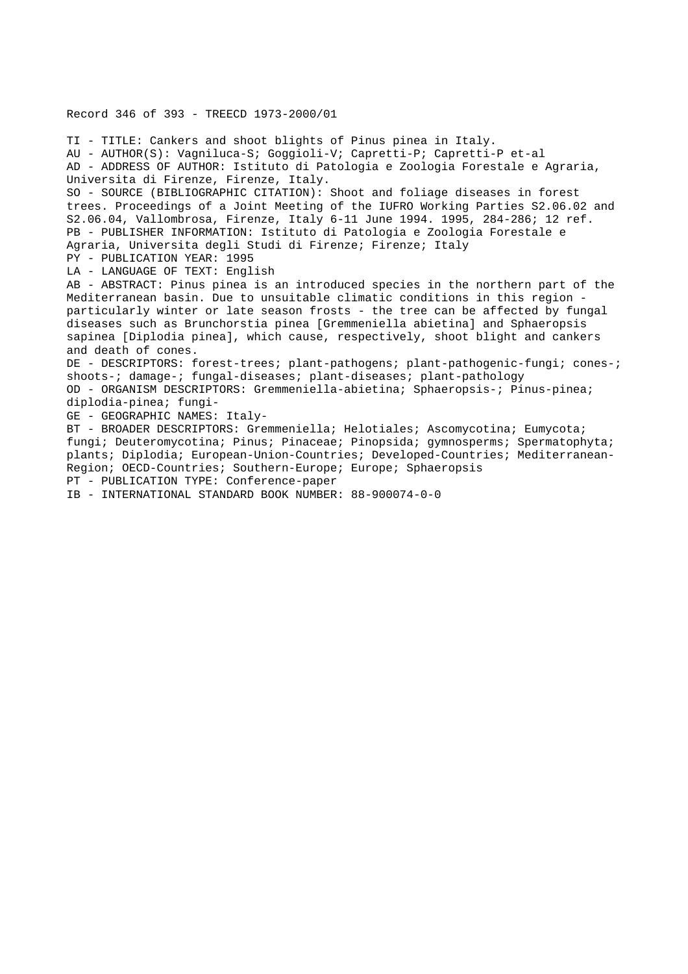#### Record 346 of 393 - TREECD 1973-2000/01

TI - TITLE: Cankers and shoot blights of Pinus pinea in Italy. AU - AUTHOR(S): Vagniluca-S; Goggioli-V; Capretti-P; Capretti-P et-al AD - ADDRESS OF AUTHOR: Istituto di Patologia e Zoologia Forestale e Agraria, Universita di Firenze, Firenze, Italy. SO - SOURCE (BIBLIOGRAPHIC CITATION): Shoot and foliage diseases in forest trees. Proceedings of a Joint Meeting of the IUFRO Working Parties S2.06.02 and S2.06.04, Vallombrosa, Firenze, Italy 6-11 June 1994. 1995, 284-286; 12 ref. PB - PUBLISHER INFORMATION: Istituto di Patologia e Zoologia Forestale e Agraria, Universita degli Studi di Firenze; Firenze; Italy PY - PUBLICATION YEAR: 1995 LA - LANGUAGE OF TEXT: English AB - ABSTRACT: Pinus pinea is an introduced species in the northern part of the Mediterranean basin. Due to unsuitable climatic conditions in this region particularly winter or late season frosts - the tree can be affected by fungal diseases such as Brunchorstia pinea [Gremmeniella abietina] and Sphaeropsis sapinea [Diplodia pinea], which cause, respectively, shoot blight and cankers and death of cones. DE - DESCRIPTORS: forest-trees; plant-pathogens; plant-pathogenic-fungi; cones-; shoots-; damage-; fungal-diseases; plant-diseases; plant-pathology OD - ORGANISM DESCRIPTORS: Gremmeniella-abietina; Sphaeropsis-; Pinus-pinea; diplodia-pinea; fungi-GE - GEOGRAPHIC NAMES: Italy-BT - BROADER DESCRIPTORS: Gremmeniella; Helotiales; Ascomycotina; Eumycota; fungi; Deuteromycotina; Pinus; Pinaceae; Pinopsida; gymnosperms; Spermatophyta; plants; Diplodia; European-Union-Countries; Developed-Countries; Mediterranean-Region; OECD-Countries; Southern-Europe; Europe; Sphaeropsis PT - PUBLICATION TYPE: Conference-paper

IB - INTERNATIONAL STANDARD BOOK NUMBER: 88-900074-0-0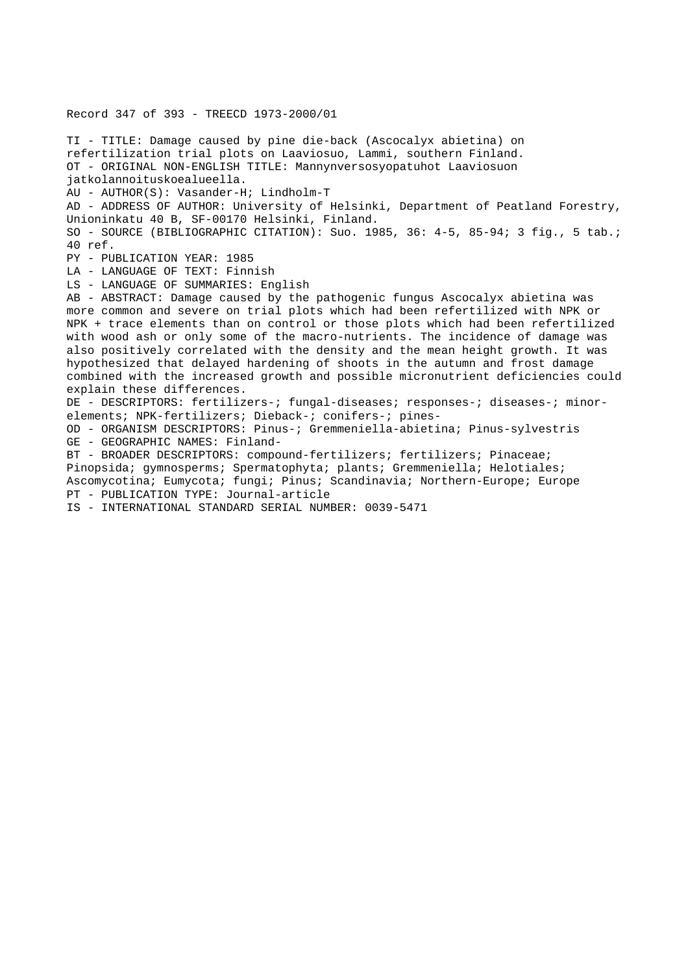Record 347 of 393 - TREECD 1973-2000/01 TI - TITLE: Damage caused by pine die-back (Ascocalyx abietina) on refertilization trial plots on Laaviosuo, Lammi, southern Finland. OT - ORIGINAL NON-ENGLISH TITLE: Mannynversosyopatuhot Laaviosuon jatkolannoituskoealueella. AU - AUTHOR(S): Vasander-H; Lindholm-T AD - ADDRESS OF AUTHOR: University of Helsinki, Department of Peatland Forestry, Unioninkatu 40 B, SF-00170 Helsinki, Finland. SO - SOURCE (BIBLIOGRAPHIC CITATION): Suo. 1985, 36: 4-5, 85-94; 3 fig., 5 tab.; 40 ref. PY - PUBLICATION YEAR: 1985 LA - LANGUAGE OF TEXT: Finnish LS - LANGUAGE OF SUMMARIES: English AB - ABSTRACT: Damage caused by the pathogenic fungus Ascocalyx abietina was more common and severe on trial plots which had been refertilized with NPK or NPK + trace elements than on control or those plots which had been refertilized with wood ash or only some of the macro-nutrients. The incidence of damage was also positively correlated with the density and the mean height growth. It was hypothesized that delayed hardening of shoots in the autumn and frost damage combined with the increased growth and possible micronutrient deficiencies could explain these differences. DE - DESCRIPTORS: fertilizers-; fungal-diseases; responses-; diseases-; minorelements; NPK-fertilizers; Dieback-; conifers-; pines-OD - ORGANISM DESCRIPTORS: Pinus-; Gremmeniella-abietina; Pinus-sylvestris GE - GEOGRAPHIC NAMES: Finland-BT - BROADER DESCRIPTORS: compound-fertilizers; fertilizers; Pinaceae; Pinopsida; gymnosperms; Spermatophyta; plants; Gremmeniella; Helotiales;

Ascomycotina; Eumycota; fungi; Pinus; Scandinavia; Northern-Europe; Europe PT - PUBLICATION TYPE: Journal-article

IS - INTERNATIONAL STANDARD SERIAL NUMBER: 0039-5471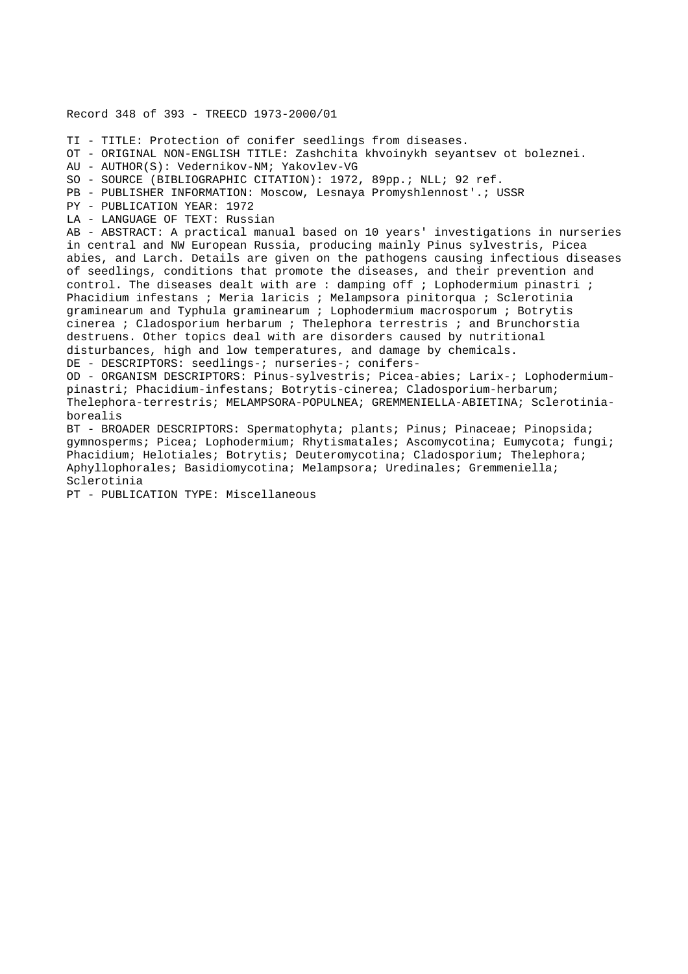Record 348 of 393 - TREECD 1973-2000/01 TI - TITLE: Protection of conifer seedlings from diseases. OT - ORIGINAL NON-ENGLISH TITLE: Zashchita khvoinykh seyantsev ot boleznei. AU - AUTHOR(S): Vedernikov-NM; Yakovlev-VG SO - SOURCE (BIBLIOGRAPHIC CITATION): 1972, 89pp.; NLL; 92 ref. PB - PUBLISHER INFORMATION: Moscow, Lesnaya Promyshlennost'.; USSR PY - PUBLICATION YEAR: 1972 LA - LANGUAGE OF TEXT: Russian AB - ABSTRACT: A practical manual based on 10 years' investigations in nurseries in central and NW European Russia, producing mainly Pinus sylvestris, Picea abies, and Larch. Details are given on the pathogens causing infectious diseases of seedlings, conditions that promote the diseases, and their prevention and control. The diseases dealt with are : damping off ; Lophodermium pinastri ; Phacidium infestans ; Meria laricis ; Melampsora pinitorqua ; Sclerotinia graminearum and Typhula graminearum ; Lophodermium macrosporum ; Botrytis cinerea ; Cladosporium herbarum ; Thelephora terrestris ; and Brunchorstia destruens. Other topics deal with are disorders caused by nutritional disturbances, high and low temperatures, and damage by chemicals. DE - DESCRIPTORS: seedlings-; nurseries-; conifers-OD - ORGANISM DESCRIPTORS: Pinus-sylvestris; Picea-abies; Larix-; Lophodermiumpinastri; Phacidium-infestans; Botrytis-cinerea; Cladosporium-herbarum; Thelephora-terrestris; MELAMPSORA-POPULNEA; GREMMENIELLA-ABIETINA; Sclerotiniaborealis BT - BROADER DESCRIPTORS: Spermatophyta; plants; Pinus; Pinaceae; Pinopsida; gymnosperms; Picea; Lophodermium; Rhytismatales; Ascomycotina; Eumycota; fungi; Phacidium; Helotiales; Botrytis; Deuteromycotina; Cladosporium; Thelephora; Aphyllophorales; Basidiomycotina; Melampsora; Uredinales; Gremmeniella; Sclerotinia

PT - PUBLICATION TYPE: Miscellaneous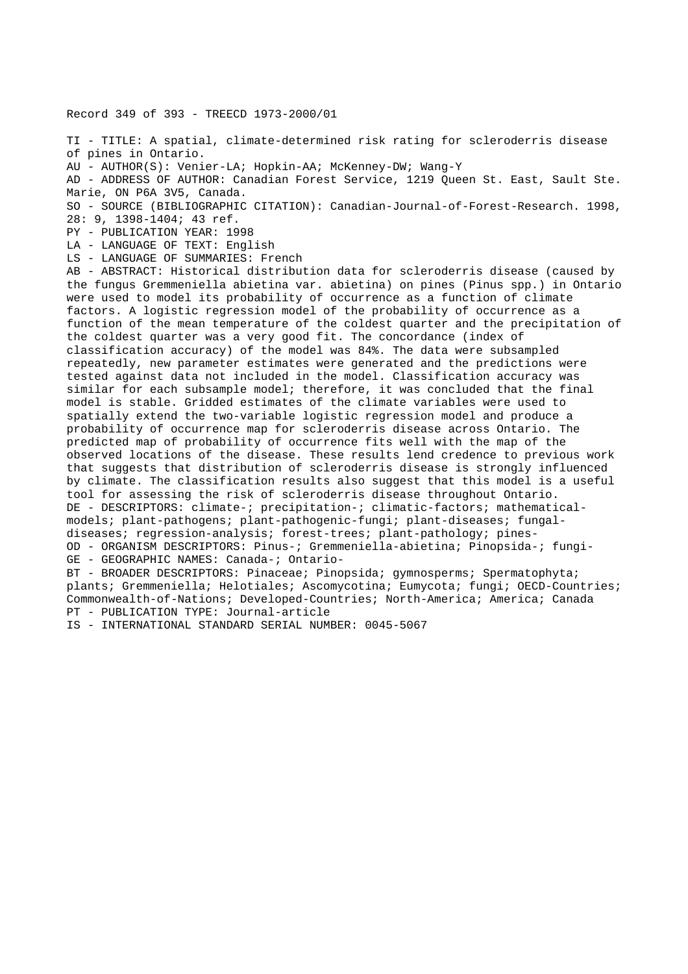Record 349 of 393 - TREECD 1973-2000/01

TI - TITLE: A spatial, climate-determined risk rating for scleroderris disease of pines in Ontario.

AU - AUTHOR(S): Venier-LA; Hopkin-AA; McKenney-DW; Wang-Y

AD - ADDRESS OF AUTHOR: Canadian Forest Service, 1219 Queen St. East, Sault Ste. Marie, ON P6A 3V5, Canada.

SO - SOURCE (BIBLIOGRAPHIC CITATION): Canadian-Journal-of-Forest-Research. 1998, 28: 9, 1398-1404; 43 ref.

PY - PUBLICATION YEAR: 1998

LA - LANGUAGE OF TEXT: English

LS - LANGUAGE OF SUMMARIES: French

AB - ABSTRACT: Historical distribution data for scleroderris disease (caused by the fungus Gremmeniella abietina var. abietina) on pines (Pinus spp.) in Ontario were used to model its probability of occurrence as a function of climate factors. A logistic regression model of the probability of occurrence as a function of the mean temperature of the coldest quarter and the precipitation of the coldest quarter was a very good fit. The concordance (index of classification accuracy) of the model was 84%. The data were subsampled repeatedly, new parameter estimates were generated and the predictions were tested against data not included in the model. Classification accuracy was similar for each subsample model; therefore, it was concluded that the final model is stable. Gridded estimates of the climate variables were used to spatially extend the two-variable logistic regression model and produce a probability of occurrence map for scleroderris disease across Ontario. The predicted map of probability of occurrence fits well with the map of the observed locations of the disease. These results lend credence to previous work that suggests that distribution of scleroderris disease is strongly influenced by climate. The classification results also suggest that this model is a useful tool for assessing the risk of scleroderris disease throughout Ontario. DE - DESCRIPTORS: climate-; precipitation-; climatic-factors; mathematicalmodels; plant-pathogens; plant-pathogenic-fungi; plant-diseases; fungaldiseases; regression-analysis; forest-trees; plant-pathology; pines-OD - ORGANISM DESCRIPTORS: Pinus-; Gremmeniella-abietina; Pinopsida-; fungi-GE - GEOGRAPHIC NAMES: Canada-; Ontario-BT - BROADER DESCRIPTORS: Pinaceae; Pinopsida; gymnosperms; Spermatophyta; plants; Gremmeniella; Helotiales; Ascomycotina; Eumycota; fungi; OECD-Countries;

Commonwealth-of-Nations; Developed-Countries; North-America; America; Canada PT - PUBLICATION TYPE: Journal-article

IS - INTERNATIONAL STANDARD SERIAL NUMBER: 0045-5067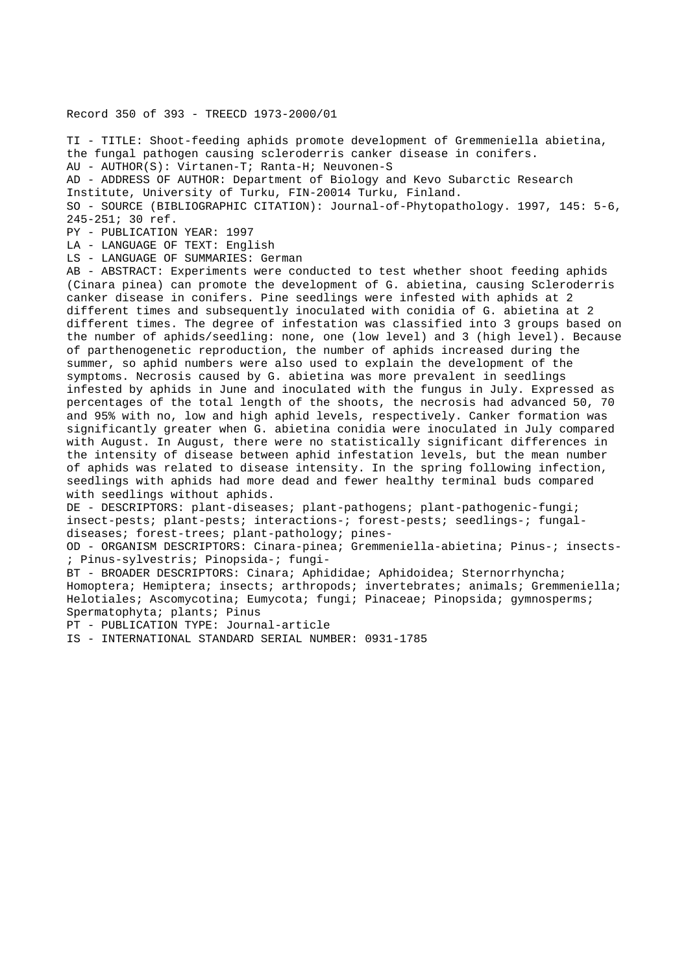# Record 350 of 393 - TREECD 1973-2000/01

TI - TITLE: Shoot-feeding aphids promote development of Gremmeniella abietina, the fungal pathogen causing scleroderris canker disease in conifers. AU - AUTHOR(S): Virtanen-T; Ranta-H; Neuvonen-S AD - ADDRESS OF AUTHOR: Department of Biology and Kevo Subarctic Research Institute, University of Turku, FIN-20014 Turku, Finland. SO - SOURCE (BIBLIOGRAPHIC CITATION): Journal-of-Phytopathology. 1997, 145: 5-6, 245-251; 30 ref. PY - PUBLICATION YEAR: 1997 LA - LANGUAGE OF TEXT: English LS - LANGUAGE OF SUMMARIES: German AB - ABSTRACT: Experiments were conducted to test whether shoot feeding aphids (Cinara pinea) can promote the development of G. abietina, causing Scleroderris canker disease in conifers. Pine seedlings were infested with aphids at 2 different times and subsequently inoculated with conidia of G. abietina at 2 different times. The degree of infestation was classified into 3 groups based on the number of aphids/seedling: none, one (low level) and 3 (high level). Because of parthenogenetic reproduction, the number of aphids increased during the summer, so aphid numbers were also used to explain the development of the symptoms. Necrosis caused by G. abietina was more prevalent in seedlings infested by aphids in June and inoculated with the fungus in July. Expressed as percentages of the total length of the shoots, the necrosis had advanced 50, 70 and 95% with no, low and high aphid levels, respectively. Canker formation was significantly greater when G. abietina conidia were inoculated in July compared with August. In August, there were no statistically significant differences in the intensity of disease between aphid infestation levels, but the mean number of aphids was related to disease intensity. In the spring following infection, seedlings with aphids had more dead and fewer healthy terminal buds compared with seedlings without aphids. DE - DESCRIPTORS: plant-diseases; plant-pathogens; plant-pathogenic-fungi; insect-pests; plant-pests; interactions-; forest-pests; seedlings-; fungaldiseases; forest-trees; plant-pathology; pines-OD - ORGANISM DESCRIPTORS: Cinara-pinea; Gremmeniella-abietina; Pinus-; insects- ; Pinus-sylvestris; Pinopsida-; fungi-

BT - BROADER DESCRIPTORS: Cinara; Aphididae; Aphidoidea; Sternorrhyncha; Homoptera; Hemiptera; insects; arthropods; invertebrates; animals; Gremmeniella; Helotiales; Ascomycotina; Eumycota; fungi; Pinaceae; Pinopsida; gymnosperms; Spermatophyta; plants; Pinus

PT - PUBLICATION TYPE: Journal-article

IS - INTERNATIONAL STANDARD SERIAL NUMBER: 0931-1785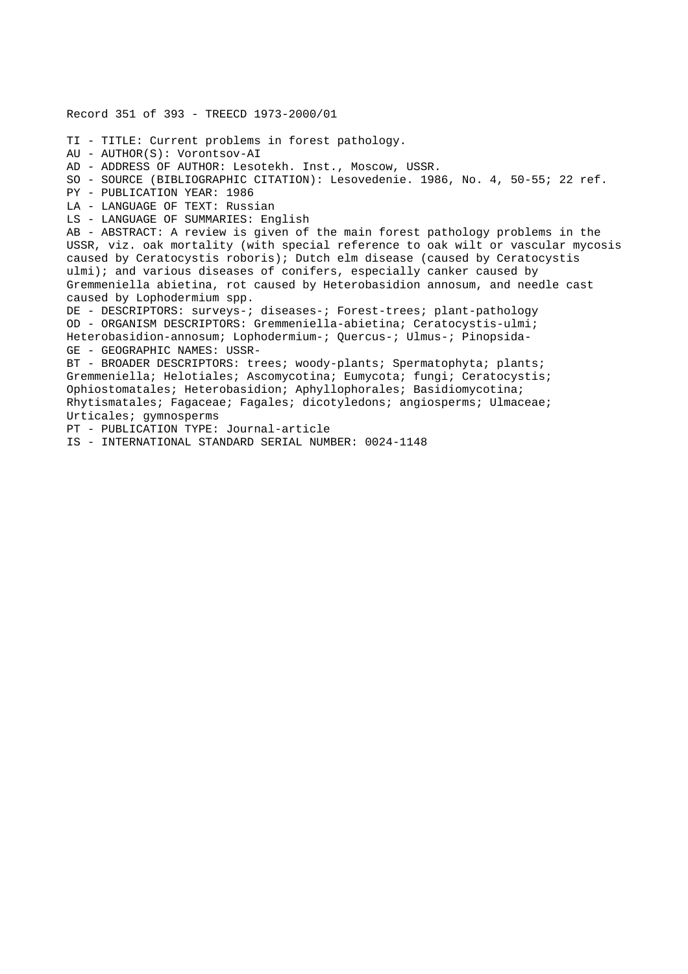Record 351 of 393 - TREECD 1973-2000/01 TI - TITLE: Current problems in forest pathology. AU - AUTHOR(S): Vorontsov-AI AD - ADDRESS OF AUTHOR: Lesotekh. Inst., Moscow, USSR. SO - SOURCE (BIBLIOGRAPHIC CITATION): Lesovedenie. 1986, No. 4, 50-55; 22 ref. PY - PUBLICATION YEAR: 1986 LA - LANGUAGE OF TEXT: Russian LS - LANGUAGE OF SUMMARIES: English AB - ABSTRACT: A review is given of the main forest pathology problems in the USSR, viz. oak mortality (with special reference to oak wilt or vascular mycosis caused by Ceratocystis roboris); Dutch elm disease (caused by Ceratocystis ulmi); and various diseases of conifers, especially canker caused by Gremmeniella abietina, rot caused by Heterobasidion annosum, and needle cast caused by Lophodermium spp. DE - DESCRIPTORS: surveys-; diseases-; Forest-trees; plant-pathology OD - ORGANISM DESCRIPTORS: Gremmeniella-abietina; Ceratocystis-ulmi; Heterobasidion-annosum; Lophodermium-; Quercus-; Ulmus-; Pinopsida-GE - GEOGRAPHIC NAMES: USSR-BT - BROADER DESCRIPTORS: trees; woody-plants; Spermatophyta; plants; Gremmeniella; Helotiales; Ascomycotina; Eumycota; fungi; Ceratocystis; Ophiostomatales; Heterobasidion; Aphyllophorales; Basidiomycotina; Rhytismatales; Fagaceae; Fagales; dicotyledons; angiosperms; Ulmaceae; Urticales; gymnosperms PT - PUBLICATION TYPE: Journal-article IS - INTERNATIONAL STANDARD SERIAL NUMBER: 0024-1148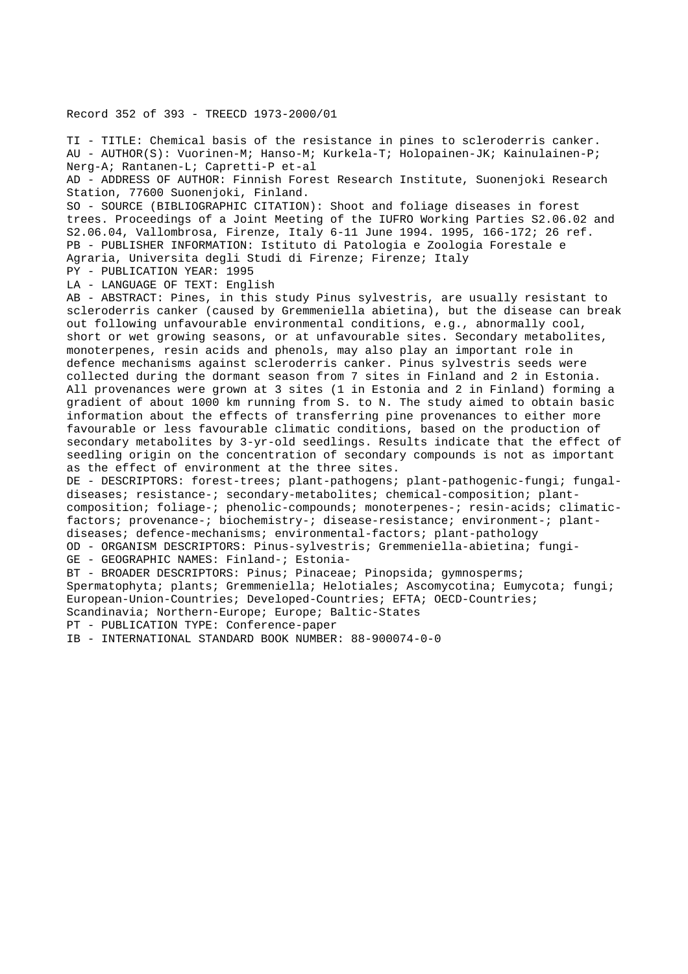### Record 352 of 393 - TREECD 1973-2000/01

TI - TITLE: Chemical basis of the resistance in pines to scleroderris canker. AU - AUTHOR(S): Vuorinen-M; Hanso-M; Kurkela-T; Holopainen-JK; Kainulainen-P; Nerg-A; Rantanen-L; Capretti-P et-al AD - ADDRESS OF AUTHOR: Finnish Forest Research Institute, Suonenjoki Research Station, 77600 Suonenjoki, Finland. SO - SOURCE (BIBLIOGRAPHIC CITATION): Shoot and foliage diseases in forest trees. Proceedings of a Joint Meeting of the IUFRO Working Parties S2.06.02 and S2.06.04, Vallombrosa, Firenze, Italy 6-11 June 1994. 1995, 166-172; 26 ref. PB - PUBLISHER INFORMATION: Istituto di Patologia e Zoologia Forestale e Agraria, Universita degli Studi di Firenze; Firenze; Italy PY - PUBLICATION YEAR: 1995 LA - LANGUAGE OF TEXT: English AB - ABSTRACT: Pines, in this study Pinus sylvestris, are usually resistant to scleroderris canker (caused by Gremmeniella abietina), but the disease can break out following unfavourable environmental conditions, e.g., abnormally cool, short or wet growing seasons, or at unfavourable sites. Secondary metabolites, monoterpenes, resin acids and phenols, may also play an important role in defence mechanisms against scleroderris canker. Pinus sylvestris seeds were collected during the dormant season from 7 sites in Finland and 2 in Estonia. All provenances were grown at 3 sites (1 in Estonia and 2 in Finland) forming a gradient of about 1000 km running from S. to N. The study aimed to obtain basic information about the effects of transferring pine provenances to either more favourable or less favourable climatic conditions, based on the production of secondary metabolites by 3-yr-old seedlings. Results indicate that the effect of seedling origin on the concentration of secondary compounds is not as important as the effect of environment at the three sites. DE - DESCRIPTORS: forest-trees; plant-pathogens; plant-pathogenic-fungi; fungaldiseases; resistance-; secondary-metabolites; chemical-composition; plantcomposition; foliage-; phenolic-compounds; monoterpenes-; resin-acids; climaticfactors; provenance-; biochemistry-; disease-resistance; environment-; plantdiseases; defence-mechanisms; environmental-factors; plant-pathology OD - ORGANISM DESCRIPTORS: Pinus-sylvestris; Gremmeniella-abietina; fungi-GE - GEOGRAPHIC NAMES: Finland-; Estonia-BT - BROADER DESCRIPTORS: Pinus; Pinaceae; Pinopsida; gymnosperms; Spermatophyta; plants; Gremmeniella; Helotiales; Ascomycotina; Eumycota; fungi; European-Union-Countries; Developed-Countries; EFTA; OECD-Countries; Scandinavia; Northern-Europe; Europe; Baltic-States PT - PUBLICATION TYPE: Conference-paper IB - INTERNATIONAL STANDARD BOOK NUMBER: 88-900074-0-0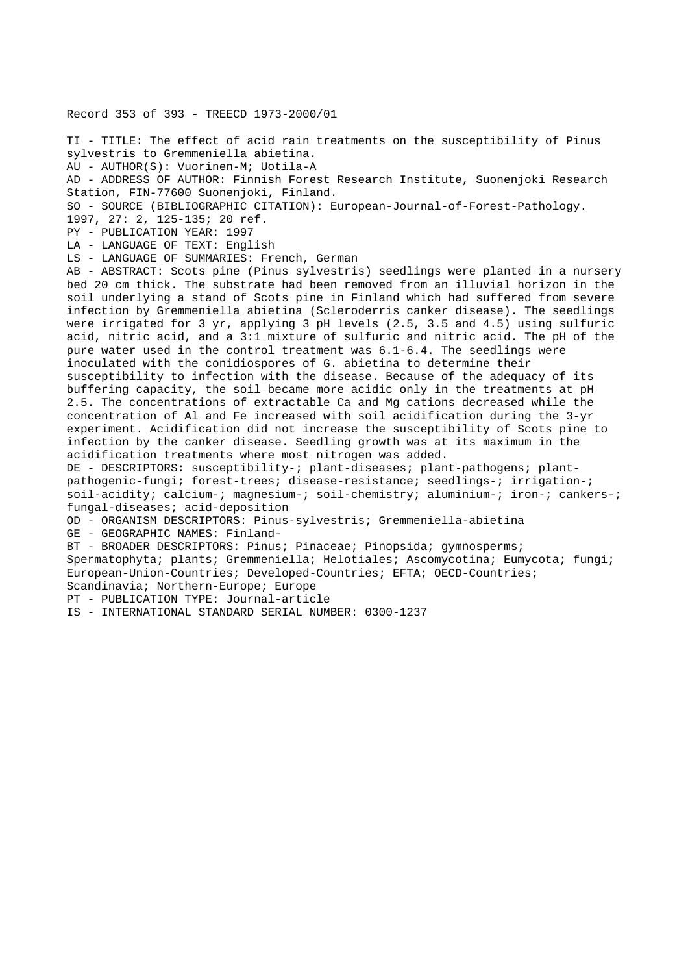Record 353 of 393 - TREECD 1973-2000/01

TI - TITLE: The effect of acid rain treatments on the susceptibility of Pinus sylvestris to Gremmeniella abietina. AU - AUTHOR(S): Vuorinen-M; Uotila-A AD - ADDRESS OF AUTHOR: Finnish Forest Research Institute, Suonenjoki Research Station, FIN-77600 Suonenjoki, Finland. SO - SOURCE (BIBLIOGRAPHIC CITATION): European-Journal-of-Forest-Pathology. 1997, 27: 2, 125-135; 20 ref. PY - PUBLICATION YEAR: 1997 LA - LANGUAGE OF TEXT: English

LS - LANGUAGE OF SUMMARIES: French, German

AB - ABSTRACT: Scots pine (Pinus sylvestris) seedlings were planted in a nursery bed 20 cm thick. The substrate had been removed from an illuvial horizon in the soil underlying a stand of Scots pine in Finland which had suffered from severe infection by Gremmeniella abietina (Scleroderris canker disease). The seedlings were irrigated for 3 yr, applying 3 pH levels (2.5, 3.5 and 4.5) using sulfuric acid, nitric acid, and a 3:1 mixture of sulfuric and nitric acid. The pH of the pure water used in the control treatment was 6.1-6.4. The seedlings were inoculated with the conidiospores of G. abietina to determine their susceptibility to infection with the disease. Because of the adequacy of its buffering capacity, the soil became more acidic only in the treatments at pH 2.5. The concentrations of extractable Ca and Mg cations decreased while the concentration of Al and Fe increased with soil acidification during the 3-yr experiment. Acidification did not increase the susceptibility of Scots pine to infection by the canker disease. Seedling growth was at its maximum in the acidification treatments where most nitrogen was added.

DE - DESCRIPTORS: susceptibility-; plant-diseases; plant-pathogens; plantpathogenic-fungi; forest-trees; disease-resistance; seedlings-; irrigation-; soil-acidity; calcium-; magnesium-; soil-chemistry; aluminium-; iron-; cankers-; fungal-diseases; acid-deposition

OD - ORGANISM DESCRIPTORS: Pinus-sylvestris; Gremmeniella-abietina

GE - GEOGRAPHIC NAMES: Finland-

BT - BROADER DESCRIPTORS: Pinus; Pinaceae; Pinopsida; gymnosperms; Spermatophyta; plants; Gremmeniella; Helotiales; Ascomycotina; Eumycota; fungi; European-Union-Countries; Developed-Countries; EFTA; OECD-Countries; Scandinavia; Northern-Europe; Europe

PT - PUBLICATION TYPE: Journal-article

IS - INTERNATIONAL STANDARD SERIAL NUMBER: 0300-1237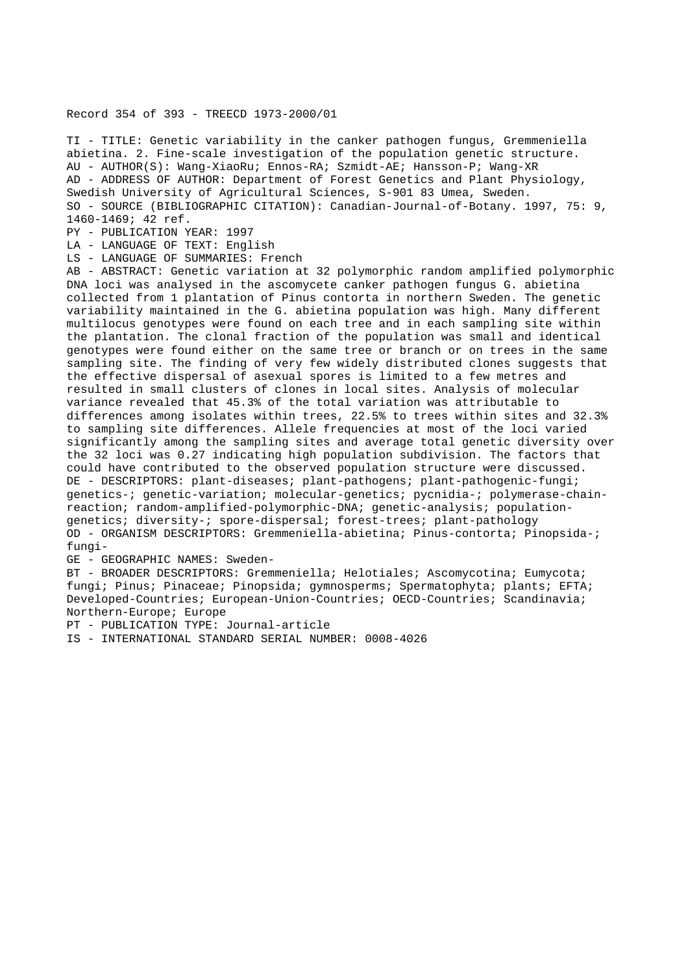# Record 354 of 393 - TREECD 1973-2000/01

TI - TITLE: Genetic variability in the canker pathogen fungus, Gremmeniella abietina. 2. Fine-scale investigation of the population genetic structure. AU - AUTHOR(S): Wang-XiaoRu; Ennos-RA; Szmidt-AE; Hansson-P; Wang-XR AD - ADDRESS OF AUTHOR: Department of Forest Genetics and Plant Physiology, Swedish University of Agricultural Sciences, S-901 83 Umea, Sweden. SO - SOURCE (BIBLIOGRAPHIC CITATION): Canadian-Journal-of-Botany. 1997, 75: 9, 1460-1469; 42 ref.

PY - PUBLICATION YEAR: 1997

LA - LANGUAGE OF TEXT: English

LS - LANGUAGE OF SUMMARIES: French

AB - ABSTRACT: Genetic variation at 32 polymorphic random amplified polymorphic DNA loci was analysed in the ascomycete canker pathogen fungus G. abietina collected from 1 plantation of Pinus contorta in northern Sweden. The genetic variability maintained in the G. abietina population was high. Many different multilocus genotypes were found on each tree and in each sampling site within the plantation. The clonal fraction of the population was small and identical genotypes were found either on the same tree or branch or on trees in the same sampling site. The finding of very few widely distributed clones suggests that the effective dispersal of asexual spores is limited to a few metres and resulted in small clusters of clones in local sites. Analysis of molecular variance revealed that 45.3% of the total variation was attributable to differences among isolates within trees, 22.5% to trees within sites and 32.3% to sampling site differences. Allele frequencies at most of the loci varied significantly among the sampling sites and average total genetic diversity over the 32 loci was 0.27 indicating high population subdivision. The factors that could have contributed to the observed population structure were discussed. DE - DESCRIPTORS: plant-diseases; plant-pathogens; plant-pathogenic-fungi; genetics-; genetic-variation; molecular-genetics; pycnidia-; polymerase-chainreaction; random-amplified-polymorphic-DNA; genetic-analysis; populationgenetics; diversity-; spore-dispersal; forest-trees; plant-pathology OD - ORGANISM DESCRIPTORS: Gremmeniella-abietina; Pinus-contorta; Pinopsida-; fungi-

GE - GEOGRAPHIC NAMES: Sweden-

BT - BROADER DESCRIPTORS: Gremmeniella; Helotiales; Ascomycotina; Eumycota; fungi; Pinus; Pinaceae; Pinopsida; gymnosperms; Spermatophyta; plants; EFTA; Developed-Countries; European-Union-Countries; OECD-Countries; Scandinavia; Northern-Europe; Europe

PT - PUBLICATION TYPE: Journal-article

IS - INTERNATIONAL STANDARD SERIAL NUMBER: 0008-4026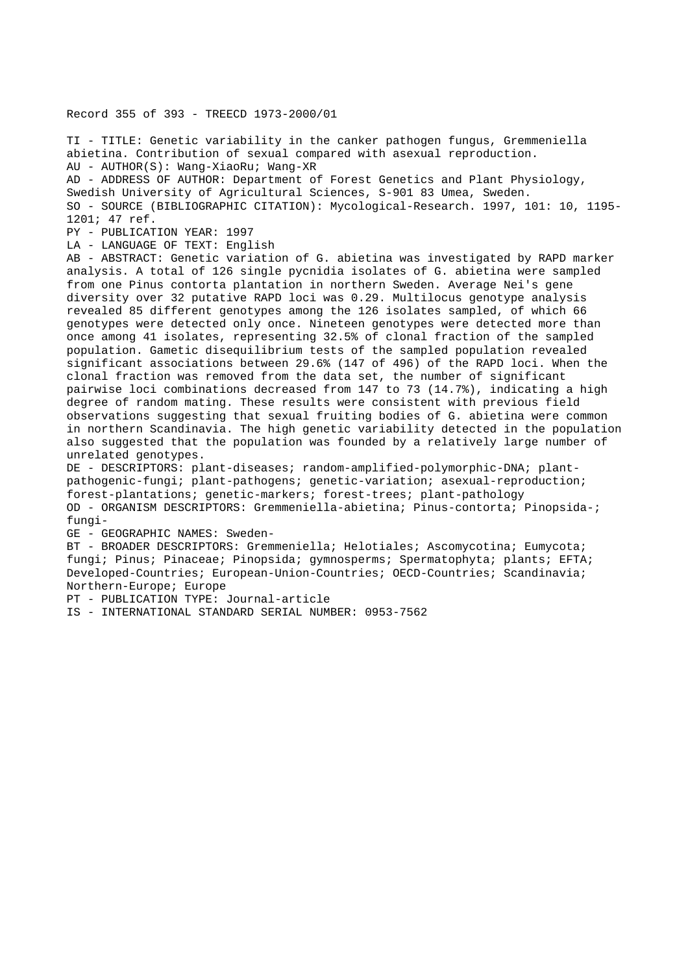Record 355 of 393 - TREECD 1973-2000/01

TI - TITLE: Genetic variability in the canker pathogen fungus, Gremmeniella abietina. Contribution of sexual compared with asexual reproduction. AU - AUTHOR(S): Wang-XiaoRu; Wang-XR AD - ADDRESS OF AUTHOR: Department of Forest Genetics and Plant Physiology, Swedish University of Agricultural Sciences, S-901 83 Umea, Sweden. SO - SOURCE (BIBLIOGRAPHIC CITATION): Mycological-Research. 1997, 101: 10, 1195- 1201; 47 ref. PY - PUBLICATION YEAR: 1997 LA - LANGUAGE OF TEXT: English

AB - ABSTRACT: Genetic variation of G. abietina was investigated by RAPD marker analysis. A total of 126 single pycnidia isolates of G. abietina were sampled from one Pinus contorta plantation in northern Sweden. Average Nei's gene diversity over 32 putative RAPD loci was 0.29. Multilocus genotype analysis revealed 85 different genotypes among the 126 isolates sampled, of which 66 genotypes were detected only once. Nineteen genotypes were detected more than once among 41 isolates, representing 32.5% of clonal fraction of the sampled population. Gametic disequilibrium tests of the sampled population revealed significant associations between 29.6% (147 of 496) of the RAPD loci. When the clonal fraction was removed from the data set, the number of significant pairwise loci combinations decreased from 147 to 73 (14.7%), indicating a high degree of random mating. These results were consistent with previous field observations suggesting that sexual fruiting bodies of G. abietina were common in northern Scandinavia. The high genetic variability detected in the population also suggested that the population was founded by a relatively large number of unrelated genotypes.

DE - DESCRIPTORS: plant-diseases; random-amplified-polymorphic-DNA; plantpathogenic-fungi; plant-pathogens; genetic-variation; asexual-reproduction; forest-plantations; genetic-markers; forest-trees; plant-pathology OD - ORGANISM DESCRIPTORS: Gremmeniella-abietina; Pinus-contorta; Pinopsida-; fungi-

GE - GEOGRAPHIC NAMES: Sweden-

BT - BROADER DESCRIPTORS: Gremmeniella; Helotiales; Ascomycotina; Eumycota; fungi; Pinus; Pinaceae; Pinopsida; gymnosperms; Spermatophyta; plants; EFTA; Developed-Countries; European-Union-Countries; OECD-Countries; Scandinavia; Northern-Europe; Europe

PT - PUBLICATION TYPE: Journal-article

IS - INTERNATIONAL STANDARD SERIAL NUMBER: 0953-7562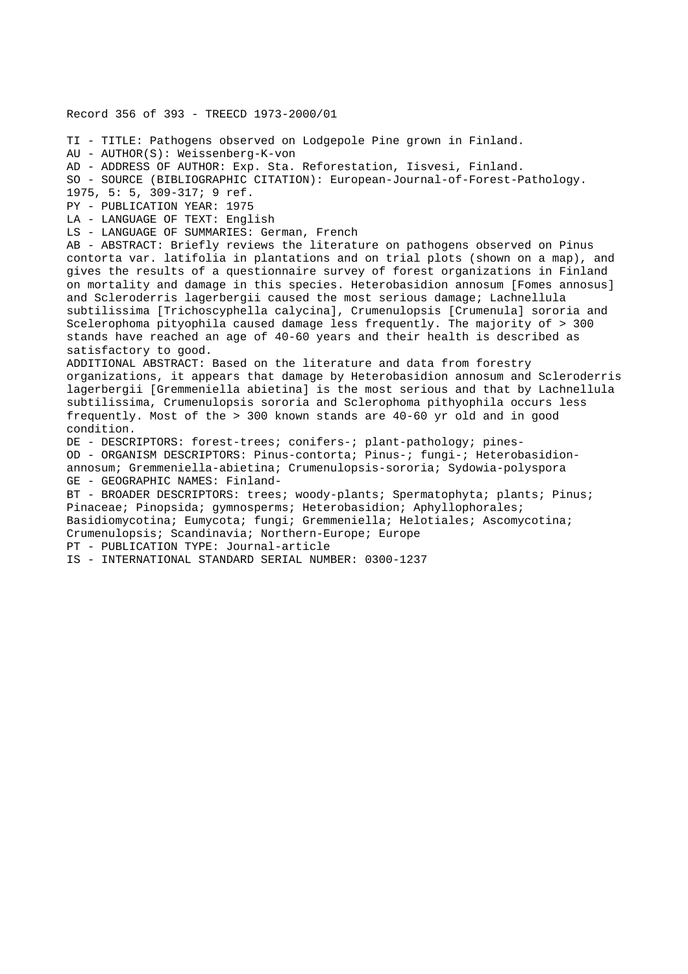Record 356 of 393 - TREECD 1973-2000/01 TI - TITLE: Pathogens observed on Lodgepole Pine grown in Finland. AU - AUTHOR(S): Weissenberg-K-von AD - ADDRESS OF AUTHOR: Exp. Sta. Reforestation, Iisvesi, Finland. SO - SOURCE (BIBLIOGRAPHIC CITATION): European-Journal-of-Forest-Pathology. 1975, 5: 5, 309-317; 9 ref. PY - PUBLICATION YEAR: 1975 LA - LANGUAGE OF TEXT: English LS - LANGUAGE OF SUMMARIES: German, French AB - ABSTRACT: Briefly reviews the literature on pathogens observed on Pinus contorta var. latifolia in plantations and on trial plots (shown on a map), and gives the results of a questionnaire survey of forest organizations in Finland on mortality and damage in this species. Heterobasidion annosum [Fomes annosus] and Scleroderris lagerbergii caused the most serious damage; Lachnellula subtilissima [Trichoscyphella calycina], Crumenulopsis [Crumenula] sororia and Scelerophoma pityophila caused damage less frequently. The majority of > 300 stands have reached an age of 40-60 years and their health is described as satisfactory to good. ADDITIONAL ABSTRACT: Based on the literature and data from forestry organizations, it appears that damage by Heterobasidion annosum and Scleroderris lagerbergii [Gremmeniella abietina] is the most serious and that by Lachnellula subtilissima, Crumenulopsis sororia and Sclerophoma pithyophila occurs less frequently. Most of the > 300 known stands are 40-60 yr old and in good condition. DE - DESCRIPTORS: forest-trees; conifers-; plant-pathology; pines-OD - ORGANISM DESCRIPTORS: Pinus-contorta; Pinus-; fungi-; Heterobasidionannosum; Gremmeniella-abietina; Crumenulopsis-sororia; Sydowia-polyspora GE - GEOGRAPHIC NAMES: Finland-BT - BROADER DESCRIPTORS: trees; woody-plants; Spermatophyta; plants; Pinus; Pinaceae; Pinopsida; gymnosperms; Heterobasidion; Aphyllophorales; Basidiomycotina; Eumycota; fungi; Gremmeniella; Helotiales; Ascomycotina; Crumenulopsis; Scandinavia; Northern-Europe; Europe PT - PUBLICATION TYPE: Journal-article IS - INTERNATIONAL STANDARD SERIAL NUMBER: 0300-1237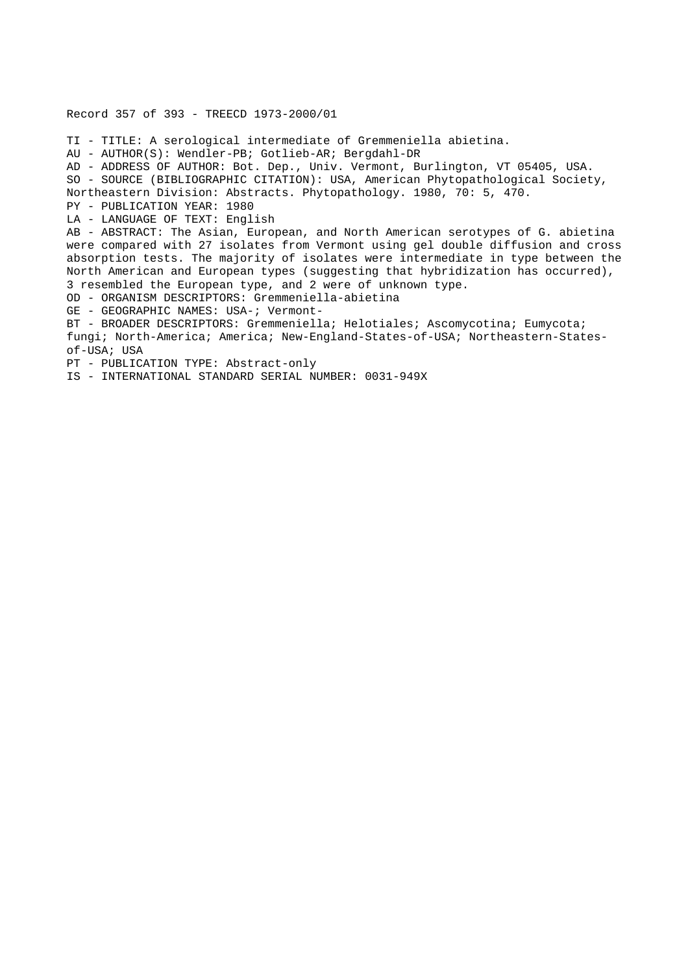Record 357 of 393 - TREECD 1973-2000/01 TI - TITLE: A serological intermediate of Gremmeniella abietina. AU - AUTHOR(S): Wendler-PB; Gotlieb-AR; Bergdahl-DR AD - ADDRESS OF AUTHOR: Bot. Dep., Univ. Vermont, Burlington, VT 05405, USA. SO - SOURCE (BIBLIOGRAPHIC CITATION): USA, American Phytopathological Society, Northeastern Division: Abstracts. Phytopathology. 1980, 70: 5, 470. PY - PUBLICATION YEAR: 1980 LA - LANGUAGE OF TEXT: English AB - ABSTRACT: The Asian, European, and North American serotypes of G. abietina were compared with 27 isolates from Vermont using gel double diffusion and cross absorption tests. The majority of isolates were intermediate in type between the North American and European types (suggesting that hybridization has occurred), 3 resembled the European type, and 2 were of unknown type. OD - ORGANISM DESCRIPTORS: Gremmeniella-abietina GE - GEOGRAPHIC NAMES: USA-; Vermont-BT - BROADER DESCRIPTORS: Gremmeniella; Helotiales; Ascomycotina; Eumycota; fungi; North-America; America; New-England-States-of-USA; Northeastern-Statesof-USA; USA PT - PUBLICATION TYPE: Abstract-only IS - INTERNATIONAL STANDARD SERIAL NUMBER: 0031-949X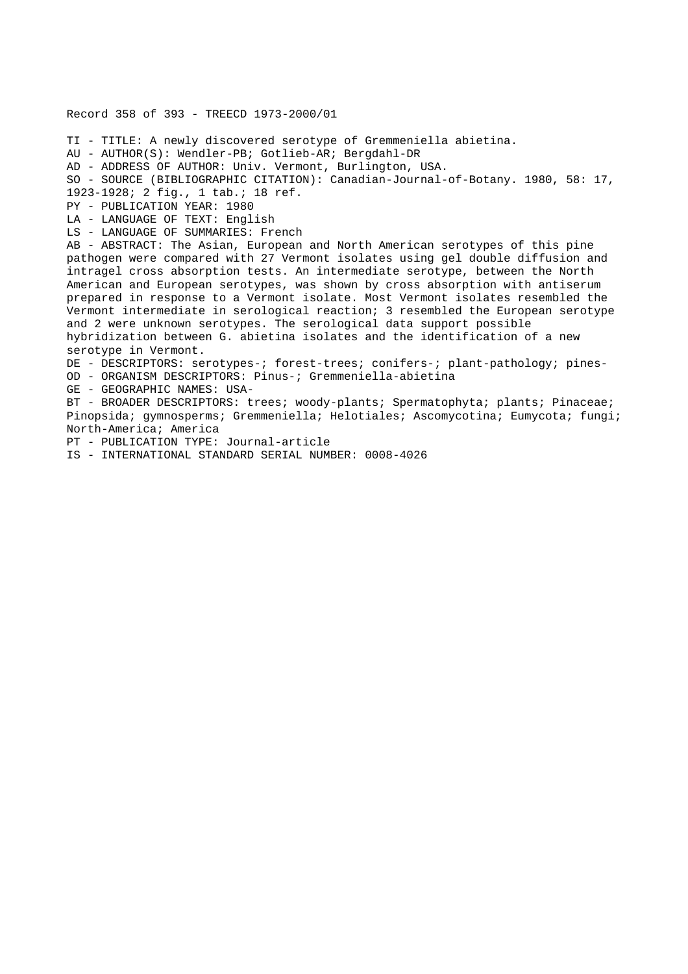Record 358 of 393 - TREECD 1973-2000/01 TI - TITLE: A newly discovered serotype of Gremmeniella abietina. AU - AUTHOR(S): Wendler-PB; Gotlieb-AR; Bergdahl-DR AD - ADDRESS OF AUTHOR: Univ. Vermont, Burlington, USA. SO - SOURCE (BIBLIOGRAPHIC CITATION): Canadian-Journal-of-Botany. 1980, 58: 17, 1923-1928; 2 fig., 1 tab.; 18 ref. PY - PUBLICATION YEAR: 1980 LA - LANGUAGE OF TEXT: English LS - LANGUAGE OF SUMMARIES: French AB - ABSTRACT: The Asian, European and North American serotypes of this pine pathogen were compared with 27 Vermont isolates using gel double diffusion and intragel cross absorption tests. An intermediate serotype, between the North American and European serotypes, was shown by cross absorption with antiserum prepared in response to a Vermont isolate. Most Vermont isolates resembled the Vermont intermediate in serological reaction; 3 resembled the European serotype and 2 were unknown serotypes. The serological data support possible hybridization between G. abietina isolates and the identification of a new serotype in Vermont. DE - DESCRIPTORS: serotypes-; forest-trees; conifers-; plant-pathology; pines-OD - ORGANISM DESCRIPTORS: Pinus-; Gremmeniella-abietina GE - GEOGRAPHIC NAMES: USA-BT - BROADER DESCRIPTORS: trees; woody-plants; Spermatophyta; plants; Pinaceae; Pinopsida; gymnosperms; Gremmeniella; Helotiales; Ascomycotina; Eumycota; fungi; North-America; America PT - PUBLICATION TYPE: Journal-article

IS - INTERNATIONAL STANDARD SERIAL NUMBER: 0008-4026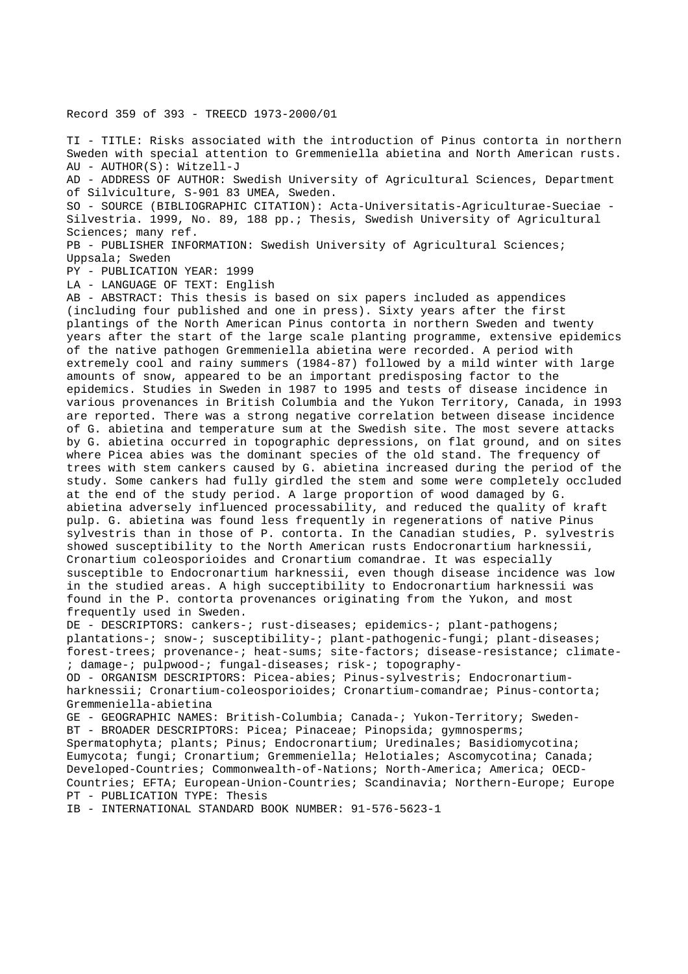Record 359 of 393 - TREECD 1973-2000/01

TI - TITLE: Risks associated with the introduction of Pinus contorta in northern Sweden with special attention to Gremmeniella abietina and North American rusts. AU - AUTHOR(S): Witzell-J

AD - ADDRESS OF AUTHOR: Swedish University of Agricultural Sciences, Department of Silviculture, S-901 83 UMEA, Sweden.

SO - SOURCE (BIBLIOGRAPHIC CITATION): Acta-Universitatis-Agriculturae-Sueciae - Silvestria. 1999, No. 89, 188 pp.; Thesis, Swedish University of Agricultural Sciences; many ref.

PB - PUBLISHER INFORMATION: Swedish University of Agricultural Sciences; Uppsala; Sweden

PY - PUBLICATION YEAR: 1999

LA - LANGUAGE OF TEXT: English

AB - ABSTRACT: This thesis is based on six papers included as appendices (including four published and one in press). Sixty years after the first plantings of the North American Pinus contorta in northern Sweden and twenty years after the start of the large scale planting programme, extensive epidemics of the native pathogen Gremmeniella abietina were recorded. A period with extremely cool and rainy summers (1984-87) followed by a mild winter with large amounts of snow, appeared to be an important predisposing factor to the epidemics. Studies in Sweden in 1987 to 1995 and tests of disease incidence in various provenances in British Columbia and the Yukon Territory, Canada, in 1993 are reported. There was a strong negative correlation between disease incidence of G. abietina and temperature sum at the Swedish site. The most severe attacks by G. abietina occurred in topographic depressions, on flat ground, and on sites where Picea abies was the dominant species of the old stand. The frequency of trees with stem cankers caused by G. abietina increased during the period of the study. Some cankers had fully girdled the stem and some were completely occluded at the end of the study period. A large proportion of wood damaged by G. abietina adversely influenced processability, and reduced the quality of kraft pulp. G. abietina was found less frequently in regenerations of native Pinus sylvestris than in those of P. contorta. In the Canadian studies, P. sylvestris showed susceptibility to the North American rusts Endocronartium harknessii, Cronartium coleosporioides and Cronartium comandrae. It was especially susceptible to Endocronartium harknessii, even though disease incidence was low in the studied areas. A high succeptibility to Endocronartium harknessii was found in the P. contorta provenances originating from the Yukon, and most frequently used in Sweden.

DE - DESCRIPTORS: cankers-; rust-diseases; epidemics-; plant-pathogens; plantations-; snow-; susceptibility-; plant-pathogenic-fungi; plant-diseases; forest-trees; provenance-; heat-sums; site-factors; disease-resistance; climate- ; damage-; pulpwood-; fungal-diseases; risk-; topography-

OD - ORGANISM DESCRIPTORS: Picea-abies; Pinus-sylvestris; Endocronartiumharknessii; Cronartium-coleosporioides; Cronartium-comandrae; Pinus-contorta; Gremmeniella-abietina

GE - GEOGRAPHIC NAMES: British-Columbia; Canada-; Yukon-Territory; Sweden-BT - BROADER DESCRIPTORS: Picea; Pinaceae; Pinopsida; gymnosperms; Spermatophyta; plants; Pinus; Endocronartium; Uredinales; Basidiomycotina; Eumycota; fungi; Cronartium; Gremmeniella; Helotiales; Ascomycotina; Canada; Developed-Countries; Commonwealth-of-Nations; North-America; America; OECD-Countries; EFTA; European-Union-Countries; Scandinavia; Northern-Europe; Europe PT - PUBLICATION TYPE: Thesis

IB - INTERNATIONAL STANDARD BOOK NUMBER: 91-576-5623-1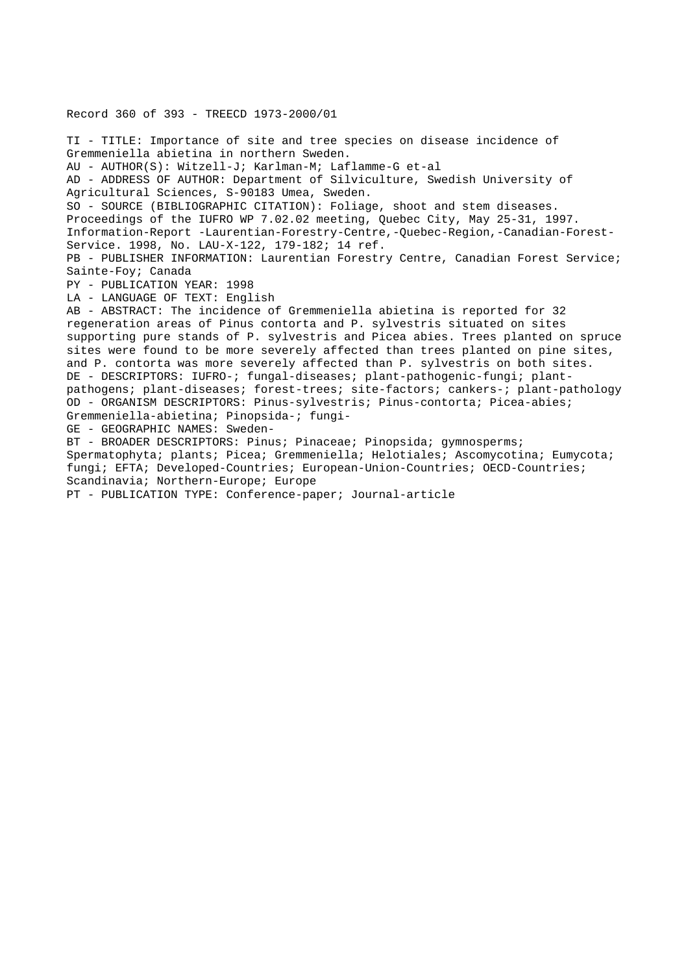Record 360 of 393 - TREECD 1973-2000/01 TI - TITLE: Importance of site and tree species on disease incidence of Gremmeniella abietina in northern Sweden. AU - AUTHOR(S): Witzell-J; Karlman-M; Laflamme-G et-al AD - ADDRESS OF AUTHOR: Department of Silviculture, Swedish University of Agricultural Sciences, S-90183 Umea, Sweden. SO - SOURCE (BIBLIOGRAPHIC CITATION): Foliage, shoot and stem diseases. Proceedings of the IUFRO WP 7.02.02 meeting, Quebec City, May 25-31, 1997. Information-Report -Laurentian-Forestry-Centre,-Quebec-Region,-Canadian-Forest-Service. 1998, No. LAU-X-122, 179-182; 14 ref. PB - PUBLISHER INFORMATION: Laurentian Forestry Centre, Canadian Forest Service; Sainte-Foy; Canada PY - PUBLICATION YEAR: 1998 LA - LANGUAGE OF TEXT: English AB - ABSTRACT: The incidence of Gremmeniella abietina is reported for 32 regeneration areas of Pinus contorta and P. sylvestris situated on sites supporting pure stands of P. sylvestris and Picea abies. Trees planted on spruce sites were found to be more severely affected than trees planted on pine sites, and P. contorta was more severely affected than P. sylvestris on both sites. DE - DESCRIPTORS: IUFRO-; fungal-diseases; plant-pathogenic-fungi; plantpathogens; plant-diseases; forest-trees; site-factors; cankers-; plant-pathology OD - ORGANISM DESCRIPTORS: Pinus-sylvestris; Pinus-contorta; Picea-abies; Gremmeniella-abietina; Pinopsida-; fungi-GE - GEOGRAPHIC NAMES: Sweden-BT - BROADER DESCRIPTORS: Pinus; Pinaceae; Pinopsida; gymnosperms; Spermatophyta; plants; Picea; Gremmeniella; Helotiales; Ascomycotina; Eumycota; fungi; EFTA; Developed-Countries; European-Union-Countries; OECD-Countries; Scandinavia; Northern-Europe; Europe PT - PUBLICATION TYPE: Conference-paper; Journal-article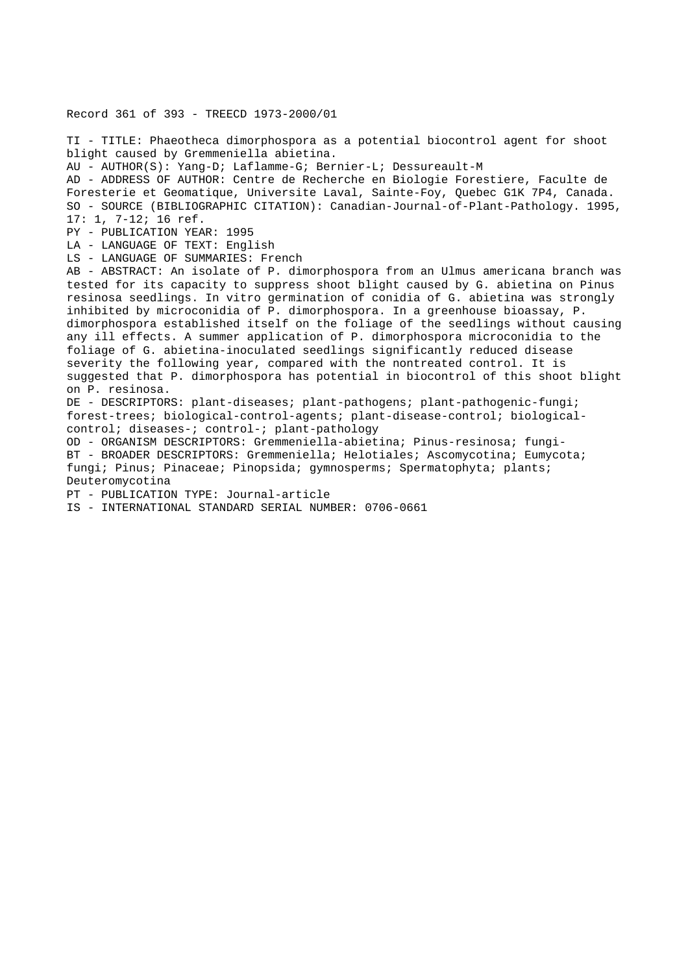## Record 361 of 393 - TREECD 1973-2000/01

TI - TITLE: Phaeotheca dimorphospora as a potential biocontrol agent for shoot blight caused by Gremmeniella abietina.

AU - AUTHOR(S): Yang-D; Laflamme-G; Bernier-L; Dessureault-M

AD - ADDRESS OF AUTHOR: Centre de Recherche en Biologie Forestiere, Faculte de Foresterie et Geomatique, Universite Laval, Sainte-Foy, Quebec G1K 7P4, Canada. SO - SOURCE (BIBLIOGRAPHIC CITATION): Canadian-Journal-of-Plant-Pathology. 1995, 17: 1, 7-12; 16 ref.

PY - PUBLICATION YEAR: 1995

LA - LANGUAGE OF TEXT: English

LS - LANGUAGE OF SUMMARIES: French

AB - ABSTRACT: An isolate of P. dimorphospora from an Ulmus americana branch was tested for its capacity to suppress shoot blight caused by G. abietina on Pinus resinosa seedlings. In vitro germination of conidia of G. abietina was strongly inhibited by microconidia of P. dimorphospora. In a greenhouse bioassay, P. dimorphospora established itself on the foliage of the seedlings without causing any ill effects. A summer application of P. dimorphospora microconidia to the foliage of G. abietina-inoculated seedlings significantly reduced disease severity the following year, compared with the nontreated control. It is suggested that P. dimorphospora has potential in biocontrol of this shoot blight on P. resinosa.

DE - DESCRIPTORS: plant-diseases; plant-pathogens; plant-pathogenic-fungi; forest-trees; biological-control-agents; plant-disease-control; biologicalcontrol; diseases-; control-; plant-pathology

OD - ORGANISM DESCRIPTORS: Gremmeniella-abietina; Pinus-resinosa; fungi-BT - BROADER DESCRIPTORS: Gremmeniella; Helotiales; Ascomycotina; Eumycota; fungi; Pinus; Pinaceae; Pinopsida; gymnosperms; Spermatophyta; plants; Deuteromycotina

PT - PUBLICATION TYPE: Journal-article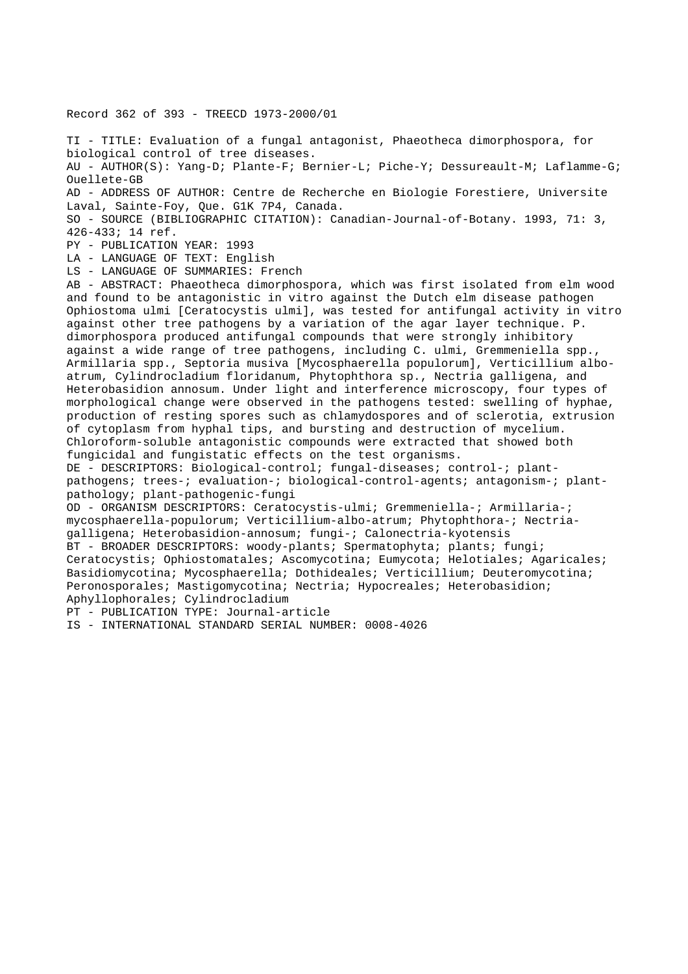Record 362 of 393 - TREECD 1973-2000/01

TI - TITLE: Evaluation of a fungal antagonist, Phaeotheca dimorphospora, for biological control of tree diseases. AU - AUTHOR(S): Yang-D; Plante-F; Bernier-L; Piche-Y; Dessureault-M; Laflamme-G; Ouellete-GB AD - ADDRESS OF AUTHOR: Centre de Recherche en Biologie Forestiere, Universite Laval, Sainte-Foy, Que. G1K 7P4, Canada. SO - SOURCE (BIBLIOGRAPHIC CITATION): Canadian-Journal-of-Botany. 1993, 71: 3, 426-433; 14 ref. PY - PUBLICATION YEAR: 1993 LA - LANGUAGE OF TEXT: English LS - LANGUAGE OF SUMMARIES: French AB - ABSTRACT: Phaeotheca dimorphospora, which was first isolated from elm wood and found to be antagonistic in vitro against the Dutch elm disease pathogen Ophiostoma ulmi [Ceratocystis ulmi], was tested for antifungal activity in vitro against other tree pathogens by a variation of the agar layer technique. P. dimorphospora produced antifungal compounds that were strongly inhibitory against a wide range of tree pathogens, including C. ulmi, Gremmeniella spp., Armillaria spp., Septoria musiva [Mycosphaerella populorum], Verticillium alboatrum, Cylindrocladium floridanum, Phytophthora sp., Nectria galligena, and Heterobasidion annosum. Under light and interference microscopy, four types of morphological change were observed in the pathogens tested: swelling of hyphae, production of resting spores such as chlamydospores and of sclerotia, extrusion of cytoplasm from hyphal tips, and bursting and destruction of mycelium. Chloroform-soluble antagonistic compounds were extracted that showed both fungicidal and fungistatic effects on the test organisms. DE - DESCRIPTORS: Biological-control; fungal-diseases; control-; plantpathogens; trees-; evaluation-; biological-control-agents; antagonism-; plantpathology; plant-pathogenic-fungi OD - ORGANISM DESCRIPTORS: Ceratocystis-ulmi; Gremmeniella-; Armillaria-; mycosphaerella-populorum; Verticillium-albo-atrum; Phytophthora-; Nectriagalligena; Heterobasidion-annosum; fungi-; Calonectria-kyotensis BT - BROADER DESCRIPTORS: woody-plants; Spermatophyta; plants; fungi; Ceratocystis; Ophiostomatales; Ascomycotina; Eumycota; Helotiales; Agaricales; Basidiomycotina; Mycosphaerella; Dothideales; Verticillium; Deuteromycotina; Peronosporales; Mastigomycotina; Nectria; Hypocreales; Heterobasidion; Aphyllophorales; Cylindrocladium PT - PUBLICATION TYPE: Journal-article IS - INTERNATIONAL STANDARD SERIAL NUMBER: 0008-4026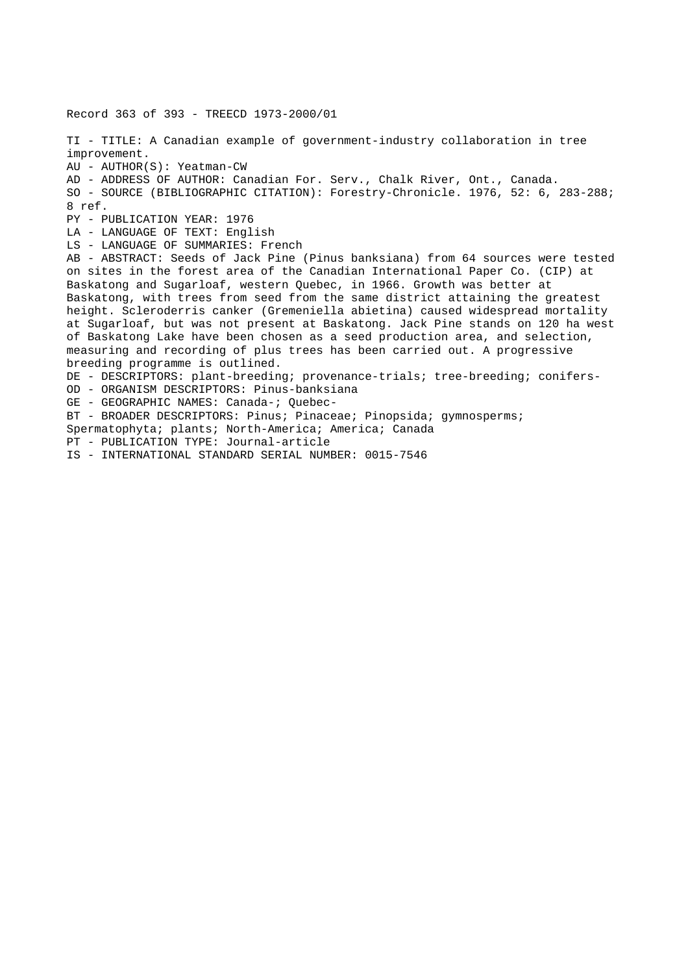Record 363 of 393 - TREECD 1973-2000/01 TI - TITLE: A Canadian example of government-industry collaboration in tree improvement. AU - AUTHOR(S): Yeatman-CW AD - ADDRESS OF AUTHOR: Canadian For. Serv., Chalk River, Ont., Canada. SO - SOURCE (BIBLIOGRAPHIC CITATION): Forestry-Chronicle. 1976, 52: 6, 283-288; 8 ref. PY - PUBLICATION YEAR: 1976 LA - LANGUAGE OF TEXT: English LS - LANGUAGE OF SUMMARIES: French AB - ABSTRACT: Seeds of Jack Pine (Pinus banksiana) from 64 sources were tested on sites in the forest area of the Canadian International Paper Co. (CIP) at Baskatong and Sugarloaf, western Quebec, in 1966. Growth was better at Baskatong, with trees from seed from the same district attaining the greatest height. Scleroderris canker (Gremeniella abietina) caused widespread mortality at Sugarloaf, but was not present at Baskatong. Jack Pine stands on 120 ha west of Baskatong Lake have been chosen as a seed production area, and selection, measuring and recording of plus trees has been carried out. A progressive breeding programme is outlined. DE - DESCRIPTORS: plant-breeding; provenance-trials; tree-breeding; conifers-OD - ORGANISM DESCRIPTORS: Pinus-banksiana GE - GEOGRAPHIC NAMES: Canada-; Quebec-BT - BROADER DESCRIPTORS: Pinus; Pinaceae; Pinopsida; gymnosperms; Spermatophyta; plants; North-America; America; Canada PT - PUBLICATION TYPE: Journal-article IS - INTERNATIONAL STANDARD SERIAL NUMBER: 0015-7546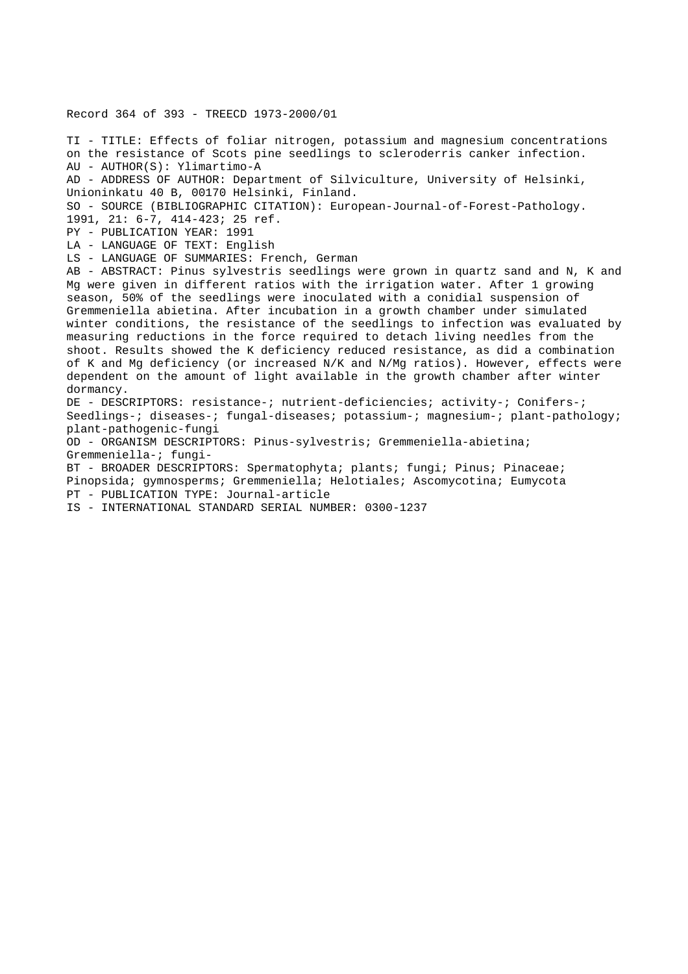#### Record 364 of 393 - TREECD 1973-2000/01

TI - TITLE: Effects of foliar nitrogen, potassium and magnesium concentrations on the resistance of Scots pine seedlings to scleroderris canker infection. AU - AUTHOR(S): Ylimartimo-A AD - ADDRESS OF AUTHOR: Department of Silviculture, University of Helsinki, Unioninkatu 40 B, 00170 Helsinki, Finland. SO - SOURCE (BIBLIOGRAPHIC CITATION): European-Journal-of-Forest-Pathology. 1991, 21: 6-7, 414-423; 25 ref. PY - PUBLICATION YEAR: 1991 LA - LANGUAGE OF TEXT: English LS - LANGUAGE OF SUMMARIES: French, German AB - ABSTRACT: Pinus sylvestris seedlings were grown in quartz sand and N, K and Mg were given in different ratios with the irrigation water. After 1 growing season, 50% of the seedlings were inoculated with a conidial suspension of Gremmeniella abietina. After incubation in a growth chamber under simulated winter conditions, the resistance of the seedlings to infection was evaluated by measuring reductions in the force required to detach living needles from the shoot. Results showed the K deficiency reduced resistance, as did a combination of K and Mg deficiency (or increased N/K and N/Mg ratios). However, effects were dependent on the amount of light available in the growth chamber after winter dormancy. DE - DESCRIPTORS: resistance-; nutrient-deficiencies; activity-; Conifers-; Seedlings-; diseases-; fungal-diseases; potassium-; magnesium-; plant-pathology; plant-pathogenic-fungi OD - ORGANISM DESCRIPTORS: Pinus-sylvestris; Gremmeniella-abietina; Gremmeniella-; fungi-BT - BROADER DESCRIPTORS: Spermatophyta; plants; fungi; Pinus; Pinaceae; Pinopsida; gymnosperms; Gremmeniella; Helotiales; Ascomycotina; Eumycota

- PT PUBLICATION TYPE: Journal-article
- IS INTERNATIONAL STANDARD SERIAL NUMBER: 0300-1237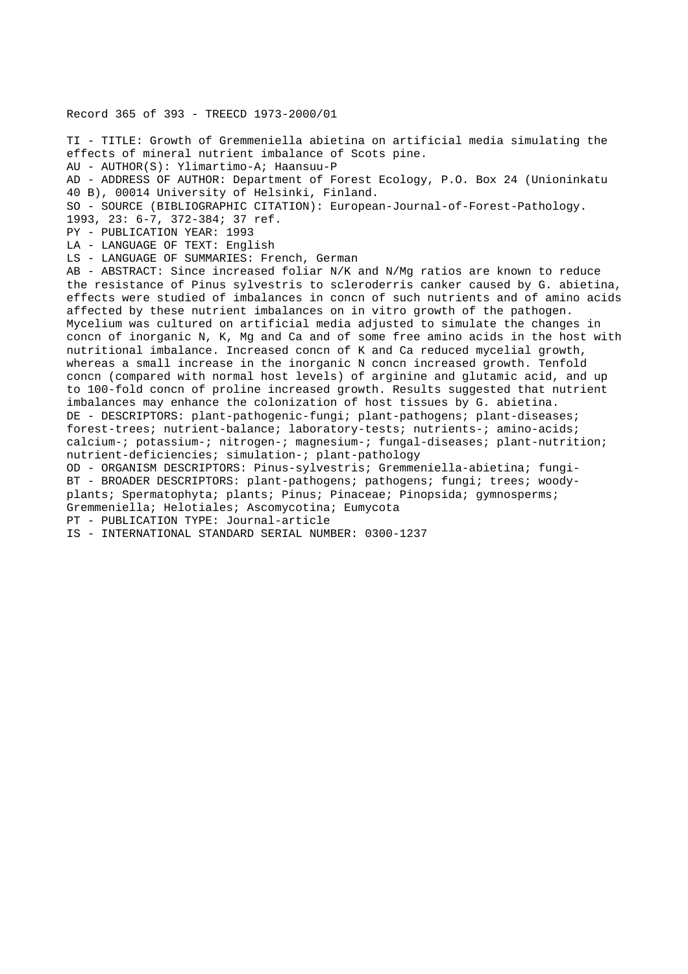Record 365 of 393 - TREECD 1973-2000/01

TI - TITLE: Growth of Gremmeniella abietina on artificial media simulating the effects of mineral nutrient imbalance of Scots pine. AU - AUTHOR(S): Ylimartimo-A; Haansuu-P AD - ADDRESS OF AUTHOR: Department of Forest Ecology, P.O. Box 24 (Unioninkatu 40 B), 00014 University of Helsinki, Finland. SO - SOURCE (BIBLIOGRAPHIC CITATION): European-Journal-of-Forest-Pathology. 1993, 23: 6-7, 372-384; 37 ref. PY - PUBLICATION YEAR: 1993 LA - LANGUAGE OF TEXT: English LS - LANGUAGE OF SUMMARIES: French, German AB - ABSTRACT: Since increased foliar N/K and N/Mg ratios are known to reduce the resistance of Pinus sylvestris to scleroderris canker caused by G. abietina, effects were studied of imbalances in concn of such nutrients and of amino acids affected by these nutrient imbalances on in vitro growth of the pathogen. Mycelium was cultured on artificial media adjusted to simulate the changes in concn of inorganic N, K, Mg and Ca and of some free amino acids in the host with nutritional imbalance. Increased concn of K and Ca reduced mycelial growth, whereas a small increase in the inorganic N concn increased growth. Tenfold concn (compared with normal host levels) of arginine and glutamic acid, and up to 100-fold concn of proline increased growth. Results suggested that nutrient imbalances may enhance the colonization of host tissues by G. abietina. DE - DESCRIPTORS: plant-pathogenic-fungi; plant-pathogens; plant-diseases; forest-trees; nutrient-balance; laboratory-tests; nutrients-; amino-acids; calcium-; potassium-; nitrogen-; magnesium-; fungal-diseases; plant-nutrition; nutrient-deficiencies; simulation-; plant-pathology OD - ORGANISM DESCRIPTORS: Pinus-sylvestris; Gremmeniella-abietina; fungi-BT - BROADER DESCRIPTORS: plant-pathogens; pathogens; fungi; trees; woodyplants; Spermatophyta; plants; Pinus; Pinaceae; Pinopsida; gymnosperms; Gremmeniella; Helotiales; Ascomycotina; Eumycota PT - PUBLICATION TYPE: Journal-article IS - INTERNATIONAL STANDARD SERIAL NUMBER: 0300-1237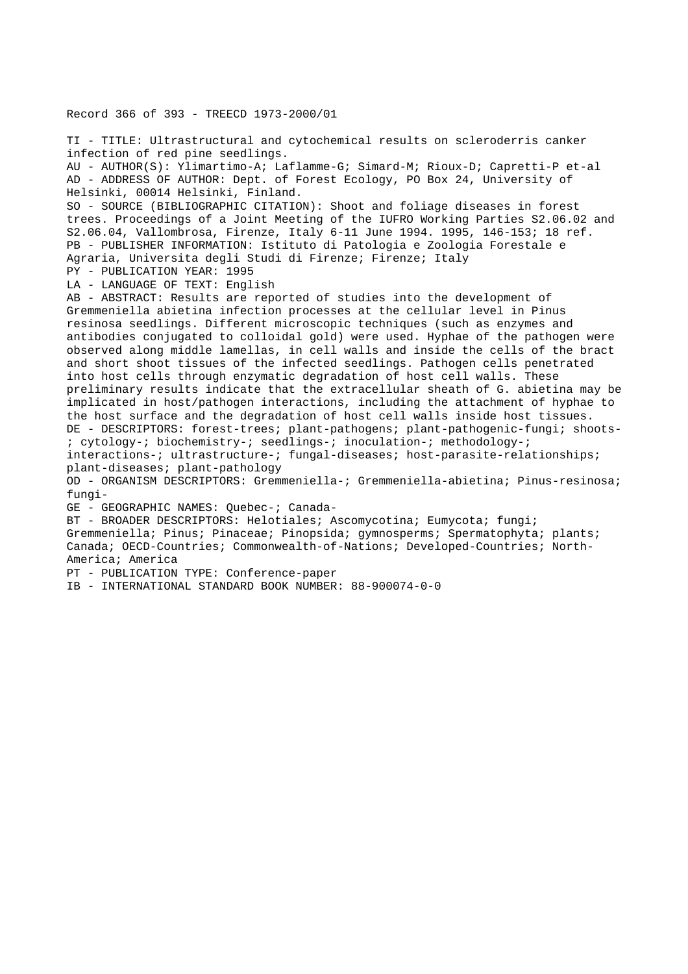Record 366 of 393 - TREECD 1973-2000/01

TI - TITLE: Ultrastructural and cytochemical results on scleroderris canker infection of red pine seedlings. AU - AUTHOR(S): Ylimartimo-A; Laflamme-G; Simard-M; Rioux-D; Capretti-P et-al AD - ADDRESS OF AUTHOR: Dept. of Forest Ecology, PO Box 24, University of Helsinki, 00014 Helsinki, Finland. SO - SOURCE (BIBLIOGRAPHIC CITATION): Shoot and foliage diseases in forest trees. Proceedings of a Joint Meeting of the IUFRO Working Parties S2.06.02 and S2.06.04, Vallombrosa, Firenze, Italy 6-11 June 1994. 1995, 146-153; 18 ref. PB - PUBLISHER INFORMATION: Istituto di Patologia e Zoologia Forestale e Agraria, Universita degli Studi di Firenze; Firenze; Italy PY - PUBLICATION YEAR: 1995 LA - LANGUAGE OF TEXT: English AB - ABSTRACT: Results are reported of studies into the development of Gremmeniella abietina infection processes at the cellular level in Pinus resinosa seedlings. Different microscopic techniques (such as enzymes and antibodies conjugated to colloidal gold) were used. Hyphae of the pathogen were observed along middle lamellas, in cell walls and inside the cells of the bract and short shoot tissues of the infected seedlings. Pathogen cells penetrated into host cells through enzymatic degradation of host cell walls. These preliminary results indicate that the extracellular sheath of G. abietina may be implicated in host/pathogen interactions, including the attachment of hyphae to the host surface and the degradation of host cell walls inside host tissues. DE - DESCRIPTORS: forest-trees; plant-pathogens; plant-pathogenic-fungi; shoots- ; cytology-; biochemistry-; seedlings-; inoculation-; methodology-; interactions-; ultrastructure-; fungal-diseases; host-parasite-relationships; plant-diseases; plant-pathology OD - ORGANISM DESCRIPTORS: Gremmeniella-; Gremmeniella-abietina; Pinus-resinosa; fungi-GE - GEOGRAPHIC NAMES: Quebec-; Canada-BT - BROADER DESCRIPTORS: Helotiales; Ascomycotina; Eumycota; fungi; Gremmeniella; Pinus; Pinaceae; Pinopsida; gymnosperms; Spermatophyta; plants; Canada; OECD-Countries; Commonwealth-of-Nations; Developed-Countries; North-America; America PT - PUBLICATION TYPE: Conference-paper

IB - INTERNATIONAL STANDARD BOOK NUMBER: 88-900074-0-0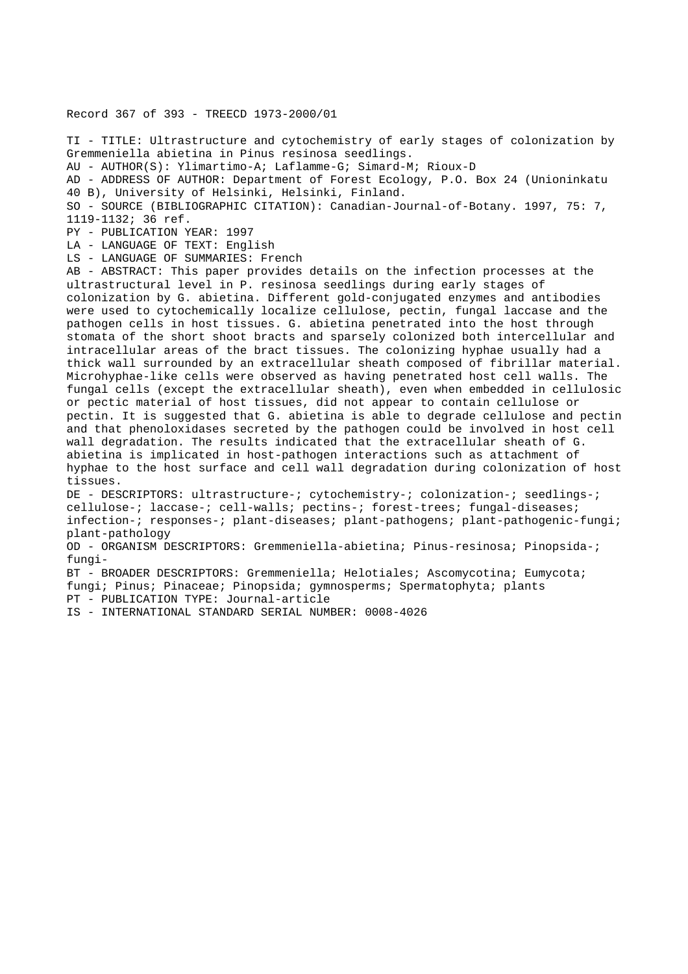Record 367 of 393 - TREECD 1973-2000/01

TI - TITLE: Ultrastructure and cytochemistry of early stages of colonization by Gremmeniella abietina in Pinus resinosa seedlings. AU - AUTHOR(S): Ylimartimo-A; Laflamme-G; Simard-M; Rioux-D AD - ADDRESS OF AUTHOR: Department of Forest Ecology, P.O. Box 24 (Unioninkatu 40 B), University of Helsinki, Helsinki, Finland. SO - SOURCE (BIBLIOGRAPHIC CITATION): Canadian-Journal-of-Botany. 1997, 75: 7, 1119-1132; 36 ref. PY - PUBLICATION YEAR: 1997 LA - LANGUAGE OF TEXT: English LS - LANGUAGE OF SUMMARIES: French AB - ABSTRACT: This paper provides details on the infection processes at the ultrastructural level in P. resinosa seedlings during early stages of colonization by G. abietina. Different gold-conjugated enzymes and antibodies were used to cytochemically localize cellulose, pectin, fungal laccase and the pathogen cells in host tissues. G. abietina penetrated into the host through stomata of the short shoot bracts and sparsely colonized both intercellular and intracellular areas of the bract tissues. The colonizing hyphae usually had a thick wall surrounded by an extracellular sheath composed of fibrillar material. Microhyphae-like cells were observed as having penetrated host cell walls. The fungal cells (except the extracellular sheath), even when embedded in cellulosic or pectic material of host tissues, did not appear to contain cellulose or pectin. It is suggested that G. abietina is able to degrade cellulose and pectin and that phenoloxidases secreted by the pathogen could be involved in host cell wall degradation. The results indicated that the extracellular sheath of G. abietina is implicated in host-pathogen interactions such as attachment of hyphae to the host surface and cell wall degradation during colonization of host tissues. DE - DESCRIPTORS: ultrastructure-; cytochemistry-; colonization-; seedlings-; cellulose-; laccase-; cell-walls; pectins-; forest-trees; fungal-diseases; infection-; responses-; plant-diseases; plant-pathogens; plant-pathogenic-fungi; plant-pathology OD - ORGANISM DESCRIPTORS: Gremmeniella-abietina; Pinus-resinosa; Pinopsida-; fungi-BT - BROADER DESCRIPTORS: Gremmeniella; Helotiales; Ascomycotina; Eumycota; fungi; Pinus; Pinaceae; Pinopsida; gymnosperms; Spermatophyta; plants PT - PUBLICATION TYPE: Journal-article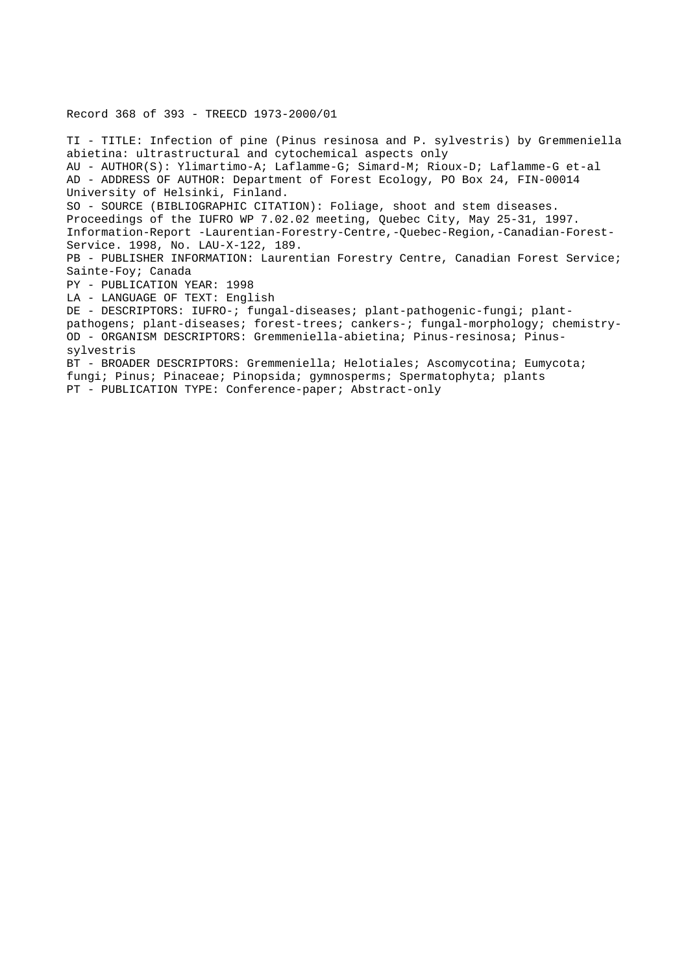# Record 368 of 393 - TREECD 1973-2000/01

TI - TITLE: Infection of pine (Pinus resinosa and P. sylvestris) by Gremmeniella abietina: ultrastructural and cytochemical aspects only AU - AUTHOR(S): Ylimartimo-A; Laflamme-G; Simard-M; Rioux-D; Laflamme-G et-al AD - ADDRESS OF AUTHOR: Department of Forest Ecology, PO Box 24, FIN-00014 University of Helsinki, Finland. SO - SOURCE (BIBLIOGRAPHIC CITATION): Foliage, shoot and stem diseases. Proceedings of the IUFRO WP 7.02.02 meeting, Quebec City, May 25-31, 1997. Information-Report -Laurentian-Forestry-Centre,-Quebec-Region,-Canadian-Forest-Service. 1998, No. LAU-X-122, 189. PB - PUBLISHER INFORMATION: Laurentian Forestry Centre, Canadian Forest Service; Sainte-Foy; Canada PY - PUBLICATION YEAR: 1998 LA - LANGUAGE OF TEXT: English DE - DESCRIPTORS: IUFRO-; fungal-diseases; plant-pathogenic-fungi; plantpathogens; plant-diseases; forest-trees; cankers-; fungal-morphology; chemistry-OD - ORGANISM DESCRIPTORS: Gremmeniella-abietina; Pinus-resinosa; Pinussylvestris BT - BROADER DESCRIPTORS: Gremmeniella; Helotiales; Ascomycotina; Eumycota; fungi; Pinus; Pinaceae; Pinopsida; gymnosperms; Spermatophyta; plants PT - PUBLICATION TYPE: Conference-paper; Abstract-only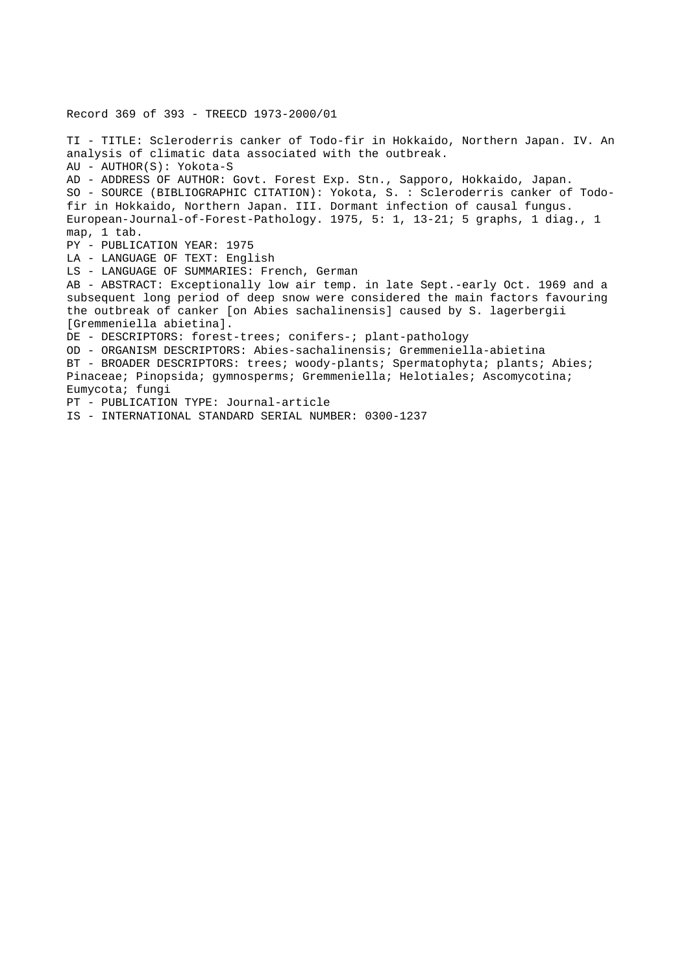Record 369 of 393 - TREECD 1973-2000/01

TI - TITLE: Scleroderris canker of Todo-fir in Hokkaido, Northern Japan. IV. An analysis of climatic data associated with the outbreak. AU - AUTHOR(S): Yokota-S AD - ADDRESS OF AUTHOR: Govt. Forest Exp. Stn., Sapporo, Hokkaido, Japan. SO - SOURCE (BIBLIOGRAPHIC CITATION): Yokota, S. : Scleroderris canker of Todofir in Hokkaido, Northern Japan. III. Dormant infection of causal fungus. European-Journal-of-Forest-Pathology. 1975, 5: 1, 13-21; 5 graphs, 1 diag., 1 map, 1 tab. PY - PUBLICATION YEAR: 1975 LA - LANGUAGE OF TEXT: English LS - LANGUAGE OF SUMMARIES: French, German AB - ABSTRACT: Exceptionally low air temp. in late Sept.-early Oct. 1969 and a subsequent long period of deep snow were considered the main factors favouring the outbreak of canker [on Abies sachalinensis] caused by S. lagerbergii [Gremmeniella abietina]. DE - DESCRIPTORS: forest-trees; conifers-; plant-pathology OD - ORGANISM DESCRIPTORS: Abies-sachalinensis; Gremmeniella-abietina BT - BROADER DESCRIPTORS: trees; woody-plants; Spermatophyta; plants; Abies; Pinaceae; Pinopsida; gymnosperms; Gremmeniella; Helotiales; Ascomycotina; Eumycota; fungi PT - PUBLICATION TYPE: Journal-article IS - INTERNATIONAL STANDARD SERIAL NUMBER: 0300-1237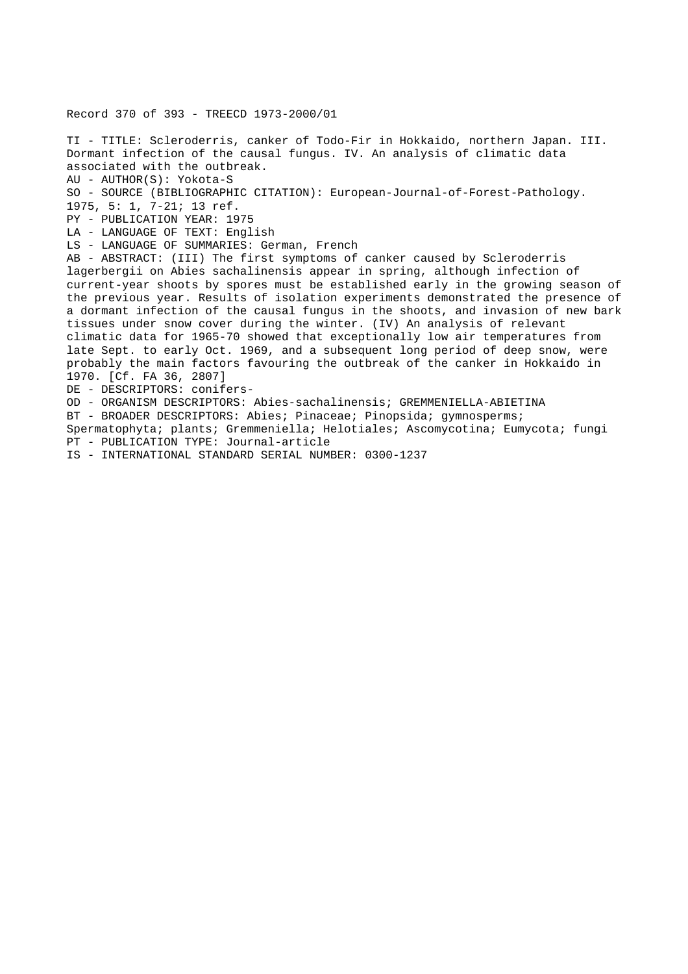Record 370 of 393 - TREECD 1973-2000/01

TI - TITLE: Scleroderris, canker of Todo-Fir in Hokkaido, northern Japan. III. Dormant infection of the causal fungus. IV. An analysis of climatic data associated with the outbreak. AU - AUTHOR(S): Yokota-S SO - SOURCE (BIBLIOGRAPHIC CITATION): European-Journal-of-Forest-Pathology. 1975, 5: 1, 7-21; 13 ref. PY - PUBLICATION YEAR: 1975 LA - LANGUAGE OF TEXT: English LS - LANGUAGE OF SUMMARIES: German, French AB - ABSTRACT: (III) The first symptoms of canker caused by Scleroderris lagerbergii on Abies sachalinensis appear in spring, although infection of current-year shoots by spores must be established early in the growing season of the previous year. Results of isolation experiments demonstrated the presence of a dormant infection of the causal fungus in the shoots, and invasion of new bark tissues under snow cover during the winter. (IV) An analysis of relevant climatic data for 1965-70 showed that exceptionally low air temperatures from late Sept. to early Oct. 1969, and a subsequent long period of deep snow, were probably the main factors favouring the outbreak of the canker in Hokkaido in 1970. [Cf. FA 36, 2807] DE - DESCRIPTORS: conifers-OD - ORGANISM DESCRIPTORS: Abies-sachalinensis; GREMMENIELLA-ABIETINA BT - BROADER DESCRIPTORS: Abies; Pinaceae; Pinopsida; gymnosperms; Spermatophyta; plants; Gremmeniella; Helotiales; Ascomycotina; Eumycota; fungi PT - PUBLICATION TYPE: Journal-article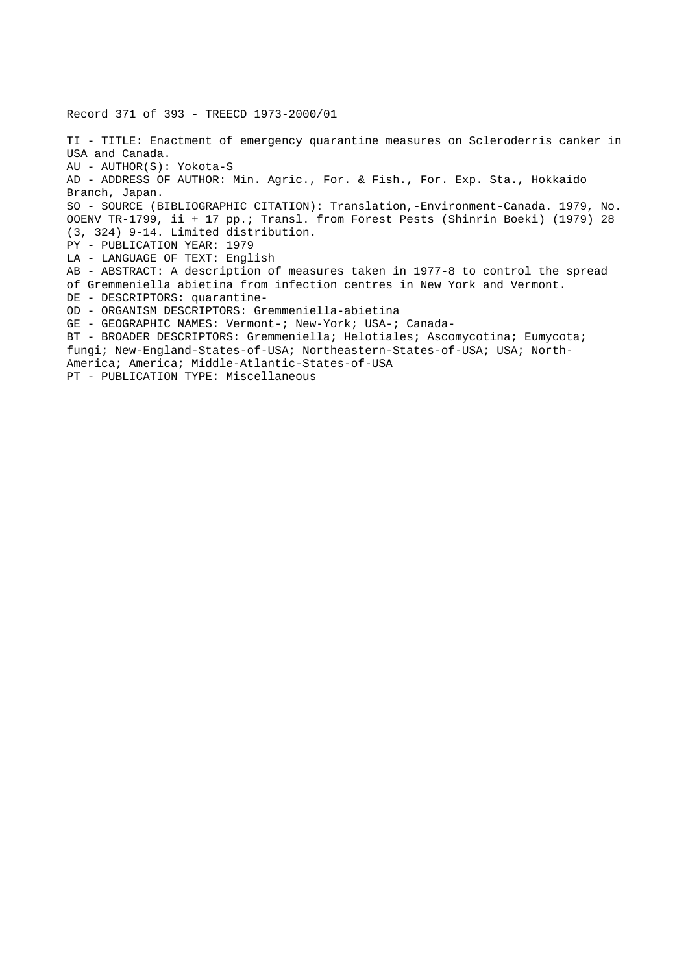Record 371 of 393 - TREECD 1973-2000/01 TI - TITLE: Enactment of emergency quarantine measures on Scleroderris canker in USA and Canada. AU - AUTHOR(S): Yokota-S AD - ADDRESS OF AUTHOR: Min. Agric., For. & Fish., For. Exp. Sta., Hokkaido Branch, Japan. SO - SOURCE (BIBLIOGRAPHIC CITATION): Translation,-Environment-Canada. 1979, No. OOENV TR-1799, ii + 17 pp.; Transl. from Forest Pests (Shinrin Boeki) (1979) 28 (3, 324) 9-14. Limited distribution. PY - PUBLICATION YEAR: 1979 LA - LANGUAGE OF TEXT: English AB - ABSTRACT: A description of measures taken in 1977-8 to control the spread of Gremmeniella abietina from infection centres in New York and Vermont. DE - DESCRIPTORS: quarantine-OD - ORGANISM DESCRIPTORS: Gremmeniella-abietina GE - GEOGRAPHIC NAMES: Vermont-; New-York; USA-; Canada-BT - BROADER DESCRIPTORS: Gremmeniella; Helotiales; Ascomycotina; Eumycota; fungi; New-England-States-of-USA; Northeastern-States-of-USA; USA; North-America; America; Middle-Atlantic-States-of-USA PT - PUBLICATION TYPE: Miscellaneous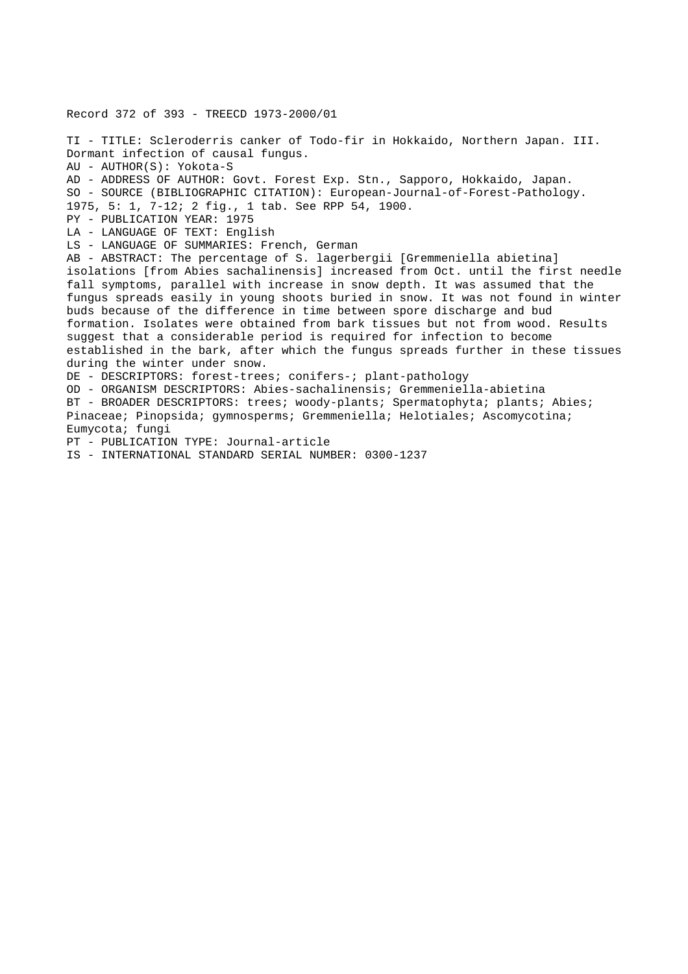Record 372 of 393 - TREECD 1973-2000/01 TI - TITLE: Scleroderris canker of Todo-fir in Hokkaido, Northern Japan. III. Dormant infection of causal fungus. AU - AUTHOR(S): Yokota-S AD - ADDRESS OF AUTHOR: Govt. Forest Exp. Stn., Sapporo, Hokkaido, Japan. SO - SOURCE (BIBLIOGRAPHIC CITATION): European-Journal-of-Forest-Pathology. 1975, 5: 1, 7-12; 2 fig., 1 tab. See RPP 54, 1900. PY - PUBLICATION YEAR: 1975 LA - LANGUAGE OF TEXT: English LS - LANGUAGE OF SUMMARIES: French, German AB - ABSTRACT: The percentage of S. lagerbergii [Gremmeniella abietina] isolations [from Abies sachalinensis] increased from Oct. until the first needle fall symptoms, parallel with increase in snow depth. It was assumed that the fungus spreads easily in young shoots buried in snow. It was not found in winter buds because of the difference in time between spore discharge and bud formation. Isolates were obtained from bark tissues but not from wood. Results suggest that a considerable period is required for infection to become established in the bark, after which the fungus spreads further in these tissues during the winter under snow. DE - DESCRIPTORS: forest-trees; conifers-; plant-pathology OD - ORGANISM DESCRIPTORS: Abies-sachalinensis; Gremmeniella-abietina BT - BROADER DESCRIPTORS: trees; woody-plants; Spermatophyta; plants; Abies; Pinaceae; Pinopsida; gymnosperms; Gremmeniella; Helotiales; Ascomycotina; Eumycota; fungi PT - PUBLICATION TYPE: Journal-article IS - INTERNATIONAL STANDARD SERIAL NUMBER: 0300-1237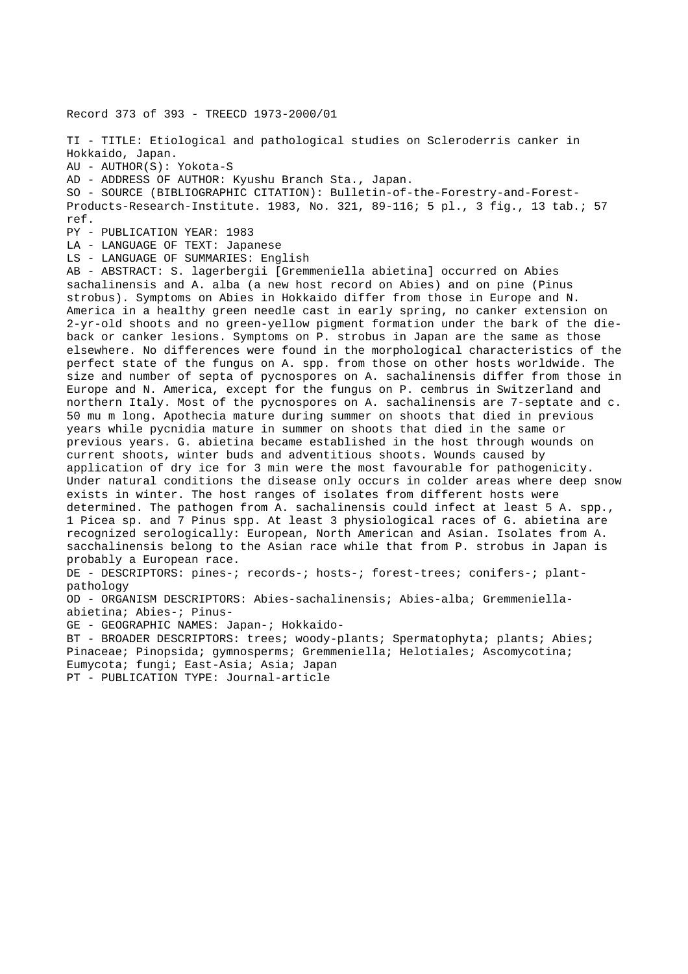Record 373 of 393 - TREECD 1973-2000/01

TI - TITLE: Etiological and pathological studies on Scleroderris canker in Hokkaido, Japan.

AU - AUTHOR(S): Yokota-S

AD - ADDRESS OF AUTHOR: Kyushu Branch Sta., Japan.

SO - SOURCE (BIBLIOGRAPHIC CITATION): Bulletin-of-the-Forestry-and-Forest-Products-Research-Institute. 1983, No. 321, 89-116; 5 pl., 3 fig., 13 tab.; 57 ref.

PY - PUBLICATION YEAR: 1983

LA - LANGUAGE OF TEXT: Japanese

LS - LANGUAGE OF SUMMARIES: English

AB - ABSTRACT: S. lagerbergii [Gremmeniella abietina] occurred on Abies sachalinensis and A. alba (a new host record on Abies) and on pine (Pinus strobus). Symptoms on Abies in Hokkaido differ from those in Europe and N. America in a healthy green needle cast in early spring, no canker extension on 2-yr-old shoots and no green-yellow pigment formation under the bark of the dieback or canker lesions. Symptoms on P. strobus in Japan are the same as those elsewhere. No differences were found in the morphological characteristics of the perfect state of the fungus on A. spp. from those on other hosts worldwide. The size and number of septa of pycnospores on A. sachalinensis differ from those in Europe and N. America, except for the fungus on P. cembrus in Switzerland and northern Italy. Most of the pycnospores on A. sachalinensis are 7-septate and c. 50 mu m long. Apothecia mature during summer on shoots that died in previous years while pycnidia mature in summer on shoots that died in the same or previous years. G. abietina became established in the host through wounds on current shoots, winter buds and adventitious shoots. Wounds caused by application of dry ice for 3 min were the most favourable for pathogenicity. Under natural conditions the disease only occurs in colder areas where deep snow exists in winter. The host ranges of isolates from different hosts were determined. The pathogen from A. sachalinensis could infect at least 5 A. spp., 1 Picea sp. and 7 Pinus spp. At least 3 physiological races of G. abietina are recognized serologically: European, North American and Asian. Isolates from A. sacchalinensis belong to the Asian race while that from P. strobus in Japan is probably a European race. DE - DESCRIPTORS: pines-; records-; hosts-; forest-trees; conifers-; plantpathology OD - ORGANISM DESCRIPTORS: Abies-sachalinensis; Abies-alba; Gremmeniellaabietina; Abies-; Pinus-GE - GEOGRAPHIC NAMES: Japan-; Hokkaido-

BT - BROADER DESCRIPTORS: trees; woody-plants; Spermatophyta; plants; Abies; Pinaceae; Pinopsida; gymnosperms; Gremmeniella; Helotiales; Ascomycotina; Eumycota; fungi; East-Asia; Asia; Japan PT - PUBLICATION TYPE: Journal-article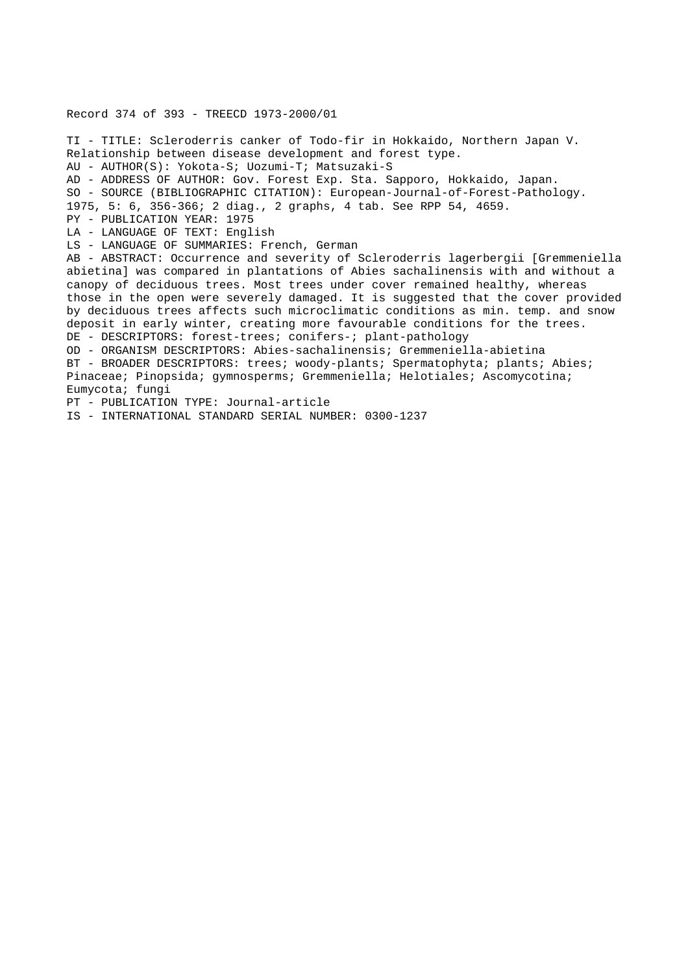# Record 374 of 393 - TREECD 1973-2000/01

TI - TITLE: Scleroderris canker of Todo-fir in Hokkaido, Northern Japan V. Relationship between disease development and forest type. AU - AUTHOR(S): Yokota-S; Uozumi-T; Matsuzaki-S AD - ADDRESS OF AUTHOR: Gov. Forest Exp. Sta. Sapporo, Hokkaido, Japan. SO - SOURCE (BIBLIOGRAPHIC CITATION): European-Journal-of-Forest-Pathology. 1975, 5: 6, 356-366; 2 diag., 2 graphs, 4 tab. See RPP 54, 4659. PY - PUBLICATION YEAR: 1975 LA - LANGUAGE OF TEXT: English LS - LANGUAGE OF SUMMARIES: French, German AB - ABSTRACT: Occurrence and severity of Scleroderris lagerbergii [Gremmeniella abietina] was compared in plantations of Abies sachalinensis with and without a canopy of deciduous trees. Most trees under cover remained healthy, whereas those in the open were severely damaged. It is suggested that the cover provided by deciduous trees affects such microclimatic conditions as min. temp. and snow deposit in early winter, creating more favourable conditions for the trees. DE - DESCRIPTORS: forest-trees; conifers-; plant-pathology OD - ORGANISM DESCRIPTORS: Abies-sachalinensis; Gremmeniella-abietina BT - BROADER DESCRIPTORS: trees; woody-plants; Spermatophyta; plants; Abies; Pinaceae; Pinopsida; gymnosperms; Gremmeniella; Helotiales; Ascomycotina; Eumycota; fungi PT - PUBLICATION TYPE: Journal-article IS - INTERNATIONAL STANDARD SERIAL NUMBER: 0300-1237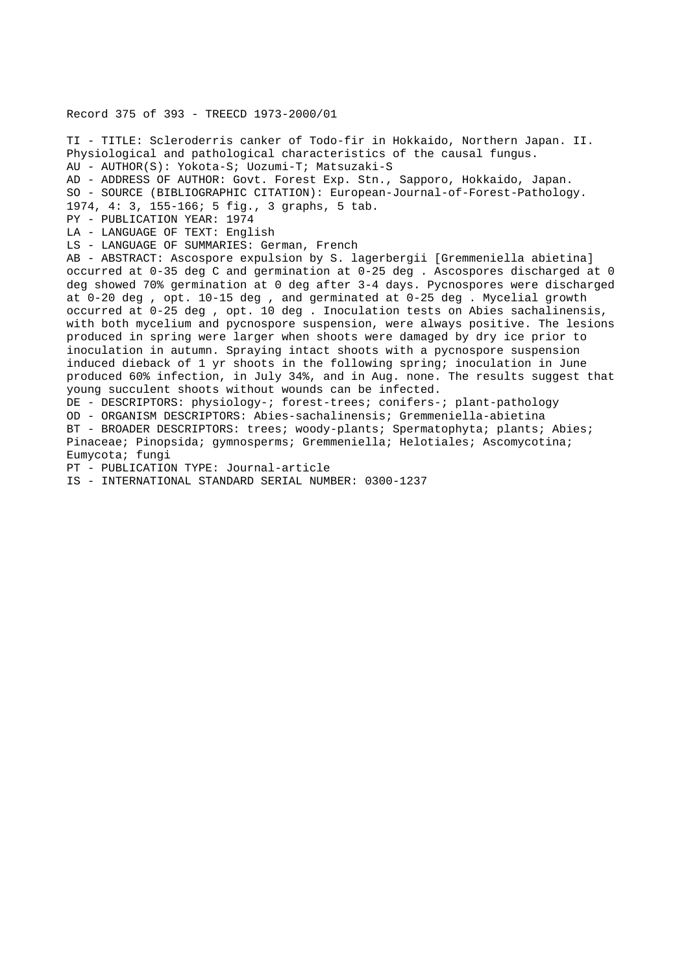## Record 375 of 393 - TREECD 1973-2000/01

TI - TITLE: Scleroderris canker of Todo-fir in Hokkaido, Northern Japan. II. Physiological and pathological characteristics of the causal fungus. AU - AUTHOR(S): Yokota-S; Uozumi-T; Matsuzaki-S AD - ADDRESS OF AUTHOR: Govt. Forest Exp. Stn., Sapporo, Hokkaido, Japan. SO - SOURCE (BIBLIOGRAPHIC CITATION): European-Journal-of-Forest-Pathology. 1974, 4: 3, 155-166; 5 fig., 3 graphs, 5 tab. PY - PUBLICATION YEAR: 1974 LA - LANGUAGE OF TEXT: English LS - LANGUAGE OF SUMMARIES: German, French AB - ABSTRACT: Ascospore expulsion by S. lagerbergii [Gremmeniella abietina] occurred at 0-35 deg C and germination at 0-25 deg . Ascospores discharged at 0 deg showed 70% germination at 0 deg after 3-4 days. Pycnospores were discharged at 0-20 deg , opt. 10-15 deg , and germinated at 0-25 deg . Mycelial growth occurred at 0-25 deg , opt. 10 deg . Inoculation tests on Abies sachalinensis, with both mycelium and pycnospore suspension, were always positive. The lesions produced in spring were larger when shoots were damaged by dry ice prior to inoculation in autumn. Spraying intact shoots with a pycnospore suspension induced dieback of 1 yr shoots in the following spring; inoculation in June produced 60% infection, in July 34%, and in Aug. none. The results suggest that young succulent shoots without wounds can be infected. DE - DESCRIPTORS: physiology-; forest-trees; conifers-; plant-pathology OD - ORGANISM DESCRIPTORS: Abies-sachalinensis; Gremmeniella-abietina BT - BROADER DESCRIPTORS: trees; woody-plants; Spermatophyta; plants; Abies; Pinaceae; Pinopsida; gymnosperms; Gremmeniella; Helotiales; Ascomycotina; Eumycota; fungi PT - PUBLICATION TYPE: Journal-article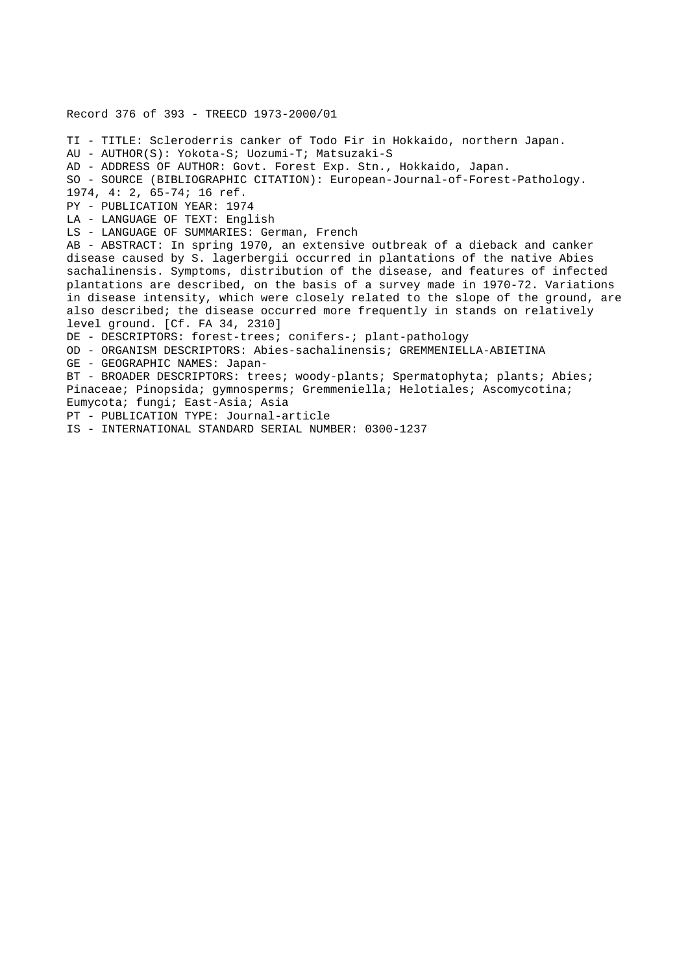Record 376 of 393 - TREECD 1973-2000/01 TI - TITLE: Scleroderris canker of Todo Fir in Hokkaido, northern Japan. AU - AUTHOR(S): Yokota-S; Uozumi-T; Matsuzaki-S AD - ADDRESS OF AUTHOR: Govt. Forest Exp. Stn., Hokkaido, Japan. SO - SOURCE (BIBLIOGRAPHIC CITATION): European-Journal-of-Forest-Pathology. 1974, 4: 2, 65-74; 16 ref. PY - PUBLICATION YEAR: 1974 LA - LANGUAGE OF TEXT: English LS - LANGUAGE OF SUMMARIES: German, French AB - ABSTRACT: In spring 1970, an extensive outbreak of a dieback and canker disease caused by S. lagerbergii occurred in plantations of the native Abies sachalinensis. Symptoms, distribution of the disease, and features of infected plantations are described, on the basis of a survey made in 1970-72. Variations in disease intensity, which were closely related to the slope of the ground, are also described; the disease occurred more frequently in stands on relatively level ground. [Cf. FA 34, 2310] DE - DESCRIPTORS: forest-trees; conifers-; plant-pathology OD - ORGANISM DESCRIPTORS: Abies-sachalinensis; GREMMENIELLA-ABIETINA GE - GEOGRAPHIC NAMES: Japan-BT - BROADER DESCRIPTORS: trees; woody-plants; Spermatophyta; plants; Abies; Pinaceae; Pinopsida; gymnosperms; Gremmeniella; Helotiales; Ascomycotina; Eumycota; fungi; East-Asia; Asia PT - PUBLICATION TYPE: Journal-article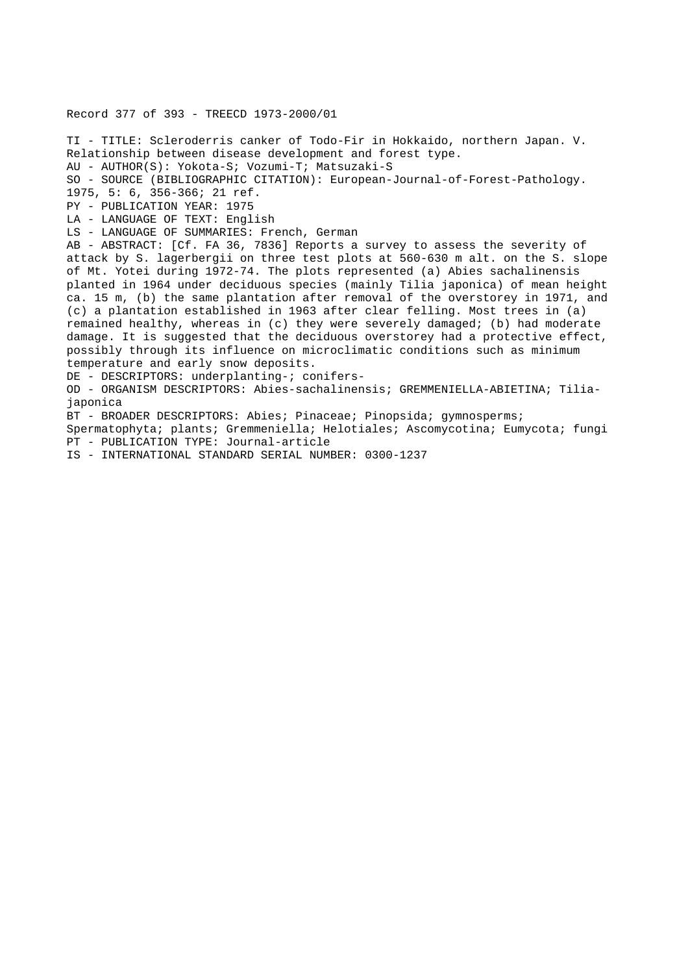Record 377 of 393 - TREECD 1973-2000/01 TI - TITLE: Scleroderris canker of Todo-Fir in Hokkaido, northern Japan. V. Relationship between disease development and forest type. AU - AUTHOR(S): Yokota-S; Vozumi-T; Matsuzaki-S SO - SOURCE (BIBLIOGRAPHIC CITATION): European-Journal-of-Forest-Pathology. 1975, 5: 6, 356-366; 21 ref. PY - PUBLICATION YEAR: 1975 LA - LANGUAGE OF TEXT: English LS - LANGUAGE OF SUMMARIES: French, German AB - ABSTRACT: [Cf. FA 36, 7836] Reports a survey to assess the severity of attack by S. lagerbergii on three test plots at 560-630 m alt. on the S. slope of Mt. Yotei during 1972-74. The plots represented (a) Abies sachalinensis planted in 1964 under deciduous species (mainly Tilia japonica) of mean height ca. 15 m, (b) the same plantation after removal of the overstorey in 1971, and (c) a plantation established in 1963 after clear felling. Most trees in (a) remained healthy, whereas in (c) they were severely damaged; (b) had moderate damage. It is suggested that the deciduous overstorey had a protective effect, possibly through its influence on microclimatic conditions such as minimum temperature and early snow deposits. DE - DESCRIPTORS: underplanting-; conifers-OD - ORGANISM DESCRIPTORS: Abies-sachalinensis; GREMMENIELLA-ABIETINA; Tiliajaponica BT - BROADER DESCRIPTORS: Abies; Pinaceae; Pinopsida; gymnosperms; Spermatophyta; plants; Gremmeniella; Helotiales; Ascomycotina; Eumycota; fungi PT - PUBLICATION TYPE: Journal-article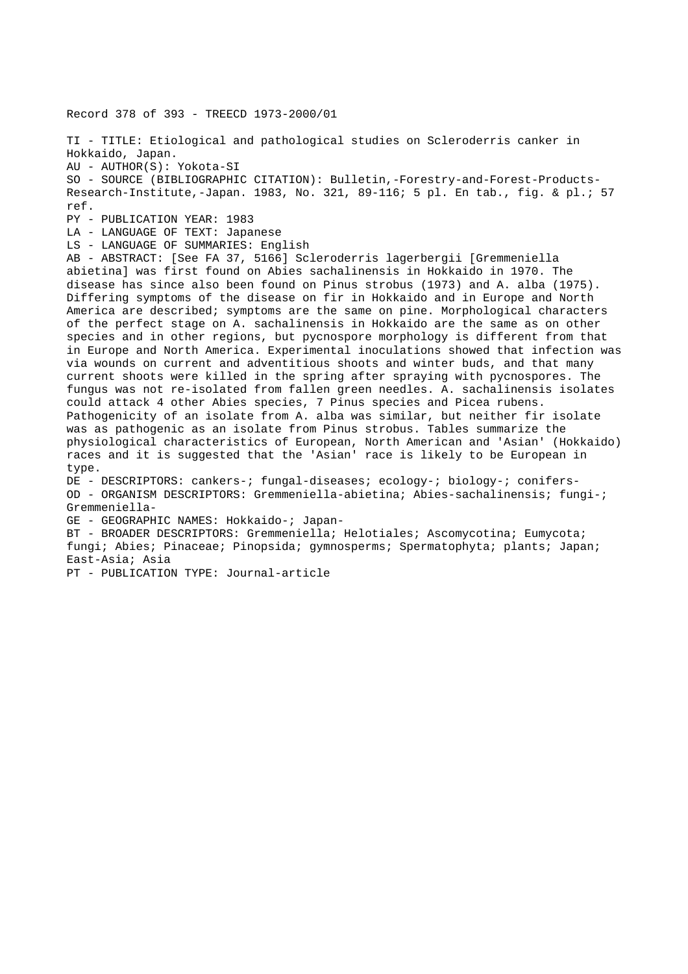Record 378 of 393 - TREECD 1973-2000/01

TI - TITLE: Etiological and pathological studies on Scleroderris canker in Hokkaido, Japan. AU - AUTHOR(S): Yokota-SI SO - SOURCE (BIBLIOGRAPHIC CITATION): Bulletin,-Forestry-and-Forest-Products-Research-Institute,-Japan. 1983, No. 321, 89-116; 5 pl. En tab., fig. & pl.; 57 ref. PY - PUBLICATION YEAR: 1983 LA - LANGUAGE OF TEXT: Japanese LS - LANGUAGE OF SUMMARIES: English AB - ABSTRACT: [See FA 37, 5166] Scleroderris lagerbergii [Gremmeniella abietina] was first found on Abies sachalinensis in Hokkaido in 1970. The disease has since also been found on Pinus strobus (1973) and A. alba (1975). Differing symptoms of the disease on fir in Hokkaido and in Europe and North America are described; symptoms are the same on pine. Morphological characters of the perfect stage on A. sachalinensis in Hokkaido are the same as on other species and in other regions, but pycnospore morphology is different from that in Europe and North America. Experimental inoculations showed that infection was via wounds on current and adventitious shoots and winter buds, and that many current shoots were killed in the spring after spraying with pycnospores. The fungus was not re-isolated from fallen green needles. A. sachalinensis isolates could attack 4 other Abies species, 7 Pinus species and Picea rubens. Pathogenicity of an isolate from A. alba was similar, but neither fir isolate was as pathogenic as an isolate from Pinus strobus. Tables summarize the physiological characteristics of European, North American and 'Asian' (Hokkaido) races and it is suggested that the 'Asian' race is likely to be European in type. DE - DESCRIPTORS: cankers-; fungal-diseases; ecology-; biology-; conifers-OD - ORGANISM DESCRIPTORS: Gremmeniella-abietina; Abies-sachalinensis; fungi-; Gremmeniella-GE - GEOGRAPHIC NAMES: Hokkaido-; Japan-BT - BROADER DESCRIPTORS: Gremmeniella; Helotiales; Ascomycotina; Eumycota; fungi; Abies; Pinaceae; Pinopsida; gymnosperms; Spermatophyta; plants; Japan; East-Asia; Asia

PT - PUBLICATION TYPE: Journal-article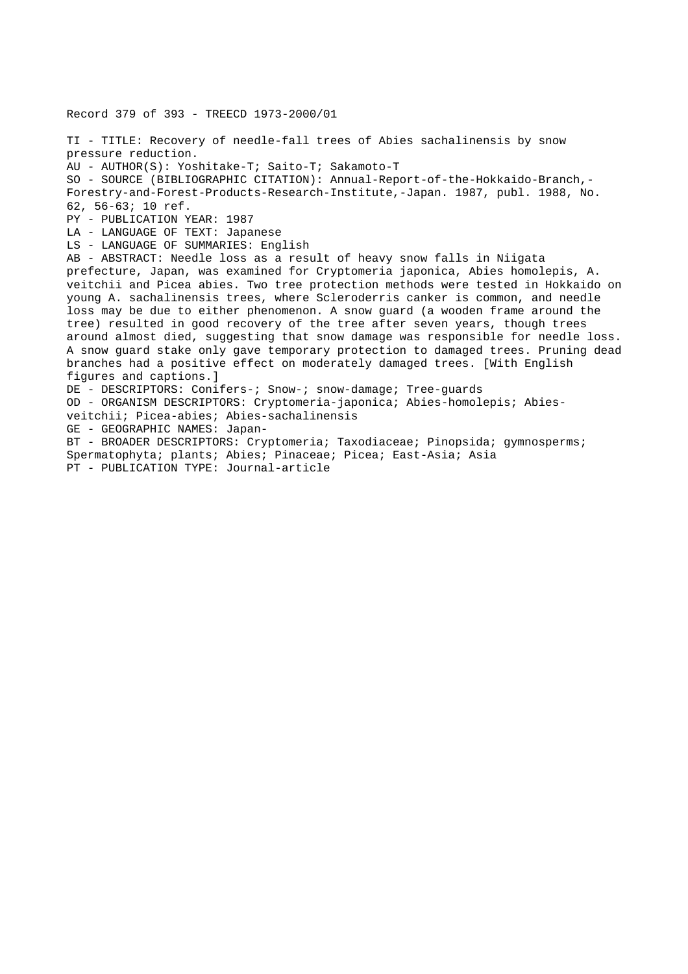Record 379 of 393 - TREECD 1973-2000/01 TI - TITLE: Recovery of needle-fall trees of Abies sachalinensis by snow pressure reduction. AU - AUTHOR(S): Yoshitake-T; Saito-T; Sakamoto-T SO - SOURCE (BIBLIOGRAPHIC CITATION): Annual-Report-of-the-Hokkaido-Branch,- Forestry-and-Forest-Products-Research-Institute,-Japan. 1987, publ. 1988, No. 62, 56-63; 10 ref. PY - PUBLICATION YEAR: 1987 LA - LANGUAGE OF TEXT: Japanese LS - LANGUAGE OF SUMMARIES: English AB - ABSTRACT: Needle loss as a result of heavy snow falls in Niigata prefecture, Japan, was examined for Cryptomeria japonica, Abies homolepis, A. veitchii and Picea abies. Two tree protection methods were tested in Hokkaido on young A. sachalinensis trees, where Scleroderris canker is common, and needle loss may be due to either phenomenon. A snow guard (a wooden frame around the tree) resulted in good recovery of the tree after seven years, though trees around almost died, suggesting that snow damage was responsible for needle loss. A snow guard stake only gave temporary protection to damaged trees. Pruning dead branches had a positive effect on moderately damaged trees. [With English figures and captions.] DE - DESCRIPTORS: Conifers-; Snow-; snow-damage; Tree-guards OD - ORGANISM DESCRIPTORS: Cryptomeria-japonica; Abies-homolepis; Abiesveitchii; Picea-abies; Abies-sachalinensis GE - GEOGRAPHIC NAMES: Japan-BT - BROADER DESCRIPTORS: Cryptomeria; Taxodiaceae; Pinopsida; gymnosperms; Spermatophyta; plants; Abies; Pinaceae; Picea; East-Asia; Asia PT - PUBLICATION TYPE: Journal-article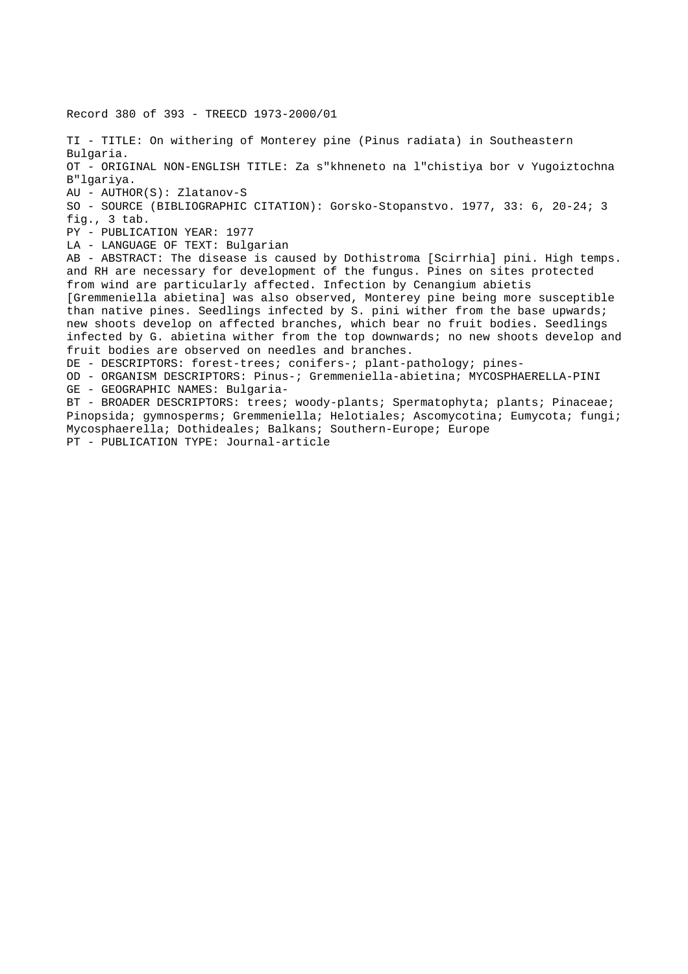Record 380 of 393 - TREECD 1973-2000/01 TI - TITLE: On withering of Monterey pine (Pinus radiata) in Southeastern Bulgaria. OT - ORIGINAL NON-ENGLISH TITLE: Za s"khneneto na l"chistiya bor v Yugoiztochna B"lgariya. AU - AUTHOR(S): Zlatanov-S SO - SOURCE (BIBLIOGRAPHIC CITATION): Gorsko-Stopanstvo. 1977, 33: 6, 20-24; 3 fig., 3 tab. PY - PUBLICATION YEAR: 1977 LA - LANGUAGE OF TEXT: Bulgarian AB - ABSTRACT: The disease is caused by Dothistroma [Scirrhia] pini. High temps. and RH are necessary for development of the fungus. Pines on sites protected from wind are particularly affected. Infection by Cenangium abietis [Gremmeniella abietina] was also observed, Monterey pine being more susceptible than native pines. Seedlings infected by S. pini wither from the base upwards; new shoots develop on affected branches, which bear no fruit bodies. Seedlings infected by G. abietina wither from the top downwards; no new shoots develop and fruit bodies are observed on needles and branches. DE - DESCRIPTORS: forest-trees; conifers-; plant-pathology; pines-OD - ORGANISM DESCRIPTORS: Pinus-; Gremmeniella-abietina; MYCOSPHAERELLA-PINI GE - GEOGRAPHIC NAMES: Bulgaria-BT - BROADER DESCRIPTORS: trees; woody-plants; Spermatophyta; plants; Pinaceae; Pinopsida; gymnosperms; Gremmeniella; Helotiales; Ascomycotina; Eumycota; fungi; Mycosphaerella; Dothideales; Balkans; Southern-Europe; Europe PT - PUBLICATION TYPE: Journal-article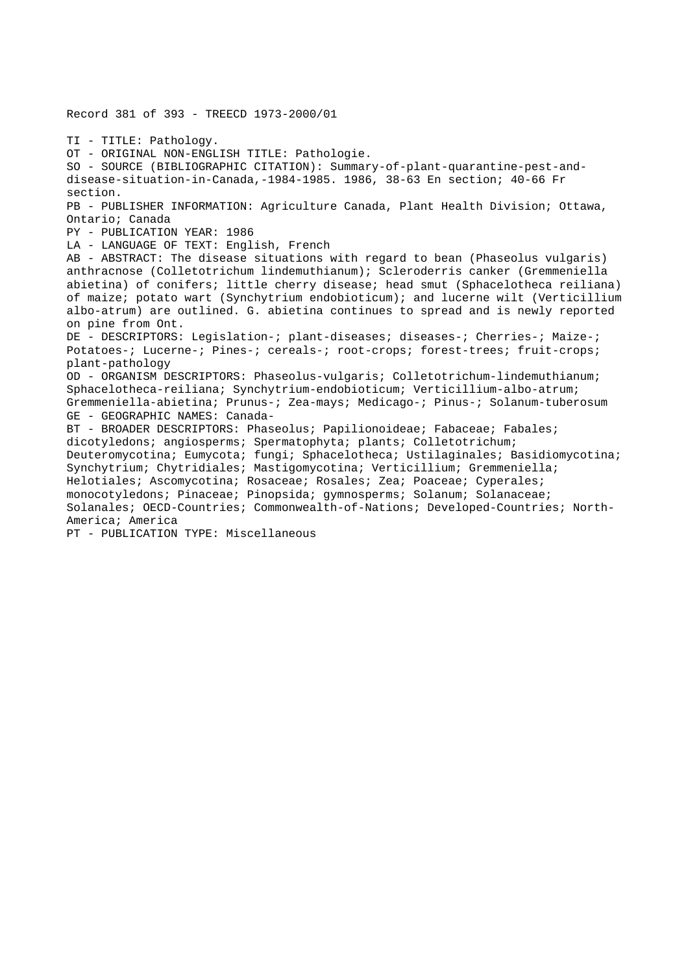Record 381 of 393 - TREECD 1973-2000/01 TI - TITLE: Pathology. OT - ORIGINAL NON-ENGLISH TITLE: Pathologie. SO - SOURCE (BIBLIOGRAPHIC CITATION): Summary-of-plant-quarantine-pest-anddisease-situation-in-Canada,-1984-1985. 1986, 38-63 En section; 40-66 Fr section. PB - PUBLISHER INFORMATION: Agriculture Canada, Plant Health Division; Ottawa, Ontario; Canada PY - PUBLICATION YEAR: 1986 LA - LANGUAGE OF TEXT: English, French AB - ABSTRACT: The disease situations with regard to bean (Phaseolus vulgaris) anthracnose (Colletotrichum lindemuthianum); Scleroderris canker (Gremmeniella abietina) of conifers; little cherry disease; head smut (Sphacelotheca reiliana) of maize; potato wart (Synchytrium endobioticum); and lucerne wilt (Verticillium albo-atrum) are outlined. G. abietina continues to spread and is newly reported on pine from Ont. DE - DESCRIPTORS: Legislation-; plant-diseases; diseases-; Cherries-; Maize-; Potatoes-; Lucerne-; Pines-; cereals-; root-crops; forest-trees; fruit-crops; plant-pathology OD - ORGANISM DESCRIPTORS: Phaseolus-vulgaris; Colletotrichum-lindemuthianum; Sphacelotheca-reiliana; Synchytrium-endobioticum; Verticillium-albo-atrum; Gremmeniella-abietina; Prunus-; Zea-mays; Medicago-; Pinus-; Solanum-tuberosum GE - GEOGRAPHIC NAMES: Canada-BT - BROADER DESCRIPTORS: Phaseolus; Papilionoideae; Fabaceae; Fabales; dicotyledons; angiosperms; Spermatophyta; plants; Colletotrichum; Deuteromycotina; Eumycota; fungi; Sphacelotheca; Ustilaginales; Basidiomycotina; Synchytrium; Chytridiales; Mastigomycotina; Verticillium; Gremmeniella; Helotiales; Ascomycotina; Rosaceae; Rosales; Zea; Poaceae; Cyperales; monocotyledons; Pinaceae; Pinopsida; gymnosperms; Solanum; Solanaceae; Solanales; OECD-Countries; Commonwealth-of-Nations; Developed-Countries; North-America; America PT - PUBLICATION TYPE: Miscellaneous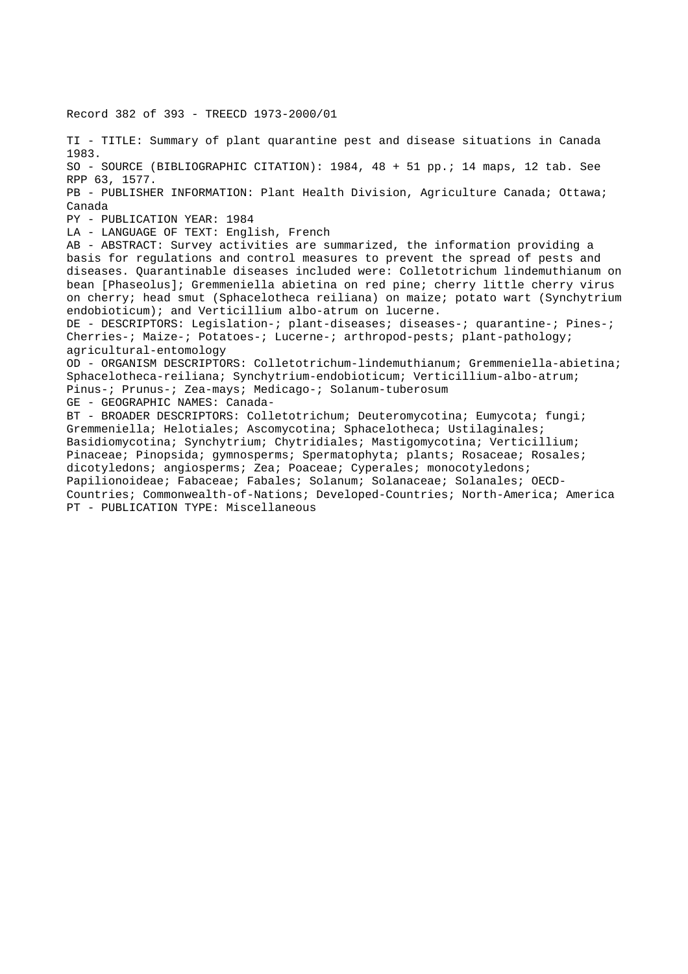Record 382 of 393 - TREECD 1973-2000/01

TI - TITLE: Summary of plant quarantine pest and disease situations in Canada 1983. SO - SOURCE (BIBLIOGRAPHIC CITATION): 1984, 48 + 51 pp.; 14 maps, 12 tab. See RPP 63, 1577. PB - PUBLISHER INFORMATION: Plant Health Division, Agriculture Canada; Ottawa; Canada PY - PUBLICATION YEAR: 1984 LA - LANGUAGE OF TEXT: English, French AB - ABSTRACT: Survey activities are summarized, the information providing a basis for regulations and control measures to prevent the spread of pests and diseases. Quarantinable diseases included were: Colletotrichum lindemuthianum on bean [Phaseolus]; Gremmeniella abietina on red pine; cherry little cherry virus on cherry; head smut (Sphacelotheca reiliana) on maize; potato wart (Synchytrium endobioticum); and Verticillium albo-atrum on lucerne. DE - DESCRIPTORS: Legislation-; plant-diseases; diseases-; quarantine-; Pines-; Cherries-; Maize-; Potatoes-; Lucerne-; arthropod-pests; plant-pathology; agricultural-entomology OD - ORGANISM DESCRIPTORS: Colletotrichum-lindemuthianum; Gremmeniella-abietina; Sphacelotheca-reiliana; Synchytrium-endobioticum; Verticillium-albo-atrum; Pinus-; Prunus-; Zea-mays; Medicago-; Solanum-tuberosum GE - GEOGRAPHIC NAMES: Canada-BT - BROADER DESCRIPTORS: Colletotrichum; Deuteromycotina; Eumycota; fungi; Gremmeniella; Helotiales; Ascomycotina; Sphacelotheca; Ustilaginales; Basidiomycotina; Synchytrium; Chytridiales; Mastigomycotina; Verticillium; Pinaceae; Pinopsida; gymnosperms; Spermatophyta; plants; Rosaceae; Rosales; dicotyledons; angiosperms; Zea; Poaceae; Cyperales; monocotyledons; Papilionoideae; Fabaceae; Fabales; Solanum; Solanaceae; Solanales; OECD-Countries; Commonwealth-of-Nations; Developed-Countries; North-America; America PT - PUBLICATION TYPE: Miscellaneous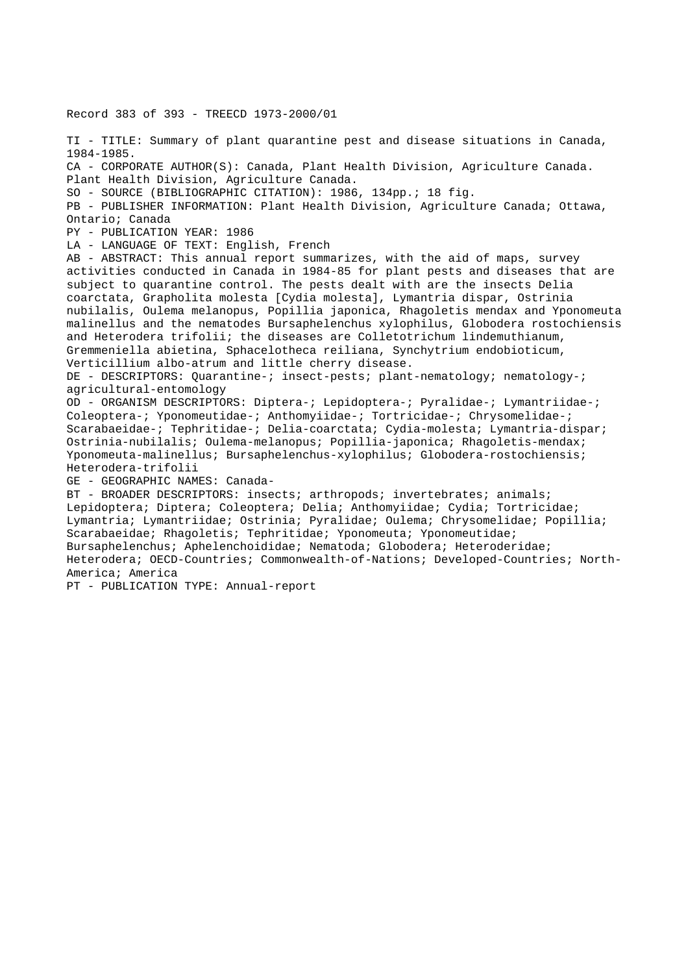Record 383 of 393 - TREECD 1973-2000/01 TI - TITLE: Summary of plant quarantine pest and disease situations in Canada, 1984-1985. CA - CORPORATE AUTHOR(S): Canada, Plant Health Division, Agriculture Canada. Plant Health Division, Agriculture Canada. SO - SOURCE (BIBLIOGRAPHIC CITATION): 1986, 134pp.; 18 fig. PB - PUBLISHER INFORMATION: Plant Health Division, Agriculture Canada; Ottawa, Ontario; Canada PY - PUBLICATION YEAR: 1986 LA - LANGUAGE OF TEXT: English, French AB - ABSTRACT: This annual report summarizes, with the aid of maps, survey activities conducted in Canada in 1984-85 for plant pests and diseases that are subject to quarantine control. The pests dealt with are the insects Delia coarctata, Grapholita molesta [Cydia molesta], Lymantria dispar, Ostrinia nubilalis, Oulema melanopus, Popillia japonica, Rhagoletis mendax and Yponomeuta malinellus and the nematodes Bursaphelenchus xylophilus, Globodera rostochiensis and Heterodera trifolii; the diseases are Colletotrichum lindemuthianum, Gremmeniella abietina, Sphacelotheca reiliana, Synchytrium endobioticum, Verticillium albo-atrum and little cherry disease. DE - DESCRIPTORS: Quarantine-; insect-pests; plant-nematology; nematology-; agricultural-entomology OD - ORGANISM DESCRIPTORS: Diptera-; Lepidoptera-; Pyralidae-; Lymantriidae-; Coleoptera-; Yponomeutidae-; Anthomyiidae-; Tortricidae-; Chrysomelidae-; Scarabaeidae-; Tephritidae-; Delia-coarctata; Cydia-molesta; Lymantria-dispar; Ostrinia-nubilalis; Oulema-melanopus; Popillia-japonica; Rhagoletis-mendax; Yponomeuta-malinellus; Bursaphelenchus-xylophilus; Globodera-rostochiensis; Heterodera-trifolii GE - GEOGRAPHIC NAMES: Canada-BT - BROADER DESCRIPTORS: insects; arthropods; invertebrates; animals; Lepidoptera; Diptera; Coleoptera; Delia; Anthomyiidae; Cydia; Tortricidae; Lymantria; Lymantriidae; Ostrinia; Pyralidae; Oulema; Chrysomelidae; Popillia; Scarabaeidae; Rhagoletis; Tephritidae; Yponomeuta; Yponomeutidae; Bursaphelenchus; Aphelenchoididae; Nematoda; Globodera; Heteroderidae; Heterodera; OECD-Countries; Commonwealth-of-Nations; Developed-Countries; North-America; America

PT - PUBLICATION TYPE: Annual-report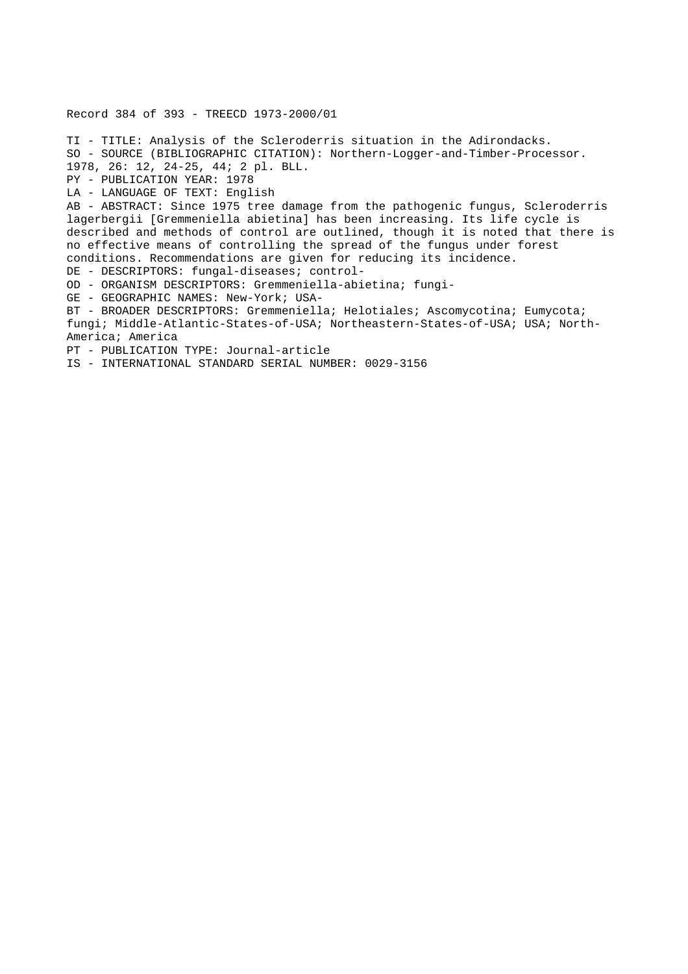Record 384 of 393 - TREECD 1973-2000/01

TI - TITLE: Analysis of the Scleroderris situation in the Adirondacks. SO - SOURCE (BIBLIOGRAPHIC CITATION): Northern-Logger-and-Timber-Processor. 1978, 26: 12, 24-25, 44; 2 pl. BLL. PY - PUBLICATION YEAR: 1978 LA - LANGUAGE OF TEXT: English AB - ABSTRACT: Since 1975 tree damage from the pathogenic fungus, Scleroderris lagerbergii [Gremmeniella abietina] has been increasing. Its life cycle is described and methods of control are outlined, though it is noted that there is no effective means of controlling the spread of the fungus under forest conditions. Recommendations are given for reducing its incidence. DE - DESCRIPTORS: fungal-diseases; control-OD - ORGANISM DESCRIPTORS: Gremmeniella-abietina; fungi-GE - GEOGRAPHIC NAMES: New-York; USA-BT - BROADER DESCRIPTORS: Gremmeniella; Helotiales; Ascomycotina; Eumycota; fungi; Middle-Atlantic-States-of-USA; Northeastern-States-of-USA; USA; North-America; America PT - PUBLICATION TYPE: Journal-article IS - INTERNATIONAL STANDARD SERIAL NUMBER: 0029-3156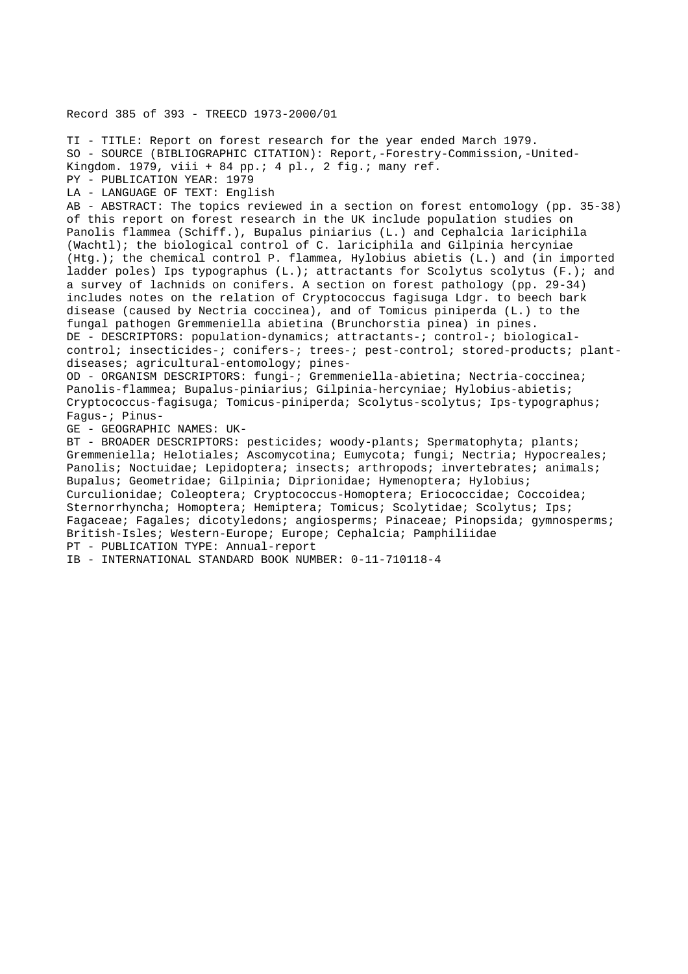Record 385 of 393 - TREECD 1973-2000/01

TI - TITLE: Report on forest research for the year ended March 1979. SO - SOURCE (BIBLIOGRAPHIC CITATION): Report,-Forestry-Commission,-United-Kingdom. 1979, viii + 84 pp.; 4 pl., 2 fig.; many ref. PY - PUBLICATION YEAR: 1979 LA - LANGUAGE OF TEXT: English AB - ABSTRACT: The topics reviewed in a section on forest entomology (pp. 35-38) of this report on forest research in the UK include population studies on Panolis flammea (Schiff.), Bupalus piniarius (L.) and Cephalcia lariciphila (Wachtl); the biological control of C. lariciphila and Gilpinia hercyniae (Htg.); the chemical control P. flammea, Hylobius abietis (L.) and (in imported ladder poles) Ips typographus (L.); attractants for Scolytus scolytus (F.); and a survey of lachnids on conifers. A section on forest pathology (pp. 29-34) includes notes on the relation of Cryptococcus fagisuga Ldgr. to beech bark disease (caused by Nectria coccinea), and of Tomicus piniperda (L.) to the fungal pathogen Gremmeniella abietina (Brunchorstia pinea) in pines. DE - DESCRIPTORS: population-dynamics; attractants-; control-; biologicalcontrol; insecticides-; conifers-; trees-; pest-control; stored-products; plantdiseases; agricultural-entomology; pines-OD - ORGANISM DESCRIPTORS: fungi-; Gremmeniella-abietina; Nectria-coccinea; Panolis-flammea; Bupalus-piniarius; Gilpinia-hercyniae; Hylobius-abietis; Cryptococcus-fagisuga; Tomicus-piniperda; Scolytus-scolytus; Ips-typographus; Fagus-; Pinus-GE - GEOGRAPHIC NAMES: UK-BT - BROADER DESCRIPTORS: pesticides; woody-plants; Spermatophyta; plants; Gremmeniella; Helotiales; Ascomycotina; Eumycota; fungi; Nectria; Hypocreales; Panolis; Noctuidae; Lepidoptera; insects; arthropods; invertebrates; animals; Bupalus; Geometridae; Gilpinia; Diprionidae; Hymenoptera; Hylobius; Curculionidae; Coleoptera; Cryptococcus-Homoptera; Eriococcidae; Coccoidea; Sternorrhyncha; Homoptera; Hemiptera; Tomicus; Scolytidae; Scolytus; Ips; Fagaceae; Fagales; dicotyledons; angiosperms; Pinaceae; Pinopsida; gymnosperms; British-Isles; Western-Europe; Europe; Cephalcia; Pamphiliidae PT - PUBLICATION TYPE: Annual-report

IB - INTERNATIONAL STANDARD BOOK NUMBER: 0-11-710118-4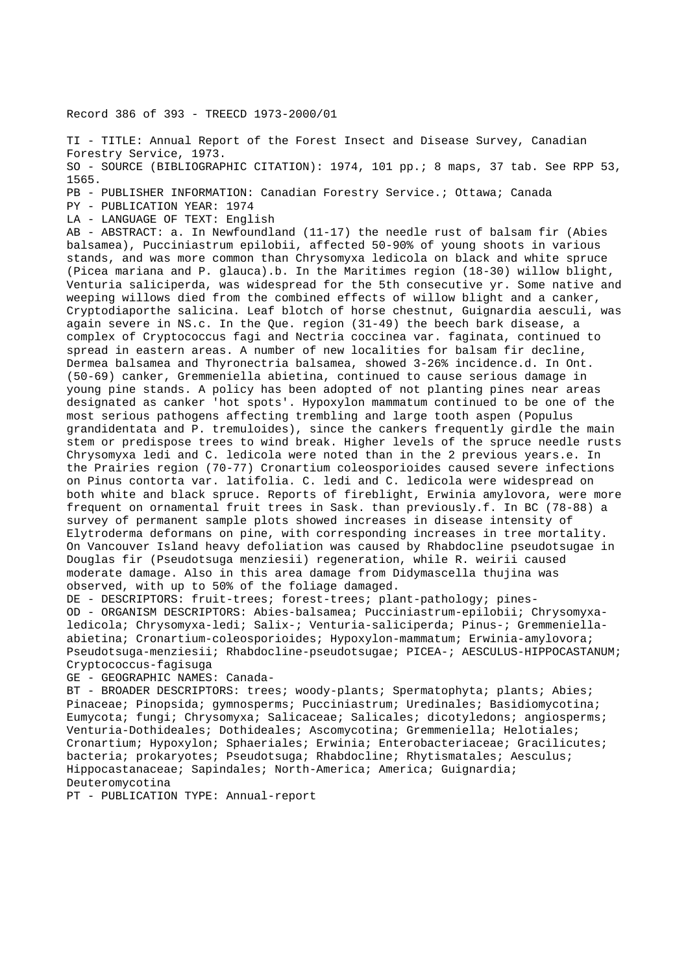Record 386 of 393 - TREECD 1973-2000/01

TI - TITLE: Annual Report of the Forest Insect and Disease Survey, Canadian Forestry Service, 1973. SO - SOURCE (BIBLIOGRAPHIC CITATION): 1974, 101 pp.; 8 maps, 37 tab. See RPP 53, 1565.

PB - PUBLISHER INFORMATION: Canadian Forestry Service.; Ottawa; Canada

PY - PUBLICATION YEAR: 1974

LA - LANGUAGE OF TEXT: English

AB - ABSTRACT: a. In Newfoundland (11-17) the needle rust of balsam fir (Abies balsamea), Pucciniastrum epilobii, affected 50-90% of young shoots in various stands, and was more common than Chrysomyxa ledicola on black and white spruce (Picea mariana and P. glauca).b. In the Maritimes region (18-30) willow blight, Venturia saliciperda, was widespread for the 5th consecutive yr. Some native and weeping willows died from the combined effects of willow blight and a canker, Cryptodiaporthe salicina. Leaf blotch of horse chestnut, Guignardia aesculi, was again severe in NS.c. In the Que. region (31-49) the beech bark disease, a complex of Cryptococcus fagi and Nectria coccinea var. faginata, continued to spread in eastern areas. A number of new localities for balsam fir decline, Dermea balsamea and Thyronectria balsamea, showed 3-26% incidence.d. In Ont. (50-69) canker, Gremmeniella abietina, continued to cause serious damage in young pine stands. A policy has been adopted of not planting pines near areas designated as canker 'hot spots'. Hypoxylon mammatum continued to be one of the most serious pathogens affecting trembling and large tooth aspen (Populus grandidentata and P. tremuloides), since the cankers frequently girdle the main stem or predispose trees to wind break. Higher levels of the spruce needle rusts Chrysomyxa ledi and C. ledicola were noted than in the 2 previous years.e. In the Prairies region (70-77) Cronartium coleosporioides caused severe infections on Pinus contorta var. latifolia. C. ledi and C. ledicola were widespread on both white and black spruce. Reports of fireblight, Erwinia amylovora, were more frequent on ornamental fruit trees in Sask. than previously.f. In BC (78-88) a survey of permanent sample plots showed increases in disease intensity of Elytroderma deformans on pine, with corresponding increases in tree mortality. On Vancouver Island heavy defoliation was caused by Rhabdocline pseudotsugae in Douglas fir (Pseudotsuga menziesii) regeneration, while R. weirii caused moderate damage. Also in this area damage from Didymascella thujina was observed, with up to 50% of the foliage damaged.

DE - DESCRIPTORS: fruit-trees; forest-trees; plant-pathology; pines-OD - ORGANISM DESCRIPTORS: Abies-balsamea; Pucciniastrum-epilobii; Chrysomyxaledicola; Chrysomyxa-ledi; Salix-; Venturia-saliciperda; Pinus-; Gremmeniellaabietina; Cronartium-coleosporioides; Hypoxylon-mammatum; Erwinia-amylovora; Pseudotsuga-menziesii; Rhabdocline-pseudotsugae; PICEA-; AESCULUS-HIPPOCASTANUM; Cryptococcus-fagisuga

GE - GEOGRAPHIC NAMES: Canada-

BT - BROADER DESCRIPTORS: trees; woody-plants; Spermatophyta; plants; Abies; Pinaceae; Pinopsida; gymnosperms; Pucciniastrum; Uredinales; Basidiomycotina; Eumycota; fungi; Chrysomyxa; Salicaceae; Salicales; dicotyledons; angiosperms; Venturia-Dothideales; Dothideales; Ascomycotina; Gremmeniella; Helotiales; Cronartium; Hypoxylon; Sphaeriales; Erwinia; Enterobacteriaceae; Gracilicutes; bacteria; prokaryotes; Pseudotsuga; Rhabdocline; Rhytismatales; Aesculus; Hippocastanaceae; Sapindales; North-America; America; Guignardia; Deuteromycotina

PT - PUBLICATION TYPE: Annual-report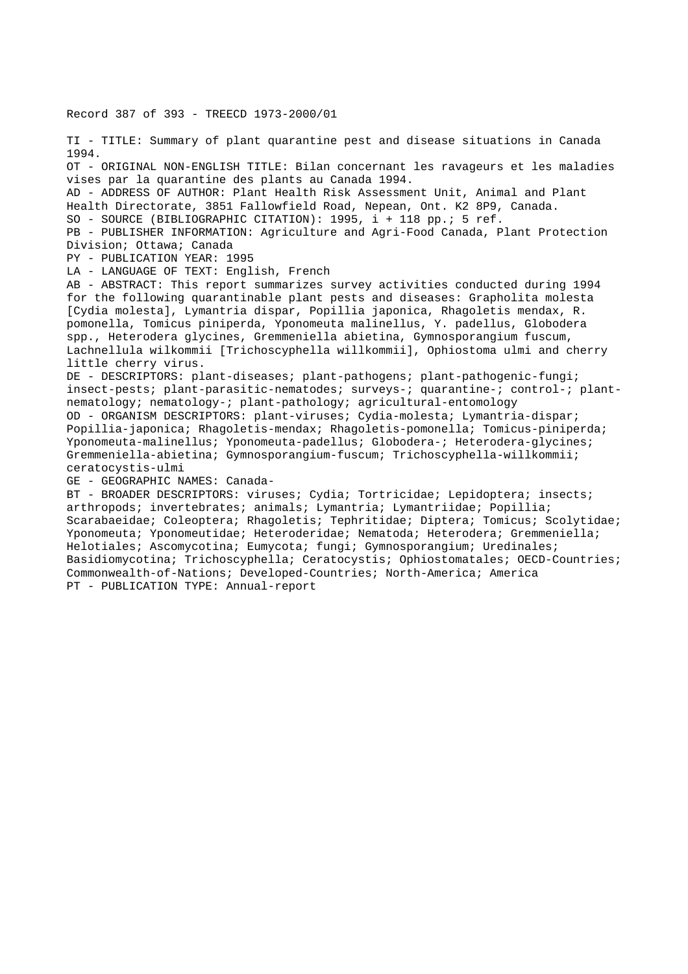Record 387 of 393 - TREECD 1973-2000/01

TI - TITLE: Summary of plant quarantine pest and disease situations in Canada 1994. OT - ORIGINAL NON-ENGLISH TITLE: Bilan concernant les ravageurs et les maladies vises par la quarantine des plants au Canada 1994. AD - ADDRESS OF AUTHOR: Plant Health Risk Assessment Unit, Animal and Plant Health Directorate, 3851 Fallowfield Road, Nepean, Ont. K2 8P9, Canada. SO - SOURCE (BIBLIOGRAPHIC CITATION): 1995, i + 118 pp.; 5 ref. PB - PUBLISHER INFORMATION: Agriculture and Agri-Food Canada, Plant Protection Division; Ottawa; Canada PY - PUBLICATION YEAR: 1995 LA - LANGUAGE OF TEXT: English, French AB - ABSTRACT: This report summarizes survey activities conducted during 1994 for the following quarantinable plant pests and diseases: Grapholita molesta [Cydia molesta], Lymantria dispar, Popillia japonica, Rhagoletis mendax, R. pomonella, Tomicus piniperda, Yponomeuta malinellus, Y. padellus, Globodera spp., Heterodera glycines, Gremmeniella abietina, Gymnosporangium fuscum, Lachnellula wilkommii [Trichoscyphella willkommii], Ophiostoma ulmi and cherry little cherry virus. DE - DESCRIPTORS: plant-diseases; plant-pathogens; plant-pathogenic-fungi; insect-pests; plant-parasitic-nematodes; surveys-; quarantine-; control-; plantnematology; nematology-; plant-pathology; agricultural-entomology OD - ORGANISM DESCRIPTORS: plant-viruses; Cydia-molesta; Lymantria-dispar; Popillia-japonica; Rhagoletis-mendax; Rhagoletis-pomonella; Tomicus-piniperda; Yponomeuta-malinellus; Yponomeuta-padellus; Globodera-; Heterodera-glycines; Gremmeniella-abietina; Gymnosporangium-fuscum; Trichoscyphella-willkommii; ceratocystis-ulmi GE - GEOGRAPHIC NAMES: Canada-BT - BROADER DESCRIPTORS: viruses; Cydia; Tortricidae; Lepidoptera; insects; arthropods; invertebrates; animals; Lymantria; Lymantriidae; Popillia;

Scarabaeidae; Coleoptera; Rhagoletis; Tephritidae; Diptera; Tomicus; Scolytidae; Yponomeuta; Yponomeutidae; Heteroderidae; Nematoda; Heterodera; Gremmeniella; Helotiales; Ascomycotina; Eumycota; fungi; Gymnosporangium; Uredinales; Basidiomycotina; Trichoscyphella; Ceratocystis; Ophiostomatales; OECD-Countries; Commonwealth-of-Nations; Developed-Countries; North-America; America PT - PUBLICATION TYPE: Annual-report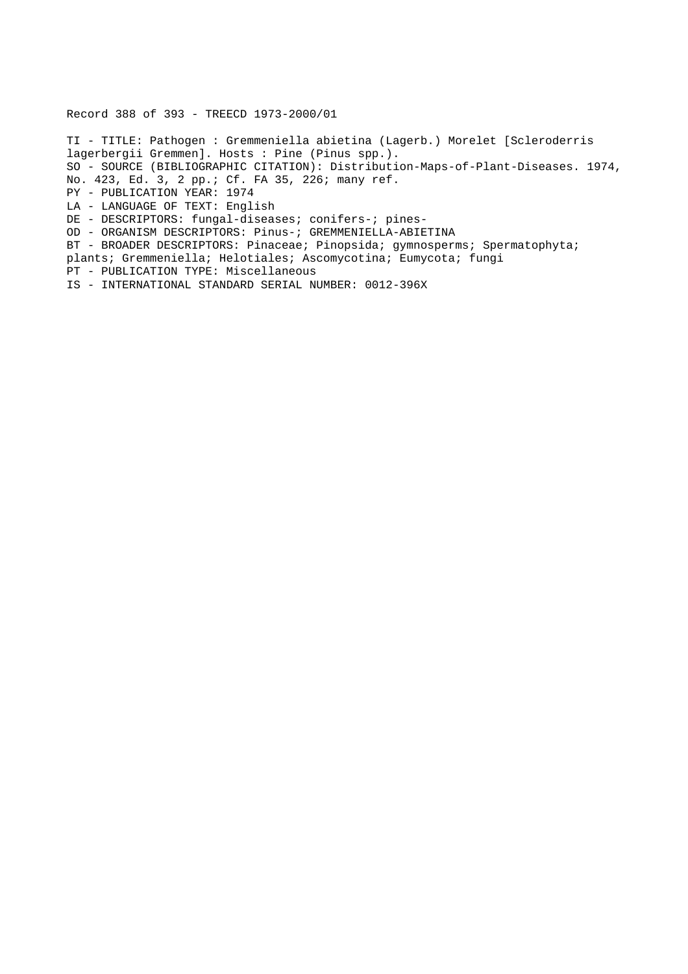Record 388 of 393 - TREECD 1973-2000/01

TI - TITLE: Pathogen : Gremmeniella abietina (Lagerb.) Morelet [Scleroderris lagerbergii Gremmen]. Hosts : Pine (Pinus spp.). SO - SOURCE (BIBLIOGRAPHIC CITATION): Distribution-Maps-of-Plant-Diseases. 1974, No. 423, Ed. 3, 2 pp.; Cf. FA 35, 226; many ref. PY - PUBLICATION YEAR: 1974 LA - LANGUAGE OF TEXT: English DE - DESCRIPTORS: fungal-diseases; conifers-; pines-OD - ORGANISM DESCRIPTORS: Pinus-; GREMMENIELLA-ABIETINA BT - BROADER DESCRIPTORS: Pinaceae; Pinopsida; gymnosperms; Spermatophyta; plants; Gremmeniella; Helotiales; Ascomycotina; Eumycota; fungi PT - PUBLICATION TYPE: Miscellaneous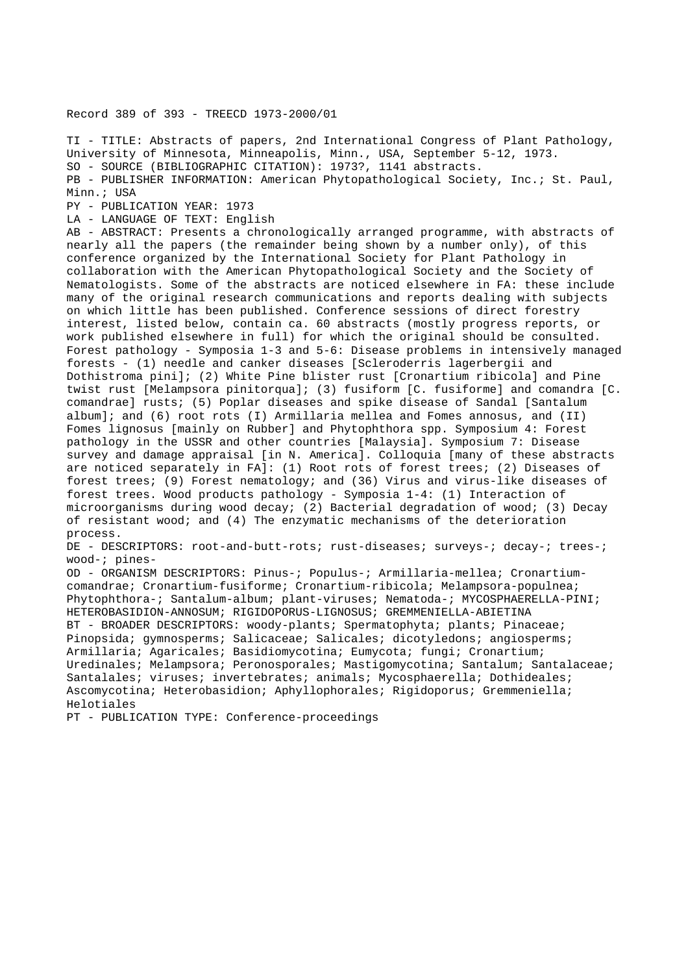Record 389 of 393 - TREECD 1973-2000/01

TI - TITLE: Abstracts of papers, 2nd International Congress of Plant Pathology, University of Minnesota, Minneapolis, Minn., USA, September 5-12, 1973. SO - SOURCE (BIBLIOGRAPHIC CITATION): 1973?, 1141 abstracts. PB - PUBLISHER INFORMATION: American Phytopathological Society, Inc.; St. Paul, Minn.; USA PY - PUBLICATION YEAR: 1973 LA - LANGUAGE OF TEXT: English AB - ABSTRACT: Presents a chronologically arranged programme, with abstracts of

nearly all the papers (the remainder being shown by a number only), of this conference organized by the International Society for Plant Pathology in collaboration with the American Phytopathological Society and the Society of Nematologists. Some of the abstracts are noticed elsewhere in FA: these include many of the original research communications and reports dealing with subjects on which little has been published. Conference sessions of direct forestry interest, listed below, contain ca. 60 abstracts (mostly progress reports, or work published elsewhere in full) for which the original should be consulted. Forest pathology - Symposia 1-3 and 5-6: Disease problems in intensively managed forests - (1) needle and canker diseases [Scleroderris lagerbergii and Dothistroma pini]; (2) White Pine blister rust [Cronartium ribicola] and Pine twist rust [Melampsora pinitorqua]; (3) fusiform [C. fusiforme] and comandra [C. comandrae] rusts; (5) Poplar diseases and spike disease of Sandal [Santalum album]; and (6) root rots (I) Armillaria mellea and Fomes annosus, and (II) Fomes lignosus [mainly on Rubber] and Phytophthora spp. Symposium 4: Forest pathology in the USSR and other countries [Malaysia]. Symposium 7: Disease survey and damage appraisal [in N. America]. Colloquia [many of these abstracts are noticed separately in FA]: (1) Root rots of forest trees; (2) Diseases of forest trees; (9) Forest nematology; and (36) Virus and virus-like diseases of forest trees. Wood products pathology - Symposia 1-4: (1) Interaction of microorganisms during wood decay; (2) Bacterial degradation of wood; (3) Decay of resistant wood; and (4) The enzymatic mechanisms of the deterioration process.

DE - DESCRIPTORS: root-and-butt-rots; rust-diseases; surveys-; decay-; trees-; wood-; pines-

OD - ORGANISM DESCRIPTORS: Pinus-; Populus-; Armillaria-mellea; Cronartiumcomandrae; Cronartium-fusiforme; Cronartium-ribicola; Melampsora-populnea; Phytophthora-; Santalum-album; plant-viruses; Nematoda-; MYCOSPHAERELLA-PINI; HETEROBASIDION-ANNOSUM; RIGIDOPORUS-LIGNOSUS; GREMMENIELLA-ABIETINA BT - BROADER DESCRIPTORS: woody-plants; Spermatophyta; plants; Pinaceae; Pinopsida; gymnosperms; Salicaceae; Salicales; dicotyledons; angiosperms; Armillaria; Agaricales; Basidiomycotina; Eumycota; fungi; Cronartium; Uredinales; Melampsora; Peronosporales; Mastigomycotina; Santalum; Santalaceae; Santalales; viruses; invertebrates; animals; Mycosphaerella; Dothideales; Ascomycotina; Heterobasidion; Aphyllophorales; Rigidoporus; Gremmeniella; Helotiales

PT - PUBLICATION TYPE: Conference-proceedings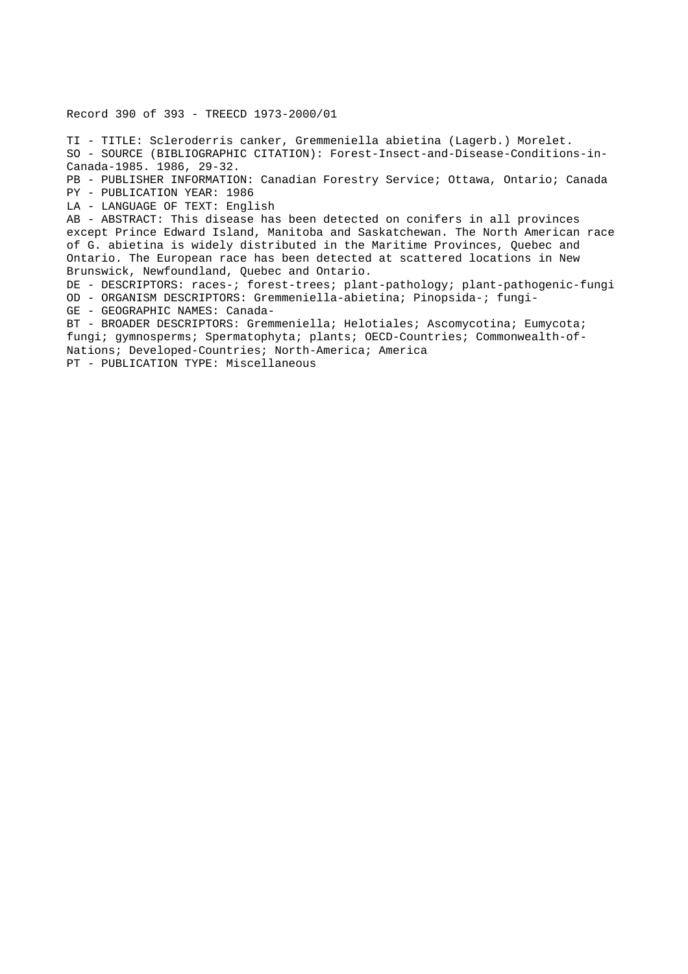Record 390 of 393 - TREECD 1973-2000/01

TI - TITLE: Scleroderris canker, Gremmeniella abietina (Lagerb.) Morelet. SO - SOURCE (BIBLIOGRAPHIC CITATION): Forest-Insect-and-Disease-Conditions-in-Canada-1985. 1986, 29-32.

PB - PUBLISHER INFORMATION: Canadian Forestry Service; Ottawa, Ontario; Canada PY - PUBLICATION YEAR: 1986

LA - LANGUAGE OF TEXT: English

AB - ABSTRACT: This disease has been detected on conifers in all provinces except Prince Edward Island, Manitoba and Saskatchewan. The North American race of G. abietina is widely distributed in the Maritime Provinces, Quebec and Ontario. The European race has been detected at scattered locations in New Brunswick, Newfoundland, Quebec and Ontario.

DE - DESCRIPTORS: races-; forest-trees; plant-pathology; plant-pathogenic-fungi OD - ORGANISM DESCRIPTORS: Gremmeniella-abietina; Pinopsida-; fungi-

GE - GEOGRAPHIC NAMES: Canada-

BT - BROADER DESCRIPTORS: Gremmeniella; Helotiales; Ascomycotina; Eumycota; fungi; gymnosperms; Spermatophyta; plants; OECD-Countries; Commonwealth-of-Nations; Developed-Countries; North-America; America

PT - PUBLICATION TYPE: Miscellaneous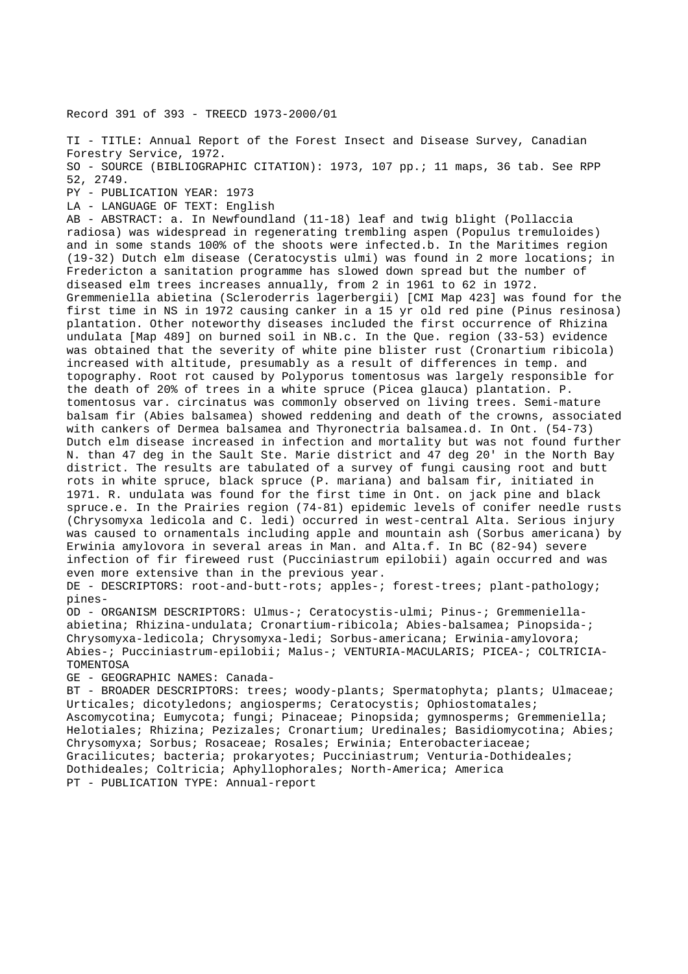Record 391 of 393 - TREECD 1973-2000/01

TI - TITLE: Annual Report of the Forest Insect and Disease Survey, Canadian Forestry Service, 1972. SO - SOURCE (BIBLIOGRAPHIC CITATION): 1973, 107 pp.; 11 maps, 36 tab. See RPP 52, 2749. PY - PUBLICATION YEAR: 1973 LA - LANGUAGE OF TEXT: English

AB - ABSTRACT: a. In Newfoundland (11-18) leaf and twig blight (Pollaccia radiosa) was widespread in regenerating trembling aspen (Populus tremuloides) and in some stands 100% of the shoots were infected.b. In the Maritimes region (19-32) Dutch elm disease (Ceratocystis ulmi) was found in 2 more locations; in Fredericton a sanitation programme has slowed down spread but the number of diseased elm trees increases annually, from 2 in 1961 to 62 in 1972. Gremmeniella abietina (Scleroderris lagerbergii) [CMI Map 423] was found for the first time in NS in 1972 causing canker in a 15 yr old red pine (Pinus resinosa) plantation. Other noteworthy diseases included the first occurrence of Rhizina undulata [Map 489] on burned soil in NB.c. In the Que. region (33-53) evidence was obtained that the severity of white pine blister rust (Cronartium ribicola) increased with altitude, presumably as a result of differences in temp. and topography. Root rot caused by Polyporus tomentosus was largely responsible for the death of 20% of trees in a white spruce (Picea glauca) plantation. P. tomentosus var. circinatus was commonly observed on living trees. Semi-mature balsam fir (Abies balsamea) showed reddening and death of the crowns, associated with cankers of Dermea balsamea and Thyronectria balsamea.d. In Ont. (54-73) Dutch elm disease increased in infection and mortality but was not found further N. than 47 deg in the Sault Ste. Marie district and 47 deg 20' in the North Bay district. The results are tabulated of a survey of fungi causing root and butt rots in white spruce, black spruce (P. mariana) and balsam fir, initiated in 1971. R. undulata was found for the first time in Ont. on jack pine and black spruce.e. In the Prairies region (74-81) epidemic levels of conifer needle rusts (Chrysomyxa ledicola and C. ledi) occurred in west-central Alta. Serious injury was caused to ornamentals including apple and mountain ash (Sorbus americana) by Erwinia amylovora in several areas in Man. and Alta.f. In BC (82-94) severe infection of fir fireweed rust (Pucciniastrum epilobii) again occurred and was even more extensive than in the previous year.

DE - DESCRIPTORS: root-and-butt-rots; apples-; forest-trees; plant-pathology; pines-

OD - ORGANISM DESCRIPTORS: Ulmus-; Ceratocystis-ulmi; Pinus-; Gremmeniellaabietina; Rhizina-undulata; Cronartium-ribicola; Abies-balsamea; Pinopsida-; Chrysomyxa-ledicola; Chrysomyxa-ledi; Sorbus-americana; Erwinia-amylovora; Abies-; Pucciniastrum-epilobii; Malus-; VENTURIA-MACULARIS; PICEA-; COLTRICIA-TOMENTOSA

GE - GEOGRAPHIC NAMES: Canada-

BT - BROADER DESCRIPTORS: trees; woody-plants; Spermatophyta; plants; Ulmaceae; Urticales; dicotyledons; angiosperms; Ceratocystis; Ophiostomatales; Ascomycotina; Eumycota; fungi; Pinaceae; Pinopsida; gymnosperms; Gremmeniella; Helotiales; Rhizina; Pezizales; Cronartium; Uredinales; Basidiomycotina; Abies; Chrysomyxa; Sorbus; Rosaceae; Rosales; Erwinia; Enterobacteriaceae; Gracilicutes; bacteria; prokaryotes; Pucciniastrum; Venturia-Dothideales; Dothideales; Coltricia; Aphyllophorales; North-America; America PT - PUBLICATION TYPE: Annual-report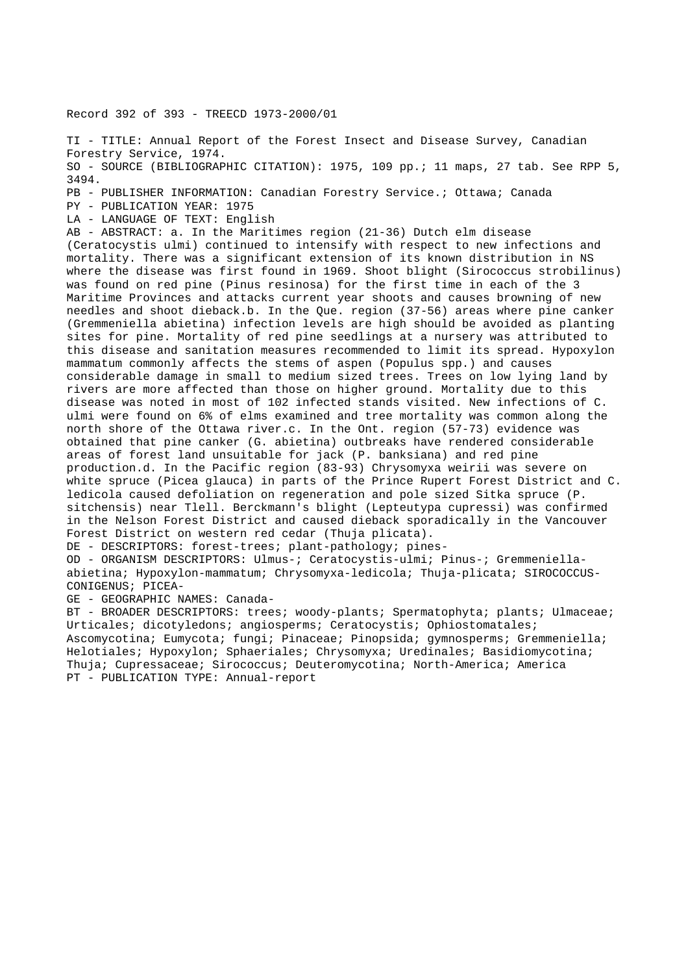Record 392 of 393 - TREECD 1973-2000/01

TI - TITLE: Annual Report of the Forest Insect and Disease Survey, Canadian Forestry Service, 1974. SO - SOURCE (BIBLIOGRAPHIC CITATION): 1975, 109 pp.; 11 maps, 27 tab. See RPP 5, 3494. PB - PUBLISHER INFORMATION: Canadian Forestry Service.; Ottawa; Canada

PY - PUBLICATION YEAR: 1975

LA - LANGUAGE OF TEXT: English

AB - ABSTRACT: a. In the Maritimes region (21-36) Dutch elm disease (Ceratocystis ulmi) continued to intensify with respect to new infections and mortality. There was a significant extension of its known distribution in NS where the disease was first found in 1969. Shoot blight (Sirococcus strobilinus) was found on red pine (Pinus resinosa) for the first time in each of the 3 Maritime Provinces and attacks current year shoots and causes browning of new needles and shoot dieback.b. In the Que. region (37-56) areas where pine canker (Gremmeniella abietina) infection levels are high should be avoided as planting sites for pine. Mortality of red pine seedlings at a nursery was attributed to this disease and sanitation measures recommended to limit its spread. Hypoxylon mammatum commonly affects the stems of aspen (Populus spp.) and causes considerable damage in small to medium sized trees. Trees on low lying land by rivers are more affected than those on higher ground. Mortality due to this disease was noted in most of 102 infected stands visited. New infections of C. ulmi were found on 6% of elms examined and tree mortality was common along the north shore of the Ottawa river.c. In the Ont. region (57-73) evidence was obtained that pine canker (G. abietina) outbreaks have rendered considerable areas of forest land unsuitable for jack (P. banksiana) and red pine production.d. In the Pacific region (83-93) Chrysomyxa weirii was severe on white spruce (Picea glauca) in parts of the Prince Rupert Forest District and C. ledicola caused defoliation on regeneration and pole sized Sitka spruce (P. sitchensis) near Tlell. Berckmann's blight (Lepteutypa cupressi) was confirmed in the Nelson Forest District and caused dieback sporadically in the Vancouver Forest District on western red cedar (Thuja plicata).

DE - DESCRIPTORS: forest-trees; plant-pathology; pines-

OD - ORGANISM DESCRIPTORS: Ulmus-; Ceratocystis-ulmi; Pinus-; Gremmeniellaabietina; Hypoxylon-mammatum; Chrysomyxa-ledicola; Thuja-plicata; SIROCOCCUS-CONIGENUS; PICEA-

GE - GEOGRAPHIC NAMES: Canada-

BT - BROADER DESCRIPTORS: trees; woody-plants; Spermatophyta; plants; Ulmaceae; Urticales; dicotyledons; angiosperms; Ceratocystis; Ophiostomatales; Ascomycotina; Eumycota; fungi; Pinaceae; Pinopsida; gymnosperms; Gremmeniella; Helotiales; Hypoxylon; Sphaeriales; Chrysomyxa; Uredinales; Basidiomycotina; Thuja; Cupressaceae; Sirococcus; Deuteromycotina; North-America; America PT - PUBLICATION TYPE: Annual-report